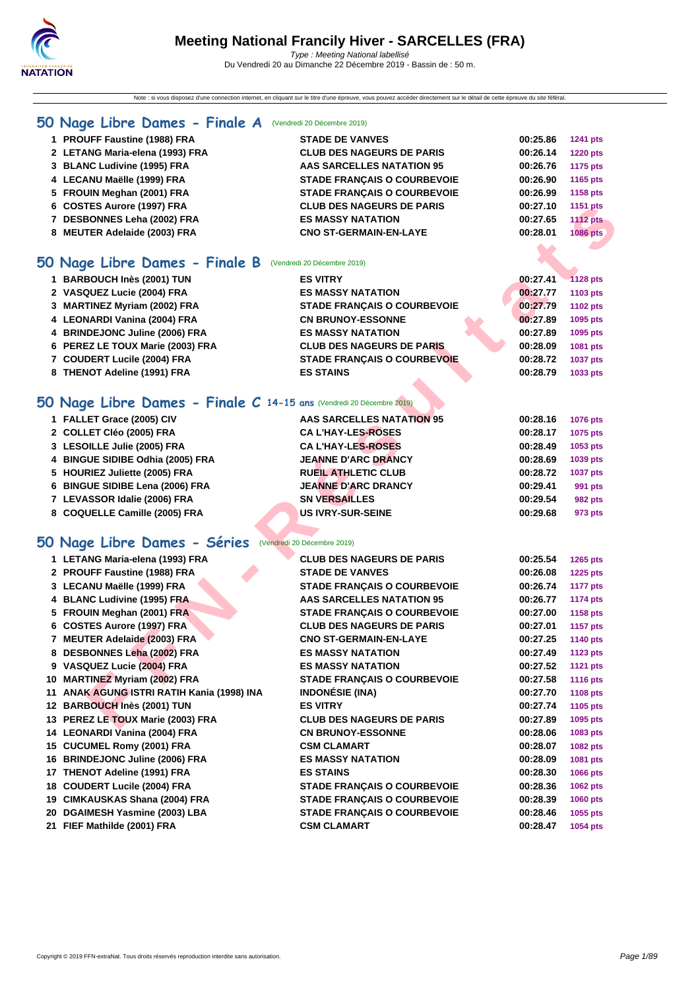Note : si vous disposez d'une connection internet, en cliquant sur le titre d'une épreuve, vous pouvez accéder directement sur le détail de cette épreuve du site féféral.

#### **[50 Na](http://www.ffnatation.fr/webffn/index.php)ge Libre Dames - Finale A** (Vendredi 20 Décembre 2019)

| 0 Nage Libre Dames - Finale B   | (Vendredi 20 Décembre 2019)        |          |                 |
|---------------------------------|------------------------------------|----------|-----------------|
| 8 MEUTER Adelaide (2003) FRA    | <b>CNO ST-GERMAIN-EN-LAYE</b>      | 00:28.01 | 1086 pts        |
| 7 DESBONNES Leha (2002) FRA     | <b>ES MASSY NATATION</b>           | 00:27.65 | <b>1112 pts</b> |
| 6 COSTES Aurore (1997) FRA      | <b>CLUB DES NAGEURS DE PARIS</b>   | 00:27.10 | 1151 pts        |
| 5 FROUIN Meghan (2001) FRA      | <b>STADE FRANCAIS O COURBEVOIE</b> | 00:26.99 | 1158 pts        |
| 4 LECANU Maëlle (1999) FRA      | <b>STADE FRANCAIS O COURBEVOIE</b> | 00:26.90 | 1165 pts        |
| 3 BLANC Ludivine (1995) FRA     | AAS SARCELLES NATATION 95          | 00:26.76 | 1175 pts        |
| 2 LETANG Maria-elena (1993) FRA | <b>CLUB DES NAGEURS DE PARIS</b>   | 00:26.14 | <b>1220 pts</b> |
| 1 PROUFF Faustine (1988) FRA    | <b>STADE DE VANVES</b>             | 00:25.86 | <b>1241 pts</b> |
|                                 |                                    |          |                 |

## **50 Nage Libre Dames - Finale B** (Vendredi 20 Décembre 2019)

| 1 BARBOUCH Inès (2001) TUN       | <b>ES VITRY</b>                    | 00:27.41 | $-1128$ pts     |
|----------------------------------|------------------------------------|----------|-----------------|
| 2 VASQUEZ Lucie (2004) FRA       | <b>ES MASSY NATATION</b>           | 00:27.77 | 1103 pts        |
| 3 MARTINEZ Myriam (2002) FRA     | <b>STADE FRANCAIS O COURBEVOIE</b> | 00:27.79 | 1102 pts        |
| 4 LEONARDI Vanina (2004) FRA     | <b>CN BRUNOY-ESSONNE</b>           | 00:27.89 | 1095 pts        |
| 4 BRINDEJONC Juline (2006) FRA   | <b>ES MASSY NATATION</b>           | 00:27.89 | 1095 pts        |
| 6 PEREZ LE TOUX Marie (2003) FRA | <b>CLUB DES NAGEURS DE PARIS</b>   | 00:28.09 | 1081 pts        |
| 7 COUDERT Lucile (2004) FRA      | <b>STADE FRANCAIS O COURBEVOIE</b> | 00:28.72 | <b>1037 pts</b> |
| 8 THENOT Adeline (1991) FRA      | <b>ES STAINS</b>                   | 00:28.79 | 1033 pts        |

### **50 Nage Libre Dames - Finale C 14-15 ans** (Vendredi 20 Décembre 2019)

| 1 FALLET Grace (2005) CIV        | <b>AAS SARCELLES NATATION 95</b> | 00:28.16 | <b>1076 pts</b> |
|----------------------------------|----------------------------------|----------|-----------------|
| 2 COLLET Cléo (2005) FRA         | <b>CAL'HAY-LES-ROSES</b>         | 00:28.17 | 1075 pts        |
| 3 LESOILLE Julie (2005) FRA      | <b>CAL'HAY-LES-ROSES</b>         | 00:28.49 | 1053 pts        |
| 4 BINGUE SIDIBE Odhia (2005) FRA | <b>JEANNE D'ARC DRANCY</b>       | 00:28.69 | 1039 pts        |
| 5 HOURIEZ Juliette (2005) FRA    | <b>RUEIL ATHLETIC CLUB</b>       | 00:28.72 | <b>1037 pts</b> |
| 6 BINGUE SIDIBE Lena (2006) FRA  | <b>JEANNE D'ARC DRANCY</b>       | 00:29.41 | 991 pts         |
| 7 LEVASSOR Idalie (2006) FRA     | <b>SN VERSAILLES</b>             | 00:29.54 | 982 pts         |
| 8 COQUELLE Camille (2005) FRA    | <b>US IVRY-SUR-SEINE</b>         | 00:29.68 | 973 pts         |
|                                  |                                  |          |                 |

## **50 Nage Libre Dames - Séries** (Vendredi 20 Décembre 2019)

| 6 COSTES Aurore (1997) FRA                                          | <b>CLUB DES NAGEURS DE PARIS</b>   | 00:27.10 | 1151 pts        |
|---------------------------------------------------------------------|------------------------------------|----------|-----------------|
| 7 DESBONNES Leha (2002) FRA                                         | <b>ES MASSY NATATION</b>           | 00:27.65 | <b>1112 pts</b> |
| 8 MEUTER Adelaide (2003) FRA                                        | <b>CNO ST-GERMAIN-EN-LAYE</b>      | 00:28.01 | <b>1086 pts</b> |
|                                                                     |                                    |          |                 |
| 0 Nage Libre Dames - Finale B                                       | (Vendredi 20 Décembre 2019)        |          |                 |
| 1 BARBOUCH Inès (2001) TUN                                          | <b>ES VITRY</b>                    | 00:27.41 | <b>1128 pts</b> |
| 2 VASQUEZ Lucie (2004) FRA                                          | <b>ES MASSY NATATION</b>           | 00:27.77 | 1103 pts        |
| 3 MARTINEZ Myriam (2002) FRA                                        | <b>STADE FRANÇAIS O COURBEVOIE</b> | 00:27.79 | <b>1102 pts</b> |
| 4 LEONARDI Vanina (2004) FRA                                        | <b>CN BRUNOY-ESSONNE</b>           | 00:27.89 | 1095 pts        |
| 4 BRINDEJONC Juline (2006) FRA                                      | <b>ES MASSY NATATION</b>           | 00:27.89 | 1095 pts        |
| 6 PEREZ LE TOUX Marie (2003) FRA                                    | <b>CLUB DES NAGEURS DE PARIS</b>   | 00:28.09 | 1081 pts        |
| 7 COUDERT Lucile (2004) FRA                                         | STADE FRANÇAIS O COURBEVOIE        | 00:28.72 | <b>1037 pts</b> |
| 8 THENOT Adeline (1991) FRA                                         | <b>ES STAINS</b>                   | 00:28.79 | 1033 pts        |
|                                                                     |                                    |          |                 |
| O Nage Libre Dames - Finale C 14-15 ans (Vendredi 20 Décembre 2019) |                                    |          |                 |
| 1 FALLET Grace (2005) CIV                                           | <b>AAS SARCELLES NATATION 95</b>   | 00:28.16 | <b>1076 pts</b> |
| 2 COLLET Cléo (2005) FRA                                            | <b>CA L'HAY-LES-ROSES</b>          | 00:28.17 | 1075 pts        |
| 3 LESOILLE Julie (2005) FRA                                         | <b>CA L'HAY-LES-ROSES</b>          | 00:28.49 | 1053 pts        |
| 4 BINGUE SIDIBE Odhia (2005) FRA                                    | <b>JEANNE D'ARC DRANCY</b>         | 00:28.69 | 1039 pts        |
| 5 HOURIEZ Juliette (2005) FRA                                       | <b>RUEIL ATHLETIC CLUB</b>         | 00:28.72 | <b>1037 pts</b> |
| 6 BINGUE SIDIBE Lena (2006) FRA                                     | <b>JEANNE D'ARC DRANCY</b>         | 00:29.41 |                 |
| 7 LEVASSOR Idalie (2006) FRA                                        | <b>SN VERSAILLES</b>               |          | 991 pts         |
|                                                                     |                                    | 00:29.54 | 982 pts         |
| 8 COQUELLE Camille (2005) FRA                                       | <b>US IVRY-SUR-SEINE</b>           | 00:29.68 | 973 pts         |
|                                                                     |                                    |          |                 |
| O Nage Libre Dames - Séries (Vendredi 20 Décembre 2019)             |                                    |          |                 |
| 1 LETANG Maria-elena (1993) FRA                                     | <b>CLUB DES NAGEURS DE PARIS</b>   | 00:25.54 | 1265 pts        |
| 2 PROUFF Faustine (1988) FRA                                        | <b>STADE DE VANVES</b>             | 00:26.08 | <b>1225 pts</b> |
| 3 LECANU Maëlle (1999) FRA                                          | <b>STADE FRANÇAIS O COURBEVOIE</b> | 00:26.74 | <b>1177 pts</b> |
| 4 BLANC Ludivine (1995) FRA                                         | <b>AAS SARCELLES NATATION 95</b>   | 00:26.77 | <b>1174 pts</b> |
| 5 FROUIN Meghan (2001) FRA                                          | <b>STADE FRANÇAIS O COURBEVOIE</b> | 00:27.00 | <b>1158 pts</b> |
| 6 COSTES Aurore (1997) FRA                                          | <b>CLUB DES NAGEURS DE PARIS</b>   | 00:27.01 | <b>1157 pts</b> |
| 7 MEUTER Adelaide (2003) FRA                                        | <b>CNO ST-GERMAIN-EN-LAYE</b>      | 00:27.25 | <b>1140 pts</b> |
| 8 DESBONNES Leha (2002) FRA                                         | <b>ES MASSY NATATION</b>           | 00:27.49 | <b>1123 pts</b> |
| 9 VASQUEZ Lucie (2004) FRA                                          | <b>ES MASSY NATATION</b>           | 00:27.52 | <b>1121 pts</b> |
| 10 MARTINEZ Myriam (2002) FRA                                       | <b>STADE FRANÇAIS O COURBEVOIE</b> | 00:27.58 | <b>1116 pts</b> |
| 11 ANAK AGUNG ISTRI RATIH Kania (1998) INA                          | <b>INDONÉSIE (INA)</b>             | 00:27.70 | 1108 pts        |
| 12 BARBOUCH Inès (2001) TUN                                         | <b>ES VITRY</b>                    | 00:27.74 | 1105 pts        |
| 13 PEREZ LE TOUX Marie (2003) FRA                                   | <b>CLUB DES NAGEURS DE PARIS</b>   | 00:27.89 | 1095 pts        |
| 14 LEONARDI Vanina (2004) FRA                                       | <b>CN BRUNOY-ESSONNE</b>           | 00:28.06 | 1083 pts        |
| 15 CUCUMEL Romy (2001) FRA                                          | <b>CSM CLAMART</b>                 | 00:28.07 | 1082 pts        |
| 16 BRINDEJONC Juline (2006) FRA                                     | <b>ES MASSY NATATION</b>           | 00:28.09 | 1081 pts        |
| 17 THENOT Adeline (1991) FRA                                        | <b>ES STAINS</b>                   | 00:28.30 | <b>1066 pts</b> |
| 18 COUDERT Lucile (2004) FRA                                        | <b>STADE FRANÇAIS O COURBEVOIE</b> | 00:28.36 | <b>1062 pts</b> |
| 19 CIMKAUSKAS Shana (2004) FRA                                      | <b>STADE FRANÇAIS O COURBEVOIE</b> | 00:28.39 | 1060 pts        |
| 20 DGAIMESH Yasmine (2003) LBA                                      | <b>STADE FRANÇAIS O COURBEVOIE</b> | 00:28.46 | 1055 pts        |
| 21 FIEF Mathilde (2001) FRA                                         | <b>CSM CLAMART</b>                 | 00:28.47 | 1054 pts        |
|                                                                     |                                    |          |                 |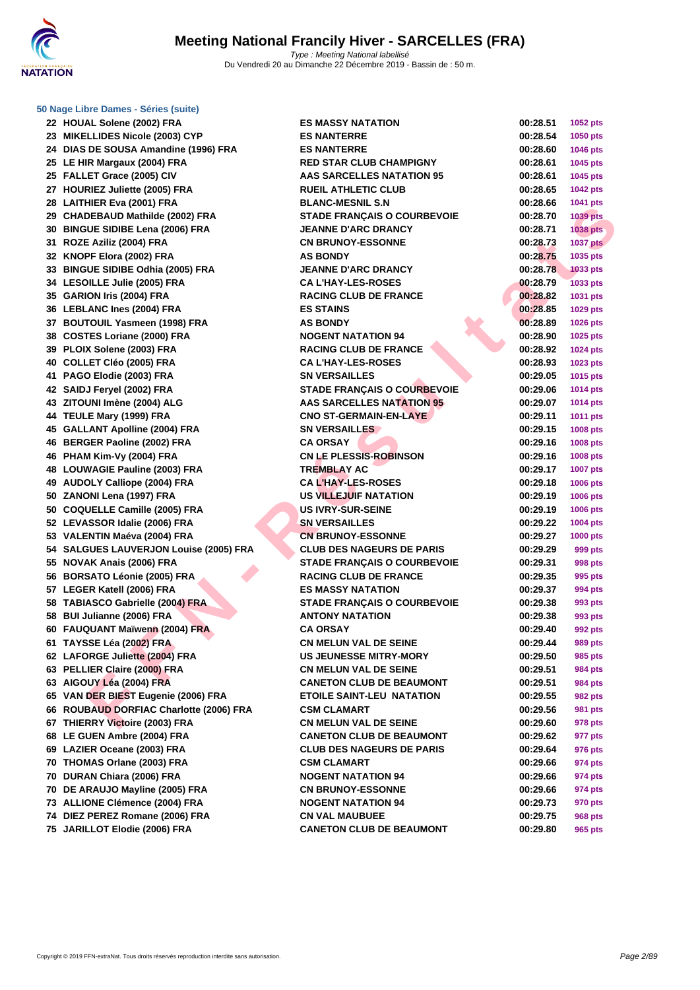

#### **[50 Nage L](http://www.ffnatation.fr/webffn/index.php)ibre Dames - Séries (suite)**

| 22 HOUAL Solene (2002) FRA              | <b>ES MASSY NATATION</b>           | 00:28.51 | 1052 pts        |
|-----------------------------------------|------------------------------------|----------|-----------------|
| 23 MIKELLIDES Nicole (2003) CYP         | <b>ES NANTERRE</b>                 | 00:28.54 | 1050 pts        |
| 24 DIAS DE SOUSA Amandine (1996) FRA    | <b>ES NANTERRE</b>                 | 00:28.60 | 1046 pts        |
| 25 LE HIR Margaux (2004) FRA            | <b>RED STAR CLUB CHAMPIGNY</b>     | 00:28.61 | 1045 pts        |
| 25 FALLET Grace (2005) CIV              | <b>AAS SARCELLES NATATION 95</b>   | 00:28.61 | 1045 pts        |
| 27 HOURIEZ Juliette (2005) FRA          | <b>RUEIL ATHLETIC CLUB</b>         | 00:28.65 | <b>1042 pts</b> |
| 28 LAITHIER Eva (2001) FRA              | <b>BLANC-MESNIL S.N</b>            | 00:28.66 | 1041 pts        |
| 29 CHADEBAUD Mathilde (2002) FRA        | <b>STADE FRANÇAIS O COURBEVOIE</b> | 00:28.70 | <b>1039 pts</b> |
| 30 BINGUE SIDIBE Lena (2006) FRA        | <b>JEANNE D'ARC DRANCY</b>         | 00:28.71 | 1038 pts        |
| 31 ROZE Aziliz (2004) FRA               | <b>CN BRUNOY-ESSONNE</b>           | 00:28.73 | <b>1037 pts</b> |
| 32 KNOPF Elora (2002) FRA               | <b>AS BONDY</b>                    | 00:28.75 | 1035 pts        |
| 33 BINGUE SIDIBE Odhia (2005) FRA       | <b>JEANNE D'ARC DRANCY</b>         | 00:28.78 | <b>1033 pts</b> |
| 34 LESOILLE Julie (2005) FRA            | <b>CA L'HAY-LES-ROSES</b>          | 00:28.79 | 1033 pts        |
| 35 GARION Iris (2004) FRA               | <b>RACING CLUB DE FRANCE</b>       | 00:28.82 | 1031 pts        |
| 36 LEBLANC Ines (2004) FRA              | <b>ES STAINS</b>                   | 00:28.85 | 1029 pts        |
| 37 BOUTOUIL Yasmeen (1998) FRA          | <b>AS BONDY</b>                    | 00:28.89 | 1026 pts        |
| 38 COSTES Loriane (2000) FRA            | <b>NOGENT NATATION 94</b>          | 00:28.90 | 1025 pts        |
| 39 PLOIX Solene (2003) FRA              | <b>RACING CLUB DE FRANCE</b>       | 00:28.92 | <b>1024 pts</b> |
| 40 COLLET Cléo (2005) FRA               | <b>CA L'HAY-LES-ROSES</b>          | 00:28.93 | 1023 pts        |
| 41 PAGO Elodie (2003) FRA               | <b>SN VERSAILLES</b>               | 00:29.05 | 1015 pts        |
| 42 SAIDJ Feryel (2002) FRA              | <b>STADE FRANCAIS O COURBEVOIE</b> | 00:29.06 | 1014 pts        |
| 43 ZITOUNI Imène (2004) ALG             | <b>AAS SARCELLES NATATION 95</b>   | 00:29.07 | <b>1014 pts</b> |
| 44 TEULE Mary (1999) FRA                | <b>CNO ST-GERMAIN-EN-LAYE</b>      | 00:29.11 | 1011 pts        |
| 45 GALLANT Apolline (2004) FRA          | <b>SN VERSAILLES</b>               | 00:29.15 | 1008 pts        |
| 46 BERGER Paoline (2002) FRA            | <b>CA ORSAY</b>                    | 00:29.16 | 1008 pts        |
| 46 PHAM Kim-Vy (2004) FRA               | <b>CN LE PLESSIS-ROBINSON</b>      | 00:29.16 | 1008 pts        |
| 48 LOUWAGIE Pauline (2003) FRA          | <b>TREMBLAY AC</b>                 | 00:29.17 | <b>1007 pts</b> |
| 49 AUDOLY Calliope (2004) FRA           | <b>CA L'HAY-LES-ROSES</b>          | 00:29.18 | <b>1006 pts</b> |
| 50 ZANONI Lena (1997) FRA               | US VILLEJUIF NATATION              | 00:29.19 | <b>1006 pts</b> |
| 50 COQUELLE Camille (2005) FRA          | <b>US IVRY-SUR-SEINE</b>           | 00:29.19 | 1006 pts        |
| 52 LEVASSOR Idalie (2006) FRA           | <b>SN VERSAILLES</b>               | 00:29.22 | <b>1004 pts</b> |
| 53 VALENTIN Maéva (2004) FRA            | <b>CN BRUNOY-ESSONNE</b>           | 00:29.27 | <b>1000 pts</b> |
| 54 SALGUES LAUVERJON Louise (2005) FRA  | <b>CLUB DES NAGEURS DE PARIS</b>   | 00:29.29 | 999 pts         |
| 55 NOVAK Anais (2006) FRA               | <b>STADE FRANÇAIS O COURBEVOIE</b> | 00:29.31 | 998 pts         |
| 56 BORSATO Léonie (2005) FRA            | <b>RACING CLUB DE FRANCE</b>       | 00:29.35 | 995 pts         |
| 57 LEGER Katell (2006) FRA              | <b>ES MASSY NATATION</b>           | 00:29.37 | 994 pts         |
| 58 TABIASCO Gabrielle (2004) FRA        | <b>STADE FRANÇAIS O COURBEVOIE</b> | 00:29.38 | 993 pts         |
| 58 BUI Julianne (2006) FRA              | <b>ANTONY NATATION</b>             | 00:29.38 | 993 pts         |
| 60 FAUQUANT Maïwenn (2004) FRA          | <b>CA ORSAY</b>                    | 00:29.40 | 992 pts         |
| 61 TAYSSE Léa (2002) FRA                | <b>CN MELUN VAL DE SEINE</b>       | 00:29.44 | 989 pts         |
| 62 LAFORGE Juliette (2004) FRA          | <b>US JEUNESSE MITRY-MORY</b>      | 00:29.50 | 985 pts         |
| 63 PELLIER Claire (2000) FRA            | <b>CN MELUN VAL DE SEINE</b>       | 00:29.51 | <b>984 pts</b>  |
| 63 AIGOUY Léa (2004) FRA                | <b>CANETON CLUB DE BEAUMONT</b>    | 00:29.51 | 984 pts         |
| 65 VAN DER BIEST Eugenie (2006) FRA     | <b>ETOILE SAINT-LEU NATATION</b>   | 00:29.55 | 982 pts         |
| 66 ROUBAUD DORFIAC Charlotte (2006) FRA | <b>CSM CLAMART</b>                 | 00:29.56 | 981 pts         |
| 67 THIERRY Victoire (2003) FRA          | <b>CN MELUN VAL DE SEINE</b>       | 00:29.60 | 978 pts         |
| 68 LE GUEN Ambre (2004) FRA             | <b>CANETON CLUB DE BEAUMONT</b>    | 00:29.62 | 977 pts         |
| 69 LAZIER Oceane (2003) FRA             | <b>CLUB DES NAGEURS DE PARIS</b>   | 00:29.64 | 976 pts         |
| 70 THOMAS Orlane (2003) FRA             | <b>CSM CLAMART</b>                 | 00:29.66 | 974 pts         |
| 70 DURAN Chiara (2006) FRA              | <b>NOGENT NATATION 94</b>          | 00:29.66 | 974 pts         |
| 70 DE ARAUJO Mayline (2005) FRA         | <b>CN BRUNOY-ESSONNE</b>           | 00:29.66 | 974 pts         |
| 73 ALLIONE Clémence (2004) FRA          | <b>NOGENT NATATION 94</b>          | 00:29.73 | 970 pts         |
| 74 DIEZ PEREZ Romane (2006) FRA         | <b>CN VAL MAUBUEE</b>              | 00:29.75 | 968 pts         |
| 75 JARILLOT Elodie (2006) FRA           | <b>CANETON CLUB DE BEAUMONT</b>    | 00:29.80 | 965 pts         |

| <b>ES MASSY NATATION</b>                        | 00:28.51             | 1052 pts           |
|-------------------------------------------------|----------------------|--------------------|
| <b>ES NANTERRE</b>                              | 00:28.54             | 1050 pts           |
| <b>ES NANTERRE</b>                              | 00:28.60             | 1046 pts           |
| <b>RED STAR CLUB CHAMPIGNY</b>                  | 00:28.61             | 1045 pts           |
| <b>AAS SARCELLES NATATION 95</b>                | 00:28.61             | 1045 pts           |
| <b>RUEIL ATHLETIC CLUB</b>                      | 00:28.65             | 1042 pts           |
| <b>BLANC-MESNIL S.N</b>                         | 00:28.66             | 1041 pts           |
| <b>STADE FRANÇAIS O COURBEVOIE</b>              | 00:28.70             | <b>1039 pts</b>    |
| <b>JEANNE D'ARC DRANCY</b>                      | 00:28.71             | 1038 pts           |
| <b>CN BRUNOY-ESSONNE</b>                        | 00:28.73             | <b>1037 pts</b>    |
| <b>AS BONDY</b>                                 | 00:28.75             | 1035 pts           |
| <b>JEANNE D'ARC DRANCY</b>                      | 00:28.78             | <b>1033 pts</b>    |
| <b>CAL'HAY-LES-ROSES</b>                        | 00:28.79             | 1033 pts           |
| <b>RACING CLUB DE FRANCE</b>                    | 00:28.82             | 1031 pts           |
| <b>ES STAINS</b>                                | 00:28.85             | 1029 pts           |
| <b>AS BONDY</b>                                 | 00:28.89             | 1026 pts           |
| <b>NOGENT NATATION 94</b>                       | 00:28.90             | 1025 pts           |
| <b>RACING CLUB DE FRANCE</b>                    | 00:28.92             | 1024 pts           |
| <b>CA L'HAY-LES-ROSES</b>                       | 00:28.93             | 1023 pts           |
| <b>SN VERSAILLES</b>                            | 00:29.05             | 1015 pts           |
| <b>STADE FRANÇAIS O COURBEVOIE</b>              | 00:29.06             | 1014 pts           |
| <b>AAS SARCELLES NATATION 95</b>                | 00:29.07             | 1014 pts           |
| <b>CNO ST-GERMAIN-EN-LAYE</b>                   | 00:29.11             | <b>1011 pts</b>    |
| <b>SN VERSAILLES</b>                            | 00:29.15             | 1008 pts           |
| <b>CA ORSAY</b>                                 | 00:29.16             | 1008 pts           |
| <b>CN LE PLESSIS-ROBINSON</b>                   | 00:29.16             | <b>1008 pts</b>    |
| <b>TREMBLAY AC</b>                              | 00:29.17             | <b>1007 pts</b>    |
| <b>CAL'HAY-LES-ROSES</b>                        | 00:29.18             | <b>1006 pts</b>    |
| US VILLEJUIF NATATION                           | 00:29.19             | 1006 pts           |
| <b>US IVRY-SUR-SEINE</b>                        | 00:29.19             | <b>1006 pts</b>    |
| <b>SN VERSAILLES</b>                            | 00:29.22             | 1004 pts           |
| <b>CN BRUNOY-ESSONNE</b>                        | 00:29.27             | <b>1000 pts</b>    |
| <b>CLUB DES NAGEURS DE PARIS</b>                | 00:29.29             | 999 pts            |
| <b>STADE FRANÇAIS O COURBEVOIE</b>              | 00:29.31             | 998 pts            |
| <b>RACING CLUB DE FRANCE</b>                    | 00:29.35             | 995 pts            |
| <b>ES MASSY NATATION</b>                        | 00:29.37             | 994 pts            |
| <b>STADE FRANÇAIS O COURBEVOIE</b>              | 00:29.38             | 993 pts            |
| <b>ANTONY NATATION</b>                          | 00:29.38             | 993 pts            |
| <b>CA ORSAY</b>                                 | 00:29.40             | 992 pts            |
| <b>CN MELUN VAL DE SEINE</b>                    | 00:29.44             | 989 pts            |
| <b>US JEUNESSE MITRY-MORY</b>                   | 00:29.50             | 985 pts            |
| <b>CN MELUN VAL DE SEINE</b>                    | 00:29.51             | 984 pts            |
| <b>CANETON CLUB DE BEAUMONT</b>                 | 00:29.51             | 984 pts            |
| <b>ETOILE SAINT-LEU NATATION</b>                | 00:29.55             | 982 pts            |
| <b>CSM CLAMART</b>                              | 00:29.56             | <b>981 pts</b>     |
| <b>CN MELUN VAL DE SEINE</b>                    | 00:29.60             | 978 pts            |
| <b>CANETON CLUB DE BEAUMONT</b>                 | 00:29.62             | 977 pts            |
| <b>CLUB DES NAGEURS DE PARIS</b>                | 00:29.64             | 976 pts            |
| <b>CSM CLAMART</b><br><b>NOGENT NATATION 94</b> | 00:29.66<br>00:29.66 | 974 pts<br>974 pts |
| <b>CN BRUNOY-ESSONNE</b>                        | 00:29.66             | 974 pts            |
| <b>NOGENT NATATION 94</b>                       | 00:29.73             | 970 pts            |
| <b>CN VAL MAUBUEE</b>                           | 00:29.75             | 968 pts            |
| <b>CANETON CLUB DE BEAUMONT</b>                 | 00:29.80             | 965 pts            |
|                                                 |                      |                    |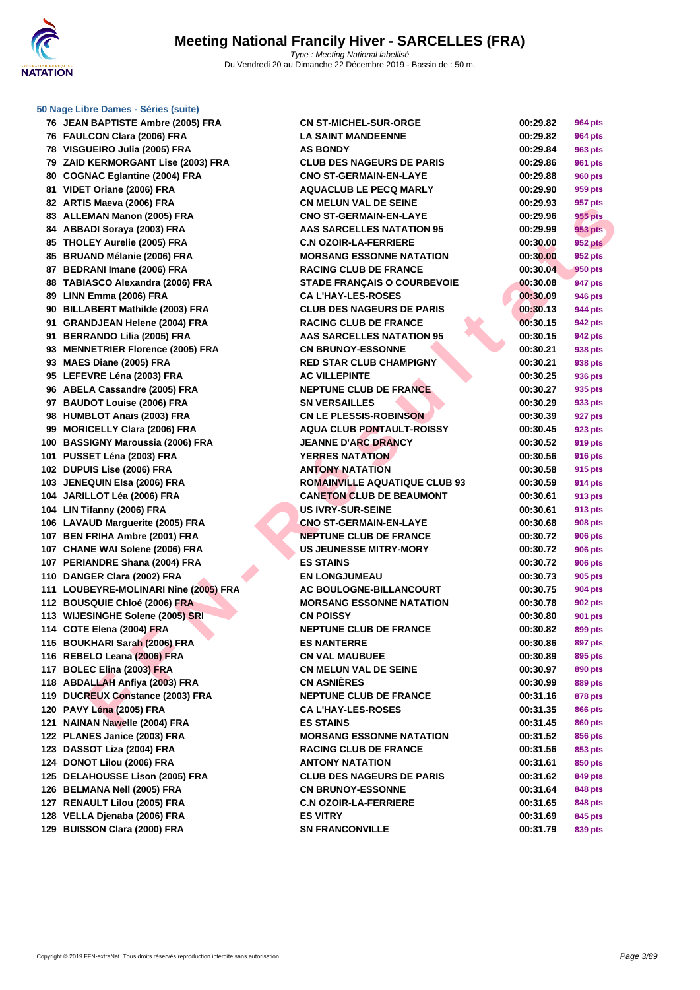

#### **[50 Nage L](http://www.ffnatation.fr/webffn/index.php)ibre Dames - Séries (suite)**

| 76 JEAN BAPTISTE Ambre (2005) FRA    | <b>CN ST-MICHEL-SUR-ORGE</b>       | 00:29.82 | <b>964 pts</b> |
|--------------------------------------|------------------------------------|----------|----------------|
| 76 FAULCON Clara (2006) FRA          | <b>LA SAINT MANDEENNE</b>          | 00:29.82 | 964 pts        |
| 78 VISGUEIRO Julia (2005) FRA        | <b>AS BONDY</b>                    | 00:29.84 | 963 pts        |
| 79 ZAID KERMORGANT Lise (2003) FRA   | <b>CLUB DES NAGEURS DE PARIS</b>   | 00:29.86 | <b>961 pts</b> |
| 80 COGNAC Eglantine (2004) FRA       | <b>CNO ST-GERMAIN-EN-LAYE</b>      | 00:29.88 | <b>960 pts</b> |
| 81 VIDET Oriane (2006) FRA           | <b>AQUACLUB LE PECQ MARLY</b>      | 00:29.90 | 959 pts        |
| 82 ARTIS Maeva (2006) FRA            | <b>CN MELUN VAL DE SEINE</b>       | 00:29.93 | 957 pts        |
| 83 ALLEMAN Manon (2005) FRA          | <b>CNO ST-GERMAIN-EN-LAYE</b>      | 00:29.96 | 955 pts        |
| 84 ABBADI Soraya (2003) FRA          | <b>AAS SARCELLES NATATION 95</b>   | 00:29.99 | 953 pts        |
| 85 THOLEY Aurelie (2005) FRA         | <b>C.N OZOIR-LA-FERRIERE</b>       | 00:30.00 | <b>952 pts</b> |
| 85 BRUAND Mélanie (2006) FRA         | <b>MORSANG ESSONNE NATATION</b>    | 00:30.00 | 952 pts        |
| 87 BEDRANI Imane (2006) FRA          | <b>RACING CLUB DE FRANCE</b>       | 00:30.04 | 950 pts        |
| 88 TABIASCO Alexandra (2006) FRA     | <b>STADE FRANÇAIS O COURBEVOIE</b> | 00:30.08 | 947 pts        |
| 89 LINN Emma (2006) FRA              | <b>CA L'HAY-LES-ROSES</b>          | 00:30.09 | <b>946 pts</b> |
| 90 BILLABERT Mathilde (2003) FRA     | <b>CLUB DES NAGEURS DE PARIS</b>   | 00:30.13 | 944 pts        |
| 91 GRANDJEAN Helene (2004) FRA       | <b>RACING CLUB DE FRANCE</b>       | 00:30.15 | 942 pts        |
| 91 BERRANDO Lilia (2005) FRA         | <b>AAS SARCELLES NATATION 95</b>   | 00:30.15 | 942 pts        |
| 93 MENNETRIER Florence (2005) FRA    | <b>CN BRUNOY-ESSONNE</b>           | 00:30.21 | 938 pts        |
| 93 MAES Diane (2005) FRA             | <b>RED STAR CLUB CHAMPIGNY</b>     | 00:30.21 | 938 pts        |
| 95 LEFEVRE Léna (2003) FRA           | <b>AC VILLEPINTE</b>               | 00:30.25 | 936 pts        |
| 96 ABELA Cassandre (2005) FRA        | <b>NEPTUNE CLUB DE FRANCE</b>      | 00:30.27 | 935 pts        |
| 97 BAUDOT Louise (2006) FRA          | <b>SN VERSAILLES</b>               | 00:30.29 | 933 pts        |
| 98 HUMBLOT Anaïs (2003) FRA          | <b>CN LE PLESSIS-ROBINSON</b>      | 00:30.39 | 927 pts        |
| 99 MORICELLY Clara (2006) FRA        | <b>AQUA CLUB PONTAULT-ROISSY</b>   | 00:30.45 | 923 pts        |
| 00 BASSIGNY Maroussia (2006) FRA     | <b>JEANNE D'ARC DRANCY</b>         | 00:30.52 | 919 pts        |
| 01 PUSSET Léna (2003) FRA            | <b>YERRES NATATION</b>             | 00:30.56 | 916 pts        |
| 02 DUPUIS Lise (2006) FRA            | <b>ANTONY NATATION</b>             | 00:30.58 | 915 pts        |
| 03 JENEQUIN Elsa (2006) FRA          | ROMAINVILLE AQUATIQUE CLUB 93      | 00:30.59 | 914 pts        |
| 04 JARILLOT Léa (2006) FRA           | <b>CANETON CLUB DE BEAUMONT</b>    | 00:30.61 | 913 pts        |
| 04 LIN Tifanny (2006) FRA            | <b>US IVRY-SUR-SEINE</b>           | 00:30.61 | 913 pts        |
| 06 LAVAUD Marguerite (2005) FRA      | <b>CNO ST-GERMAIN-EN-LAYE</b>      | 00:30.68 | 908 pts        |
| 07 BEN FRIHA Ambre (2001) FRA        | <b>NEPTUNE CLUB DE FRANCE</b>      | 00:30.72 | <b>906 pts</b> |
| 07 CHANE WAI Solene (2006) FRA       | <b>US JEUNESSE MITRY-MORY</b>      | 00:30.72 | <b>906 pts</b> |
| 07 PERIANDRE Shana (2004) FRA        | <b>ES STAINS</b>                   | 00:30.72 | <b>906 pts</b> |
| 10 DANGER Clara (2002) FRA           | <b>EN LONGJUMEAU</b>               | 00:30.73 | 905 pts        |
| 11 LOUBEYRE-MOLINARI Nine (2005) FRA | <b>AC BOULOGNE-BILLANCOURT</b>     | 00:30.75 | 904 pts        |
| 12 BOUSQUIE Chloé (2006) FRA         | <b>MORSANG ESSONNE NATATION</b>    | 00:30.78 | 902 pts        |
| 13 WIJESINGHE Solene (2005) SRI      | <b>CN POISSY</b>                   | 00:30.80 | 901 pts        |
| 14 COTE Elena (2004) FRA             | <b>NEPTUNE CLUB DE FRANCE</b>      | 00:30.82 | 899 pts        |
| 15 BOUKHARI Sarah (2006) FRA         | <b>ES NANTERRE</b>                 | 00:30.86 | 897 pts        |
| 16 REBELO Leana (2006) FRA           | <b>CN VAL MAUBUEE</b>              | 00:30.89 | 895 pts        |
| 17 BOLEC Elina (2003) FRA            | <b>CN MELUN VAL DE SEINE</b>       | 00:30.97 | 890 pts        |
| 18 ABDALLAH Anfiya (2003) FRA        | <b>CN ASNIÈRES</b>                 | 00:30.99 | 889 pts        |
| 19 DUCREUX Constance (2003) FRA      | <b>NEPTUNE CLUB DE FRANCE</b>      | 00:31.16 | 878 pts        |
| 20 PAVY Léna (2005) FRA              | <b>CAL'HAY-LES-ROSES</b>           | 00:31.35 | 866 pts        |
| 21 NAINAN Nawelle (2004) FRA         | <b>ES STAINS</b>                   | 00:31.45 | <b>860 pts</b> |
| 22 PLANES Janice (2003) FRA          | <b>MORSANG ESSONNE NATATION</b>    | 00:31.52 | 856 pts        |
| 23 DASSOT Liza (2004) FRA            | <b>RACING CLUB DE FRANCE</b>       | 00:31.56 | 853 pts        |
| 24 DONOT Lilou (2006) FRA            | <b>ANTONY NATATION</b>             | 00:31.61 | 850 pts        |
| 25 DELAHOUSSE Lison (2005) FRA       | <b>CLUB DES NAGEURS DE PARIS</b>   | 00:31.62 | 849 pts        |
| 26 BELMANA Nell (2005) FRA           | <b>CN BRUNOY-ESSONNE</b>           | 00:31.64 | 848 pts        |
| 27 RENAULT Lilou (2005) FRA          | <b>C.N OZOIR-LA-FERRIERE</b>       | 00:31.65 | 848 pts        |
| 28 VELLA Djenaba (2006) FRA          | <b>ES VITRY</b>                    | 00:31.69 | 845 pts        |
| 29 BUISSON Clara (2000) FRA          | <b>SN FRANCONVILLE</b>             | 00:31.79 | 839 pts        |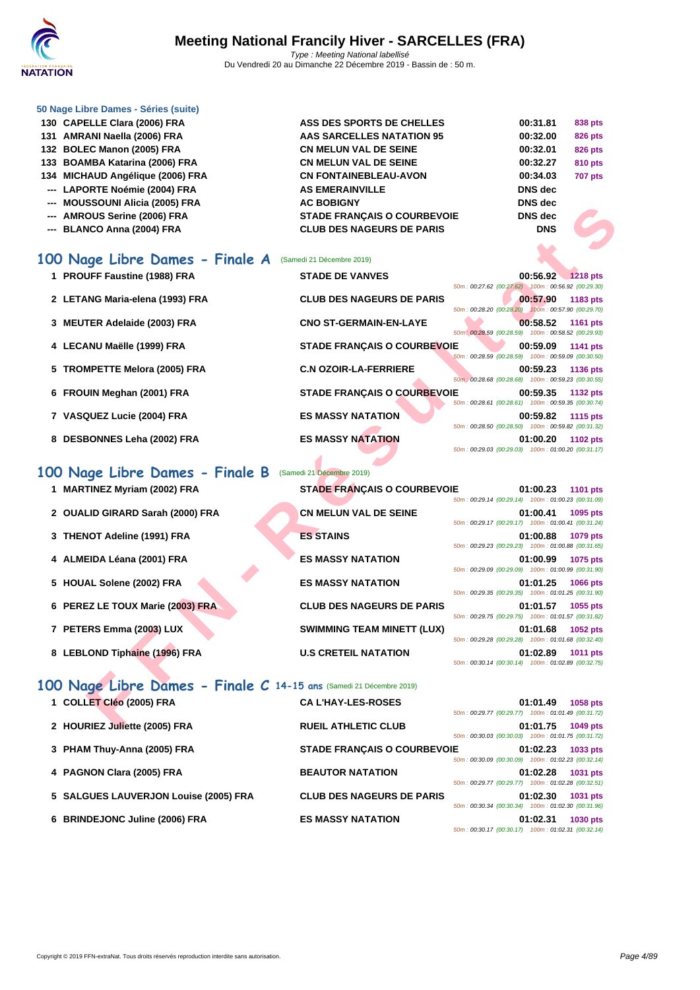#### **[50 Nage L](http://www.ffnatation.fr/webffn/index.php)ibre Dames - Séries (suite)**

| 130 CAPELLE Clara (2006) FRA     | ASS DES SPORTS DE CHELLES          | 00:31.81       | 838 pts        |
|----------------------------------|------------------------------------|----------------|----------------|
| 131 AMRANI Naella (2006) FRA     | AAS SARCELLES NATATION 95          | 00:32.00       | <b>826 pts</b> |
| 132 BOLEC Manon (2005) FRA       | <b>CN MELUN VAL DE SEINE</b>       | 00:32.01       | <b>826 pts</b> |
| 133 BOAMBA Katarina (2006) FRA   | <b>CN MELUN VAL DE SEINE</b>       | 00:32.27       | 810 pts        |
| 134 MICHAUD Angélique (2006) FRA | <b>CN FONTAINEBLEAU-AVON</b>       | 00:34.03       | <b>707 pts</b> |
| --- LAPORTE Noémie (2004) FRA    | <b>AS EMERAINVILLE</b>             | <b>DNS</b> dec |                |
| --- MOUSSOUNI Alicia (2005) FRA  | <b>AC BOBIGNY</b>                  | DNS dec        |                |
| --- AMROUS Serine (2006) FRA     | <b>STADE FRANCAIS O COURBEVOIE</b> | DNS dec        |                |
| --- BLANCO Anna (2004) FRA       | <b>CLUB DES NAGEURS DE PARIS</b>   | <b>DNS</b>     |                |
|                                  |                                    |                |                |

#### **100 Nage Libre Dames - Finale A** (Samedi 21 Décembre 2019)

| <b>MUUUJUUNI AIIUIA (2003) I IVA</b>                                | ו יוטוטט טח                        |                                                                                   |
|---------------------------------------------------------------------|------------------------------------|-----------------------------------------------------------------------------------|
| --- AMROUS Serine (2006) FRA                                        | <b>STADE FRANÇAIS O COURBEVOIE</b> | <b>DNS dec</b>                                                                    |
| --- BLANCO Anna (2004) FRA                                          | <b>CLUB DES NAGEURS DE PARIS</b>   | <b>DNS</b>                                                                        |
|                                                                     |                                    |                                                                                   |
| .00 Nage Libre Dames - Finale A                                     | (Samedi 21 Décembre 2019)          |                                                                                   |
| 1 PROUFF Faustine (1988) FRA                                        | <b>STADE DE VANVES</b>             | 00:56.92 1218 pts                                                                 |
|                                                                     |                                    | 50m: 00:27.62 (00:27.62) 100m: 00:56.92 (00:29.30)                                |
| 2 LETANG Maria-elena (1993) FRA                                     | <b>CLUB DES NAGEURS DE PARIS</b>   | 00:57.90<br>1183 pts<br>50m: 00:28.20 (00:28.20) 100m: 00:57.90 (00:29.70)        |
| 3 MEUTER Adelaide (2003) FRA                                        | <b>CNO ST-GERMAIN-EN-LAYE</b>      | 00:58.52<br>1161 pts                                                              |
|                                                                     |                                    | 50m : 00:28.59 (00:28.59) 100m : 00:58.52 (00:29.93)                              |
| 4 LECANU Maëlle (1999) FRA                                          | <b>STADE FRANÇAIS O COURBEVOIE</b> | 00:59.09<br><b>1141 pts</b><br>50m: 00:28.59 (00:28.59) 100m: 00:59.09 (00:30.50) |
| 5 TROMPETTE Melora (2005) FRA                                       | <b>C.N OZOIR-LA-FERRIERE</b>       | 00:59.23<br>1136 pts                                                              |
|                                                                     |                                    | 50m : 00:28.68 (00:28.68) 100m : 00:59.23 (00:30.55)                              |
| 6 FROUIN Meghan (2001) FRA                                          | <b>STADE FRANÇAIS O COURBEVOIE</b> | 00:59.35<br>1132 pts<br>50m: 00:28.61 (00:28.61) 100m: 00:59.35 (00:30.74)        |
| 7 VASQUEZ Lucie (2004) FRA                                          | <b>ES MASSY NATATION</b>           | 00:59.82<br><b>1115 pts</b>                                                       |
|                                                                     | <b>ES MASSY NATATION</b>           | 50m: 00:28.50 (00:28.50) 100m: 00:59.82 (00:31.32)<br>01:00.20                    |
| 8 DESBONNES Leha (2002) FRA                                         |                                    | 1102 pts<br>50m: 00:29.03 (00:29.03) 100m: 01:00.20 (00:31.17)                    |
|                                                                     |                                    |                                                                                   |
| 00 Nage Libre Dames - Finale B                                      | (Samedi 21 Décembre 2019)          |                                                                                   |
| 1 MARTINEZ Myriam (2002) FRA                                        | <b>STADE FRANÇAIS O COURBEVOIE</b> | 01:00.23<br><b>1101 pts</b><br>50m: 00:29.14 (00:29.14) 100m: 01:00.23 (00:31.09) |
| 2 OUALID GIRARD Sarah (2000) FRA                                    | <b>CN MELUN VAL DE SEINE</b>       | 01:00.41<br>1095 pts                                                              |
|                                                                     |                                    | 50m: 00:29.17 (00:29.17) 100m: 01:00.41 (00:31.24)                                |
| 3 THENOT Adeline (1991) FRA                                         | <b>ES STAINS</b>                   | 01:00.88<br>1079 pts<br>50m: 00:29.23 (00:29.23) 100m: 01:00.88 (00:31.65)        |
| 4 ALMEIDA Léana (2001) FRA                                          | ES MASSY NATATION                  | 01:00.99<br>1075 pts                                                              |
|                                                                     |                                    | 50m: 00:29.09 (00:29.09) 100m: 01:00.99 (00:31.90)                                |
| 5 HOUAL Solene (2002) FRA                                           | <b>ES MASSY NATATION</b>           | 01:01.25<br>1066 pts<br>50m: 00:29.35 (00:29.35) 100m: 01:01.25 (00:31.90)        |
| 6 PEREZ LE TOUX Marie (2003) FRA                                    | <b>CLUB DES NAGEURS DE PARIS</b>   | 01:01.57<br>1055 pts                                                              |
|                                                                     |                                    | 50m: 00:29.75 (00:29.75) 100m: 01:01.57 (00:31.82)                                |
| 7 PETERS Emma (2003) LUX                                            | <b>SWIMMING TEAM MINETT (LUX)</b>  | 01:01.68<br>1052 pts<br>50m: 00:29.28 (00:29.28) 100m: 01:01.68 (00:32.40)        |
| 8 LEBLOND Tiphaine (1996) FRA                                       | <b>U.S CRETEIL NATATION</b>        | 01:02.89<br>1011 pts                                                              |
|                                                                     |                                    | 50m: 00:30.14 (00:30.14) 100m: 01:02.89 (00:32.75)                                |
| 100 Nage Libre Dames - Finale C 14-15 ans (Samedi 21 Décembre 2019) |                                    |                                                                                   |
| 1 COLLET Cléo (2005) FRA                                            | <b>CAL'HAY-LES-ROSES</b>           | 01:01.49<br><b>1058 pts</b>                                                       |
|                                                                     |                                    | 50m: 00:29.77 (00:29.77) 100m: 01:01.49 (00:31.72)                                |
| 2 HOURIEZ Juliette (2005) FRA                                       | <b>RUEIL ATHLETIC CLUB</b>         | 01:01.75<br>1049 pts                                                              |

#### **100 Nage Libre Dames - Finale B** (Samedi 21 Décembre 2019)

- **1 MARTINEZ Myriam (2002) FRA STADE FRANÇAIS O COURBEVOIE 01:00.23 1101 pts**
- **2 OUALID GIRARD Sarah (2000) FRA CN MELUN VAL DE SEINE 01:00.41 1095 pts**
- **3 THENOT Adeline (1991) FRA ES STAINS 01:00.88 1079 pts**
- **4 ALMEIDA Léana (2001) FRA ES MASSY NATATION 01:00.99 1075 pts**
- **5 HOUAL Solene (2002) FRA ES MASSY NATATION 01:01.25 1066 pts**
- **6 PEREZ LE TOUX Marie (2003) FRA CLUB DES NAGEURS DE PARIS 01:01.57 1055 pts**
- **7 PETERS Emma (2003) LUX SWIMMING TEAM MINETT (LUX) 01:01.68 1052 pts**
- **8 LEBLOND Tiphaine (1996) FRA U.S CRETEIL NATATION 01:02.89 1011 pts**

# **100 Nage Libre Dames - Finale C 14-15 ans** (Samedi 21 Décembre 2019)

| 1 COLLET Cléo (2005) FRA              | <b>CAL'HAY-LES-ROSES</b>           | 50m: 00:29.77 (00:29.77) 100m: 01:01.49 (00:31.72) | 01:01.49 | 1058 pts        |
|---------------------------------------|------------------------------------|----------------------------------------------------|----------|-----------------|
| 2 HOURIEZ Juliette (2005) FRA         | <b>RUEIL ATHLETIC CLUB</b>         | 50m: 00:30.03 (00:30.03) 100m: 01:01.75 (00:31.72) | 01:01.75 | 1049 pts        |
| 3 PHAM Thuy-Anna (2005) FRA           | <b>STADE FRANÇAIS O COURBEVOIE</b> | 50m: 00:30.09 (00:30.09) 100m: 01:02.23 (00:32.14) | 01:02.23 | 1033 pts        |
| 4 PAGNON Clara (2005) FRA             | <b>BEAUTOR NATATION</b>            | 50m: 00:29.77 (00:29.77) 100m: 01:02.28 (00:32.51) | 01:02.28 | 1031 pts        |
| 5 SALGUES LAUVERJON Louise (2005) FRA | <b>CLUB DES NAGEURS DE PARIS</b>   | 50m: 00:30.34 (00:30.34) 100m: 01:02.30 (00:31.96) | 01:02.30 | <b>1031 pts</b> |
| 6 BRINDEJONC Juline (2006) FRA        | <b>ES MASSY NATATION</b>           | 50m: 00:30.17 (00:30.17) 100m: 01:02.31 (00:32.14) | 01:02.31 | 1030 pts        |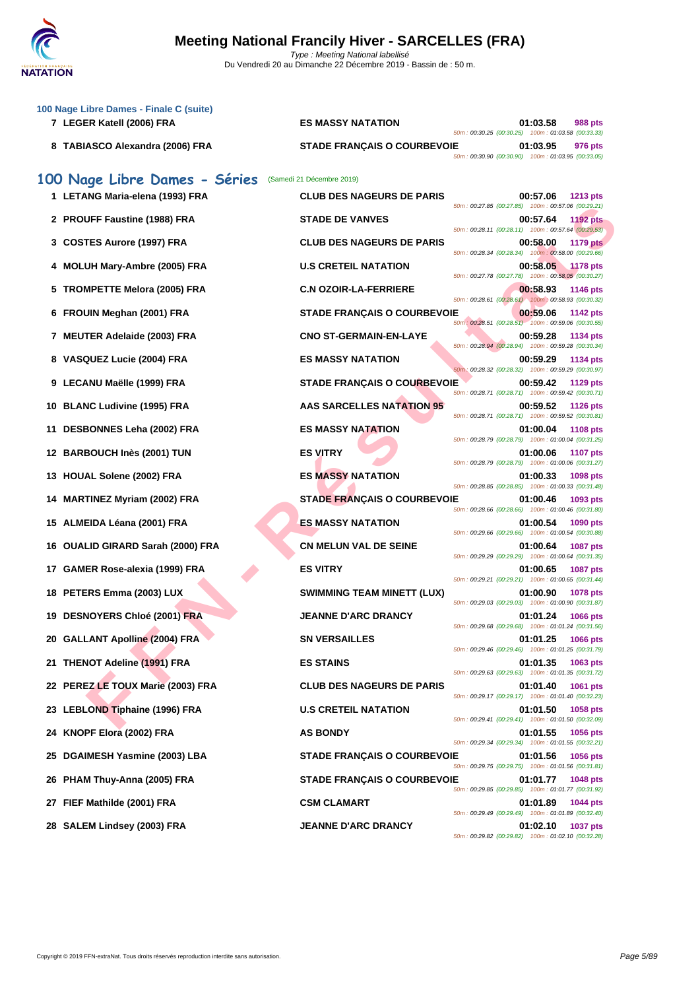

| 100 Nage Libre Dames - Finale C (suite)<br>7 LEGER Katell (2006) FRA | <b>ES MASSY NATATION</b>           | 01:03.58<br>988 pts                                                                                                             |
|----------------------------------------------------------------------|------------------------------------|---------------------------------------------------------------------------------------------------------------------------------|
| 8 TABIASCO Alexandra (2006) FRA                                      | <b>STADE FRANÇAIS O COURBEVOIE</b> | 50m: 00:30.25 (00:30.25) 100m: 01:03.58 (00:33.33)<br>01:03.95<br>976 pts<br>50m: 00:30.90 (00:30.90) 100m: 01:03.95 (00:33.05) |
| 100 Nage Libre Dames - Séries                                        | (Samedi 21 Décembre 2019)          |                                                                                                                                 |
| 1 LETANG Maria-elena (1993) FRA                                      | <b>CLUB DES NAGEURS DE PARIS</b>   | 00:57.06<br>1213 pts<br>50m: 00:27.85 (00:27.85) 100m: 00:57.06 (00:29.21)                                                      |
| 2 PROUFF Faustine (1988) FRA                                         | <b>STADE DE VANVES</b>             | 00:57.64<br><b>1192 pts</b><br>50m: 00:28.11 (00:28.11) 100m: 00:57.64 (00:29.53)                                               |
| 3 COSTES Aurore (1997) FRA                                           | <b>CLUB DES NAGEURS DE PARIS</b>   | 00:58.00<br><b>1179 pts</b>                                                                                                     |
| 4 MOLUH Mary-Ambre (2005) FRA                                        | <b>U.S CRETEIL NATATION</b>        | 50m: 00:28.34 (00:28.34) 100m: 00:58.00 (00:29.66)<br>00:58.05<br>1178 pts                                                      |
| 5 TROMPETTE Melora (2005) FRA                                        | <b>C.N OZOIR-LA-FERRIERE</b>       | 50m: 00:27.78 (00:27.78) 100m: 00:58.05 (00:30.27)<br>00:58.93<br><b>1146 pts</b>                                               |
| 6 FROUIN Meghan (2001) FRA                                           | <b>STADE FRANÇAIS O COURBEVOIE</b> | 50m: 00:28.61 (00:28.61) 100m: 00:58.93 (00:30.32)<br>00:59.06<br>1142 pts                                                      |
| 7 MEUTER Adelaide (2003) FRA                                         | <b>CNO ST-GERMAIN-EN-LAYE</b>      | 50m : 00:28.51 (00:28.51) 100m : 00:59.06 (00:30.55)<br>00:59.28<br>1134 pts                                                    |
| 8 VASQUEZ Lucie (2004) FRA                                           | <b>ES MASSY NATATION</b>           | 50m: 00:28.94 (00:28.94) 100m: 00:59.28 (00:30.34)<br>00:59.29<br>1134 pts                                                      |
| 9 LECANU Maëlle (1999) FRA                                           | <b>STADE FRANÇAIS O COURBEVOIE</b> | 50m: 00:28.32 (00:28.32) 100m: 00:59.29 (00:30.97)<br>00:59.42<br>1129 pts                                                      |
| 10 BLANC Ludivine (1995) FRA                                         | AAS SARCELLES NATATION 95          | 50m: 00:28.71 (00:28.71) 100m: 00:59.42 (00:30.71)<br>00:59.52<br><b>1126 pts</b>                                               |
| DESBONNES Leha (2002) FRA                                            | <b>ES MASSY NATATION</b>           | 50m: 00:28.71 (00:28.71) 100m: 00:59.52 (00:30.81)                                                                              |
| 11                                                                   |                                    | 01:00.04<br><b>1108 pts</b><br>50m: 00:28.79 (00:28.79) 100m: 01:00.04 (00:31.25)                                               |
| 12 BARBOUCH Inès (2001) TUN                                          | <b>ES VITRY</b>                    | 01:00.06<br><b>1107 pts</b><br>50m: 00:28.79 (00:28.79) 100m: 01:00.06 (00:31.27)                                               |
| <b>HOUAL Solene (2002) FRA</b><br>13                                 | <b>ES MASSY NATATION</b>           | 01:00.33<br>1098 pts<br>50m: 00:28.85 (00:28.85) 100m: 01:00.33 (00:31.48)                                                      |
| <b>MARTINEZ Myriam (2002) FRA</b>                                    | <b>STADE FRANÇAIS O COURBEVOIE</b> | 01:00.46<br>1093 pts<br>50m: 00:28.66 (00:28.66) 100m: 01:00.46 (00:31.80)                                                      |
| 15 ALMEIDA Léana (2001) FRA                                          | <b>ES MASSY NATATION</b>           | 01:00.54<br>1090 pts<br>50m: 00:29.66 (00:29.66) 100m: 01:00.54 (00:30.88)                                                      |
| 16 OUALID GIRARD Sarah (2000) FRA                                    | <b>CN MELUN VAL DE SEINE</b>       | 01:00.64<br><b>1087 pts</b><br>50m: 00:29.29 (00:29.29) 100m: 01:00.64 (00:31.35)                                               |
| 17 GAMER Rose-alexia (1999) FRA                                      | <b>ES VITRY</b>                    | 01:00.65<br>1087 pts<br>50m: 00:29.21 (00:29.21) 100m: 01:00.65 (00:31.44)                                                      |
| 18 PETERS Emma (2003) LUX                                            | <b>SWIMMING TEAM MINETT (LUX)</b>  | 01:00.90<br>1078 pts                                                                                                            |
| 19 DESNOYERS Chloé (2001) FRA                                        | <b>JEANNE D'ARC DRANCY</b>         | 50m: 00:29.03 (00:29.03) 100m: 01:00.90 (00:31.87)<br>01:01.24<br>1066 pts                                                      |
| 20 GALLANT Apolline (2004) FRA                                       | <b>SN VERSAILLES</b>               | 50m: 00:29.68 (00:29.68) 100m: 01:01.24 (00:31.56)<br>01:01.25<br><b>1066 pts</b>                                               |
| 21 THENOT Adeline (1991) FRA                                         | <b>ES STAINS</b>                   | 50m: 00:29.46 (00:29.46) 100m: 01:01.25 (00:31.79)<br>01:01.35<br>1063 pts                                                      |
| 22 PEREZ LE TOUX Marie (2003) FRA                                    | <b>CLUB DES NAGEURS DE PARIS</b>   | 50m: 00:29.63 (00:29.63) 100m: 01:01.35 (00:31.72)<br>01:01.40<br>1061 pts                                                      |
| 23 LEBLOND Tiphaine (1996) FRA                                       | <b>U.S CRETEIL NATATION</b>        | 50m: 00:29.17 (00:29.17) 100m: 01:01.40 (00:32.23)<br>01:01.50<br>1058 pts                                                      |
| 24 KNOPF Elora (2002) FRA                                            | <b>AS BONDY</b>                    | 50m: 00:29.41 (00:29.41) 100m: 01:01.50 (00:32.09)<br>01:01.55<br>1056 pts                                                      |
| 25 DGAIMESH Yasmine (2003) LBA                                       | <b>STADE FRANÇAIS O COURBEVOIE</b> | 50m: 00:29.34 (00:29.34) 100m: 01:01.55 (00:32.21)<br>01:01.56<br>1056 pts                                                      |
| 26 PHAM Thuy-Anna (2005) FRA                                         | <b>STADE FRANÇAIS O COURBEVOIE</b> | 50m: 00:29.75 (00:29.75) 100m: 01:01.56 (00:31.81)<br>01:01.77<br>1048 pts                                                      |
|                                                                      |                                    | 50m: 00:29.85 (00:29.85) 100m: 01:01.77 (00:31.92)                                                                              |
| 27 FIEF Mathilde (2001) FRA                                          | <b>CSM CLAMART</b>                 | 01:01.89<br>1044 pts<br>50m: 00:29.49 (00:29.49) 100m: 01:01.89 (00:32.40)                                                      |
| 28 SALEM Lindsey (2003) FRA                                          | <b>JEANNE D'ARC DRANCY</b>         | 01:02.10<br>1037 pts<br>50m: 00:29.82 (00:29.82) 100m: 01:02.10 (00:32.28)                                                      |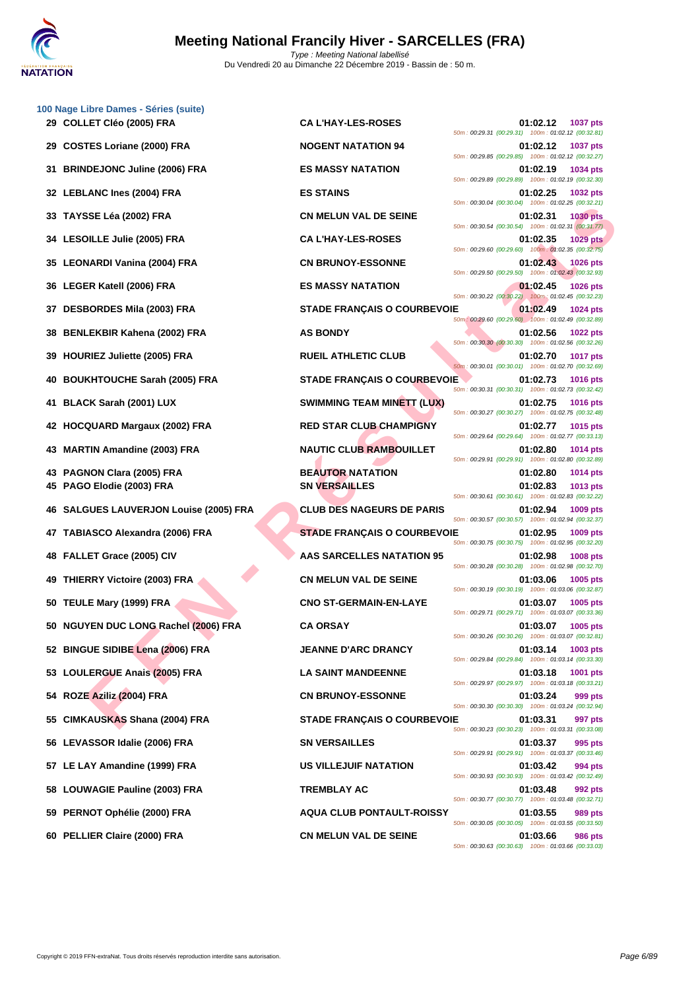

|    | 100 Nage Libre Dames - Séries (suite)  |                                    |                                                                                                                                        |
|----|----------------------------------------|------------------------------------|----------------------------------------------------------------------------------------------------------------------------------------|
|    | 29 COLLET Cléo (2005) FRA              | <b>CA L'HAY-LES-ROSES</b>          | 01:02.12<br><b>1037 pts</b><br>50m: 00:29.31 (00:29.31) 100m: 01:02.12 (00:32.81)                                                      |
|    | 29 COSTES Loriane (2000) FRA           | <b>NOGENT NATATION 94</b>          | 01:02.12<br><b>1037 pts</b><br>50m: 00:29.85 (00:29.85) 100m: 01:02.12 (00:32.27)                                                      |
|    | 31 BRINDEJONC Juline (2006) FRA        | <b>ES MASSY NATATION</b>           | 01:02.19<br>1034 pts<br>50m: 00:29.89 (00:29.89) 100m: 01:02.19 (00:32.30)                                                             |
|    | 32 LEBLANC Ines (2004) FRA             | <b>ES STAINS</b>                   | 01:02.25<br><b>1032 pts</b><br>50m: 00:30.04 (00:30.04) 100m: 01:02.25 (00:32.21)                                                      |
|    | 33 TAYSSE Léa (2002) FRA               | <b>CN MELUN VAL DE SEINE</b>       | 01:02.31<br><b>1030 pts</b><br>50m: 00:30.54 (00:30.54) 100m: 01:02.31 (00:31.77)                                                      |
|    | 34 LESOILLE Julie (2005) FRA           | <b>CA L'HAY-LES-ROSES</b>          | 01:02.35<br><b>1029 pts</b><br>50m: 00:29.60 (00:29.60) 100m: 01:02.35 (00:32.75)                                                      |
|    | 35   LEONARDI Vanina (2004) FRA        | <b>CN BRUNOY-ESSONNE</b>           | 01:02.43<br><b>1026 pts</b><br>50m: 00:29.50 (00:29.50) 100m: 01:02.43 (00:32.93)                                                      |
|    | 36 LEGER Katell (2006) FRA             | <b>ES MASSY NATATION</b>           | 01:02.45<br><b>1026 pts</b><br>50m: 00:30.22 (00:30.22) 100m: 01:02.45 (00:32.23)                                                      |
| 37 | <b>DESBORDES Mila (2003) FRA</b>       | <b>STADE FRANÇAIS O COURBEVOIE</b> | 01:02.49<br><b>1024 pts</b><br>50m: 00:29.60 (00:29.60) 100m: 01:02.49 (00:32.89)                                                      |
| 38 | <b>BENLEKBIR Kahena (2002) FRA</b>     | <b>AS BONDY</b>                    | 01:02.56<br><b>1022 pts</b><br>50m: 00:30.30 (00:30.30) 100m: 01:02.56 (00:32.26)                                                      |
| 39 | <b>HOURIEZ Juliette (2005) FRA</b>     | <b>RUEIL ATHLETIC CLUB</b>         | 01:02.70<br><b>1017 pts</b><br>50m: 00:30.01 (00:30.01) 100m: 01:02.70 (00:32.69)                                                      |
| 40 | <b>BOUKHTOUCHE Sarah (2005) FRA</b>    | <b>STADE FRANÇAIS O COURBEVOIE</b> | 01:02.73<br><b>1016 pts</b><br>50m: 00:30.31 (00:30.31) 100m: 01:02.73 (00:32.42)                                                      |
| 41 | BLACK Sarah (2001) LUX                 | <b>SWIMMING TEAM MINETT (LUX)</b>  | 01:02.75<br><b>1016 pts</b><br>50m: 00:30.27 (00:30.27) 100m: 01:02.75 (00:32.48)                                                      |
| 42 | <b>HOCQUARD Margaux (2002) FRA</b>     | <b>RED STAR CLUB CHAMPIGNY</b>     | 01:02.77<br><b>1015 pts</b><br>50m: 00:29.64 (00:29.64) 100m: 01:02.77 (00:33.13)                                                      |
| 43 | <b>MARTIN Amandine (2003) FRA</b>      | <b>NAUTIC CLUB RAMBOUILLET</b>     | 01:02.80<br><b>1014 pts</b><br>50m: 00:29.91 (00:29.91) 100m: 01:02.80 (00:32.89)                                                      |
|    | 43 PAGNON Clara (2005) FRA             | <b>BEAUTOR NATATION</b>            | 01:02.80<br><b>1014 pts</b>                                                                                                            |
|    | 45 PAGO Elodie (2003) FRA              | <b>SN VERSAILLES</b>               | 01:02.83<br>1013 pts<br>50m: 00:30.61 (00:30.61) 100m: 01:02.83 (00:32.22)                                                             |
|    | 46 SALGUES LAUVERJON Louise (2005) FRA | <b>CLUB DES NAGEURS DE PARIS</b>   | 01:02.94<br>1009 pts<br>50m: 00:30.57 (00:30.57) 100m: 01:02.94 (00:32.37)                                                             |
|    | 47 TABIASCO Alexandra (2006) FRA       | <b>STADE FRANÇAIS O COURBEVOIE</b> | 01:02.95<br>1009 pts<br>50m: 00:30.75 (00:30.75) 100m: 01:02.95 (00:32.20)                                                             |
| 48 | <b>FALLET Grace (2005) CIV</b>         | <b>AAS SARCELLES NATATION 95</b>   | 01:02.98<br>1008 pts<br>50m: 00:30.28 (00:30.28) 100m: 01:02.98 (00:32.70)                                                             |
| 49 | <b>THIERRY Victoire (2003) FRA</b>     | <b>CN MELUN VAL DE SEINE</b>       | 01:03.06<br>1005 pts<br>50m: 00:30.19 (00:30.19) 100m: 01:03.06 (00:32.87)                                                             |
|    | 50 TEULE Mary (1999) FRA               | <b>CNO ST-GERMAIN-EN-LAYE</b>      | 01:03.07<br>1005 pts<br>50m: 00:29.71 (00:29.71) 100m: 01:03.07 (00:33.36)                                                             |
|    | 50 NGUYEN DUC LONG Rachel (2006) FRA   | <b>CA ORSAY</b>                    | 01:03.07<br>1005 pts<br>50m: 00:30.26 (00:30.26) 100m: 01:03.07 (00:32.81)                                                             |
|    | 52 BINGUE SIDIBE Lena (2006) FRA       | <b>JEANNE D'ARC DRANCY</b>         | 01:03.14<br>1003 pts<br>50m: 00:29.84 (00:29.84) 100m: 01:03.14 (00:33.30)                                                             |
| 53 | <b>LOULERGUE Anais (2005) FRA</b>      | <b>LA SAINT MANDEENNE</b>          | 01:03.18<br>1001 pts<br>50m: 00:29.97 (00:29.97) 100m: 01:03.18 (00:33.21)                                                             |
| 54 | ROZE Aziliz (2004) FRA                 | <b>CN BRUNOY-ESSONNE</b>           | 01:03.24<br>999 pts<br>50m: 00:30.30 (00:30.30) 100m: 01:03.24 (00:32.94)                                                              |
| 55 | <b>CIMKAUSKAS Shana (2004) FRA</b>     | <b>STADE FRANÇAIS O COURBEVOIE</b> | 01:03.31<br>997 pts<br>50m: 00:30.23 (00:30.23) 100m: 01:03.31 (00:33.08)                                                              |
|    | 56 LEVASSOR Idalie (2006) FRA          | <b>SN VERSAILLES</b>               | 01:03.37<br>995 pts<br>50m: 00:29.91 (00:29.91) 100m: 01:03.37 (00:33.46)                                                              |
| 57 | LE LAY Amandine (1999) FRA             | US VILLEJUIF NATATION              | 01:03.42<br>994 pts                                                                                                                    |
| 58 | <b>LOUWAGIE Pauline (2003) FRA</b>     | <b>TREMBLAY AC</b>                 | 50m: 00:30.93 (00:30.93) 100m: 01:03.42 (00:32.49)<br>01:03.48<br>992 pts                                                              |
| 59 | PERNOT Ophélie (2000) FRA              | <b>AQUA CLUB PONTAULT-ROISSY</b>   | 50m: 00:30.77 (00:30.77) 100m: 01:03.48 (00:32.71)<br>01:03.55<br>989 pts                                                              |
|    | 60 PELLIER Claire (2000) FRA           | <b>CN MELUN VAL DE SEINE</b>       | 50m: 00:30.05 (00:30.05) 100m: 01:03.55 (00:33.50)<br>01:03.66<br><b>986 pts</b><br>50m: 00:30.63 (00:30.63) 100m: 01:03.66 (00:33.03) |
|    |                                        |                                    |                                                                                                                                        |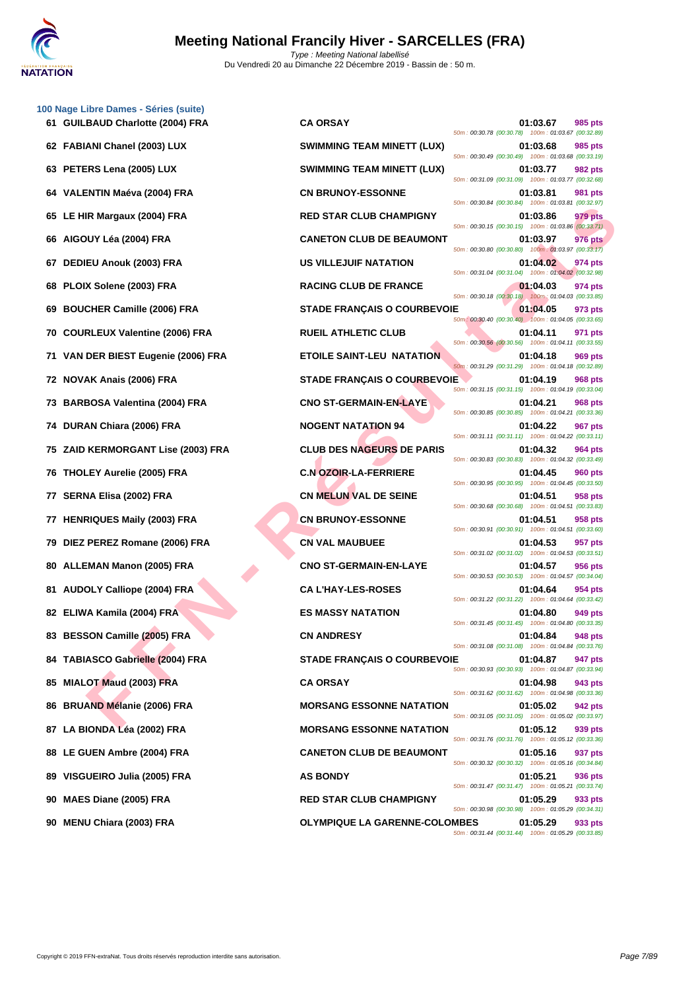

|    | 100 Nage Libre Dames - Séries (suite) |                                      |                                                                                  |
|----|---------------------------------------|--------------------------------------|----------------------------------------------------------------------------------|
|    | 61 GUILBAUD Charlotte (2004) FRA      | <b>CA ORSAY</b>                      | 985 pts<br>01:03.67<br>50m: 00:30.78 (00:30.78) 100m: 01:03.67 (00:32.89)        |
|    | 62 FABIANI Chanel (2003) LUX          | <b>SWIMMING TEAM MINETT (LUX)</b>    | 01:03.68<br>985 pts<br>50m: 00:30.49 (00:30.49) 100m: 01:03.68 (00:33.19)        |
|    | 63 PETERS Lena (2005) LUX             | <b>SWIMMING TEAM MINETT (LUX)</b>    | 01:03.77<br>982 pts<br>50m: 00:31.09 (00:31.09) 100m: 01:03.77 (00:32.68)        |
|    | 64 VALENTIN Maéva (2004) FRA          | <b>CN BRUNOY-ESSONNE</b>             | 01:03.81<br>981 pts<br>50m: 00:30.84 (00:30.84) 100m: 01:03.81 (00:32.97)        |
|    | 65 LE HIR Margaux (2004) FRA          | <b>RED STAR CLUB CHAMPIGNY</b>       | 979 pts<br>01:03.86<br>50m: 00:30.15 (00:30.15) 100m: 01:03.86 (00:33.71)        |
|    | 66 AIGOUY Léa (2004) FRA              | <b>CANETON CLUB DE BEAUMONT</b>      | 01:03.97<br>976 pts<br>50m: 00:30.80 (00:30.80) 100m: 01:03.97 (00:33.17)        |
|    | 67 DEDIEU Anouk (2003) FRA            | <b>US VILLEJUIF NATATION</b>         | 01:04.02<br>974 pts<br>50m: 00:31.04 (00:31.04) 100m: 01:04.02 (00:32.98)        |
|    | 68 PLOIX Solene (2003) FRA            | <b>RACING CLUB DE FRANCE</b>         | 01:04.03<br>974 pts<br>50m: 00:30.18 (00:30.18) 100m: 01:04.03 (00:33.85)        |
| 69 | <b>BOUCHER Camille (2006) FRA</b>     | <b>STADE FRANÇAIS O COURBEVOIE</b>   | 01:04.05<br>973 pts<br>50m: 00:30.40 (00:30.40) 100m: 01:04.05 (00:33.65)        |
|    | 70 COURLEUX Valentine (2006) FRA      | <b>RUEIL ATHLETIC CLUB</b>           | 01:04.11<br>971 pts<br>50m: 00:30.56 (00:30.56) 100m: 01:04.11 (00:33.55)        |
|    | 71 VAN DER BIEST Eugenie (2006) FRA   | <b>ETOILE SAINT-LEU NATATION</b>     | 01:04.18<br>969 pts<br>50m: 00:31.29 (00:31.29) 100m: 01:04.18 (00:32.89)        |
|    | 72 NOVAK Anais (2006) FRA             | <b>STADE FRANÇAIS O COURBEVOIE</b>   | 01:04.19<br><b>968 pts</b><br>50m: 00:31.15 (00:31.15) 100m: 01:04.19 (00:33.04) |
|    | 73 BARBOSA Valentina (2004) FRA       | <b>CNO ST-GERMAIN-EN-LAYE</b>        | 01:04.21<br>968 pts<br>50m: 00:30.85 (00:30.85) 100m: 01:04.21 (00:33.36)        |
|    | 74 DURAN Chiara (2006) FRA            | <b>NOGENT NATATION 94</b>            | 01:04.22<br>967 pts<br>50m: 00:31.11 (00:31.11) 100m: 01:04.22 (00:33.11)        |
|    | 75 ZAID KERMORGANT Lise (2003) FRA    | <b>CLUB DES NAGEURS DE PARIS</b>     | 01:04.32<br>964 pts<br>50m: 00:30.83 (00:30.83) 100m: 01:04.32 (00:33.49)        |
|    | 76 THOLEY Aurelie (2005) FRA          | <b>C.N OZOIR-LA-FERRIERE</b>         | 01:04.45<br><b>960 pts</b><br>50m: 00:30.95 (00:30.95) 100m: 01:04.45 (00:33.50) |
|    | 77 SERNA Elisa (2002) FRA             | <b>CN MELUN VAL DE SEINE</b>         | 01:04.51<br>958 pts<br>50m: 00:30.68 (00:30.68) 100m: 01:04.51 (00:33.83)        |
|    | 77 HENRIQUES Maily (2003) FRA         | <b>CN BRUNOY-ESSONNE</b>             | 01:04.51<br>958 pts<br>50m: 00:30.91 (00:30.91) 100m: 01:04.51 (00:33.60)        |
|    | 79 DIEZ PEREZ Romane (2006) FRA       | <b>CN VAL MAUBUEE</b>                | 01:04.53<br>957 pts<br>50m: 00:31.02 (00:31.02) 100m: 01:04.53 (00:33.51)        |
|    | 80 ALLEMAN Manon (2005) FRA           | <b>CNO ST-GERMAIN-EN-LAYE</b>        | 01:04.57<br>956 pts<br>50m: 00:30.53 (00:30.53) 100m: 01:04.57 (00:34.04)        |
|    | 81 AUDOLY Calliope (2004) FRA         | <b>CA L'HAY-LES-ROSES</b>            | 01:04.64<br>954 pts<br>50m: 00:31.22 (00:31.22) 100m: 01:04.64 (00:33.42)        |
|    | 82 ELIWA Kamila (2004) FRA            | <b>ES MASSY NATATION</b>             | 01:04.80<br>949 pts<br>50m: 00:31.45 (00:31.45) 100m: 01:04.80 (00:33.35)        |
|    | 83 BESSON Camille (2005) FRA          | <b>CN ANDRESY</b>                    | 01:04.84<br>948 pts<br>50m: 00:31.08 (00:31.08) 100m: 01:04.84 (00:33.76)        |
|    | 84 TABIASCO Gabrielle (2004) FRA      | <b>STADE FRANÇAIS O COURBEVOIE</b>   | 947 pts<br>01:04.87<br>50m: 00:30.93 (00:30.93) 100m: 01:04.87 (00:33.94)        |
|    | 85 MIALOT Maud (2003) FRA             | <b>CA ORSAY</b>                      | 01:04.98<br>943 pts<br>50m: 00:31.62 (00:31.62) 100m: 01:04.98 (00:33.36)        |
|    | 86 BRUAND Mélanie (2006) FRA          | <b>MORSANG ESSONNE NATATION</b>      | 01:05.02<br>942 pts<br>50m: 00:31.05 (00:31.05) 100m: 01:05.02 (00:33.97)        |
|    | 87 LA BIONDA Léa (2002) FRA           | <b>MORSANG ESSONNE NATATION</b>      | 01:05.12<br>939 pts<br>50m: 00:31.76 (00:31.76) 100m: 01:05.12 (00:33.36)        |
|    | 88 LE GUEN Ambre (2004) FRA           | <b>CANETON CLUB DE BEAUMONT</b>      | 01:05.16<br>937 pts<br>50m: 00:30.32 (00:30.32) 100m: 01:05.16 (00:34.84)        |
|    | 89 VISGUEIRO Julia (2005) FRA         | <b>AS BONDY</b>                      | 01:05.21<br>936 pts<br>50m: 00:31.47 (00:31.47) 100m: 01:05.21 (00:33.74)        |
|    | 90 MAES Diane (2005) FRA              | <b>RED STAR CLUB CHAMPIGNY</b>       | 01:05.29<br>933 pts<br>50m: 00:30.98 (00:30.98) 100m: 01:05.29 (00:34.31)        |
|    | 90 MENU Chiara (2003) FRA             | <b>OLYMPIQUE LA GARENNE-COLOMBES</b> | 01:05.29<br>933 pts<br>50m: 00:31.44 (00:31.44) 100m: 01:05.29 (00:33.85)        |
|    |                                       |                                      |                                                                                  |

| 50m: 00:30.78 (00:30.78)                                           | 01:03.67<br>985 pts<br>100m: 01:03.67 (00:32.89) |
|--------------------------------------------------------------------|--------------------------------------------------|
| 50m: 00:30.49 (00:30.49)                                           | 01:03.68<br>985 pts<br>100m: 01:03.68 (00:33.19) |
|                                                                    | 01:03.77<br>982 pts                              |
| 50m: 00:31.09 (00:31.09)                                           | 100m: 01:03.77 (00:32.68)<br>01:03.81<br>981 pts |
| 50m: 00:30.84 (00:30.84)                                           | 100m: 01:03.81 (00:32.97)                        |
| 50m: 00:30.15 (00:30.15)                                           | 01:03.86<br>979 pts<br>100m: 01:03.86 (00:33.71) |
| 50m: 00:30.80 (00:30.80)                                           | 01:03.97<br>976 pts<br>100m: 01:03.97 (00:33.17) |
| 50m: 00:31.04 (00:31.04)                                           | 01:04.02<br>974 pts<br>100m: 01:04.02 (00:32.98) |
|                                                                    | 01:04.03<br>974 pts                              |
| 50m : 00:30.18 (00:30.18) 100m : 01:04.03 (00:33.85)<br>١E         | 01:04.05<br>973 pts                              |
| 50m : 00:30.40 (00:30.40) 100m : 01:04.05 (00:33.65)               | 01:04.11<br>971 pts                              |
| 50m: 00:30.56 (00:30.56)                                           | 100m: 01:04.11 (00:33.55)                        |
| 50m: 00:31.29 (00:31.29)                                           | 01:04.18<br>969 pts<br>100m: 01:04.18 (00:32.89) |
| ١E<br>50m: 00:31.15 (00:31.15)                                     | 01:04.19<br>968 pts<br>100m: 01:04.19 (00:33.04) |
| 50m: 00:30.85 (00:30.85)                                           | 01:04.21<br>968 pts<br>100m: 01:04.21 (00:33.36) |
|                                                                    | 01:04.22<br><b>967 pts</b>                       |
| 50m: 00:31.11 (00:31.11)                                           | 100m: 01:04.22 (00:33.11)<br>01:04.32<br>964 pts |
| 50m: 00:30.83 (00:30.83)                                           | 100m: 01:04.32 (00:33.49)<br>01:04.45<br>960 pts |
| 50m: 00:30.95 (00:30.95)                                           | 100m: 01:04.45 (00:33.50)                        |
| 50m: 00:30.68 (00:30.68)                                           | 01:04.51<br>958 pts<br>100m: 01:04.51 (00:33.83) |
| 50m: 00:30.91 (00:30.91)                                           | 01:04.51<br>958 pts<br>100m: 01:04.51 (00:33.60) |
| 50m: 00:31.02 (00:31.02)                                           | 01:04.53<br>957 pts<br>100m: 01:04.53 (00:33.51) |
|                                                                    | 01:04.57<br>956 pts                              |
| 50m: 00:30.53 (00:30.53)                                           | 100m: 01:04.57 (00:34.04)<br>01:04.64<br>954 pts |
| 50m: 00:31.22 (00:31.22)                                           | 100m: 01:04.64 (00:33.42)<br>01:04.80<br>949 pts |
| 50m: 00:31.45 (00:31.45)                                           | 100m: 01:04.80 (00:33.35)                        |
| 50m: 00:31.08 (00:31.08) 100m: 01:04.84 (00:33.76)                 | 01:04.84<br><b>948 pts</b>                       |
| ١E<br>50m: 00:30.93 (00:30.93) 100m: 01:04.87 (00:33.94)           | 01:04.87<br>947 pts                              |
| 50m: 00:31.62 (00:31.62) 100m: 01:04.98 (00:33.36)                 | 01:04.98<br>943 pts                              |
| 50m: 00:31.05 (00:31.05) 100m: 01:05.02 (00:33.97)                 | 01:05.02<br><b>942 pts</b>                       |
|                                                                    | 01:05.12<br>939 pts                              |
| 50m: 00:31.76 (00:31.76) 100m: 01:05.12 (00:33.36)                 | 01:05.16<br>937 pts                              |
| 50m: 00:30.32 (00:30.32) 100m: 01:05.16 (00:34.84)                 | 01:05.21<br>936 pts                              |
| 50m: 00:31.47 (00:31.47) 100m: 01:05.21 (00:33.74)                 |                                                  |
| 50m: 00:30.98 (00:30.98) 100m: 01:05.29 (00:34.31)                 | 01:05.29<br>933 pts                              |
| <b>DMBES</b><br>50m: 00:31.44 (00:31.44) 100m: 01:05.29 (00:33.85) | 01:05.29<br>933 pts                              |
|                                                                    |                                                  |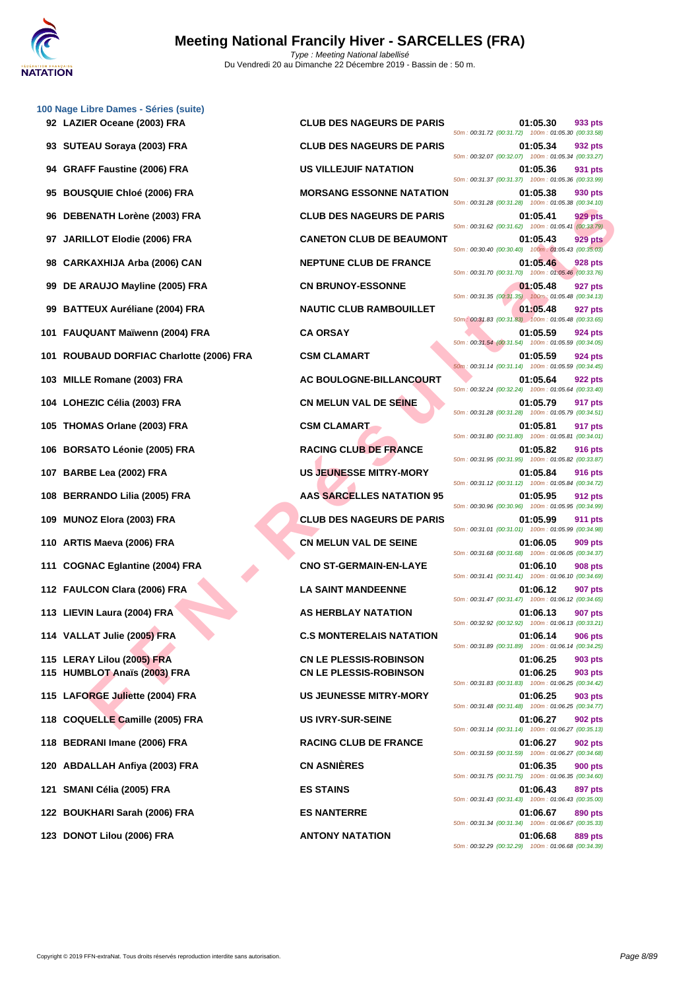|    | 100 Nage Libre Dames - Séries (suite)                      |                                                                |                                                                                  |
|----|------------------------------------------------------------|----------------------------------------------------------------|----------------------------------------------------------------------------------|
|    | 92 LAZIER Oceane (2003) FRA                                | <b>CLUB DES NAGEURS DE PARIS</b>                               | 01:05.30<br>933 pts<br>50m: 00:31.72 (00:31.72) 100m: 01:05.30 (00:33.58)        |
|    | 93 SUTEAU Soraya (2003) FRA                                | <b>CLUB DES NAGEURS DE PARIS</b>                               | 01:05.34<br>932 pts<br>50m: 00:32.07 (00:32.07) 100m: 01:05.34 (00:33.27)        |
|    | 94 GRAFF Faustine (2006) FRA                               | US VILLEJUIF NATATION                                          | 931 pts<br>01:05.36<br>50m: 00:31.37 (00:31.37) 100m: 01:05.36 (00:33.99)        |
|    | 95 BOUSQUIE Chloé (2006) FRA                               | <b>MORSANG ESSONNE NATATION</b>                                | 01:05.38<br>930 pts<br>50m: 00:31.28 (00:31.28) 100m: 01:05.38 (00:34.10)        |
| 96 | <b>DEBENATH Lorène (2003) FRA</b>                          | <b>CLUB DES NAGEURS DE PARIS</b>                               | 01:05.41<br>929 pts<br>50m: 00:31.62 (00:31.62) 100m: 01:05.41 (00:33.79)        |
|    | 97 JARILLOT Elodie (2006) FRA                              | <b>CANETON CLUB DE BEAUMONT</b>                                | 01:05.43<br><b>929 pts</b><br>50m: 00:30.40 (00:30.40) 100m: 01:05.43 (00:35.03) |
|    | 98 CARKAXHIJA Arba (2006) CAN                              | <b>NEPTUNE CLUB DE FRANCE</b>                                  | 01:05.46<br>928 pts<br>50m: 00:31.70 (00:31.70) 100m: 01:05.46 (00:33.76)        |
|    | 99 DE ARAUJO Mayline (2005) FRA                            | <b>CN BRUNOY-ESSONNE</b>                                       | 01:05.48<br>927 pts<br>50m: 00:31.35 (00:31.35)  100m: 01:05.48 (00:34.13)       |
|    | 99 BATTEUX Auréliane (2004) FRA                            | <b>NAUTIC CLUB RAMBOUILLET</b>                                 | 01:05.48<br>927 pts<br>50m: 00:31.83 (00:31.83) 100m: 01:05.48 (00:33.65)        |
|    | 101 FAUQUANT Maïwenn (2004) FRA                            | <b>CA ORSAY</b>                                                | 01:05.59<br><b>924 pts</b><br>50m: 00:31.54 (00:31.54) 100m: 01:05.59 (00:34.05) |
|    | 101 ROUBAUD DORFIAC Charlotte (2006) FRA                   | <b>CSM CLAMART</b>                                             | 01:05.59<br>924 pts<br>50m: 00:31.14 (00:31.14) 100m: 01:05.59 (00:34.45)        |
|    | 103 MILLE Romane (2003) FRA                                | <b>AC BOULOGNE-BILLANCOURT</b>                                 | 01:05.64<br>922 pts<br>50m: 00:32.24 (00:32.24) 100m: 01:05.64 (00:33.40)        |
|    | 104 LOHEZIC Célia (2003) FRA                               | <b>CN MELUN VAL DE SEINE</b>                                   | 917 pts<br>01:05.79<br>50m: 00:31.28 (00:31.28) 100m: 01:05.79 (00:34.51)        |
|    | 105 THOMAS Orlane (2003) FRA                               | <b>CSM CLAMART</b>                                             | 01:05.81<br>917 pts<br>50m: 00:31.80 (00:31.80) 100m: 01:05.81 (00:34.01)        |
|    | 106 BORSATO Léonie (2005) FRA                              | <b>RACING CLUB DE FRANCE</b>                                   | 01:05.82<br><b>916 pts</b><br>50m: 00:31.95 (00:31.95) 100m: 01:05.82 (00:33.87) |
|    | 107 BARBE Lea (2002) FRA                                   | <b>US JEUNESSE MITRY-MORY</b>                                  | 01:05.84<br><b>916 pts</b><br>50m: 00:31.12 (00:31.12) 100m: 01:05.84 (00:34.72) |
|    | 108 BERRANDO Lilia (2005) FRA                              | <b>AAS SARCELLES NATATION 95</b>                               | 01:05.95<br>912 pts<br>50m : 00:30.96 (00:30.96) 100m : 01:05.95 (00:34.99)      |
|    | 109 MUNOZ Elora (2003) FRA                                 | <b>CLUB DES NAGEURS DE PARIS</b>                               | 01:05.99<br>911 pts<br>50m: 00:31.01 (00:31.01) 100m: 01:05.99 (00:34.98)        |
|    | 110 ARTIS Maeva (2006) FRA                                 | <b>CN MELUN VAL DE SEINE</b>                                   | 01:06.05<br>909 pts<br>50m: 00:31.68 (00:31.68) 100m: 01:06.05 (00:34.37)        |
|    | 111 COGNAC Eglantine (2004) FRA                            | <b>CNO ST-GERMAIN-EN-LAYE</b>                                  | 01:06.10<br>908 pts<br>50m: 00:31.41 (00:31.41) 100m: 01:06.10 (00:34.69)        |
|    | 112 FAULCON Clara (2006) FRA                               | <b>LA SAINT MANDEENNE</b>                                      | 01:06.12<br>907 pts<br>50m: 00:31.47 (00:31.47) 100m: 01:06.12 (00:34.65)        |
|    | 113 LIEVIN Laura (2004) FRA                                | <b>AS HERBLAY NATATION</b>                                     | 01:06.13<br>907 pts<br>50m: 00:32.92 (00:32.92) 100m: 01:06.13 (00:33.21)        |
|    | 114 VALLAT Julie (2005) FRA                                | <b>C.S MONTERELAIS NATATION</b>                                | <b>906 pts</b><br>01:06.14<br>50m: 00:31.89 (00:31.89) 100m: 01:06.14 (00:34.25) |
|    | 115 LERAY Lilou (2005) FRA<br>115 HUMBLOT Anaïs (2003) FRA | <b>CN LE PLESSIS-ROBINSON</b><br><b>CN LE PLESSIS-ROBINSON</b> | 01:06.25<br>903 pts<br>01:06.25<br>903 pts                                       |
|    | 115 LAFORGE Juliette (2004) FRA                            | <b>US JEUNESSE MITRY-MORY</b>                                  | 50m: 00:31.83 (00:31.83) 100m: 01:06.25 (00:34.42)<br>01:06.25<br>903 pts        |
|    | 118 COQUELLE Camille (2005) FRA                            | <b>US IVRY-SUR-SEINE</b>                                       | 50m: 00:31.48 (00:31.48) 100m: 01:06.25 (00:34.77)<br>01:06.27<br><b>902 pts</b> |
|    | 118 BEDRANI Imane (2006) FRA                               | <b>RACING CLUB DE FRANCE</b>                                   | 50m: 00:31.14 (00:31.14) 100m: 01:06.27 (00:35.13)<br>902 pts<br>01:06.27        |
|    | 120 ABDALLAH Anfiya (2003) FRA                             | <b>CN ASNIÈRES</b>                                             | 50m: 00:31.59 (00:31.59) 100m: 01:06.27 (00:34.68)<br>01:06.35<br><b>900 pts</b> |
|    | 121 SMANI Célia (2005) FRA                                 | <b>ES STAINS</b>                                               | 50m: 00:31.75 (00:31.75) 100m: 01:06.35 (00:34.60)<br>897 pts<br>01:06.43        |
|    | 122 BOUKHARI Sarah (2006) FRA                              | <b>ES NANTERRE</b>                                             | 50m: 00:31.43 (00:31.43) 100m: 01:06.43 (00:35.00)<br>01:06.67<br>890 pts        |
|    | 123 DONOT Lilou (2006) FRA                                 | <b>ANTONY NATATION</b>                                         | 50m: 00:31.34 (00:31.34) 100m: 01:06.67 (00:35.33)<br>01:06.68<br><b>889 pts</b> |
|    |                                                            |                                                                |                                                                                  |

| <b>CLUB DES NAGEURS DE PARIS</b>                               |
|----------------------------------------------------------------|
| <b>CLUB DES NAGEURS DE PARIS</b>                               |
| <b>US VILLEJUIF NATATION</b>                                   |
| <b>MORSANG ESSONNE NATATIO</b>                                 |
| <b>CLUB DES NAGEURS DE PARIS</b>                               |
| <b>CANETON CLUB DE BEAUMON</b>                                 |
| <b>NEPTUNE CLUB DE FRANCE</b>                                  |
| <b>CN BRUNOY-ESSONNE</b>                                       |
| <b>NAUTIC CLUB RAMBOUILLET</b>                                 |
| <b>CA ORSAY</b>                                                |
| <b>CSM CLAMART</b>                                             |
| AC BOULOGNE-BILLANCOURT                                        |
| <b>CN MELUN VAL DE SEINE</b>                                   |
| <b>CSM CLAMART</b>                                             |
| <b>RACING CLUB DE FRANCE</b>                                   |
| <b>US JEUNESSE MITRY-MORY</b>                                  |
| <b>AAS SARCELLES NATATION 95</b>                               |
| <b>CLUB DES NAGEURS DE PARIS</b>                               |
| <b>CN MELUN VAL DE SEINE</b>                                   |
| <b>CNO ST-GERMAIN-EN-LAYE</b>                                  |
| <b>LA SAINT MANDEENNE</b>                                      |
| <b>AS HERBLAY NATATION</b>                                     |
| <b>C.S MONTERELAIS NATATION</b>                                |
| <b>CN LE PLESSIS-ROBINSON</b><br><b>CN LE PLESSIS-ROBINSON</b> |
| <b>US JEUNESSE MITRY-MORY</b>                                  |
| <b>US IVRY-SUR-SEINE</b>                                       |
| <b>RACING CLUB DE FRANCE</b>                                   |
| <b>CN ASNIÈRES</b>                                             |
| <b>ES STAINS</b>                                               |
| <b>ES NANTERRE</b>                                             |
| <b>ANTONY NATATION</b>                                         |

| .ibre Dames - Series (suite)<br>ER Oceane (2003) FRA | <b>CLUB DES NAGEURS DE PARIS</b> | 01:05.30<br>933 pts                                                              |
|------------------------------------------------------|----------------------------------|----------------------------------------------------------------------------------|
| EAU Soraya (2003) FRA                                | <b>CLUB DES NAGEURS DE PARIS</b> | 50m: 00:31.72 (00:31.72) 100m: 01:05.30 (00:33.58)<br>01:05.34<br>932 pts        |
| FF Faustine (2006) FRA                               | US VILLEJUIF NATATION            | 50m: 00:32.07 (00:32.07) 100m: 01:05.34 (00:33.27)<br>01:05.36                   |
|                                                      |                                  | 931 pts<br>50m: 00:31.37 (00:31.37) 100m: 01:05.36 (00:33.99)                    |
| SQUIE Chloé (2006) FRA                               | <b>MORSANG ESSONNE NATATION</b>  | 01:05.38<br>930 pts<br>50m: 00:31.28 (00:31.28) 100m: 01:05.38 (00:34.10)        |
| ENATH Lorène (2003) FRA                              | <b>CLUB DES NAGEURS DE PARIS</b> | <b>929 pts</b><br>01:05.41<br>50m: 00:31.62 (00:31.62) 100m: 01:05.41 (00:33.79) |
| LLOT Elodie (2006) FRA                               | <b>CANETON CLUB DE BEAUMONT</b>  | 01:05.43<br><b>929 pts</b><br>50m: 00:30.40 (00:30.40) 100m: 01:05.43 (00:35.03) |
| KAXHIJA Arba (2006) CAN                              | <b>NEPTUNE CLUB DE FRANCE</b>    | 01:05.46<br>928 pts<br>50m: 00:31.70 (00:31.70) 100m: 01:05.46 (00:33.76)        |
| RAUJO Mayline (2005) FRA                             | <b>CN BRUNOY-ESSONNE</b>         | 01:05.48<br>927 pts<br>50m: 00:31.35 (00:31.35) 100m: 01:05.48 (00:34.13)        |
| <b>TEUX Auréliane (2004) FRA</b>                     | <b>NAUTIC CLUB RAMBOUILLET</b>   | 01:05.48<br>927 pts<br>50m: 00:31.83 (00:31.83) 100m: 01:05.48 (00:33.65)        |
| QUANT Maïwenn (2004) FRA                             | <b>CA ORSAY</b>                  | 01:05.59<br>924 pts                                                              |
| BAUD DORFIAC Charlotte (2006) FRA                    | <b>CSM CLAMART</b>               | 50m: 00:31.54 (00:31.54) 100m: 01:05.59 (00:34.05)<br>01:05.59<br>924 pts        |
| E Romane (2003) FRA                                  | AC BOULOGNE-BILLANCOURT          | 50m: 00:31.14 (00:31.14) 100m: 01:05.59 (00:34.45)<br>01:05.64<br>922 pts        |
| EZIC Célia (2003) FRA                                | <b>CN MELUN VAL DE SEINE</b>     | 50m: 00:32.24 (00:32.24) 100m: 01:05.64 (00:33.40)<br>01:05.79<br>917 pts        |
| MAS Orlane (2003) FRA                                | <b>CSM CLAMART</b>               | 50m: 00:31.28 (00:31.28) 100m: 01:05.79 (00:34.51)<br>01:05.81<br>917 pts        |
| SATO Léonie (2005) FRA                               | <b>RACING CLUB DE FRANCE</b>     | 50m: 00:31.80 (00:31.80) 100m: 01:05.81 (00:34.01)<br>01:05.82<br>916 pts        |
| BE Lea (2002) FRA                                    | <b>US JEUNESSE MITRY-MORY</b>    | 50m: 00:31.95 (00:31.95) 100m: 01:05.82 (00:33.87)<br>01:05.84<br>916 pts        |
| RANDO Lilia (2005) FRA                               | AAS SARCELLES NATATION 95        | 50m: 00:31.12 (00:31.12) 100m: 01:05.84 (00:34.72)<br>01:05.95<br>912 pts        |
|                                                      |                                  | 50m: 00:30.96 (00:30.96) 100m: 01:05.95 (00:34.99)                               |
| OZ Elora (2003) FRA                                  | <b>CLUB DES NAGEURS DE PARIS</b> | 01:05.99<br>911 pts<br>50m: 00:31.01 (00:31.01) 100m: 01:05.99 (00:34.98)        |
| S Maeva (2006) FRA                                   | <b>CN MELUN VAL DE SEINE</b>     | 01:06.05<br>909 pts<br>50m: 00:31.68 (00:31.68) 100m: 01:06.05 (00:34.37)        |
| NAC Eglantine (2004) FRA                             | <b>CNO ST-GERMAIN-EN-LAYE</b>    | 01:06.10<br>908 pts<br>50m: 00:31.41 (00:31.41) 100m: 01:06.10 (00:34.69)        |
| <b>LCON Clara (2006) FRA</b>                         | <b>LA SAINT MANDEENNE</b>        | 01:06.12<br>907 pts<br>50m: 00:31.47 (00:31.47) 100m: 01:06.12 (00:34.65)        |
| IN Laura (2004) FRA                                  | <b>AS HERBLAY NATATION</b>       | 01:06.13<br>907 pts<br>50m: 00:32.92 (00:32.92) 100m: 01:06.13 (00:33.21)        |
| <b>AT Julie (2005) FRA</b>                           | <b>C.S MONTERELAIS NATATION</b>  | 01:06.14<br><b>906 pts</b><br>50m: 00:31.89 (00:31.89) 100m: 01:06.14 (00:34.25) |
| <b>AY Lilou (2005) FRA</b>                           | <b>CN LE PLESSIS-ROBINSON</b>    | 01:06.25<br>903 pts                                                              |
| BLOT Anaïs (2003) FRA                                | <b>CN LE PLESSIS-ROBINSON</b>    | 01:06.25<br>903 pts<br>50m: 00:31.83 (00:31.83) 100m: 01:06.25 (00:34.42)        |
| <b>ORGE Juliette (2004) FRA</b>                      | <b>US JEUNESSE MITRY-MORY</b>    | 01:06.25<br>903 pts<br>50m: 00:31.48 (00:31.48) 100m: 01:06.25 (00:34.77)        |
| UELLE Camille (2005) FRA                             | <b>US IVRY-SUR-SEINE</b>         | 01:06.27<br>902 pts<br>50m: 00:31.14 (00:31.14) 100m: 01:06.27 (00:35.13)        |
| RANI Imane (2006) FRA                                | <b>RACING CLUB DE FRANCE</b>     | 01:06.27<br>902 pts<br>50m: 00:31.59 (00:31.59) 100m: 01:06.27 (00:34.68)        |
| ALLAH Anfiya (2003) FRA                              | <b>CN ASNIÈRES</b>               | 01:06.35<br><b>900 pts</b><br>50m: 00:31.75 (00:31.75) 100m: 01:06.35 (00:34.60) |
| NI Célia (2005) FRA                                  | <b>ES STAINS</b>                 | 01:06.43<br>897 pts                                                              |
| KHARI Sarah (2006) FRA                               | <b>ES NANTERRE</b>               | 50m: 00:31.43 (00:31.43) 100m: 01:06.43 (00:35.00)<br>01:06.67<br>890 pts        |
| OT Lilou (2006) FRA                                  | <b>ANTONY NATATION</b>           | 50m: 00:31.34 (00:31.34) 100m: 01:06.67 (00:35.33)<br>01:06.68<br>889 pts        |
|                                                      |                                  | 50m: 00:32.29 (00:32.29) 100m: 01:06.68 (00:34.39)                               |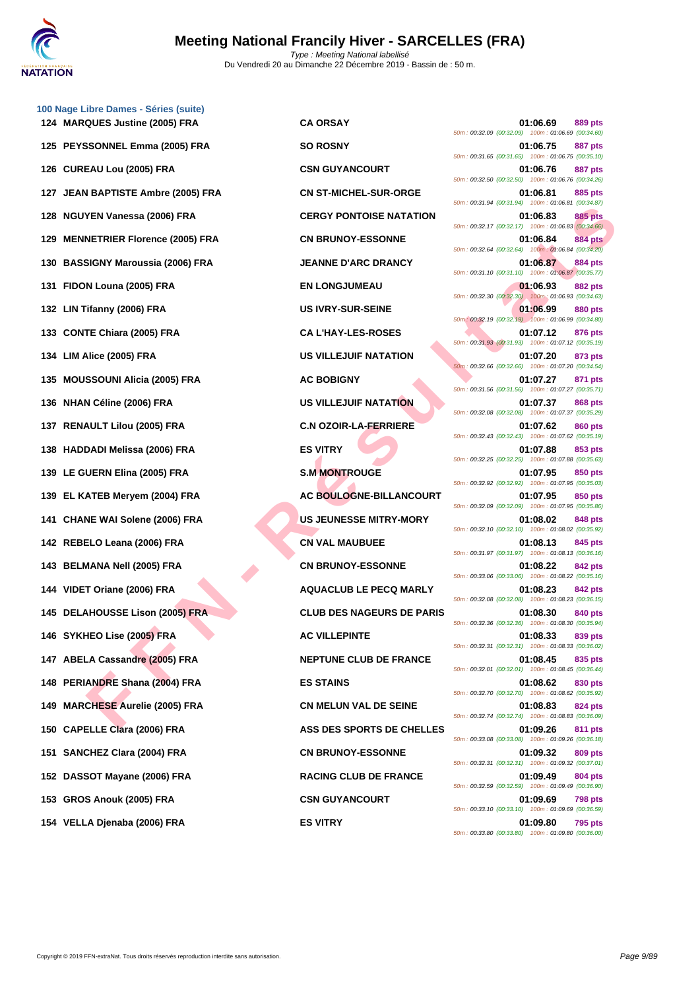

**[100 Nage](http://www.ffnatation.fr/webffn/index.php) Libre Dames - Séries (suite) MARQUES Justine (2005) FRA CA ORSAY 01:06.69 889 pts PEYSSONNEL Emma (2005) FRA SO ROSNY 01:06.75 887 pts CUREAU Lou (2005) FRA CSN GUYANCOURT 01:06.76 887 pts JEAN BAPTISTE Ambre (2005) FRA CN ST-MICHEL-SUR-ORGE 01:06.81 885 pts NGUYEN Vanessa (2006) FRA CERGY PONTOISE NATATION 01:06.83 885 pts MENNETRIER Florence (2005) FRA CN BRUNOY-ESSONNE 01:06.84 884 pts BASSIGNY Maroussia (2006) FRA JEANNE D'ARC DRANCY 01:06.87 884 pts FIDON Louna (2005) FRA EN LONGJUMEAU 01:06.93 882 pts LIN Tifanny (2006) FRA US IVRY-SUR-SEINE 01:06.99 880 pts CONTE Chiara (2005) FRA CA L'HAY-LES-ROSES 01:07.12 876 pts LIM Alice (2005) FRA US VILLEJUIF NATATION 01:07.20 873 pts MOUSSOUNI Alicia (2005) FRA AC BOBIGNY 01:07.27 871 pts NHAN Céline (2006) FRA US VILLEJUIF NATATION 01:07.37 868 pts RENAULT Lilou (2005) FRA C.N OZOIR-LA-FERRIERE 01:07.62 860 pts HADDADI Melissa (2006) FRA ES VITRY 01:07.88 853 pts LE GUERN Elina (2005) FRA S.M MONTROUGE 01:07.95 850 pts EL KATEB Meryem (2004) FRA AC BOULOGNE-BILLANCOURT 01:07.95 850 pts CHANE WAI Solene (2006) FRA US JEUNESSE MITRY-MORY 01:08.02 848 pts REBELO Leana (2006) FRA CN VAL MAUBUEE 01:08.13 845 pts BELMANA Nell (2005) FRA CN BRUNOY-ESSONNE 01:08.22 842 pts VIDET Oriane (2006) FRA AQUACLUB LE PECQ MARLY 01:08.23 842 pts DELAHOUSSE Lison (2005) FRA CLUB DES NAGEURS DE PARIS 01:08.30 840 pts SYKHEO Lise (2005) FRA AC VILLEPINTE 01:08.33 839 pts ABELA Cassandre (2005) FRA NEPTUNE CLUB DE FRANCE 01:08.45 835 pts PERIANDRE Shana (2004) FRA ES STAINS 01:08.62 830 pts MARCHESE Aurelie (2005) FRA CN MELUN VAL DE SEINE 01:08.83 824 pts CAPELLE Clara (2006) FRA ASS DES SPORTS DE CHELLES 01:09.26 811 pts SANCHEZ Clara (2004) FRA CN BRUNOY-ESSONNE 01:09.32 809 pts DASSOT Mayane (2006) FRA RACING CLUB DE FRANCE 01:09.49 804 pts GROS Anouk (2005) FRA CSN GUYANCOURT 01:09.69 798 pts VELLA Djenaba (2006) FRA ES VITRY 01:09.80 795 pts**

EXERE FIGIT CORRESS (2006) FRA CHENNER (2006) FRA CHENNER (2006) FRA CHENNER (2006) FRA CHENNER (2006) FRA SAMENDUMENT CHENNER (2007) TRA CHENNER (2008) FRA SAMENDUMENT CHENNER (2008) FRA SAMENDUMENT CHENNER (2008) FRA SAM 50m : 00:32.09 (00:32.09) 100m : 01:06.69 (00:34.60) 50m : 00:31.65 (00:31.65) 100m : 01:06.75 (00:35.10) 50m : 00:32.50 (00:32.50) 100m : 01:06.76 (00:34.26) 50m : 00:31.94 (00:31.94) 100m : 01:06.81 (00:34.87) 50m : 00:32.17 (00:32.17) 100m : 01:06.83 (00:34.66) 50m : 00:32.64 (00:32.64) 100m : 01:06.84 (00:34.20) 50m : 00:31.10 (00:31.10) 100m : 01:06.87 (00:35.77) 50m : 00:32.30 (00:32.30) 100m : 01:06.93 (00:34.63) 50m : 00:32.19 (00:32.19) 100m : 01:06.99 (00:34.80) 50m : 00:31.93 (00:31.93) 100m : 01:07.12 (00:35.19) 50m : 00:32.66 (00:32.66) 100m : 01:07.20 (00:34.54) 50m : 00:31.56 (00:31.56) 100m : 01:07.27 (00:35.71) 50m : 00:32.08 (00:32.08) 100m : 01:07.37 (00:35.29) 50m : 00:32.43 (00:32.43) 100m : 01:07.62 (00:35.19) 50m : 00:32.25 (00:32.25) 100m : 01:07.88 (00:35.63) 50m : 00:32.92 (00:32.92) 100m : 01:07.95 (00:35.03) 50m : 00:32.09 (00:32.09) 100m : 01:07.95 (00:35.86) 50m : 00:32.10 (00:32.10) 100m : 01:08.02 (00:35.92) 50m : 00:31.97 (00:31.97) 100m : 01:08.13 (00:36.16) 50m : 00:33.06 (00:33.06) 100m : 01:08.22 (00:35.16) 50m : 00:32.08 (00:32.08) 100m : 01:08.23 (00:36.15) 50m : 00:32.36 (00:32.36) 100m : 01:08.30 (00:35.94) 50m : 00:32.31 (00:32.31) 100m : 01:08.33 (00:36.02) 50m : 00:32.01 (00:32.01) 100m : 01:08.45 (00:36.44) 50m : 00:32.70 (00:32.70) 100m : 01:08.62 (00:35.92) 50m : 00:32.74 (00:32.74) 100m : 01:08.83 (00:36.09) 50m : 00:33.08 (00:33.08) 100m : 01:09.26 (00:36.18) 50m : 00:32.31 (00:32.31) 100m : 01:09.32 (00:37.01) 50m : 00:32.59 (00:32.59) 100m : 01:09.49 (00:36.90) 50m : 00:33.10 (00:33.10) 100m : 01:09.69 (00:36.59) 50m : 00:33.80 (00:33.80) 100m : 01:09.80 (00:36.00)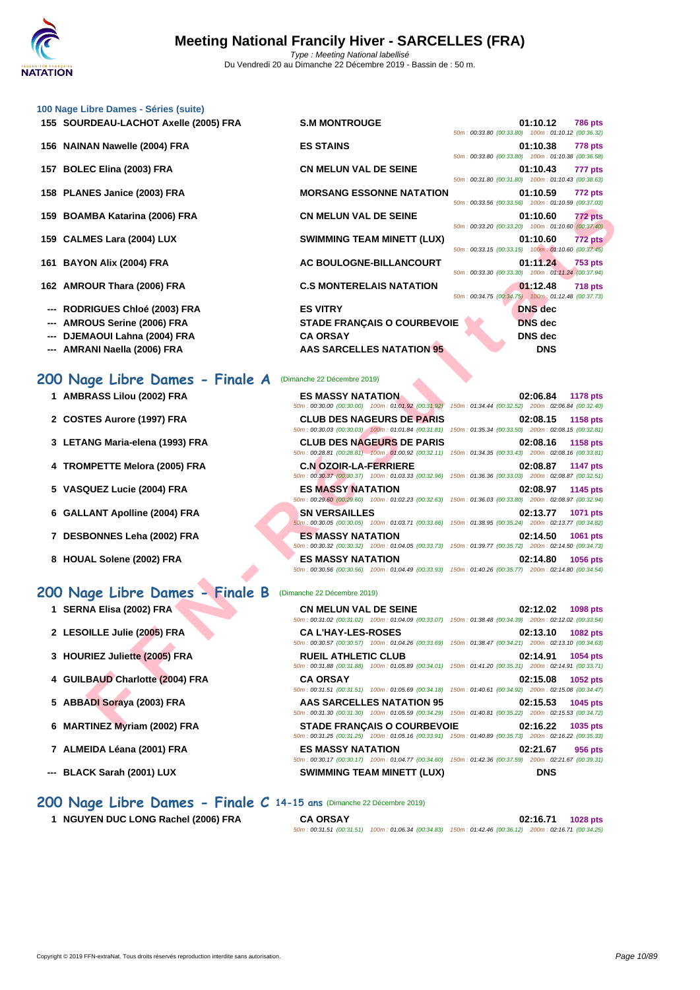| 100 Nage Libre Dames - Séries (suite) |                                   |                                                    |                |                |
|---------------------------------------|-----------------------------------|----------------------------------------------------|----------------|----------------|
| 155 SOURDEAU-LACHOT Axelle (2005) FRA | <b>S.M MONTROUGE</b>              | 50m: 00:33.80 (00:33.80) 100m: 01:10.12 (00:36.32) | 01:10.12       | <b>786 pts</b> |
| 156 NAINAN Nawelle (2004) FRA         | <b>ES STAINS</b>                  | 50m: 00:33.80 (00:33.80) 100m: 01:10.38 (00:36.58) | 01:10.38       | <b>778 pts</b> |
| 157 BOLEC Elina (2003) FRA            | <b>CN MELUN VAL DE SEINE</b>      | 50m: 00:31.80 (00:31.80) 100m: 01:10.43 (00:38.63) | 01:10.43       | 777 pts        |
| 158 PLANES Janice (2003) FRA          | <b>MORSANG ESSONNE NATATION</b>   | 50m: 00:33.56 (00:33.56) 100m: 01:10.59 (00:37.03) | 01:10.59       | <b>772 pts</b> |
| 159 BOAMBA Katarina (2006) FRA        | <b>CN MELUN VAL DE SEINE</b>      | 50m: 00:33.20 (00:33.20) 100m: 01:10.60 (00:37.40) | 01:10.60       | 772 pts        |
| 159 CALMES Lara (2004) LUX            | <b>SWIMMING TEAM MINETT (LUX)</b> | 50m: 00:33.15 (00:33.15) 100m: 01:10.60 (00:37.45) | 01:10.60       | <b>772 pts</b> |
| 161 BAYON Alix (2004) FRA             | AC BOULOGNE-BILLANCOURT           | 50m: 00:33.30 (00:33.30) 100m: 01:11.24 (00:37.94) | 01:11.24       | <b>753 pts</b> |
| 162 AMROUR Thara (2006) FRA           | <b>C.S MONTERELAIS NATATION</b>   |                                                    | 01:12.48       | <b>718 pts</b> |
| --- RODRIGUES Chloé (2003) FRA        | <b>ES VITRY</b>                   | 50m: 00:34.75 (00:34.75) 100m: 01:12.48 (00:37.73) | <b>DNS</b> dec |                |

| <b>S.M MONTROUGE</b>               |  | 01:10.12 786 pts                                   |                |
|------------------------------------|--|----------------------------------------------------|----------------|
|                                    |  | 50m: 00:33.80 (00:33.80) 100m: 01:10.12 (00:36.32) |                |
| <b>ES STAINS</b>                   |  | 01:10.38 778 pts                                   |                |
|                                    |  | 50m: 00:33.80 (00:33.80) 100m: 01:10.38 (00:36.58) |                |
| <b>CN MELUN VAL DE SEINE</b>       |  | 01:10.43 777 pts                                   |                |
|                                    |  | 50m: 00:31.80 (00:31.80) 100m: 01:10.43 (00:38.63) |                |
| <b>MORSANG ESSONNE NATATION</b>    |  | 01:10.59 772 pts                                   |                |
|                                    |  | 50m: 00:33.56 (00:33.56) 100m: 01:10.59 (00:37.03) |                |
| <b>CN MELUN VAL DE SEINE</b>       |  | 01:10.60 772 pts                                   |                |
|                                    |  | 50m: 00:33.20 (00:33.20) 100m: 01:10.60 (00:37.40) |                |
| <b>SWIMMING TEAM MINETT (LUX)</b>  |  | $01:10.60$ $772 \text{ pts}$                       |                |
|                                    |  | 50m: 00:33.15 (00:33.15) 100m: 01:10.60 (00:37.45) |                |
| AC BOULOGNE-BILLANCOURT            |  | 01:11.24 753 pts                                   |                |
|                                    |  | 50m: 00:33.30 (00:33.30) 100m: 01:11.24 (00:37.94) |                |
| <b>C.S MONTERELAIS NATATION</b>    |  | 01:12.48                                           | <b>718 pts</b> |
|                                    |  | 50m: 00:34.75 (00:34.75) 100m: 01:12.48 (00:37.73) |                |
| <b>ES VITRY</b>                    |  | <b>DNS</b> dec                                     |                |
| <b>STADE FRANCAIS O COURBEVOIE</b> |  | <b>DNS</b> dec                                     |                |
| <b>CA ORSAY</b>                    |  | <b>DNS</b> dec                                     |                |
| <b>AAS SARCELLES NATATION 95</b>   |  | <b>DNS</b>                                         |                |

| --- |  |  | <b>AMROUS Serine (2006) FRA</b> |  |
|-----|--|--|---------------------------------|--|
|-----|--|--|---------------------------------|--|

- **--- DJEMAOUI Lahna (2004) FRA CA ORSAY**
- --- **AMRANI Naella (2006) FRA AAS SARCELLES NATATION 95**

#### **200 Nage Libre Dames - Finale A** (Dimanche 22 Décembre 2019)

- **1 AMBRASS Lilou (2002) FRA ES MASSY NATATION 02:06.84 1178 pts**
- **2 COSTES Aurore (1997) FRA CLUB DES NAGEURS DE PARIS 02:08.15 1158 pts**
- **3 LETANG Maria-elena (1993) FRA CLUB DES NAGEURS DE PARIS 02:08.16 1158 pts**
- 
- 
- 
- 
- 

#### **200 Nage Libre Dames - Finale B**

- 
- **2 LESOILLE Julie (2005) FRA CA L'HAY-LES-ROSES 02:13.10 1082 pts**
- **3 HOURIEZ Juliette (2005) FRA**
- **4 GUILBAUD Charlotte (2004) FRA**
- **5 ABBADI Soraya (2003) FRA**
- **6 MARTINEZ Myriam (2002) FRA**
- **7 ALMEIDA Léana (2001) FRA**
- 

|                                 | <u>JUIT. 00.33.30 (00.33.30)</u> TOUIT. 01.10.33 (00.37.03)                                                                                                              |                |
|---------------------------------|--------------------------------------------------------------------------------------------------------------------------------------------------------------------------|----------------|
| 59 BOAMBA Katarina (2006) FRA   | <b>CN MELUN VAL DE SEINE</b><br>01:10.60<br>50m: 00:33.20 (00:33.20) 100m: 01:10.60 (00:37.40)                                                                           | <b>772 pts</b> |
| 59 CALMES Lara (2004) LUX       | <b>SWIMMING TEAM MINETT (LUX)</b><br>01:10.60<br>50m: 00:33.15 (00:33.15) 100m: 01:10.60 (00:37.45)                                                                      | 772 pts        |
| 61 BAYON Alix (2004) FRA        | AC BOULOGNE-BILLANCOURT<br>01:11.24                                                                                                                                      | <b>753 pts</b> |
| 2 AMROUR Thara (2006) FRA       | 50m: 00:33.30 (00:33.30) 100m: 01:11.24 (00:37.94)<br><b>C.S MONTERELAIS NATATION</b><br>01:12.48<br>50m: 00:34.75 (00:34.75) 100m: 01:12.48 (00:37.73)                  | <b>718 pts</b> |
| --   RODRIGUES Chloé (2003) FRA | <b>ES VITRY</b><br><b>DNS</b> dec                                                                                                                                        |                |
| -- AMROUS Serine (2006) FRA     | <b>STADE FRANÇAIS O COURBEVOIE</b><br><b>DNS</b> dec                                                                                                                     |                |
| -- DJEMAOUI Lahna (2004) FRA    | <b>CA ORSAY</b><br><b>DNS</b> dec                                                                                                                                        |                |
| -- AMRANI Naella (2006) FRA     | <b>AAS SARCELLES NATATION 95</b><br><b>DNS</b>                                                                                                                           |                |
| 00 Nage Libre Dames - Finale A  | (Dimanche 22 Décembre 2019)                                                                                                                                              |                |
| 1 AMBRASS Lilou (2002) FRA      | <b>ES MASSY NATATION</b><br>02:06.84<br><b>1178 pts</b><br>50m : 00:30.00 (00:30.00) 100m : 01:01.92 (00:31.92) 150m : 01:34.44 (00:32.52) 200m : 02:06.84 (00:32.40)    |                |
| 2 COSTES Aurore (1997) FRA      | <b>CLUB DES NAGEURS DE PARIS</b><br>02:08.15<br>1158 pts<br>50m : 00:30.03 (00:30.03) 100m : 01:01.84 (00:31.81) 150m : 01:35.34 (00:33.50) 200m : 02:08.15 (00:32.81)   |                |
| 3 LETANG Maria-elena (1993) FRA | <b>CLUB DES NAGEURS DE PARIS</b><br>02:08.16<br>1158 pts<br>50m : 00:28.81 (00:28.81) - 100m : 01:00.92 (00:32.11) 150m : 01:34.35 (00:33.43) 200m : 02:08.16 (00:33.81) |                |
| 4 TROMPETTE Melora (2005) FRA   | <b>C.N OZOIR-LA-FERRIERE</b><br>02:08.87<br>1147 pts<br>50m: 00:30.37 (00:30.37) 100m: 01:03.33 (00:32.96) 150m: 01:36.36 (00:33.03) 200m: 02:08.87 (00:32.51)           |                |
| 5 VASQUEZ Lucie (2004) FRA      | <b>ES MASSY NATATION</b><br>02:08.97<br>1145 pts<br>50m : 00:29.60 (00:29.60) 100m : 01:02.23 (00:32.63) 150m : 01:36.03 (00:33.80) 200m : 02:08.97 (00:32.94)           |                |
| 6 GALLANT Apolline (2004) FRA   | <b>SN VERSAILLES</b><br>02:13.77<br>1071 pts<br>50m: 00:30.05 (00:30.05) 100m: 01:03.71 (00:33.66) 150m: 01:38.95 (00:35.24) 200m: 02:13.77 (00:34.82)                   |                |
| 7 DESBONNES Leha (2002) FRA     | <b>ES MASSY NATATION</b><br>02:14.50<br>1061 pts<br>50m : 00:30.32 (00:30.32) 100m : 01:04.05 (00:33.73) 150m : 01:39.77 (00:35.72) 200m : 02:14.50 (00:34.73)           |                |
| 8 HOUAL Solene (2002) FRA       | <b>ES MASSY NATATION</b><br>02:14.80<br><b>1056 pts</b><br>50m : 00:30.56 (00:30.56) 100m : 01:04.49 (00:33.93) 150m : 01:40.26 (00:35.77) 200m : 02:14.80 (00:34.54)    |                |
| 00 Nage Libre Dames - Finale B  | (Dimanche 22 Décembre 2019)                                                                                                                                              |                |
| 1 SERNA Elisa (2002) FRA        | <b>CN MELUN VAL DE SEINE</b><br>02:12.02<br>1098 pts<br>50m: 00:31.02 (00:31.02) 100m: 01:04.09 (00:33.07) 150m: 01:38.48 (00:34.39) 200m: 02:12.02 (00:33.54)           |                |
| 2 LESOILLE Julie (2005) FRA     | <b>CA L'HAY-LES-ROSES</b><br>02:13.10<br>1082 pts<br>50m: 00:30.57 (00:30.57) 100m: 01:04.26 (00:33.69) 150m: 01:38.47 (00:34.21) 200m: 02:13.10 (00:34.63)              |                |
| 3 HOURIEZ Juliette (2005) FRA   | <b>RUEIL ATHLETIC CLUB</b><br>02:14.91<br>1054 pts<br>50m: 00:31.88 (00:31.88) 100m: 01:05.89 (00:34.01) 150m: 01:41.20 (00:35.31) 200m: 02:14.91 (00:33.71)             |                |
| 4 GUILBAUD Charlotte (2004) FRA | <b>CA ORSAY</b><br>02:15.08<br>1052 pts<br>50m: 00:31.51 (00:31.51) 100m: 01:05.69 (00:34.18) 150m: 01:40.61 (00:34.92) 200m: 02:15.08 (00:34.47)                        |                |
| 5 ABBADI Soraya (2003) FRA      | <b>AAS SARCELLES NATATION 95</b><br>02:15.53<br>1045 pts<br>50m: 00:31.30 (00:31.30) 100m: 01:05.59 (00:34.29) 150m: 01:40.81 (00:35.22) 200m: 02:15.53 (00:34.72)       |                |
| 6 MARTINEZ Myriam (2002) FRA    | <b>STADE FRANCAIS O COURBEVOIE</b><br>02:16.22<br><b>1035 pts</b>                                                                                                        |                |

| 2 LESOILLE Julie (2005) FRA     | <b>CA L'HAY-LES-ROSES</b>          | 02:13.10<br><b>1082 pts</b><br>50m: 00:30.57 (00:30.57) 100m: 01:04.26 (00:33.69) 150m: 01:38.47 (00:34.21) 200m: 02:13.10 (00:34.63) |
|---------------------------------|------------------------------------|---------------------------------------------------------------------------------------------------------------------------------------|
| 3 HOURIEZ Juliette (2005) FRA   | <b>RUEIL ATHLETIC CLUB</b>         | 02:14.91<br>1054 pts<br>50m: 00:31.88 (00:31.88) 100m: 01:05.89 (00:34.01) 150m: 01:41.20 (00:35.31) 200m: 02:14.91 (00:33.71)        |
| 4 GUILBAUD Charlotte (2004) FRA | <b>CA ORSAY</b>                    | 02:15.08<br>1052 pts<br>50m: 00:31.51 (00:31.51) 100m: 01:05.69 (00:34.18) 150m: 01:40.61 (00:34.92) 200m: 02:15.08 (00:34.47)        |
| 5 ABBADI Soraya (2003) FRA      | AAS SARCELLES NATATION 95          | 02:15.53<br><b>1045 pts</b><br>50m: 00:31.30 (00:31.30) 100m: 01:05.59 (00:34.29) 150m: 01:40.81 (00:35.22) 200m: 02:15.53 (00:34.72) |
| 6 MARTINEZ Myriam (2002) FRA    | <b>STADE FRANCAIS O COURBEVOIE</b> | 02:16.22<br>1035 pts<br>50m: 00:31.25 (00:31.25) 100m: 01:05.16 (00:33.91) 150m: 01:40.89 (00:35.73) 200m: 02:16.22 (00:35.33)        |
| 7 ALMEIDA Léana (2001) FRA      | <b>ES MASSY NATATION</b>           | 02:21.67<br>956 pts<br>50m: 00:30.17 (00:30.17) 100m: 01:04.77 (00:34.60) 150m: 01:42.36 (00:37.59) 200m: 02:21.67 (00:39.31)         |
| --- BLACK Sarah (2001) LUX      | <b>SWIMMING TEAM MINETT (LUX)</b>  | <b>DNS</b>                                                                                                                            |

- **200 Nage Libre Dames Finale C 14-15 ans** (Dimanche 22 Décembre 2019)
	-
	- **1 NGUYEN DUC LONG Rachel (2006) FRA CA ORSAY 02:16.71 1028 pts** 50m : 00:31.51 (00:31.51) 100m : 01:06.34 (00:34.83) 150m : 01:42.46 (00:36.12) 200m : 02:16.71 (00:34.25)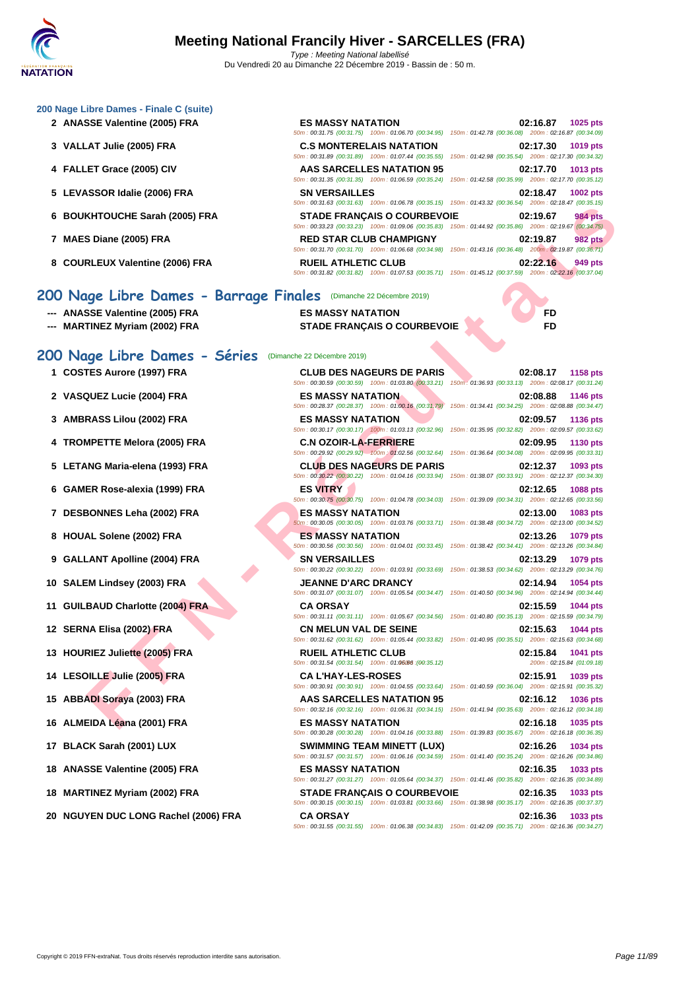50m : 00:31.75 (00:31.75) 100m : 01:06.70 (00:34.95) 150m : 01:42.78 (00:36.08) 200m : 02:16.87 (00:34.09)

50m : 00:31.89 (00:31.89) 100m : 01:07.44 (00:35.55) 150m : 01:42.98 (00:35.54) 200m : 02:17.30 (00:34.32)

50m : 00:31.35 (00:31.35) 100m : 01:06.59 (00:35.24) 150m : 01:42.58 (00:35.99) 200m : 02:17.70 (00:35.12)

50m : 00:31.63 (00:31.63) 100m : 01:06.78 (00:35.15) 150m : 01:43.32 (00:36.54) 200m : 02:18.47 (00:35.15)

50m : 00:33.23 (00:33.23) 100m : 01:09.06 (00:35.83) 150m : 01:44.92 (00:35.86) 200m : 02:19.67 (00:34.75)

50m : 00:31.70 (00:31.70) 100m : 01:06.68 (00:34.98) 150m : 01:43.16 (00:36.48) 200m : 02:19.87 (00:36.71)

50m : 00:31.82 (00:31.82) 100m : 01:07.53 (00:35.71) 150m : 01:45.12 (00:37.59) 200m : 02:22.16 (00:37.04)

50m : 00:31.55 (00:31.55) 100m : 01:06.38 (00:34.83) 150m : 01:42.09 (00:35.71) 200m : 02:16.36 (00:34.27)

#### **[200 Nage](http://www.ffnatation.fr/webffn/index.php) Libre Dames - Finale C (suite)**

- **2 ANASSE Valentine (2005) FRA ES MASSY NATATION 02:16.87 1025 pts**
- **3 VALLAT Julie (2005) FRA C.S MONTERELAIS NATATION 02:17.30 1019 pts**
- **4 FALLET Grace (2005) CIV AAS SARCELLES NATATION 95 02:17.70 1013 pts**
- **5 LEVASSOR Idalie (2006) FRA SN VERSAILLES 02:18.47 1002 pts**
- **6 BOUKHTOUCHE Sarah (2005) FRA STADE FRANÇAIS O COURBEVOIE 02:19.67 984 pts**
- **7 MAES Diane (2005) FRA RED STAR CLUB CHAMPIGNY 02:19.87 982 pts**
- **8 COURLEUX Valentine (2006) FRA RUEIL ATHLETIC CLUB 02:22.16 949 pts**

#### **200 Nage Libre Dames - Barrage Finales** (Dimanche 22 Décembre 2019)

- **--- ANASSE Valentine (2005) FRA ES MASSY NATATION FD**
- **--- MARTINEZ Myriam (2002) FRA STADE FRANÇAIS O COURBEVOIE FD**

# 200 Nage Libre Dames - Séries (Dimanche

- 
- 
- 
- 
- 
- 
- 
- 
- 
- 
- 
- 
- 
- 
- 
- 
- 
- 
- 
- **20 NGUYEN DUC LONG Rachel (2006) FRA CA ORSAY 02:16.36 1033 pts**

| e 22 Décembre 2019)          |                                                           |          |
|------------------------------|-----------------------------------------------------------|----------|
|                              | <b>CLUB DES NAGEURS DE PARIS</b>                          |          |
|                              | 0m: 00:30.59 (00:30.59) 100m: 01:03.80 (00:33.21) 150m:   |          |
| <b>ES MASSY NATATION</b>     |                                                           |          |
|                              | 0m: 00:28.37 (00:28.37) 100m: 01:00.16 (00:31.79)         | $150m$ : |
| <b>ES MASSY NATATION</b>     |                                                           |          |
|                              | 0m: 00:30.17 (00:30.17) 100m: 01:03.13 (00:32.96)         | 150m:    |
| <b>C.N OZOIR-LA-FERRIERE</b> | 0m: 00:29.92 (00:29.92) 100m: 01:02.56 (00:32.64)         | 150m:    |
|                              | <b>CLUB DES NAGEURS DE PARIS</b>                          |          |
|                              | 0m: 00:30.22 (00:30.22) 100m: 01:04.16 (00:33.94)         | 150m:    |
| <b>ES VITRY</b>              |                                                           |          |
|                              | 0m: 00:30.75 (00:30.75) 100m: 01:04.78 (00:34.03)         | 150m:    |
| <b>ES MASSY NATATION</b>     |                                                           |          |
|                              | 0m: 00:30.05 (00:30.05) 100m: 01:03.76 (00:33.71) 150m:   |          |
| <b>ES MASSY NATATION</b>     |                                                           |          |
|                              | 0m: 00:30.56 (00:30.56) 100m: 01:04.01 (00:33.45) 150m:   |          |
| <b>SN VERSAILLES</b>         |                                                           |          |
|                              | 0m: 00:30.22 (00:30.22) 100m: 01:03.91 (00:33.69)         | 150m:    |
| <b>JEANNE D'ARC DRANCY</b>   | 0m: 00:31.07 (00:31.07) 100m: 01:05.54 (00:34.47)         | $150m$ : |
| <b>CA ORSAY</b>              |                                                           |          |
|                              | 0m: 00:31.11 (00:31.11) 100m: 01:05.67 (00:34.56)         | 150m:    |
| <b>CN MELUN VAL DE SEINE</b> |                                                           |          |
|                              | 0m: 00:31.62 (00:31.62) 100m: 01:05.44 (00:33.82) 150m:   |          |
| <b>RUEIL ATHLETIC CLUB</b>   |                                                           |          |
|                              | 0m: 00:31.54 (00:31.54) 100m: 01:06:66 : (00:35.12)       |          |
| <b>CA L'HAY-LES-ROSES</b>    |                                                           |          |
|                              | 0m: 00:30.91 (00:30.91) 100m: 01:04.55 (00:33.64)         | 150m:    |
|                              | <b>AAS SARCELLES NATATION 95</b>                          |          |
|                              | 0m: 00:32.16 (00:32.16) 100m: 01:06.31 (00:34.15)         | 150m:    |
| <b>ES MASSY NATATION</b>     | 0m: 00:30.28 (00:30.28) 100m: 01:04.16 (00:33.88)         | 150m:    |
|                              | <b>SWIMMING TEAM MINETT (LUX)</b>                         |          |
|                              | 0m: 00:31.57 (00:31.57) 100m: 01:06.16 (00:34.59) 150m:   |          |
| <b>ES MASSY NATATION</b>     |                                                           |          |
|                              | 0m: 00:31.27 (00:31.27)  100m: 01:05.64 (00:34.37)  150m: |          |
|                              | <b>STADE FRANÇAIS O COURBEVOIE</b>                        |          |
|                              | 0m: 00:30.15 (00:30.15) 100m: 01:03.81 (00:33.66) 150m:   |          |

**F FIND COUP FRANCAIS O COURE FRANÇAIS COUP FRANCAIS COUP FRANCAIS COUP FRANCAIS COUP FRANCAIS COUP FRANCAIS COUP FRANCAIS COUP FRANCAIS COUP FRANCAIS COUP FRANCAIS COUP FRANCAIS COUP FRANCAIS COUP FRANCAIS COUP FRANCAIS** 1 **COSTES Aurore (1997) FRA CLUB DES NAGEURS DE PARIS 02:08.17 1158 pts**<br>
50m : 02:30 59 (02:30 59 (02:30 59 (02:30 59 (02:30 59 (02:30 59 (02:30 59 (02:30 59 ) 100m : 01:33 80 (02:33 21) 150m : 01:33 83 (02:33 13) 2 50m : 00:30.59 (00:30.59) 100m : 01:03.80 (00:33.21) 150m : 01:36.93 (00:33.13) 200m : 02:08.17 (00:31.24) **2 VASQUEZ Lucie (2004) FRA ES MASSY NATATION 02:08.88 1146 pts** 01:34.41 (00:34.25) 200m : 02:08.88 (00:34.47) **3 AMBRASS Lilou (2002) FRA ES MASSY NATATION 02:09.57 1136 pts** 50m : 00:30.17 (00:30.17) 100m : 01:03.13 (00:32.96) 150m : 01:35.95 (00:32.82) 200m : 02:09.57 (00:33.62) **4 TROMPETTE Melora (2005) FRA C.N OZOIR-LA-FERRIERE 02:09.95 1130 pts** 50m : 00:29.92 (00:29.92) 100m : 01:02.56 (00:32.64) 150m : 01:36.64 (00:34.08) 200m : 02:09.95 (00:33.31) **5 LETANG Maria-elena (1993) FRA CLUB DES NAGEURS DE PARIS 02:12.37 1093 pts** 50m : 00:30.22 (00:30.22) 100m : 01:04.16 (00:33.94) 150m : 01:38.07 (00:33.91) 200m : 02:12.37 (00:34.30) **6 GAMER Rose-alexia (1999) FRA ES VITRY 02:12.65 1088 pts** 01:39.09 (00:34.31) 200m : 02:12.65 (00:33.56) **7 DESBONNES Leha (2002) FRA ES MASSY NATATION 02:13.00 1083 pts** 01:38.48 (00:34.72) 200m : 02:13.00 (00:34.52) **8 HOUAL Solene (2002) FRA ES MASSY NATATION 02:13.26 1079 pts** 01:38.42 (00:34.41) 200m : 02:13.26 (00:34.84) **9 GALLANT Apolline (2004) FRA SN VERSAILLES 02:13.29 1079 pts** 50m : 00:30.22 (00:30.22) 100m : 01:03.91 (00:33.69) 150m : 01:38.53 (00:34.62) 200m : 02:13.29 (00:34.76) **10** SALEM Lindsey (2003) FRA<br> **10 SALEM Lindsey (2003)** FRA<br>  $\frac{50m : 00.31.07 |100m : 01.0554 |100m : 01.054.47}{100m : 01.054.47 |100m : 01.054.47 |100m : 01.40.50 |00.34.96 |100m : 02.14.94 |00.34.44 |10.54 |10.54 |10.54 |10.54 |10.54 |$ 01:40.50 (00:34.96) 200m : 02:14.94 (00:34.44) **11 GUILBAUD Charlotte (2004) FRA CA ORSAY 02:15.59 1044 pts** 50m : 00:31.11 (00:31.11) 100m : 01:05.67 (00:34.56) 150m : 01:40.80 (00:35.13) 200m : 02:15.59 (00:34.79) **12 SERNA Elisa (2002) FRA CN MELUN VAL DE SEINE 02:15.63 02:15.63 1044 pts**<br> **12 Service CONSTANT <b>CONSTANT CONSTANT CONSTANT CONSTANT CONSTANT CONSTANT CONSTANT CONSTANT CONSTANT CONSTANT** 01:40.95 (00:35.51) 200m : 02:15.63 (00:34.68) **13 HOURIEZ Juliette (2005) FRA RUEIL ATHLETIC CLUB 02:15.84 1041 pts**  $50m : 00:31.54 (00:31.54) 100m : 01:06.666$ : $(90:35.12)$  200m : 02:15.84 (01:09.18) **14 LESOILLE Julie (2005) FRA CA L'HAY-LES-ROSES 02:15.91 1039 pts** 50m : 00:30.91 (00:30.91) 100m : 01:04.55 (00:33.64) 150m : 01:40.59 (00:36.04) 200m : 02:15.91 (00:35.32) **15 ABBADI Soraya (2003) FRA AAS SARCELLES NATATION 95 02:16.12 1036 pts** 50m : 00:32.16 (00:32.16) 100m : 01:06.31 (00:34.15) 150m : 01:41.94 (00:35.63) 200m : 02:16.12 (00:34.18) **16 ALMEIDA Léana (2001) FRA ES MASSY NATATION 02:16.18 1035 pts** 50m : 00:30.28 (00:30.28) 100m : 01:04.16 (00:33.88) 150m : 01:39.83 (00:35.67) 200m : 02:16.18 (00:36.35) **17 BLACK Sarah (2001) LUX SWIMMING TEAM MINETT (LUX) 02:16.26 1034 pts**<br> **SOm**: 02:36.37 **100m**: 02:36.59 **100:34.59 100m**: 04:06.36 (00:34.59 **150m**: 04:44.40 (00:35.24 **200m**: 02:36.26 (00:34.86) 01:41.40 (00:35.24) 200m : 02:16.26 (00:34.86) **18 ANASSE Valentine (2005) FRA ES MASSY NATATION 02:16.35 1033 pts** 50m : 00:31.27 (00:31.27) 100m : 01:05.64 (00:34.37) 150m : 01:41.46 (00:35.82) 200m : 02:16.35 (00:34.89) **18 MARTINEZ Myriam (2002) FRA STADE FRANÇAIS O COURBEVOIE 02:16.35 1033 pts** 01:38.98 (00:35.17) 200m : 02:16.35 (00:37.37)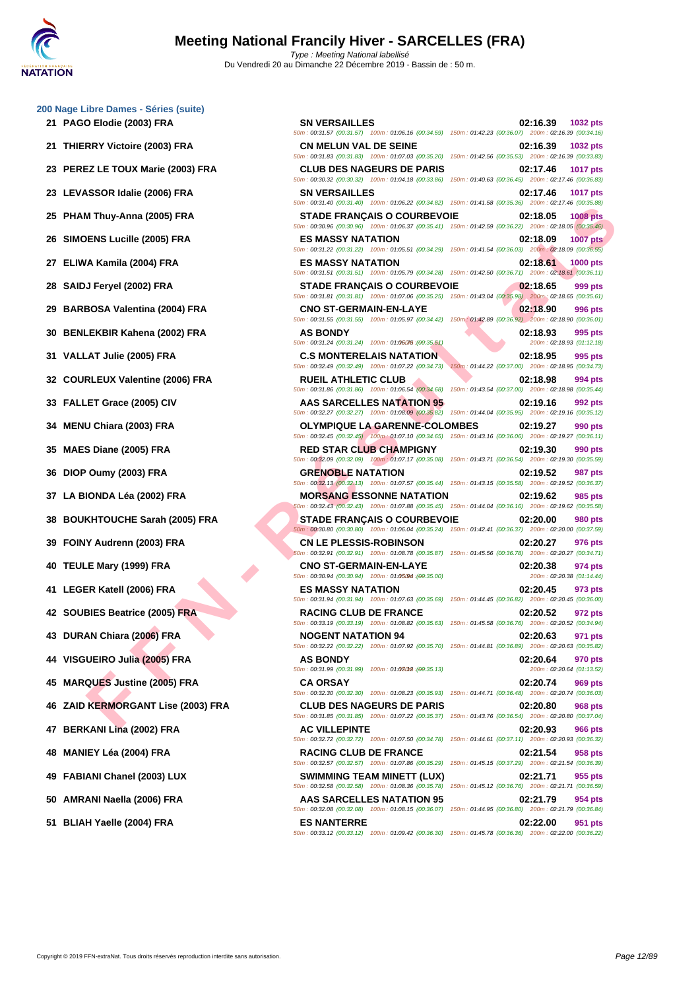**[200 Nage](http://www.ffnatation.fr/webffn/index.php) Libre Dames - Séries (suite)**

- 
- 
- 
- 
- 
- 
- 
- 
- 
- 
- 
- 
- 
- 
- 
- 
- 

**FIND (2005) FRA**<br> **FEND (2005) FRA**<br> **FEND (2005) FRA**<br> **FEND (2006) FRA**<br> **FEND (2006) FRA**<br> **FEND (2006) FRA**<br> **FEND (2006) FRA**<br> **FEND (2006) FRA**<br> **FEND (2006) FRA**<br> **FEND (2006) FRA**<br> **FEND (2006) FRA**<br> **FEND (2006) 21 PAGO Elodie (2003) FRA SN VERSAILLES 02:16.39 1032 pts** 50m : 00:31.57 (00:31.57) 100m : 01:06.16 (00:34.59) 150m : 01:42.23 (00:36.07) 200m : 02:16.39 (00:34.16) **21 THIERRY Victoire (2003) FRA CN MELUN VAL DE SEINE 02:16.39 1032 pts** 50m : 00:31.83 (00:31.83) 100m : 01:07.03 (00:35.20) 150m : 01:42.56 (00:35.53) 200m : 02:16.39 (00:33.83) **23 PEREZ LE TOUX Marie (2003) FRA CLUB DES NAGEURS DE PARIS 02:17.46 1017 pts** 50m : 00:30.32 (00:30.32) 100m : 01:04.18 (00:33.86) 150m : 01:40.63 (00:36.45) 200m : 02:17.46 (00:36.83) **23 LEVASSOR Idalie (2006) FRA SN VERSAILLES 02:17.46 1017 pts** 50m : 00:31.40 (00:31.40) 100m : 01:06.22 (00:34.82) 150m : 01:41.58 (00:35.36) 200m : 02:17.46 (00:35.88) **25 PHAM Thuy-Anna (2005) FRA STADE FRANÇAIS O COURBEVOIE 02:18.05 1008 pts** 50m : 00:30.96 (00:30.96) 100m : 01:06.37 (00:35.41) 150m : 01:42.59 (00:36.22) 200m : 02:18.05 (00:35.46) **26 SIMOENS Lucille (2005) FRA ES MASSY NATATION 02:18.09 1007 pts** 50m : 00:31.22 (00:31.22) 100m : 01:05.51 (00:34.29) 150m : 01:41.54 (00:36.03) 200m : 02:18.09 (00:36.55) **27 ELIWA Kamila (2004) FRA ES MASSY NATATION 02:18.61 1000 pts** 50m : 00:31.51 (00:31.51) 100m : 01:05.79 (00:34.28) 150m : 01:42.50 (00:36.71) 200m : 02:18.61 (00:36.11) **28 SAIDJ Feryel (2002) FRA STADE FRANÇAIS O COURBEVOIE 02:18.65 999 pts** 50m : 00:31.81 (00:31.81) 100m : 01:07.06 (00:35.25) 150m : 01:43.04 (00:35.98) 200m : 02:18.65 (00:35.61) **29 BARBOSA Valentina (2004) FRA CNO ST-GERMAIN-EN-LAYE 02:18.90 996 pts** 50m : 00:31.55 (00:31.55) 100m : 01:05.97 (00:34.42) 150m : 01:42.89 (00:36.92) 200m : 02:18.90 (00:36.01) **30 BENLEKBIR Kahena (2002) FRA AS BONDY 02:18.93 095 pts**<br> **300 02:18.93 01:12.18 01:12.18 60m**: 00:31.24 (00:31.24) 100m: 01:06:06:49:35.61)  $50m$  : 00:31.24  $(00.31.24)$   $100m$  : 01:06.75  $(00.35.51)$  200m : 02:18.93  $(01.12.18)$ **31 VALLAT Julie (2005) FRA C.S MONTERELAIS NATATION 02:18.95 995 pts** 50m : 00:32.49 (00:32.49) 100m : 01:07.22 (00:34.73) 150m : 01:44.22 (00:37.00) 200m : 02:18.95 (00:34.73) **32 COURLEUX Valentine (2006) FRA RUEIL ATHLETIC CLUB 02:18.98 994 pts** 50m : 00:31.86 (00:31.86) 100m : 01:06.54 (00:34.68) 150m : 01:43.54 (00:37.00) 200m : 02:18.98 (00:35.44) **33 FALLET Grace (2005) CIV AAS SARCELLES NATATION 95 02:19.16 992 pts** 50m : 00:32.27 (00:32.27) 100m : 01:08.09 (00:35.82) 150m : 01:44.04 (00:35.95) 200m : 02:19.16 (00:35.12) **34 MENU Chiara (2003) FRA OLYMPIQUE LA GARENNE-COLOMBES 02:19.27 990 pts** 50m : 00:32.45 (00:32.45) 100m : 01:07.10 (00:34.65) 150m : 01:43.16 (00:36.06) 200m : 02:19.27 (00:36.11) **35 MAES Diane (2005) FRA RED STAR CLUB CHAMPIGNY 02:19.30 990 pts** 50m : 00:32.09 (00:32.09) 100m : 01:07.17 (00:35.08) 150m : 01:43.71 (00:36.54) 200m : 02:19.30 (00:35.59) **36 DIOP Oumy (2003) FRA GRENOBLE NATATION 02:19.52 987 pts** 50m : 00:32.13 (00:32.13) 100m : 01:07.57 (00:35.44) 150m : 01:43.15 (00:35.58) 200m : 02:19.52 (00:36.37) **37 LA BIONDA Léa (2002) FRA MORSANG ESSONNE NATATION 02:19.62 985 pts** 50m : 00:32.43 (00:32.43) 100m : 01:07.88 (00:35.45) 150m : 01:44.04 (00:36.16) 200m : 02:19.62 (00:35.58) **38 BOUKHTOUCHE Sarah (2005) FRA STADE FRANÇAIS O COURBEVOIE 02:20.00 980 pts** 50m : 00:30.80 (00:30.80) 100m : 01:06.04 (00:35.24) 150m : 01:42.41 (00:36.37) 200m : 02:20.00 (00:37.59) **39 FOINY Audrenn (2003) FRA CN LE PLESSIS-ROBINSON 02:20.27 976 pts** 50m : 00:32.91 (00:32.91) 100m : 01:08.78 (00:35.87) 150m : 01:45.56 (00:36.78) 200m : 02:20.27 (00:34.71) **40 TEULE Mary (1999) FRA CNO ST-GERMAIN-EN-LAYE 02:20.38** 974 pts<br> **COM**: 02:20.39 (00:30.94) 100m : 01:05094 (00:35.00) **200m** : 02:20.38 (01:14.44)  $50m : 00:30.94 (00:30.94) 100m : 01:05.94$  (00:35.00) **41 LEGER Katell (2006) FRA ES MASSY NATATION 02:20.45 973 pts** 50m : 00:31.94 (00:31.94) 100m : 01:07.63 (00:35.69) 150m : 01:44.45 (00:36.82) 200m : 02:20.45 (00:36.00) **42 SOUBIES Beatrice (2005) FRA RACING CLUB DE FRANCE 02:20.52 972 pts** 50m : 00:33.19 (00:33.19) 100m : 01:08.82 (00:35.63) 150m : 01:45.58 (00:36.76) 200m : 02:20.52 (00:34.94) **43 DURAN Chiara (2006) FRA NOGENT NATATION 94 02:20.63 971 pts** 50m : 00:32.22 (00:32.22) 100m : 01:07.92 (00:35.70) 150m : 01:44.81 (00:36.89) 200m : 02:20.63 (00:35.82) **44 VISGUEIRO Julia (2005) FRA AS BONDY 02:20.64 970 pts**  $50m$  : 00:31.99 (00:31.99) 100m : 01:03012 : (00:35.13) **45 MARQUES Justine (2005) FRA CA ORSAY 02:20.74 969 pts** 50m : 00:32.30 (00:32.30) 100m : 01:08.23 (00:35.93) 150m : 01:44.71 (00:36.48) 200m : 02:20.74 (00:36.03) **46 ZAID KERMORGANT Lise (2003) FRA CLUB DES NAGEURS DE PARIS 02:20.80 968 pts** 50m : 00:31.85 (00:31.85) 100m : 01:07.22 (00:35.37) 150m : 01:43.76 (00:36.54) 200m : 02:20.80 (00:37.04) **47 BERKANI Lina (2002) FRA AC VILLEPINTE 02:20.93 966 pts** 50m : 00:32.72 (00:32.72) 100m : 01:07.50 (00:34.78) 150m : 01:44.61 (00:37.11) 200m : 02:20.93 (00:36.32) **48 MANIEY Léa (2004) FRA RACING CLUB DE FRANCE 02:21.54 958 pts** 50m : 00:32.57 (00:32.57) 100m : 01:07.86 (00:35.29) 150m : 01:45.15 (00:37.29) 200m : 02:21.54 (00:36.39) **49 FABIANI Chanel (2003) LUX SWIMMING TEAM MINETT (LUX) 02:21.71 955 pts** 50m : 00:32.58 (00:32.58) 100m : 01:08.36 (00:35.78) 150m : 01:45.12 (00:36.76) 200m : 02:21.71 (00:36.59) **50 AMRANI Naella (2006) FRA AAS SARCELLES NATATION 95 02:21.79 954 pts** 50m : 00:32.08 (00:32.08) 100m : 01:08.15 (00:36.07) 150m : 01:44.95 (00:36.80) 200m : 02:21.79 (00:36.84) **51 BLIAH Yaelle (2004) FRA ES NANTERRE 02:22.00 951 pts** 50m : 00:33.12 (00:33.12) 100m : 01:09.42 (00:36.30) 150m : 01:45.78 (00:36.36) 200m : 02:22.00 (00:36.22)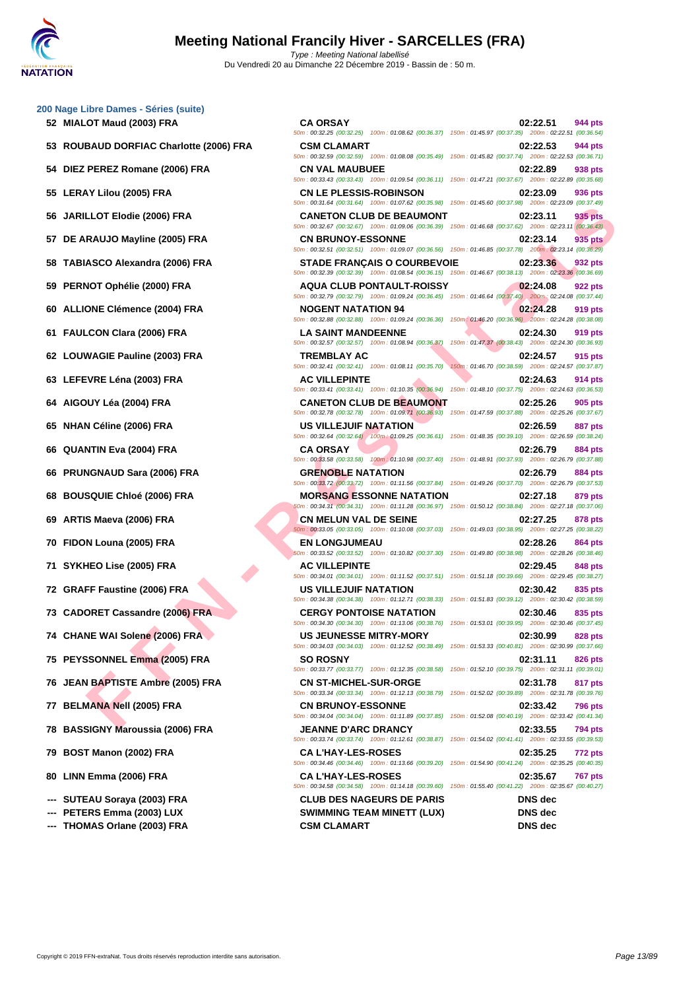| 52 MIALOT Maud (2003) FRA                | <b>CA ORSAY</b>                                                                                                                                                                                                                           | 02:22.51<br>944 pts                                                        |
|------------------------------------------|-------------------------------------------------------------------------------------------------------------------------------------------------------------------------------------------------------------------------------------------|----------------------------------------------------------------------------|
| 53 ROUBAUD DORFIAC Charlotte (2006) FRA  | 50m: 00:32.25 (00:32.25) 100m: 01:08.62 (00:36.37) 150m: 01:45.97 (00:37.35) 200m: 02:22.51 (00:36.54)<br><b>CSM CLAMART</b>                                                                                                              | 02:22.53<br>944 pts                                                        |
| 54 DIEZ PEREZ Romane (2006) FRA          | 50m: 00:32.59 (00:32.59) 100m: 01:08.08 (00:35.49) 150m: 01:45.82 (00:37.74) 200m: 02:22.53 (00:36.71)<br><b>CN VAL MAUBUEE</b><br>50m: 00:33.43 (00:33.43) 100m: 01:09.54 (00:36.11) 150m: 01:47.21 (00:37.67) 200m: 02:22.89 (00:35.68) | 02:22.89<br>938 pts                                                        |
| 55 LERAY Lilou (2005) FRA                | <b>CN LE PLESSIS-ROBINSON</b><br>50m: 00:31.64 (00:31.64) 100m: 01:07.62 (00:35.98) 150m: 01:45.60 (00:37.98) 200m: 02:23.09 (00:37.49)                                                                                                   | 02:23.09<br>936 pts                                                        |
| 56 JARILLOT Elodie (2006) FRA            | <b>CANETON CLUB DE BEAUMONT</b><br>50m : 00:32.67 (00:32.67) 100m : 01:09.06 (00:36.39) 150m : 01:46.68 (00:37.62) 200m : 02:23.11 (00:36.43)                                                                                             | 935 pts<br>02:23.11                                                        |
| 57 DE ARAUJO Mayline (2005) FRA          | <b>CN BRUNOY-ESSONNE</b><br>50m: 00:32.51 (00:32.51) 100m: 01:09.07 (00:36.56) 150m: 01:46.85 (00:37.78) 200m: 02:23.14 (00:36.29)                                                                                                        | 935 pts<br>02:23.14                                                        |
| 58 TABIASCO Alexandra (2006) FRA         | <b>STADE FRANÇAIS O COURBEVOIE</b><br>50m : 00:32.39 (00:32.39) 100m : 01:08.54 (00:36.15) 150m : 01:46.67 (00:38.13) 200m : 02:23.36 (00:36.69)                                                                                          | 02:23.36<br>932 pts                                                        |
| PERNOT Ophélie (2000) FRA<br>59          | <b>AQUA CLUB PONTAULT-ROISSY</b><br>50m : 00:32.79 (00:32.79) 100m : 01:09.24 (00:36.45) 150m : 01:46.64 (00:37.40) 200m : 02:24.08 (00:37.44)                                                                                            | 02:24.08<br>922 pts                                                        |
| <b>ALLIONE Clémence (2004) FRA</b>       | <b>NOGENT NATATION 94</b><br>50m: 00:32.88 (00:32.88) 100m: 01:09.24 (00:36.36) 150m: 01:46.20 (00:36.96) 200m: 02:24.28 (00:38.08)                                                                                                       | 02:24.28<br>919 pts                                                        |
| 61 FAULCON Clara (2006) FRA              | <b>LA SAINT MANDEENNE</b><br>50m: 00:32.57 (00:32.57) 100m: 01:08.94 (00:36.37)                                                                                                                                                           | 02:24.30<br>919 pts<br>150m: 01:47.37 (00:38.43) 200m: 02:24.30 (00:36.93) |
| 62 LOUWAGIE Pauline (2003) FRA           | <b>TREMBLAY AC</b><br>50m: 00:32.41 (00:32.41) 100m: 01:08.11 (00:35.70)                                                                                                                                                                  | 02:24.57<br>915 pts<br>150m: 01:46.70 (00:38.59) 200m: 02:24.57 (00:37.87) |
| 63 LEFEVRE Léna (2003) FRA               | <b>AC VILLEPINTE</b><br>50m: 00:33.41 (00:33.41) 100m: 01:10.35 (00:36.94) 150m: 01:48.10 (00:37.75) 200m: 02:24.63 (00:36.53)                                                                                                            | 02:24.63<br>914 pts                                                        |
| 64 AIGOUY Léa (2004) FRA                 | <b>CANETON CLUB DE BEAUMONT</b><br>50m: 00:32.78 (00:32.78) 100m: 01:09.71 (00:36.93) 150m: 01:47.59 (00:37.88) 200m: 02:25.26 (00:37.67)                                                                                                 | 02:25.26<br>905 pts                                                        |
| 65 NHAN Céline (2006) FRA                | US VILLEJUIF NATATION<br>50m : 00:32.64 (00:32.64) 100m : 01:09.25 (00:36.61) 150m : 01:48.35 (00:39.10) 200m : 02:26.59 (00:38.24)                                                                                                       | 02:26.59<br>887 pts                                                        |
| <b>QUANTIN Eva (2004) FRA</b><br>66      | <b>CA ORSAY</b><br>50m: 00:33.58 (00:33.58) 100m: 01:10.98 (00:37.40) 150m: 01:48.91 (00:37.93) 200m: 02:26.79 (00:37.88)                                                                                                                 | 02:26.79<br>884 pts                                                        |
| <b>PRUNGNAUD Sara (2006) FRA</b><br>66   | <b>GRENOBLE NATATION</b><br>50m : 00:33.72 (00:33.72) 100m : 01:11.56 (00:37.84) 150m : 01:49.26 (00:37.70) 200m : 02:26.79 (00:37.53)                                                                                                    | 02:26.79<br>884 pts                                                        |
| 68 BOUSQUIE Chloé (2006) FRA             | <b>MORSANG ESSONNE NATATION</b><br>50m: 00:34.31 (00:34.31) 100m: 01:11.28 (00:36.97) 150m: 01:50.12 (00:38.84) 200m: 02:27.18 (00:37.06)                                                                                                 | 02:27.18<br>879 pts                                                        |
| ARTIS Maeva (2006) FRA<br>69             | <b>CN MELUN VAL DE SEINE</b><br>50m : 00:33.05 (00:33.05) 100m : 01:10.08 (00:37.03) 150m : 01:49.03 (00:38.95) 200m : 02:27.25 (00:38.22)                                                                                                | 02:27.25<br>878 pts                                                        |
| 70 FIDON Louna (2005) FRA                | <b>EN LONGJUMEAU</b><br>50m: 00:33.52 (00:33.52) 100m: 01:10.82 (00:37.30) 150m: 01:49.80 (00:38.98) 200m: 02:28.26 (00:38.46)                                                                                                            | 02:28.26<br>864 pts                                                        |
| 71 SYKHEO Lise (2005) FRA                | <b>AC VILLEPINTE</b><br>50m: 00:34.01 (00:34.01) 100m: 01:11.52 (00:37.51) 150m: 01:51.18 (00:39.66) 200m: 02:29.45 (00:38.27)                                                                                                            | 02:29.45<br>848 pts                                                        |
| 72 GRAFF Faustine (2006) FRA             | <b>US VILLEJUIF NATATION</b><br>50m: 00:34.38 (00:34.38) 100m: 01:12.71 (00:38.33) 150m: 01:51.83 (00:39.12) 200m: 02:30.42 (00:38.59)                                                                                                    | 02:30.42<br>835 pts                                                        |
| 73 CADORET Cassandre (2006) FRA          | <b>CERGY PONTOISE NATATION</b><br>50m : 00:34.30 (00:34.30) 100m : 01:13.06 (00:38.76) 150m : 01:53.01 (00:39.95) 200m : 02:30.46 (00:37.45)                                                                                              | 02:30.46<br>835 pts                                                        |
| 74 CHANE WAI Solene (2006) FRA           | <b>US JEUNESSE MITRY-MORY</b><br>50m: 00:34.03 (00:34.03) 100m: 01:12.52 (00:38.49)                                                                                                                                                       | 02:30.99<br>828 pts<br>150m: 01:53.33 (00:40.81) 200m: 02:30.99 (00:37.66) |
| 75 PEYSSONNEL Emma (2005) FRA            | <b>SO ROSNY</b><br>50m: 00:33.77 (00:33.77) 100m: 01:12.35 (00:38.58)                                                                                                                                                                     | 02:31.11<br>826 pts<br>150m: 01:52.10 (00:39.75) 200m: 02:31.11 (00:39.01) |
| 76 JEAN BAPTISTE Ambre (2005) FRA        | <b>CN ST-MICHEL-SUR-ORGE</b><br>50m: 00:33.34 (00:33.34) 100m: 01:12.13 (00:38.79) 150m: 01:52.02 (00:39.89) 200m: 02:31.78 (00:39.76)                                                                                                    | 02:31.78<br>817 pts                                                        |
| 77 BELMANA Nell (2005) FRA               | <b>CN BRUNOY-ESSONNE</b><br>50m: 00:34.04 (00:34.04) 100m: 01:11.89 (00:37.85) 150m: 01:52.08 (00:40.19) 200m: 02:33.42 (00:41.34)                                                                                                        | 02:33.42<br><b>796 pts</b>                                                 |
| <b>70 BACCICALY Movements (2006) EDA</b> | <b>IEAMME DIADO DO AMOV</b>                                                                                                                                                                                                               | 0.225E<br>$70.4 - 4$                                                       |

- **--- SUTEAU Soraya (2003) FRA CLUB DES NAGEURS DE PARIS DNS dec**
- 
- **--- THOMAS Orlane (2003) FRA CSM CLAMART DNS dec**

01:45.60 (00:37.98) 200m : 02:23.09 (00:37.49) 01:46.68 (00:37.62) 200m : 02:23.11 (00:36.43) 01:46.85 (00:37.78) 200m : 02:23.14 (00:36.29) 01:46.67 (00:38.13) 200m : 02:23.36 (00:36.69) 01:46.64 (00:37.40) 200m : 02:24.08 (00:37.44) 01:46.20 (00:36.96) 200m : 02:24.28 (00:38.08) 01:47.37 (00:38.43) 200m : 02:24.30 (00:36.93) 01:46.70 (00:38.59) 200m : 02:24.57 (00:37.87) 01:48.10 (00:37.75) 200m : 02:24.63 (00:36.53) 01:47.59 (00:37.88) 200m : 02:25.26 (00:37.67) 01:48.35 (00:39.10) 200m : 02:26.59 (00:38.24) 01:48.91 (00:37.93) 200m : 02:26.79 (00:37.88) 01:49.26 (00:37.70) 200m : 02:26.79 (00:37.53) 01:50.12 (00:38.84) 200m : 02:27.18 (00:37.06) 01:49.03 (00:38.95) 200m : 02:27.25 (00:38.22) 01:49.80 (00:38.98) 200m : 02:28.26 (00:38.46) 01:51.18 (00:39.66) 200m : 02:29.45 (00:38.27) 01:51.83 (00:39.12) 200m : 02:30.42 (00:38.59) 01:53.01 (00:39.95) 200m : 02:30.46 (00:37.45) 01:53.33 (00:40.81) 200m : 02:30.99 (00:37.66) 01:52.10 (00:39.75) 200m : 02:31.11 (00:39.01) 50m : 00:33.34 (00:33.34) 100m : 01:12.13 (00:38.79) 150m : 01:52.02 (00:39.89) 200m : 02:31.78 (00:39.76) **77 BELMANA Nell (2005) FRA CN BRUNOY-ESSONNE 02:33.42 796 pts** 50m : 00:34.04 (00:34.04) 100m : 01:11.89 (00:37.85) 150m : 01:52.08 (00:40.19) 200m : 02:33.42 (00:41.34) **78 BASSIGNY Maroussia (2006) FRA JEANNE D'ARC DRANCY 02:33.55 794 pts** 50m : 00:33.74 (00:33.74) 100m : 01:12.61 (00:38.87) 150m : 01:54.02 (00:41.41) 200m : 02:33.55 (00:39.53) **79 BOST Manon (2002) FRA CA L'HAY-LES-ROSES 02:35.25 772 pts** 50m : 00:34.46 (00:34.46) 100m : 01:13.66 (00:39.20) 150m : 01:54.90 (00:41.24) 200m : 02:35.25 (00:40.35) **80 LINN Emma (2006) FRA CA L'HAY-LES-ROSES 02:35.67 767 pts** 50m : 00:34.58 (00:34.58) 100m : 01:14.18 (00:39.60) 150m : 01:55.40 (00:41.22) 200m : 02:35.67 (00:40.27) **--- PETERS Emma (2003) LUX SWIMMING TEAM MINETT (LUX) DNS dec**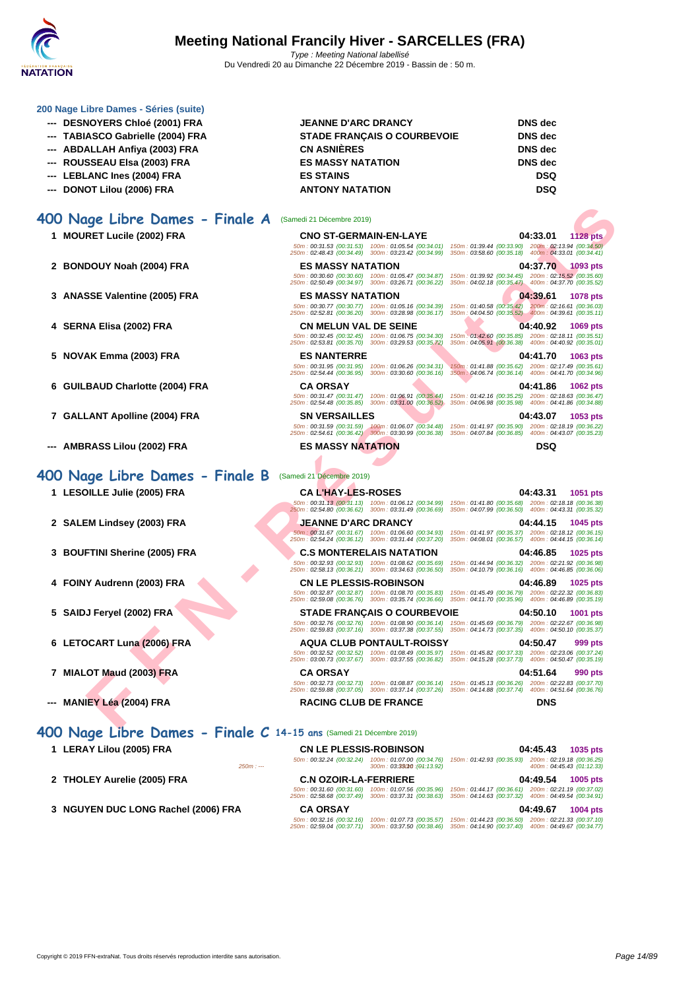

#### **[200 Nage](http://www.ffnatation.fr/webffn/index.php) Libre Dames - Séries (suite)**

- 
- 
- 
- 
- 
- 

#### **400 Nage Libre Dames - Finale A** (Samedi 21 Décembre 2019)

- 
- 
- **3 ANASSE Valentine (2005) FRA ES MASSY NATATION 04:39.61 1078 pts**
- 
- **5 NOVAK Emma (2003) FRA ES NANTERRE 04:41.70 1063 pts**
- 
- 
- **--- AMBRASS Lilou (2002) FRA ES MASSY NATATION DSQ**

#### **400 Nage Libre Dames - Finale B** (Samedi 21 Décembre 2019)

- 
- 
- 
- 
- **5 SAIDJ Feryel (2002) FRA STADE FRANÇAIS O COURBEVOIE 04:50.10 1001 pts**
- **6 LETOCART Luna (2006) FRA AQUA CLUB PONTAULT-ROISSY 04:50.47 999 pts**
- **7 MIALOT Maud (2003) FRA CA ORSAY 04:51.64 990 pts**
- **--- MANIEY Léa (2004) FRA RACING CLUB DE FRANCE DNS**

**400 Nage Libre Dames - Finale C 14-15 ans** (Samedi 21 Décembre 2019)

- 
- 
- **3 NGUYEN DUC LONG Rachel (2006) FRA CA ORSAY 04:49.67 1004 pts**

| --- DESNOYERS Chloé (2001) FRA    | <b>JEANNE D'ARC DRANCY</b>         | <b>DNS</b> dec |
|-----------------------------------|------------------------------------|----------------|
| --- TABIASCO Gabrielle (2004) FRA | <b>STADE FRANCAIS O COURBEVOIE</b> | <b>DNS</b> dec |
| --- ABDALLAH Anfiya (2003) FRA    | <b>CN ASNIÈRES</b>                 | <b>DNS</b> dec |
| --- ROUSSEAU Elsa (2003) FRA      | <b>ES MASSY NATATION</b>           | <b>DNS</b> dec |
| --- LEBLANC Ines (2004) FRA       | <b>ES STAINS</b>                   | <b>DSQ</b>     |
| --- DONOT Lilou (2006) FRA        | <b>ANTONY NATATION</b>             | <b>DSQ</b>     |

**1 MOURET Lucile (2002) FRA CNO ST-GERMAIN-EN-LAYE 04:33.01 1128 pts** 50m : 00:31.53 (00:31.53) 100m : 01:05.54 (00:34.01) 150m : 01:39.44 (00:33.90) 200m : 02:13.94 (00:34.50) 250m : 02:48.43 (00:34.49) 300m : 03:23.42 (00:34.99) 350m : 03:58.60 (00:35.18) 400m : 04:33.01 (00:34.41) **2 BONDOUY Noah (2004) FRA ES MASSY NATATION 04:37.70 1093 pts** 50m : 00:30.60 (00:30.60) 100m : 01:05.47 (00:34.87) 150m : 01:39.92 (00:34.45) 200m : 02:15.52 (00:35.60) 250m : 02:50.49 (00:34.97) 300m : 03:26.71 (00:36.22) 350m : 04:02.18 (00:35.47) 400m : 04:37.70 (00:35.52)

50m : 00:30.77 (00:30.77) 100m : 01:05.16 (00:34.39) 150m : 01:40.58 (00:35.42) 200m : 02:16.61 (00:36.03) 250m : 02:52.81 (00:36.20) 300m : 03:28.98 (00:36.17) 350m : 04:04.50 (00:35.52) 400m : 04:39.61 (00:35.11)

4 SERNA Elisa (2002) FRA **1988** CN MELUN VAL DE SEINE 1999 (00:34.30) 150m : 01:42.60 (00:35.88) 10:40.92 1069 pts<br>50m : 02:34.56 (00:32.45 (00:32.45 (00:32.45 (00:32.45 (00:32.45 (00:32.45 (00:32.45 (00:35.72) 10:00:35.8

- 
- 

**FIND ANTION COOP F[R](http://www.ffnatation.fr/webffn/resultats.php?idact=nat&go=epr&idcpt=64277&idepr=4)AMEM SERVER AND SERVE AND SERVE AND SERVE AND SERVE AND SERVE AND SERVE AND SERVE AND SERVE AND SERVE AND SERVE AND SERVE AND SERVE AND SERVE AND SERVE AND SERVE AND SERVE AND SERVE AND SERVE AND SERVE** 50m : 00:31.95 (00:31.95) 100m : 01:06.26 (00:34.31) 150m : 01:41.88 (00:35.62) 200m : 02:17.49 (00:35.61) 250m : 02:54.44 (00:36.95) 300m : 03:30.60 (00:36.16) 350m : 04:06.74 (00:36.14) 400m : 04:41.70 (00:34.96) **6 GUILBAUD Charlotte (2004) FRA CA ORSAY 04:41.86 1062 pts** 50m : 00:31.47 (00:31.47) 100m : 01:06.91 (00:35.44) 150m : 01:42.16 (00:35.25) 200m : 02:18.63 (00:36.47) 250m : 02:54.48 (00:35.85) 300m : 03:31.00 (00:36.52) 350m : 04:06.98 (00:35.98) 400m : 04:41.86 (00:34.88) **7 GALLANT Apolline (2004) FRA SN VERSAILLES 04:43.07 1053 pts** 50m : 00:31.59 (00:31.59) 100m : 01:06.07 (00:34.48) 150m : 01:41.97 (00:35.90) 200m : 02:18.19 (00:36.22) 250m : 02:54.61 (00:36.42) 300m : 03:30.99 (00:36.38) 350m : 04:07.84 (00:36.85) 400m : 04:43.07 (00:35.23)

**1 LESOILLE Julie (2005) FRA CA L'HAY-LES-ROSES 04:43.31 1051 pts** 50m : 00:31.13 (00:31.13) 100m : 01:06.12 (00:34.99) 150m : 01:41.80 (00:35.68) 200m : 02:18.18 (00:36.38) 250m : 02:54.80 (00:36.62) 300m : 03:31.49 (00:36.69) 350m : 04:07.99 (00:36.50) 400m : 04:43.31 (00:35.32) **2 SALEM Lindsey (2003) FRA JEANNE D'ARC DRANCY 04:44.15 1045 pts** 50m : 00:31.67 (00:31.67) 100m : 01:06.60 (00:34.93) 150m : 01:41.97 (00:35.37) 200m : 02:18.12 (00:36.15) 250m : 02:54.24 (00:36.12) 300m : 03:31.44 (00:37.20) 350m : 04:08.01 (00:36.57) 400m : 04:44.15 (00:36.14) **3 BOUFTINI Sherine (2005) FRA C.S MONTERELAIS NATATION 04:46.85 1025 pts**

50m : 00:32.93 (00:32.93) 100m : 01:08.62 (00:35.69) 150m : 01:44.94 (00:36.32) 200m : 02:21.92 (00:36.98) 250m : 02:58.13 (00:36.21) 300m : 03:34.63 (00:36.50) 350m : 04:10.79 (00:36.16) 400m : 04:46.85 (00:36.06) **4 FOINY Audrenn (2003) FRA CN LE PLESSIS-ROBINSON 04:46.89 1025 pts** 50m : 00:32.87 (00:32.87) 100m : 01:08.70 (00:35.83) 150m : 01:45.49 (00:36.79) 200m : 02:22.32 (00:36.83) 250m : 02:59.08 (00:36.76) 300m : 03:35.74 (00:36.66) 350m : 04:11.70 (00:35.96) 400m : 04:46.89 (00:35.19)

50m : 00:32.76 (00:32.76) 100m : 01:08.90 (00:36.14) 150m : 01:45.69 (00:36.79) 200m : 02:22.67 (00:36.98) 250m : 02:59.83 (00:37.16) 300m : 03:37.38 (00:37.55) 350m : 04:14.73 (00:37.35) 400m : 04:50.10 (00:35.37)

50m : 00:32.52 (00:32.52) 100m : 01:08.49 (00:35.97) 150m : 01:45.82 (00:37.33) 200m : 02:23.06 (00:37.24) 250m : 03:00.73 (00:37.67) 300m : 03:37.55 (00:36.82) 350m : 04:15.28 (00:37.73) 400m : 04:50.47 (00:35.19)

50m : 00:32.73 (00:32.73) 100m : 01:08.87 (00:36.14) 150m : 01:45.13 (00:36.26) 200m : 02:22.83 (00:37.70) 250m : 02:59.88 (00:37.05) 300m : 03:37.14 (00:37.26) 350m : 04:14.88 (00:37.74) 400m : 04:51.64 (00:36.76)

**1 LERAY Lilou (2005) FRA CN LE PLESSIS-ROBINSON 04:45.43 1035 pts** 50m : 00:32.24 (00:32.24) 100m : 01:07.00 (00:34.76) 150m : 01:42.93 (00:35.93) 200m : 02:19.18 (00:36.25) 250m : --- 300m : 03:33.1050m : --- (01:13.92) 400m : 04:45.43 (01:12.33) **2 THOLEY Aurelie (2005) FRA C.N OZOIR-LA-FERRIERE 04:49.54 1005 pts** 50m : 00:31.60 (00:31.60) 100m : 01:07.56 (00:35.96) 150m : 01:44.17 (00:36.61) 200m : 02:21.19 (00:37.02) 250m : 02:58.68 (00:37.49) 300m : 03:37.31 (00:38.63) 350m : 04:14.63 (00:37.32) 400m : 04:49.54 (00:34.91)

50m : 00:32.16 (00:32.16) 100m : 01:07.73 (00:35.57) 150m : 01:44.23 (00:36.50) 200m : 02:21.33 (00:37.10) 250m : 02:59.04 (00:37.71) 300m : 03:37.50 (00:38.46) 350m : 04:14.90 (00:37.40) 400m : 04:49.67 (00:34.77)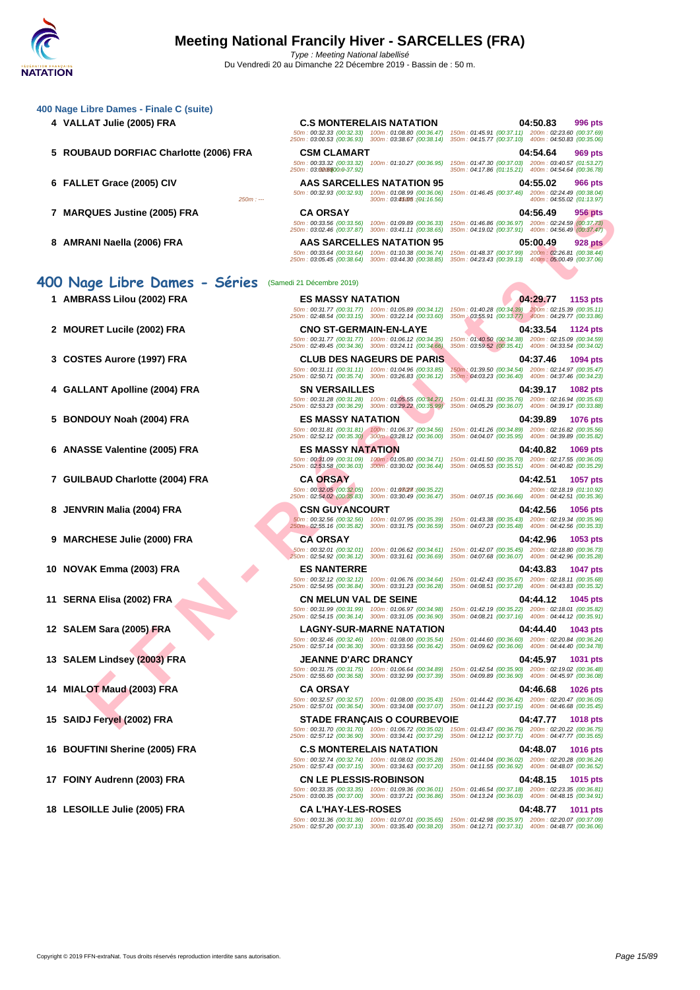#### **[400 Nage](http://www.ffnatation.fr/webffn/index.php) Libre Dames - Finale C (suite)**

- 
- **5 ROUBAUD DORFIAC Charlotte (2006) FRA CSM CLAMART 04:54.64 969 pts**
- 
- 
- 

#### **400 Nage Libre Dames - Séries** (Samedi 21 Décembre 2019)

- 
- 
- 
- **4 GALLANT Apolline (2004) FRA SN VERSAILLES 04:39.17 1082 pts**
- **5 BONDOUY Noah (2004) FRA ES MASSY NATATION 04:39.89 1076 pts**
- **6 ANASSE Valentine (2005) FRA ES MASSY NATATION 04:40.82 1069 pts**
- **7 GUILBAUD Charlotte (2004) FRA CA ORSAY 04:42.51 1057 pts**
- 
- 
- 
- 
- 
- **13 SALEM Lindsey (2003) FRA JEANNE D'ARC DRANCY 04:45.97 1031 pts**
- 
- 
- **16 BOUFTINI Sherine (2005) FRA C.S MONTERELAIS NATATION 04:48.07 1016 pts**
- **17 FOINY Audrenn (2003) FRA CN LE PLESSIS-ROBINSON 04:48.15 1015 pts**
- 

**4 VALLAT Julie (2005) FRA C.S MONTERELAIS NATATION 04:50.83 996 pts** 50m : 00:32.33 (00:32.33) 100m : 01:08.80 (00:36.47) 150m : 01:45.91 (00:37.11) 200m : 02:23.60 (00:37.69) 250m : 03:00.53 (00:36.93) 300m : 03:38.67 (00:38.14) 350m : 04:15.77 (00:37.10) 400m : 04:50.83 (00:35.06) 50m : 00:33.32 (00:33.32) 100m : 01:10.27 (00:36.95) 150m : 01:47.30 (00:37.03) 200m : 03:40.57 (01:53.27) 250m : 03:02.65 300m : --- (00:0-37.92) 350m : 04:17.86 (01:15.21) 400m : 04:54.64 (00:36.78) **6 FALLET Grace (2005) CIV AAS SARCELLES NATATION 95 04:55.02 966 pts** 50m : 00:3**2.93** (00:32.93) 100m : 01:08.99 (00:36.06) 150m : 01:46.45 (00:37.46) 200m : 02:24.49 (00:38.04)<br>[11:16.56] 400m : 04:55.02 (01:13.97) 300m : 03:**45:05** (11:16.56)

**7 MARQUES Justine (2005) FRA CA ORSAY 04:56.49 956 pts** 50m : 00:33.56 (00:33.56) 100m : 01:09.89 (00:36.33) 150m : 01:46.86 (00:36.97) 200m : 02:24.59 (00:37.73) 250m : 03:02.46 (00:37.87) 300m : 03:41.11 (00:38.65) 350m : 04:19.02 (00:37.91) 400m : 04:56.49 (00:37.47)

**8 AMRANI Naella (2006) FRA AAS SARCELLES NATATION 95 05:00.49 928 pts** 50m : 00:33.64 (00:33.64) 100m : 01:10.38 (00:36.74) 150m : 01:48.37 (00:37.99) 200m : 02:26.81 (00:38.44) 250m : 03:05.45 (00:38.64) 300m : 03:44.30 (00:38.85) 350m : 04:23.43 (00:39.13) 400m : 05:00.49 (00:37.06)

**1 AMBRASS Lilou (2002) FRA ES MASSY NATATION 04:29.77 1153 pts** 50m : 00:31.77 (00:31.77) 100m : 01:05.89 (00:34.12) 150m : 01:40.28 (00:34.39) 200m : 02:15.39 (00:35.11) 250m : 02:48.54 (00:33.15) 300m : 03:22.14 (00:33.60) 350m : 03:55.91 (00:33.77) 400m : 04:29.77 (00:33.86)

**3 COSTES Aurore (1997) FRA CLUB DES NAGEURS DE PARIS 04:37.46 1094 pts** 50m : 00:31.11 (00:31.11) 100m : 01:04.96 (00:33.85) 150m : 01:39.50 (00:34.54) 200m : 02:14.97 (00:35.47) 250m : 02:50.71 (00:35.74) 300m : 03:26.83 (00:36.12) 350m : 04:03.23 (00:36.40) 400m : 04:37.46 (00:34.23)

50m : 00:31.28 (00:31.28) 100m : 01:05.55 (00:34.27) 150m : 01:41.31 (00:35.76) 200m : 02:16.94 (00:35.63) 250m : 02:53.23 (00:36.29) 300m : 03:29.22 (00:35.99) 350m : 04:05.29 (00:36.07) 400m : 04:39.17 (00:33.88)

50m : 00:31.81 (00:31.81) 100m : 01:06.37 (00:34.56) 150m : 01:41.26 (00:34.89) 200m : 02:16.82 (00:35.56) 250m : 02:52.12 (00:35.30) 300m : 03:28.12 (00:36.00) 350m : 04:04.07 (00:35.95) 400m : 04:39.89 (00:35.82)

50m : 00:32.05 (00:32.05) 100m : 01:07.27 150m : --- (00:35.22) 200m : 02:18.19 (01:10.92) 250m : 02:54.02 (00:35.83) 300m : 03:30.49 (00:36.47) 350m : 04:07.15 (00:36.66) 400m : 04:42.51 (00:35.36)

50m : 00:32.56 (00:32.56) 100m : 01:07.95 (00:35.39) 150m : 01:43.38 (00:35.43) 200m : 02:19.34 (00:35.96) 250m : 02:55.16 (00:35.82) 300m : 03:31.75 (00:36.59) 350m : 04:07.23 (00:35.48) 400m : 04:42.56 (00:35.33)

50m : 00:32.01 (00:32.01) 100m : 01:06.62 (00:34.61) 150m : 01:42.07 (00:35.45) 200m : 02:18.80 (00:36.73) 250m : 02:54.92 (00:36.12) 300m : 03:31.61 (00:36.69) 350m : 04:07.68 (00:36.07) 400m : 04:42.96 (00:35.28)

50m : 00:32.12 (00:32.12) 100m : 01:06.76 (00:34.64) 150m : 01:42.43 (00:35.67) 200m : 02:18.11 (00:35.68) 250m : 02:54.95 (00:36.84) 300m : 03:31.23 (00:36.28) 350m : 04:08.51 (00:37.28) 400m : 04:43.83 (00:35.32)

**12 SALEM Sara (2005) FRA LAGNY-SUR-MARNE NATATION 04:44.40 1043 pts**

50m : 00:31.75 (00:31.75) 100m : 01:06.64 (00:34.89) 150m : 01:42.54 (00:35.90) 200m : 02:19.02 (00:36.48) 250m : 02:55.60 (00:36.58) 300m : 03:32.99 (00:37.39) 350m : 04:09.89 (00:36.90) 400m : 04:45.97 (00:36.08)

50m : 00:31.70 (00:31.70) 100m : 01:06.72 (00:35.02) 150m : 01:43.47 (00:36.75) 200m : 02:20.22 (00:36.75) 250m : 02:57.12 (00:36.90) 300m : 03:34.41 (00:37.29) 350m : 04:12.12 (00:37.71) 400m : 04:47.77 (00:35.65)

50m : 00:32.74 (00:32.74) 100m : 01:08.02 (00:35.28) 150m : 01:44.04 (00:36.02) 200m : 02:20.28 (00:36.24) 250m : 02:57.43 (00:37.15) 300m : 03:34.63 (00:37.20) 350m : 04:11.55 (00:36.92) 400m : 04:48.07 (00:36.52)

50m : 00:33.35 (00:33.35) 100m : 01:09.36 (00:36.01) 150m : 01:46.54 (00:37.18) 200m : 02:23.35 (00:36.81) 250m : 03:00.35 (00:37.00) 300m : 03:37.21 (00:36.86) 350m : 04:13.24 (00:36.03) 400m : 04:48.15 (00:34.91)

**18 LESOILLE Julie (2005) FRA CA L'HAY-LES-ROSES 04:48.77 1011 pts** 50m : 00:31.36 (00:31.36) 100m : 01:07.01 (00:35.65) 150m : 01:42.98 (00:35.97) 200m : 02:20.07 (00:37.09) 250m : 02:57.20 (00:37.13) 300m : 03:35.40 (00:38.20) 350m : 04:12.71 (00:37.31) 400m : 04:48.77 (00:36.06)

CHE JURISH COOP FRAME TRANSITION CONTRASS CONSULT IS AN EXAMPLE SURE AND TRANSITION CONTRASS CONSULT IS AN EXAMPLE SURE OF THE SAME CONSULT IS AN EXAMEN CONTRASS CONSULT IS AN EXAMPLE SURE OF THE SAME CONSULT IS AN EXAMEN **2 MOURET Lucile (2002) FRA CNO ST-GERMAIN-EN-LAYE 04:33.54 1124 pts** 50m : 00:31.77 (00:31.77) 100m : 01:06.12 (00:34.35) 150m : 01:40.50 (00:34.38) 200m : 02:15.09 (00:34.59) 250m : 02:49.45 (00:34.36) 300m : 03:24.11 (00:34.66) 350m : 03:59.52 (00:35.41) 400m : 04:33.54 (00:34.02)

50m : 00:31.09 (00:31.09) 100m : 01:05.80 (00:34.71) 150m : 01:41.50 (00:35.70) 200m : 02:17.55 (00:36.05) 250m : 02:53.58 (00:36.03) 300m : 03:30.02 (00:36.44) 350m : 04:05.53 (00:35.51) 400m : 04:40.82 (00:35.29)

**8 JENVRIN Malia (2004) FRA CSN GUYANCOURT 04:42.56 1056 pts**

**9 MARCHESE Julie (2000) FRA CA ORSAY 04:42.96 1053 pts**

**10 NOVAK Emma (2003) FRA ES NANTERRE 04:43.83 1047 pts**

**11 SERNA Elisa (2002) FRA CN MELUN VAL DE SEINE 04:44.12 1045 pts** 50m : 00:31.99 (00:31.99) 100m : 01:06.97 (00:34.98) 150m : 01:42.19 (00:35.22) 200m : 02:18.01 (00:35.82) 250m : 02:54.15 (00:36.14) 300m : 03:31.05 (00:36.90) 350m : 04:08.21 (00:37.16) 400m : 04:44.12 (00:35.91)

50m : 00:32.46 (00:32.46) 100m : 01:08.00 (00:35.54) 150m : 01:44.60 (00:36.60) 200m : 02:20.84 (00:36.24) 250m : 02:57.14 (00:36.30) 300m : 03:33.56 (00:36.42) 350m : 04:09.62 (00:36.06) 400m : 04:44.40 (00:34.78)

**14 MIALOT Maud (2003) FRA CA ORSAY 04:46.68 1026 pts** 50m : 00:32.57 (00:32.57) 100m : 01:08.00 (00:35.43) 150m : 01:44.42 (00:36.42) 200m : 02:20.47 (00:36.05) 250m : 02:57.01 (00:36.54) 300m : 03:34.08 (00:37.07) 350m : 04:11.23 (00:37.15) 400m : 04:46.68 (00:35.45)

**15 SAIDJ Feryel (2002) FRA STADE FRANÇAIS O COURBEVOIE 04:47.77 1018 pts**

Copyright © 2019 FFN-extraNat. Tous droits réservés reproduction interdite sans autorisation. 
<br>
Page 15/89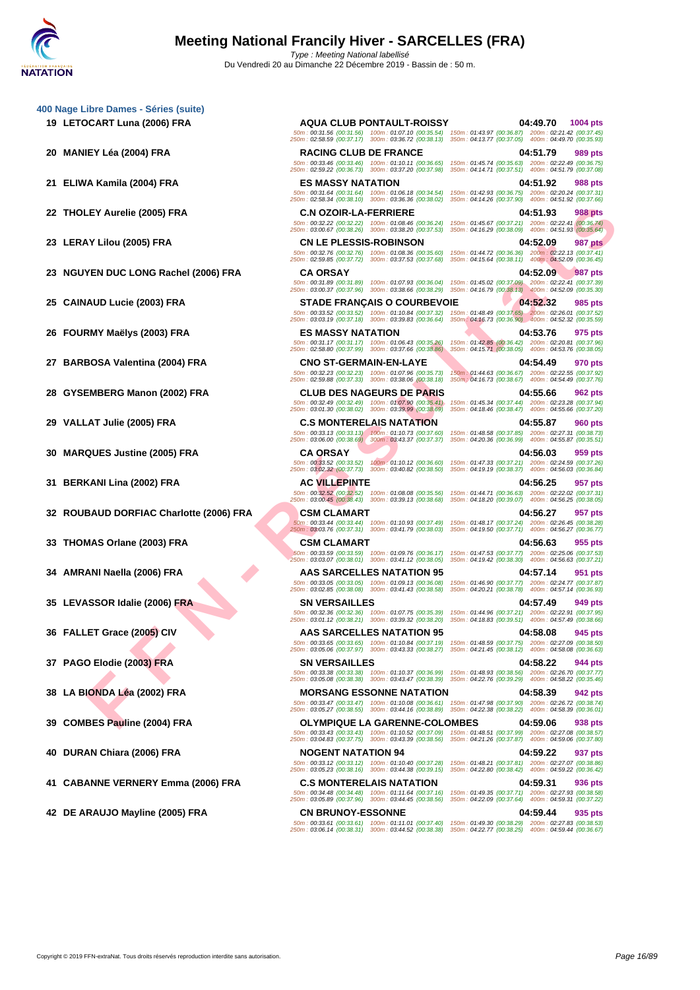- **[400 Nage](http://www.ffnatation.fr/webffn/index.php) Libre Dames Séries (suite)**
	-
	-
	-

- **23 NGUYEN DUC LONG Rachel (2006) FRA CA ORSAY 04:52.09 987 pts**
- 
- 
- 
- 
- 
- 
- 
- **32 ROUBAUD DORFIAC Charlotte (2006) FRA CSM CLAMART 04:56.27 957 pts**
- 
- 
- 
- 
- 
- 
- 
- 
- **41 CABANNE VERNERY Emma (2006) FRA C.S MONTERELAIS NATATION 04:59.31 936 pts**

LEY AIVIES (2005) FRA<br>
FAN URIGIDADE PRANTIC SURE COLORES AND TREATMOND STATE COMPLETES INTERNATIONAL COMPRESS AND SERVE THE SERVE TO A CONSUMER THE SERVE TO A CONSUMER THE SERVE TO A CONSUMER THE SERVE TO A CONSUMER THE S **19 LETOCART Luna (2006) FRA AQUA CLUB PONTAULT-ROISSY 04:49.70 1004 pts** 50m : 00:31.56 (00:31.56) 100m : 01:07.10 (00:35.54) 150m : 01:43.97 (00:36.87) 200m : 02:21.42 (00:37.45) 250m : 02:58.59 (00:37.17) 300m : 03:36.72 (00:38.13) 350m : 04:13.77 (00:37.05) 400m : 04:49.70 (00:35.93) **20 MANIEY Léa (2004) FRA RACING CLUB DE FRANCE 04:51.79 989 pts** 50m : 00:33.46 (00:33.46) 100m : 01:10.11 (00:36.65) 150m : 01:45.74 (00:35.63) 200m : 02:22.49 (00:36.75) 250m : 02:59.22 (00:36.73) 300m : 03:37.20 (00:37.98) 350m : 04:14.71 (00:37.51) 400m : 04:51.79 (00:37.08) **21 ELIWA Kamila (2004) FRA ES MASSY NATATION 04:51.92 988 pts** 50m : 00:31.64 (00:31.64) 100m : 01:06.18 (00:34.54) 150m : 01:42.93 (00:36.75) 200m : 02:20.24 (00:37.31) 250m : 02:58.34 (00:38.10) 300m : 03:36.36 (00:38.02) 350m : 04:14.26 (00:37.90) 400m : 04:51.92 (00:37.66) **22 THOLEY Aurelie (2005) FRA C.N OZOIR-LA-FERRIERE 04:51.93 988 pts** 50m : 00:32.22 (00:32.22) 100m : 01:08.46 (00:36.24) 150m : 01:45.67 (00:37.21) 200m : 02:22.41 (00:36.74) 250m : 03:00.67 (00:38.26) 300m : 03:38.20 (00:37.53) 350m : 04:16.29 (00:38.09) 400m : 04:51.93 (00:35.64) **23 LERAY Lilou (2005) FRA CN LE PLESSIS-ROBINSON 04:52.09 987 pts** 50m : 00:32.76 (00:32.76) 100m : 01:08.36 (00:35.60) 150m : 01:44.72 (00:36.36) 200m : 02:22.13 (00:37.41) 250m : 02:59.85 (00:37.72) 300m : 03:37.53 (00:37.68) 350m : 04:15.64 (00:38.11) 400m : 04:52.09 (00:36.45) 50m : 00:31.89 (00:31.89) 100m : 01:07.93 (00:36.04) 150m : 01:45.02 (00:37.09) 200m : 02:22.41 (00:37.39) 250m : 03:00.37 (00:37.96) 300m : 03:38.66 (00:38.29) 350m : 04:16.79 (00:38.13) 400m : 04:52.09 (00:35.30) **25 CAINAUD Lucie (2003) FRA STADE FRANÇAIS O COURBEVOIE 04:52.32 985 pts** 50m : 00:33.52 (00:33.52) 100m : 01:10.84 (00:37.32) 150m : 01:48.49 (00:37.65) 200m : 02:26.01 (00:37.52) 250m : 03:03.19 (00:37.18) 300m : 03:39.83 (00:36.64) 350m : 04:16.73 (00:36.90) 400m : 04:52.32 (00:35.59) **26 FOURMY Maëlys (2003) FRA ES MASSY NATATION 04:53.76 975 pts** 50m : 00:31.17 (00:31.17) 100m : 01:06.43 (00:35.26) 150m : 01:42.85 (00:36.42) 200m : 02:20.81 (00:37.96) 250m : 02:58.80 (00:37.99) 300m : 03:37.66 (00:38.86) 350m : 04:15.71 (00:38.05) 400m : 04:53.76 (00:38.05) **27 BARBOSA Valentina (2004) FRA CNO ST-GERMAIN-EN-LAYE 04:54.49 970 pts** 50m : 00:32.23 (00:32.23) 100m : 01:07.96 (00:35.73) 150m : 01:44.63 (00:36.67) 200m : 02:22.55 (00:37.92) 250m : 02:59.88 (00:37.33) 300m : 03:38.06 (00:38.18) 350m : 04:16.73 (00:38.67) 400m : 04:54.49 (00:37.76) **28 GYSEMBERG Manon (2002) FRA CLUB DES NAGEURS DE PARIS 04:55.66 962 pts** 50m : 00:32.49 (00:32.49) 100m : 01:07.90 (00:35.41) 150m : 01:45.34 (00:37.44) 200m : 02:23.28 (00:37.94) 250m : 03:01.30 (00:38.02) 300m : 03:39.99 (00:38.69) 350m : 04:18.46 (00:38.47) 400m : 04:55.66 (00:37.20) **29 VALLAT Julie (2005) FRA C.S MONTERELAIS NATATION 04:55.87 960 pts** 50m : 00:33.13 (00:33.13) 100m : 01:10.73 (00:37.60) 150m : 01:48.58 (00:37.85) 200m : 02:27.31 (00:38.73) 250m : 03:06.00 (00:38.69) 300m : 03:43.37 (00:37.37) 350m : 04:20.36 (00:36.99) 400m : 04:55.87 (00:35.51) **30 MARQUES Justine (2005) FRA CA ORSAY 04:56.03 959 pts** 50m : 00:33.52 (00:33.52) 100m : 01:10.12 (00:36.60) 150m : 01:47.33 (00:37.21) 200m : 02:24.59 (00:37.26) 250m : 03:02.32 (00:37.73) 300m : 03:40.82 (00:38.50) 350m : 04:19.19 (00:38.37) 400m : 04:56.03 (00:36.84) **31 BERKANI Lina (2002) FRA AC VILLEPINTE 04:56.25 957 pts** 50m : 00:32.52 (00:32.52) 100m : 01:08.08 (00:35.56) 150m : 01:44.71 (00:36.63) 200m : 02:22.02 (00:37.31) 250m : 03:00.45 (00:38.43) 300m : 03:39.13 (00:38.68) 350m : 04:18.20 (00:39.07) 400m : 04:56.25 (00:38.05) 50m : 00:33.44 (00:33.44) 100m : 01:10.93 (00:37.49) 150m : 01:48.17 (00:37.24) 200m : 02:26.45 (00:38.28) 250m : 03:03.76 (00:37.31) 300m : 03:41.79 (00:38.03) 350m : 04:19.50 (00:37.71) 400m : 04:56.27 (00:36.77) **33 THOMAS Orlane (2003) FRA CSM CLAMART COM**  $(00.33.59)$  **100m** : **01:09.76** (00:36.17) **150m** : **01:47.53** (00:37.77) **200m** : **02:25.06** (00:37.53) **155** pts<br> **250m** : **03:03.07** (00:38.01) **300m** : **03:41.12** ( 50m : 00:33.59 (00:33.59) 100m : 01:09.76 (00:36.17) 150m : 01:47.53 (00:37.77) 200m : 02:25.06 (00:37.53) 250m : 03:03.07 (00:38.01) 300m : 03:41.12 (00:38.05) 350m : 04:19.42 (00:38.30) 400m : 04:56.63 (00:37.21) **34 AMRANI Naella (2006) FRA AAS SARCELLES NATATION 95 04:57.14 951 pts** 50m : 00:33.05 (00:33.05) 100m : 01:09.13 (00:36.08) 150m : 01:46.90 (00:37.77) 200m : 02:24.77 (00:37.87) 250m : 03:02.85 (00:38.08) 300m : 03:41.43 (00:38.58) 350m : 04:20.21 (00:38.78) 400m : 04:57.14 (00:36.93) **35 LEVASSOR Idalie (2006) FRA SN VERSAILLES 04:57.49 949 pts** 50m : 00:32.36 (00:32.36) 100m : 01:07.75 (00:35.39) 150m : 01:44.96 (00:37.21) 200m : 02:22.91 (00:37.95) 250m : 03:01.12 (00:38.21) 300m : 03:39.32 (00:38.20) 350m : 04:18.83 (00:39.51) 400m : 04:57.49 (00:38.66) **36 FALLET Grace (2005) CIV AAS SARCELLES NATATION 95 04:58.08 945 pts** 50m : 00:33.65 (00:33.65) 100m : 01:10.84 (00:37.19) 150m : 01:48.59 (00:37.75) 200m : 02:27.09 (00:38.50) 250m : 03:05.06 (00:37.97) 300m : 03:43.33 (00:38.27) 350m : 04:21.45 (00:38.12) 400m : 04:58.08 (00:36.63) **37 PAGO Elodie (2003) FRA SN VERSAILLES 04:58.22 944 pts** 50m : 00:33.38 (00:33.38) 100m : 01:10.37 (00:36.99) 150m : 01:48.93 (00:38.56) 200m : 02:26.70 (00:37.77) 250m : 03:05.08 (00:38.38) 300m : 03:43.47 (00:38.39) 350m : 04:22.76 (00:39.29) 400m : 04:58.22 (00:35.46) **38 LA BIONDA Léa (2002) FRA MORSANG ESSONNE NATATION 04:58.39 942 pts** 50m : 00:33.47 (00:33.47) 100m : 01:10.08 (00:36.61) 150m : 01:47.98 (00:37.90) 200m : 02:26.72 (00:38.74) 250m : 03:05.27 (00:38.55) 300m : 03:44.16 (00:38.89) 350m : 04:22.38 (00:38.22) 400m : 04:58.39 (00:36.01) **39 COMBES Pauline (2004) FRA OLYMPIQUE LA GARENNE-COLOMBES 04:59.06 938 pts** 50m : 00:33.43 (00:33.43) 100m : 01:10.52 (00:37.09) 150m : 01:48.51 (00:37.99) 200m : 02:27.08 (00:38.57) 250m : 03:04.83 (00:37.75) 300m : 03:43.39 (00:38.56) 350m : 04:21.26 (00:37.87) 400m : 04:59.06 (00:37.80) **40 DURAN Chiara (2006) FRA NOGENT NATATION 94 04:59.22 937 pts** 50m : 00:33.12 (00:33.12) 100m : 01:10.40 (00:37.28) 150m : 01:48.21 (00:37.81) 200m : 02:27.07 (00:38.86) 250m : 03:05.23 (00:38.16) 300m : 03:44.38 (00:39.15) 350m : 04:22.80 (00:38.42) 400m : 04:59.22 (00:36.42) 50m : 00:34.48 (00:34.48) 100m : 01:11.64 (00:37.16) 150m : 01:49.35 (00:37.71) 200m : 02:27.93 (00:38.58) 250m : 03:05.89 (00:37.96) 300m : 03:44.45 (00:38.56) 350m : 04:22.09 (00:37.64) 400m : 04:59.31 (00:37.22) **42 DE ARAUJO Mayline (2005) FRA CN BRUNOY-ESSONNE 04:59.44 935 pts** 50m : 00:33.61 (00:33.61) 100m : 01:11.01 (00:37.40) 150m : 01:49.30 (00:38.29) 200m : 02:27.83 (00:38.53) 250m : 03:06.14 (00:38.31) 300m : 03:44.52 (00:38.38) 350m : 04:22.77 (00:38.25) 400m : 04:59.44 (00:36.67)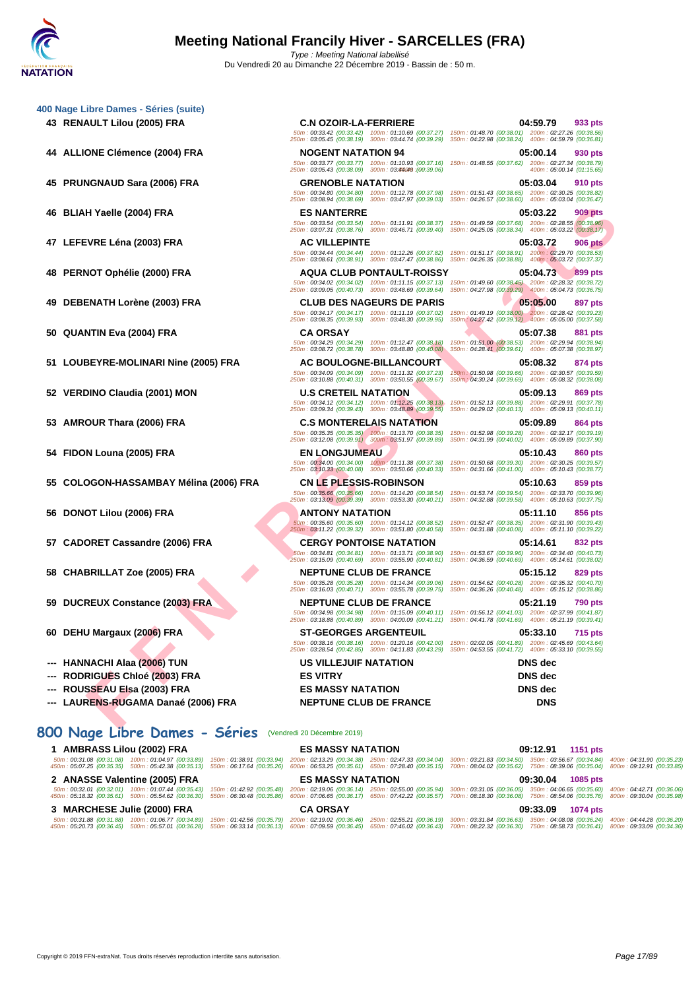**[400 Nage](http://www.ffnatation.fr/webffn/index.php) Libre Dames - Séries (suite)**

| 44 ALLIONE Clémence (2004) FRA            | <b>NOGENT NATATION 94</b>                                                                                 | 05:00.14<br>930 pts                                                                                                                 |
|-------------------------------------------|-----------------------------------------------------------------------------------------------------------|-------------------------------------------------------------------------------------------------------------------------------------|
|                                           | 250m: 03:05.43 (00:38.09) 300m: 03:44049 (00:39.06)                                                       | 50m: 00:33.77 (00:33.77) 100m: 01:10.93 (00:37.16) 150m: 01:48.55 (00:37.62) 200m: 02:27.34 (00:38.79)<br>400m: 05:00.14 (01:15.65) |
| 45 PRUNGNAUD Sara (2006) FRA              | <b>GRENOBLE NATATION</b>                                                                                  | 05:03.04<br>910 pts                                                                                                                 |
|                                           | 50m: 00:34.80 (00:34.80) 100m: 01:12.78 (00:37.98)<br>250m: 03:08.94 (00:38.69) 300m: 03:47.97 (00:39.03) | 150m: 01:51.43 (00:38.65) 200m: 02:30.25 (00:38.82)<br>350m: 04:26.57 (00:38.60) 400m: 05:03.04 (00:36.47)                          |
| 46 BLIAH Yaelle (2004) FRA                | <b>ES NANTERRE</b>                                                                                        | 05:03.22<br>909 pts                                                                                                                 |
|                                           | 50m: 00:33.54 (00:33.54) 100m: 01:11.91 (00:38.37)<br>250m: 03:07.31 (00:38.76) 300m: 03:46.71 (00:39.40) | 150m: 01:49.59 (00:37.68) 200m: 02:28.55 (00:38.96)<br>350m: 04:25.05 (00:38.34) 400m: 05:03.22 (00:38.17)                          |
| 47 LEFEVRE Léna (2003) FRA                | <b>AC VILLEPINTE</b>                                                                                      | 05:03.72<br><b>906 pts</b>                                                                                                          |
|                                           | 50m: 00:34.44 (00:34.44) 100m: 01:12.26 (00:37.82)                                                        | 150m: 01:51.17 (00:38.91) 200m: 02:29.70 (00:38.53)                                                                                 |
| 48                                        | 250m: 03:08.61 (00:38.91) 300m: 03:47.47 (00:38.86)<br><b>AQUA CLUB PONTAULT-ROISSY</b>                   | 350m: 04:26.35 (00:38.88) 400m: 05:03.72 (00:37.37)<br>05:04.73<br>899 pts                                                          |
| <b>PERNOT Ophélie (2000) FRA</b>          | 50m: 00:34.02 (00:34.02) 100m: 01:11.15 (00:37.13)                                                        | 150m: 01:49.60 (00:38.45) 200m: 02:28.32 (00:38.72)                                                                                 |
|                                           | 250m: 03:09.05 (00:40.73) 300m: 03:48.69 (00:39.64)                                                       | 350m: 04:27.98 (00:39.29) 400m: 05:04.73 (00:36.75)                                                                                 |
| 49<br><b>DEBENATH Lorène (2003) FRA</b>   | <b>CLUB DES NAGEURS DE PARIS</b><br>50m: 00:34.17 (00:34.17) 100m: 01:11.19 (00:37.02)                    | 05:05.00<br>897 pts<br>150m; 01:49.19 (00:38.00) 200m: 02:28.42 (00:39.23)                                                          |
|                                           | 250m: 03:08.35 (00:39.93) 300m: 03:48.30 (00:39.95)                                                       | 350m 04:27.42 (00:39.12) 400m 05:05.00 (00:37.58)                                                                                   |
| 50 QUANTIN Eva (2004) FRA                 | <b>CA ORSAY</b><br>50m: 00:34.29 (00:34.29) 100m: 01:12.47 (00:38.18)                                     | 05:07.38<br>881 pts<br>150m: 01:51.00 (00:38.53) 200m: 02:29.94 (00:38.94)                                                          |
|                                           | 250m: 03:08.72 (00:38.78) 300m: 03:48.80 (00:40.08)                                                       | 350m: 04:28.41 (00:39.61) 400m: 05:07.38 (00:38.97)                                                                                 |
| 51 LOUBEYRE-MOLINARI Nine (2005) FRA      | AC BOULOGNE-BILLANCOURT                                                                                   | 05:08.32<br>874 pts                                                                                                                 |
|                                           | 50m: 00:34.09 (00:34.09) 100m: 01:11.32 (00:37.23)<br>250m: 03:10.88 (00:40.31) 300m: 03:50.55 (00:39.67) | 150m: 01:50.98 (00:39.66) 200m: 02:30.57 (00:39.59)<br>350m : 04:30.24 (00:39.69) 400m : 05:08.32 (00:38.08)                        |
| 52 VERDINO Claudia (2001) MON             | <b>U.S CRETEIL NATATION</b>                                                                               | 05:09.13<br>869 pts                                                                                                                 |
|                                           | 50m: 00:34.12 (00:34.12) 100m: 01:12.25 (00:38.13)<br>250m: 03:09.34 (00:39.43) 300m: 03:48.89 (00:39.55) | 150m: 01:52.13 (00:39.88) 200m: 02:29.91 (00:37.78)<br>350m: 04:29.02 (00:40.13) 400m: 05:09.13 (00:40.11)                          |
| AMROUR Thara (2006) FRA<br>53             | <b>C.S MONTERELAIS NATATION</b>                                                                           | 05:09.89<br>864 pts                                                                                                                 |
|                                           | 50m: 00:35.35 (00:35.35) 100m: 01:13.70 (00:38.35)<br>250m: 03:12.08 (00:39.91) 300m: 03:51.97 (00:39.89) | 150m: 01:52.98 (00:39.28) 200m: 02:32.17 (00:39.19)<br>350m: 04:31.99 (00:40.02) 400m: 05:09.89 (00:37.90)                          |
| 54 FIDON Louna (2005) FRA                 | <b>EN LONGJUMEAU</b>                                                                                      | 05:10.43<br>860 pts                                                                                                                 |
|                                           | 50m: 00:34.00 (00:34.00) 100m: 01:11.38 (00:37.38)<br>250m: 03:10.33 (00:40.08) 300m: 03:50.66 (00:40.33) | 150m: 01:50.68 (00:39.30) 200m: 02:30.25 (00:39.57)<br>350m: 04:31.66 (00:41.00) 400m: 05:10.43 (00:38.77)                          |
| COLOGON-HASSAMBAY Mélina (2006) FRA<br>55 | <b>CN LE PLESSIS-ROBINSON</b>                                                                             | 05:10.63<br>859 pts                                                                                                                 |
|                                           | 50m: 00:35.66 (00:35.66) 100m: 01:14.20 (00:38.54)<br>250m: 03:13.09 (00:39.39) 300m: 03:53.30 (00:40.21) | 150m: 01:53.74 (00:39.54) 200m: 02:33.70 (00:39.96)<br>350m: 04:32.88 (00:39.58) 400m: 05:10.63 (00:37.75)                          |
| DONOT Lilou (2006) FRA<br>56              | <b>ANTONY NATATION</b>                                                                                    | 05:11.10<br>856 pts                                                                                                                 |
|                                           | 50m: 00:35.60 (00:35.60) 100m: 01:14.12 (00:38.52)<br>250m: 03:11.22 (00:39.32) 300m: 03:51.80 (00:40.58) | 150m: 01:52.47 (00:38.35) 200m: 02:31.90 (00:39.43)<br>350m: 04:31.88 (00:40.08) 400m: 05:11.10 (00:39.22)                          |
| 57 CADORET Cassandre (2006) FRA           | <b>CERGY PONTOISE NATATION</b>                                                                            | 05:14.61<br>832 pts                                                                                                                 |
|                                           | 50m: 00:34.81 (00:34.81) 100m: 01:13.71 (00:38.90)                                                        | 150m: 01:53.67 (00:39.96) 200m: 02:34.40 (00:40.73)                                                                                 |
|                                           | 250m: 03:15.09 (00:40.69) 300m: 03:55.90 (00:40.81)                                                       | 350m: 04:36.59 (00:40.69) 400m: 05:14.61 (00:38.02)                                                                                 |
| 58 CHABRILLAT Zoe (2005) FRA              | <b>NEPTUNE CLUB DE FRANCE</b><br>50m: 00:35.28 (00:35.28) 100m: 01:14.34 (00:39.06)                       | 05:15.12<br>829 pts<br>150m: 01:54.62 (00:40.28) 200m: 02:35.32 (00:40.70)                                                          |
|                                           | 250m: 03:16.03 (00:40.71) 300m: 03:55.78 (00:39.75)                                                       | 350m: 04:36.26 (00:40.48) 400m: 05:15.12 (00:38.86)                                                                                 |
| <b>DUCREUX Constance (2003) FRA</b><br>59 | <b>NEPTUNE CLUB DE FRANCE</b><br>50m: 00:34.98 (00:34.98) 100m: 01:15.09 (00:40.11)                       | 05:21.19<br><b>790 pts</b><br>150m: 01:56.12 (00:41.03) 200m: 02:37.99 (00:41.87)                                                   |
|                                           | 250m: 03:18.88 (00:40.89) 300m: 04:00.09 (00:41.21)                                                       | 350m: 04:41.78 (00:41.69) 400m: 05:21.19 (00:39.41)                                                                                 |
| DEHU Margaux (2006) FRA<br>60             | <b>ST-GEORGES ARGENTEUIL</b><br>50m: 00:38.16 (00:38.16) 100m: 01:20.16 (00:42.00)                        | 05:33.10<br><b>715 pts</b><br>150m: 02:02.05 (00:41.89) 200m: 02:45.69 (00:43.64)                                                   |
|                                           | 250m: 03:28.54 (00:42.85) 300m: 04:11.83 (00:43.29)                                                       | 350m: 04:53.55 (00:41.72)  400m: 05:33.10 (00:39.55)                                                                                |
| <b>HANNACHI Alaa (2006) TUN</b>           | <b>US VILLEJUIF NATATION</b>                                                                              | <b>DNS</b> dec                                                                                                                      |
| <b>RODRIGUES Chloé (2003) FRA</b>         | <b>ES VITRY</b>                                                                                           | <b>DNS</b> dec                                                                                                                      |
| <b>ROUSSEAU Elsa (2003) FRA</b>           | <b>ES MASSY NATATION</b>                                                                                  | <b>DNS</b> dec                                                                                                                      |
| LAURENS-RUGAMA Danaé (2006) FRA           | <b>NEPTUNE CLUB DE FRANCE</b>                                                                             | <b>DNS</b>                                                                                                                          |

- **--- ROUSSEAU Elsa (2003) FRA ES MASSY NATATION DNS dec**
- **--- LAURENS-RUGAMA Danaé (2006) FRA NEPTUNE CLUB DE FRANCE DNS**

# **800 Nage Libre Dames - Séries** (Vendredi 20 Décembre 2019)

| 1 AMBRASS Lilou (2002) FRA |                               | <b>ES MASSY NATATION</b> |                                                                                                                                                                                                                                                                                                                                                                                                                                                   | 09:12.91 1151 pts |  |
|----------------------------|-------------------------------|--------------------------|---------------------------------------------------------------------------------------------------------------------------------------------------------------------------------------------------------------------------------------------------------------------------------------------------------------------------------------------------------------------------------------------------------------------------------------------------|-------------------|--|
|                            |                               |                          | 50m : 00:31.08 (00:31.08) 100m : 01:04.97 (00:33.89) 150m : 01:38.91 (00:33.94) 200m : 02:13.29 (00:34.38) 250m : 02:47.33 (00:34.04) 300m : 03:21.83 (00:34.50) 350m : 03:56.67 (00:34.84) 400m : 04:31.90 (00:35.23)<br>450m : 05:07.25 (00:35.35) 500m : 05:42.38 (00:35.13) 550m : 06:17.64 (00:35.26) 600m : 06:53.25 (00:35.61) 650m : 07:28.40 (00:35.15) 700m : 08:04.02 (00:35.22) 750m : 08:39.06 (00:35.04) 800m : 09:12.91 (00:33.85) |                   |  |
|                            | 2 ANASSE Valentine (2005) FRA | <b>ES MASSY NATATION</b> |                                                                                                                                                                                                                                                                                                                                                                                                                                                   | 09:30.04 1085 pts |  |
|                            |                               |                          | 50m: 00:32.01 (00:32.01) 100m: 01:07.44 (00:35.43) 150m: 01:42.92 (00:35.48) 200m: 02:19.06 (00:36.14) 250m: 02:55.00 (00:35.94) 300m: 03:31.05 (00:36.05) 350m: 04:06.65 (00:35.60) 400m: 04:42.71 (00:36.06)<br>450m : 05:18.32 (00:35.61) 500m : 05:54.62 (00:36.30) 550m : 06:30.48 (00:35.86) 600m : 07:06.65 (00:36.17) 650m : 07:42.22 (00:35.57) 700m : 08:18.30 (00:36.08) 750m : 08:54.06 (00:35.76) 800m : 09:30.04 (00:35.88)         |                   |  |
|                            | 3 MARCHESE Julie (2000) FRA   | <b>CA ORSAY</b>          |                                                                                                                                                                                                                                                                                                                                                                                                                                                   | 09:33.09 1074 pts |  |
|                            |                               |                          | 50m:00:31.88 (00:31.88) 100m:01:06.77 (00:34.89) 150m:01:42.56 (00:35.79) 200m:02:19.02 (00:36.46) 250m:02:55.21 (00:36.19) 300m:03:31.84 (00:36.63) 350m:04:08.08 (00:36.24) 400m:04:44.28 (00:36.20)<br>450m : 05:20.73 (00:36.45) 500m : 05:57.01 (00:36.28) 550m : 06:33.14 (00:36.13) 600m : 07:09.59 (00:36.45) 650m : 07:46.02 (00:36.43) 700m : 08:22.32 (00:36.30) 750m : 08:58.73 (00:36.41) 800m : 09:33.09 (00:34.36)                 |                   |  |

Copyright © 2019 FFN-extraNat. Tous droits réservés reproduction interdite sans autorisation.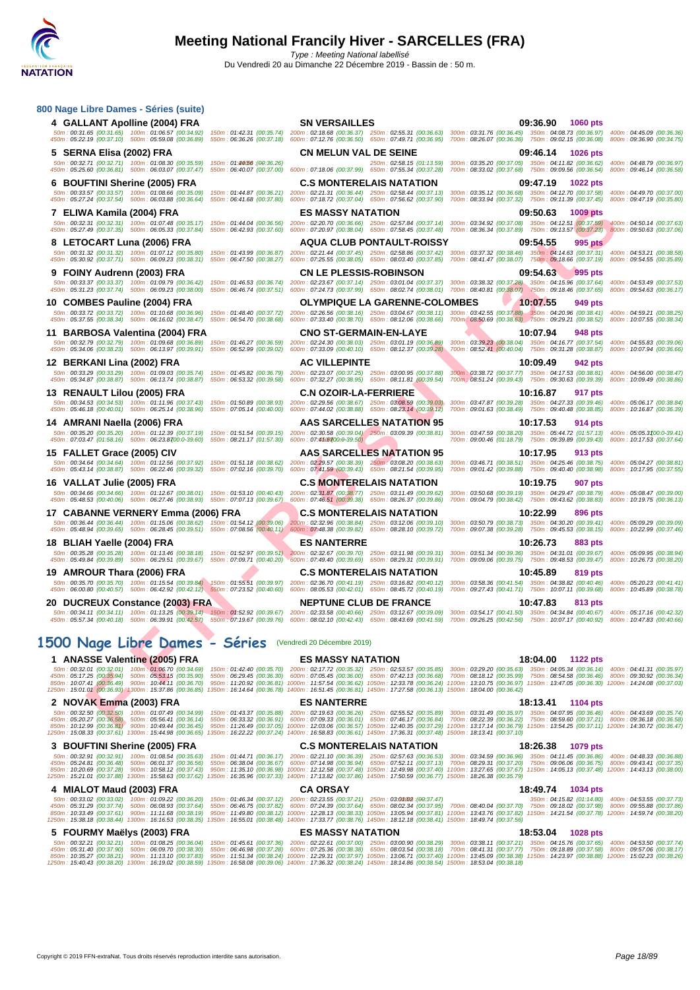| 800 Nage Libre Dames - Séries (suite)                                                                                                                                                                                                                                                                                                                                                                                                                                                                                                                                                                                 |                                                        |                                                                                                                                                                                                                                                                                                                            |                                                                               |                                                                                                            |                                                                                                                                                                |
|-----------------------------------------------------------------------------------------------------------------------------------------------------------------------------------------------------------------------------------------------------------------------------------------------------------------------------------------------------------------------------------------------------------------------------------------------------------------------------------------------------------------------------------------------------------------------------------------------------------------------|--------------------------------------------------------|----------------------------------------------------------------------------------------------------------------------------------------------------------------------------------------------------------------------------------------------------------------------------------------------------------------------------|-------------------------------------------------------------------------------|------------------------------------------------------------------------------------------------------------|----------------------------------------------------------------------------------------------------------------------------------------------------------------|
| 4 GALLANT Apolline (2004) FRA                                                                                                                                                                                                                                                                                                                                                                                                                                                                                                                                                                                         |                                                        | <b>SN VERSAILLES</b>                                                                                                                                                                                                                                                                                                       |                                                                               | 09:36.90<br><b>1060 pts</b>                                                                                |                                                                                                                                                                |
| 50m: 00:31.65 (00:31.65) 100m: 01:06.57 (00:34.92)<br>450m: 05:22.19 (00:37.10) 500m: 05:59.08 (00:36.89)                                                                                                                                                                                                                                                                                                                                                                                                                                                                                                             | 150m: 01:42.31 (00:35.74)                              | 200m: 02:18.68 (00:36.37) 250m: 02:55.31 (00:36.63) 300m: 03:31.76 (00:36.45) 350m: 04:08.73 (00:36.97) 400m: 04:45.09 (00:36.36)<br>550m: 06:36.26 (00:37.18) 600m: 07:12.76 (00:36.50) 650m: 07:49.71 (00:36.95)                                                                                                         |                                                                               |                                                                                                            | 700m: 08:26.07 (00:36.36) 750m: 09:02.15 (00:36.08) 800m: 09:36.90 (00:34.75)                                                                                  |
| 5 SERNA Elisa (2002) FRA                                                                                                                                                                                                                                                                                                                                                                                                                                                                                                                                                                                              |                                                        | <b>CN MELUN VAL DE SEINE</b>                                                                                                                                                                                                                                                                                               |                                                                               | 09:46.14<br><b>1026 pts</b>                                                                                |                                                                                                                                                                |
| 50m: 00:32.71 (00:32.71) 100m: 01:08.30 (00:35.59)<br>450m : 05:25.60 (00:36.81) 500m : 06:03.07 (00:37.47) 550m : 06:40.07 (00:37.00) 600m : 07:18.06 (00:37.99) 650m : 07:55.34 (00:37.28)                                                                                                                                                                                                                                                                                                                                                                                                                          | 150m: 01: <b>44/56</b> : ( <del>00</del> :36.26)       |                                                                                                                                                                                                                                                                                                                            | 250m: 02:58.15 (01:13.59) 300m: 03:35.20 (00:37.05) 350m: 04:11.82 (00:36.62) |                                                                                                            | 400m: 04:48.79 (00:36.97)<br>700m: 08:33.02 (00:37.68) 750m: 09:09.56 (00:36.54) 800m: 09:46.14 (00:36.58)                                                     |
| 6 BOUFTINI Sherine (2005) FRA                                                                                                                                                                                                                                                                                                                                                                                                                                                                                                                                                                                         |                                                        | <b>C.S MONTERELAIS NATATION</b>                                                                                                                                                                                                                                                                                            |                                                                               | 09:47.19<br><b>1022 pts</b>                                                                                |                                                                                                                                                                |
| 50m: 00:33.57 (00:33.57) 100m: 01:08.66 (00:35.09)<br>450m: 05:27.24 (00:37.54) 500m: 06:03.88 (00:36.64)                                                                                                                                                                                                                                                                                                                                                                                                                                                                                                             |                                                        | 150m: 01:44.87 (00:36.21) 200m: 02:21.31 (00:36.44) 250m: 02:58.44 (00:37.13) 300m: 03:35.12 (00:36.68) 350m: 04:12.70 (00:37.58) 400m: 04:49.70 (00:37.00)<br>550m: 06:41.68 (00:37.80) 600m: 07:18.72 (00:37.04) 650m: 07:56.62 (00:37.90)                                                                               |                                                                               |                                                                                                            | 700m: 08:33.94 (00:37.32) 750m: 09:11.39 (00:37.45) 800m: 09:47.19 (00:35.80)                                                                                  |
| 7 ELIWA Kamila (2004) FRA                                                                                                                                                                                                                                                                                                                                                                                                                                                                                                                                                                                             |                                                        | <b>ES MASSY NATATION</b>                                                                                                                                                                                                                                                                                                   |                                                                               | 09:50.63<br><b>1009 pts</b>                                                                                |                                                                                                                                                                |
| 50m: 00:32.31 (00:32.31) 100m: 01:07.48 (00:35.17) 150m: 01:44.04 (00:36.56)<br>450m: 05:27.49 (00:37.35) 500m: 06:05.33 (00:37.84)                                                                                                                                                                                                                                                                                                                                                                                                                                                                                   | 550m: 06:42.93 (00:37.60)                              | 200m: 02:20.70 (00:36.66) 250m: 02:57.84 (00:37.14) 300m: 03:34.92 (00:37.08) 350m: 04:12.51 (00:37.59) 400m: 04:50.14 (00:37.63)<br>600m: 07:20.97 (00:38.04) 650m: 07:58.45 (00:37.48) 700m: 08:36.34 (00:37.89) 750m: 09:13.57 (00:37.23) 800m: 09:50.63 (00:37.06)                                                     |                                                                               |                                                                                                            |                                                                                                                                                                |
| 8 LETOCART Luna (2006) FRA                                                                                                                                                                                                                                                                                                                                                                                                                                                                                                                                                                                            |                                                        | <b>AQUA CLUB PONTAULT-ROISSY</b>                                                                                                                                                                                                                                                                                           |                                                                               | 09:54.55<br>995 pts                                                                                        |                                                                                                                                                                |
| 50m : 00:31.32 (00:31.32) 100m : 01:07.12 (00:35.80) 150m : 01:43.99 (00:36.87) 200m : 02:21.44 (00:37.45) 250m : 02:58.86 (00:37.42) 300m : 03:37.32 (00:38.46) 350m : 04:14.63 (00:37.31) 400m : 04:53.21 (00:38.58)<br>450m : 05:30.92 (00:37.71) 500m : 06:09.23 (00:38.31) 550m : 06:47.50 (00:38.27) 600m : 07:25.55 (00:38.05) 650m : 08:03.40 (00:37.85) 700m : 08:41.47 (00:38.07) 750m : 09:18.66 (00:37.19) 800m : 09:54.55 (00:38.89)                                                                                                                                                                     |                                                        |                                                                                                                                                                                                                                                                                                                            |                                                                               |                                                                                                            |                                                                                                                                                                |
| 9 FOINY Audrenn (2003) FRA                                                                                                                                                                                                                                                                                                                                                                                                                                                                                                                                                                                            |                                                        | <b>CN LE PLESSIS-ROBINSON</b>                                                                                                                                                                                                                                                                                              |                                                                               | 09:54.63<br>995 pts                                                                                        |                                                                                                                                                                |
| 50m: 00:33.37 (00:33.37) 100m: 01:09.79 (00:36.42)<br>450m: 05:31.23 (00:37.74) 500m: 06:09.23 (00:38.00)                                                                                                                                                                                                                                                                                                                                                                                                                                                                                                             |                                                        | 150m: 01:46.53 (00:36.74) 200m: 02:23.67 (00:37.14) 250m: 03:01.04 (00:37.37) 300m: 03:38.32 (00:37.28) 350m: 04:15.96 (00:37.64) 400m: 04:53.49 (00:37.53)<br>550m: 06:46.74 (00:37.51) 600m: 07:24.73 (00:37.99) 650m: 08:02.74 (00:38.01) 700m: 08:40.81 (00:38.07) 750m: 09:18.46 (00:37.65) 800m: 09:54.63 (00:36.17) |                                                                               |                                                                                                            |                                                                                                                                                                |
| 10 COMBES Pauline (2004) FRA                                                                                                                                                                                                                                                                                                                                                                                                                                                                                                                                                                                          |                                                        | <b>OLYMPIQUE LA GARENNE-COLOMBES</b>                                                                                                                                                                                                                                                                                       |                                                                               | 10:07.55<br>949 pts                                                                                        |                                                                                                                                                                |
| 50m: 00:33.72 (00:33.72) 100m: 01:10.68 (00:36.96)<br>450m: 05:37.55 (00:38.34) 500m: 06:16.02 (00:38.47)                                                                                                                                                                                                                                                                                                                                                                                                                                                                                                             | 550m: 06:54.70 (00:38.68)                              | 150m: 01:48.40 (00:37.72) 200m: 02:26.56 (00:38.16) 250m: 03:04.67 (00:38.11)<br>600m: 07:33.40 (00:38.70) 650m: 08:12.06 (00:38.66)                                                                                                                                                                                       | 700m: 08:50.69 (00:38.63) 750m: 09:29.21 (00:38.52)                           |                                                                                                            | 300m; 03:42.55 (00:37.88) 350m: 04:20.96 (00:38.41) 400m: 04:59.21 (00:38.25)<br>800m: 10:07.55 (00:38.34)                                                     |
| 11 BARBOSA Valentina (2004) FRA                                                                                                                                                                                                                                                                                                                                                                                                                                                                                                                                                                                       |                                                        | <b>CNO ST-GERMAIN-EN-LAYE</b>                                                                                                                                                                                                                                                                                              |                                                                               | 10:07.94<br>948 pts                                                                                        |                                                                                                                                                                |
| 50m: 00:32.79 (00:32.79) 100m: 01:09.68 (00:36.89)<br>450m: 05:34.06 (00:38.23) 500m: 06:13.97 (00:39.91)                                                                                                                                                                                                                                                                                                                                                                                                                                                                                                             | 150m: 01:46.27 (00:36.59)<br>550m: 06:52.99 (00:39.02) | 200m: 02:24.30 (00:38.03) 250m: 03:01.19 (00:36.89)<br>600m: 07:33.09 (00:40.10) 650m: 08:12.37 (00:39.28) 700m: 08:52.41 (00:40.04) 750m: 09:31.28 (00:38.87)                                                                                                                                                             |                                                                               | 300m: 03:39.23 (00:38.04) 350m: 04:16.77 (00:37.54)                                                        | 400m: 04:55.83 (00:39.06)<br>800m: 10:07.94 (00:36.66)                                                                                                         |
| 12 BERKANI Lina (2002) FRA                                                                                                                                                                                                                                                                                                                                                                                                                                                                                                                                                                                            |                                                        | <b>AC VILLEPINTE</b>                                                                                                                                                                                                                                                                                                       |                                                                               | 10:09.49<br>942 pts                                                                                        |                                                                                                                                                                |
| 50m: 00:33.29 (00:33.29) 100m: 01:09.03 (00:35.74) 150m: 01:45.82 (00:36.79) 200m: 02:23.07 (00:37.25) 250m: 03:00.95 (00:37.88)<br>450m : 05:34.87 (00:38.87) 500m : 06:13.74 (00:38.87) 550m : 06:53.32 (00:39.58) 600m : 07:32.27 (00:38.95) 650m : 08:11.81 (00:39.54)                                                                                                                                                                                                                                                                                                                                            |                                                        |                                                                                                                                                                                                                                                                                                                            |                                                                               |                                                                                                            | 300m: 03:38.72 (00:37.77) 350m: 04:17.53 (00:38.81) 400m: 04:56.00 (00:38.47)<br>700m: 08:51.24 (00:39.43) 750m: 09:30.63 (00:39.39) 800m: 10:09.49 (00:38.86) |
| 13 RENAULT Lilou (2005) FRA                                                                                                                                                                                                                                                                                                                                                                                                                                                                                                                                                                                           |                                                        | <b>C.N OZOIR-LA-FERRIERE</b>                                                                                                                                                                                                                                                                                               |                                                                               | 10:16.87<br><b>917 pts</b>                                                                                 |                                                                                                                                                                |
| 50m: 00:34.53 (00:34.53) 100m: 01:11.96 (00:37.43) 150m: 01:50.89 (00:38.93) 200m: 02:29.56 (00:38.67) 250m: 03:08.59 (00:39.03) 300m: 03:47.87 (00:39.28) 350m: 04:27.33 (00:39.46) 400m: 05:06.17 (00:38.84)<br>450m : 05:46.18 (00:40.01) 500m : 06:25.14 (00:38.96) 550m : 07:05.14 (00:40.00) 600m : 07:44.02 (00:38.88) 650m : 08:23.14 (00:39.12)                                                                                                                                                                                                                                                              |                                                        |                                                                                                                                                                                                                                                                                                                            |                                                                               |                                                                                                            | 700m: 09:01.63 (00:38.49) 750m: 09:40.48 (00:38.85) 800m: 10:16.87 (00:36.39)                                                                                  |
| 14 AMRANI Naella (2006) FRA                                                                                                                                                                                                                                                                                                                                                                                                                                                                                                                                                                                           |                                                        | AAS SARCELLES NATATION 95                                                                                                                                                                                                                                                                                                  |                                                                               | 10:17.53<br>914 pts                                                                                        |                                                                                                                                                                |
| 50m: 00:35.20 (00:35.20) 100m: 01:12.39 (00:37.19) 150m: 01:51.54 (00:39.15) 200m: 02:30.58 (00:39.04) 250m: 03:09.39 (00:38.81)<br>450m: 07:03.47 (01:58.16) 500m: 06:23.8700:0-39.60) 550m: 08:21.17 (01:57.30) 600m: 07:4506700:0-39.50)                                                                                                                                                                                                                                                                                                                                                                           |                                                        |                                                                                                                                                                                                                                                                                                                            |                                                                               |                                                                                                            | 300m: 03:47.59 (00:38.20) 350m: 05:44.72 (01:57.13) 400m: 05:05.3100:0-39.41)<br>700m: 09:00.46 (01:18.79) 750m: 09:39.89 (00:39.43) 800m: 10:17.53 (00:37.64) |
| 15 FALLET Grace (2005) CIV                                                                                                                                                                                                                                                                                                                                                                                                                                                                                                                                                                                            |                                                        | <b>AAS SARCELLES NATATION 95</b>                                                                                                                                                                                                                                                                                           |                                                                               | 10:17.95<br>913 pts                                                                                        |                                                                                                                                                                |
| 50m: 00:34.64 (00:34.64) 100m: 01:12.56 (00:37.92) 150m: 01:51.18 (00:38.62) 200m: 02:29.57 (00:38.39) 250m: 03:08.20 (00:38.63)<br>450m: 05:43.14 (00:38.87) 500m: 06:22.46 (00:39.32)                                                                                                                                                                                                                                                                                                                                                                                                                               | 550m: 07:02.16 (00:39.70)                              | 600m: 07:41.59 (00:39.43) 650m: 08:21.54 (00:39.95)                                                                                                                                                                                                                                                                        |                                                                               |                                                                                                            | 300m: 03:46.71 (00:38.51) 350m: 04:25.46 (00:38.75) 400m: 05:04.27 (00:38.81)<br>700m: 09:01.42 (00:39.88) 750m: 09:40.40 (00:38.98) 800m: 10:17.95 (00:37.55) |
| 16 VALLAT Julie (2005) FRA                                                                                                                                                                                                                                                                                                                                                                                                                                                                                                                                                                                            |                                                        | <b>C.S MONTERELAIS NATATION</b>                                                                                                                                                                                                                                                                                            |                                                                               | 10:19.75<br>907 pts                                                                                        |                                                                                                                                                                |
| 50m: 00:34.66 (00:34.66) 100m: 01:12.67 (00:38.01) 150m: 01:53.10 (00:40.43) 200m: 02:31.87 (00:38.77) 250m: 03:11.49 (00:39.62)<br>450m : 05:48.53 (00:40.06) 500m : 06:27.46 (00:38.93) 550m : 07:07.13 (00:39.67) 600m : 07:46.51 (00:39.38) 650m : 08:26.37 (00:39.86)                                                                                                                                                                                                                                                                                                                                            |                                                        |                                                                                                                                                                                                                                                                                                                            |                                                                               |                                                                                                            | 300m: 03:50.68 (00:39.19) 350m: 04:29.47 (00:38.79) 400m: 05:08.47 (00:39.00)<br>700m: 09:04.79 (00:38.42) 750m: 09:43.62 (00:38.83) 800m: 10:19.75 (00:36.13) |
| 17 CABANNE VERNERY Emma (2006) FRA                                                                                                                                                                                                                                                                                                                                                                                                                                                                                                                                                                                    |                                                        | <b>C.S MONTERELAIS NATATION</b>                                                                                                                                                                                                                                                                                            |                                                                               | 10:22.99<br>896 pts                                                                                        |                                                                                                                                                                |
| 50m: 00:36.44 (00:36.44) 100m: 01:15.06 (00:38.62) 150m: 01:54.12 (00:39.06) 200m: 02:32.96 (00:38.84) 250m: 03:12.06 (00:39.10)<br>450m: 05:48.94 (00:39.65) 500m: 06:28.45 (00:39.51) 550m: 07:08.56 (00:40.11) 600m: 07:48.38 (00:39.82) 650m: 08:28.10 (00:39.72)                                                                                                                                                                                                                                                                                                                                                 |                                                        |                                                                                                                                                                                                                                                                                                                            |                                                                               |                                                                                                            | 300m: 03:50.79 (00:38.73) 350m: 04:30.20 (00:39.41) 400m: 05:09.29 (00:39.09)<br>700m: 09:07.38 (00:39.28) 750m: 09:45.53 (00:38.15) 800m: 10:22.99 (00:37.46) |
| 18 BLIAH Yaelle (2004) FRA                                                                                                                                                                                                                                                                                                                                                                                                                                                                                                                                                                                            |                                                        | <b>ES NANTERRE</b>                                                                                                                                                                                                                                                                                                         |                                                                               | 10:26.73<br>883 pts                                                                                        |                                                                                                                                                                |
| 50m: 00:35.28 (00:35.28) 100m: 01:13.46 (00:38.18) 150m: 01:52.97 (00:39.51) 200m: 02:32.67 (00:39.70) 250m: 03:11.98 (00:39.31)<br>450m: 05:49.84 (00:39.89) 500m: 06:29.51 (00:39.67) 550m: 07:09.71 (00:40.20) 600m: 07:49.40 (00:39.69) 650m: 08:29.31 (00:39.91)                                                                                                                                                                                                                                                                                                                                                 |                                                        |                                                                                                                                                                                                                                                                                                                            |                                                                               |                                                                                                            | 300m: 03:51.34 (00:39.36) 350m: 04:31.01 (00:39.67) 400m: 05:09.95 (00:38.94)<br>700m: 09:09.06 (00:39.75) 750m: 09:48.53 (00:39.47) 800m: 10:26.73 (00:38.20) |
| 19 AMROUR Thara (2006) FRA                                                                                                                                                                                                                                                                                                                                                                                                                                                                                                                                                                                            |                                                        | <b>C.S MONTERELAIS NATATION</b>                                                                                                                                                                                                                                                                                            |                                                                               | 10:45.89<br>819 pts                                                                                        |                                                                                                                                                                |
| 50m: 00:35.70 (00:35.70) 100m: 01:15.54 (00:39.84) 150m: 01:55.51 (00:39.97)<br>450m: 06:00.80 (00:40.57) 500m: 06:42.92 (00:42.12) 550m: 07:23.52 (00:40.60)                                                                                                                                                                                                                                                                                                                                                                                                                                                         |                                                        | 200m: 02:36.70 (00:41.19) 250m: 03:16.82 (00:40.12)<br>600m: 08:05.53 (00:42.01) 650m: 08:45.72 (00:40.19)                                                                                                                                                                                                                 |                                                                               | 300m: 03:58.36 (00:41.54) 350m: 04:38.82 (00:40.46)<br>700m: 09:27.43 (00:41.71) 750m: 10:07.11 (00:39.68) | 400m: 05:20.23 (00:41.41)<br>800m: 10:45.89 (00:38.78)                                                                                                         |
| 20 DUCREUX Constance (2003) FRA                                                                                                                                                                                                                                                                                                                                                                                                                                                                                                                                                                                       |                                                        | <b>NEPTUNE CLUB DE FRANCE</b>                                                                                                                                                                                                                                                                                              |                                                                               | 10:47.83<br>813 pts                                                                                        |                                                                                                                                                                |
| 50m: 00:34.11 (00:34.11) 100m: 01:13.25 (00:39.14) 150m: 01:52.92 (00:39.67) 200m: 02:33.58 (00:40.66) 250m: 03:12.67 (00:39.09) 300m: 03:54.17 (00:41.50) 350m: 04:34.84 (00:40.67) 400m: 05:17.16 (00:42.32)<br>450m : 05:57.34 (00:40.18) 500m : 06:39.91 (00:42.57) 550m : 07:19.67 (00:39.76) 600m : 08:02.10 (00:42.43) 650m : 08:43.69 (00:41.59) 700m : 09:26.25 (00:42.56) 750m : 10:07.17 (00:40.92) 800m : 10:47.83 (00:40.66)                                                                                                                                                                             |                                                        |                                                                                                                                                                                                                                                                                                                            |                                                                               |                                                                                                            |                                                                                                                                                                |
| 1500 Nage Libre Dames - Séries (Vendredi 20 Décembre 2019)                                                                                                                                                                                                                                                                                                                                                                                                                                                                                                                                                            |                                                        |                                                                                                                                                                                                                                                                                                                            |                                                                               |                                                                                                            |                                                                                                                                                                |
| 1 ANASSE Valentine (2005) FRA                                                                                                                                                                                                                                                                                                                                                                                                                                                                                                                                                                                         |                                                        | <b>ES MASSY NATATION</b>                                                                                                                                                                                                                                                                                                   |                                                                               | 18:04.00<br>1122 pts                                                                                       |                                                                                                                                                                |
| 50m: 00:32.01 (00:32.01) 100m: 01:06.70 (00:34.69) 150m: 01:42.40 (00:35.70) 200m: 02:17.72 (00:35.32) 250m: 02:53.57 (00:35.85) 300m: 03:29.20 (00:35.63) 350m: 04:05.34 (00:36.14) 400m: 04:41.31 (00:35.97)                                                                                                                                                                                                                                                                                                                                                                                                        |                                                        |                                                                                                                                                                                                                                                                                                                            |                                                                               |                                                                                                            |                                                                                                                                                                |
| 450m : 05:17.25 (00:35.94) 500m : 05:53.15 (00:35.90) 550m : 06:29.45 (00:36.30) 600m : 07:05.45 (00:36.00) 650m : 07:42.13 (00:36.68) 700m : 08:18.12 (00:35.99) 750m : 08:54.58 (00:36.46) 800m : 09:30.92 (00:36.34)<br>850m: 10:07.41 (00:36.49) 900m: 10:44.11 (00:36.70) 950m: 11:20.92 (00:36.81) 1000m: 11:57.54 (00:36.62) 1050m: 12:33.78 (00:36.24) 1100m: 13:10.75 (00:36.97) 1150m: 13:47.05 (00:36.30) 1200m: 14:24.08 (00:37.03)<br>1250m: 15:01.01 (00:36.93) 1300m: 15:37.86 (00:36.85) 1350m: 16:14.64 (00:36.78) 1400m: 16:51.45 (00:36.81) 1450m: 17:27.58 (00:36.13) 1500m: 18:04.00 (00:36.42)  |                                                        |                                                                                                                                                                                                                                                                                                                            |                                                                               |                                                                                                            |                                                                                                                                                                |
| 2 NOVAK Emma (2003) FRA                                                                                                                                                                                                                                                                                                                                                                                                                                                                                                                                                                                               |                                                        | <b>ES NANTERRE</b>                                                                                                                                                                                                                                                                                                         |                                                                               | 18:13.41<br>1104 pts                                                                                       |                                                                                                                                                                |
| 50m : 00:32.50 (00:32.50) 100m : 01:07.49 (00:34.99) 150m : 01:43.37 (00:35.88) 200m : 02:19.63 (00:36.26) 250m : 02:55.52 (00:35.89) 300m : 03:31.49 (00:35.97) 350m : 04:07.95 (00:36.46) 400m : 04:43.69 (00:35.74)<br>450m : 05:20.27 (00:36,58) 500m : 05:56.41 (00:36.14) 550m : 06:33.32 (00:36.91) 600m : 07:09.33 (00:36.01) 650m : 07:46.17 (00:36.84) 700m : 08:22.39 (00:36.22) 750m : 08:59.60 (00:37.21) 800m : 09:36.18 (00:36.58)                                                                                                                                                                     |                                                        |                                                                                                                                                                                                                                                                                                                            |                                                                               |                                                                                                            |                                                                                                                                                                |
| 850m: 10:12.99 (00:36.81) 900m: 10:49.44 (00:36.45) 950m: 11:26.49 (00:37.05) 1000m: 12:03.06 (00:36.57) 1050m: 12:40.35 (00:37.29) 1100m: 13:17.14 (00:36.79) 1150m: 13:54.25 (00:37.11) 1200m: 14:30.72 (00:36.47)<br>1250m: 15:08.33 (00:37.61) 1300m: 15:44.98 (00:36.65) 1350m: 16:22.22 (00:37.24) 1400m: 16:58.83 (00:36.61) 1450m: 17:36.31 (00:37.48) 1500m: 18:13.41 (00:37.10)                                                                                                                                                                                                                             |                                                        |                                                                                                                                                                                                                                                                                                                            |                                                                               |                                                                                                            |                                                                                                                                                                |
| 3 BOUFTINI Sherine (2005) FRA                                                                                                                                                                                                                                                                                                                                                                                                                                                                                                                                                                                         |                                                        | <b>C.S MONTERELAIS NATATION</b>                                                                                                                                                                                                                                                                                            |                                                                               | 18:26.38<br><b>1079 pts</b>                                                                                |                                                                                                                                                                |
| 50m: 00:32.91 (00:32.91) 100m: 01:08.54 (00:35.63)<br>450m: 05:24.81 (00:36.48) 500m: 06:01.37 (00:36.56)<br>850m: 10:20.69 (00:37.28) 900m: 10:58.12 (00:37.43) 950m: 11:35.10 (00:36.98) 1000m: 12:12.58 (00:37.48) 1050m: 12:49.98 (00:37.40) 1100m: 13:27.65 (00:37.67) 1150m: 14:05.13 (00:37.48) 1200m: 14:43.13 (00:38.00)                                                                                                                                                                                                                                                                                     |                                                        | 150m: 01:44.71 (00:36.17) 200m: 02:21.10 (00:36.39) 250m: 02:57.63 (00:36.53) 300m: 03:34.59 (00:36.96) 350m: 04:11.45 (00:36.86) 400m: 04:48.33 (00:36.88)<br>550m: 06:38.04 (00:36.67) 600m: 07:14.98 (00:36.94) 650m: 07:52.11 (00:37.13)                                                                               |                                                                               |                                                                                                            | 700m: 08:29.31 (00:37.20) 750m: 09:06.06 (00:36.75) 800m: 09:43.41 (00:37.35)                                                                                  |
| 1250m : 15:21.01 (00:37.88) 1300m : 15:58.63 (00:37.62) 1350m : 16:35.96 (00:37.33) 1400m : 17:13.82 (00:37.86) 1450m : 17:50.59 (00:36.77) 1500m : 18:26.38 (00:35.79)                                                                                                                                                                                                                                                                                                                                                                                                                                               |                                                        |                                                                                                                                                                                                                                                                                                                            |                                                                               |                                                                                                            |                                                                                                                                                                |
| 4 MIALOT Maud (2003) FRA<br>50m: 00:33.02 (00:33.02) 100m: 01:09.22 (00:36.20) 150m: 01:46.34 (00:37.12) 200m: 02:23.55 (00:37.21) 250m: 03:00002 (00:37.47)                                                                                                                                                                                                                                                                                                                                                                                                                                                          |                                                        | <b>CA ORSAY</b>                                                                                                                                                                                                                                                                                                            |                                                                               | 18:49.74<br>1034 pts                                                                                       | 350m: 04:15.82 (01:14.80) 400m: 04:53.55 (00:37.73)                                                                                                            |
| 450m : 05:31.29 (00:37.74) 500m : 06:08.93 (00:37.64) 550m : 06:46.75 (00:37.82) 600m : 07:24.39 (00:37.64) 650m : 08:02.34 (00:37.95) 700m : 08:40.04 (00:37.70) 750m : 09:18.02 (00:37.98) 800m : 09:55.88 (00:37.86)<br>850m: 10:33.49 (00:37.61) 900m: 11:11.68 (00:38.19) 950m: 11:49.80 (00:38.12) 1000m: 12:28.13 (00:38.33) 1050m: 13:05.94 (00:37.81) 1100m: 13:43.76 (00:37.82) 1150m: 14:121.54 (00:37.78) 1200m: 14:59.74 (00:38.20)<br>1250m: 15:38.18 (00:38.44) 1300m: 16:16.53 (00:38.35) 1350m: 16:55.01 (00:38.48) 1400m: 17:33.77 (00:38.76) 1450m: 18:12.18 (00:38.41) 1500m: 18:49.74 (00:37.56) |                                                        |                                                                                                                                                                                                                                                                                                                            |                                                                               |                                                                                                            |                                                                                                                                                                |

| 5 FOURMY Maëlys (2003) FRA                                                                                                                                        |  | <b>ES MASSY NATATION</b> |  | 18:53.04 1028 pts |                                                                                                                                                                                                                      |
|-------------------------------------------------------------------------------------------------------------------------------------------------------------------|--|--------------------------|--|-------------------|----------------------------------------------------------------------------------------------------------------------------------------------------------------------------------------------------------------------|
|                                                                                                                                                                   |  |                          |  |                   | 50m:00:32.21 (00:32.21) 100m:01:08.25 (00:36.04) 150m:01:45.61 (00:37.36) 200m:02:22.61 (00:37.00) 250m:03:00.90 (00:38.29) 300m:03:38.11 (00:37.21) 350m:04:15.76 (00:37.65) 400m:04:53.50 (00:37.74)               |
|                                                                                                                                                                   |  |                          |  |                   | 450m: 05:31.40 (00:37.90) 500m: 06:09.70 (00:38.30) 550m: 06:46.98 (00:37.28) 600m: 07:25.36 (00:38.38) 650m: 08:03.54 (00:38.18) 700m: 08:41.31 (00:37.77) 750m: 09:18.89 (00:37.58) 800m: 09:57.06 (00:38.17       |
|                                                                                                                                                                   |  |                          |  |                   | 850m: 10:35.27 (00:38.21) 900m: 11:13.10 (00:37.83) 950m: 11:51.34 (00:38.24) 1000m: 12:29.31 (00:37.97) 1050m: 13:06.71 (00:37.40) 1100m: 13:45.09 (00:38.38) 1150m: 14:23.97 (00:38.88) 1200m: 15:02.23 (00:38.26) |
| 1250m: 15:40.43 (00:38.20) 1300m: 16:19.02 (00:38.59) 1350m: 16:58.08 (00:39.06) 1400m: 17:36.32 (00:38.24) 1450m: 18:14.86 (00:38.54) 1500m: 18:53.04 (00:38.18) |  |                          |  |                   |                                                                                                                                                                                                                      |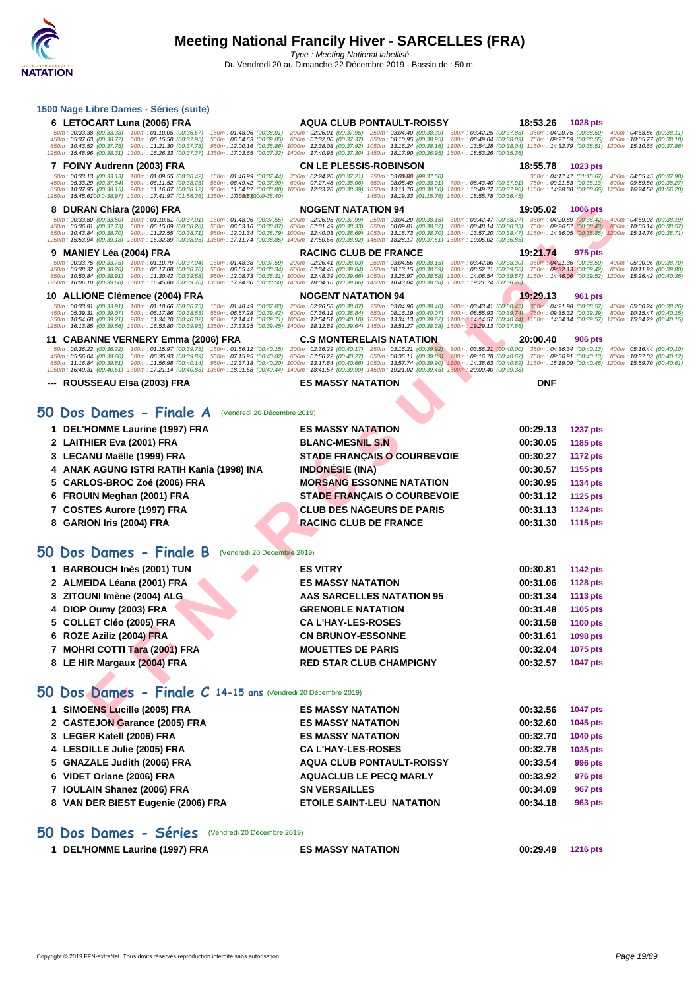| 1500 Nage Libre Dames - Séries (suite)                                                                                                                                                                                                                                                                                                                                                    |                                                                                                                                                                                                                                                                                                                                                                                                                        |                      |                      |                                                                               |
|-------------------------------------------------------------------------------------------------------------------------------------------------------------------------------------------------------------------------------------------------------------------------------------------------------------------------------------------------------------------------------------------|------------------------------------------------------------------------------------------------------------------------------------------------------------------------------------------------------------------------------------------------------------------------------------------------------------------------------------------------------------------------------------------------------------------------|----------------------|----------------------|-------------------------------------------------------------------------------|
| 6 LETOCART Luna (2006) FRA                                                                                                                                                                                                                                                                                                                                                                | <b>AQUA CLUB PONTAULT-ROISSY</b>                                                                                                                                                                                                                                                                                                                                                                                       | 18:53.26             | 1028 pts             |                                                                               |
| 50m: 00:33.38 (00:33.38) 100m: 01:10.05 (00:36.67)<br>150m: 01:48.06 (00:38.01) 200m: 02:26.01 (00:37.95)<br>450m: 05:37.63 (00:38.77) 500m: 06:15.58 (00:37.95)<br>550m: 06:54.63 (00:39.05)                                                                                                                                                                                             | 250m: 03:04.40 (00:38.39) 300m: 03:42.25 (00:37.85) 350m: 04:20.75 (00:38.50)<br>600m: 07:32.00 (00:37.37) 650m: 08:10.95 (00:38.95) 700m: 08:49.04 (00:38.09) 750m: 09:27.59 (00:38.55)                                                                                                                                                                                                                               |                      |                      | 400m: 04:58.86 (00:38.11)<br>800m: 10:05.77 (00:38.18)                        |
| 850m: 10:43.52 (00:37.75) 900m: 11:21.30 (00:37.78)<br>1250m: 15:48.96 (00:38.31) 1300m: 16:26.33 (00:37.37) 1350m: 17:03.65 (00:37.32) 1400m: 17:40.95 (00:37.30) 1450m: 18:17.90 (00:36.95) 1500m: 18:53.26 (00:36.36)                                                                                                                                                                  | 950m: 12:00.16 (00:38.86) 1000m: 12:38.08 (00:37.92) 1050m: 13:16.24 (00:38.16) 1100m: 13:54.28 (00:38.04) 1150m: 14:32.79 (00:38.51) 1200m: 15:10.65 (00:37.86)                                                                                                                                                                                                                                                       |                      |                      |                                                                               |
| 7 FOINY Audrenn (2003) FRA                                                                                                                                                                                                                                                                                                                                                                | <b>CN LE PLESSIS-ROBINSON</b>                                                                                                                                                                                                                                                                                                                                                                                          | 18:55.78             | 1023 pts             |                                                                               |
| 50m: 00:33.13 (00:33.13) 100m: 01:09.55 (00:36.42)<br>450m: 05:33.29 (00:37.84) 500m: 06:11.52 (00:38.23)<br>550m: 06:49.42 (00:37.90)                                                                                                                                                                                                                                                    | 150m: 01:46.99 (00:37.44) 200m: 02:24.20 (00:37.21) 250m: 03:00/80 :(00:37.60)<br>600m: 07:27.48 (00:38.06) 650m: 08:05.49 (00:38.01) 700m: 08:43.40 (00:37.91) 750m: 09:21.53 (00:38.13) 800m: 09:59.80 (00:38.27)                                                                                                                                                                                                    |                      |                      | 350m: 04:17.47 (01:15.67) 400m: 04:55.45 (00:37.98)                           |
| 850m: 10:37.95 (00:38.15)<br>900m: 11:16.07 (00:38.12)<br>1250m: 15:45.6100:0-38.97) 1300m: 17:41.97 (01:56.36) 1350m: 17t0805100:0-38.40)                                                                                                                                                                                                                                                | 950m: 11:54.87 (00:38.80) 1000m: 12:33.26 (00:38.39) 1050m: 13:11.76 (00:38.50) 1100m: 13:49.72 (00:37.96) 1150m: 14:28.38 (00:38.66) 1200m: 16:24.58 (01:56.20)<br>1450m: 18:19.33 (01:15.76) 1500m: 18:55.78 (00:36.45)                                                                                                                                                                                              |                      |                      |                                                                               |
| 8 DURAN Chiara (2006) FRA                                                                                                                                                                                                                                                                                                                                                                 | <b>NOGENT NATATION 94</b>                                                                                                                                                                                                                                                                                                                                                                                              | 19:05.02             | <b>1006 pts</b>      |                                                                               |
| 50m: 00:33.50 (00:33.50) 100m: 01:10.51 (00:37.01) 150m: 01:48.06 (00:37.55) 200m: 02:26.05 (00:37.99) 250m: 03:04.20 (00:38.15) 300m: 03:42.47 (00:38.27) 350m: 04:20.89 (00:38.42) 400m: 04:59.08 (00:38.19)<br>450m: 05:36.81 (00:37.73) 500m: 06:15.09 (00:38.28)                                                                                                                     | 550m: 06:53.16 (00:38.07) 600m: 07:31.49 (00:38.33) 650m: 08:09.81 (00:38.32) 700m: 08:48.14 (00:38.33) 750m: 09:26.57 (00:38.43) 800m: 10:05.14 (00:38.57)                                                                                                                                                                                                                                                            |                      |                      |                                                                               |
| 850m: 10:43.84 (00:38.70) 900m: 11:22.55 (00:38.71) 950m: 12:01.34 (00:38.79) 1000m: 12:40.03 (00:38.69) 1050m: 13:18.73 (00:38.70) 1100m: 13:57.20 (00:38.47) 1150m: 14:36.05 (00:38.85) 1200m: 15:14.76 (00:38.71)<br>1250m: 15:53.94 (00:39.18) 1300m: 16:32.89 (00:38.95) 1350m: 17:11.74 (00:38.85) 1400m: 17:50.66 (00:38.92) 1450m: 18:28.17 (00:37.51) 1500m: 19:05.02 (00:36.85) |                                                                                                                                                                                                                                                                                                                                                                                                                        |                      |                      |                                                                               |
| 9 MANIEY Léa (2004) FRA                                                                                                                                                                                                                                                                                                                                                                   | <b>RACING CLUB DE FRANCE</b>                                                                                                                                                                                                                                                                                                                                                                                           | 19:21.74             | 975 pts              |                                                                               |
| 50m: 00:33.75 (00:33.75)<br>450m: 05:38.32 (00:38.26) 500m: 06:17.08 (00:38.76)<br>850m: 10:50.84 (00:38.91) 900m: 11:30.42 (00:39.58) 950m: 12:08.73 (00:38.31) 1000m: 12:48.39 (00:39.66) 1050m: 13:26.97 (00:38.58) 1100m: 14:06.54 (00:39.57) 1150m: 14:46.06 (00:39.52) 1200m: 15:26.42 (00:40.36)                                                                                   | 100m: 01:10.79 (00:37.04) 150m: 01:48.38 (00:37.59) 200m: 02:26.41 (00:38.03) 250m: 03:04.56 (00:38.15) 300m: 03:42.86 (00:38.30) 350m: 04:21.36 (00:38.50) 400m: 05:00.06 (00:38.70)<br>550m: 06:55.42 (00:38.34) 600m: 07:34.46 (00:39.04) 650m: 08:13.15 (00:38.69) 700m: 08:52.71 (00:39.56) 750m: 09:32.13 (00:39.42) 800m: 10:11.93 (00:39.80)                                                                   |                      |                      |                                                                               |
| 1250m: 16:06.10 (00:39.68) 1300m: 16:45.80 (00:39.70) 1350m: 17:24.30 (00:38.50) 1400m: 18:04.16 (00:39.86) 1450m: 18:43.04 (00:38.88) 1500m: 19:21.74 (00:38.70)                                                                                                                                                                                                                         |                                                                                                                                                                                                                                                                                                                                                                                                                        |                      |                      |                                                                               |
| 10 ALLIONE Clémence (2004) FRA                                                                                                                                                                                                                                                                                                                                                            | <b>NOGENT NATATION 94</b>                                                                                                                                                                                                                                                                                                                                                                                              | 19:29.13             | 961 pts              |                                                                               |
| 50m: 00:33.91 (00:33.91) 100m: 01:10.66 (00:36.75)<br>450m: 05:39.31 (00:39.07)<br>500m: 06:17.86 (00:38.55)<br>850m: 10:54.68 (00:39.21) 900m: 11:34.70 (00:40.02)                                                                                                                                                                                                                       | 150m : 01:48.49 (00:37.83) 200m : 02:26.56 (00:38.07) 250m : 03:04.96 (00:38.40) 300m : 03:43.41 (00:38.45) 350m : 04:21.98 (00:38.57) 400m : 05:00.24 (00:38.26)<br>550m: 06:57.28 (00:39.42) 600m: 07:36.12 (00:38.84) 650m: 08:16.19 (00:40.07)<br>950m: 12:14.41 (00:39.71) 1000m: 12:54.51 (00:40.10) 1050m: 13:34.13 (00:39.62) 1100m: 14:14.57 (00:40.44) 1150m: 14:54.14 (00:39.57) 1200m: 15:34.29 (00:40.15) |                      |                      | 700m; 08:55.93 (00:39.74) 750m; 09:35.32 (00:39.39) 800m; 10:15.47 (00:40.15) |
| 1250m: 16:13.85 (00:39.56) 1300m: 16:53.80 (00:39.95) 1350m: 17:33.25 (00:39.45) 1400m: 18:12.89 (00:39.64) 1450m: 18:51.27 (00:38.38) 1500m: 19:29.13 (00:37.86)                                                                                                                                                                                                                         |                                                                                                                                                                                                                                                                                                                                                                                                                        |                      |                      |                                                                               |
| 11 CABANNE VERNERY Emma (2006) FRA<br>50m: 00:36.22 (00:36.22) 100m: 01:15.97 (00:39.75) 150m: 01:56.12 (00:40.15) 200m: 02:36.29 (00:40.17) 250m: 03:16.21 (00:39.92) 300m: 03:165.21 (00:40.00) 350m: 04:36.34 (00:40.13) 400m: 05:16.44 (00:40.10)                                                                                                                                     | <b>C.S MONTERELAIS NATATION</b>                                                                                                                                                                                                                                                                                                                                                                                        | 20:00.40             | 906 pts              |                                                                               |
| 500m: 06:35.93 (00:39.89) 550m: 07:15.95 (00:40.02) 600m: 07:56.22 (00:40.27) 650m: 08:36.11 (00:39.89)<br>450m: 05:56.04 (00:39.60)<br>850m: 11:16.84 (00:39.81) 900m: 11:56.98 (00:40.14) 950m: 12:37.18 (00:40.20) 1000m: 13:17.84 (00:40.66) 1050m: 13:57.74 (00:39.90) 1100m: 14:38.63 (00:40.89) 1150m: 15:19.09 (00:40.46) 1200m: 15:59.70 (00:40.61)                              | 700m: 09:16.78 (00:40.67)                                                                                                                                                                                                                                                                                                                                                                                              |                      |                      | 750m: 09:56.91 (00:40.13) 800m: 10:37.03 (00:40.12)                           |
| 1250m: 16:40.31 (00:40.61) 1300m: 17:21.14 (00:40.83) 1350m: 18:01.58 (00:40.44) 1400m: 18:41.57 (00:39.99) 1450m: 19:21.02 (00:39.45) 1500m: 20:00.40 (00:39.38)                                                                                                                                                                                                                         |                                                                                                                                                                                                                                                                                                                                                                                                                        |                      |                      |                                                                               |
| ---   ROUSSEAU Elsa (2003) FRA                                                                                                                                                                                                                                                                                                                                                            | <b>ES MASSY NATATION</b>                                                                                                                                                                                                                                                                                                                                                                                               | <b>DNF</b>           |                      |                                                                               |
|                                                                                                                                                                                                                                                                                                                                                                                           |                                                                                                                                                                                                                                                                                                                                                                                                                        |                      |                      |                                                                               |
| 50 Dos Dames - Finale A<br>(Vendredi 20 Décembre 2019)                                                                                                                                                                                                                                                                                                                                    |                                                                                                                                                                                                                                                                                                                                                                                                                        |                      |                      |                                                                               |
| 1 DEL'HOMME Laurine (1997) FRA                                                                                                                                                                                                                                                                                                                                                            | <b>ES MASSY NATATION</b>                                                                                                                                                                                                                                                                                                                                                                                               | 00:29.13             | <b>1237 pts</b>      |                                                                               |
| 2 LAITHIER Eva (2001) FRA                                                                                                                                                                                                                                                                                                                                                                 | <b>BLANC-MESNIL S.N</b>                                                                                                                                                                                                                                                                                                                                                                                                | 00:30.05             | 1185 pts             |                                                                               |
| 3 LECANU Maëlle (1999) FRA<br>4 ANAK AGUNG ISTRI RATIH Kania (1998) INA                                                                                                                                                                                                                                                                                                                   | <b>STADE FRANÇAIS O COURBEVOIE</b><br><b>INDONÉSIE (INA)</b>                                                                                                                                                                                                                                                                                                                                                           | 00:30.27<br>00:30.57 | <b>1172 pts</b>      |                                                                               |
| 5   CARLOS-BROC Zoé (2006) FRA                                                                                                                                                                                                                                                                                                                                                            | <b>MORSANG ESSONNE NATATION</b>                                                                                                                                                                                                                                                                                                                                                                                        | 00:30.95             | 1155 pts<br>1134 pts |                                                                               |
| 6 FROUIN Meghan (2001) FRA                                                                                                                                                                                                                                                                                                                                                                | <b>STADE FRANÇAIS O COURBEVOIE</b>                                                                                                                                                                                                                                                                                                                                                                                     | 00:31.12             | <b>1125 pts</b>      |                                                                               |
| 7 COSTES Aurore (1997) FRA                                                                                                                                                                                                                                                                                                                                                                | <b>CLUB DES NAGEURS DE PARIS</b>                                                                                                                                                                                                                                                                                                                                                                                       | 00:31.13             | <b>1124 pts</b>      |                                                                               |
| 8 GARION Iris (2004) FRA                                                                                                                                                                                                                                                                                                                                                                  | <b>RACING CLUB DE FRANCE</b>                                                                                                                                                                                                                                                                                                                                                                                           | 00:31.30             | 1115 pts             |                                                                               |
|                                                                                                                                                                                                                                                                                                                                                                                           |                                                                                                                                                                                                                                                                                                                                                                                                                        |                      |                      |                                                                               |
| 50 Dos Dames - Finale B<br>(Vendredi 20 Décembre 2019)                                                                                                                                                                                                                                                                                                                                    |                                                                                                                                                                                                                                                                                                                                                                                                                        |                      |                      |                                                                               |
| 1 BARBOUCH Inès (2001) TUN                                                                                                                                                                                                                                                                                                                                                                | <b>ES VITRY</b>                                                                                                                                                                                                                                                                                                                                                                                                        | 00:30.81             | <b>1142 pts</b>      |                                                                               |
| 2 ALMEIDA Léana (2001) FRA                                                                                                                                                                                                                                                                                                                                                                | <b>ES MASSY NATATION</b>                                                                                                                                                                                                                                                                                                                                                                                               | 00:31.06             | <b>1128 pts</b>      |                                                                               |
| 3   ZITOUNI Imène (2004) ALG                                                                                                                                                                                                                                                                                                                                                              | <b>AAS SARCELLES NATATION 95</b>                                                                                                                                                                                                                                                                                                                                                                                       | 00:31.34             | <b>1113 pts</b>      |                                                                               |
| 4 DIOP Oumy (2003) FRA                                                                                                                                                                                                                                                                                                                                                                    | <b>GRENOBLE NATATION</b>                                                                                                                                                                                                                                                                                                                                                                                               | 00:31.48             | 1105 pts             |                                                                               |
| 5 COLLET Cléo (2005) FRA                                                                                                                                                                                                                                                                                                                                                                  | <b>CA L'HAY-LES-ROSES</b>                                                                                                                                                                                                                                                                                                                                                                                              | 00:31.58             | <b>1100 pts</b>      |                                                                               |
| 6 ROZE Aziliz (2004) FRA                                                                                                                                                                                                                                                                                                                                                                  | <b>CN BRUNOY-ESSONNE</b>                                                                                                                                                                                                                                                                                                                                                                                               | 00:31.61             | 1098 pts             |                                                                               |
| 7 MOHRI COTTI Tara (2001) FRA                                                                                                                                                                                                                                                                                                                                                             | <b>MOUETTES DE PARIS</b>                                                                                                                                                                                                                                                                                                                                                                                               | 00:32.04             | 1075 pts             |                                                                               |
| 8 LE HIR Margaux (2004) FRA                                                                                                                                                                                                                                                                                                                                                               | <b>RED STAR CLUB CHAMPIGNY</b>                                                                                                                                                                                                                                                                                                                                                                                         | 00:32.57             | <b>1047 pts</b>      |                                                                               |
|                                                                                                                                                                                                                                                                                                                                                                                           |                                                                                                                                                                                                                                                                                                                                                                                                                        |                      |                      |                                                                               |
| 50 Dos Dames - Finale C 14-15 ans (Vendredi 20 Décembre 2019)                                                                                                                                                                                                                                                                                                                             |                                                                                                                                                                                                                                                                                                                                                                                                                        |                      |                      |                                                                               |
| 1 SIMOENS Lucille (2005) FRA                                                                                                                                                                                                                                                                                                                                                              | <b>ES MASSY NATATION</b>                                                                                                                                                                                                                                                                                                                                                                                               | 00:32.56             | <b>1047 pts</b>      |                                                                               |
| 2 CASTEJON Garance (2005) FRA                                                                                                                                                                                                                                                                                                                                                             | <b>ES MASSY NATATION</b>                                                                                                                                                                                                                                                                                                                                                                                               | 00:32.60             | 1045 pts             |                                                                               |
| 3 LEGER Katell (2006) FRA                                                                                                                                                                                                                                                                                                                                                                 | <b>ES MASSY NATATION</b>                                                                                                                                                                                                                                                                                                                                                                                               | 00:32.70             | 1040 pts             |                                                                               |
| 4 LESOILLE Julie (2005) FRA<br>5 GNAZALE Judith (2006) FRA                                                                                                                                                                                                                                                                                                                                | <b>CA L'HAY-LES-ROSES</b><br><b>AQUA CLUB PONTAULT-ROISSY</b>                                                                                                                                                                                                                                                                                                                                                          | 00:32.78<br>00:33.54 | 1035 pts<br>996 pts  |                                                                               |
| 6 VIDET Oriane (2006) FRA                                                                                                                                                                                                                                                                                                                                                                 | <b>AQUACLUB LE PECQ MARLY</b>                                                                                                                                                                                                                                                                                                                                                                                          | 00:33.92             | 976 pts              |                                                                               |
| 7 IOULAIN Shanez (2006) FRA                                                                                                                                                                                                                                                                                                                                                               | <b>SN VERSAILLES</b>                                                                                                                                                                                                                                                                                                                                                                                                   | 00:34.09             | <b>967 pts</b>       |                                                                               |
| 8 VAN DER BIEST Eugenie (2006) FRA                                                                                                                                                                                                                                                                                                                                                        | <b>ETOILE SAINT-LEU NATATION</b>                                                                                                                                                                                                                                                                                                                                                                                       | 00:34.18             | 963 pts              |                                                                               |
|                                                                                                                                                                                                                                                                                                                                                                                           |                                                                                                                                                                                                                                                                                                                                                                                                                        |                      |                      |                                                                               |
| 50 Dos Dames - Séries (Vendredi 20 Décembre 2019)                                                                                                                                                                                                                                                                                                                                         |                                                                                                                                                                                                                                                                                                                                                                                                                        |                      |                      |                                                                               |
| 1 DEL'HOMME Laurine (1997) FRA                                                                                                                                                                                                                                                                                                                                                            | <b>ES MASSY NATATION</b>                                                                                                                                                                                                                                                                                                                                                                                               | 00:29.49             | <b>1216 pts</b>      |                                                                               |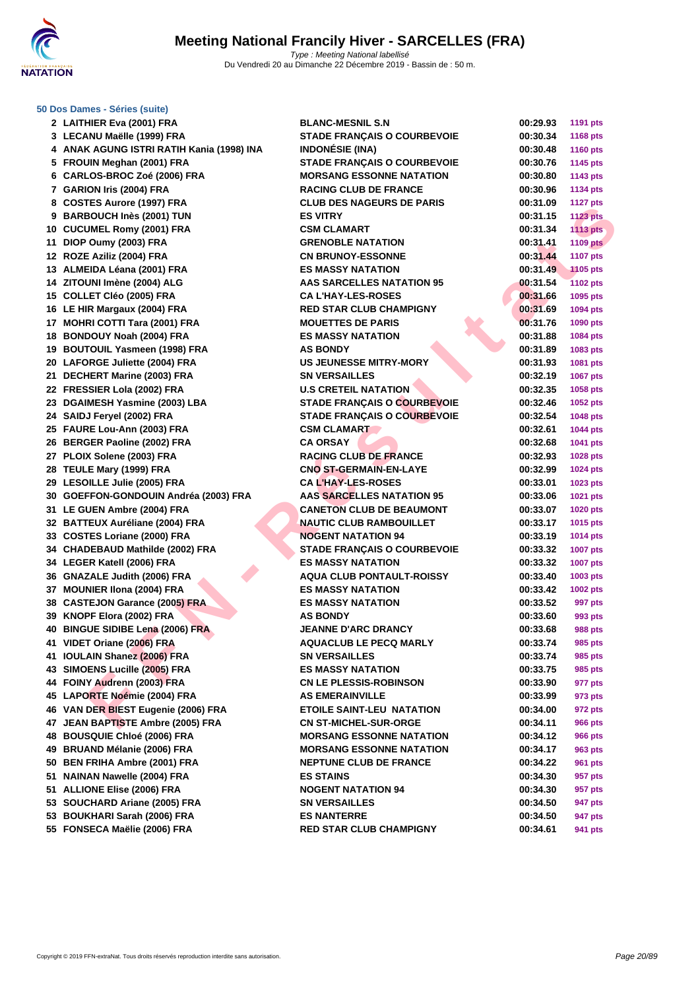

#### **[50 Dos D](http://www.ffnatation.fr/webffn/index.php)ames - Séries (suite)**

| 2 LAITHIER Eva (2001) FRA                                     | <b>BLANC-MESNIL S.N</b>            | 00:29.93             | 1191 pts                  |
|---------------------------------------------------------------|------------------------------------|----------------------|---------------------------|
| 3 LECANU Maëlle (1999) FRA                                    | STADE FRANÇAIS O COURBEVOIE        | 00:30.34             | 1168 pts                  |
| 4 ANAK AGUNG ISTRI RATIH Kania (1998) INA                     | <b>INDONÉSIE (INA)</b>             | 00:30.48             | <b>1160 pts</b>           |
| 5 FROUIN Meghan (2001) FRA                                    | <b>STADE FRANÇAIS O COURBEVOIE</b> | 00:30.76             | 1145 pts                  |
| 6 CARLOS-BROC Zoé (2006) FRA                                  | <b>MORSANG ESSONNE NATATION</b>    | 00:30.80             | 1143 pts                  |
| 7 GARION Iris (2004) FRA                                      | <b>RACING CLUB DE FRANCE</b>       | 00:30.96             | <b>1134 pts</b>           |
| 8 COSTES Aurore (1997) FRA                                    | <b>CLUB DES NAGEURS DE PARIS</b>   | 00:31.09             | <b>1127 pts</b>           |
| 9 BARBOUCH Inès (2001) TUN                                    | <b>ES VITRY</b>                    | 00:31.15             | <b>1123 pts</b>           |
| 10 CUCUMEL Romy (2001) FRA                                    | <b>CSM CLAMART</b>                 | 00:31.34             | <b>1113 pts</b>           |
| 11 DIOP Oumy (2003) FRA                                       | <b>GRENOBLE NATATION</b>           | 00:31.41             | <b>1109 pts</b>           |
| 12 ROZE Aziliz (2004) FRA                                     | <b>CN BRUNOY-ESSONNE</b>           | 00:31.44             | <b>1107 pts</b>           |
| 13 ALMEIDA Léana (2001) FRA                                   | <b>ES MASSY NATATION</b>           | 00:31.49             | <b>1105 pts</b>           |
| 14 ZITOUNI Imène (2004) ALG                                   | <b>AAS SARCELLES NATATION 95</b>   | 00:31.54             | 1102 pts                  |
| 15 COLLET Cléo (2005) FRA                                     | <b>CA L'HAY-LES-ROSES</b>          | 00:31.66             | 1095 pts                  |
| 16 LE HIR Margaux (2004) FRA                                  | <b>RED STAR CLUB CHAMPIGNY</b>     | 00:31.69             | 1094 pts                  |
| 17 MOHRI COTTI Tara (2001) FRA                                | <b>MOUETTES DE PARIS</b>           | 00:31.76             | 1090 pts                  |
| 18 BONDOUY Noah (2004) FRA                                    | <b>ES MASSY NATATION</b>           | 00:31.88             | 1084 pts                  |
| 19 BOUTOUIL Yasmeen (1998) FRA                                | <b>AS BONDY</b>                    | 00:31.89             | 1083 pts                  |
| 20 LAFORGE Juliette (2004) FRA                                | <b>US JEUNESSE MITRY-MORY</b>      | 00:31.93             | 1081 pts                  |
| 21 DECHERT Marine (2003) FRA                                  | <b>SN VERSAILLES</b>               | 00:32.19             | 1067 pts                  |
| 22 FRESSIER Lola (2002) FRA                                   | <b>U.S CRETEIL NATATION</b>        | 00:32.35             | 1058 pts                  |
| 23 DGAIMESH Yasmine (2003) LBA                                | STADE FRANÇAIS O COURBEVOIE        | 00:32.46             | 1052 pts                  |
| 24 SAIDJ Feryel (2002) FRA                                    | <b>STADE FRANÇAIS O COURBEVOIE</b> | 00:32.54             | 1048 pts                  |
| 25 FAURE Lou-Ann (2003) FRA                                   | <b>CSM CLAMART</b>                 | 00:32.61             | <b>1044 pts</b>           |
| 26 BERGER Paoline (2002) FRA                                  | <b>CA ORSAY</b>                    | 00:32.68             | 1041 pts                  |
| 27 PLOIX Solene (2003) FRA                                    | <b>RACING CLUB DE FRANCE</b>       | 00:32.93             | 1028 pts                  |
| 28 TEULE Mary (1999) FRA                                      | <b>CNO ST-GERMAIN-EN-LAYE</b>      | 00:32.99             | 1024 pts                  |
| 29 LESOILLE Julie (2005) FRA                                  | <b>CAL'HAY-LES-ROSES</b>           | 00:33.01             | 1023 pts                  |
| 30 GOEFFON-GONDOUIN Andréa (2003) FRA                         | <b>AAS SARCELLES NATATION 95</b>   | 00:33.06             | 1021 pts                  |
| 31 LE GUEN Ambre (2004) FRA                                   | <b>CANETON CLUB DE BEAUMONT</b>    | 00:33.07             | 1020 pts                  |
| 32 BATTEUX Auréliane (2004) FRA                               | <b>NAUTIC CLUB RAMBOUILLET</b>     | 00:33.17             | 1015 pts                  |
| 33 COSTES Loriane (2000) FRA                                  | <b>NOGENT NATATION 94</b>          | 00:33.19             | <b>1014 pts</b>           |
| 34 CHADEBAUD Mathilde (2002) FRA                              | <b>STADE FRANÇAIS O COURBEVOIE</b> | 00:33.32             | <b>1007 pts</b>           |
| 34 LEGER Katell (2006) FRA                                    | <b>ES MASSY NATATION</b>           | 00:33.32             | <b>1007 pts</b>           |
| 36 GNAZALE Judith (2006) FRA                                  | <b>AQUA CLUB PONTAULT-ROISSY</b>   | 00:33.40             |                           |
| 37 MOUNIER IIona (2004) FRA                                   | <b>ES MASSY NATATION</b>           | 00:33.42             | 1003 pts                  |
|                                                               |                                    |                      | <b>1002 pts</b>           |
| 38 CASTEJON Garance (2005) FRA                                | <b>ES MASSY NATATION</b>           | 00:33.52             | 997 pts                   |
| 39 KNOPF Elora (2002) FRA<br>40 BINGUE SIDIBE Lena (2006) FRA | <b>AS BONDY</b>                    | 00:33.60             | 993 pts<br><b>988 pts</b> |
|                                                               | <b>JEANNE D'ARC DRANCY</b>         | 00:33.68<br>00:33.74 |                           |
| 41 VIDET Oriane (2006) FRA                                    | <b>AQUACLUB LE PECQ MARLY</b>      |                      | 985 pts                   |
| 41 IOULAIN Shanez (2006) FRA                                  | <b>SN VERSAILLES</b>               | 00:33.74             | 985 pts                   |
| 43 SIMOENS Lucille (2005) FRA                                 | <b>ES MASSY NATATION</b>           | 00:33.75             | 985 pts                   |
| 44 FOINY Audrenn (2003) FRA                                   | <b>CN LE PLESSIS-ROBINSON</b>      | 00:33.90             | 977 pts                   |
| 45 LAPORTE Noémie (2004) FRA                                  | <b>AS EMERAINVILLE</b>             | 00:33.99             | 973 pts                   |
| 46 VAN DER BIEST Eugenie (2006) FRA                           | <b>ETOILE SAINT-LEU NATATION</b>   | 00:34.00             | 972 pts                   |
| 47 JEAN BAPTISTE Ambre (2005) FRA                             | <b>CN ST-MICHEL-SUR-ORGE</b>       | 00:34.11             | <b>966 pts</b>            |
| 48 BOUSQUIE Chloé (2006) FRA                                  | <b>MORSANG ESSONNE NATATION</b>    | 00:34.12             | <b>966 pts</b>            |
| 49 BRUAND Mélanie (2006) FRA                                  | <b>MORSANG ESSONNE NATATION</b>    | 00:34.17             | 963 pts                   |
| 50 BEN FRIHA Ambre (2001) FRA                                 | <b>NEPTUNE CLUB DE FRANCE</b>      | 00:34.22             | <b>961 pts</b>            |
| 51 NAINAN Nawelle (2004) FRA                                  | <b>ES STAINS</b>                   | 00:34.30             | 957 pts                   |
| 51 ALLIONE Elise (2006) FRA                                   | <b>NOGENT NATATION 94</b>          | 00:34.30             | 957 pts                   |
| 53 SOUCHARD Ariane (2005) FRA                                 | <b>SN VERSAILLES</b>               | 00:34.50             | 947 pts                   |
| 53 BOUKHARI Sarah (2006) FRA                                  | <b>ES NANTERRE</b>                 | 00:34.50             | 947 pts                   |
| 55 FONSECA Maëlie (2006) FRA                                  | <b>RED STAR CLUB CHAMPIGNY</b>     | 00:34.61             | 941 pts                   |
|                                                               |                                    |                      |                           |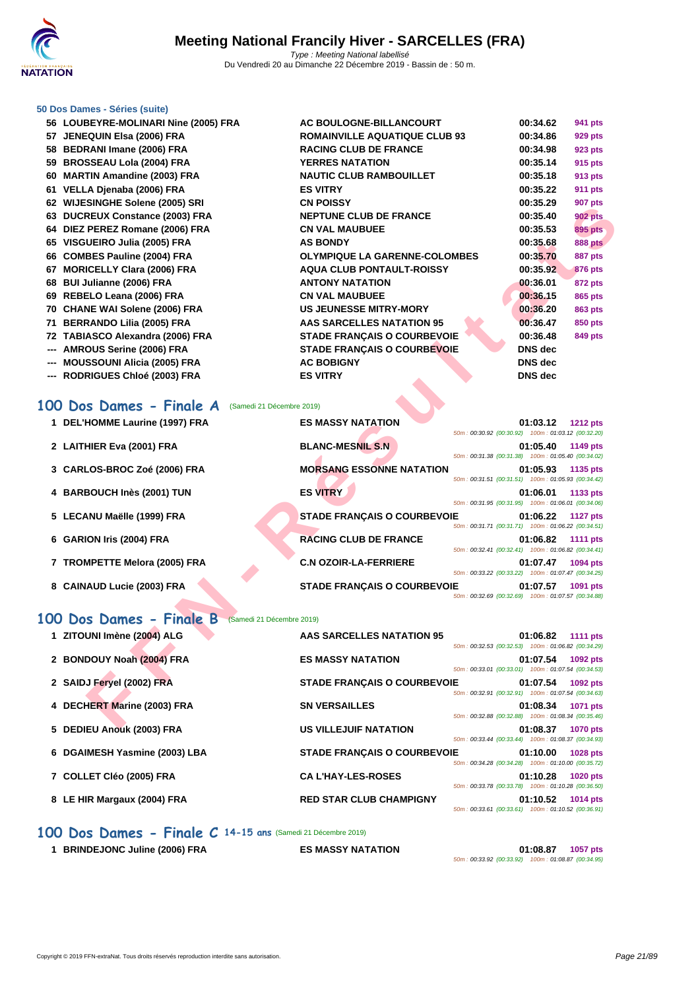

#### **[50 Dos D](http://www.ffnatation.fr/webffn/index.php)ames - Séries (suite)**

| 56 LOUBEYRE-MOLINARI Nine (2005) FRA | AC BOULOGNE-BILLANCOURT              | 00:34.62 | 941 pts        |
|--------------------------------------|--------------------------------------|----------|----------------|
| 57 JENEQUIN Elsa (2006) FRA          | <b>ROMAINVILLE AQUATIQUE CLUB 93</b> | 00:34.86 | 929 pts        |
| 58 BEDRANI Imane (2006) FRA          | <b>RACING CLUB DE FRANCE</b>         | 00:34.98 | <b>923 pts</b> |
| 59 BROSSEAU Lola (2004) FRA          | <b>YERRES NATATION</b>               | 00:35.14 | 915 pts        |
| 60 MARTIN Amandine (2003) FRA        | <b>NAUTIC CLUB RAMBOUILLET</b>       | 00:35.18 | 913 pts        |
| 61 VELLA Djenaba (2006) FRA          | <b>ES VITRY</b>                      | 00:35.22 | <b>911 pts</b> |
| 62 WIJESINGHE Solene (2005) SRI      | <b>CN POISSY</b>                     | 00:35.29 | 907 pts        |
| 63 DUCREUX Constance (2003) FRA      | <b>NEPTUNE CLUB DE FRANCE</b>        | 00:35.40 | <b>902 pts</b> |
| 64 DIEZ PEREZ Romane (2006) FRA      | <b>CN VAL MAUBUEE</b>                | 00:35.53 | <b>895 pts</b> |
| 65 VISGUEIRO Julia (2005) FRA        | <b>AS BONDY</b>                      | 00:35.68 | <b>888 pts</b> |
| 66 COMBES Pauline (2004) FRA         | <b>OLYMPIQUE LA GARENNE-COLOMBES</b> | 00:35.70 | 887 pts        |
| 67 MORICELLY Clara (2006) FRA        | <b>AQUA CLUB PONTAULT-ROISSY</b>     | 00:35.92 | <b>876 pts</b> |
| 68 BUI Julianne (2006) FRA           | <b>ANTONY NATATION</b>               | 00:36.01 | <b>872 pts</b> |
| 69 REBELO Leana (2006) FRA           | <b>CN VAL MAUBUEE</b>                | 00:36.15 | 865 pts        |
| 70 CHANE WAI Solene (2006) FRA       | <b>US JEUNESSE MITRY-MORY</b>        | 00:36.20 | <b>863 pts</b> |
| 71 BERRANDO Lilia (2005) FRA         | AAS SARCELLES NATATION 95            | 00:36.47 | 850 pts        |
| 72 TABIASCO Alexandra (2006) FRA     | <b>STADE FRANÇAIS O COURBEVOIE</b>   | 00:36.48 | 849 pts        |
| --- AMROUS Serine (2006) FRA         | <b>STADE FRANÇAIS O COURBEVOIE</b>   | DNS dec  |                |
| --- MOUSSOUNI Alicia (2005) FRA      | <b>AC BOBIGNY</b>                    | DNS dec  |                |
| --- RODRIGUES Chloé (2003) FRA       | <b>ES VITRY</b>                      | DNS dec  |                |

#### **100 Dos Dames - Finale A** (Samedi 21 Décembre 2019)

| <b>UZ WIJLJINGHL JUIEHE (200J) JIN</b>               | ו טטוש ו טו                          |                                                    | UU.JJ. <i>lj</i>          | ອບກຸມເອ         |
|------------------------------------------------------|--------------------------------------|----------------------------------------------------|---------------------------|-----------------|
| 63 DUCREUX Constance (2003) FRA                      | <b>NEPTUNE CLUB DE FRANCE</b>        |                                                    | 00:35.40                  | <b>902 pts</b>  |
| 64 DIEZ PEREZ Romane (2006) FRA                      | <b>CN VAL MAUBUEE</b>                |                                                    | 00:35.53                  | 895 pts         |
| 65 VISGUEIRO Julia (2005) FRA                        | <b>AS BONDY</b>                      |                                                    | 00:35.68                  | <b>888 pts</b>  |
| 66 COMBES Pauline (2004) FRA                         | <b>OLYMPIQUE LA GARENNE-COLOMBES</b> |                                                    | 00:35.70                  | <b>887 pts</b>  |
| 67 MORICELLY Clara (2006) FRA                        | <b>AQUA CLUB PONTAULT-ROISSY</b>     |                                                    | 00:35.92                  | 876 pts         |
| 68 BUI Julianne (2006) FRA                           | <b>ANTONY NATATION</b>               |                                                    | 00:36.01                  | 872 pts         |
| 69 REBELO Leana (2006) FRA                           | <b>CN VAL MAUBUEE</b>                |                                                    | 00:36.15                  | 865 pts         |
| 70 CHANE WAI Solene (2006) FRA                       | <b>US JEUNESSE MITRY-MORY</b>        |                                                    | 00:36.20                  | 863 pts         |
| 71 BERRANDO Lilia (2005) FRA                         | <b>AAS SARCELLES NATATION 95</b>     |                                                    | 00:36.47                  | 850 pts         |
| 72 TABIASCO Alexandra (2006) FRA                     | <b>STADE FRANÇAIS O COURBEVOIE</b>   |                                                    | 00:36.48                  | 849 pts         |
| --- AMROUS Serine (2006) FRA                         | <b>STADE FRANÇAIS O COURBEVOIE</b>   |                                                    | DNS dec                   |                 |
| --- MOUSSOUNI Alicia (2005) FRA                      | <b>AC BOBIGNY</b>                    |                                                    | <b>DNS</b> dec            |                 |
| --- RODRIGUES Chloé (2003) FRA                       | <b>ES VITRY</b>                      |                                                    | <b>DNS</b> dec            |                 |
|                                                      |                                      |                                                    |                           |                 |
| 00 Dos Dames - Finale A<br>(Samedi 21 Décembre 2019) |                                      |                                                    |                           |                 |
| 1 DEL'HOMME Laurine (1997) FRA                       | <b>ES MASSY NATATION</b>             |                                                    | 01:03.12                  | <b>1212 pts</b> |
|                                                      |                                      | 50m: 00:30.92 (00:30.92) 100m: 01:03.12 (00:32.20) |                           |                 |
| 2 LAITHIER Eva (2001) FRA                            | <b>BLANC-MESNIL S.N.</b>             |                                                    | 01:05.40                  | 1149 pts        |
|                                                      |                                      | 50m: 00:31.38 (00:31.38) 100m: 01:05.40 (00:34.02) |                           |                 |
| 3 CARLOS-BROC Zoé (2006) FRA                         | <b>MORSANG ESSONNE NATATION</b>      |                                                    | 01:05.93                  | 1135 pts        |
|                                                      |                                      | 50m: 00:31.51 (00:31.51) 100m: 01:05.93 (00:34.42) |                           |                 |
| 4 BARBOUCH Inès (2001) TUN                           | <b>ES VITRY</b>                      | 50m: 00:31.95 (00:31.95) 100m: 01:06.01 (00:34.06) | 01:06.01                  | 1133 pts        |
| 5 LECANU Maëlle (1999) FRA                           | <b>STADE FRANCAIS O COURBEVOIE</b>   |                                                    | 01:06.22                  | 1127 pts        |
|                                                      |                                      | 50m: 00:31.71 (00:31.71) 100m: 01:06.22 (00:34.51) |                           |                 |
| 6 GARION Iris (2004) FRA                             | <b>RACING CLUB DE FRANCE</b>         |                                                    | 01:06.82 1111 pts         |                 |
|                                                      |                                      | 50m: 00:32.41 (00:32.41) 100m: 01:06.82 (00:34.41) |                           |                 |
| 7 TROMPETTE Melora (2005) FRA                        | <b>C.N OZOIR-LA-FERRIERE</b>         |                                                    | 01:07.47                  | 1094 pts        |
|                                                      |                                      | 50m: 00:33.22 (00:33.22) 100m: 01:07.47 (00:34.25) |                           |                 |
| 8 CAINAUD Lucie (2003) FRA                           | <b>STADE FRANÇAIS O COURBEVOIE</b>   | 50m: 00:32.69 (00:32.69) 100m: 01:07.57 (00:34.88) | 01:07.57                  | 1091 pts        |
|                                                      |                                      |                                                    |                           |                 |
| 00 Dos Dames - Finale B<br>(Samedi 21 Décembre 2019) |                                      |                                                    |                           |                 |
| 1 ZITOUNI Imène (2004) ALG                           | AAS SARCELLES NATATION 95            |                                                    | 01:06.82                  | <b>1111 pts</b> |
|                                                      |                                      | 50m: 00:32.53 (00:32.53) 100m: 01:06.82 (00:34.29) |                           |                 |
| 2 BONDOUY Noah (2004) FRA                            | <b>ES MASSY NATATION</b>             |                                                    | 01:07.54                  | 1092 pts        |
|                                                      |                                      | 50m: 00:33.01 (00:33.01) 100m: 01:07.54 (00:34.53) |                           |                 |
| 2 SAIDJ Feryel (2002) FRA                            | <b>STADE FRANÇAIS O COURBEVOIE</b>   |                                                    | 01:07.54                  | 1092 pts        |
|                                                      |                                      | 50m: 00:32.91 (00:32.91) 100m: 01:07.54 (00:34.63) |                           |                 |
| 4 DECHERT Marine (2003) FRA                          | <b>SN VERSAILLES</b>                 |                                                    | 01:08.34                  | 1071 pts        |
| <b>E. DEDIELLANALL (2002) EDA</b>                    | <b>HO VILLE HHE MATATION</b>         | 50m: 00:32.88 (00:32.88) 100m: 01:08.34 (00:35.46) | $0.4.00.27$ $0.70$ $0.40$ |                 |
|                                                      |                                      |                                                    |                           |                 |

# **100 Dos Dames - Finale B** (Samedi 21 Décembre 2019)

| 1 ZITOUNI Imène (2004) ALG    | <b>AAS SARCELLES NATATION 95</b>   |                                                    | 01:06.82 | <b>1111 pts</b> |
|-------------------------------|------------------------------------|----------------------------------------------------|----------|-----------------|
| 2 BONDOUY Noah (2004) FRA     | <b>ES MASSY NATATION</b>           | 50m: 00:32.53 (00:32.53) 100m: 01:06.82 (00:34.29) | 01:07.54 | 1092 pts        |
|                               |                                    | 50m: 00:33.01 (00:33.01) 100m: 01:07.54 (00:34.53) |          |                 |
| 2 SAIDJ Feryel (2002) FRA     | <b>STADE FRANCAIS O COURBEVOIE</b> |                                                    | 01:07.54 | 1092 pts        |
|                               |                                    | 50m: 00:32.91 (00:32.91) 100m: 01:07.54 (00:34.63) |          |                 |
| 4 DECHERT Marine (2003) FRA   | <b>SN VERSAILLES</b>               | 50m: 00:32.88 (00:32.88) 100m: 01:08.34 (00:35.46) | 01:08.34 | <b>1071 pts</b> |
|                               |                                    |                                                    |          |                 |
| 5 DEDIEU Anouk (2003) FRA     | <b>US VILLEJUIF NATATION</b>       |                                                    | 01:08.37 | <b>1070 pts</b> |
|                               |                                    | 50m: 00:33.44 (00:33.44) 100m: 01:08.37 (00:34.93) |          |                 |
| 6 DGAIMESH Yasmine (2003) LBA | <b>STADE FRANCAIS O COURBEVOIE</b> | 50m: 00:34.28 (00:34.28) 100m: 01:10.00 (00:35.72) | 01:10.00 | <b>1028 pts</b> |
| 7 COLLET Cléo (2005) FRA      | <b>CAL'HAY-LES-ROSES</b>           |                                                    | 01:10.28 | <b>1020 pts</b> |
|                               |                                    | 50m: 00:33.78 (00:33.78) 100m: 01:10.28 (00:36.50) |          |                 |
| 8 LE HIR Margaux (2004) FRA   | <b>RED STAR CLUB CHAMPIGNY</b>     | 50m: 00:33.61 (00:33.61) 100m: 01:10.52 (00:36.91) | 01:10.52 | <b>1014 pts</b> |

#### **100 Dos Dames - Finale C 14-15 ans** (Samedi 21 Décembre 2019)

**1 BRINDEJONC Juline (2006) FRA ES MASSY NATATION 01:08.87 1057 pts**

50m : 00:33.92 (00:33.92) 100m : 01:08.87 (00:34.95)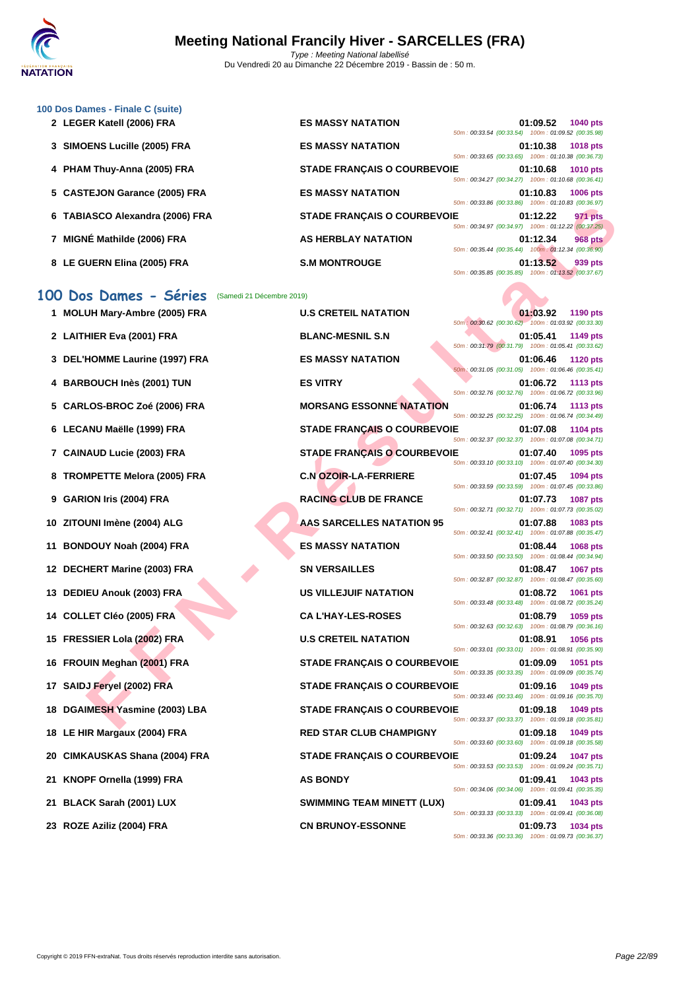

| 100 Dos Dames - Finale C (suite) |                                                                   |
|----------------------------------|-------------------------------------------------------------------|
| 2 LEGER Katell (2006) FRA        | <b>ES MASSY NATATION</b><br>01:09.52<br><b>1040 pts</b>           |
|                                  | 50m: 00:33.54 (00:33.54) 100m: 01:09.52 (00:35.98)                |
| 3 SIMOENS Lucille (2005) FRA     | <b>ES MASSY NATATION</b><br>01:10.38<br><b>1018 pts</b>           |
|                                  | 50m: 00:33.65 (00:33.65) 100m: 01:10.38 (00:36.73)                |
| 4 PHAM Thuy-Anna (2005) FRA      | <b>STADE FRANCAIS O COURBEVOIE</b><br>01:10.68<br><b>1010 pts</b> |
|                                  | 50m: 00:34.27 (00:34.27) 100m: 01:10.68 (00:36.41)                |
| 5 CASTEJON Garance (2005) FRA    | <b>ES MASSY NATATION</b><br>01:10.83<br><b>1006 pts</b>           |
|                                  | 50m: 00:33.86 (00:33.86) 100m: 01:10.83 (00:36.97)                |
| 6 TABIASCO Alexandra (2006) FRA  | <b>STADE FRANCAIS O COURBEVOIE</b><br><b>971 pts</b><br>01:12.22  |
|                                  | 50m: 00:34.97 (00:34.97) 100m: 01:12.22 (00:37.25)                |
| MIGNÉ Mathilde (2006) FRA        | <b>AS HERBLAY NATATION</b><br>01:12.34<br><b>968 pts</b>          |
|                                  | 50m: 00:35.44 (00:35.44) 100m: 01:12.34 (00:36.90)                |
| 8 LE GUERN Elina (2005) FRA      | <b>S.M MONTROUGE</b><br>01:13.52<br>939 pts                       |
|                                  | 50m: 00:35.85 (00:35.85) 100m: 01:13.52 (00:37.67)                |

#### **100 Dos Dames - Séries** (Samedi 21 Décembre 2019)

|           | 6 TABIASCO Alexandra (2006) FRA                 | <b>STADE FRANÇAIS O COURBEVOIE</b> | 01:12.22<br>971 pts<br>50m: 00:34.97 (00:34.97) 100m: 01:12.22 (00:37.25)         |
|-----------|-------------------------------------------------|------------------------------------|-----------------------------------------------------------------------------------|
|           | MIGNÉ Mathilde (2006) FRA                       | <b>AS HERBLAY NATATION</b>         | 01:12.34<br><b>968 pts</b><br>50m: 00:35.44 (00:35.44) 100m: 01:12.34 (00:36.90)  |
|           | 8 LE GUERN Elina (2005) FRA                     | <b>S.M MONTROUGE</b>               | 01:13.52<br>939 pts<br>50m: 00:35.85 (00:35.85) 100m: 01:13.52 (00:37.67)         |
| <b>OO</b> | Dos Dames - Séries<br>(Samedi 21 Décembre 2019) |                                    |                                                                                   |
|           | 1 MOLUH Mary-Ambre (2005) FRA                   | <b>U.S CRETEIL NATATION</b>        | 01:03.92<br>1190 pts<br>50m: 00:30.62 (00:30.62) 100m: 01:03.92 (00:33.30)        |
|           | 2 LAITHIER Eva (2001) FRA                       | <b>BLANC-MESNIL S.N</b>            | 01:05.41<br>1149 pts<br>50m: 00:31.79 (00:31.79) 100m: 01:05.41 (00:33.62)        |
|           | 3 DEL'HOMME Laurine (1997) FRA                  | <b>ES MASSY NATATION</b>           | 01:06.46<br><b>1120 pts</b><br>50m; 00:31.05 (00:31.05) 100m: 01:06.46 (00:35.41) |
|           | 4 BARBOUCH Inès (2001) TUN                      | <b>ES VITRY</b>                    | 01:06.72<br>1113 pts<br>50m: 00:32.76 (00:32.76) 100m: 01:06.72 (00:33.96)        |
|           | 5 CARLOS-BROC Zoé (2006) FRA                    | <b>MORSANG ESSONNE NATATION</b>    | 01:06.74<br>1113 pts<br>50m: 00:32.25 (00:32.25) 100m: 01:06.74 (00:34.49)        |
|           | 6 LECANU Maëlle (1999) FRA                      | <b>STADE FRANÇAIS O COURBEVOIE</b> | 01:07.08<br>1104 pts                                                              |
|           | 7 CAINAUD Lucie (2003) FRA                      | <b>STADE FRANÇAIS O COURBEVOIE</b> | 50m: 00:32.37 (00:32.37) 100m: 01:07.08 (00:34.71)<br>01:07.40<br>1095 pts        |
|           | 8 TROMPETTE Melora (2005) FRA                   | <b>C.N OZOIR-LA-FERRIERE</b>       | 50m: 00:33.10 (00:33.10) 100m: 01:07.40 (00:34.30)<br>01:07.45<br>1094 pts        |
|           | 9 GARION Iris (2004) FRA                        | <b>RACING CLUB DE FRANCE</b>       | 50m: 00:33.59 (00:33.59) 100m: 01:07.45 (00:33.86)<br>01:07.73<br><b>1087 pts</b> |
|           | 10 ZITOUNI Imène (2004) ALG                     | <b>AAS SARCELLES NATATION 95</b>   | 50m: 00:32.71 (00:32.71) 100m: 01:07.73 (00:35.02)<br>01:07.88<br>1083 pts        |
|           | 11 BONDOUY Noah (2004) FRA                      | <b>ES MASSY NATATION</b>           | 50m: 00:32.41 (00:32.41) 100m: 01:07.88 (00:35.47)<br>01:08.44<br>1068 pts        |
|           | 12 DECHERT Marine (2003) FRA                    | <b>SN VERSAILLES</b>               | 50m: 00:33.50 (00:33.50) 100m: 01:08.44 (00:34.94)<br>01:08.47<br>1067 pts        |
|           | 13 DEDIEU Anouk (2003) FRA                      | <b>US VILLEJUIF NATATION</b>       | 50m: 00:32.87 (00:32.87) 100m: 01:08.47 (00:35.60)<br>01:08.72<br>1061 pts        |
|           | 14 COLLET Cléo (2005) FRA                       | <b>CA L'HAY-LES-ROSES</b>          | 50m: 00:33.48 (00:33.48) 100m: 01:08.72 (00:35.24)<br>01:08.79<br>1059 pts        |
|           | 15 FRESSIER Lola (2002) FRA                     | <b>U.S CRETEIL NATATION</b>        | 50m: 00:32.63 (00:32.63) 100m: 01:08.79 (00:36.16)<br>01:08.91<br>1056 pts        |
|           | 16 FROUIN Meghan (2001) FRA                     | <b>STADE FRANÇAIS O COURBEVOIE</b> | 50m: 00:33.01 (00:33.01) 100m: 01:08.91 (00:35.90)<br>01:09.09<br>1051 pts        |
|           | 17 SAIDJ Feryel (2002) FRA                      | <b>STADE FRANÇAIS O COURBEVOIE</b> | 50m: 00:33.35 (00:33.35) 100m: 01:09.09 (00:35.74)<br>01:09.16<br>1049 pts        |
|           | 18 DGAIMESH Yasmine (2003) LBA                  | <b>STADE FRANCAIS O COURBEVOIE</b> | 50m: 00:33.46 (00:33.46) 100m: 01:09.16 (00:35.70)<br>01:09.18<br>1049 pts        |
|           | 18 LE HIR Margaux (2004) FRA                    | <b>RED STAR CLUB CHAMPIGNY</b>     | 50m: 00:33.37 (00:33.37) 100m: 01:09.18 (00:35.81)<br>01:09.18<br>1049 pts        |
|           | 20 CIMKAUSKAS Shana (2004) FRA                  | <b>STADE FRANÇAIS O COURBEVOIE</b> | 50m: 00:33.60 (00:33.60) 100m: 01:09.18 (00:35.58)<br>01:09.24<br>1047 pts        |
|           | 21 KNOPF Ornella (1999) FRA                     | <b>AS BONDY</b>                    | 50m: 00:33.53 (00:33.53) 100m: 01:09.24 (00:35.71)<br>01:09.41<br>1043 pts        |
| 21        | BLACK Sarah (2001) LUX                          | <b>SWIMMING TEAM MINETT (LUX)</b>  | 50m: 00:34.06 (00:34.06) 100m: 01:09.41 (00:35.35)<br>01:09.41<br>1043 pts        |
|           | 23 ROZE Aziliz (2004) FRA                       | <b>CN BRUNOY-ESSONNE</b>           | 50m: 00:33.33 (00:33.33) 100m: 01:09.41 (00:36.08)<br>01:09.73<br>1034 pts        |
|           |                                                 |                                    | 50m: 00:33.36 (00:33.36) 100m: 01:09.73 (00:36.37)                                |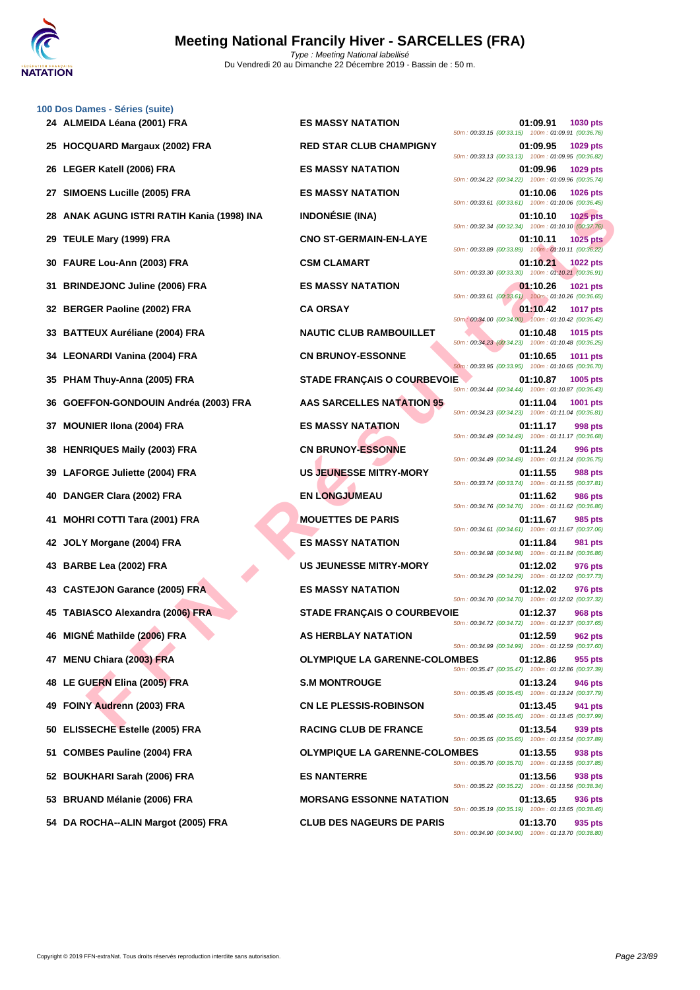

**[100 Dos D](http://www.ffnatation.fr/webffn/index.php)ames - Séries (suite)**

|     | 24 ALMEIDA Léana (2001) FRA                | ES MASSY NATATION                    | 01:09.91<br><b>1030 pts</b><br>50m: 00:33.15 (00:33.15) 100m: 01:09.91 (00:36.76) |
|-----|--------------------------------------------|--------------------------------------|-----------------------------------------------------------------------------------|
|     | 25 HOCQUARD Margaux (2002) FRA             | <b>RED STAR CLUB CHAMPIGNY</b>       | 01:09.95<br>1029 pts<br>50m: 00:33.13 (00:33.13) 100m: 01:09.95 (00:36.82)        |
|     | 26 LEGER Katell (2006) FRA                 | <b>ES MASSY NATATION</b>             | 01:09.96<br>1029 pts<br>50m: 00:34.22 (00:34.22) 100m: 01:09.96 (00:35.74)        |
|     | 27 SIMOENS Lucille (2005) FRA              | <b>ES MASSY NATATION</b>             | 01:10.06<br>1026 pts<br>50m: 00:33.61 (00:33.61) 100m: 01:10.06 (00:36.45)        |
|     | 28 ANAK AGUNG ISTRI RATIH Kania (1998) INA | <b>INDONÉSIE (INA)</b>               | 01:10.10<br><b>1025 pts</b><br>50m: 00:32.34 (00:32.34) 100m: 01:10.10 (00:37.76) |
|     | 29 TEULE Mary (1999) FRA                   | <b>CNO ST-GERMAIN-EN-LAYE</b>        | 01:10.11<br>1025 pts<br>50m: 00:33.89 (00:33.89) 100m: 01:10.11 (00:36.22)        |
|     | 30 FAURE Lou-Ann (2003) FRA                | <b>CSM CLAMART</b>                   | 01:10.21<br><b>1022 pts</b><br>50m: 00:33.30 (00:33.30) 100m: 01:10.21 (00:36.91) |
|     | <b>BRINDEJONC Juline (2006) FRA</b>        | <b>ES MASSY NATATION</b>             | 01:10.26<br>1021 pts<br>50m: 00:33.61 (00:33.61) 100m: 01:10.26 (00:36.65)        |
|     | 32 BERGER Paoline (2002) FRA               | <b>CA ORSAY</b>                      | 01:10.42<br><b>1017 pts</b><br>50m: 00:34.00 (00:34.00) 100m: 01:10.42 (00:36.42) |
|     | 33 BATTEUX Auréliane (2004) FRA            | <b>NAUTIC CLUB RAMBOUILLET</b>       | 01:10.48<br>1015 pts<br>50m: 00:34.23 (00:34.23) 100m: 01:10.48 (00:36.25)        |
|     | 34 LEONARDI Vanina (2004) FRA              | <b>CN BRUNOY-ESSONNE</b>             | 01:10.65<br>1011 pts<br>50m: 00:33.95 (00:33.95) 100m: 01:10.65 (00:36.70)        |
|     | 35 PHAM Thuy-Anna (2005) FRA               | <b>STADE FRANÇAIS O COURBEVOIE</b>   | 01:10.87<br>1005 pts                                                              |
|     | GOEFFON-GONDOUIN Andréa (2003) FRA         | <b>AAS SARCELLES NATATION 95</b>     | 50m: 00:34.44 (00:34.44) 100m: 01:10.87 (00:36.43)<br>01:11.04<br>1001 pts        |
| 37  | <b>MOUNIER IIona (2004) FRA</b>            | <b>ES MASSY NATATION</b>             | 50m: 00:34.23 (00:34.23) 100m: 01:11.04 (00:36.81)<br>01:11.17<br>998 pts         |
|     | 38 HENRIQUES Maily (2003) FRA              | <b>CN BRUNOY-ESSONNE</b>             | 50m: 00:34.49 (00:34.49) 100m: 01:11.17 (00:36.68)<br>01:11.24<br>996 pts         |
|     | LAFORGE Juliette (2004) FRA                | <b>US JEUNESSE MITRY-MORY</b>        | 50m: 00:34.49 (00:34.49) 100m: 01:11.24 (00:36.75)<br>988 pts<br>01:11.55         |
|     | DANGER Clara (2002) FRA                    | <b>EN LONGJUMEAU</b>                 | 50m: 00:33.74 (00:33.74) 100m: 01:11.55 (00:37.81)<br>01:11.62<br>986 pts         |
| 41  | <b>MOHRI COTTI Tara (2001) FRA</b>         | <b>MOUETTES DE PARIS</b>             | 50m: 00:34.76 (00:34.76) 100m: 01:11.62 (00:36.86)<br>01:11.67<br>985 pts         |
|     | 42 JOLY Morgane (2004) FRA                 | <b>ES MASSY NATATION</b>             | 50m: 00:34.61 (00:34.61) 100m: 01:11.67 (00:37.06)<br>01:11.84<br>981 pts         |
|     | 43 BARBE Lea (2002) FRA                    | <b>US JEUNESSE MITRY-MORY</b>        | 50m: 00:34.98 (00:34.98) 100m: 01:11.84 (00:36.86)<br>01:12.02<br>976 pts         |
|     | 43 CASTEJON Garance (2005) FRA             | <b>ES MASSY NATATION</b>             | 50m: 00:34.29 (00:34.29) 100m: 01:12.02 (00:37.73)<br>01:12.02<br>976 pts         |
| 45. | <b>TABIASCO Alexandra (2006) FRA</b>       | <b>STADE FRANÇAIS O COURBEVOIE</b>   | 50m: 00:34.70 (00:34.70) 100m: 01:12.02 (00:37.32)<br>01:12.37<br><b>968 pts</b>  |
|     | 46 MIGNÉ Mathilde (2006) FRA               | AS HERBLAY NATATION                  | 50m: 00:34.72 (00:34.72) 100m: 01:12.37 (00:37.65)<br>01:12.59<br>962 pts         |
|     | 47 MENU Chiara (2003) FRA                  | <b>OLYMPIQUE LA GARENNE-COLOMBES</b> | 50m: 00:34.99 (00:34.99) 100m: 01:12.59 (00:37.60)<br>01:12.86<br>955 pts         |
|     | 48 LE GUERN Elina (2005) FRA               | <b>S.M MONTROUGE</b>                 | 50m: 00:35.47 (00:35.47) 100m: 01:12.86 (00:37.39)<br>01:13.24<br><b>946 pts</b>  |
|     | 49 FOINY Audrenn (2003) FRA                | <b>CN LE PLESSIS-ROBINSON</b>        | 50m: 00:35.45 (00:35.45) 100m: 01:13.24 (00:37.79)<br>01:13.45<br>941 pts         |
|     | 50 ELISSECHE Estelle (2005) FRA            | <b>RACING CLUB DE FRANCE</b>         | 50m: 00:35.46 (00:35.46) 100m: 01:13.45 (00:37.99)<br>01:13.54<br>939 pts         |
| 51. | <b>COMBES Pauline (2004) FRA</b>           | <b>OLYMPIQUE LA GARENNE-COLOMBES</b> | 50m: 00:35.65 (00:35.65) 100m: 01:13.54 (00:37.89)<br>01:13.55<br>938 pts         |
|     | 52 BOUKHARI Sarah (2006) FRA               | <b>ES NANTERRE</b>                   | 50m: 00:35.70 (00:35.70) 100m: 01:13.55 (00:37.85)<br>01:13.56<br>938 pts         |
|     | 53 BRUAND Mélanie (2006) FRA               | <b>MORSANG ESSONNE NATATION</b>      | 50m: 00:35.22 (00:35.22) 100m: 01:13.56 (00:38.34)<br>01:13.65<br>936 pts         |
|     | 54 DA ROCHA--ALIN Margot (2005) FRA        | <b>CLUB DES NAGEURS DE PARIS</b>     | 50m: 00:35.19 (00:35.19) 100m: 01:13.65 (00:38.46)<br>01:13.70<br>935 pts         |

50m : 00:34.90 (00:34.90) 100m : 01:13.70 (00:38.80)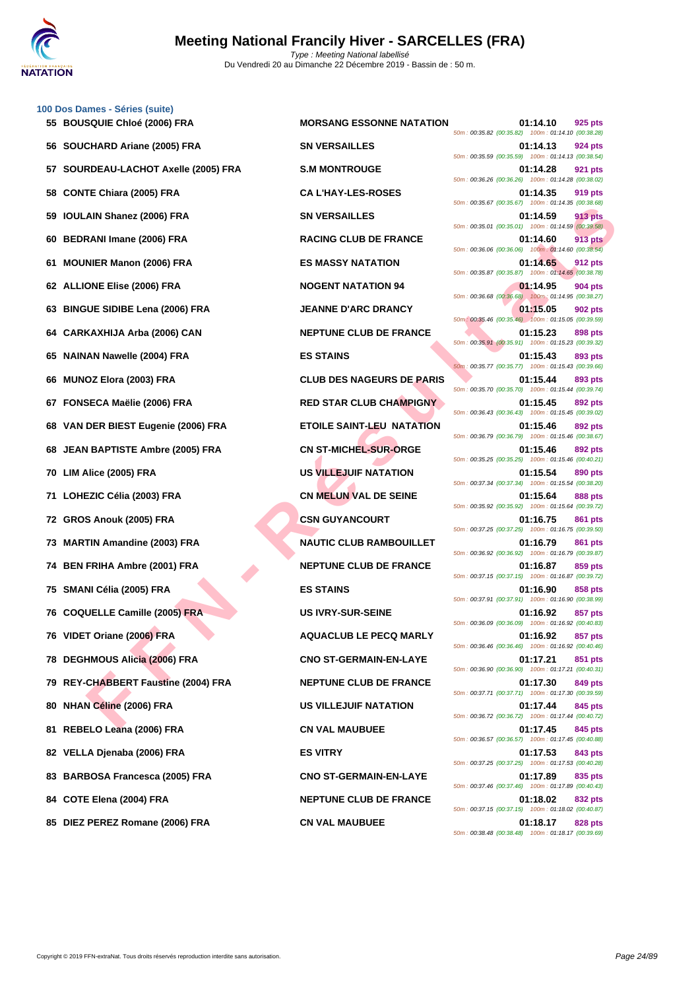

|    | 100 Dos Dames - Séries (suite)        |                                  |                                                                                  |
|----|---------------------------------------|----------------------------------|----------------------------------------------------------------------------------|
|    | 55 BOUSQUIE Chloé (2006) FRA          | <b>MORSANG ESSONNE NATATION</b>  | 01:14.10<br>925 pts<br>50m: 00:35.82 (00:35.82) 100m: 01:14.10 (00:38.28)        |
| 56 | SOUCHARD Ariane (2005) FRA            | <b>SN VERSAILLES</b>             | 01:14.13<br>924 pts<br>50m: 00:35.59 (00:35.59) 100m: 01:14.13 (00:38.54)        |
| 57 | SOURDEAU-LACHOT Axelle (2005) FRA     | <b>S.M MONTROUGE</b>             | 01:14.28<br>921 pts<br>50m: 00:36.26 (00:36.26) 100m: 01:14.28 (00:38.02)        |
| 58 | <b>CONTE Chiara (2005) FRA</b>        | <b>CA L'HAY-LES-ROSES</b>        | 01:14.35<br>919 pts<br>50m: 00:35.67 (00:35.67) 100m: 01:14.35 (00:38.68)        |
| 59 | <b>IOULAIN Shanez (2006) FRA</b>      | <b>SN VERSAILLES</b>             | 01:14.59<br><b>913 pts</b><br>50m: 00:35.01 (00:35.01) 100m: 01:14.59 (00:39.58) |
| 60 | <b>BEDRANI Imane (2006) FRA</b>       | <b>RACING CLUB DE FRANCE</b>     | 01:14.60<br>913 pts<br>50m: 00:36.06 (00:36.06) 100m: 01:14.60 (00:38.54)        |
| 61 | <b>MOUNIER Manon (2006) FRA</b>       | <b>ES MASSY NATATION</b>         | 01:14.65<br>912 pts<br>50m: 00:35.87 (00:35.87) 100m: 01:14.65 (00:38.78)        |
|    | 62 ALLIONE Elise (2006) FRA           | <b>NOGENT NATATION 94</b>        | 01:14.95<br>904 pts<br>50m: 00:36.68 (00:36.68) 100m: 01:14.95 (00:38.27)        |
| 63 | <b>BINGUE SIDIBE Lena (2006) FRA</b>  | <b>JEANNE D'ARC DRANCY</b>       | 01:15.05<br>902 pts<br>50m: 00:35.46 (00:35.46) 100m: 01:15.05 (00:39.59)        |
| 64 | CARKAXHIJA Arba (2006) CAN            | <b>NEPTUNE CLUB DE FRANCE</b>    | 01:15.23<br>898 pts<br>50m: 00:35.91 (00:35.91) 100m: 01:15.23 (00:39.32)        |
| 65 | <b>NAINAN Nawelle (2004) FRA</b>      | <b>ES STAINS</b>                 | 01:15.43<br>893 pts<br>50m: 00:35.77 (00:35.77) 100m: 01:15.43 (00:39.66)        |
| 66 | <b>MUNOZ Elora (2003) FRA</b>         | <b>CLUB DES NAGEURS DE PARIS</b> | 01:15.44<br>893 pts<br>50m: 00:35.70 (00:35.70) 100m: 01:15.44 (00:39.74)        |
| 67 | FONSECA Maëlie (2006) FRA             | <b>RED STAR CLUB CHAMPIGNY</b>   | 01:15.45<br>892 pts<br>50m: 00:36.43 (00:36.43) 100m: 01:15.45 (00:39.02)        |
| 68 | VAN DER BIEST Eugenie (2006) FRA      | <b>ETOILE SAINT-LEU NATATION</b> | 01:15.46<br>892 pts<br>50m: 00:36.79 (00:36.79) 100m: 01:15.46 (00:38.67)        |
| 68 | <b>JEAN BAPTISTE Ambre (2005) FRA</b> | <b>CN ST-MICHEL-SUR-ORGE</b>     | 01:15.46<br>892 pts<br>50m: 00:35.25 (00:35.25) 100m: 01:15.46 (00:40.21)        |
| 70 | LIM Alice (2005) FRA                  | US VILLEJUIF NATATION            | 01:15.54<br>890 pts<br>50m: 00:37.34 (00:37.34) 100m: 01:15.54 (00:38.20)        |
| 71 | LOHEZIC Célia (2003) FRA              | <b>CN MELUN VAL DE SEINE</b>     | 01:15.64<br>888 pts<br>50m: 00:35.92 (00:35.92) 100m: 01:15.64 (00:39.72)        |
| 72 | GROS Anouk (2005) FRA                 | <b>CSN GUYANCOURT</b>            | 01:16.75<br>861 pts<br>50m: 00:37.25 (00:37.25) 100m: 01:16.75 (00:39.50)        |
|    | 73 MARTIN Amandine (2003) FRA         | <b>NAUTIC CLUB RAMBOUILLET</b>   | 01:16.79<br>861 pts<br>50m: 00:36.92 (00:36.92) 100m: 01:16.79 (00:39.87)        |
| 74 | <b>BEN FRIHA Ambre (2001) FRA</b>     | <b>NEPTUNE CLUB DE FRANCE</b>    | 01:16.87<br>859 pts<br>50m: 00:37.15 (00:37.15) 100m: 01:16.87 (00:39.72)        |
|    | 75 SMANI Célia (2005) FRA             | <b>ES STAINS</b>                 | 01:16.90<br>858 pts<br>50m: 00:37.91 (00:37.91) 100m: 01:16.90 (00:38.99)        |
|    | 76 COQUELLE Camille (2005) FRA        | <b>US IVRY-SUR-SEINE</b>         | 01:16.92<br>857 pts<br>50m: 00:36.09 (00:36.09) 100m: 01:16.92 (00:40.83)        |
|    | 76 VIDET Oriane (2006) FRA            | <b>AQUACLUB LE PECQ MARLY</b>    | 01:16.92<br>857 pts<br>50m: 00:36.46 (00:36.46) 100m: 01:16.92 (00:40.46)        |
|    | 78 DEGHMOUS Alicia (2006) FRA         | <b>CNO ST-GERMAIN-EN-LAYE</b>    | 01:17.21<br>851 pts<br>50m: 00:36.90 (00:36.90) 100m: 01:17.21 (00:40.31)        |
|    | 79 REY-CHABBERT Faustine (2004) FRA   | <b>NEPTUNE CLUB DE FRANCE</b>    | 01:17.30<br>849 pts<br>50m: 00:37.71 (00:37.71) 100m: 01:17.30 (00:39.59)        |
| 80 | <b>NHAN Céline (2006) FRA</b>         | US VILLEJUIF NATATION            | 01:17.44<br>845 pts<br>50m: 00:36.72 (00:36.72) 100m: 01:17.44 (00:40.72)        |
| 81 | REBELO Leana (2006) FRA               | <b>CN VAL MAUBUEE</b>            | 845 pts<br>01:17.45<br>50m: 00:36.57 (00:36.57) 100m: 01:17.45 (00:40.88)        |
|    | 82 VELLA Djenaba (2006) FRA           | <b>ES VITRY</b>                  | 01:17.53<br>843 pts<br>50m: 00:37.25 (00:37.25) 100m: 01:17.53 (00:40.28)        |
|    | 83 BARBOSA Francesca (2005) FRA       | <b>CNO ST-GERMAIN-EN-LAYE</b>    | 01:17.89<br>835 pts                                                              |
|    | 84 COTE Elena (2004) FRA              | <b>NEPTUNE CLUB DE FRANCE</b>    | 50m: 00:37.46 (00:37.46) 100m: 01:17.89 (00:40.43)<br>01:18.02<br>832 pts        |
|    | 85 DIEZ PEREZ Romane (2006) FRA       | <b>CN VAL MAUBUEE</b>            | 50m: 00:37.15 (00:37.15) 100m: 01:18.02 (00:40.87)<br>01:18.17<br>828 pts        |

| <b>DRSANG ESSONNE NATATION</b> | 50m: 00:35.82 (00:35.82) 100m: 01:14.10 (00:38.28) | 01:14.10 | 925 pts        |
|--------------------------------|----------------------------------------------------|----------|----------------|
| I VERSAILLES                   | 50m: 00:35.59 (00:35.59) 100m: 01:14.13 (00:38.54) | 01:14.13 | 924 pts        |
| <b>M MONTROUGE</b>             | 50m: 00:36.26 (00:36.26) 100m: 01:14.28 (00:38.02) | 01:14.28 | 921 pts        |
| <b>\ L'HAY-LES-ROSES</b>       |                                                    | 01:14.35 | 919 pts        |
| I VERSAILLES                   | 50m: 00:35.67 (00:35.67) 100m: 01:14.35 (00:38.68) | 01:14.59 | 913 pts        |
| <b>\CING CLUB DE FRANCE</b>    | 50m: 00:35.01 (00:35.01) 100m: 01:14.59 (00:39.58) | 01:14.60 | 913 pts        |
| <b>MASSY NATATION</b>          | 50m: 00:36.06 (00:36.06) 100m: 01:14.60 (00:38.54) | 01:14.65 | <b>912 pts</b> |
| <b>DGENT NATATION 94</b>       | 50m: 00:35.87 (00:35.87) 100m: 01:14.65 (00:38.78) | 01:14.95 | <b>904 pts</b> |
| <b>ANNE D'ARC DRANCY</b>       | 50m: 00:36.68 (00:36.68) 100m: 01:14.95 (00:38.27) | 01:15.05 | <b>902 pts</b> |
| <b>EPTUNE CLUB DE FRANCE</b>   | 50m: 00:35.46 (00:35.46) 100m: 01:15.05 (00:39.59) | 01:15.23 | 898 pts        |
| <b>STAINS</b>                  | 50m: 00:35.91 (00:35.91) 100m: 01:15.23 (00:39.32) | 01:15.43 | 893 pts        |
| <b>UB DES NAGEURS DE PARIS</b> | 50m: 00:35.77 (00:35.77) 100m: 01:15.43 (00:39.66) | 01:15.44 | 893 pts        |
| ED STAR CLUB CHAMPIGNY         | 50m: 00:35.70 (00:35.70) 100m: 01:15.44 (00:39.74) | 01:15.45 | 892 pts        |
| OILE SAINT-LEU NATATION        | 50m: 00:36.43 (00:36.43) 100m: 01:15.45 (00:39.02) | 01:15.46 | 892 pts        |
| <b>I ST-MICHEL-SUR-ORGE</b>    | 50m: 00:36.79 (00:36.79) 100m: 01:15.46 (00:38.67) | 01:15.46 | 892 pts        |
| <b>VILLEJUIF NATATION</b>      | 50m: 00:35.25 (00:35.25) 100m: 01:15.46 (00:40.21) | 01:15.54 | 890 pts        |
| <b>I MELUN VAL DE SEINE</b>    | 50m: 00:37.34 (00:37.34) 100m: 01:15.54 (00:38.20) | 01:15.64 | 888 pts        |
| <b>SN GUYANCOURT</b>           | 50m: 00:35.92 (00:35.92) 100m: 01:15.64 (00:39.72) | 01:16.75 | 861 pts        |
| <b>\UTIC CLUB RAMBOUILLET</b>  | 50m: 00:37.25 (00:37.25) 100m: 01:16.75 (00:39.50) | 01:16.79 | 861 pts        |
| <b>EPTUNE CLUB DE FRANCE</b>   | 50m: 00:36.92 (00:36.92) 100m: 01:16.79 (00:39.87) | 01:16.87 | 859 pts        |
| ፡ STAINS                       | 50m: 00:37.15 (00:37.15) 100m: 01:16.87 (00:39.72) | 01:16.90 | 858 pts        |
| <b>SIVRY-SUR-SEINE</b>         | 50m: 00:37.91 (00:37.91) 100m: 01:16.90 (00:38.99) | 01:16.92 | 857 pts        |
| <b>QUACLUB LE PECQ MARLY</b>   | 50m: 00:36.09 (00:36.09) 100m: 01:16.92 (00:40.83) | 01:16.92 | 857 pts        |
| <b>IO ST-GERMAIN-EN-LAYE</b>   | 50m: 00:36.46 (00:36.46) 100m: 01:16.92 (00:40.46) | 01:17.21 | 851 pts        |
| <b>EPTUNE CLUB DE FRANCE</b>   | 50m: 00:36.90 (00:36.90) 100m: 01:17.21 (00:40.31) |          |                |
|                                | 50m: 00:37.71 (00:37.71) 100m: 01:17.30 (00:39.59) | 01:17.30 | 849 pts        |
| <b>S VILLEJUIF NATATION</b>    | 50m: 00:36.72 (00:36.72) 100m: 01:17.44 (00:40.72) | 01:17.44 | 845 pts        |
| <b>J VAL MAUBUEE</b>           | 50m: 00:36.57 (00:36.57) 100m: 01:17.45 (00:40.88) | 01:17.45 | 845 pts        |
| ; VITRY                        | 50m: 00:37.25 (00:37.25) 100m: 01:17.53 (00:40.28) | 01:17.53 | 843 pts        |
| <b>IO ST-GERMAIN-EN-LAYE</b>   | 50m: 00:37.46 (00:37.46) 100m: 01:17.89 (00:40.43) | 01:17.89 | 835 pts        |
| <b>EPTUNE CLUB DE FRANCE</b>   | 50m: 00:37.15 (00:37.15) 100m: 01:18.02 (00:40.87) | 01:18.02 | 832 pts        |
| <b>J VAL MAUBUEE</b>           | 50m: 00:38.48 (00:38.48) 100m: 01:18.17 (00:39.69) | 01:18.17 | 828 pts        |
|                                |                                                    |          |                |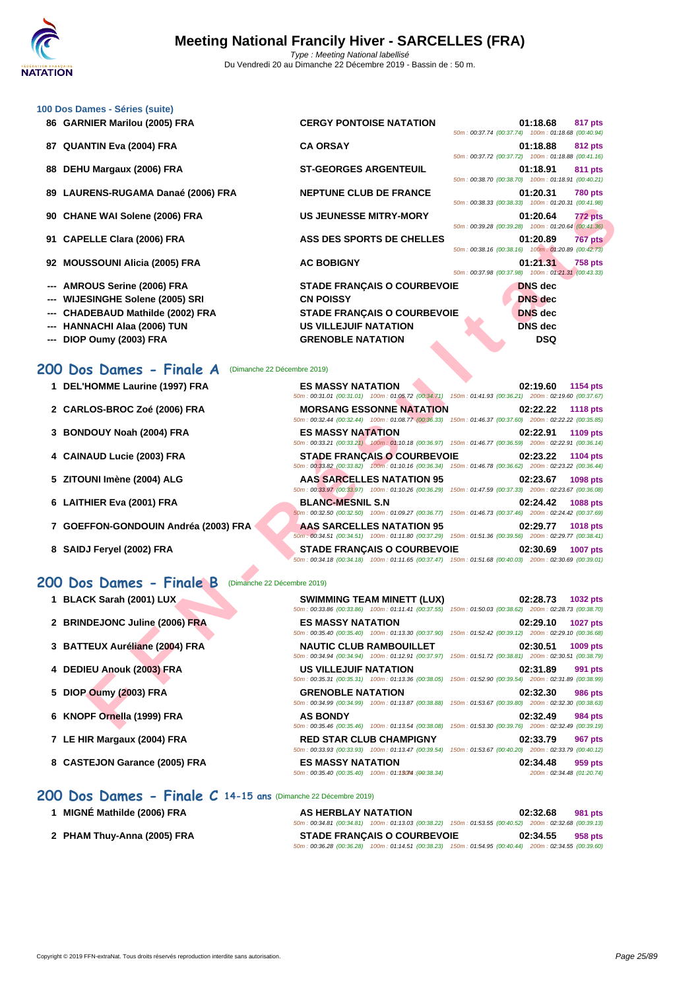|     | 100 Dos Dames - Séries (suite)                          |                                                                                                                                                |                                                                                  |
|-----|---------------------------------------------------------|------------------------------------------------------------------------------------------------------------------------------------------------|----------------------------------------------------------------------------------|
|     | 86 GARNIER Marilou (2005) FRA                           | <b>CERGY PONTOISE NATATION</b>                                                                                                                 | 01:18.68<br>817 pts<br>50m: 00:37.74 (00:37.74) 100m: 01:18.68 (00:40.94)        |
|     | 87 QUANTIN Eva (2004) FRA                               | <b>CA ORSAY</b>                                                                                                                                | 01:18.88<br>812 pts<br>50m: 00:37.72 (00:37.72) 100m: 01:18.88 (00:41.16)        |
| 88  | DEHU Margaux (2006) FRA                                 | <b>ST-GEORGES ARGENTEUIL</b>                                                                                                                   | 01:18.91<br>811 pts<br>50m: 00:38.70 (00:38.70) 100m: 01:18.91 (00:40.21)        |
|     | 89 LAURENS-RUGAMA Danaé (2006) FRA                      | <b>NEPTUNE CLUB DE FRANCE</b>                                                                                                                  | 01:20.31<br><b>780 pts</b><br>50m: 00:38.33 (00:38.33) 100m: 01:20.31 (00:41.98) |
|     | 90 CHANE WAI Solene (2006) FRA                          | <b>US JEUNESSE MITRY-MORY</b>                                                                                                                  | 01:20.64<br>772 pts<br>50m: 00:39.28 (00:39.28) 100m: 01:20.64 (00:41.36)        |
|     | 91 CAPELLE Clara (2006) FRA                             | <b>ASS DES SPORTS DE CHELLES</b>                                                                                                               | 01:20.89<br>767 pts<br>50m: 00:38.16 (00:38.16) 100m: 01:20.89 (00:42.73)        |
|     | 92 MOUSSOUNI Alicia (2005) FRA                          | <b>AC BOBIGNY</b>                                                                                                                              | 01:21.31<br><b>758 pts</b><br>50m: 00:37.98 (00:37.98) 100m: 01:21.31 (00:43.33) |
| --- | <b>AMROUS Serine (2006) FRA</b>                         | <b>STADE FRANÇAIS O COURBEVOIE</b>                                                                                                             | <b>DNS</b> dec                                                                   |
| --- | <b>WIJESINGHE Solene (2005) SRI</b>                     | <b>CN POISSY</b>                                                                                                                               | <b>DNS</b> dec                                                                   |
|     | <b>CHADEBAUD Mathilde (2002) FRA</b>                    | <b>STADE FRANÇAIS O COURBEVOIE</b>                                                                                                             | <b>DNS</b> dec                                                                   |
| --- | <b>HANNACHI Alaa (2006) TUN</b>                         | <b>US VILLEJUIF NATATION</b>                                                                                                                   | <b>DNS</b> dec                                                                   |
|     | DIOP Oumy (2003) FRA                                    | <b>GRENOBLE NATATION</b>                                                                                                                       | <b>DSQ</b>                                                                       |
|     | 200 Dos Dames - Finale A<br>(Dimanche 22 Décembre 2019) |                                                                                                                                                |                                                                                  |
|     | 1 DEL'HOMME Laurine (1997) FRA                          | <b>ES MASSY NATATION</b><br>50m : 00:31.01 (00:31.01) 100m : 01:05.72 (00:34.71) 150m : 01:41.93 (00:36.21) 200m : 02:19.60 (00:37.67)         | 02:19.60<br>1154 pts                                                             |
|     | 2 CARLOS-BROC Zoé (2006) FRA                            | <b>MORSANG ESSONNE NATATION</b><br>50m: 00:32.44 (00:32.44) 100m: 01:08.77 (00:36.33) 150m: 01:46.37 (00:37.60) 200m: 02:22.22 (00:35.85)      | 02:22.22<br><b>1118 pts</b>                                                      |
|     | 3 BONDOUY Noah (2004) FRA                               | <b>ES MASSY NATATION</b><br>50m : 00:33.21 (00:33.21) 100m : 01:10.18 (00:36.97) 150m : 01:46.77 (00:36.59) 200m : 02:22.91 (00:36.14)         | 02:22.91<br>1109 pts                                                             |
|     | 4 CAINAUD Lucie (2003) FRA                              | <b>STADE FRANÇAIS O COURBEVOIE</b><br>50m: 00:33.82 (00:33.82) 100m: 01:10.16 (00:36.34) 150m: 01:46.78 (00:36.62) 200m: 02:23.22 (00:36.44)   | 02:23.22<br>1104 pts                                                             |
|     | 5 ZITOUNI Imène (2004) ALG                              | <b>AAS SARCELLES NATATION 95</b><br>50m : 00:33.97 (00:33.97) 100m : 01:10.26 (00:36.29) 150m : 01:47.59 (00:37.33) 200m : 02:23.67 (00:36.08) | 02:23.67<br>1098 pts                                                             |
|     | 6 LAITHIER Eva (2001) FRA                               | <b>BLANC-MESNIL S.N</b><br>50m: 00:32.50 (00:32.50) 100m: 01:09.27 (00:36.77) 150m: 01:46.73 (00:37.46) 200m: 02:24.42 (00:37.69)              | 02:24.42<br>1088 pts                                                             |
|     | 7 GOEFFON-GONDOUIN Andréa (2003) FRA                    | <b>AAS SARCELLES NATATION 95</b><br>50m : 00:34.51 (00:34.51) 100m : 01:11.80 (00:37.29) 150m : 01:51.36 (00:39.56) 200m : 02:29.77 (00:38.41) | 02:29.77<br>1018 pts                                                             |
|     | 8 SAIDJ Feryel (2002) FRA                               | <b>STADE FRANÇAIS O COURBEVOIE</b><br>50m: 00:34.18 (00:34.18) 100m: 01:11.65 (00:37.47) 150m: 01:51.68 (00:40.03) 200m: 02:30.69 (00:39.01)   | 02:30.69<br><b>1007 pts</b>                                                      |
|     | 200 Dos Dames - Finale B<br>(Dimanche 22 Décembre 2019) |                                                                                                                                                |                                                                                  |
|     | 1 BLACK Sarah (2001) LUX                                | SWIMMING TEAM MINETT (LUX)<br>50m: 00:33.86 (00:33.86) 100m: 01:11.41 (00:37.55) 150m: 01:50.03 (00:38.62) 200m: 02:28.73 (00:38.70)           | 02:28.73<br>1032 pts                                                             |
|     | 2 BRINDEJONC Juline (2006) FRA                          | <b>ES MASSY NATATION</b><br>50m : 00:35.40 (00:35.40) 100m : 01:13.30 (00:37.90) 150m : 01:52.42 (00:39.12) 200m : 02:29.10 (00:36.68)         | 02:29.10<br><b>1027 pts</b>                                                      |
|     | 3 BATTEUX Auréliane (2004) FRA                          | <b>NAUTIC CLUB RAMBOUILLET</b><br>50m: 00:34.94 (00:34.94) 100m: 01:12.91 (00:37.97) 150m: 01:51.72 (00:38.81) 200m: 02:30.51 (00:38.79)       | 02:30.51<br>1009 pts                                                             |
|     | 4 DEDIEU Anouk (2003) FRA                               | US VILLEJUIF NATATION<br>50m : 00:35.31 (00:35.31) 100m : 01:13.36 (00:38.05) 150m : 01:52.90 (00:39.54) 200m : 02:31.89 (00:38.99)            | 02:31.89<br>991 pts                                                              |
| 5.  | DIOP Oumy (2003) FRA                                    | <b>GRENOBLE NATATION</b><br>50m: 00:34.99 (00:34.99) 100m: 01:13.87 (00:38.88) 150m: 01:53.67 (00:39.80) 200m: 02:32.30 (00:38.63)             | 02:32.30<br><b>986 pts</b>                                                       |
|     | 6 KNOPF Ornella (1999) FRA                              | <b>AS BONDY</b><br>50m; 00:35.46 (00:35.46) 100m; 01:13.54 (00:38.08) 150m; 01:53.30 (00:39.76) 200m; 02:32.49 (00:39.19)                      | 02:32.49<br>984 pts                                                              |

50m : 00:33.93 (00:33.93) 100m : 01:13.47 (00:39.54) 150m : 01:53.67 (00:40.20) 200m : 02:33.79 (00:40.12)

#### **200 Dos Dames - Finale A** (Dimanche 22 Décembre 2019)

- **2 CARLOS-BROC Zoé (2006) FRA MORSANG ESSONNE NATATION 02:22.22 1118 pts**
- **3 BONDOUY Noah (2004) FRA ES MASSY NATATION 02:22.91 1109 pts**
- **4 CAINAUD Lucie (2003) FRA STADE FRANÇAIS O COURBEVOIE 02:23.22 1104 pts**
- **5 ZITOUNI Imène (2004) ALG AAS SARCELLES NATATION 95 02:23.67 1098 pts**
- **6 LAITHIER Eva (2001) FRA BLANC-MESNIL S.N 02:24.42 1088 pts**
- **7 GOEFFON-GONDOUIN Andréa (2003) FRA AAS SARCELLES NATATION 95 02:29.77 1018 pts**
- **8 SAIDJ Feryel (2002) FRA STADE FRANÇAIS O COURBEVOIE 02:30.69 1007 pts**

#### **200 Dos Dames - Finale B** (Dimanche 22 Décembre 2019)

|  | 1 BLACK Sarah (2001) LUX |  |  |  |
|--|--------------------------|--|--|--|
|--|--------------------------|--|--|--|

- **2 BRINDEJONC Juline (2006) FRA ES MASSY NATATION 02:29.10 1027 pts**
- **3 BATTEUX Auréliane (2004) FRA NAUTIC CLUB RAMBOUILLET 02:30.51 1009 pts**
- **4 DEDIEU Anouk (2003) FRA US VILLEJUIF NATATION 02:31.89 991 pts**
- **5 DIOP Oumy (2003) FRA GRENOBLE NATATION 02:32.30 986 pts**
- **6 KNOPF Ornella (1999) FRA AS BONDY 02:32.49 984 pts**
- **7 LE HIR Margaux (2004) FRA RED STAR CLUB CHAMPIGNY 02:33.79 967 pts**
- **8 CASTEJON Garance (2005) FRA ES MASSY NATATION 02:34.48 02:34.48 959 pts**<br> **8 60m**: 00:35.40 (00:35.40) **100m**: 01:1**30M** (00:38.34) **100m**: 01:1**30M** (00:38.34) **100m**: 02:34.48 (01:20.74)

|  |  |  | 200 Dos Dames - Finale C 14-15 ans (Dimanche 22 Décembre 2019) |
|--|--|--|----------------------------------------------------------------|
|  |  |  |                                                                |

**1 MIGNÉ Mathilde (2006) FRA AS HERBLAY NATATION 02:32.68 981 pts** 50m : 00:34.81 (00:34.81) 100m : 01:13.03 (00:38.22) 150m : 01:53.55 (00:40.52) 200m : 02:32.68 (00:39.13) **2 PHAM Thuy-Anna (2005) FRA STADE FRANÇAIS O COURBEVOIE 02:34.55 958 pts** 50m : 00:36.28 (00:36.28) 100m : 01:14.51 (00:38.23) 150m : 01:54.95 (00:40.44) 200m : 02:34.55 (00:39.60)

 $50m$  : 00:35.40  $(00:35.40)$  100m : 01:13074 : $(00:38.34)$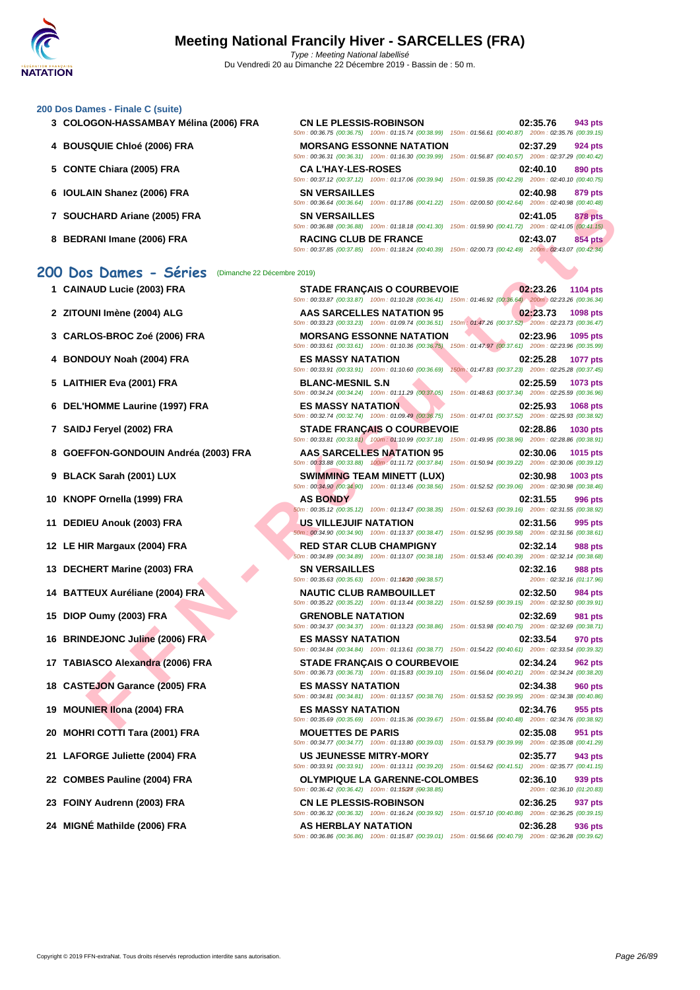#### **[200 Dos D](http://www.ffnatation.fr/webffn/index.php)ames - Finale C (suite)**

- 
- **4 BOUSQUIE Chloé (2006) FRA**
- **5 CONTE Chiara (2005) FRA**
- **6 IOULAIN Shanez (2006) FRA**
- **7** SOUCHARD Ariane (2005) FRA
- **8 BEDRANI Imane (2006) FRA RACING CLUB DE FRANCE 02:43.07 854 pts**

#### **200 Dos Dames - Séries** (Dimanche 22 Décembre 2019)

- 
- 
- 
- 
- 
- 
- 
- 
- 
- 
- 
- 
- 
- 
- 
- 
- 
- 
- 
- 
- 
- 
- 
- 

| 3 COLOGON-HASSAMBAY Mélina (2006) FRA | <b>CN LE PLESSIS-ROBINSON</b> | 50m: 00:36.75 (00:36.75) 100m: 01:15.74 (00:38.99) 150m: 01:56.61 (00:40.87) 200m: 02:35.76 (00:39.15)                                    | 02:35.76 | 943 pts        |
|---------------------------------------|-------------------------------|-------------------------------------------------------------------------------------------------------------------------------------------|----------|----------------|
| 4 BOUSQUIE Chloé (2006) FRA           |                               | <b>MORSANG ESSONNE NATATION</b><br>50m: 00:36.31 (00:36.31) 100m: 01:16.30 (00:39.99) 150m: 01:56.87 (00:40.57) 200m: 02:37.29 (00:40.42) | 02:37.29 | 924 pts        |
| 5 CONTE Chiara (2005) FRA             | <b>CA L'HAY-LES-ROSES</b>     | 50m: 00:37.12 (00:37.12) 100m: 01:17.06 (00:39.94) 150m: 01:59.35 (00:42.29) 200m: 02:40.10 (00:40.75)                                    | 02:40.10 | 890 pts        |
| 6 IOULAIN Shanez (2006) FRA           | <b>SN VERSAILLES</b>          | 50m: 00:36.64 (00:36.64) 100m: 01:17.86 (00:41.22) 150m: 02:00.50 (00:42.64) 200m: 02:40.98 (00:40.48)                                    | 02:40.98 | 879 pts        |
| 7 SOUCHARD Ariane (2005) FRA          | <b>SN VERSAILLES</b>          | 50m: 00:36.88 (00:36.88) 100m: 01:18.18 (00:41.30) 150m: 01:59.90 (00:41.72) 200m: 02:41.05 (00:41.15)                                    | 02:41.05 | <b>878 pts</b> |
| 8 BEDRANI Imane (2006) FRA            | <b>RACING CLUB DE FRANCE</b>  | 50m: 00:37.85 (00:37.85) 100m: 01:18.24 (00:40.39) 150m: 02:00.73 (00:42.49) 200m: 02:43.07 (00:42.34)                                    | 02:43.07 | 854 pts        |

#### CHARD Ariane (2005) FRA - SAMELLES MATATION<br>
IMPORTANT CLUB BE FARANCE SAME TRANCAS O COURREVOIE<br>
IN MONE CLUB BE TANCE IN A CHARD CLUB BE TANK AND TRANCAS O COURREVOIE<br>
IN MONE CROSS PRA - SAME TRANCAS O COURREVOIE<br>
IN M **1 CAINAUD Lucie (2003) FRA STADE FRANÇAIS O COURBEVOIE 02:23.26 1104 pts** 50m : 00:33.87 (00:33.87) 100m : 01:10.28 (00:36.41) 150m : 01:46.92 (00:36.64) 200m : 02:23.26 (00:36.34) **2 ZITOUNI Imène (2004) ALG AAS SARCELLES NATATION 95 02:23.73 1098 pts** 50m : 00:33.23 (00:33.23) 100m : 01:09.74 (00:36.51) 150m : 01:47.26 (00:37.52) 200m : 02:23.73 (00:36.47) **3 CARLOS-BROC Zoé (2006) FRA MORSANG ESSONNE NATATION 02:23.96 1095 pts** 50m : 00:33.61 (00:33.61) 100m : 01:10.36 (00:36.75) 150m : 01:47.97 (00:37.61) 200m : 02:23.96 (00:35.99) **4 BONDOUY Noah (2004) FRA ES MASSY NATATION 02:25.28 1077 pts** 50m : 00:33.91 (00:33.91) 100m : 01:10.60 (00:36.69) 150m : 01:47.83 (00:37.23) 200m : 02:25.28 (00:37.45) **5 LAITHIER Eva (2001) FRA BLANC-MESNIL S.N 02:25.59 1073 pts** 50m : 00:34.24 (00:34.24) 100m : 01:11.29 (00:37.05) 150m : 01:48.63 (00:37.34) 200m : 02:25.59 (00:36.96) **6 DEL'HOMME Laurine (1997) FRA ES MASSY NATATION 02:25.93 1068 pts** 50m : 00:32.74 (00:32.74) 100m : 01:09.49 (00:36.75) 150m : 01:47.01 (00:37.52) 200m : 02:25.93 (00:38.92) **7 SAIDJ Feryel (2002) FRA STADE FRANÇAIS O COURBEVOIE 02:28.86 1030 pts** 50m : 00:33.81 (00:33.81) 100m : 01:10.99 (00:37.18) 150m : 01:49.95 (00:38.96) 200m : 02:28.86 (00:38.91) **8 GOEFFON-GONDOUIN Andréa (2003) FRA AAS SARCELLES NATATION 95 02:30.06 1015 pts** 50m : 00:33.88 (00:33.88) 100m : 01:11.72 (00:37.84) 150m : 01:50.94 (00:39.22) 200m : 02:30.06 (00:39.12) **9 BLACK Sarah (2001) LUX SWIMMING TEAM MINETT (LUX) 02:30.98 1003 pts** 50m : 00:34.90 (00:34.90) 100m : 01:13.46 (00:38.56) 150m : 01:52.52 (00:39.06) 200m : 02:30.98 (00:38.46) **10 KNOPF Ornella (1999) FRA AS BONDY 02:31.55 996 pts** 50m : 00:35.12 (00:35.12) 100m : 01:13.47 (00:38.35) 150m : 01:52.63 (00:39.16) 200m : 02:31.55 (00:38.92) **11 DEDIEU Anouk (2003) FRA US VILLEJUIF NATATION 02:31.56 995 pts** 50m : 00:34.90 (00:34.90) 100m : 01:13.37 (00:38.47) 150m : 01:52.95 (00:39.58) 200m : 02:31.56 (00:38.61) **12 LE HIR Margaux (2004) FRA RED STAR CLUB CHAMPIGNY 02:32.14 988 pts** 50m : 00:34.89 (00:34.89) 100m : 01:13.07 (00:38.18) 150m : 01:53.46 (00:40.39) 200m : 02:32.14 (00:38.68) **13 DECHERT Marine (2003) FRA SN VERSAILLES 50m**: 02:33.63 **100.35.63** (00:35.63) **100m**: 01:1400 (09:38.57) **02:32.16 02:32.16 01:17.96**  $50m$  : 00:35.63  $(00:35.63)$  100m : 01:14020  $(00:38.57)$ **14 BATTEUX Auréliane (2004) FRA NAUTIC CLUB RAMBOUILLET 02:32.50 984 pts** 50m : 00:35.22 (00:35.22) 100m : 01:13.44 (00:38.22) 150m : 01:52.59 (00:39.15) 200m : 02:32.50 (00:39.91) **15 DIOP Oumy (2003) FRA GRENOBLE NATATION 02:32.69 981 pts** 50m : 00:34.37 (00:34.37) 100m : 01:13.23 (00:38.86) 150m : 01:53.98 (00:40.75) 200m : 02:32.69 (00:38.71) **16 BRINDEJONC Juline (2006) FRA ES MASSY NATATION 02:33.54 970 pts** 50m : 00:34.84 (00:34.84) 100m : 01:13.61 (00:38.77) 150m : 01:54.22 (00:40.61) 200m : 02:33.54 (00:39.32) **17 TABIASCO Alexandra (2006) FRA STADE FRANÇAIS O COURBEVOIE 02:34.24 962 pts** 50m : 00:36.73 (00:36.73) 100m : 01:15.83 (00:39.10) 150m : 01:56.04 (00:40.21) 200m : 02:34.24 (00:38.20) **18 CASTEJON Garance (2005) FRA ES MASSY NATATION 02:34.38 960 pts** 50m : 00:34.81 (00:34.81) 100m : 01:13.57 (00:38.76) 150m : 01:53.52 (00:39.95) 200m : 02:34.38 (00:40.86) **19 MOUNIER Ilona (2004) FRA ES MASSY NATATION 02:34.76 955 pts** 50m : 00:35.69 (00:35.69) 100m : 01:15.36 (00:39.67) 150m : 01:55.84 (00:40.48) 200m : 02:34.76 (00:38.92) **20 MOHRI COTTI Tara (2001) FRA MOUETTES DE PARIS 02:35.08 951 pts** 50m : 00:34.77 (00:34.77) 100m : 01:13.80 (00:39.03) 150m : 01:53.79 (00:39.99) 200m : 02:35.08 (00:41.29) **21 LAFORGE Juliette (2004) FRA US JEUNESSE MITRY-MORY 02:35.77 943 pts** 50m : 00:33.91 (00:33.91) 100m : 01:13.11 (00:39.20) 150m : 01:54.62 (00:41.51) 200m : 02:35.77 (00:41.15) **22 COMBES Pauline (2004) FRA OLYMPIQUE LA GARENNE-COLOMBES 02:36.10 939 pts** 50m : 00:36.42 (00:36.42) 100m : 01:15(27) : (09:38.85) 200m : 02:36.10 (01:20.83) **23 FOINY Audrenn (2003) FRA CN LE PLESSIS-ROBINSON 02:36.25 937 pts** 50m : 00:36.32 (00:36.32) 100m : 01:16.24 (00:39.92) 150m : 01:57.10 (00:40.86) 200m : 02:36.25 (00:39.15) **24 MIGNÉ Mathilde (2006) FRA AS HERBLAY NATATION 02:36.28 936 pts** 50m : 00:36.86 (00:36.86) 100m : 01:15.87 (00:39.01) 150m : 01:56.66 (00:40.79) 200m : 02:36.28 (00:39.62)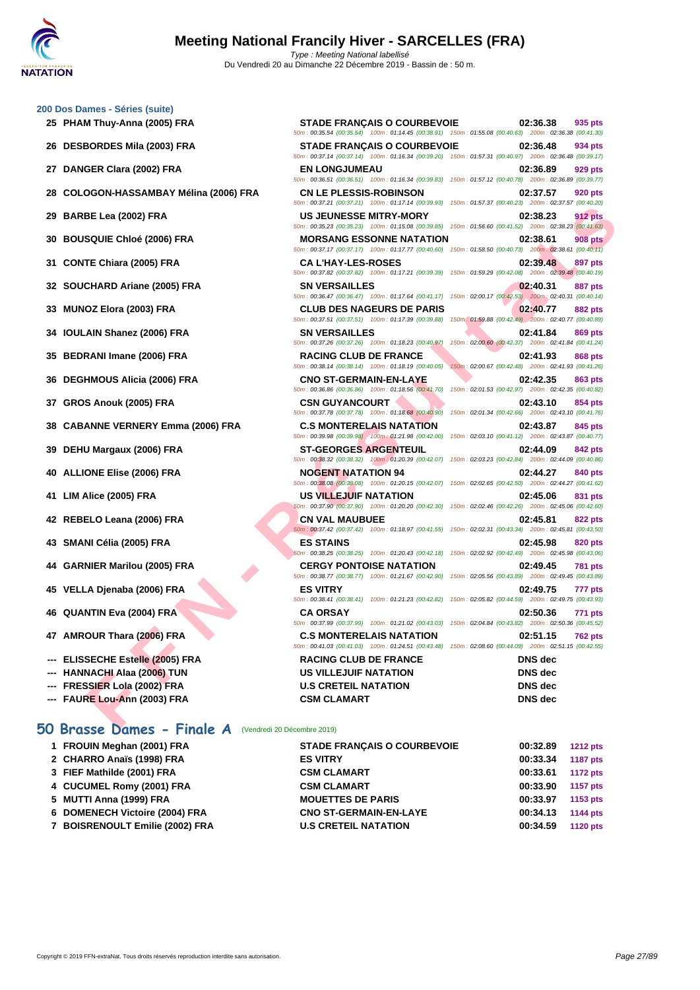# **[200 Dos D](http://www.ffnatation.fr/webffn/index.php)ames - Séries (suite)**

- 
- 
- 
- 
- 
- 
- 
- 
- 
- 
- 
- 
- 
- 
- 
- 
- 
- 
- 
- 
- 
- 
- **--- ELISSECHE Estelle (2005) FRA**
- **--- HANNACHI Alaa (2006) TUN**
- **--- FRESSIER Lola (2002) FRA**
- 

#### **50 Brasse Dames - Finale A** (Vendredi 20 Décembre 2019)

| 1 FROUIN Meghan (2001) FRA      | <b>STADE FRANÇAIS O COURBEVOIE</b> | 00:32.89 | <b>1212 pts</b> |
|---------------------------------|------------------------------------|----------|-----------------|
| 2 CHARRO Anaïs (1998) FRA       | <b>ES VITRY</b>                    | 00:33.34 | <b>1187 pts</b> |
| 3 FIEF Mathilde (2001) FRA      | <b>CSM CLAMART</b>                 | 00:33.61 | <b>1172 pts</b> |
| 4 CUCUMEL Romy (2001) FRA       | <b>CSM CLAMART</b>                 | 00:33.90 | 1157 pts        |
| 5 MUTTI Anna (1999) FRA         | <b>MOUETTES DE PARIS</b>           | 00:33.97 | 1153 pts        |
| 6 DOMENECH Victoire (2004) FRA  | <b>CNO ST-GERMAIN-EN-LAYE</b>      | 00:34.13 | <b>1144 pts</b> |
| 7 BOISRENOULT Emilie (2002) FRA | <b>U.S CRETEIL NATATION</b>        | 00:34.59 | <b>1120 pts</b> |
|                                 |                                    |          |                 |

| 25 PHAM Thuy-Anna (2005) FRA           | <b>STADE FRANÇAIS O COURBEVOIE</b>                                                      | 02:36.38<br>935 pts<br>50m: 00:35.54 (00:35.54) 100m: 01:14.45 (00:38.91) 150m: 01:55.08 (00:40.63) 200m: 02:36.38 (00:41.30)                                                               |
|----------------------------------------|-----------------------------------------------------------------------------------------|---------------------------------------------------------------------------------------------------------------------------------------------------------------------------------------------|
| 26 DESBORDES Mila (2003) FRA           | <b>STADE FRANÇAIS O COURBEVOIE</b>                                                      | 02:36.48<br>934 pts<br>50m: 00:37.14 (00:37.14) 100m: 01:16.34 (00:39.20) 150m: 01:57.31 (00:40.97) 200m: 02:36.48 (00:39.17)                                                               |
| 27 DANGER Clara (2002) FRA             | <b>EN LONGJUMEAU</b>                                                                    | 02:36.89<br>929 pts<br>50m: 00:36.51 (00:36.51) 100m: 01:16.34 (00:39.83) 150m: 01:57.12 (00:40.78) 200m: 02:36.89 (00:39.77)                                                               |
| 28 COLOGON-HASSAMBAY Mélina (2006) FRA | <b>CN LE PLESSIS-ROBINSON</b>                                                           | 02:37.57<br><b>920 pts</b><br>50m: 00:37.21 (00:37.21) 100m: 01:17.14 (00:39.93) 150m: 01:57.37 (00:40.23) 200m: 02:37.57 (00:40.20)                                                        |
| 29 BARBE Lea (2002) FRA                | <b>US JEUNESSE MITRY-MORY</b>                                                           | 02:38.23<br><b>912 pts</b><br>50m : 00:35.23 (00:35.23) 100m : 01:15.08 (00:39.85) 150m : 01:56.60 (00:41.52) 200m : 02:38.23 (00:41.63)                                                    |
| 30 BOUSQUIE Chloé (2006) FRA           | <b>MORSANG ESSONNE NATATION</b>                                                         | <b>908 pts</b><br>02:38.61<br>50m: 00:37.17 (00:37.17) 100m: 01:17.77 (00:40.60) 150m: 01:58.50 (00:40.73) 200m: 02:38.61 (00:40.11)                                                        |
| 31 CONTE Chiara (2005) FRA             | <b>CA L'HAY-LES-ROSES</b>                                                               | 02:39.48<br>897 pts<br>50m : 00:37.82 (00:37.82) 100m : 01:17.21 (00:39.39) 150m : 01:59.29 (00:42.08) 200m : 02:39.48 (00:40.19)                                                           |
| 32 SOUCHARD Ariane (2005) FRA          | <b>SN VERSAILLES</b>                                                                    | 02:40.31<br><b>887 pts</b><br>50m : 00:36.47 (00:36.47) 100m : 01:17.64 (00:41.17) 150m : 02:00.17 (00:42.53) 200m : 02:40.31 (00:40.14)                                                    |
| 33 MUNOZ Elora (2003) FRA              | <b>CLUB DES NAGEURS DE PARIS</b><br>50m: 00:37.51 (00:37.51) 100m: 01:17.39 (00:39.88)  | 02:40.77<br><b>882 pts</b><br>150m: 01:59.88 (00:42.49) 200m: 02:40.77 (00:40.89)                                                                                                           |
| 34 IOULAIN Shanez (2006) FRA           | <b>SN VERSAILLES</b><br>50m: 00:37.26 (00:37.26) 100m: 01:18.23 (00:40.97)              | 02:41.84<br>869 pts<br>150m: 02:00.60 (00:42.37) 200m: 02:41.84 (00:41.24)                                                                                                                  |
| 35 BEDRANI Imane (2006) FRA            | <b>RACING CLUB DE FRANCE</b><br>50m: 00:38.14 (00:38.14) 100m: 01:18.19 (00:40.05)      | 02:41.93<br><b>868 pts</b><br>150m: 02:00.67 (00:42.48) 200m: 02:41.93 (00:41.26)                                                                                                           |
| 36 DEGHMOUS Alicia (2006) FRA          | <b>CNO ST-GERMAIN-EN-LAYE</b><br>50m: 00:36.86 (00:36.86) 100m: 01:18.56 (00:41.70)     | 02:42.35<br>863 pts<br>150m: 02:01.53 (00:42.97) 200m: 02:42.35 (00:40.82)                                                                                                                  |
| 37 GROS Anouk (2005) FRA               | <b>CSN GUYANCOURT</b><br>50m: 00:37.78 (00:37.78) 100m: 01:18.68 (00:40.90)             | 02:43.10<br>854 pts<br>150m: 02:01.34 (00:42.66) 200m: 02:43.10 (00:41.76)                                                                                                                  |
| 38 CABANNE VERNERY Emma (2006) FRA     | <b>C.S MONTERELAIS NATATION</b><br>50m : 00:39.98 (00:39.98) 100m : 01:21.98 (00:42.00) | 02:43.87<br>845 pts<br>150m: 02:03.10 (00:41.12) 200m: 02:43.87 (00:40.77)                                                                                                                  |
| 39 DEHU Margaux (2006) FRA             | <b>ST-GEORGES ARGENTEUIL</b>                                                            | 02:44.09<br>842 pts<br>50m: 00:38.32 (00:38.32) 100m: 01:20.39 (00:42.07) 150m: 02:03.23 (00:42.84) 200m: 02:44.09 (00:40.86)                                                               |
| 40 ALLIONE Elise (2006) FRA            | <b>NOGENT NATATION 94</b>                                                               | 02:44.27<br>840 pts<br>50m: 00:38.08 (00:38.08) 100m: 01:20.15 (00:42.07) 150m: 02:02.65 (00:42.50) 200m: 02:44.27 (00:41.62)                                                               |
| 41 LIM Alice (2005) FRA                | US VILLEJUIF NATATION                                                                   | 02:45.06<br>831 pts<br>50m: 00:37.90 (00:37.90) 100m: 01:20.20 (00:42.30) 150m: 02:02.46 (00:42.26) 200m: 02:45.06 (00:42.60)                                                               |
| 42 REBELO Leana (2006) FRA             | <b>CN VAL MAUBUEE</b>                                                                   | 02:45.81<br><b>822 pts</b><br>50m: 00:37.42 (00:37.42) 100m: 01:18.97 (00:41.55) 150m: 02:02.31 (00:43.34) 200m: 02:45.81 (00:43.50)                                                        |
| 43 SMANI Célia (2005) FRA              | <b>ES STAINS</b>                                                                        | 02:45.98<br><b>820 pts</b><br>60m : 00:38.25 (00:38.25) 100m : 01:20.43 (00:42.18) 150m : 02:02.92 (00:42.49) 200m : 02:45.98 (00:43.06)                                                    |
| 44 GARNIER Marilou (2005) FRA          | <b>CERGY PONTOISE NATATION</b>                                                          | 02:49.45<br><b>781 pts</b>                                                                                                                                                                  |
| 45 VELLA Djenaba (2006) FRA            | <b>ES VITRY</b>                                                                         | 50m : 00:38.77 (00:38.77) 100m : 01:21.67 (00:42.90) 150m : 02:05.56 (00:43.89) 200m : 02:49.45 (00:43.89)<br>02:49.75<br>777 pts                                                           |
| 46 QUANTIN Eva (2004) FRA              | <b>CA ORSAY</b>                                                                         | 50m: 00:38.41 (00:38.41) 100m: 01:21.23 (00:42.82) 150m: 02:05.82 (00:44.59) 200m: 02:49.75 (00:43.93)<br>02:50.36<br><b>771 pts</b>                                                        |
| 47 AMROUR Thara (2006) FRA             | 50m: 00:37.99 (00:37.99) 100m: 01:21.02 (00:43.03)<br><b>C.S MONTERELAIS NATATION</b>   | 150m: 02:04.84 (00:43.82) 200m: 02:50.36 (00:45.52)<br>02:51.15<br><b>762 pts</b><br>50m: 00:41.03 (00:41.03) 100m: 01:24.51 (00:43.48) 150m: 02:08.60 (00:44.09) 200m: 02:51.15 (00:42.55) |
| --- ELISSECHE Estelle (2005) FRA       | <b>RACING CLUB DE FRANCE</b>                                                            | <b>DNS</b> dec                                                                                                                                                                              |
| <b>HANNACHI Alaa (2006) TUN</b>        | US VILLEJUIF NATATION                                                                   | <b>DNS</b> dec                                                                                                                                                                              |
| FRESSIER Lola (2002) FRA               | <b>U.S CRETEIL NATATION</b>                                                             | <b>DNS</b> dec                                                                                                                                                                              |
| --- FAURE Lou-Ann (2003) FRA           | <b>CSM CLAMART</b>                                                                      | <b>DNS</b> dec                                                                                                                                                                              |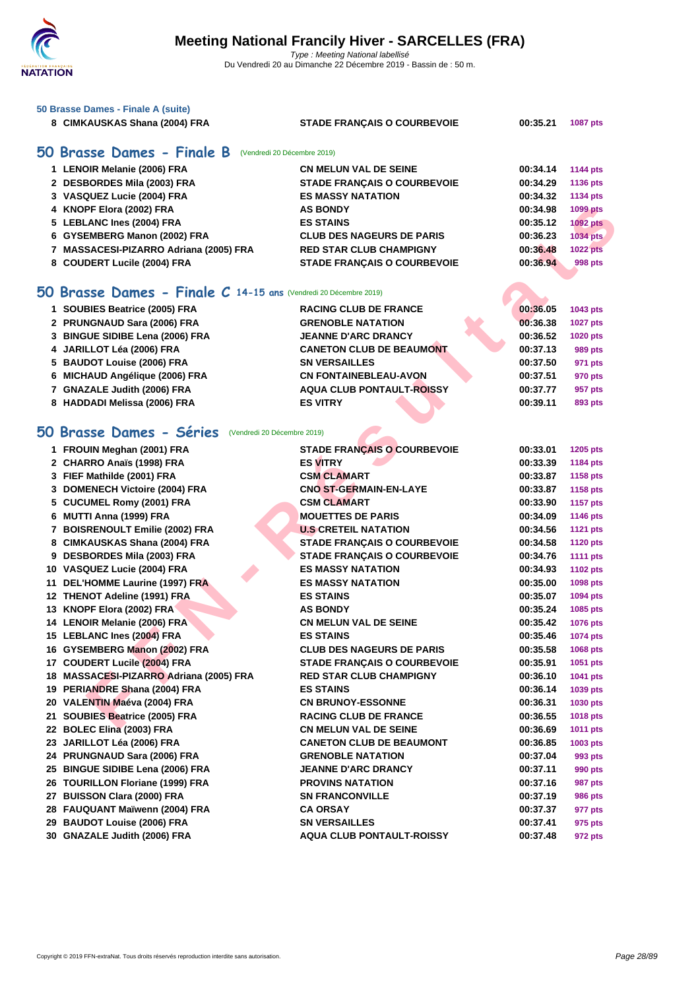

**[50 Brasse](http://www.ffnatation.fr/webffn/index.php) Dames - Finale A (suite)**

| 8 CIMKAUSKAS Shana (2004) FRA | <b>STADE FRANCAIS O COURBEVOIE</b> | 00:35.21 | <b>1087 pts</b> |
|-------------------------------|------------------------------------|----------|-----------------|
| 50 Brasse Dames - Finale B    | (Vendredi 20 Décembre 2019)        |          |                 |
| 1 LENOIR Melanie (2006) FRA   | <b>CN MELUN VAL DE SEINE</b>       | 00:34.14 | <b>1144 pts</b> |
| 2 DESBORDES Mila (2003) FRA   | <b>STADE FRANCAIS O COURBEVOIE</b> | 00:34.29 | <b>1136 pts</b> |
| 3 VASQUEZ Lucie (2004) FRA    | <b>ES MASSY NATATION</b>           | 00:34.32 | 1134 pts        |
| 4 KNOPF Elora (2002) FRA      | <b>AS BONDY</b>                    | 00:34.98 | 1099 pts        |
| 5 LEBLANC Ines (2004) FRA     | <b>ES STAINS</b>                   | 00:35.12 | <b>1092 pts</b> |
| 6 GYSEMBERG Manon (2002) FRA  | <b>CLUB DES NAGEURS DE PARIS</b>   | 00:36.23 | <b>1034 pts</b> |

#### **50 Brasse Dames - Finale C 14-15 ans** (Vendredi 20 Décembre 2019)

| 1 SOUBIES Beatrice (2005) FRA   | <b>RACING CLUB DE FRANCE</b>     | 00:36.05 | 1043 pts        |
|---------------------------------|----------------------------------|----------|-----------------|
| 2 PRUNGNAUD Sara (2006) FRA     | <b>GRENOBLE NATATION</b>         | 00:36.38 | <b>1027 pts</b> |
| 3 BINGUE SIDIBE Lena (2006) FRA | <b>JEANNE D'ARC DRANCY</b>       | 00:36.52 | <b>1020 pts</b> |
| 4 JARILLOT Léa (2006) FRA       | <b>CANETON CLUB DE BEAUMONT</b>  | 00:37.13 | 989 pts         |
| 5 BAUDOT Louise (2006) FRA      | <b>SN VERSAILLES</b>             | 00:37.50 | 971 pts         |
| 6 MICHAUD Angélique (2006) FRA  | <b>CN FONTAINEBLEAU-AVON</b>     | 00:37.51 | 970 pts         |
| 7 GNAZALE Judith (2006) FRA     | <b>AQUA CLUB PONTAULT-ROISSY</b> | 00:37.77 | 957 pts         |
| 8 HADDADI Melissa (2006) FRA    | <b>ES VITRY</b>                  | 00:39.11 | 893 pts         |

#### **50 Brasse Dames - Séries** (Vendredi 20 Décembre 2019)

| 4 KNOPF Elora (2002) FRA                                         | <b>AS BONDY</b>                    | 00:34.98 | <b>1099 pts</b> |
|------------------------------------------------------------------|------------------------------------|----------|-----------------|
| 5 LEBLANC Ines (2004) FRA                                        | <b>ES STAINS</b>                   | 00:35.12 | <b>1092 pts</b> |
| 6 GYSEMBERG Manon (2002) FRA                                     | <b>CLUB DES NAGEURS DE PARIS</b>   | 00:36.23 | 1034 pts        |
| 7 MASSACESI-PIZARRO Adriana (2005) FRA                           | <b>RED STAR CLUB CHAMPIGNY</b>     | 00:36.48 | <b>1022 pts</b> |
| 8 COUDERT Lucile (2004) FRA                                      | <b>STADE FRANÇAIS O COURBEVOIE</b> | 00:36.94 | 998 pts         |
|                                                                  |                                    |          |                 |
| iO Brasse Dames - Finale C 14-15 ans (Vendredi 20 Décembre 2019) |                                    |          |                 |
| 1 SOUBIES Beatrice (2005) FRA                                    | <b>RACING CLUB DE FRANCE</b>       | 00:36.05 | 1043 pts        |
| 2 PRUNGNAUD Sara (2006) FRA                                      | <b>GRENOBLE NATATION</b>           | 00:36.38 | <b>1027 pts</b> |
| 3 BINGUE SIDIBE Lena (2006) FRA                                  | <b>JEANNE D'ARC DRANCY</b>         | 00:36.52 | <b>1020 pts</b> |
| 4 JARILLOT Léa (2006) FRA                                        | <b>CANETON CLUB DE BEAUMONT</b>    | 00:37.13 | 989 pts         |
| 5 BAUDOT Louise (2006) FRA                                       | <b>SN VERSAILLES</b>               | 00:37.50 | 971 pts         |
| 6 MICHAUD Angélique (2006) FRA                                   | <b>CN FONTAINEBLEAU-AVON</b>       | 00:37.51 | 970 pts         |
| 7 GNAZALE Judith (2006) FRA                                      | <b>AQUA CLUB PONTAULT-ROISSY</b>   | 00:37.77 | 957 pts         |
| 8 HADDADI Melissa (2006) FRA                                     | <b>ES VITRY</b>                    | 00:39.11 | 893 pts         |
|                                                                  |                                    |          |                 |
| i0 Brasse Dames - Séries<br>(Vendredi 20 Décembre 2019)          |                                    |          |                 |
| 1 FROUIN Meghan (2001) FRA                                       | <b>STADE FRANÇAIS O COURBEVOIE</b> | 00:33.01 | <b>1205 pts</b> |
| 2 CHARRO Anaïs (1998) FRA                                        | <b>ES VITRY</b>                    | 00:33.39 | 1184 pts        |
| 3 FIEF Mathilde (2001) FRA                                       | <b>CSM CLAMART</b>                 | 00:33.87 | 1158 pts        |
| 3 DOMENECH Victoire (2004) FRA                                   | <b>CNO ST-GERMAIN-EN-LAYE</b>      | 00:33.87 | 1158 pts        |
| 5 CUCUMEL Romy (2001) FRA                                        | <b>CSM CLAMART</b>                 | 00:33.90 | <b>1157 pts</b> |
| 6 MUTTI Anna (1999) FRA                                          | <b>MOUETTES DE PARIS</b>           | 00:34.09 | <b>1146 pts</b> |
| 7 BOISRENOULT Emilie (2002) FRA                                  | <b>U.S CRETEIL NATATION</b>        | 00:34.56 | <b>1121 pts</b> |
| 8 CIMKAUSKAS Shana (2004) FRA                                    | <b>STADE FRANÇAIS O COURBEVOIE</b> | 00:34.58 | <b>1120 pts</b> |
| 9 DESBORDES Mila (2003) FRA                                      | STADE FRANÇAIS O COURBEVOIE        | 00:34.76 | <b>1111 pts</b> |
| 10 VASQUEZ Lucie (2004) FRA                                      | <b>ES MASSY NATATION</b>           | 00:34.93 | <b>1102 pts</b> |
| 11 DEL'HOMME Laurine (1997) FRA                                  | <b>ES MASSY NATATION</b>           | 00:35.00 | 1098 pts        |
| 12 THENOT Adeline (1991) FRA                                     | <b>ES STAINS</b>                   | 00:35.07 | 1094 pts        |
| 13 KNOPF Elora (2002) FRA                                        | <b>AS BONDY</b>                    | 00:35.24 | 1085 pts        |
| 14 LENOIR Melanie (2006) FRA                                     | <b>CN MELUN VAL DE SEINE</b>       | 00:35.42 | 1076 pts        |
| 15 LEBLANC Ines (2004) FRA                                       | <b>ES STAINS</b>                   | 00:35.46 | 1074 pts        |
| 16 GYSEMBERG Manon (2002) FRA                                    | <b>CLUB DES NAGEURS DE PARIS</b>   | 00:35.58 | 1068 pts        |
| 17 COUDERT Lucile (2004) FRA                                     | <b>STADE FRANCAIS O COURBEVOIE</b> | 00:35.91 | 1051 pts        |
| 18 MASSACESI-PIZARRO Adriana (2005) FRA                          | <b>RED STAR CLUB CHAMPIGNY</b>     | 00:36.10 | 1041 pts        |
| 19 PERIANDRE Shana (2004) FRA                                    | <b>ES STAINS</b>                   | 00:36.14 | 1039 pts        |
| 20 VALENTIN Maéva (2004) FRA                                     | <b>CN BRUNOY-ESSONNE</b>           | 00:36.31 | 1030 pts        |
| 21 SOUBIES Beatrice (2005) FRA                                   | <b>RACING CLUB DE FRANCE</b>       | 00:36.55 | 1018 pts        |
| 22 BOLEC Elina (2003) FRA                                        | <b>CN MELUN VAL DE SEINE</b>       | 00:36.69 | <b>1011 pts</b> |
| 23 JARILLOT Léa (2006) FRA                                       | <b>CANETON CLUB DE BEAUMONT</b>    | 00:36.85 | 1003 pts        |
| 24 PRUNGNAUD Sara (2006) FRA                                     | <b>GRENOBLE NATATION</b>           | 00:37.04 | 993 pts         |
| 25 BINGUE SIDIBE Lena (2006) FRA                                 | <b>JEANNE D'ARC DRANCY</b>         | 00:37.11 | 990 pts         |
| 26 TOURILLON Floriane (1999) FRA                                 | <b>PROVINS NATATION</b>            | 00:37.16 | <b>987 pts</b>  |
| 27 BUISSON Clara (2000) FRA                                      | <b>SN FRANCONVILLE</b>             | 00:37.19 | <b>986 pts</b>  |
| 28 FAUQUANT Maïwenn (2004) FRA                                   | <b>CA ORSAY</b>                    | 00:37.37 | 977 pts         |
| 29 BAUDOT Louise (2006) FRA                                      | <b>SN VERSAILLES</b>               | 00:37.41 | 975 pts         |
| 30 GNAZALE Judith (2006) FRA                                     | <b>AQUA CLUB PONTAULT-ROISSY</b>   | 00:37.48 | 972 pts         |
|                                                                  |                                    |          |                 |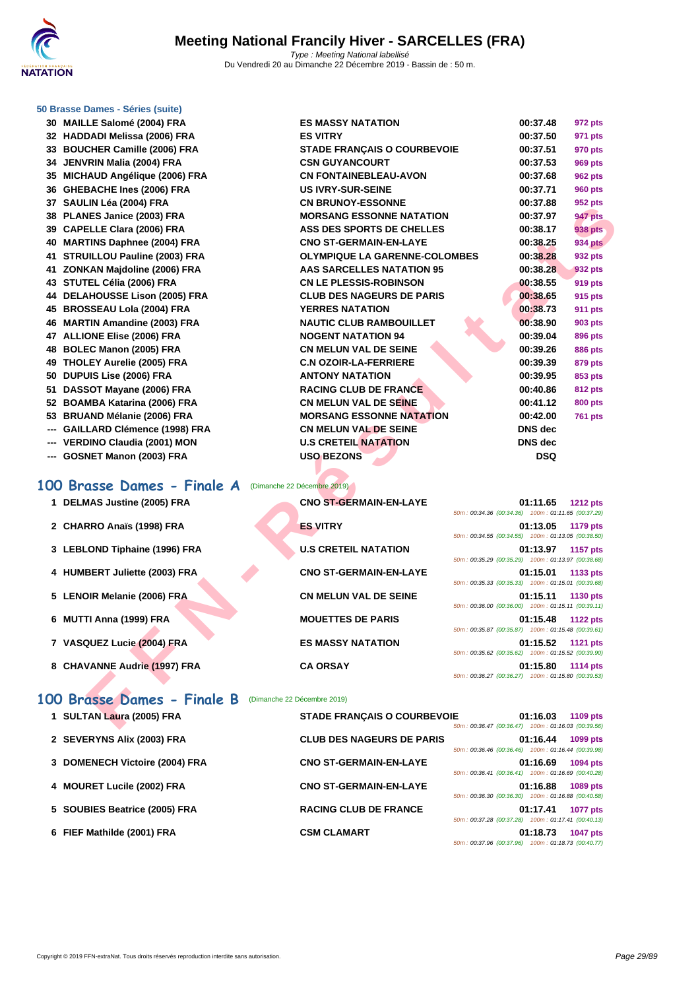

#### **[50 Brasse](http://www.ffnatation.fr/webffn/index.php) Dames - Séries (suite)**

| 30. | MAILLE Salome (2004) FRA         |
|-----|----------------------------------|
|     | 32 HADDADI Melissa (2006) FRA    |
|     | 33 BOUCHER Camille (2006) FRA    |
|     | 34 JENVRIN Malia (2004) FRA      |
|     | 35 MICHAUD Angélique (2006) FRA  |
|     | 36 GHEBACHE Ines (2006) FRA      |
|     | 37 SAULIN Léa (2004) FRA         |
|     | 38 PLANES Janice (2003) FRA      |
|     | 39 CAPELLE Clara (2006) FRA      |
|     | 40 MARTINS Daphnee (2004) FRA    |
|     | 41 STRUILLOU Pauline (2003) FRA  |
|     | 41 ZONKAN Majdoline (2006) FRA   |
|     | 43 STUTEL Célia (2006) FRA       |
|     | 44 DELAHOUSSE Lison (2005) FRA   |
|     | 45 BROSSEAU Lola (2004) FRA      |
|     | 46 MARTIN Amandine (2003) FRA    |
|     | 47 ALLIONE Elise (2006) FRA      |
|     | 48 BOLEC Manon (2005) FRA        |
|     | 49 THOLEY Aurelie (2005) FRA     |
|     | 50 DUPUIS Lise (2006) FRA        |
|     | 51 DASSOT Mayane (2006) FRA      |
|     | 52 BOAMBA Katarina (2006) FRA    |
|     | 53 BRUAND Mélanie (2006) FRA     |
|     | --- GAILLARD Clémence (1998) FRA |
|     | --- VERDINO Claudia (2001) MON   |
|     | --- GOSNET Manon (2003) FRA      |
|     |                                  |
|     | $-22$<br>$\blacksquare$          |

| 30 MAILLE Salomé (2004) FRA                            | <b>ES MASSY NATATION</b>             |                                                    | 00:37.48            | 972 pts         |
|--------------------------------------------------------|--------------------------------------|----------------------------------------------------|---------------------|-----------------|
| 32 HADDADI Melissa (2006) FRA                          | <b>ES VITRY</b>                      |                                                    | 00:37.50            | 971 pts         |
| 33 BOUCHER Camille (2006) FRA                          | <b>STADE FRANÇAIS O COURBEVOIE</b>   |                                                    | 00:37.51            | 970 pts         |
| 34 JENVRIN Malia (2004) FRA                            | <b>CSN GUYANCOURT</b>                |                                                    | 00:37.53            | <b>969 pts</b>  |
| 35 MICHAUD Angélique (2006) FRA                        | <b>CN FONTAINEBLEAU-AVON</b>         |                                                    | 00:37.68            | <b>962 pts</b>  |
| 36 GHEBACHE Ines (2006) FRA                            | <b>US IVRY-SUR-SEINE</b>             |                                                    | 00:37.71            | <b>960 pts</b>  |
| 37 SAULIN Léa (2004) FRA                               | <b>CN BRUNOY-ESSONNE</b>             |                                                    | 00:37.88            | 952 pts         |
| 38 PLANES Janice (2003) FRA                            | <b>MORSANG ESSONNE NATATION</b>      |                                                    | 00:37.97            | <b>947 pts</b>  |
| 39 CAPELLE Clara (2006) FRA                            | ASS DES SPORTS DE CHELLES            |                                                    | 00:38.17            | <b>938 pts</b>  |
| 40 MARTINS Daphnee (2004) FRA                          | <b>CNO ST-GERMAIN-EN-LAYE</b>        |                                                    | 00:38.25            | <b>934 pts</b>  |
| 41 STRUILLOU Pauline (2003) FRA                        | <b>OLYMPIQUE LA GARENNE-COLOMBES</b> |                                                    | 00:38.28            | 932 pts         |
| 41 ZONKAN Majdoline (2006) FRA                         | AAS SARCELLES NATATION 95            |                                                    | 00:38.28            | 932 pts         |
| 43 STUTEL Célia (2006) FRA                             | <b>CN LE PLESSIS-ROBINSON</b>        |                                                    | 00:38.55            | 919 pts         |
| <b>44 DELAHOUSSE Lison (2005) FRA</b>                  | <b>CLUB DES NAGEURS DE PARIS</b>     |                                                    | 00:38.65            | 915 pts         |
| 45 BROSSEAU Lola (2004) FRA                            | <b>YERRES NATATION</b>               |                                                    | 00:38.73            | <b>911 pts</b>  |
| 46 MARTIN Amandine (2003) FRA                          | <b>NAUTIC CLUB RAMBOUILLET</b>       |                                                    | 00:38.90            | 903 pts         |
| 47 ALLIONE Elise (2006) FRA                            | <b>NOGENT NATATION 94</b>            |                                                    | 00:39.04            | 896 pts         |
| 48 BOLEC Manon (2005) FRA                              | <b>CN MELUN VAL DE SEINE</b>         |                                                    | 00:39.26            | <b>886 pts</b>  |
| 49 THOLEY Aurelie (2005) FRA                           | <b>C.N OZOIR-LA-FERRIERE</b>         |                                                    | 00:39.39            | 879 pts         |
| 50 DUPUIS Lise (2006) FRA                              | <b>ANTONY NATATION</b>               |                                                    | 00:39.95            | 853 pts         |
| 51 DASSOT Mayane (2006) FRA                            | <b>RACING CLUB DE FRANCE</b>         |                                                    | 00:40.86            | 812 pts         |
| 52 BOAMBA Katarina (2006) FRA                          | <b>CN MELUN VAL DE SEINE</b>         |                                                    | 00:41.12            | <b>800 pts</b>  |
| 53 BRUAND Mélanie (2006) FRA                           | <b>MORSANG ESSONNE NATATION</b>      |                                                    | 00:42.00            | <b>761 pts</b>  |
| --- GAILLARD Clémence (1998) FRA                       | <b>CN MELUN VAL DE SEINE</b>         |                                                    | <b>DNS</b> dec      |                 |
| --- VERDINO Claudia (2001) MON                         | <b>U.S CRETEIL NATATION</b>          |                                                    | <b>DNS</b> dec      |                 |
| --- GOSNET Manon (2003) FRA                            | <b>USO BEZONS</b>                    |                                                    | <b>DSQ</b>          |                 |
|                                                        |                                      |                                                    |                     |                 |
| 00 Brasse Dames - Finale A                             | (Dimanche 22 Décembre 2019)          |                                                    |                     |                 |
| 1 DELMAS Justine (2005) FRA                            | <b>CNO ST-GERMAIN-EN-LAYE</b>        |                                                    | 01:11.65            | <b>1212 pts</b> |
|                                                        |                                      | 50m: 00:34.36 (00:34.36) 100m: 01:11.65 (00:37.29) |                     |                 |
| 2 CHARRO Anaïs (1998) FRA                              | <b>ES VITRY</b>                      | 50m: 00:34.55 (00:34.55) 100m: 01:13.05 (00:38.50) | 01:13.05            | 1179 pts        |
| 3 LEBLOND Tiphaine (1996) FRA                          | <b>U.S CRETEIL NATATION</b>          |                                                    | 01:13.97            | <b>1157 pts</b> |
|                                                        |                                      | 50m: 00:35.29 (00:35.29) 100m: 01:13.97 (00:38.68) |                     |                 |
| 4 HUMBERT Juliette (2003) FRA                          | <b>CNO ST-GERMAIN-EN-LAYE</b>        |                                                    | 01:15.01            | 1133 pts        |
|                                                        |                                      | 50m: 00:35.33 (00:35.33) 100m: 01:15.01 (00:39.68) |                     |                 |
| 5 LENOIR Melanie (2006) FRA                            | <b>CN MELUN VAL DE SEINE</b>         |                                                    | 01:15.11            | 1130 pts        |
|                                                        |                                      | 50m: 00:36.00 (00:36.00) 100m: 01:15.11 (00:39.11) |                     |                 |
| 6 MUTTI Anna (1999) FRA                                | <b>MOUETTES DE PARIS</b>             | 50m: 00:35.87 (00:35.87) 100m: 01:15.48 (00:39.61) | 01:15.48            | <b>1122 pts</b> |
| 7 VASQUEZ Lucie (2004) FRA                             | <b>ES MASSY NATATION</b>             |                                                    | 01:15.52            |                 |
|                                                        |                                      | 50m: 00:35.62 (00:35.62) 100m: 01:15.52 (00:39.90) |                     | <b>1121 pts</b> |
| 8 CHAVANNE Audrie (1997) FRA                           | <b>CA ORSAY</b>                      |                                                    | 01:15.80            | 1114 pts        |
|                                                        |                                      | 50m: 00:36.27 (00:36.27) 100m: 01:15.80 (00:39.53) |                     |                 |
|                                                        |                                      |                                                    |                     |                 |
| 00 Brasse Dames - Finale B (Dimanche 22 Décembre 2019) |                                      |                                                    |                     |                 |
| 1 SULTAN Laura (2005) FRA                              | <b>STADE FRANÇAIS O COURBEVOIE</b>   |                                                    | $01:16.03$ 1109 pts |                 |
|                                                        |                                      | 50m: 00:36.47 (00:36.47) 100m: 01:16.03 (00:39.56) |                     |                 |

#### **100 Brasse Dames - Finale A** (Dimanche 22 Décembre 2019) **1 DELMAS Justine (2005) FRA CNO ST-GERMAIN-EN-LAYE 01:11.65 1212 pts**

| 2 CHARRO Anaïs (1998) FRA |  |  |
|---------------------------|--|--|

- **3** LEBLOND Tiphaine (1996) FRA **U.S CRETEIL**
- **4 HUMBERT Juliette (2003) FRA CNO ST-GER**
- **5** LENOIR Melanie (2006) FRA **CN MELUN V**
- **6 MUTTI Anna (1999) FRA MOUETTES D**
- **7 VASQUEZ Lucie (2004) FRA ES MASSY N**
- **8 CHAVANNE Audrie (1997) FRA CA ORSAY**

#### **100 Brasse Dames - Finale B** (Dimanche 22 Décembre 2019)

|                     | 50m : 00:34.55 (00:3 |  |
|---------------------|----------------------|--|
| . NATATION          | 50m : 00:35.29 (00:3 |  |
| <b>MAIN-EN-LAYE</b> |                      |  |
| <b>AL DE SEINE</b>  | 50m: 00:35.33 (00:3  |  |
|                     | 50m : 00:36.00 (00:3 |  |
| <b>DE PARIS</b>     | 50m : 00:35.87 (00:3 |  |
| <b>ATATION</b>      |                      |  |
|                     | 50m: 00:35.62 (00:3  |  |
|                     | 50m: 00:36.27 (00:3  |  |
|                     |                      |  |

| $1.5221$ and $0.0001110$ (2000) $1.157$ |                               | 50m: 00:34.36 (00:34.36) 100m: 01:11.65 (00:37.29)                                |
|-----------------------------------------|-------------------------------|-----------------------------------------------------------------------------------|
| 2 CHARRO Anaïs (1998) FRA               | <b>ES VITRY</b>               | 01:13.05<br>1179 pts<br>50m: 00:34.55 (00:34.55) 100m: 01:13.05 (00:38.50)        |
| 3 LEBLOND Tiphaine (1996) FRA           | <b>U.S CRETEIL NATATION</b>   | 01:13.97<br>1157 pts<br>50m: 00:35.29 (00:35.29) 100m: 01:13.97 (00:38.68)        |
| 4 HUMBERT Juliette (2003) FRA           | <b>CNO ST-GERMAIN-EN-LAYE</b> | 01:15.01<br>1133 pts<br>50m: 00:35.33 (00:35.33) 100m: 01:15.01 (00:39.68)        |
| 5 LENOIR Melanie (2006) FRA             | <b>CN MELUN VAL DE SEINE</b>  | 01:15.11<br>1130 pts<br>50m: 00:36.00 (00:36.00) 100m: 01:15.11 (00:39.11)        |
| 6 MUTTI Anna (1999) FRA                 | <b>MOUETTES DE PARIS</b>      | 01:15.48<br><b>1122 pts</b><br>50m: 00:35.87 (00:35.87) 100m: 01:15.48 (00:39.61) |
| 7 VASQUEZ Lucie (2004) FRA              | <b>ES MASSY NATATION</b>      | 01:15.52<br><b>1121 pts</b><br>50m: 00:35.62 (00:35.62) 100m: 01:15.52 (00:39.90) |
| 8 CHAVANNE Audrie (1997) FRA            | <b>CA ORSAY</b>               | 01:15.80<br><b>1114 pts</b><br>50m: 00:36.27 (00:36.27) 100m: 01:15.80 (00:39.53) |

| 1 SULTAN Laura (2005) FRA      | <b>STADE FRANÇAIS O COURBEVOIE</b> | 01:16.03<br>1109 pts<br>50m: 00:36.47 (00:36.47) 100m: 01:16.03 (00:39.56)        |
|--------------------------------|------------------------------------|-----------------------------------------------------------------------------------|
| 2 SEVERYNS Alix (2003) FRA     | <b>CLUB DES NAGEURS DE PARIS</b>   | 01:16.44<br>1099 pts<br>50m: 00:36.46 (00:36.46) 100m: 01:16.44 (00:39.98)        |
| 3 DOMENECH Victoire (2004) FRA | <b>CNO ST-GERMAIN-EN-LAYE</b>      | 01:16.69<br>1094 pts<br>50m: 00:36.41 (00:36.41) 100m: 01:16.69 (00:40.28)        |
| 4 MOURET Lucile (2002) FRA     | <b>CNO ST-GERMAIN-EN-LAYE</b>      | 01:16.88<br>1089 pts<br>50m: 00:36.30 (00:36.30) 100m: 01:16.88 (00:40.58)        |
| 5 SOUBIES Beatrice (2005) FRA  | <b>RACING CLUB DE FRANCE</b>       | 01:17.41<br><b>1077 pts</b><br>50m: 00:37.28 (00:37.28) 100m: 01:17.41 (00:40.13) |
| 6 FIEF Mathilde (2001) FRA     | <b>CSM CLAMART</b>                 | 01:18.73<br><b>1047 pts</b><br>50m: 00:37.96 (00:37.96) 100m: 01:18.73 (00:40.77) |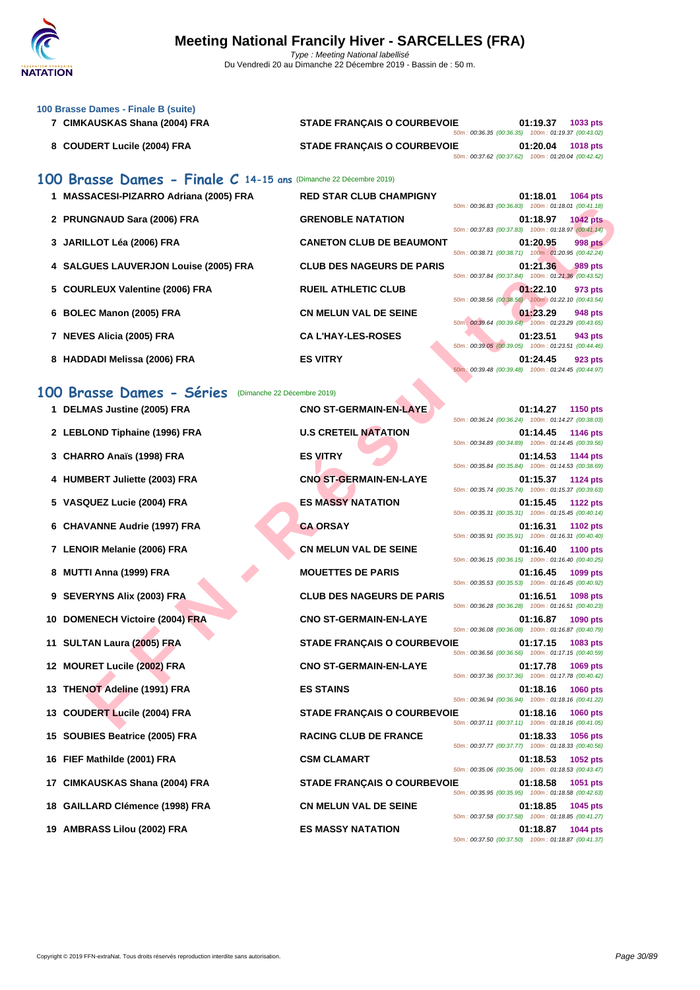

| 100 Brasse Dames - Finale B (suite)<br>7 CIMKAUSKAS Shana (2004) FRA | <b>STADE FRANÇAIS O COURBEVOIE</b> | 01:19.37<br>1033 pts                                                                                                                    |
|----------------------------------------------------------------------|------------------------------------|-----------------------------------------------------------------------------------------------------------------------------------------|
| 8 COUDERT Lucile (2004) FRA                                          | <b>STADE FRANCAIS O COURBEVOIE</b> | 50m: 00:36.35 (00:36.35) 100m: 01:19.37 (00:43.02)<br>01:20.04<br><b>1018 pts</b><br>50m: 00:37.62 (00:37.62) 100m: 01:20.04 (00:42.42) |
| 100 Brasse Dames - Finale C 14-15 ans (Dimanche 22 Décembre 2019)    |                                    |                                                                                                                                         |
| 1 MASSACESI-PIZARRO Adriana (2005) FRA                               | <b>RED STAR CLUB CHAMPIGNY</b>     | 01:18.01<br><b>1064 pts</b>                                                                                                             |
| 2 PRUNGNAUD Sara (2006) FRA                                          | <b>GRENOBLE NATATION</b>           | 50m: 00:36.83 (00:36.83) 100m: 01:18.01 (00:41.18)<br>01:18.97<br><b>1042 pts</b>                                                       |
| 3 JARILLOT Léa (2006) FRA                                            | <b>CANETON CLUB DE BEAUMONT</b>    | 50m: 00:37.83 (00:37.83) 100m: 01:18.97 (00:41.14)<br>01:20.95<br><b>998 pts</b>                                                        |
| 4 SALGUES LAUVERJON Louise (2005) FRA                                | <b>CLUB DES NAGEURS DE PARIS</b>   | 50m: 00:38.71 (00:38.71) 100m: 01:20.95 (00:42.24)<br>01:21.36<br>989 pts                                                               |
| 5 COURLEUX Valentine (2006) FRA                                      | <b>RUEIL ATHLETIC CLUB</b>         | 50m: 00:37.84 (00:37.84) 100m: 01:21.36 (00:43.52)<br>01:22.10<br>973 pts                                                               |
| 6 BOLEC Manon (2005) FRA                                             | <b>CN MELUN VAL DE SEINE</b>       | 50m: 00:38.56 (00:38.56) 100m: 01:22.10 (00:43.54)<br>01:23.29<br>948 pts                                                               |
| 7 NEVES Alicia (2005) FRA                                            | <b>CA L'HAY-LES-ROSES</b>          | 50m: 00:39.64 (00:39.64) 100m: 01:23.29 (00:43.65)<br>01:23.51<br>943 pts                                                               |
| 8 HADDADI Melissa (2006) FRA                                         | <b>ES VITRY</b>                    | 50m: 00:39.05 (00:39.05) 100m: 01:23.51 (00:44.46)<br>01:24.45<br>923 pts                                                               |
|                                                                      |                                    | 50m: 00:39.48 (00:39.48) 100m: 01:24.45 (00:44.97)                                                                                      |
| 100 Brasse Dames - Séries<br>(Dimanche 22 Décembre 2019)             |                                    |                                                                                                                                         |
| 1 DELMAS Justine (2005) FRA                                          | <b>CNO ST-GERMAIN-EN-LAYE</b>      | 01:14.27 1150 pts<br>50m: 00:36.24 (00:36.24) 100m: 01:14.27 (00:38.03)                                                                 |
| 2 LEBLOND Tiphaine (1996) FRA                                        | <b>U.S CRETEIL NATATION</b>        | 01:14.45<br><b>1146 pts</b><br>50m: 00:34.89 (00:34.89) 100m: 01:14.45 (00:39.56)                                                       |
| 3 CHARRO Anaïs (1998) FRA                                            | <b>ES VITRY</b>                    | 01:14.53<br><b>1144 pts</b><br>50m: 00:35.84 (00:35.84) 100m: 01:14.53 (00:38.69)                                                       |
| 4 HUMBERT Juliette (2003) FRA                                        | <b>CNO ST-GERMAIN-EN-LAYE</b>      | 01:15.37<br>1124 pts<br>50m: 00:35.74 (00:35.74) 100m: 01:15.37 (00:39.63)                                                              |
| 5 VASQUEZ Lucie (2004) FRA                                           | <b>ES MASSY NATATION</b>           | 01:15.45<br>1122 pts                                                                                                                    |
| 6 CHAVANNE Audrie (1997) FRA                                         | <b>CA ORSAY</b>                    | 50m: 00:35.31 (00:35.31) 100m: 01:15.45 (00:40.14)<br>01:16.31<br><b>1102 pts</b>                                                       |
| 7 LENOIR Melanie (2006) FRA                                          | <b>CN MELUN VAL DE SEINE</b>       | 50m: 00:35.91 (00:35.91) 100m: 01:16.31 (00:40.40)<br>01:16.40<br><b>1100 pts</b>                                                       |
| 8 MUTTI Anna (1999) FRA                                              | <b>MOUETTES DE PARIS</b>           | 50m: 00:36.15 (00:36.15) 100m: 01:16.40 (00:40.25)<br>01:16.45<br>1099 pts                                                              |
| 9 SEVERYNS Alix (2003) FRA                                           | <b>CLUB DES NAGEURS DE PARIS</b>   | 50m: 00:35.53 (00:35.53) 100m: 01:16.45 (00:40.92)<br>01:16.51<br><b>1098 pts</b>                                                       |
| 10 DOMENECH Victoire (2004) FRA                                      | <b>CNO ST-GERMAIN-EN-LAYE</b>      | 50m: 00:36.28 (00:36.28)<br>100m: 01:16.51 (00:40.23)<br>01:16.87<br><b>1090 pts</b>                                                    |
|                                                                      |                                    | 50m: 00:36.08 (00:36.08) 100m: 01:16.87 (00:40.79)                                                                                      |
| 11 SULTAN Laura (2005) FRA                                           | <b>STADE FRANÇAIS O COURBEVOIE</b> | 01:17.15<br>1083 pts<br>50m: 00:36.56 (00:36.56) 100m: 01:17.15 (00:40.59)                                                              |
| 12 MOURET Lucile (2002) FRA                                          | <b>CNO ST-GERMAIN-EN-LAYE</b>      | 01:17.78<br>1069 pts<br>50m: 00:37.36 (00:37.36) 100m: 01:17.78 (00:40.42)                                                              |
| 13 THENOT Adeline (1991) FRA                                         | <b>ES STAINS</b>                   | 01:18.16<br><b>1060 pts</b><br>50m: 00:36.94 (00:36.94) 100m: 01:18.16 (00:41.22)                                                       |
| 13 COUDERT Lucile (2004) FRA                                         | <b>STADE FRANÇAIS O COURBEVOIE</b> | 01:18.16<br><b>1060 pts</b><br>50m: 00:37.11 (00:37.11) 100m: 01:18.16 (00:41.05)                                                       |
| 15 SOUBIES Beatrice (2005) FRA                                       | <b>RACING CLUB DE FRANCE</b>       | 01:18.33<br><b>1056 pts</b><br>50m: 00:37.77 (00:37.77) 100m: 01:18.33 (00:40.56)                                                       |

- **16 FIEF Mathilde (2001) FRA CSM CLAMART 01:18.53 1052 pts**
- **17 CIMKAUSKAS Shana (2004) FRA STADE FRANÇAIS O COURBEVOIE 01:18.58 1051 pts**
- **18 GAILLARD Clémence (1998) FRA CN MELUN VAL DE SEINE 01:18.85 1045 pts**
- **19 AMBRASS Lilou (2002) FRA ES MASSY NATATION 01:18.87 1044 pts**

50m : 00:35.06 (00:35.06) 100m : 01:18.53 (00:43.47)

50m : 00:35.95 (00:35.95) 100m : 01:18.58 (00:42.63)

50m : 00:37.58 (00:37.58) 100m : 01:18.85 (00:41.27)

50m : 00:37.50 (00:37.50) 100m : 01:18.87 (00:41.37)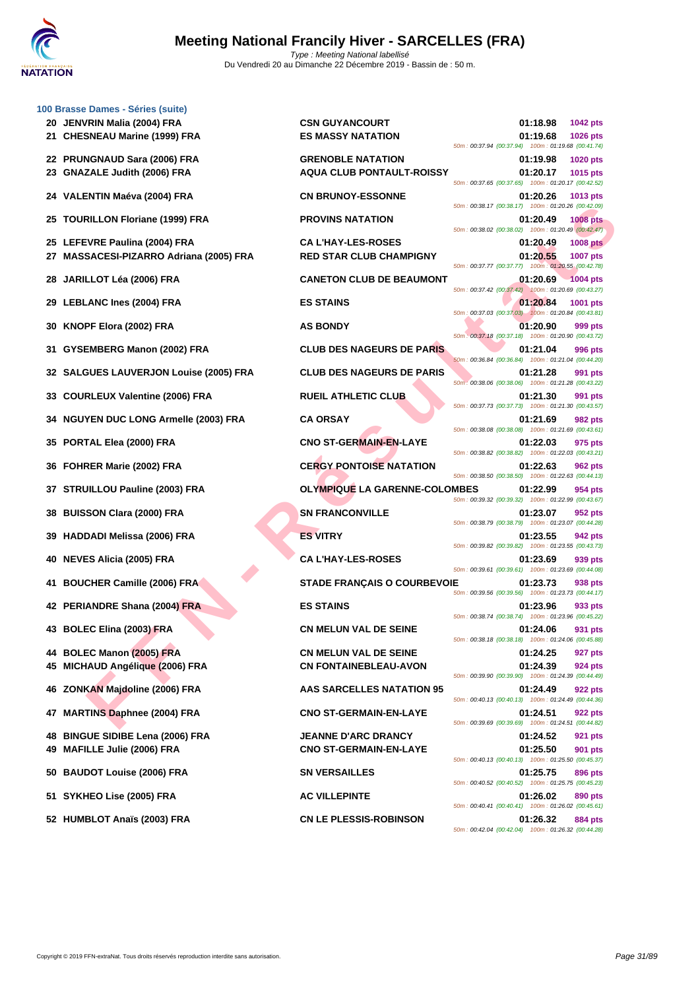

|    | 100 Brasse Dames - Séries (suite)                                            |                                      |                                                                            |
|----|------------------------------------------------------------------------------|--------------------------------------|----------------------------------------------------------------------------|
|    | 20 JENVRIN Malia (2004) FRA                                                  | <b>CSN GUYANCOURT</b>                | 01:18.98<br>1042 pts                                                       |
|    | 21 CHESNEAU Marine (1999) FRA                                                | <b>ES MASSY NATATION</b>             | 01:19.68<br><b>1026 pts</b>                                                |
|    |                                                                              |                                      | 50m: 00:37.94 (00:37.94) 100m: 01:19.68 (00:41.74)                         |
| 22 | <b>PRUNGNAUD Sara (2006) FRA</b>                                             | <b>GRENOBLE NATATION</b>             | 01:19.98<br><b>1020 pts</b>                                                |
| 23 | <b>GNAZALE Judith (2006) FRA</b>                                             | <b>AQUA CLUB PONTAULT-ROISSY</b>     | 01:20.17<br>1015 pts<br>50m: 00:37.65 (00:37.65) 100m: 01:20.17 (00:42.52) |
|    | 24 VALENTIN Maéva (2004) FRA                                                 | <b>CN BRUNOY-ESSONNE</b>             | 01:20.26<br>1013 pts                                                       |
|    |                                                                              |                                      | 50m: 00:38.17 (00:38.17) 100m: 01:20.26 (00:42.09)                         |
| 25 | <b>TOURILLON Floriane (1999) FRA</b>                                         | <b>PROVINS NATATION</b>              | 01:20.49<br><b>1008 pts</b>                                                |
|    |                                                                              | <b>CA L'HAY-LES-ROSES</b>            | 50m: 00:38.02 (00:38.02) 100m: 01:20.49 (00:42.47)                         |
|    | 25 LEFEVRE Paulina (2004) FRA<br><b>MASSACESI-PIZARRO Adriana (2005) FRA</b> | <b>RED STAR CLUB CHAMPIGNY</b>       | 01:20.49<br><b>1008 pts</b><br>01:20.55<br><b>1007 pts</b>                 |
|    |                                                                              |                                      | 50m: 00:37.77 (00:37.77) 100m: 01:20.55 (00:42.78)                         |
| 28 | JARILLOT Léa (2006) FRA                                                      | <b>CANETON CLUB DE BEAUMONT</b>      | 01:20.69<br><b>1004 pts</b>                                                |
|    |                                                                              |                                      | 50m: 00:37.42 (00:37.42) 100m: 01:20.69 (00:43.27)                         |
| 29 | <b>LEBLANC Ines (2004) FRA</b>                                               | <b>ES STAINS</b>                     | 01:20.84<br>1001 pts<br>50m; 00:37.03 (00:37.03) 100m: 01:20.84 (00:43.81) |
| 30 | KNOPF Elora (2002) FRA                                                       | <b>AS BONDY</b>                      | 01:20.90<br>999 pts                                                        |
|    |                                                                              |                                      | 50m : 00:37.18 (00:37.18) 100m : 01:20.90 (00:43.72)                       |
| 31 | GYSEMBERG Manon (2002) FRA                                                   | <b>CLUB DES NAGEURS DE PARIS</b>     | 01:21.04<br>996 pts                                                        |
|    |                                                                              |                                      | 50m: 00:36.84 (00:36.84) 100m: 01:21.04 (00:44.20)                         |
| 32 | <b>SALGUES LAUVERJON Louise (2005) FRA</b>                                   | <b>CLUB DES NAGEURS DE PARIS</b>     | 01:21.28<br>991 pts<br>50m: 00:38.06 (00:38.06) 100m: 01:21.28 (00:43.22)  |
| 33 | <b>COURLEUX Valentine (2006) FRA</b>                                         | <b>RUEIL ATHLETIC CLUB</b>           | 01:21.30<br>991 pts                                                        |
|    |                                                                              |                                      | 50m: 00:37.73 (00:37.73) 100m: 01:21.30 (00:43.57)                         |
| 34 | <b>NGUYEN DUC LONG Armelle (2003) FRA</b>                                    | <b>CA ORSAY</b>                      | 01:21.69<br>982 pts                                                        |
|    |                                                                              |                                      | 50m: 00:38.08 (00:38.08) 100m: 01:21.69 (00:43.61)                         |
| 35 | PORTAL Elea (2000) FRA                                                       | <b>CNO ST-GERMAIN-EN-LAYE</b>        | 01:22.03<br>975 pts<br>50m: 00:38.82 (00:38.82) 100m: 01:22.03 (00:43.21)  |
| 36 | FOHRER Marie (2002) FRA                                                      | <b>CERGY PONTOISE NATATION</b>       | 01:22.63<br>962 pts                                                        |
|    |                                                                              |                                      | 50m: 00:38.50 (00:38.50) 100m: 01:22.63 (00:44.13)                         |
| 37 | <b>STRUILLOU Pauline (2003) FRA</b>                                          | <b>OLYMPIQUE LA GARENNE-COLOMBES</b> | 01:22.99<br>954 pts                                                        |
|    |                                                                              | <b>SN FRANCONVILLE</b>               | 50m: 00:39.32 (00:39.32) 100m: 01:22.99 (00:43.67)                         |
| 38 | <b>BUISSON Clara (2000) FRA</b>                                              |                                      | 01:23.07<br>952 pts<br>50m: 00:38.79 (00:38.79) 100m: 01:23.07 (00:44.28)  |
| 39 | <b>HADDADI Melissa (2006) FRA</b>                                            | <b>ES VITRY</b>                      | 01:23.55<br>942 pts                                                        |
|    |                                                                              |                                      | 50m: 00:39.82 (00:39.82) 100m: 01:23.55 (00:43.73)                         |
| 40 | <b>NEVES Alicia (2005) FRA</b>                                               | <b>CA L'HAY-LES-ROSES</b>            | 01:23.69<br>939 pts                                                        |
|    |                                                                              | STADE FRANÇAIS O COURBEVOIE          | 50m: 00:39.61 (00:39.61) 100m: 01:23.69 (00:44.08)                         |
| 41 | <b>BOUCHER Camille (2006) FRA</b>                                            |                                      | 01:23.73<br>938 pts<br>50m: 00:39.56 (00:39.56) 100m: 01:23.73 (00:44.17)  |
|    | 42 PERIANDRE Shana (2004) FRA                                                | <b>ES STAINS</b>                     | 01:23.96<br>933 pts                                                        |
|    |                                                                              |                                      | 50m: 00:38.74 (00:38.74) 100m: 01:23.96 (00:45.22)                         |
|    | 43 BOLEC Elina (2003) FRA                                                    | <b>CN MELUN VAL DE SEINE</b>         | 01:24.06<br>931 pts<br>50m: 00:38.18 (00:38.18) 100m: 01:24.06 (00:45.88)  |
|    | 44 BOLEC Manon (2005) FRA                                                    | <b>CN MELUN VAL DE SEINE</b>         | 01:24.25<br>927 pts                                                        |
| 45 | MICHAUD Angélique (2006) FRA                                                 | <b>CN FONTAINEBLEAU-AVON</b>         | 01:24.39<br>924 pts                                                        |
|    |                                                                              |                                      | 50m: 00:39.90 (00:39.90) 100m: 01:24.39 (00:44.49)                         |
| 46 | ZONKAN Majdoline (2006) FRA                                                  | AAS SARCELLES NATATION 95            | 01:24.49<br>922 pts                                                        |
|    |                                                                              |                                      | 50m: 00:40.13 (00:40.13) 100m: 01:24.49 (00:44.36)                         |
| 47 | <b>MARTINS Daphnee (2004) FRA</b>                                            | <b>CNO ST-GERMAIN-EN-LAYE</b>        | 01:24.51<br>922 pts<br>50m: 00:39.69 (00:39.69) 100m: 01:24.51 (00:44.82)  |
| 48 | <b>BINGUE SIDIBE Lena (2006) FRA</b>                                         | <b>JEANNE D'ARC DRANCY</b>           | 01:24.52<br>921 pts                                                        |
| 49 | MAFILLE Julie (2006) FRA                                                     | <b>CNO ST-GERMAIN-EN-LAYE</b>        | 01:25.50<br>901 pts                                                        |
|    |                                                                              |                                      | 50m: 00:40.13 (00:40.13) 100m: 01:25.50 (00:45.37)                         |
| 50 | <b>BAUDOT Louise (2006) FRA</b>                                              | <b>SN VERSAILLES</b>                 | 01:25.75<br>896 pts                                                        |
|    |                                                                              |                                      | 50m: 00:40.52 (00:40.52) 100m: 01:25.75 (00:45.23)                         |
|    | 51 SYKHEO Lise (2005) FRA                                                    | <b>AC VILLEPINTE</b>                 | 01:26.02<br>890 pts<br>50m: 00:40.41 (00:40.41) 100m: 01:26.02 (00:45.61)  |
|    | 52 HUMBLOT Anaïs (2003) FRA                                                  | <b>CN LE PLESSIS-ROBINSON</b>        | 01:26.32<br>884 pts                                                        |
|    |                                                                              |                                      |                                                                            |

| ra (2006) FRA<br>(2006) FRA             | <b>GRENOBLE NATATION</b><br><b>AQUA CLUB PONTAULT-ROISSY</b> | 01:19.98<br><b>1020 pts</b><br>01:20.17<br>1015 pts<br>50m: 00:37.65 (00:37.65) 100m: 01:20.17 (00:42.52)                       |
|-----------------------------------------|--------------------------------------------------------------|---------------------------------------------------------------------------------------------------------------------------------|
| a (2004) FRA                            | <b>CN BRUNOY-ESSONNE</b>                                     | 01:20.26<br>1013 pts<br>50m: 00:38.17 (00:38.17) 100m: 01:20.26 (00:42.09)                                                      |
| iane (1999) FRA                         | <b>PROVINS NATATION</b>                                      | 01:20.49<br><b>1008 pts</b><br>50m: 00:38.02 (00:38.02) 100m: 01:20.49 (00:42.47)                                               |
| a (2004) FRA<br>ARRO Adriana (2005) FRA | <b>CAL'HAY-LES-ROSES</b><br><b>RED STAR CLUB CHAMPIGNY</b>   | 01:20.49<br><b>1008 pts</b><br>01:20.55<br><b>1007 pts</b><br>50m: 00:37.77 (00:37.77) 100m: 01:20.55 (00:42.78)                |
| 006) FRA                                | <b>CANETON CLUB DE BEAUMONT</b>                              | 01:20.69<br><b>1004 pts</b><br>50m: 00:37.42 (00:37.42) 100m: 01:20.69 (00:43.27)                                               |
| 2004) FRA                               | <b>ES STAINS</b>                                             | 01:20.84<br>1001 pts<br>50m; 00:37.03 (00:37.03) 100m: 01:20.84 (00:43.81)                                                      |
| 02) FRA                                 | <b>AS BONDY</b>                                              | 01:20.90<br>999 pts<br>50m: 00:37.18 (00:37.18) 100m: 01:20.90 (00:43.72)                                                       |
| ınon (2002) FRA                         | <b>CLUB DES NAGEURS DE PARIS</b>                             | 01:21.04<br>996 pts<br>50m: 00:36.84 (00:36.84) 100m: 01:21.04 (00:44.20)                                                       |
| ERJON Louise (2005) FRA                 | <b>CLUB DES NAGEURS DE PARIS</b>                             | 01:21.28<br>991 pts<br>50m: 00:38.06 (00:38.06) 100m: 01:21.28 (00:43.22)                                                       |
| ntine (2006) FRA                        | <b>RUEIL ATHLETIC CLUB</b>                                   | 01:21.30<br>991 pts<br>50m: 00:37.73 (00:37.73) 100m: 01:21.30 (00:43.57)                                                       |
| <b>DNG Armelle (2003) FRA</b>           | <b>CA ORSAY</b>                                              | 01:21.69<br>982 pts                                                                                                             |
| 100) FRA                                | <b>CNO ST-GERMAIN-EN-LAYE</b>                                | 50m: 00:38.08 (00:38.08) 100m: 01:21.69 (00:43.61)<br>01:22.03<br>975 pts                                                       |
| 2002) FRA                               | <b>CERGY PONTOISE NATATION</b>                               | 50m: 00:38.82 (00:38.82) 100m: 01:22.03 (00:43.21)<br>01:22.63<br>962 pts                                                       |
| line (2003) FRA                         | <b>OLYMPIQUE LA GARENNE-COLOMBES</b>                         | 50m: 00:38.50 (00:38.50) 100m: 01:22.63 (00:44.13)<br>01:22.99<br>954 pts                                                       |
| 2000) FRA                               | <b>SN FRANCONVILLE</b>                                       | 50m: 00:39.32 (00:39.32) 100m: 01:22.99 (00:43.67)<br>01:23.07<br>952 pts                                                       |
| a (2006) FRA                            | <b>ES VITRY</b>                                              | 50m: 00:38.79 (00:38.79) 100m: 01:23.07 (00:44.28)<br>01:23.55<br>942 pts                                                       |
| 05) FRA                                 | <b>CA L'HAY-LES-ROSES</b>                                    | 50m: 00:39.82 (00:39.82) 100m: 01:23.55 (00:43.73)<br>01:23.69<br>939 pts                                                       |
| le (2006) FRA                           | <b>STADE FRANÇAIS O COURBEVOIE</b>                           | 50m: 00:39.61 (00:39.61) 100m: 01:23.69 (00:44.08)<br>01:23.73<br>938 pts                                                       |
| na (2004 <mark>) F</mark> RA            | <b>ES STAINS</b>                                             | 50m: 00:39.56 (00:39.56) 100m: 01:23.73 (00:44.17)<br>01:23.96<br>933 pts                                                       |
| 03) FRA                                 | <b>CN MELUN VAL DE SEINE</b>                                 | 50m: 00:38.74 (00:38.74) 100m: 01:23.96 (00:45.22)<br>01:24.06<br>931 pts                                                       |
| :005) FRA                               | <b>CN MELUN VAL DE SEINE</b>                                 | 50m: 00:38.18 (00:38.18) 100m: 01:24.06 (00:45.88)<br>01:24.25<br>927 pts                                                       |
| que (2006) FRA                          | <b>CN FONTAINEBLEAU-AVON</b>                                 | 01:24.39<br>924 pts<br>50m: 00:39.90 (00:39.90)<br>100m: 01:24.39 (00:44.49)                                                    |
| ne (2006) FRA                           | <b>AAS SARCELLES NATATION 95</b>                             | 01:24.49<br>922 pts<br>50m: 00:40.13 (00:40.13) 100m: 01:24.49 (00:44.36)                                                       |
| ee (2004) FRA                           | <b>CNO ST-GERMAIN-EN-LAYE</b>                                | 01:24.51<br>922 pts<br>50m: 00:39.69 (00:39.69) 100m: 01:24.51 (00:44.82)                                                       |
| Lena (2006) FRA<br>006) FRA             | <b>JEANNE D'ARC DRANCY</b><br><b>CNO ST-GERMAIN-EN-LAYE</b>  | 01:24.52<br><b>921 pts</b><br>01:25.50<br>901 pts                                                                               |
| (2006) FRA                              | <b>SN VERSAILLES</b>                                         | 50m: 00:40.13 (00:40.13) 100m: 01:25.50 (00:45.37)<br>01:25.75<br>896 pts                                                       |
| )05) FRA                                | <b>AC VILLEPINTE</b>                                         | 50m: 00:40.52 (00:40.52) 100m: 01:25.75 (00:45.23)<br>01:26.02<br>890 pts                                                       |
| (2003) FRA                              | <b>CN LE PLESSIS-ROBINSON</b>                                | 50m: 00:40.41 (00:40.41) 100m: 01:26.02 (00:45.61)<br>01:26.32<br>884 pts<br>50m: 00:42.04 (00:42.04) 100m: 01:26.32 (00:44.28) |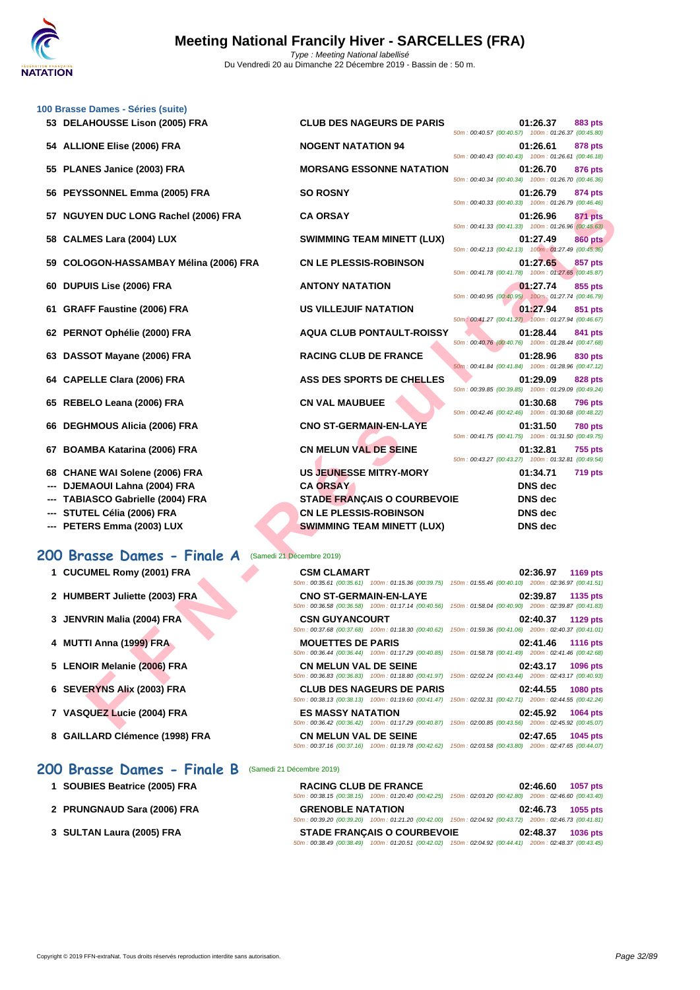|     | 100 Brasse Dames - Séries (suite)        |                                                                                                                                            |                                                                                                                                |
|-----|------------------------------------------|--------------------------------------------------------------------------------------------------------------------------------------------|--------------------------------------------------------------------------------------------------------------------------------|
|     | 53 DELAHOUSSE Lison (2005) FRA           | <b>CLUB DES NAGEURS DE PARIS</b>                                                                                                           | 01:26.37<br>883 pts<br>50m: 00:40.57 (00:40.57) 100m: 01:26.37 (00:45.80)                                                      |
|     | 54 ALLIONE Elise (2006) FRA              | <b>NOGENT NATATION 94</b>                                                                                                                  | 01:26.61<br>878 pts<br>50m: 00:40.43 (00:40.43) 100m: 01:26.61 (00:46.18)                                                      |
|     | 55 PLANES Janice (2003) FRA              | <b>MORSANG ESSONNE NATATION</b>                                                                                                            | 01:26.70<br>876 pts                                                                                                            |
|     | 56 PEYSSONNEL Emma (2005) FRA            | <b>SO ROSNY</b>                                                                                                                            | 50m: 00:40.34 (00:40.34) 100m: 01:26.70 (00:46.36)<br>01:26.79<br>874 pts                                                      |
|     | <b>NGUYEN DUC LONG Rachel (2006) FRA</b> | <b>CA ORSAY</b>                                                                                                                            | 50m: 00:40.33 (00:40.33) 100m: 01:26.79 (00:46.46)<br>01:26.96<br>871 pts                                                      |
| 58  | <b>CALMES Lara (2004) LUX</b>            | <b>SWIMMING TEAM MINETT (LUX)</b>                                                                                                          | 50m: 00:41.33 (00:41.33) 100m: 01:26.96 (00:45.63)<br>01:27.49<br><b>860 pts</b>                                               |
| 59  | COLOGON-HASSAMBAY Mélina (2006) FRA      | <b>CN LE PLESSIS-ROBINSON</b>                                                                                                              | 50m: 00:42.13 (00:42.13) 100m: 01:27.49 (00:45.36)<br>01:27.65<br>857 pts                                                      |
| 60  | <b>DUPUIS Lise (2006) FRA</b>            | <b>ANTONY NATATION</b>                                                                                                                     | 50m: 00:41.78 (00:41.78) 100m: 01:27.65 (00:45.87)<br>01:27.74<br>855 pts                                                      |
| 61  | <b>GRAFF Faustine (2006) FRA</b>         | <b>US VILLEJUIF NATATION</b>                                                                                                               | 50m: 00:40.95 (00:40.95) 100m: 01:27.74 (00:46.79)<br>01:27.94<br>851 pts                                                      |
|     | 62 PERNOT Ophélie (2000) FRA             | <b>AQUA CLUB PONTAULT-ROISSY</b>                                                                                                           | 50m: 00:41.27 (00:41.27) 100m: 01:27.94 (00:46.67)<br>01:28.44<br>841 pts                                                      |
|     |                                          |                                                                                                                                            | 50m: 00:40.76 (00:40.76) 100m: 01:28.44 (00:47.68)                                                                             |
| 63  | DASSOT Mayane (2006) FRA                 | <b>RACING CLUB DE FRANCE</b>                                                                                                               | 01:28.96<br>830 pts<br>50m: 00:41.84 (00:41.84) 100m: 01:28.96 (00:47.12)                                                      |
| 64  | <b>CAPELLE Clara (2006) FRA</b>          | ASS DES SPORTS DE CHELLES                                                                                                                  | 01:29.09<br>828 pts<br>50m: 00:39.85 (00:39.85) 100m: 01:29.09 (00:49.24)                                                      |
|     | 65 REBELO Leana (2006) FRA               | <b>CN VAL MAUBUEE</b>                                                                                                                      | 01:30.68<br><b>796 pts</b><br>50m: 00:42.46 (00:42.46) 100m: 01:30.68 (00:48.22)                                               |
| 66  | <b>DEGHMOUS Alicia (2006) FRA</b>        | <b>CNO ST-GERMAIN-EN-LAYE</b>                                                                                                              | 01:31.50<br><b>780 pts</b><br>50m: 00:41.75 (00:41.75) 100m: 01:31.50 (00:49.75)                                               |
| 67  | <b>BOAMBA Katarina (2006) FRA</b>        | <b>CN MELUN VAL DE SEINE</b>                                                                                                               | 01:32.81<br>755 pts<br>50m: 00:43.27 (00:43.27) 100m: 01:32.81 (00:49.54)                                                      |
| 68  | <b>CHANE WAI Solene (2006) FRA</b>       | <b>US JEUNESSE MITRY-MORY</b>                                                                                                              | 01:34.71<br><b>719 pts</b>                                                                                                     |
|     | DJEMAOUI Lahna (2004) FRA                | <b>CA ORSAY</b>                                                                                                                            | <b>DNS</b> dec                                                                                                                 |
|     | <b>TABIASCO Gabrielle (2004) FRA</b>     | <b>STADE FRANÇAIS O COURBEVOIE</b>                                                                                                         | <b>DNS</b> dec                                                                                                                 |
|     | STUTEL Célia (2006) FRA                  | <b>CN LE PLESSIS-ROBINSON</b>                                                                                                              | <b>DNS</b> dec                                                                                                                 |
| --- | PETERS Emma (2003) LUX                   | <b>SWIMMING TEAM MINETT (LUX)</b>                                                                                                          | <b>DNS</b> dec                                                                                                                 |
|     | 200 Brasse Dames - Finale A              | (Samedi 21 Décembre 2019)                                                                                                                  |                                                                                                                                |
|     | 1 CUCUMEL Romy (2001) FRA                | <b>CSM CLAMART</b>                                                                                                                         | 02:36.97<br>1169 pts                                                                                                           |
|     | 2 HUMBERT Juliette (2003) FRA            | <b>CNO ST-GERMAIN-EN-LAYE</b>                                                                                                              | 50m: 00:35.61 (00:35.61) 100m: 01:15.36 (00:39.75) 150m: 01:55.46 (00:40.10) 200m: 02:36.97 (00:41.51)<br>02:39.87<br>1135 pts |
|     | 3 JENVRIN Malia (2004) FRA               | 50m : 00:36.58 (00:36.58) 100m : 01:17.14 (00:40.56) 150m : 01:58.04 (00:40.90) 200m : 02:39.87 (00:41.83)<br><b>CSN GUYANCOURT</b>        | 02:40.37 1129 pts                                                                                                              |
|     | 4 MUTTI Anna (1999) FRA                  | 50m: 00:37.68 (00:37.68) 100m: 01:18.30 (00:40.62) 150m: 01:59.36 (00:41.06) 200m: 02:40.37 (00:41.01)<br><b>MOUETTES DE PARIS</b>         | 02:41.46<br><b>1116 pts</b>                                                                                                    |
|     | 5 LENOIR Melanie (2006) FRA              | 50m : 00:36.44 (00:36.44) 100m : 01:17.29 (00:40.85) 150m : 01:58.78 (00:41.49) 200m : 02:41.46 (00:42.68)<br><b>CN MELUN VAL DE SEINE</b> | 02:43.17<br>1096 pts                                                                                                           |
|     | 6 SEVERYNS Alix (2003) FRA               | 50m: 00:36.83 (00:36.83) 100m: 01:18.80 (00:41.97) 150m: 02:02.24 (00:43.44) 200m: 02:43.17 (00:40.93)<br><b>CLUB DES NAGEURS DE PARIS</b> | 02:44.55                                                                                                                       |
|     |                                          | 50m: 00:38.13 (00:38.13) 100m: 01:19.60 (00:41.47) 150m: 02:02.31 (00:42.71) 200m: 02:44.55 (00:42.24)                                     | 1080 pts                                                                                                                       |
|     | 7 VASQUEZ Lucie (2004) FRA               | <b>ES MASSY NATATION</b><br>50m : 00:36.42 (00:36.42) 100m : 01:17.29 (00:40.87) 150m : 02:00.85 (00:43.56) 200m : 02:45.92 (00:45.07)     | 02:45.92<br>1064 pts                                                                                                           |
|     |                                          |                                                                                                                                            |                                                                                                                                |

| 50m: 00:40.57 (00:40.57) 100m: 01:26.37 (00:45.80) |                | 01:26.37 883 pts |
|----------------------------------------------------|----------------|------------------|
|                                                    |                | 01:26.61 878 pts |
| 50m: 00:40.43 (00:40.43) 100m: 01:26.61 (00:46.18) |                |                  |
|                                                    |                | 01:26.70 876 pts |
| 50m: 00:40.34 (00:40.34) 100m: 01:26.70 (00:46.36) |                |                  |
| 50m: 00:40.33 (00:40.33) 100m: 01:26.79 (00:46.46) | 01:26.79       | <b>874 pts</b>   |
|                                                    | 01:26.96       | <b>871 pts</b>   |
| 50m: 00:41.33 (00:41.33) 100m: 01:26.96 (00:45.63) |                |                  |
|                                                    | 01:27.49       | <b>860 pts</b>   |
| 50m: 00:42.13 (00:42.13) 100m: 01:27.49 (00:45.36) |                |                  |
|                                                    | 01.27.65       | 857 pts          |
| 50m: 00:41.78 (00:41.78) 100m: 01:27.65 (00:45.87) |                |                  |
| 50m: 00:40.95 (00:40.95) 100m: 01:27.74 (00:46.79) |                | 01:27.74 855 pts |
|                                                    |                | 01:27.94 851 pts |
| 50m: 00:41.27 (00:41.27) 100m: 01:27.94 (00:46.67) |                |                  |
|                                                    |                | 01:28.44 841 pts |
| 50m: 00:40.76 (00:40.76) 100m: 01:28.44 (00:47.68) |                |                  |
|                                                    |                | 01:28.96 830 pts |
| 50m: 00:41.84 (00:41.84) 100m: 01:28.96 (00:47.12) |                |                  |
|                                                    |                | 01:29.09 828 pts |
| 50m: 00:39.85 (00:39.85) 100m: 01:29.09 (00:49.24) |                |                  |
| 50m: 00:42.46 (00:42.46) 100m: 01:30.68 (00:48.22) | 01:30.68       | <b>796 pts</b>   |
|                                                    | 01:31.50       | <b>780 pts</b>   |
| 50m: 00:41.75 (00:41.75) 100m: 01:31.50 (00:49.75) |                |                  |
|                                                    | 01:32.81       | <b>755 pts</b>   |
| 50m: 00:43.27 (00:43.27) 100m: 01:32.81 (00:49.54) |                |                  |
|                                                    | 01:34.71       | 719 pts          |
|                                                    | <b>DNS</b> dec |                  |
| ١E                                                 | <b>DNS</b> dec |                  |
|                                                    | <b>DNS</b> dec |                  |
|                                                    | nNS dec        |                  |

- **--- DJEMAOUI Lahna (2004) FRA CA ORSAY**
- 
- 
- 

#### **200 Brasse Dames - Finale A** (Samedi 21 Décembre 2019)

- 
- 
- 
- 
- 
- 
- 
- 

#### **200 Brasse Dames - Finale B** (Samedi 21 Décembre 2019)

- **1 SOUBIES Beatrice (2005) FRA**
- **2 PRUNGNAUD Sara (2006) FRA 66**
- **3 [SULTAN Laura \(2005\) FRA](http://www.ffnatation.fr/webffn/resultats.php?idact=nat&go=epr&idcpt=64277&idepr=23)**

| 1 CUCUMEL Romy (2001) FRA      | <b>CSM CLAMART</b>               | 02:36.97<br>1169 pts                                                                                   |
|--------------------------------|----------------------------------|--------------------------------------------------------------------------------------------------------|
|                                |                                  | 50m: 00:35.61 (00:35.61) 100m: 01:15.36 (00:39.75) 150m: 01:55.46 (00:40.10) 200m: 02:36.97 (00:41.51) |
| 2 HUMBERT Juliette (2003) ERA  | <b>CNO ST-GERMAIN-EN-LAYE</b>    | 02:39.87<br>1135 pts                                                                                   |
|                                |                                  | 50m: 00:36.58 (00:36.58) 100m: 01:17.14 (00:40.56) 150m: 01:58.04 (00:40.90) 200m: 02:39.87 (00:41.83) |
| 3 JENVRIN Malia (2004) FRA     | <b>CSN GUYANCOURT</b>            | 02:40.37<br><b>1129 pts</b>                                                                            |
|                                |                                  | 50m: 00:37.68 (00:37.68) 100m: 01:18.30 (00:40.62) 150m: 01:59.36 (00:41.06) 200m: 02:40.37 (00:41.01) |
| 4 MUTTI Anna (1999) FRA        | <b>MOUETTES DE PARIS</b>         | 02:41.46<br><b>1116 pts</b>                                                                            |
|                                |                                  | 50m: 00:36.44 (00:36.44) 100m: 01:17.29 (00:40.85) 150m: 01:58.78 (00:41.49) 200m: 02:41.46 (00:42.68) |
| 5 LENOIR Melanie (2006) FRA    | <b>CN MELUN VAL DE SEINE</b>     | 02:43.17<br>1096 pts                                                                                   |
|                                |                                  | 50m: 00:36.83 (00:36.83) 100m: 01:18.80 (00:41.97) 150m: 02:02.24 (00:43.44) 200m: 02:43.17 (00:40.93) |
| 6 SEVERYNS Alix (2003) FRA     | <b>CLUB DES NAGEURS DE PARIS</b> | 02:44.55<br><b>1080 pts</b>                                                                            |
|                                |                                  | 50m: 00:38.13 (00:38.13) 100m: 01:19.60 (00:41.47) 150m: 02:02.31 (00:42.71) 200m: 02:44.55 (00:42.24) |
| 7 VASQUEZ Lucie (2004) FRA     | <b>ES MASSY NATATION</b>         | 02:45.92<br>1064 pts                                                                                   |
|                                |                                  | 50m: 00:36.42 (00:36.42) 100m: 01:17.29 (00:40.87) 150m: 02:00.85 (00:43.56) 200m: 02:45.92 (00:45.07) |
| 8 GAILLARD Clémence (1998) FRA | <b>CN MELUN VAL DE SEINE</b>     | 1045 pts<br>02:47.65                                                                                   |

#### 50m : 00:37.16 (00:37.16) 100m : 01:19.78 (00:42.62) 150m : 02:03.58 (00:43.80) 200m : 02:47.65 (00:44.07)

|                          | <b>RACING CLUB DE FRANCE</b>                                                                           |  | 02:46.60 1057 pts |
|--------------------------|--------------------------------------------------------------------------------------------------------|--|-------------------|
|                          | 50m: 00:38.15 (00:38.15) 100m: 01:20.40 (00:42.25) 150m: 02:03.20 (00:42.80) 200m: 02:46.60 (00:43.40) |  |                   |
| <b>GRENOBLE NATATION</b> |                                                                                                        |  | 02:46.73 1055 pts |
|                          | 50m: 00:39.20 (00:39.20) 100m: 01:21.20 (00:42.00) 150m: 02:04.92 (00:43.72) 200m: 02:46.73 (00:41.81) |  |                   |
|                          | <b>STADE FRANCAIS O COURBEVOIE</b>                                                                     |  | 02:48.37 1036 pts |
|                          | 50m: 00:38.49 (00:38.49) 100m: 01:20.51 (00:42.02) 150m: 02:04.92 (00:44.41) 200m: 02:48.37 (00:43.45) |  |                   |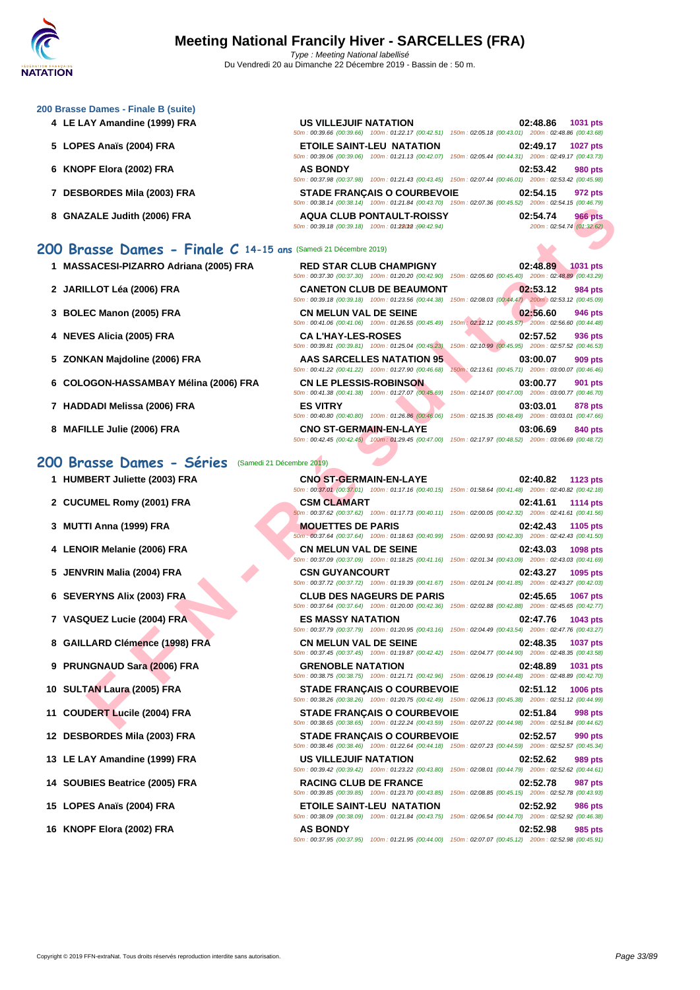| 4 LE LAY Amandine (1999) FRA                                    | <b>US VILLEJUIF NATATION</b><br>50m: 00:39.66 (00:39.66) 100m: 01:22.17 (00:42.51) 150m: 02:05.18 (00:43.01) 200m: 02:48.86 (00:43.68)       | 1031 pts<br>02:48.86                                                               |
|-----------------------------------------------------------------|----------------------------------------------------------------------------------------------------------------------------------------------|------------------------------------------------------------------------------------|
| 5 LOPES Anaïs (2004) FRA                                        | <b>ETOILE SAINT-LEU NATATION</b><br>50m: 00:39.06 (00:39.06) 100m: 01:21.13 (00:42.07)                                                       | 02:49.17<br><b>1027 pts</b><br>150m: 02:05.44 (00:44.31) 200m: 02:49.17 (00:43.73) |
| 6 KNOPF Elora (2002) FRA                                        | <b>AS BONDY</b><br>50m: 00:37.98 (00:37.98) 100m: 01:21.43 (00:43.45) 150m: 02:07.44 (00:46.01) 200m: 02:53.42 (00:45.98)                    | 02:53.42<br><b>980 pts</b>                                                         |
| 7 DESBORDES Mila (2003) FRA                                     | <b>STADE FRANCAIS O COURBEVOIE</b><br>50m: 00:38.14 (00:38.14) 100m: 01:21.84 (00:43.70) 150m: 02:07.36 (00:45.52) 200m: 02:54.15 (00:46.79) | 02:54.15<br>972 pts                                                                |
| 8 GNAZALE Judith (2006) FRA                                     | <b>AQUA CLUB PONTAULT-ROISSY</b><br>50m: 00:39.18 (00:39.18) 100m: 01:22012 (00:42.94)                                                       | 02:54.74<br><b>966 pts</b><br>200m: 02:54.74 (01:32.62)                            |
| 200 Brasse Dames - Finale C 14-15 ans (Samedi 21 Décembre 2019) |                                                                                                                                              |                                                                                    |
| <b>MASSACESI-PIZARRO Adriana (2005) FRA</b>                     | <b>RED STAR CLUB CHAMPIGNY</b><br>50m: 00:37.30 (00:37.30) 100m: 01:20.20 (00:42.90) 150m: 02:05.60 (00:45.40) 200m: 02:48.89 (00:43.29)     | 02:48.89<br>1031 pts                                                               |
| 2 JARILLOT Léa (2006) FRA                                       | <b>CANETON CLUB DE BEAUMONT</b>                                                                                                              | 02:53.12<br><b>984 pts</b>                                                         |

| 3 BOLEC Manon (2005) FRA |  |  |
|--------------------------|--|--|
|--------------------------|--|--|

**[200 Brass](http://www.ffnatation.fr/webffn/index.php)e Dames - Finale B (suite)**

- 
- 
- 
- 
- 

#### **200 Brasse Dames - Séries** (Samedi 21 Décembre 2019)

- 
- 
- 
- 
- 
- 
- 
- 
- 
- 
- 
- 
- 
- 
- 
- 

| I IMAJUAULUI-I ILAINNU AUHAHA (2003) I INA |                               | <u>NLD STAR GLOD GITAMI IGN I</u><br>50m: 00:37.30 (00:37.30) 100m: 01:20.20 (00:42.90) 150m: 02:05.60 (00:45.40) 200m: 02:48.89 (00:43.29) |                                                     | <u>vz. Tu. uj</u> | <b>LUJI PLS</b> |
|--------------------------------------------|-------------------------------|---------------------------------------------------------------------------------------------------------------------------------------------|-----------------------------------------------------|-------------------|-----------------|
| 2 JARILLOT Léa (2006) FRA                  |                               | <b>CANETON CLUB DE BEAUMONT</b><br>50m: 00:39.18 (00:39.18) 100m: 01:23.56 (00:44.38) 150m: 02:08.03 (00:44.47) 200m: 02:53.12 (00:45.09)   |                                                     | 02:53.12          | 984 pts         |
| 3 BOLEC Manon (2005) FRA                   | <b>CN MELUN VAL DE SEINE</b>  | 50m: 00:41.06 (00:41.06) 100m: 01:26.55 (00:45.49) 150m: 02:12.12 (00:45.57) 200m: 02:56.60 (00:44.48)                                      |                                                     | 02:56.60          | 946 pts         |
| 4 NEVES Alicia (2005) FRA                  | <b>CA L'HAY-LES-ROSES</b>     | 50m: 00:39.81 (00:39.81) 100m: 01:25.04 (00:45.23) 150m: 02:10.99 (00:45.95) 200m: 02:57.52 (00:46.53)                                      |                                                     | 02:57.52          | 936 pts         |
| 5 ZONKAN Majdoline (2006) FRA              |                               | AAS SARCELLES NATATION 95<br>50m: 00:41.22 (00:41.22) 100m: 01:27.90 (00:46.68)                                                             | 150m: 02:13.61 (00:45.71) 200m: 03:00.07 (00:46.46) | 03:00.07          | 909 pts         |
| 6 COLOGON-HASSAMBAY Mélina (2006) FRA      | <b>CN LE PLESSIS-ROBINSON</b> | 50m: 00:41.38 (00:41.38) 100m: 01:27.07 (00:45.69)                                                                                          | 150m: 02:14.07 (00:47.00) 200m: 03:00.77 (00:46.70) | 03:00.77          | <b>901 pts</b>  |
| 7 HADDADI Melissa (2006) FRA               | <b>ES VITRY</b>               | 50m: 00:40.80 (00:40.80) 100m: 01:26.86 (00:46.06)                                                                                          | 150m: 02:15.35 (00:48.49) 200m: 03:03.01 (00:47.66) | 03:03.01          | 878 pts         |
| 8 MAFILLE Julie (2006) FRA                 | <b>CNO ST-GERMAIN-EN-LAYE</b> | 50m: 00:42.45 (00:42.45) 100m: 01:29.45 (00:47.00) 150m: 02:17.97 (00:48.52) 200m: 03:06.69 (00:48.72)                                      |                                                     | 03:06.69          | 840 pts         |

|                                                                | $0.0011.00030.14$ (00.00.14) $10011.0121.04$ (00.40.10) $10011.02.01.00$ (00.40.02) $20011.02.04.10$ (00.40.13)                                  |                                                                                   |
|----------------------------------------------------------------|--------------------------------------------------------------------------------------------------------------------------------------------------|-----------------------------------------------------------------------------------|
| 8 GNAZALE Judith (2006) FRA                                    | <b>AQUA CLUB PONTAULT-ROISSY</b><br>50m: 00:39.18 (00:39.18) 100m: 01:22012 : (00:42.94)                                                         | 02:54.74<br><b>966 pts</b><br>200m: 02:54.74 (01:32.62)                           |
| 00 Brasse Dames - Finale C 14-15 ans (Samedi 21 Décembre 2019) |                                                                                                                                                  |                                                                                   |
| 1 MASSACESI-PIZARRO Adriana (2005) FRA                         | <b>RED STAR CLUB CHAMPIGNY</b><br>50m : 00:37.30 (00:37.30) 100m : 01:20.20 (00:42.90) 150m : 02:05.60 (00:45.40) 200m : 02:48.89 (00:43.29)     | 02:48.89<br>1031 pts                                                              |
| 2 JARILLOT Léa (2006) FRA                                      | <b>CANETON CLUB DE BEAUMONT</b><br>50m : 00:39.18 (00:39.18) 100m : 01:23.56 (00:44.38) 150m : 02:08.03 (00:44.47) 200m : 02:53.12 (00:45.09)    | 02:53.12<br>984 pts                                                               |
| 3 BOLEC Manon (2005) FRA                                       | <b>CN MELUN VAL DE SEINE</b><br>50m : 00:41.06 (00:41.06) 100m : 01:26.55 (00:45.49) 150m : 02:12.12 (00:45.57) 200m : 02:56.60 (00:44.48)       | 02:56.60<br>946 pts                                                               |
| 4 NEVES Alicia (2005) FRA                                      | <b>CAL'HAY-LES-ROSES</b><br>50m: 00:39.81 (00:39.81) 100m: 01:25.04 (00:45.23)                                                                   | 02:57.52<br>936 pts<br>150m: 02:10.99 (00:45.95) 200m: 02:57.52 (00:46.53)        |
| 5 ZONKAN Majdoline (2006) FRA                                  | <b>AAS SARCELLES NATATION 95</b><br>50m: 00:41.22 (00:41.22) 100m: 01:27.90 (00:46.68)                                                           | 03:00.07<br>909 pts<br>150m: 02:13.61 (00:45.71) 200m: 03:00.07 (00:46.46)        |
| 6 COLOGON-HASSAMBAY Mélina (2006) FRA                          | <b>CN LE PLESSIS-ROBINSON</b><br>50m: 00:41.38 (00:41.38) 100m: 01:27.07 (00:45.69)                                                              | 03:00.77<br>901 pts<br>150m: 02:14.07 (00:47.00) 200m: 03:00.77 (00:46.70)        |
| 7 HADDADI Melissa (2006) FRA                                   | <b>ES VITRY</b><br>50m : 00:40.80 (00:40.80) 100m : 01:26.86 (00:46.06) 150m : 02:15.35 (00:48.49) 200m : 03:03.01 (00:47.66)                    | 03:03.01<br>878 pts                                                               |
| 8 MAFILLE Julie (2006) FRA                                     | <b>CNO ST-GERMAIN-EN-LAYE</b><br>50m : 00:42.45 (00:42.45) 100m : 01:29.45 (00:47.00) 150m : 02:17.97 (00:48.52) 200m : 03:06.69 (00:48.72)      | 03:06.69<br>840 pts                                                               |
| 00 Brasse Dames - Séries                                       | (Samedi 21 Décembre 2019)                                                                                                                        |                                                                                   |
| 1 HUMBERT Juliette (2003) FRA                                  | <b>CNO ST-GERMAIN-EN-LAYE</b><br>50m: 00:37.01 (00:37.01) 100m: 01:17.16 (00:40.15) 150m: 01:58.64 (00:41.48) 200m: 02:40.82 (00:42.18)          | 02:40.82<br>1123 pts                                                              |
| 2 CUCUMEL Romy (2001) FRA                                      | <b>CSM CLAMART</b><br>60m : 00:37.62 (00:37.62) 100m : 01:17.73 (00:40.11) 150m : 02:00.05 (00:42.32) 200m : 02:41.61 (00:41.56)                 | 02:41.61<br><b>1114 pts</b>                                                       |
| 3 MUTTI Anna (1999) FRA                                        | <b>MOUETTES DE PARIS</b><br>50m : 00:37.64 (00:37.64) 100m : 01:18.63 (00:40.99) 150m : 02:00.93 (00:42.30) 200m : 02:42.43 (00:41.50)           | 02:42.43<br>1105 pts                                                              |
| 4 LENOIR Melanie (2006) FRA                                    | <b>CN MELUN VAL DE SEINE</b><br>50m: 00:37.09 (00:37.09) 100m: 01:18.25 (00:41.16) 150m: 02:01.34 (00:43.09) 200m: 02:43.03 (00:41.69)           | 02:43.03<br>1098 pts                                                              |
| 5 JENVRIN Malia (2004) FRA                                     | <b>CSN GUYANCOURT</b><br>50m: 00:37.72 (00:37.72) 100m: 01:19.39 (00:41.67) 150m: 02:01.24 (00:41.85) 200m: 02:43.27 (00:42.03)                  | 02:43.27<br>1095 pts                                                              |
| 6 SEVERYNS Alix (2003) FRA                                     | <b>CLUB DES NAGEURS DE PARIS</b><br>50m: 00:37.64 (00:37.64) 100m: 01:20.00 (00:42.36) 150m: 02:02.88 (00:42.88) 200m: 02:45.65 (00:42.77)       | 02:45.65<br><b>1067 pts</b>                                                       |
| 7 VASQUEZ Lucie (2004) FRA                                     | <b>ES MASSY NATATION</b>                                                                                                                         | 02:47.76<br>1043 pts                                                              |
| 8 GAILLARD Clémence (1998) FRA                                 | 50m : 00:37.79 (00:37.79) 100m : 01:20.95 (00:43.16) 150m : 02:04.49 (00:43.54) 200m : 02:47.76 (00:43.27)<br><b>CN MELUN VAL DE SEINE</b>       | 02:48.35<br>1037 pts                                                              |
| 9 PRUNGNAUD Sara (2006) FRA                                    | 50m: 00:37.45 (00:37.45) 100m: 01:19.87 (00:42.42) 150m: 02:04.77 (00:44.90) 200m: 02:48.35 (00:43.58)<br><b>GRENOBLE NATATION</b>               | 02:48.89<br>1031 pts                                                              |
| 10 SULTAN Laura (2005) FRA                                     | 50m: 00:38.75 (00:38.75) 100m: 01:21.71 (00:42.96) 150m: 02:06.19 (00:44.48) 200m: 02:48.89 (00:42.70)<br><b>STADE FRANCAIS O COURBEVOIE</b>     | 02:51.12<br><b>1006 pts</b>                                                       |
| 11 COUDERT Lucile (2004) FRA                                   | 50m : 00:38.26 (00:38.26) 100m : 01:20.75 (00:42.49) 150m : 02:06.13 (00:45.38) 200m : 02:51.12 (00:44.99)<br><b>STADE FRANÇAIS O COURBEVOIE</b> | 02:51.84<br>998 pts                                                               |
| 12 DESBORDES Mila (2003) FRA                                   | 50m : 00:38.65 (00:38.65) 100m : 01:22.24 (00:43.59) 150m : 02:07.22 (00:44.98) 200m : 02:51.84 (00:44.62)<br><b>STADE FRANÇAIS O COURBEVOIE</b> | 02:52.57<br>990 pts                                                               |
| 13 LE LAY Amandine (1999) FRA                                  | 50m : 00:38.46 (00:38.46) 100m : 01:22.64 (00:44.18) 150m : 02:07.23 (00:44.59) 200m : 02:52.57 (00:45.34)<br>US VILLEJUIF NATATION              | 02:52.62<br>989 pts                                                               |
| 14 SOUBIES Beatrice (2005) FRA                                 | 50m : 00:39.42 (00:39.42) 100m : 01:23.22 (00:43.80) 150m : 02:08.01 (00:44.79) 200m : 02:52.62 (00:44.61)<br><b>RACING CLUB DE FRANCE</b>       | 02:52.78<br>987 pts                                                               |
| 15 LOPES Anaïs (2004) FRA                                      | 50m: 00:39.85 (00:39.85) 100m: 01:23.70 (00:43.85)<br><b>ETOILE SAINT-LEU NATATION</b>                                                           | 150m: 02:08.85 (00:45.15) 200m: 02:52.78 (00:43.93)<br>02:52.92<br><b>986 pts</b> |
| 16 KNOPF Elora (2002) FRA                                      | 50m: 00:38.09 (00:38.09) 100m: 01:21.84 (00:43.75)<br><b>AS BONDY</b>                                                                            | 150m: 02:06.54 (00:44.70) 200m: 02:52.92 (00:46.38)<br>02:52.98<br>985 pts        |
|                                                                | 50m: 00:37.95 (00:37.95) 100m: 01:21.95 (00:44.00) 150m: 02:07.07 (00:45.12) 200m: 02:52.98 (00:45.91)                                           |                                                                                   |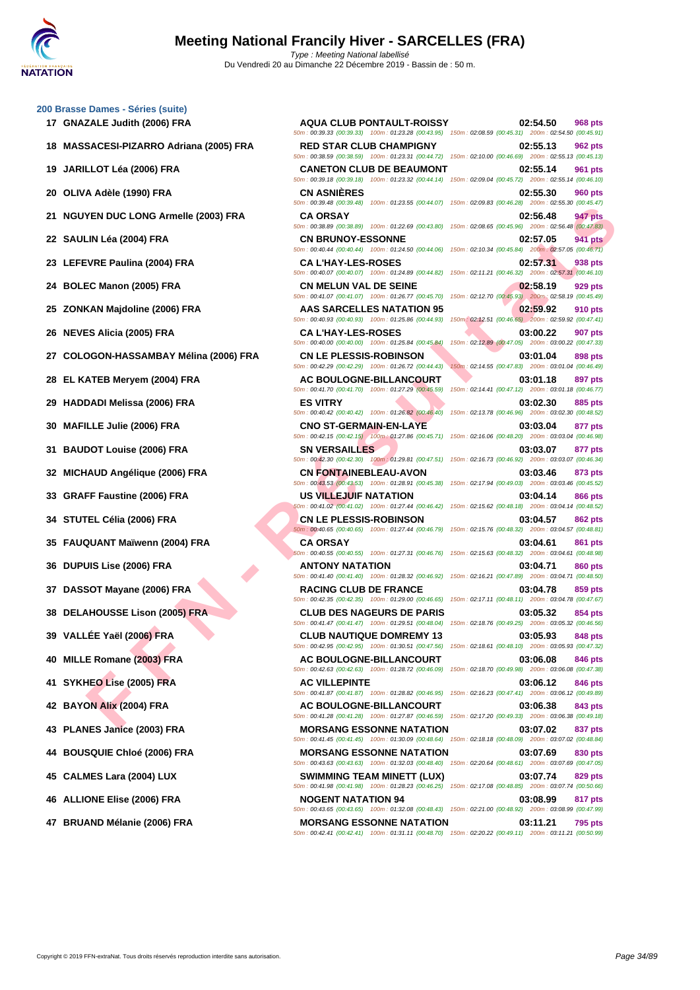#### **[200 Brass](http://www.ffnatation.fr/webffn/index.php)e Dames - Séries (suite)**

- 
- **18 MASSACESI-PIZARRO Adriana (2005) FRA RED STAR CLUB CHAMPIGNY 02:55.13 962 pts**
- 
- 
- **21 NGUYEN DUC LONG Armelle (2003) FRA CA ORSAY 02:56.48 947 pts**
- 
- 
- 
- 
- 
- 
- 
- 
- 
- 
- 
- 
- 
- 
- 
- 
- 
- 
- 
- 
- 
- 
- 
- 
- 
- 

**FIN IUR LIE NOOP FRANCE (2006) FRANCE AND ASSAMPLY THE SE SUITRE SE SUITRE SE SUITRE SE SUITRE SE SUITRE SE SUITRE SE SUITRE SE SUITRE SE SUITRE SE SUITRE SE SUITRE SE SUITRE SE SUITRE SE SUITRE SE SUITRE SE SUITRE SE SU 17 GNAZALE Judith (2006) FRA AQUA CLUB PONTAULT-ROISSY 02:54.50 968 pts** 50m : 00:39.33 (00:39.33) 100m : 01:23.28 (00:43.95) 150m : 02:08.59 (00:45.31) 200m : 02:54.50 (00:45.91) 50m : 00:38.59 (00:38.59) 100m : 01:23.31 (00:44.72) 150m : 02:10.00 (00:46.69) 200m : 02:55.13 (00:45.13) **19 JARILLOT Léa (2006) FRA CANETON CLUB DE BEAUMONT 02:55.14 961 pts** 50m : 00:39.18 (00:39.18) 100m : 01:23.32 (00:44.14) 150m : 02:09.04 (00:45.72) 200m : 02:55.14 (00:46.10) **20 OLIVA Adèle (1990) FRA CN ASNIÈRES 02:55.30 960 pts** 50m : 00:39.48 (00:39.48) 100m : 01:23.55 (00:44.07) 150m : 02:09.83 (00:46.28) 200m : 02:55.30 (00:45.47) 50m : 00:38.89 (00:38.89) 100m : 01:22.69 (00:43.80) 150m : 02:08.65 (00:45.96) 200m : 02:56.48 (00:47.83) **22 SAULIN Léa (2004) FRA CN BRUNOY-ESSONNE 02:57.05 941 pts** 50m : 00:40.44 (00:40.44) 100m : 01:24.50 (00:44.06) 150m : 02:10.34 (00:45.84) 200m : 02:57.05 (00:46.71) **23 LEFEVRE Paulina (2004) FRA CA L'HAY-LES-ROSES 02:57.31 938 pts** 50m : 00:40.07 (00:40.07) 100m : 01:24.89 (00:44.82) 150m : 02:11.21 (00:46.32) 200m : 02:57.31 (00:46.10) **24 BOLEC Manon (2005) FRA CN MELUN VAL DE SEINE 02:58.19 929 pts** 50m : 00:41.07 (00:41.07) 100m : 01:26.77 (00:45.70) 150m : 02:12.70 (00:45.93) 200m : 02:58.19 (00:45.49) **25 ZONKAN Majdoline (2006) FRA AAS SARCELLES NATATION 95 02:59.92 910 pts** 50m : 00:40.93 (00:40.93) 100m : 01:25.86 (00:44.93) 150m : 02:12.51 (00:46.65) 200m : 02:59.92 (00:47.41) **26 NEVES Alicia (2005) FRA CA L'HAY-LES-ROSES 03:00.22 907 pts** 50m : 00:40.00 (00:40.00) 100m : 01:25.84 (00:45.84) 150m : 02:12.89 (00:47.05) 200m : 03:00.22 (00:47.33) **27 COLOGON-HASSAMBAY Mélina (2006) FRA CN LE PLESSIS-ROBINSON 03:01.04 03:01.04 898 pts**<br> **27 COLOGON-HASSAMBAY Mélina (2006) FRA 60:42.29 100:42.29 100:42.29 100:42.29 100:42.28 100:44.43 150m**: 50m : 00:42.29 (00:42.29) 100m : 01:26.72 (00:44.43) 150m : 02:14.55 (00:47.83) 200m : 03:01.04 (00:46.49) **28 EL KATEB Meryem (2004) FRA AC BOULOGNE-BILLANCOURT 03:01.18 897 pts** 50m : 00:41.70 (00:41.70) 100m : 01:27.29 (00:45.59) 150m : 02:14.41 (00:47.12) 200m : 03:01.18 (00:46.77) **45 CALMES Lara (2004) LUX SWIMMING TEAM MINETT (LUX) 03:07.74 829 pts**

**29 HADDADI Melissa (2006) FRA ES VITRY 03:02.30 885 pts** 50m : 00:40.42 (00:40.42) 100m : 01:26.82 (00:46.40) 150m : 02:13.78 (00:46.96) 200m : 03:02.30 (00:48.52) **30 MAFILLE Julie (2006) FRA CNO ST-GERMAIN-EN-LAYE 03:03.04 877 pts** 50m : 00:42.15 (00:42.15) 100m : 01:27.86 (00:45.71) 150m : 02:16.06 (00:48.20) 200m : 03:03.04 (00:46.98) **31 BAUDOT Louise (2006) FRA SN VERSAILLES 03:03.07 877 pts** 50m : 00:42.30 (00:42.30) 100m : 01:29.81 (00:47.51) 150m : 02:16.73 (00:46.92) 200m : 03:03.07 (00:46.34) **32 MICHAUD Angélique (2006) FRA CN FONTAINEBLEAU-AVON 03:03.46 873 pts** 50m : 00:43.53 (00:43.53) 100m : 01:28.91 (00:45.38) 150m : 02:17.94 (00:49.03) 200m : 03:03.46 (00:45.52) **33 GRAFF Faustine (2006) FRA US VILLEJUIF NATATION 03:04.14 866 pts** 50m : 00:41.02 (00:41.02) 100m : 01:27.44 (00:46.42) 150m : 02:15.62 (00:48.18) 200m : 03:04.14 (00:48.52) **34 STUTEL Célia (2006) FRA CN LE PLESSIS-ROBINSON 03:04.57 862 pts** 50m : 00:40.65 (00:40.65) 100m : 01:27.44 (00:46.79) 150m : 02:15.76 (00:48.32) 200m : 03:04.57 (00:48.81) **35 FAUQUANT Maïwenn (2004) FRA CA ORSAY 03:04.61 861 pts** 50m : 00:40.55 (00:40.55) 100m : 01:27.31 (00:46.76) 150m : 02:15.63 (00:48.32) 200m : 03:04.61 (00:48.98) **36 DUPUIS Lise (2006) FRA ANTONY NATATION 03:04.71 860 pts** 50m : 00:41.40 (00:41.40) 100m : 01:28.32 (00:46.92) 150m : 02:16.21 (00:47.89) 200m : 03:04.71 (00:48.50) **37 DASSOT Mayane (2006) FRA RACING CLUB DE FRANCE 03:04.78 859 pts** 50m : 00:42.35 (00:42.35) 100m : 01:29.00 (00:46.65) 150m : 02:17.11 (00:48.11) 200m : 03:04.78 (00:47.67) **38 DELAHOUSSE Lison (2005) FRA CLUB DES NAGEURS DE PARIS 03:05.32 854 pts** 50m : 00:41.47 (00:41.47) 100m : 01:29.51 (00:48.04) 150m : 02:18.76 (00:49.25) 200m : 03:05.32 (00:46.56) **39 VALLÉE Yaël (2006) FRA CLUB NAUTIQUE DOMREMY 13 03:05.93 848 pts** 50m : 00:42.95 (00:42.95) 100m : 01:30.51 (00:47.56) 150m : 02:18.61 (00:48.10) 200m : 03:05.93 (00:47.32) **40 MILLE Romane (2003) FRA AC BOULOGNE-BILLANCOURT 03:06.08 846 pts** 50m : 00:42.63 (00:42.63) 100m : 01:28.72 (00:46.09) 150m : 02:18.70 (00:49.98) 200m : 03:06.08 (00:47.38) **41 SYKHEO Lise (2005) FRA AC VILLEPINTE 03:06.12 846 pts** 50m : 00:41.87 (00:41.87) 100m : 01:28.82 (00:46.95) 150m : 02:16.23 (00:47.41) 200m : 03:06.12 (00:49.89) **42 BAYON Alix (2004) FRA AC BOULOGNE-BILLANCOURT 03:06.38 843 pts** 50m : 00:41.28 (00:41.28) 100m : 01:27.87 (00:46.59) 150m : 02:17.20 (00:49.33) 200m : 03:06.38 (00:49.18) **43 PLANES Janice (2003) FRA MORSANG ESSONNE NATATION 03:07.02 837 pts** 50m : 00:41.45 (00:41.45) 100m : 01:30.09 (00:48.64) 150m : 02:18.18 (00:48.09) 200m : 03:07.02 (00:48.84) **44 BOUSQUIE Chloé (2006) FRA MORSANG ESSONNE NATATION 03:07.69 830 pts** 50m : 00:43.63 (00:43.63) 100m : 01:32.03 (00:48.40) 150m : 02:20.64 (00:48.61) 200m : 03:07.69 (00:47.05)

50m : 00:41.98 (00:41.98) 100m : 01:28.23 (00:46.25) 150m : 02:17.08 (00:48.85) 200m : 03:07.74 (00:50.66) **46 ALLIONE Elise (2006) FRA NOGENT NATATION 94 03:08.99 817 pts** 50m : 00:43.65 (00:43.65) 100m : 01:32.08 (00:48.43) 150m : 02:21.00 (00:48.92) 200m : 03:08.99 (00:47.99)

**47 BRUAND Mélanie (2006) FRA MORSANG ESSONNE NATATION 03:11.21 795 pts** 50m : 00:42.41 (00:42.41) 100m : 01:31.11 (00:48.70) 150m : 02:20.22 (00:49.11) 200m : 03:11.21 (00:50.99)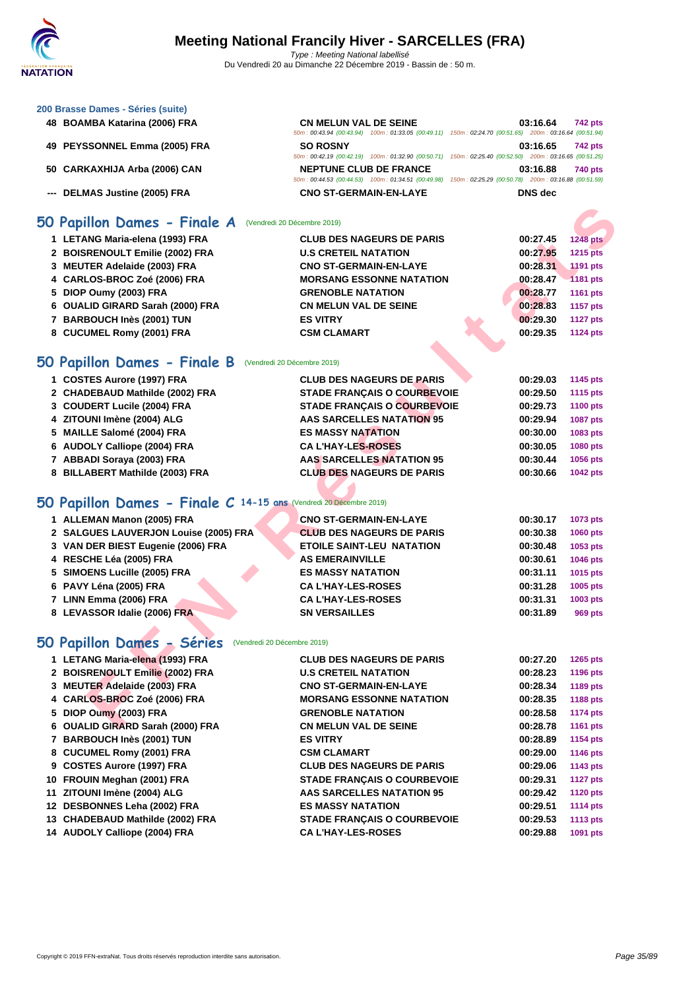#### **[200 Brass](http://www.ffnatation.fr/webffn/index.php)e Dames - Séries (suite)**

- **BOAMBA Katarina (2006) FRA CN MELUN VAL DE SEINE 03:16.64 742 pts**
- 
- 
- 

#### 50m : 00:43.94 (00:43.94) 100m : 01:33.05 (00:49.11) 150m : 02:24.70 (00:51.65) 200m : 03:16.64 (00:51.94) **PEYSSONNEL Emma (2005) FRA SO ROSNY 03:16.65 742 pts** 50m : 00:42.19 (00:42.19) 100m : 01:32.90 (00:50.71) 150m : 02:25.40 (00:52.50) 200m : 03:16.65 (00:51.25) **CARKAXHIJA Arba (2006) CAN NEPTUNE CLUB DE FRANCE 03:16.88 740 pts** 50m : 00:44.53 (00:44.53) 100m : 01:34.51 (00:49.98) 150m : 02:25.29 (00:50.78) 200m : 03:16.88 (00:51.59) **--- DELMAS Justine (2005) FRA CNO ST-GERMAIN-EN-LAYE DNS dec**

#### **50 Papillon Dames - Finale A** (Vendredi 20 Décembre 2019)

| iO Papillon Dames - Finale A                                       | (Vendredi 20 Décembre 2019)        |          |                 |
|--------------------------------------------------------------------|------------------------------------|----------|-----------------|
| 1 LETANG Maria-elena (1993) FRA                                    | <b>CLUB DES NAGEURS DE PARIS</b>   | 00:27.45 | <b>1248 pts</b> |
| 2 BOISRENOULT Emilie (2002) FRA                                    | <b>U.S CRETEIL NATATION</b>        | 00:27.95 | <b>1215 pts</b> |
| 3 MEUTER Adelaide (2003) FRA                                       | <b>CNO ST-GERMAIN-EN-LAYE</b>      | 00:28.31 | <b>1191 pts</b> |
| 4 CARLOS-BROC Zoé (2006) FRA                                       | <b>MORSANG ESSONNE NATATION</b>    | 00:28.47 | <b>1181 pts</b> |
| 5 DIOP Oumy (2003) FRA                                             | <b>GRENOBLE NATATION</b>           | 00:28.77 | <b>1161 pts</b> |
| 6 OUALID GIRARD Sarah (2000) FRA                                   | <b>CN MELUN VAL DE SEINE</b>       | 00:28.83 | 1157 pts        |
| 7 BARBOUCH Inès (2001) TUN                                         | <b>ES VITRY</b>                    | 00:29.30 | <b>1127 pts</b> |
| 8 CUCUMEL Romy (2001) FRA                                          | <b>CSM CLAMART</b>                 | 00:29.35 | <b>1124 pts</b> |
|                                                                    |                                    |          |                 |
| iO Papillon Dames - Finale B                                       | (Vendredi 20 Décembre 2019)        |          |                 |
| 1 COSTES Aurore (1997) FRA                                         | <b>CLUB DES NAGEURS DE PARIS</b>   | 00:29.03 | 1145 pts        |
| 2 CHADEBAUD Mathilde (2002) FRA                                    | <b>STADE FRANÇAIS O COURBEVOIE</b> | 00:29.50 | 1115 pts        |
| 3 COUDERT Lucile (2004) FRA                                        | <b>STADE FRANÇAIS O COURBEVOIE</b> | 00:29.73 | 1100 pts        |
| 4 ZITOUNI Imène (2004) ALG                                         | <b>AAS SARCELLES NATATION 95</b>   | 00:29.94 | 1087 pts        |
| 5 MAILLE Salomé (2004) FRA                                         | <b>ES MASSY NATATION</b>           | 00:30.00 | 1083 pts        |
| 6 AUDOLY Calliope (2004) FRA                                       | <b>CA L'HAY-LES-ROSES</b>          | 00:30.05 | 1080 pts        |
| 7 ABBADI Soraya (2003) FRA                                         | <b>AAS SARCELLES NATATION 95</b>   | 00:30.44 | 1056 pts        |
| 8 BILLABERT Mathilde (2003) FRA                                    | <b>CLUB DES NAGEURS DE PARIS</b>   | 00:30.66 | 1042 pts        |
|                                                                    |                                    |          |                 |
| iO Papillon Dames - Finale C 14-15 ans (Vendredi 20 Décembre 2019) |                                    |          |                 |
| 1 ALLEMAN Manon (2005) FRA                                         | <b>CNO ST-GERMAIN-EN-LAYE</b>      | 00:30.17 | 1073 pts        |
| 2 SALGUES LAUVERJON Louise (2005) FRA                              | <b>CLUB DES NAGEURS DE PARIS</b>   | 00:30.38 | <b>1060 pts</b> |
| 3 VAN DER BIEST Eugenie (2006) FRA                                 | <b>ETOILE SAINT-LEU NATATION</b>   | 00:30.48 | 1053 pts        |
| 4 RESCHE Léa (2005) FRA                                            | <b>AS EMERAINVILLE</b>             | 00:30.61 | 1046 pts        |
| 5 SIMOENS Lucille (2005) FRA                                       | <b>ES MASSY NATATION</b>           | 00:31.11 | 1015 pts        |
| 6 PAVY Léna (2005) FRA                                             | <b>CA L'HAY-LES-ROSES</b>          | 00:31.28 | 1005 pts        |
| 7 LINN Emma (2006) FRA                                             | <b>CA L'HAY-LES-ROSES</b>          | 00:31.31 | 1003 pts        |
| 8 LEVASSOR Idalie (2006) FRA                                       | <b>SN VERSAILLES</b>               | 00:31.89 | <b>969 pts</b>  |
|                                                                    |                                    |          |                 |
| iO Papillon Dames - Séries                                         | (Vendredi 20 Décembre 2019)        |          |                 |
| 1 LETANG Maria-elena (1993) FRA                                    | <b>CLUB DES NAGEURS DE PARIS</b>   | 00:27.20 | 1265 pts        |
| 2 BOISRENOULT Emilie (2002) FRA                                    | <b>U.S CRETEIL NATATION</b>        | 00:28.23 | 1196 pts        |
| 3 MEUTER Adelaide (2003) FRA                                       | <b>CNO ST-GERMAIN-EN-LAYE</b>      | 00:28.34 | 1189 pts        |
| 4 CARLOS-BROC Zoé (2006) FRA                                       | <b>MORSANG ESSONNE NATATION</b>    | 00:28.35 | 1188 pts        |
| 5 DIOP Oumy (2003) FRA                                             | <b>GRENOBLE NATATION</b>           | 00:28.58 | <b>1174 pts</b> |
| 6 OUALID GIRARD Sarah (2000) FRA                                   | <b>CN MELUN VAL DE SEINE</b>       | 00:28.78 | <b>1161 pts</b> |

#### **50 Papillon Dames - Finale B** (Vendredi 20 Décembre 2019)

| 1 COSTES Aurore (1997) FRA      | <b>CLUB DES NAGEURS DE PARIS</b>   | 00:29.03 | 1145 pts        |
|---------------------------------|------------------------------------|----------|-----------------|
| 2 CHADEBAUD Mathilde (2002) FRA | <b>STADE FRANCAIS O COURBEVOIE</b> | 00:29.50 | 1115 pts        |
| 3 COUDERT Lucile (2004) FRA     | <b>STADE FRANCAIS O COURBEVOIE</b> | 00:29.73 | <b>1100 pts</b> |
| 4 ZITOUNI Imène (2004) ALG      | <b>AAS SARCELLES NATATION 95</b>   | 00:29.94 | <b>1087 pts</b> |
| 5 MAILLE Salomé (2004) FRA      | <b>ES MASSY NATATION</b>           | 00:30.00 | 1083 pts        |
| 6 AUDOLY Calliope (2004) FRA    | <b>CAL'HAY-LES-ROSES</b>           | 00:30.05 | <b>1080 pts</b> |
| 7 ABBADI Soraya (2003) FRA      | AAS SARCELLES NATATION 95          | 00:30.44 | 1056 pts        |
| 8 BILLABERT Mathilde (2003) FRA | <b>CLUB DES NAGEURS DE PARIS</b>   | 00:30.66 | <b>1042 pts</b> |

## **50 Papillon Dames - Finale C 14-15 ans** (Vendredi 20 Décembre 2019)

| 1 ALLEMAN Manon (2005) FRA            |  | <b>CNO ST-GERMAIN-EN-LAYE</b>    | 00:30.17 | 1073 pts        |
|---------------------------------------|--|----------------------------------|----------|-----------------|
| 2 SALGUES LAUVERJON Louise (2005) FRA |  | <b>CLUB DES NAGEURS DE PARIS</b> | 00:30.38 | <b>1060 pts</b> |
| 3 VAN DER BIEST Eugenie (2006) FRA    |  | <b>ETOILE SAINT-LEU NATATION</b> | 00:30.48 | 1053 pts        |
| 4 RESCHE Léa (2005) FRA               |  | <b>AS EMERAINVILLE</b>           | 00:30.61 | 1046 pts        |
| 5 SIMOENS Lucille (2005) FRA          |  | <b>ES MASSY NATATION</b>         | 00:31.11 | 1015 pts        |
| 6 PAVY Léna (2005) FRA                |  | <b>CAL'HAY-LES-ROSES</b>         | 00:31.28 | 1005 pts        |
| 7 LINN Emma (2006) FRA                |  | <b>CAL'HAY-LES-ROSES</b>         | 00:31.31 | 1003 pts        |
| 8 LEVASSOR Idalie (2006) FRA          |  | <b>SN VERSAILLES</b>             | 00:31.89 | 969 pts         |

#### **50 Papillon Dames - Séries** (Vendredi 20 Décembre 2019)

| 1 LETANG Maria-elena (1993) FRA  | <b>CLUB DES NAGEURS DE PARIS</b>   | 00:27.20 | 1265 pts        |
|----------------------------------|------------------------------------|----------|-----------------|
| 2 BOISRENOULT Emilie (2002) FRA  | <b>U.S CRETEIL NATATION</b>        | 00:28.23 | <b>1196 pts</b> |
| 3 MEUTER Adelaide (2003) FRA     | <b>CNO ST-GERMAIN-EN-LAYE</b>      | 00:28.34 | <b>1189 pts</b> |
| 4 CARLOS-BROC Zoé (2006) FRA     | <b>MORSANG ESSONNE NATATION</b>    | 00:28.35 | <b>1188 pts</b> |
| 5 DIOP Oumy (2003) FRA           | <b>GRENOBLE NATATION</b>           | 00:28.58 | <b>1174 pts</b> |
| 6 OUALID GIRARD Sarah (2000) FRA | <b>CN MELUN VAL DE SEINE</b>       | 00:28.78 | <b>1161 pts</b> |
| 7 BARBOUCH Inès (2001) TUN       | <b>ES VITRY</b>                    | 00:28.89 | 1154 pts        |
| 8 CUCUMEL Romy (2001) FRA        | <b>CSM CLAMART</b>                 | 00:29.00 | <b>1146 pts</b> |
| 9 COSTES Aurore (1997) FRA       | <b>CLUB DES NAGEURS DE PARIS</b>   | 00:29.06 | 1143 pts        |
| 10 FROUIN Meghan (2001) FRA      | <b>STADE FRANCAIS O COURBEVOIE</b> | 00:29.31 | <b>1127 pts</b> |
| 11 ZITOUNI Imène (2004) ALG      | AAS SARCELLES NATATION 95          | 00:29.42 | <b>1120 pts</b> |
| 12 DESBONNES Leha (2002) FRA     | <b>ES MASSY NATATION</b>           | 00:29.51 | <b>1114 pts</b> |
| 13 CHADEBAUD Mathilde (2002) FRA | <b>STADE FRANCAIS O COURBEVOIE</b> | 00:29.53 | <b>1113 pts</b> |
| 14 AUDOLY Calliope (2004) FRA    | <b>CAL'HAY-LES-ROSES</b>           | 00:29.88 | 1091 pts        |
|                                  |                                    |          |                 |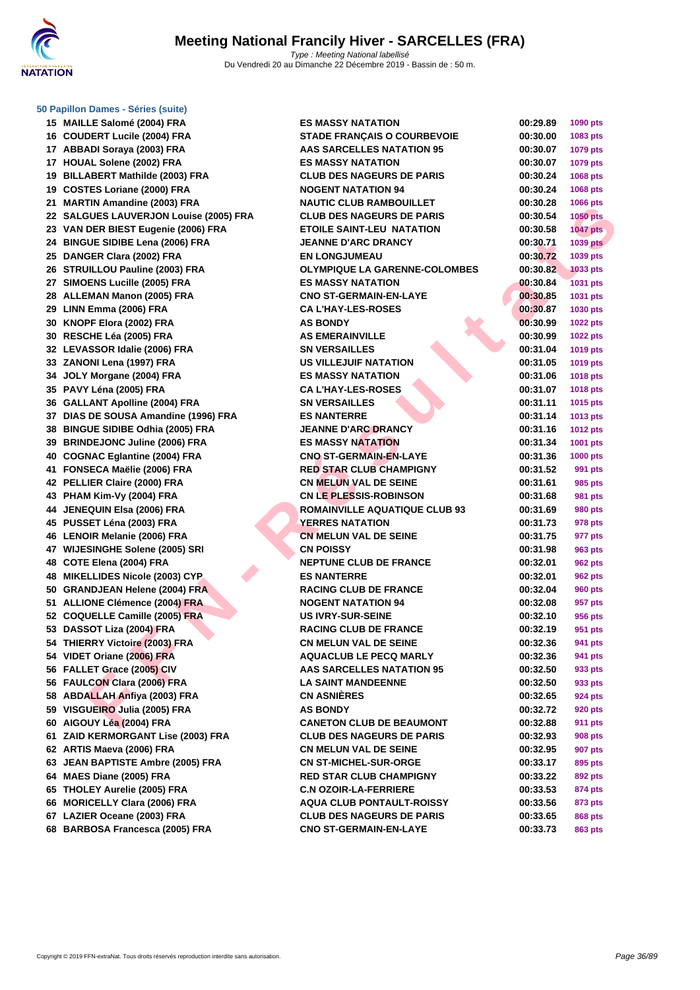

#### **[50 Papillo](http://www.ffnatation.fr/webffn/index.php)n Dames - Séries (suite)**

|    | 13 MAILLE SAIOINE (2004) FRA               |
|----|--------------------------------------------|
|    | 16 COUDERT Lucile (2004) FRA               |
| 17 | ABBADI Soraya (2003) FRA                   |
|    | 17 HOUAL Solene (2002) FRA                 |
| 19 | <b>BILLABERT Mathilde (2003) FRA</b>       |
| 19 | <b>COSTES Loriane (2000) FRA</b>           |
| 21 | <b>MARTIN Amandine (2003) FRA</b>          |
| 22 | <b>SALGUES LAUVERJON Louise (2005) FRA</b> |
|    | 23 VAN DER BIEST Eugenie (2006) FRA        |
|    | 24 BINGUE SIDIBE Lena (2006) FRA           |
| 25 | DANGER Clara (2002) FRA                    |
|    | 26 STRUILLOU Pauline (2003) FRA            |
|    | 27 SIMOENS Lucille (2005) FRA              |
|    | 28 ALLEMAN Manon (2005) FRA                |
|    | 29 LINN Emma (2006) FRA                    |
|    | 30 KNOPF Elora (2002) FRA                  |
|    | 30 RESCHE Léa (2005) FRA                   |
|    | 32 LEVASSOR Idalie (2006) FRA              |
|    | 33 ZANONI Lena (1997) FRA                  |
|    | 34 JOLY Morgane (2004) FRA                 |
| 35 | PAVY Léna (2005) FRA                       |
|    | 36 GALLANT Apolline (2004) FRA             |
|    | 37 DIAS DE SOUSA Amandine (1996) FRA       |
|    | 38 BINGUE SIDIBE Odhia (2005) FRA          |
|    | 39 BRINDEJONC Juline (2006) FRA            |
|    | 40 COGNAC Eglantine (2004) FRA             |
| 41 | FONSECA Maëlie (2006) FRA                  |
|    | 42 PELLIER Claire (2000) FRA               |
| 43 | PHAM Kim-Vy (2004) FRA                     |
|    | 44 JENEQUIN Elsa (2006) FRA                |
|    | 45 PUSSET Léna (2003) FRA                  |
| 46 | <b>LENOIR Melanie (2006) FRA</b>           |
|    | 47 WIJESINGHE Solene (2005) SRI            |
|    | 48 COTE Elena (2004) FRA                   |
| 48 | <b>MIKELLIDES Nicole (2003) CYP</b>        |
|    | 50 GRANDJEAN Helene (2004) FRA             |
|    | 51 ALLIONE Clémence (2004) FRA             |
|    | 52 COQUELLE Camille (2005) FRA             |
|    | 53 DASSOT Liza (2004) FRA                  |
|    | 54 THIERRY Victoire (2003) FRA             |
| 54 | VIDET Oriane (2006) FRA                    |
| 56 | FALLET Grace (2005) CIV                    |
| 56 | <b>FAULCON Clara (2006) FRA</b>            |
| 58 | <b>ABDALLAH Anfiya (2003) FRA</b>          |
|    | 59 VISGUEIRO Julia (2005) FRA              |
| 60 | AIGOUY Léa (2004) FRA                      |
| 61 | ZAID KERMORGANT Lise (2003) FRA            |
| 62 | ARTIS Maeva (2006) FRA                     |
| 63 | <b>JEAN BAPTISTE Ambre (2005) FRA</b>      |
|    | 64 MAES Diane (2005) FRA                   |
| 65 | <b>THOLEY Aurelie (2005) FRA</b>           |
|    | 66 MORICELLY Clara (2006) FRA              |
|    | 67 LAZIER Oceane (2003) FRA                |
| 68 | <b>BARBOSA Francesca (2005) FRA</b>        |

| 15 MAILLE Salomé (2004) FRA            | <b>ES MASSY NATATION</b>             | 00:29.89 | <b>1090 pts</b> |
|----------------------------------------|--------------------------------------|----------|-----------------|
| 16 COUDERT Lucile (2004) FRA           | <b>STADE FRANCAIS O COURBEVOIE</b>   | 00:30.00 | 1083 pts        |
| 17 ABBADI Soraya (2003) FRA            | <b>AAS SARCELLES NATATION 95</b>     | 00:30.07 | <b>1079 pts</b> |
| 17 HOUAL Solene (2002) FRA             | <b>ES MASSY NATATION</b>             | 00:30.07 | 1079 pts        |
| 19 BILLABERT Mathilde (2003) FRA       | <b>CLUB DES NAGEURS DE PARIS</b>     | 00:30.24 | 1068 pts        |
| 19 COSTES Loriane (2000) FRA           | <b>NOGENT NATATION 94</b>            | 00:30.24 | 1068 pts        |
| 21 MARTIN Amandine (2003) FRA          | <b>NAUTIC CLUB RAMBOUILLET</b>       | 00:30.28 | 1066 pts        |
| 22 SALGUES LAUVERJON Louise (2005) FRA | <b>CLUB DES NAGEURS DE PARIS</b>     | 00:30.54 | <b>1050 pts</b> |
| 23 VAN DER BIEST Eugenie (2006) FRA    | <b>ETOILE SAINT-LEU NATATION</b>     | 00:30.58 | <b>1047 pts</b> |
| 24 BINGUE SIDIBE Lena (2006) FRA       | <b>JEANNE D'ARC DRANCY</b>           | 00:30.71 | <b>1039 pts</b> |
| 25 DANGER Clara (2002) FRA             | <b>EN LONGJUMEAU</b>                 | 00:30.72 | 1039 pts        |
| 26 STRUILLOU Pauline (2003) FRA        | <b>OLYMPIQUE LA GARENNE-COLOMBES</b> | 00:30.82 | <b>1033 pts</b> |
| 27 SIMOENS Lucille (2005) FRA          | <b>ES MASSY NATATION</b>             | 00:30.84 | 1031 pts        |
| 28 ALLEMAN Manon (2005) FRA            | <b>CNO ST-GERMAIN-EN-LAYE</b>        | 00:30.85 | 1031 pts        |
| 29 LINN Emma (2006) FRA                | <b>CA L'HAY-LES-ROSES</b>            | 00:30.87 | 1030 pts        |
| 30 KNOPF Elora (2002) FRA              | <b>AS BONDY</b>                      | 00:30.99 | <b>1022 pts</b> |
| 30 RESCHE Léa (2005) FRA               | <b>AS EMERAINVILLE</b>               | 00:30.99 | <b>1022 pts</b> |
| 32 LEVASSOR Idalie (2006) FRA          | <b>SN VERSAILLES</b>                 | 00:31.04 | 1019 pts        |
| 33 ZANONI Lena (1997) FRA              | US VILLEJUIF NATATION                | 00:31.05 | 1019 pts        |
| 34 JOLY Morgane (2004) FRA             | <b>ES MASSY NATATION</b>             | 00:31.06 | <b>1018 pts</b> |
| 35 PAVY Léna (2005) FRA                | <b>CA L'HAY-LES-ROSES</b>            | 00:31.07 | <b>1018 pts</b> |
| 36 GALLANT Apolline (2004) FRA         | <b>SN VERSAILLES</b>                 | 00:31.11 | 1015 pts        |
| 37 DIAS DE SOUSA Amandine (1996) FRA   | <b>ES NANTERRE</b>                   | 00:31.14 | 1013 pts        |
| 38 BINGUE SIDIBE Odhia (2005) FRA      | <b>JEANNE D'ARC DRANCY</b>           | 00:31.16 | <b>1012 pts</b> |
| 39 BRINDEJONC Juline (2006) FRA        | <b>ES MASSY NATATION</b>             | 00:31.34 | 1001 pts        |
| 40 COGNAC Eglantine (2004) FRA         | <b>CNO ST-GERMAIN-EN-LAYE</b>        | 00:31.36 | <b>1000 pts</b> |
| 41 FONSECA Maëlie (2006) FRA           | <b>RED STAR CLUB CHAMPIGNY</b>       | 00:31.52 | 991 pts         |
| 42 PELLIER Claire (2000) FRA           | <b>CN MELUN VAL DE SEINE</b>         | 00:31.61 | 985 pts         |
| 43 PHAM Kim-Vy (2004) FRA              | <b>CN LE PLESSIS-ROBINSON</b>        | 00:31.68 | 981 pts         |
| 44 JENEQUIN Elsa (2006) FRA            | <b>ROMAINVILLE AQUATIQUE CLUB 93</b> | 00:31.69 | 980 pts         |
| 45 PUSSET Léna (2003) FRA              | <b>YERRES NATATION</b>               | 00:31.73 | 978 pts         |
| 46 LENOIR Melanie (2006) FRA           | <b>CN MELUN VAL DE SEINE</b>         | 00:31.75 | 977 pts         |
| 47 WIJESINGHE Solene (2005) SRI        | <b>CN POISSY</b>                     | 00:31.98 | 963 pts         |
| 48 COTE Elena (2004) FRA               | <b>NEPTUNE CLUB DE FRANCE</b>        | 00:32.01 | 962 pts         |
| 48 MIKELLIDES Nicole (2003) CYP        | <b>ES NANTERRE</b>                   | 00:32.01 | 962 pts         |
| 50 GRANDJEAN Helene (2004) FRA         | <b>RACING CLUB DE FRANCE</b>         | 00:32.04 | <b>960 pts</b>  |
| 51 ALLIONE Clémence (2004) FRA         | <b>NOGENT NATATION 94</b>            | 00:32.08 | 957 pts         |
| 52 COQUELLE Camille (2005) FRA         | <b>US IVRY-SUR-SEINE</b>             | 00:32.10 | 956 pts         |
| 53 DASSOT Liza (2004) FRA              | <b>RACING CLUB DE FRANCE</b>         | 00:32.19 | 951 pts         |
| 54 THIERRY Victoire (2003) FRA         | <b>CN MELUN VAL DE SEINE</b>         | 00:32.36 | 941 pts         |
| 54 VIDET Oriane (2006) FRA             | <b>AQUACLUB LE PECQ MARLY</b>        | 00:32.36 | 941 pts         |
| 56 FALLET Grace (2005) CIV             | AAS SARCELLES NATATION 95            | 00:32.50 | 933 pts         |
| 56 FAULCON Clara (2006) FRA            | <b>LA SAINT MANDEENNE</b>            | 00:32.50 | 933 pts         |
| 58 ABDALLAH Anfiya (2003) FRA          | <b>CN ASNIERES</b>                   | 00:32.65 | 924 pts         |
| 59 VISGUEIRO Julia (2005) FRA          | <b>AS BONDY</b>                      | 00:32.72 | <b>920 pts</b>  |
| 60 AIGOUY Léa (2004) FRA               | <b>CANETON CLUB DE BEAUMONT</b>      | 00:32.88 | 911 pts         |
| 61 ZAID KERMORGANT Lise (2003) FRA     | <b>CLUB DES NAGEURS DE PARIS</b>     | 00:32.93 | 908 pts         |
| 62 ARTIS Maeva (2006) FRA              | <b>CN MELUN VAL DE SEINE</b>         | 00:32.95 | 907 pts         |
| 63 JEAN BAPTISTE Ambre (2005) FRA      | <b>CN ST-MICHEL-SUR-ORGE</b>         | 00:33.17 | 895 pts         |
| 64 MAES Diane (2005) FRA               | <b>RED STAR CLUB CHAMPIGNY</b>       | 00:33.22 | 892 pts         |
| 65 THOLEY Aurelie (2005) FRA           | <b>C.N OZOIR-LA-FERRIERE</b>         | 00:33.53 | 874 pts         |
| 66 MORICELLY Clara (2006) FRA          | <b>AQUA CLUB PONTAULT-ROISSY</b>     | 00:33.56 | 873 pts         |
| 67 LAZIER Oceane (2003) FRA            | <b>CLUB DES NAGEURS DE PARIS</b>     | 00:33.65 | <b>868 pts</b>  |
| 68 BARBOSA Francesca (2005) FRA        | <b>CNO ST-GERMAIN-EN-LAYE</b>        | 00:33.73 | 863 pts         |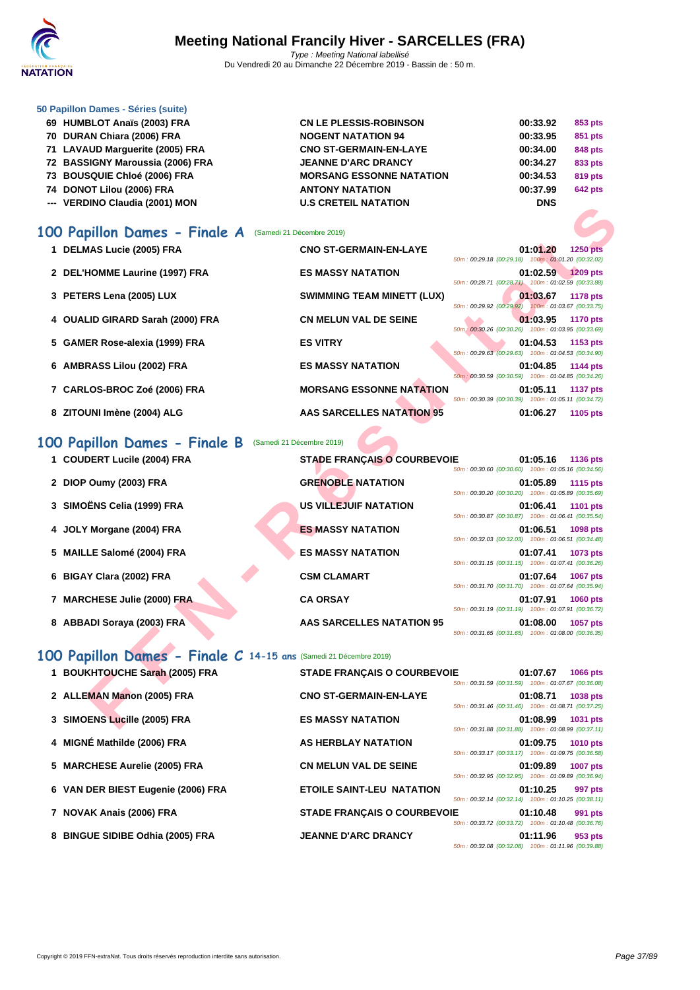

|   | 50 Papillon Dames - Séries (suite)                                |                                    |                                                                                   |
|---|-------------------------------------------------------------------|------------------------------------|-----------------------------------------------------------------------------------|
|   | 69 HUMBLOT Anaïs (2003) FRA                                       | <b>CN LE PLESSIS-ROBINSON</b>      | 00:33.92<br>853 pts                                                               |
|   | 70 DURAN Chiara (2006) FRA                                        | <b>NOGENT NATATION 94</b>          | 00:33.95<br>851 pts                                                               |
|   | 71 LAVAUD Marguerite (2005) FRA                                   | <b>CNO ST-GERMAIN-EN-LAYE</b>      | 00:34.00<br>848 pts                                                               |
|   | 72 BASSIGNY Maroussia (2006) FRA                                  | <b>JEANNE D'ARC DRANCY</b>         | 00:34.27<br>833 pts                                                               |
|   | 73 BOUSQUIE Chloé (2006) FRA                                      | <b>MORSANG ESSONNE NATATION</b>    | 00:34.53<br>819 pts                                                               |
|   | 74 DONOT Lilou (2006) FRA                                         | <b>ANTONY NATATION</b>             | 00:37.99<br><b>642 pts</b>                                                        |
|   | --- VERDINO Claudia (2001) MON                                    | <b>U.S CRETEIL NATATION</b>        | <b>DNS</b>                                                                        |
|   |                                                                   |                                    |                                                                                   |
|   | 100 Papillon Dames - Finale A                                     | (Samedi 21 Décembre 2019)          |                                                                                   |
|   | 1 DELMAS Lucie (2005) FRA                                         | <b>CNO ST-GERMAIN-EN-LAYE</b>      | 01:01.20<br><b>1250 pts</b>                                                       |
|   |                                                                   |                                    | 50m: 00:29.18 (00:29.18) 100m: 01:01.20 (00:32.02)                                |
|   | 2 DEL'HOMME Laurine (1997) FRA                                    | <b>ES MASSY NATATION</b>           | 01:02.59<br>1209 pts                                                              |
|   |                                                                   |                                    | 50m: 00:28.71 (00:28.71) 100m: 01:02.59 (00:33.88)                                |
|   | 3 PETERS Lena (2005) LUX                                          | <b>SWIMMING TEAM MINETT (LUX)</b>  | 01:03.67<br><b>1178 pts</b><br>50m: 00:29.92 (00:29.92) 100m: 01:03.67 (00:33.75) |
|   | 4 OUALID GIRARD Sarah (2000) FRA                                  | <b>CN MELUN VAL DE SEINE</b>       | 01:03.95<br><b>1170 pts</b>                                                       |
|   |                                                                   |                                    | 50m : 00:30.26 (00:30.26) 100m : 01:03.95 (00:33.69)                              |
|   | 5 GAMER Rose-alexia (1999) FRA                                    | <b>ES VITRY</b>                    | 01:04.53<br>1153 pts                                                              |
|   |                                                                   |                                    | 50m: 00:29.63 (00:29.63) 100m: 01:04.53 (00:34.90)                                |
|   | 6 AMBRASS Lilou (2002) FRA                                        | <b>ES MASSY NATATION</b>           | 01:04.85<br><b>1144 pts</b><br>50m: 00:30.59 (00:30.59) 100m: 01:04.85 (00:34.26) |
|   | 7 CARLOS-BROC Zoé (2006) FRA                                      | <b>MORSANG ESSONNE NATATION</b>    | 01:05.11<br><b>1137 pts</b>                                                       |
|   |                                                                   |                                    | 50m: 00:30.39 (00:30.39) 100m: 01:05.11 (00:34.72)                                |
|   | 8 ZITOUNI Imène (2004) ALG                                        | <b>AAS SARCELLES NATATION 95</b>   | 01:06.27<br>1105 pts                                                              |
|   |                                                                   |                                    |                                                                                   |
|   | 100 Papillon Dames - Finale B                                     | (Samedi 21 Décembre 2019)          |                                                                                   |
|   | 1 COUDERT Lucile (2004) FRA                                       | <b>STADE FRANÇAIS O COURBEVOIE</b> | 01:05.16<br><b>1136 pts</b>                                                       |
|   |                                                                   |                                    | 50m: 00:30.60 (00:30.60) 100m: 01:05.16 (00:34.56)                                |
|   | 2 DIOP Oumy (2003) FRA                                            | <b>GRENOBLE NATATION</b>           | 01:05.89<br><b>1115 pts</b>                                                       |
|   |                                                                   |                                    | 50m: 00:30.20 (00:30.20) 100m: 01:05.89 (00:35.69)                                |
|   | 3 SIMOËNS Celia (1999) FRA                                        | <b>US VILLEJUIF NATATION</b>       | 01:06.41<br><b>1101 pts</b>                                                       |
|   | 4 JOLY Morgane (2004) FRA                                         | <b>ES MASSY NATATION</b>           | 50m: 00:30.87 (00:30.87) 100m: 01:06.41 (00:35.54)<br>01:06.51<br>1098 pts        |
|   |                                                                   |                                    | 50m: 00:32.03 (00:32.03) 100m: 01:06.51 (00:34.48)                                |
|   | 5 MAILLE Salomé (2004) FRA                                        | <b>ES MASSY NATATION</b>           | 01:07.41<br>1073 pts                                                              |
|   |                                                                   |                                    | 50m: 00:31.15 (00:31.15) 100m: 01:07.41 (00:36.26)                                |
| 6 | <b>BIGAY Clara (2002) FRA</b>                                     | <b>CSM CLAMART</b>                 | 01:07.64<br><b>1067 pts</b>                                                       |
|   |                                                                   |                                    | 50m: 00:31.70 (00:31.70) 100m: 01:07.64 (00:35.94)                                |
|   | 7 MARCHESE Julie (2000) FRA                                       | <b>CA ORSAY</b>                    | 01:07.91<br>1060 pts<br>50m: 00:31.19 (00:31.19) 100m: 01:07.91 (00:36.72)        |
|   | 8 ABBADI Soraya (2003) FRA                                        | <b>AAS SARCELLES NATATION 95</b>   | 01:08.00<br><b>1057 pts</b>                                                       |
|   |                                                                   |                                    | 50m: 00:31.65 (00:31.65) 100m: 01:08.00 (00:36.35)                                |
|   |                                                                   |                                    |                                                                                   |
|   | 100 Papillon Dames - Finale C 14-15 ans (Samedi 21 Décembre 2019) |                                    |                                                                                   |
|   | 1 BOUKHTOUCHE Sarah (2005) FRA                                    | <b>STADE FRANÇAIS O COURBEVOIE</b> | 01:07.67<br><b>1066 pts</b>                                                       |
|   |                                                                   |                                    | 50m: 00:31.59 (00:31.59) 100m: 01:07.67 (00:36.08)                                |
|   | 2 ALLEMAN Manon (2005) FRA                                        | <b>CNO ST-GERMAIN-EN-LAYE</b>      | 01:08.71<br>1038 pts<br>50m: 00:31.46 (00:31.46) 100m: 01:08.71 (00:37.25)        |
|   | 3 SIMOENS Lucille (2005) FRA                                      | <b>ES MASSY NATATION</b>           | 01:08.99<br>1031 pts                                                              |
|   |                                                                   |                                    |                                                                                   |

# **100 Papillon Dames - Finale B** (Samedi 21 Décembre 2019)

| 1 COUDERT Lucile (2004) FRA | <b>STADE FRANCAIS O COURBEVOIE</b> |                                                    | 01:05.16                  | 1136 pts        |
|-----------------------------|------------------------------------|----------------------------------------------------|---------------------------|-----------------|
|                             |                                    | 50m: 00:30.60 (00:30.60) 100m: 01:05.16 (00:34.56) |                           |                 |
| 2 DIOP Oumy (2003) FRA      | <b>GRENOBLE NATATION</b>           |                                                    | 01:05.89                  | <b>1115 pts</b> |
|                             |                                    | 50m: 00:30.20 (00:30.20) 100m: 01:05.89 (00:35.69) |                           |                 |
| 3 SIMOËNS Celia (1999) FRA  | <b>US VILLEJUIF NATATION</b>       |                                                    | 01:06.41                  | 1101 pts        |
|                             |                                    | 50m: 00:30.87 (00:30.87) 100m: 01:06.41 (00:35.54) |                           |                 |
| 4 JOLY Morgane (2004) FRA   | <b>ES MASSY NATATION</b>           |                                                    | 01:06.51                  | <b>1098 pts</b> |
|                             |                                    | 50m: 00:32.03 (00:32.03) 100m: 01:06.51 (00:34.48) |                           |                 |
| 5 MAILLE Salomé (2004) FRA  | <b>ES MASSY NATATION</b>           |                                                    | 01:07.41                  | 1073 pts        |
|                             |                                    | 50m: 00:31.15 (00:31.15) 100m: 01:07.41 (00:36.26) |                           |                 |
| 6 BIGAY Clara (2002) FRA    | <b>CSM CLAMART</b>                 |                                                    | 01:07.64                  | <b>1067 pts</b> |
|                             |                                    | 50m: 00:31.70 (00:31.70) 100m: 01:07.64 (00:35.94) |                           |                 |
| 7 MARCHESE Julie (2000) FRA | <b>CA ORSAY</b>                    |                                                    | 01:07.91                  | <b>1060 pts</b> |
|                             |                                    | 50m: 00:31.19 (00:31.19) 100m: 01:07.91 (00:36.72) |                           |                 |
| 8 ABBADI Soraya (2003) FRA  | <b>AAS SARCELLES NATATION 95</b>   |                                                    | 01:08.00                  | 1057 pts        |
|                             |                                    | 50m: 00:31.65 (00:31.65)                           | 100m: 01:08.00 (00:36.35) |                 |

# **100 Papillon Dames - Finale C 14-15 ans** (Samedi 21 Décembre 2019)

| 1 BOUKHTOUCHE Sarah (2005) FRA     | <b>STADE FRANCAIS O COURBEVOIE</b> |                                                    | 01:07.67 | <b>1066 pts</b> |
|------------------------------------|------------------------------------|----------------------------------------------------|----------|-----------------|
|                                    |                                    | 50m: 00:31.59 (00:31.59) 100m: 01:07.67 (00:36.08) |          |                 |
| 2 ALLEMAN Manon (2005) FRA         | <b>CNO ST-GERMAIN-EN-LAYE</b>      |                                                    | 01:08.71 | <b>1038 pts</b> |
|                                    |                                    | 50m: 00:31.46 (00:31.46) 100m: 01:08.71 (00:37.25) |          |                 |
| 3 SIMOENS Lucille (2005) FRA       | <b>ES MASSY NATATION</b>           |                                                    | 01:08.99 | 1031 pts        |
|                                    |                                    | 50m: 00:31.88 (00:31.88) 100m: 01:08.99 (00:37.11) |          |                 |
| 4 MIGNÉ Mathilde (2006) FRA        | <b>AS HERBLAY NATATION</b>         | 50m: 00:33.17 (00:33.17) 100m: 01:09.75 (00:36.58) | 01:09.75 | <b>1010 pts</b> |
|                                    |                                    |                                                    |          |                 |
| 5 MARCHESE Aurelie (2005) FRA      | <b>CN MELUN VAL DE SEINE</b>       | 50m: 00:32.95 (00:32.95) 100m: 01:09.89 (00:36.94) | 01:09.89 | <b>1007 pts</b> |
| 6 VAN DER BIEST Eugenie (2006) FRA | <b>ETOILE SAINT-LEU NATATION</b>   |                                                    | 01:10.25 | 997 pts         |
|                                    |                                    | 50m: 00:32.14 (00:32.14) 100m: 01:10.25 (00:38.11) |          |                 |
| 7 NOVAK Anais (2006) FRA           | <b>STADE FRANCAIS O COURBEVOIE</b> |                                                    | 01:10.48 | 991 pts         |
|                                    |                                    | 50m: 00:33.72 (00:33.72) 100m: 01:10.48 (00:36.76) |          |                 |
| 8 BINGUE SIDIBE Odhia (2005) FRA   | <b>JEANNE D'ARC DRANCY</b>         |                                                    | 01:11.96 | 953 pts         |
|                                    |                                    | 50m: 00:32.08 (00:32.08) 100m: 01:11.96 (00:39.88) |          |                 |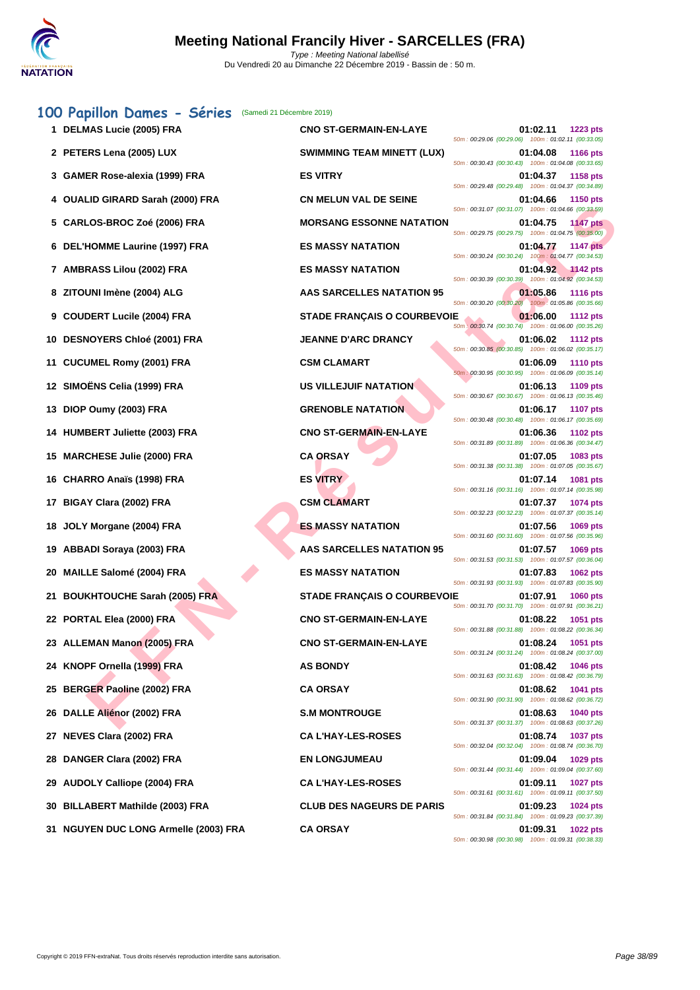| 100 Papillon Dames - Séries               | (Samedi 21 Décembre 2019)          |                                                                                                                                         |
|-------------------------------------------|------------------------------------|-----------------------------------------------------------------------------------------------------------------------------------------|
| 1 DELMAS Lucie (2005) FRA                 | <b>CNO ST-GERMAIN-EN-LAYE</b>      | 01:02.11<br>1223 pts<br>50m: 00:29.06 (00:29.06) 100m: 01:02.11 (00:33.05)                                                              |
| 2 PETERS Lena (2005) LUX                  | <b>SWIMMING TEAM MINETT (LUX)</b>  | 01:04.08<br><b>1166 pts</b><br>50m: 00:30.43 (00:30.43) 100m: 01:04.08 (00:33.65)                                                       |
| 3 GAMER Rose-alexia (1999) FRA            | <b>ES VITRY</b>                    | 01:04.37<br>1158 pts<br>50m: 00:29.48 (00:29.48) 100m: 01:04.37 (00:34.89)                                                              |
| 4 OUALID GIRARD Sarah (2000) FRA          | <b>CN MELUN VAL DE SEINE</b>       | 01:04.66<br><b>1150 pts</b><br>50m: 00:31.07 (00:31.07) 100m: 01:04.66 (00:33.59)                                                       |
| 5 CARLOS-BROC Zoé (2006) FRA              | <b>MORSANG ESSONNE NATATION</b>    | 01:04.75<br><b>1147 pts</b><br>50m: 00:29.75 (00:29.75) 100m: 01:04.75 (00:35.00)                                                       |
| 6 DEL'HOMME Laurine (1997) FRA            | <b>ES MASSY NATATION</b>           | 01:04.77<br><b>1147 pts</b><br>50m: 00:30.24 (00:30.24) 100m: 01:04.77 (00:34.53)                                                       |
| 7 AMBRASS Lilou (2002) FRA                | <b>ES MASSY NATATION</b>           | 01:04.92<br>$\sim$ 1142 pts<br>50m: 00:30.39 (00:30.39) 100m: 01:04.92 (00:34.53)                                                       |
| 8 ZITOUNI Imène (2004) ALG                | AAS SARCELLES NATATION 95          | 01:05.86<br><b>1116 pts</b><br>50m: 00:30.20 (00:30.20)<br>100m: 01:05.86 (00:35.66)                                                    |
| 9 COUDERT Lucile (2004) FRA               | <b>STADE FRANÇAIS O COURBEVOIE</b> | 01:06.00<br><b>1112 pts</b><br>50m: 00:30.74 (00:30.74) 100m: 01:06.00 (00:35.26)                                                       |
| <b>DESNOYERS Chloé (2001) FRA</b><br>10   | <b>JEANNE D'ARC DRANCY</b>         | 01:06.02<br><b>1112 pts</b><br>50m: 00:30.85 (00:30.85) 100m: 01:06.02 (00:35.17)                                                       |
| <b>CUCUMEL Romy (2001) FRA</b><br>11      | <b>CSM CLAMART</b>                 | 01:06.09<br><b>1110 pts</b><br>50m: 00:30.95 (00:30.95) 100m: 01:06.09 (00:35.14)                                                       |
| 12 SIMOËNS Celia (1999) FRA               | <b>US VILLEJUIF NATATION</b>       | 01:06.13<br>1109 pts                                                                                                                    |
| 13 DIOP Oumy (2003) FRA                   | <b>GRENOBLE NATATION</b>           | 50m: 00:30.67 (00:30.67) 100m: 01:06.13 (00:35.46)<br>01:06.17<br><b>1107 pts</b><br>50m: 00:30.48 (00:30.48) 100m: 01:06.17 (00:35.69) |
| 14 HUMBERT Juliette (2003) FRA            | <b>CNO ST-GERMAIN-EN-LAYE</b>      | 01:06.36<br>1102 pts<br>50m: 00:31.89 (00:31.89) 100m: 01:06.36 (00:34.47)                                                              |
| 15 MARCHESE Julie (2000) FRA              | <b>CA ORSAY</b>                    | 01:07.05<br>1083 pts<br>50m: 00:31.38 (00:31.38) 100m: 01:07.05 (00:35.67)                                                              |
| 16 CHARRO Anaïs (1998) FRA                | <b>ES VITRY</b>                    | 01:07.14<br>1081 pts<br>50m: 00:31.16 (00:31.16) 100m: 01:07.14 (00:35.98)                                                              |
| BIGAY Clara (2002) FRA<br>17              | <b>CSM CLAMART</b>                 | 01:07.37<br>1074 pts<br>50m: 00:32.23 (00:32.23) 100m: 01:07.37 (00:35.14)                                                              |
| JOLY Morgane (2004) FRA<br>18.            | <b>ES MASSY NATATION</b>           | 01:07.56<br>1069 pts<br>50m: 00:31.60 (00:31.60) 100m: 01:07.56 (00:35.96)                                                              |
| 19 ABBADI Soraya (2003) FRA               | <b>AAS SARCELLES NATATION 95</b>   | 01:07.57<br>1069 pts<br>50m: 00:31.53 (00:31.53) 100m: 01:07.57 (00:36.04)                                                              |
| <b>MAILLE Salomé (2004) FRA</b><br>20     | <b>ES MASSY NATATION</b>           | 01:07.83<br>1062 pts<br>50m: 00:31.93 (00:31.93) 100m: 01:07.83 (00:35.90)                                                              |
| <b>BOUKHTOUCHE Sarah (2005) FRA</b><br>21 | <b>STADE FRANCAIS O COURBEVOIE</b> | 01:07.91<br><b>1060 pts</b><br>50m: 00:31.70 (00:31.70) 100m: 01:07.91 (00:36.21)                                                       |
| 22 PORTAL Elea (2000) FRA                 | <b>CNO ST-GERMAIN-EN-LAYE</b>      | 01:08.22<br>1051 pts                                                                                                                    |
| 23 ALLEMAN Manon (2005) FRA               | <b>CNO ST-GERMAIN-EN-LAYE</b>      | 50m: 00:31.88 (00:31.88) 100m: 01:08.22 (00:36.34)<br>01:08.24<br>1051 pts                                                              |
| KNOPF Ornella (1999) FRA                  | <b>AS BONDY</b>                    | 50m: 00:31.24 (00:31.24) 100m: 01:08.24 (00:37.00)<br>01:08.42<br>1046 pts                                                              |
| 25 BERGER Paoline (2002) FRA              | <b>CA ORSAY</b>                    | 50m: 00:31.63 (00:31.63) 100m: 01:08.42 (00:36.79)<br>01:08.62<br>1041 pts                                                              |
| 26 DALLE Aliénor (2002) FRA               | <b>S.M MONTROUGE</b>               | 50m: 00:31.90 (00:31.90) 100m: 01:08.62 (00:36.72)<br>01:08.63<br><b>1040 pts</b>                                                       |
| <b>NEVES Clara (2002) FRA</b><br>27       | <b>CAL'HAY-LES-ROSES</b>           | 50m: 00:31.37 (00:31.37) 100m: 01:08.63 (00:37.26)<br>01:08.74<br><b>1037 pts</b>                                                       |
| DANGER Clara (2002) FRA<br>28.            | <b>EN LONGJUMEAU</b>               | 50m: 00:32.04 (00:32.04) 100m: 01:08.74 (00:36.70)<br>01:09.04<br>1029 pts                                                              |
| <b>AUDOLY Calliope (2004) FRA</b><br>29   | <b>CA L'HAY-LES-ROSES</b>          | 50m: 00:31.44 (00:31.44) 100m: 01:09.04 (00:37.60)<br>01:09.11<br><b>1027 pts</b>                                                       |
| 30 BILLABERT Mathilde (2003) FRA          | <b>CLUB DES NAGEURS DE PARIS</b>   | 50m: 00:31.61 (00:31.61) 100m: 01:09.11 (00:37.50)<br>01:09.23<br>1024 pts                                                              |
| 31 NGUYEN DUC LONG Armelle (2003) FRA     | <b>CA ORSAY</b>                    | 50m: 00:31.84 (00:31.84) 100m: 01:09.23 (00:37.39)<br>01:09.31<br><b>1022 pts</b>                                                       |
|                                           |                                    | 50m: 00:30.98 (00:30.98) 100m: 01:09.31 (00:38.33)                                                                                      |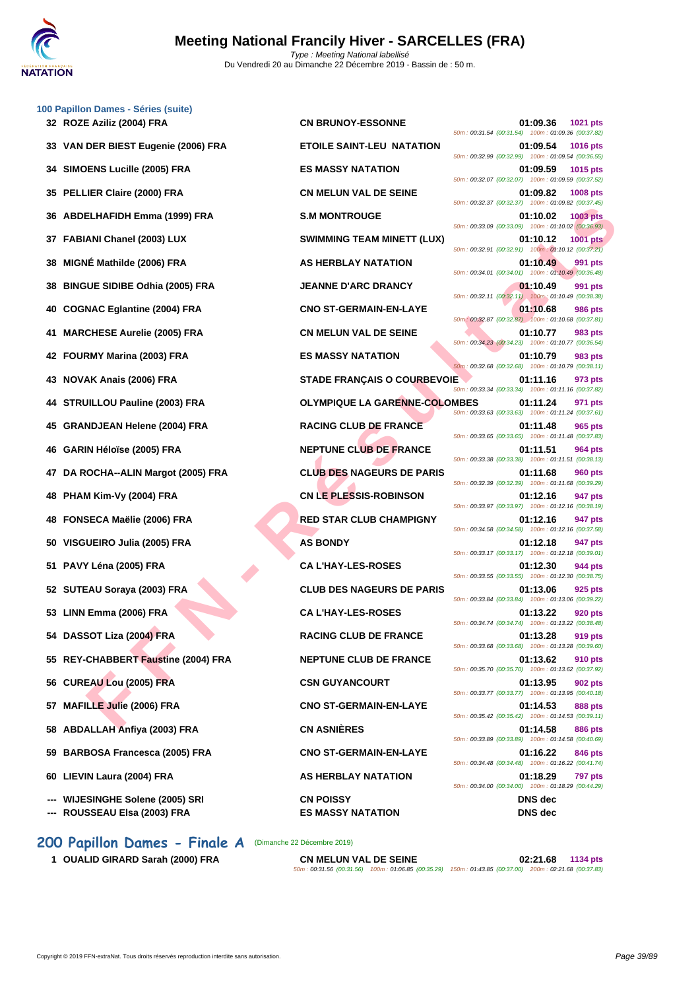

|    | 100 Papillon Dames - Séries (suite)<br>32 ROZE Aziliz (2004) FRA | <b>CN BRUNOY-ESSONNE</b>                     | 01:09.36<br>1021 pts                                                                                                            |
|----|------------------------------------------------------------------|----------------------------------------------|---------------------------------------------------------------------------------------------------------------------------------|
|    | 33 VAN DER BIEST Eugenie (2006) FRA                              | <b>ETOILE SAINT-LEU NATATION</b>             | 50m: 00:31.54 (00:31.54) 100m: 01:09.36 (00:37.82)<br>01:09.54<br><b>1016 pts</b>                                               |
|    | 34 SIMOENS Lucille (2005) FRA                                    | <b>ES MASSY NATATION</b>                     | 50m: 00:32.99 (00:32.99) 100m: 01:09.54 (00:36.55)<br>01:09.59<br>1015 pts                                                      |
|    | 35 PELLIER Claire (2000) FRA                                     | <b>CN MELUN VAL DE SEINE</b>                 | 50m: 00:32.07 (00:32.07) 100m: 01:09.59 (00:37.52)<br>01:09.82<br>1008 pts                                                      |
|    | 36 ABDELHAFIDH Emma (1999) FRA                                   | <b>S.M MONTROUGE</b>                         | 50m: 00:32.37 (00:32.37) 100m: 01:09.82 (00:37.45)<br>01:10.02<br>1003 pts                                                      |
|    | 37 FABIANI Chanel (2003) LUX                                     | <b>SWIMMING TEAM MINETT (LUX)</b>            | 50m: 00:33.09 (00:33.09) 100m: 01:10.02 (00:36.93)<br>01:10.12<br><b>1001 pts</b>                                               |
| 38 | MIGNÉ Mathilde (2006) FRA                                        | AS HERBLAY NATATION                          | 50m: 00:32.91 (00:32.91) 100m: 01:10.12 (00:37.21)<br>01:10.49<br>991 pts                                                       |
| 38 | <b>BINGUE SIDIBE Odhia (2005) FRA</b>                            | <b>JEANNE D'ARC DRANCY</b>                   | 50m: 00:34.01 (00:34.01) 100m: 01:10.49 (00:36.48)<br>01:10.49<br>991 pts<br>50m: 00:32.11 (00:32.11) 100m: 01:10.49 (00:38.38) |
|    | 40 COGNAC Eglantine (2004) FRA                                   | <b>CNO ST-GERMAIN-EN-LAYE</b>                | 01:10.68<br>986 pts<br>50m: 00:32.87 (00:32.87) 100m: 01:10.68 (00:37.81)                                                       |
| 41 | <b>MARCHESE Aurelie (2005) FRA</b>                               | <b>CN MELUN VAL DE SEINE</b>                 | 01:10.77<br>983 pts<br>50m: 00:34.23 (00:34.23) 100m: 01:10.77 (00:36.54)                                                       |
|    | 42 FOURMY Marina (2003) FRA                                      | <b>ES MASSY NATATION</b>                     | 01:10.79<br>983 pts<br>50m: 00:32.68 (00:32.68) 100m: 01:10.79 (00:38.11)                                                       |
|    | 43 NOVAK Anais (2006) FRA                                        | <b>STADE FRANÇAIS O COURBEVOIE</b>           | 01:11.16<br>973 pts<br>50m: 00:33.34 (00:33.34) 100m: 01:11.16 (00:37.82)                                                       |
|    | 44 STRUILLOU Pauline (2003) FRA                                  | <b>OLYMPIQUE LA GARENNE-COLOMBES</b>         | 01:11.24<br>971 pts<br>50m: 00:33.63 (00:33.63) 100m: 01:11.24 (00:37.61)                                                       |
|    | 45 GRANDJEAN Helene (2004) FRA                                   | <b>RACING CLUB DE FRANCE</b>                 | 01:11.48<br>965 pts<br>50m: 00:33.65 (00:33.65) 100m: 01:11.48 (00:37.83)                                                       |
|    | 46 GARIN Héloïse (2005) FRA                                      | <b>NEPTUNE CLUB DE FRANCE</b>                | 01:11.51<br>964 pts<br>50m: 00:33.38 (00:33.38) 100m: 01:11.51 (00:38.13)                                                       |
|    | 47 DA ROCHA--ALIN Margot (2005) FRA                              | <b>CLUB DES NAGEURS DE PARIS</b>             | 01:11.68<br><b>960 pts</b><br>50m: 00:32.39 (00:32.39) 100m: 01:11.68 (00:39.29)                                                |
| 48 | PHAM Kim-Vy (2004) FRA                                           | <b>CN LE PLESSIS-ROBINSON</b>                | 01:12.16<br>947 pts<br>50m: 00:33.97 (00:33.97) 100m: 01:12.16 (00:38.19)                                                       |
|    | 48 FONSECA Maëlie (2006) FRA                                     | <b>RED STAR CLUB CHAMPIGNY</b>               | 01:12.16<br>947 pts<br>50m: 00:34.58 (00:34.58) 100m: 01:12.16 (00:37.58)                                                       |
|    | 50 VISGUEIRO Julia (2005) FRA                                    | <b>AS BONDY</b>                              | 01:12.18<br>947 pts<br>50m: 00:33.17 (00:33.17) 100m: 01:12.18 (00:39.01)                                                       |
|    | 51 PAVY Léna (2005) FRA                                          | <b>CA L'HAY-LES-ROSES</b>                    | 01:12.30<br>944 pts<br>50m: 00:33.55 (00:33.55) 100m: 01:12.30 (00:38.75)                                                       |
|    | 52 SUTEAU Soraya (2003) FRA                                      | <b>CLUB DES NAGEURS DE PARIS</b>             | 01:13.06<br>925 pts<br>50m: 00:33.84 (00:33.84) 100m: 01:13.06 (00:39.22)                                                       |
|    | 53 LINN Emma (2006) FRA                                          | <b>CAL'HAY-LES-ROSES</b>                     | 01:13.22<br><b>920 pts</b><br>50m: 00:34.74 (00:34.74) 100m: 01:13.22 (00:38.48)                                                |
|    | 54 DASSOT Liza (2004) FRA                                        | <b>RACING CLUB DE FRANCE</b>                 | 01:13.28<br>919 pts<br>50m: 00:33.68 (00:33.68) 100m: 01:13.28 (00:39.60)                                                       |
|    | 55 REY-CHABBERT Faustine (2004) FRA                              | <b>NEPTUNE CLUB DE FRANCE</b>                | 01:13.62<br>910 pts<br>50m: 00:35.70 (00:35.70) 100m: 01:13.62 (00:37.92)                                                       |
|    | 56 CUREAU Lou (2005) FRA                                         | <b>CSN GUYANCOURT</b>                        | 01:13.95<br>902 pts<br>50m: 00:33.77 (00:33.77) 100m: 01:13.95 (00:40.18)                                                       |
|    | 57 MAFILLE Julie (2006) FRA                                      | <b>CNO ST-GERMAIN-EN-LAYE</b>                | 01:14.53<br>888 pts<br>50m: 00:35.42 (00:35.42) 100m: 01:14.53 (00:39.11)                                                       |
|    | 58 ABDALLAH Anfiya (2003) FRA                                    | <b>CN ASNIÈRES</b>                           | 01:14.58<br>886 pts<br>50m: 00:33.89 (00:33.89) 100m: 01:14.58 (00:40.69)                                                       |
|    | 59 BARBOSA Francesca (2005) FRA                                  | <b>CNO ST-GERMAIN-EN-LAYE</b>                | 01:16.22<br>846 pts<br>50m: 00:34.48 (00:34.48) 100m: 01:16.22 (00:41.74)                                                       |
|    | 60 LIEVIN Laura (2004) FRA                                       | AS HERBLAY NATATION                          | 01:18.29<br><b>797 pts</b><br>50m: 00:34.00 (00:34.00) 100m: 01:18.29 (00:44.29)                                                |
|    | --- WIJESINGHE Solene (2005) SRI<br>--- ROUSSEAU Elsa (2003) FRA | <b>CN POISSY</b><br><b>ES MASSY NATATION</b> | <b>DNS</b> dec<br><b>DNS</b> dec                                                                                                |
|    |                                                                  |                                              |                                                                                                                                 |

## **200 Papillon Dames - Finale A** (Dimanche 22 Décembre 2019)

| <b>CN MELUN VAL DE SEINE</b> |                                                                                                        | 02:21.68 | 1134 pts |
|------------------------------|--------------------------------------------------------------------------------------------------------|----------|----------|
|                              | 50m: 00:31.56 (00:31.56) 100m: 01:06.85 (00:35.29) 150m: 01:43.85 (00:37.00) 200m: 02:21.68 (00:37.83) |          |          |

**1 OUALID GIRARD Sarah (2000) FRA**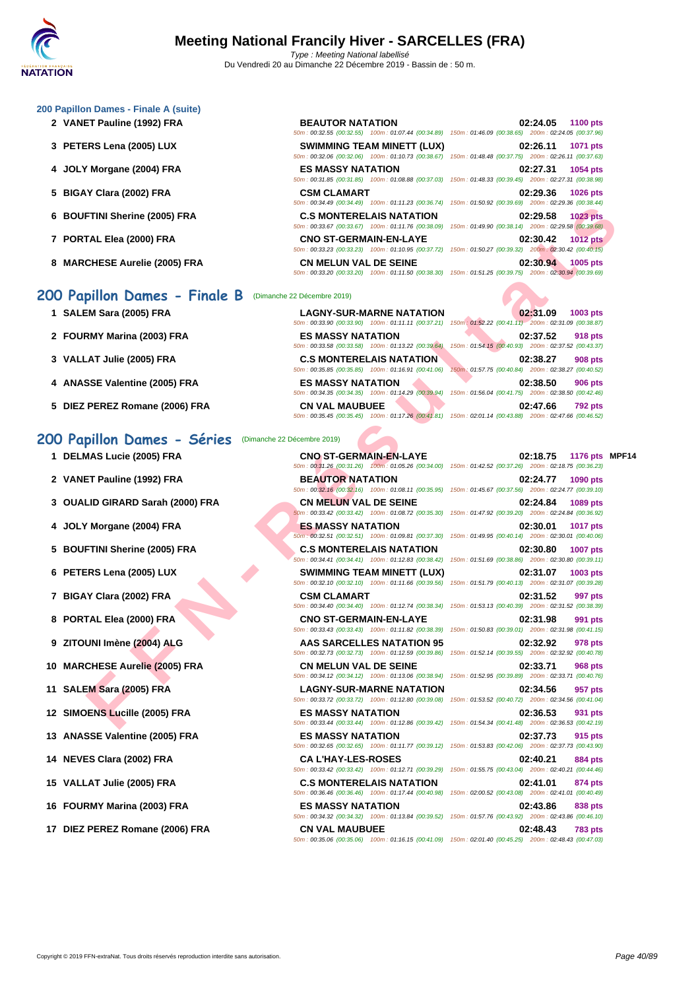#### **[200 Papil](http://www.ffnatation.fr/webffn/index.php)lon Dames - Finale A (suite)**

- **2 VANET Pauline (1992) FRA BEAUTOR NATATION 02:24.05 1100 pts**
- 
- **4 JOLY Morgane (2004) FRA ES MASSY NATATION 02:27.31 1054 pts**
- **5 BIGAY Clara (2002) FRA CSM CLAMART 02:29.36 1026 pts**
- **6 BOUFTINI Sherine (2005) FRA C.S MONTERELAIS NATATION 02:29.58 1023 pts**
- 
- **8 MARCHESE Aurelie (2005) FRA CN MELUN VAL DE SEINE 02:30.94 1005 pts**

### **200 Papillon Dames - Finale B** (Dimanche 22 Décembre 2019)

- **1 SALEM Sara (2005) FRA**
- **2 FOURMY Marina (2003) FRA ES MASSY NATATION 02:37.52 918 pts**
- **3 VALLAT Julie (2005) FRA C.S MONTERELAIS NATATION 02:38.27 908 pts**
- **4 ANASSE Valentine (2005) FRA**
- **5 DIEZ PEREZ Romane (2006) FRA CN VAL MAUBUEE 02:47.66 792 pts**

### **200 Papillon Dames - Séries** (Dimanche 22 Décembre 2019)

- 
- 
- 
- 
- 
- 
- 
- 
- 
- 
- 
- 
- 
- 
- 
- 
- 

**3 PETERS Lena (2005) LUX SWIMMING TEAM MINETT (LUX) 02:26.11 1071 pts** 50m : 00:32.06 (00:32.06) 100m : 01:10.73 (00:38.67) 15 50m : 00:31.85 (00:31.85) 100m : 01:08.88 (00:37.03) 15 50m : 00:34.49 (00:34.49) 100m : 01:11.23 (00:36.74) 150

50m : 00:32.55 (00:32.55) 100m : 01:07.44 (00:34.89) 15

50m : 00:33.67 (00:33.67) 100m : 01:11.76 (00:38.09) 150 **7 PORTAL Elea (2000) FRA CNO ST-GERMAIN-EN-LAYE 02:30.42 1012 pts**

50m : 00:33.20 (00:33.20) 100m : 01:11.50 (00:38.30) 150m : 01:51.25 (00:39.75) 200m : 02:30.94 (00:39.69)

| <b>LAGNY-SUR-MARNE NATATION</b>                    |     |  |
|----------------------------------------------------|-----|--|
| 50m: 00:33.90 (00:33.90) 100m: 01:11.11 (00:37.21) | - 1 |  |
| <b>ES MASSY NATATION</b>                           |     |  |
| 50m: 00:33.58 (00:33.58) 100m: 01:13.22 (00:39.64) | ×   |  |
| <b>C.S MONTERELAIS NATATION</b>                    |     |  |
| 50m: 00:35.85 (00:35.85) 100m: 01:16.91 (00:41.06) | ×   |  |
| <b>ES MASSY NATATION</b>                           |     |  |
| 50m: 00:34.35 (00:34.35) 100m: 01:14.29 (00:39.94) | n.  |  |
|                                                    |     |  |

50m : 00:35.45 (00:35.45) 100m : 01:17.26 (0

 **DELMAS Lucie (2005) FRA CNO ST-GERMAIN-EN-LAYE 02:18.75 1176 pts MPF14 VANET Pauline (1992) FRA BEAUTOR NATATION 02:24.77 1090 pts OUALID GIRARD Sarah (2000) FRA CN MELUN VAL DE SEINE 02:24.84 1089 pts BIGAY Clara (2002) FRA CSM CLAMART 02:31.52 997 pts PORTAL Elea (2000) FRA CNO ST-GERMAIN-EN-LAYE 02:31.98 991 pts ZITOUNI Imène (2004) ALG AAS SARCELLES NATATION 95 02:32.92 978 pts** 50m : 00:32.73 (00:32.73) 100m : 01:12.59 (00:39.86) 150m : 01:52.14 (00:39.55) 200m : 02:32.92 (00:40.78) **MARCHESE Aurelie (2005) FRA CN MELUN VAL DE SEINE 02:33.71 968 pts** 50m : 00:34.12 (00:34.12) 100m : 01:13.06 (00:38.94) 150m : 01:52.95 (00:39.89) 200m : 02:33.71 (00:40.76) **SALEM Sara (2005) FRA LAGNY-SUR-MARNE NATATION 02:34.56 957 pts SIMOENS Lucille (2005) FRA ES MASSY NATATION 02:36.53 931 pts NEVES Clara (2002) FRA CA L'HAY-LES-ROSES 02:40.21 884 pts**

50m : 00:35.06 (00:35.06) 100m : 01:16.15 (00:41.09) 150m : 02:01.40 (00:45.25) 200m : 02:48.43 (00:47.03)

|                               | .50m; 00:32.55 (00:32.55) 100m; 01:07.44 (00:34.89) 150m; 01:46.09 (00:38.65) 200m; 02:24.05 (00:37.96) |                                                     |  |                   |
|-------------------------------|---------------------------------------------------------------------------------------------------------|-----------------------------------------------------|--|-------------------|
|                               | <b>SWIMMING TEAM MINETT (LUX)</b>                                                                       |                                                     |  | 02:26.11 1071 pts |
|                               | 50m: 00:32.06 (00:32.06) 100m: 01:10.73 (00:38.67) 150m: 01:48.48 (00:37.75) 200m: 02:26.11 (00:37.63)  |                                                     |  |                   |
| <b>ES MASSY NATATION</b>      |                                                                                                         |                                                     |  | 02:27.31 1054 pts |
|                               | 50m: 00:31.85 (00:31.85) 100m: 01:08.88 (00:37.03)                                                      | 150m: 01:48.33 (00:39.45) 200m: 02:27.31 (00:38.98) |  |                   |
| <b>CSM CLAMART</b>            |                                                                                                         |                                                     |  | 02:29.36 1026 pts |
|                               | 50m; 00:34.49 (00:34.49) 100m; 01:11.23 (00:36.74) 150m; 01:50.92 (00:39.69) 200m; 02:29.36 (00:38.44)  |                                                     |  |                   |
|                               | <b>C.S MONTERELAIS NATATION</b>                                                                         |                                                     |  | 02:29.58 1023 pts |
|                               | 50m; 00:33.67 (00:33.67) 100m; 01:11.76 (00:38.09) 150m; 01:49.90 (00:38.14) 200m; 02:29.58 (00:39.68)  |                                                     |  |                   |
| <b>CNO ST-GERMAIN-EN-LAYE</b> |                                                                                                         |                                                     |  | 02:30.42 1012 pts |
|                               | 50m: 00:33.23 (00:33.23) 100m: 01:10.95 (00:37.72) 150m: 01:50.27 (00:39.32) 200m: 02:30.42 (00:40.15)  |                                                     |  |                   |

| <b>LAGNY-SUR-MARNE NATATION</b>                                                                        | 02:31.09                                            |          | 1003 pts       |
|--------------------------------------------------------------------------------------------------------|-----------------------------------------------------|----------|----------------|
| 50m: 00:33.90 (00:33.90) 100m: 01:11.11 (00:37.21) 150m: 01:52.22 (00:41.11) 200m: 02:31.09 (00:38.87) |                                                     |          |                |
| <b>ES MASSY NATATION</b>                                                                               |                                                     | 02:37.52 | 918 pts        |
| 50m: 00:33.58 (00:33.58) 100m: 01:13.22 (00:39.64)                                                     | 150m: 01:54.15 (00:40.93) 200m: 02:37.52 (00:43.37) |          |                |
| <b>C.S MONTERELAIS NATATION</b>                                                                        |                                                     | 02:38.27 | <b>908 pts</b> |
| 50m: 00:35.85 (00:35.85) 100m: 01:16.91 (00:41.06)                                                     | 150m; 01:57.75 (00:40.84) 200m: 02:38.27 (00:40.52) |          |                |
| <b>ES MASSY NATATION</b>                                                                               | 02:38.50                                            |          | <b>906 pts</b> |
| 50m: 00:34.35 (00:34.35) 100m: 01:14.29 (00:39.94)                                                     | 150m: 01:56.04 (00:41.75) 200m: 02:38.50 (00:42.46) |          |                |
| <b>CN VAL MAUBUEE</b>                                                                                  | 02:47.66                                            |          | <b>792 pts</b> |
| 50m; 00:35.45 (00:35.45) 100m; 01:17.26 (00:41.81) 150m; 02:01.14 (00:43.88) 200m; 02:47.66 (00:46.52) |                                                     |          |                |

**FINI Sherine (2005) FRA**<br>
TAL Elee (2009) FRA CONTERELAIS NATATION<br>
CHESE Aurele (2005) FRA CONTERELAIS NATATION<br>
CHESE Aurele (2005) FRA CONTERELAIS NATATION<br>
CHESE Aurele (2005) FRA CONTERELAIS NATATION<br>
RAT JULIE (200 50m : 00:31.26 (00:31.26) 100m : 01:05.26 (00:34.00) 150m : 01:42.52 (00:37.26) 200m : 02:18.75 (00:36.23) 50m : 00:32.16 (00:32.16) 100m : 01:08.11 (00:35.95) 150m : 01:45.67 (00:37.56) 200m : 02:24.77 (00:39.10) 50m : 00:33.42 (00:33.42) 100m : 01:08.72 (00:35.30) 150m : 01:47.92 (00:39.20) 200m : 02:24.84 (00:36.92) **4 JOLY Morgane (2004) FRA ES MASSY NATATION 02:30.01 1017 pts** 50m : 00:32.51 (00:32.51) 100m : 01:09.81 (00:37.30) 150m : 01:49.95 (00:40.14) 200m : 02:30.01 (00:40.06) **5 BOUFTINI Sherine (2005) FRA C.S MONTERELAIS NATATION 02:30.80 1007 pts** 50m : 00:34.41 (00:34.41) 100m : 01:12.83 (00:38.42) 150m : 01:51.69 (00:38.86) 200m : 02:30.80 (00:39.11) **6 PETERS Lena (2005) LUX SWIMMING TEAM MINETT (LUX) 02:31.07 1003 pts** 50m : 00:32.10 (00:32.10) 100m : 01:11.66 (00:39.56) 150m : 01:51.79 (00:40.13) 200m : 02:31.07 (00:39.28) 50m : 00:34.40 (00:34.40) 100m : 01:12.74 (00:38.34) 150m : 01:53.13 (00:40.39) 200m : 02:31.52 (00:38.39) 50m : 00:33.43 (00:33.43) 100m : 01:11.82 (00:38.39) 150m : 01:50.83 (00:39.01) 200m : 02:31.98 (00:41.15) 50m : 00:33.72 (00:33.72) 100m : 01:12.80 (00:39.08) 150m : 01:53.52 (00:40.72) 200m : 02:34.56 (00:41.04) 50m : 00:33.44 (00:33.44) 100m : 01:12.86 (00:39.42) 150m : 01:54.34 (00:41.48) 200m : 02:36.53 (00:42.19) **13 ANASSE Valentine (2005) FRA ES MASSY NATATION 02:37.73 915 pts** 50m : 00:32.65 (00:32.65) 100m : 01:11.77 (00:39.12) 150m : 01:53.83 (00:42.06) 200m : 02:37.73 (00:43.90) 50m : 00:33.42 (00:33.42) 100m : 01:12.71 (00:39.29) 150m : 01:55.75 (00:43.04) 200m : 02:40.21 (00:44.46) **15 VALLAT Julie (2005) FRA C.S MONTERELAIS NATATION 02:41.01 874 pts** 50m : 00:36.46 (00:36.46) 100m : 01:17.44 (00:40.98) 150m : 02:00.52 (00:43.08) 200m : 02:41.01 (00:40.49) **16 FOURMY Marina (2003) FRA ES MASSY NATATION 02:43.86 838 pts** 50m : 00:34.32 (00:34.32) 100m : 01:13.84 (00:39.52) 150m : 01:57.76 (00:43.92) 200m : 02:43.86 (00:46.10) **17 DIEZ PEREZ Romane (2006) FRA CN VAL MAUBUEE 02:48.43 783 pts**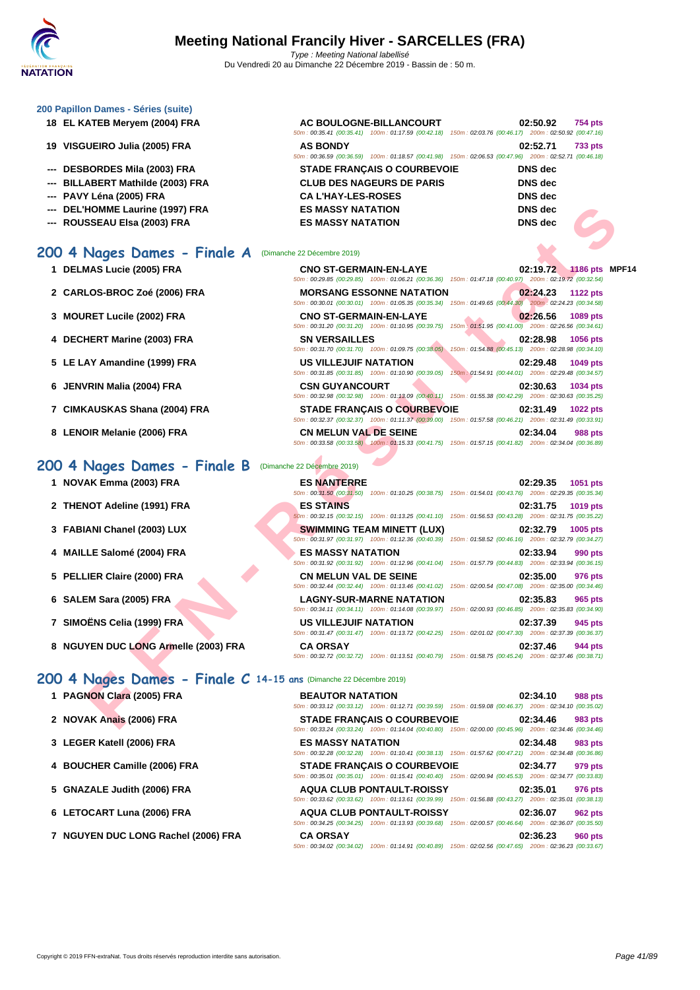### **[200 Papil](http://www.ffnatation.fr/webffn/index.php)lon Dames - Séries (suite)**

- **18 EL KATEB Meryem (2004) FRA**
- **19 VISGUEIRO Julia (2005) FRA**
- **--- DESBORDES Mila (2003) FRA**
- **--- BILLABERT Mathilde (2003) FRA**
- **--- PAVY Léna (2005) FRA CA L'HAY-LES-ROSES DNS dec**
- **--- DEL'HOMME Laurine (1997) FRA**
- **--- ROUSSEAU Elsa (2003) FRA**

# **200 4 Nages Dames - Finale A** (Dimanche

- 
- **2 CARLOS-BROC Zoé (2006) FRA MORSANG ESSONNE NATATION 02:24.23 1122 pts**
- **3 MOURET Lucile (2002) FRA**
- **4 DECHERT Marine (2003) FRA**
- **5** LE LAY Amandine (1999) FRA
- **6 JENVRIN Malia (2004) FRA**
- **7** CIMKAUSKAS Shana (2004) FRA
- **8** LENOIR Melanie (2006) FRA

## **200 4 Nages Dames - Finale B** (Dimanche 22 Décembre 2019)

- **1 NOVAK Emma (2003) FRA ES NANTERRE 02:29.35 1051 pts**
- **2 THENOT Adeline (1991) FRA**
- **3 FABIANI Chanel (2003) LUX**
- **4 MAILLE Salomé (2004) FRA ES MASSY NATATION 02:33.94 990 pts**
- **5 PELLIER Claire (2000) FRA**
- **6 SALEM Sara (2005) FRA LAGNY-SUR-MARNE NATATION 02:35.83 965 pts**
- **7 SIMOËNS Celia (1999) FRA US VILLEJUIF NATATION 02:37.39 945 pts**
- **8 NGUYEN DUC LONG Armelle (2003) FRA**

# **200 4 Nages Dames - Finale C 14-15 ans** (Dimanche 22 Décembre 2019)

- **1 PAGNON Clara (2005) FRA**
- **2 NOVAK Anais (2006) FRA STADE FRANÇAIS O COURBEVOIE 02:34.46 983 pts**
- **3 [LEGER Katell \(2006\) FRA](http://www.ffnatation.fr/webffn/resultats.php?idact=nat&go=epr&idcpt=64277&idepr=41) ES MASSY NATATION 02:34.48 983 pts**
- **4 BOUCHER Camille (2006) FRA**
- **5 GNAZALE Judith (2006) FRA**
- **6** LETOCART Luna (2006) FRA
- **7 NGUYEN DUC LONG Rachel (2006) FRA**

|                          | AC BOULOGNE-BILLANCOURT                                                                                |  | 02:50.92       | <b>754 pts</b> |
|--------------------------|--------------------------------------------------------------------------------------------------------|--|----------------|----------------|
|                          | 50m: 00:35.41 (00:35.41) 100m: 01:17.59 (00:42.18) 150m: 02:03.76 (00:46.17) 200m: 02:50.92 (00:47.16) |  |                |                |
| <b>AS BONDY</b>          |                                                                                                        |  | 02:52.71       | <b>733 pts</b> |
|                          | 50m: 00:36.59 (00:36.59) 100m: 01:18.57 (00:41.98) 150m: 02:06.53 (00:47.96) 200m: 02:52.71 (00:46.18) |  |                |                |
|                          | <b>STADE FRANÇAIS O COURBEVOIE</b>                                                                     |  | <b>DNS</b> dec |                |
|                          | <b>CLUB DES NAGEURS DE PARIS</b>                                                                       |  | DNS dec        |                |
| <b>CAL'HAY-LES-ROSES</b> |                                                                                                        |  | <b>DNS</b> dec |                |
| <b>ES MASSY NATATION</b> |                                                                                                        |  | <b>DNS</b> dec |                |

| -- DEL'HOMME Laurine (1997) FRA<br>-- ROUSSEAU Elsa (2003) FRA      | <b>ES MASSY NATATION</b><br><b>ES MASSY NATATION</b>                                                                                                                                                                                 | <b>DNS</b> dec<br><b>DNS</b> dec               |
|---------------------------------------------------------------------|--------------------------------------------------------------------------------------------------------------------------------------------------------------------------------------------------------------------------------------|------------------------------------------------|
| 00 4 Nages Dames - Finale A                                         | (Dimanche 22 Décembre 2019)                                                                                                                                                                                                          |                                                |
| 1 DELMAS Lucie (2005) FRA                                           | <b>CNO ST-GERMAIN-EN-LAYE</b><br>50m: 00:29.85 (00:29.85) 100m: 01:06.21 (00:36.36) 150m: 01:47.18 (00:40.97) 200m: 02:19.72 (00:32.54)                                                                                              | 02:19.72<br>1186 pts MPF14                     |
| 2 CARLOS-BROC Zoé (2006) FRA                                        | <b>MORSANG ESSONNE NATATION</b><br>50m: 00:30.01 (00:30.01) 100m: 01:05.35 (00:35.34) 150m: 01:49.65 (00:44.30) 200m: 02:24.23 (00:34.58)                                                                                            | 02:24.23<br><b>1122 pts</b>                    |
| 3 MOURET Lucile (2002) FRA                                          | <b>CNO ST-GERMAIN-EN-LAYE</b><br>50m: 00:31.20 (00:31.20) 100m: 01:10.95 (00:39.75) 150m: 01:51.95 (00:41.00) 200m: 02:26.56 (00:34.61)                                                                                              | 02:26.56<br>1089 pts                           |
| 4 DECHERT Marine (2003) FRA                                         | <b>SN VERSAILLES</b><br>50m : 00:31.70 (00:31.70) 100m : 01:09.75 (00:38.05) 150m : 01:54.88 (00:45.13) 200m : 02:28.98 (00:34.10)                                                                                                   | 02:28.98<br>1056 pts                           |
| 5 LE LAY Amandine (1999) FRA                                        | <b>US VILLEJUIF NATATION</b><br>50m: 00:31.85 (00:31.85) 100m: 01:10.90 (00:39.05) 150m: 01:54.91 (00:44.01) 200m: 02:29.48 (00:34.57)                                                                                               | 02:29.48<br>1049 pts                           |
| 6 JENVRIN Malia (2004) FRA                                          | <b>CSN GUYANCOURT</b><br>50m: 00:32.98 (00:32.98) 100m: 01:13.09 (00:40.11) 150m: 01:55.38 (00:42.29) 200m: 02:30.63 (00:35.25)                                                                                                      | 02:30.63<br>1034 pts                           |
| 7 CIMKAUSKAS Shana (2004) FRA                                       | <b>STADE FRANÇAIS O COURBEVOIE</b><br>50m: 00:32.37 (00:32.37) 100m: 01:11.37 (00:39.00) 150m: 01:57.58 (00:46.21) 200m: 02:31.49 (00:33.91)                                                                                         | 02:31.49<br>1022 pts                           |
| 8 LENOIR Melanie (2006) FRA                                         | <b>CN MELUN VAL DE SEINE</b><br>50m: 00:33.58 (00:33.58) 100m: 01:15.33 (00:41.75) 150m: 01:57.15 (00:41.82) 200m: 02:34.04 (00:36.89)                                                                                               | 02:34.04<br><b>988 pts</b>                     |
| 00 4 Nages Dames - Finale B                                         | (Dimanche 22 Décembre 2019)                                                                                                                                                                                                          |                                                |
| 1 NOVAK Emma (2003) FRA                                             | <b>ES NANTERRE</b>                                                                                                                                                                                                                   | 02:29.35<br>1051 pts                           |
| 2 THENOT Adeline (1991) FRA                                         | 50m: 00:31.50 (00:31.50) 100m: 01:10.25 (00:38.75) 150m: 01:54.01 (00:43.76) 200m: 02:29.35 (00:35.34)<br><b>ES STAINS</b><br>50m: 00:32.15 (00:32.15) 100m: 01:13.25 (00:41.10) 150m: 01:56.53 (00:43.28) 200m: 02:31.75 (00:35.22) | 02:31.75<br>1019 pts                           |
| 3 FABIANI Chanel (2003) LUX                                         | <b>SWIMMING TEAM MINETT (LUX)</b><br>50m: 00:31.97 (00:31.97) 100m: 01:12.36 (00:40.39) 150m: 01:58.52 (00:46.16) 200m: 02:32.79 (00:34.27)                                                                                          | 1005 pts<br>02:32.79                           |
| 4 MAILLE Salomé (2004) FRA                                          | <b>ES MASSY NATATION</b><br>50m : 00:31.92 (00:31.92) 100m : 01:12.96 (00:41.04) 150m : 01:57.79 (00:44.83) 200m : 02:33.94 (00:36.15)                                                                                               | 02:33.94<br>990 pts                            |
| 5 PELLIER Claire (2000) FRA                                         | <b>CN MELUN VAL DE SEINE</b><br>50m: 00:32.44 (00:32.44) 100m: 01:13.46 (00:41.02) 150m: 02:00.54 (00:47.08) 200m: 02:35.00 (00:34.46)                                                                                               | 02:35.00<br>976 pts                            |
| 6 SALEM Sara (2005) FRA                                             | <b>LAGNY-SUR-MARNE NATATION</b><br>50m: 00:34.11 (00:34.11) 100m: 01:14.08 (00:39.97) 150m: 02:00.93 (00:46.85) 200m: 02:35.83 (00:34.90)                                                                                            | 02:35.83<br>965 pts                            |
| 7 SIMOËNS Celia (1999) FRA                                          | <b>US VILLEJUIF NATATION</b><br>50m: 00:31.47 (00:31.47) 100m: 01:13.72 (00:42.25) 150m: 02:01.02 (00:47.30) 200m: 02:37.39 (00:36.37)                                                                                               | 02:37.39<br>945 pts                            |
| 8 NGUYEN DUC LONG Armelle (2003) FRA                                | <b>CA ORSAY</b><br>50m : 00:32.72 (00:32.72) 100m : 01:13.51 (00:40.79) 150m : 01:58.75 (00:45.24) 200m : 02:37.46 (00:38.71)                                                                                                        | 02:37.46<br>944 pts                            |
| 00 4 Nages Dames - Finale $C$ 14-15 ans (Dimanche 22 Décembre 2019) |                                                                                                                                                                                                                                      |                                                |
| 1 PAGNON Clara (2005) FRA                                           | <b>BEAUTOR NATATION</b><br>50m: 00:33.12 (00:33.12) 100m: 01:12.71 (00:39.59) 150m: 01:59.08 (00:46.37) 200m: 02:34.10 (00:35.02)                                                                                                    | 02:34.10<br>988 pts                            |
| 2 NOVAK Anais (2006) FRA                                            | <b>STADE FRANÇAIS O COURBEVOIE</b>                                                                                                                                                                                                   | 02:34.46<br>983 pts<br>$0.00.00.00$ (00.45.00) |

| <b>ES NANTERRE</b>           |                                                                                                        |                                                     | 02:29.35 1051 pts |  |
|------------------------------|--------------------------------------------------------------------------------------------------------|-----------------------------------------------------|-------------------|--|
|                              | 50m: 00:31.50 (00:31.50) 100m: 01:10.25 (00:38.75) 150m: 01:54.01 (00:43.76) 200m: 02:29.35 (00:35.34) |                                                     |                   |  |
| <b>ES STAINS</b>             |                                                                                                        |                                                     | 02:31.75 1019 pts |  |
|                              | 50m: 00:32.15 (00:32.15) 100m: 01:13.25 (00:41.10) 150m: 01:56.53 (00:43.28) 200m: 02:31.75 (00:35.22) |                                                     |                   |  |
|                              | <b>SWIMMING TEAM MINETT (LUX)</b>                                                                      |                                                     | 02:32.79 1005 pts |  |
|                              | 50m: 00:31.97 (00:31.97) 100m: 01:12.36 (00:40.39)                                                     | 150m: 01:58.52 (00:46.16) 200m: 02:32.79 (00:34.27) |                   |  |
| <b>ES MASSY NATATION</b>     |                                                                                                        |                                                     | 02:33.94 990 pts  |  |
|                              | 50m: 00:31.92 (00:31.92) 100m: 01:12.96 (00:41.04) 150m: 01:57.79 (00:44.83) 200m: 02:33.94 (00:36.15) |                                                     |                   |  |
|                              |                                                                                                        |                                                     |                   |  |
| <b>CN MELUN VAL DE SEINE</b> |                                                                                                        |                                                     | 02:35.00 976 pts  |  |
|                              | 50m: 00:32.44 (00:32.44) 100m: 01:13.46 (00:41.02) 150m: 02:00.54 (00:47.08) 200m: 02:35.00 (00:34.46) |                                                     |                   |  |
|                              | <b>LAGNY-SUR-MARNE NATATION</b>                                                                        |                                                     | 02:35.83 965 pts  |  |
|                              | 50m: 00:34.11 (00:34.11) 100m: 01:14.08 (00:39.97) 150m: 02:00.93 (00:46.85) 200m: 02:35.83 (00:34.90) |                                                     |                   |  |
| <b>US VILLEJUIF NATATION</b> |                                                                                                        |                                                     | 02:37.39 945 pts  |  |
|                              | 50m: 00:31.47 (00:31.47) 100m: 01:13.72 (00:42.25) 150m: 02:01.02 (00:47.30) 200m: 02:37.39 (00:36.37) |                                                     |                   |  |
| <b>CA ORSAY</b>              |                                                                                                        |                                                     | 02:37.46 944 pts  |  |

| <b>BEAUTOR NATATION</b>  |                                                                                                        |  | 02:34.10         | 988 pts        |
|--------------------------|--------------------------------------------------------------------------------------------------------|--|------------------|----------------|
|                          | 50m: 00:33.12 (00:33.12) 100m: 01:12.71 (00:39.59) 150m: 01:59.08 (00:46.37) 200m: 02:34.10 (00:35.02) |  |                  |                |
|                          | <b>STADE FRANCAIS O COURBEVOIE</b>                                                                     |  | 02:34.46 983 pts |                |
|                          | 50m: 00:33.24 (00:33.24) 100m: 01:14.04 (00:40.80) 150m: 02:00.00 (00:45.96) 200m: 02:34.46 (00:34.46) |  |                  |                |
| <b>ES MASSY NATATION</b> |                                                                                                        |  | 02:34.48 983 pts |                |
|                          | 50m: 00:32.28 (00:32.28) 100m: 01:10.41 (00:38.13) 150m: 01:57.62 (00:47.21) 200m: 02:34.48 (00:36.86) |  |                  |                |
|                          | <b>STADE FRANÇAIS O COURBEVOIE</b>                                                                     |  | 02:34.77 979 pts |                |
|                          | 50m: 00:35.01 (00:35.01) 100m: 01:15.41 (00:40.40) 150m: 02:00.94 (00:45.53) 200m: 02:34.77 (00:33.83) |  |                  |                |
|                          | <b>AQUA CLUB PONTAULT-ROISSY</b>                                                                       |  | 02:35.01         | 976 pts        |
|                          | 50m: 00:33.62 (00:33.62) 100m: 01:13.61 (00:39.99) 150m: 01:56.88 (00:43.27) 200m: 02:35.01 (00:38.13) |  |                  |                |
|                          | <b>AQUA CLUB PONTAULT-ROISSY</b>                                                                       |  | 02:36.07 962 pts |                |
|                          | 50m: 00:34.25 (00:34.25) 100m: 01:13.93 (00:39.68) 150m: 02:00.57 (00:46.64) 200m: 02:36.07 (00:35.50) |  |                  |                |
| <b>CA ORSAY</b>          |                                                                                                        |  | 02:36.23         | <b>960 pts</b> |
|                          | 50m: 00:34.02 (00:34.02) 100m: 01:14.91 (00:40.89) 150m: 02:02.56 (00:47.65) 200m: 02:36.23 (00:33.67) |  |                  |                |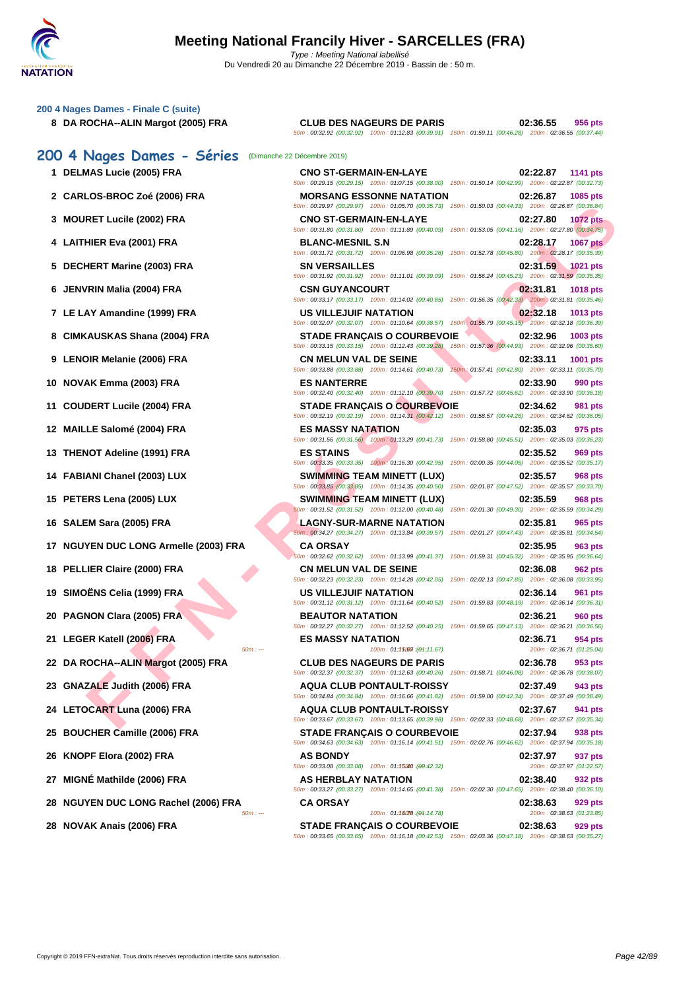

| 200 4 Nages Dames - Finale C (suite)           |                                                                                                                                                |                                                                             |
|------------------------------------------------|------------------------------------------------------------------------------------------------------------------------------------------------|-----------------------------------------------------------------------------|
| 8 DA ROCHA--ALIN Margot (2005) FRA             | <b>CLUB DES NAGEURS DE PARIS</b><br>50m : 00:32.92 (00:32.92) 100m : 01:12.83 (00:39.91) 150m : 01:59.11 (00:46.28) 200m : 02:36.55 (00:37.44) | 02:36.55<br>956 pts                                                         |
| 200 4 Nages Dames - Séries                     | (Dimanche 22 Décembre 2019)                                                                                                                    |                                                                             |
| 1 DELMAS Lucie (2005) FRA                      | <b>CNO ST-GERMAIN-EN-LAYE</b><br>50m: 00:29.15 (00:29.15) 100m: 01:07.15 (00:38.00) 150m: 01:50.14 (00:42.99) 200m: 02:22.87 (00:32.73)        | 02:22.87<br><b>1141 pts</b>                                                 |
| 2 CARLOS-BROC Zoé (2006) FRA                   | <b>MORSANG ESSONNE NATATION</b>                                                                                                                | 02:26.87<br>1085 pts                                                        |
| 3 MOURET Lucile (2002) FRA                     | 50m : 00:29.97 (00:29.97) 100m : 01:05.70 (00:35.73) 150m : 01:50.03 (00:44.33) 200m : 02:26.87 (00:36.84)<br><b>CNO ST-GERMAIN-EN-LAYE</b>    | 02:27.80<br><b>1072 pts</b>                                                 |
| 4 LAITHIER Eva (2001) FRA                      | 50m: 00:31.80 (00:31.80) 100m: 01:11.89 (00:40.09) 150m: 01:53.05 (00:41.16) 200m: 02:27.80 (00:34.75)<br><b>BLANC-MESNIL S.N</b>              | 02:28.17<br><b>1067 pts</b>                                                 |
| 5 DECHERT Marine (2003) FRA                    | 50m: 00:31.72 (00:31.72) 100m: 01:06.98 (00:35.26) 150m: 01:52.78 (00:45.80) 200m: 02:28.17 (00:35.39)<br><b>SN VERSAILLES</b>                 | 02:31.59<br>1021 pts                                                        |
| 6 JENVRIN Malia (2004) FRA                     | 50m: 00:31.92 (00:31.92) 100m: 01:11.01 (00:39.09) 150m: 01:56.24 (00:45.23) 200m: 02:31.59 (00:35.35)<br><b>CSN GUYANCOURT</b>                | 02:31.81<br>1018 pts                                                        |
|                                                | 50m: 00:33.17 (00:33.17) 100m: 01:14.02 (00:40.85) 150m: 01:56.35 (00:42.33) 200m: 02:31.81 (00:35.46)                                         |                                                                             |
| 7 LE LAY Amandine (1999) FRA                   | <b>US VILLEJUIF NATATION</b><br>50m: 00:32.07 (00:32.07) 100m: 01:10.64 (00:38.57) 150m: 01:55.79 (00:45.15) 200m: 02:32.18 (00:36.39)         | 02:32.18<br>1013 pts                                                        |
| 8 CIMKAUSKAS Shana (2004) FRA                  | <b>STADE FRANÇAIS O COURBEVOIE</b><br>50m: 00:33.15 (00:33.15) 100m: 01:12.43 (00:39.28)                                                       | 02:32.96<br>1003 pts<br>150m: 01:57.36 (00:44.93) 200m: 02:32.96 (00:35.60) |
| 9 LENOIR Melanie (2006) FRA                    | <b>CN MELUN VAL DE SEINE</b><br>50m: 00:33.88 (00:33.88) 100m: 01:14.61 (00:40.73) 150m: 01:57.41 (00:42.80) 200m: 02:33.11 (00:35.70)         | 02:33.11<br>1001 pts                                                        |
| 10 NOVAK Emma (2003) FRA                       | <b>ES NANTERRE</b><br>50m : 00:32.40 (00:32.40) 100m : 01:12.10 (00:39.70) 150m : 01:57.72 (00:45.62) 200m : 02:33.90 (00:36.18)               | 02:33.90<br>990 pts                                                         |
| 11 COUDERT Lucile (2004) FRA                   | <b>STADE FRANÇAIS O COURBEVOIE</b>                                                                                                             | 02:34.62<br>981 pts                                                         |
| 12 MAILLE Salomé (2004) FRA                    | 50m : 00:32.19 (00:32.19) 100m : 01:14.31 (00:42.12) 150m : 01:58.57 (00:44.26) 200m : 02:34.62 (00:36.05)<br><b>ES MASSY NATATION</b>         | 02:35.03<br>975 pts                                                         |
| 13 THENOT Adeline (1991) FRA                   | 50m : 00:31.56 (00:31.56) 100m : 01:13.29 (00:41.73) 150m : 01:58.80 (00:45.51) 200m : 02:35.03 (00:36.23)<br><b>ES STAINS</b>                 | 02:35.52<br>969 pts                                                         |
| 14 FABIANI Chanel (2003) LUX                   | 50m: 00:33.35 (00:33.35) 100m: 01:16.30 (00:42.95) 150m: 02:00.35 (00:44.05) 200m: 02:35.52 (00:35.17)<br><b>SWIMMING TEAM MINETT (LUX)</b>    | 02:35.57<br>968 pts                                                         |
|                                                | 50m: 00:33.85 (00:33.85) 100m: 01:14.35 (00:40.50) 150m: 02:01.87 (00:47.52) 200m: 02:35.57 (00:33.70)                                         |                                                                             |
| 15 PETERS Lena (2005) LUX                      | <b>SWIMMING TEAM MINETT (LUX)</b><br>50m: 00:31.52 (00:31.52) 100m: 01:12.00 (00:40.48)                                                        | 02:35.59<br>968 pts<br>150m: 02:01.30 (00:49.30) 200m: 02:35.59 (00:34.29)  |
| 16 SALEM Sara (2005) FRA                       | LAGNY-SUR-MARNE NATATION<br>50m: 00:34.27 (00:34.27) 100m: 01:13.84 (00:39.57) 150m: 02:01.27 (00:47.43) 200m: 02:35.81 (00:34.54)             | 02:35.81<br>965 pts                                                         |
| 17 NGUYEN DUC LONG Armelle (2003) FRA          | <b>CA ORSAY</b><br>50m : 00:32.62 (00:32.62) 100m : 01:13.99 (00:41.37) 150m : 01:59.31 (00:45.32) 200m : 02:35.95 (00:36.64)                  | 02:35.95<br>963 pts                                                         |
| 18 PELLIER Claire (2000) FRA                   | <b>CN MELUN VAL DE SEINE</b>                                                                                                                   | 02:36.08<br>962 pts                                                         |
| 19 SIMOËNS Celia (1999) FRA                    | 50m: 00:32.23 (00:32.23) 100m: 01:14.28 (00:42.05) 150m: 02:02.13 (00:47.85) 200m: 02:36.08 (00:33.95)<br><b>US VILLEJUIF NATATION</b>         | 02:36.14<br>961 pts                                                         |
| 20 PAGNON Clara (2005) FRA                     | 50m : 00:31.12 (00:31.12) 100m : 01:11.64 (00:40.52) 150m : 01:59.83 (00:48.19) 200m : 02:36.14 (00:36.31)<br><b>BEAUTOR NATATION</b>          | 02:36.21<br><b>960 pts</b>                                                  |
| 21 LEGER Katell (2006) FRA                     | 50m: 00:32.27 (00:32.27) 100m: 01:12.52 (00:40.25) 150m: 01:59.65 (00:47.13) 200m: 02:36.21 (00:36.56)<br><b>ES MASSY NATATION</b>             | 02:36.71<br>954 pts                                                         |
| $50m: -$                                       | 100m: 01:15067 : (01:11.67)                                                                                                                    | 200m: 02:36.71 (01:25.04)                                                   |
| 22 DA ROCHA--ALIN Margot (2005) FRA            | <b>CLUB DES NAGEURS DE PARIS</b><br>50m: 00:32.37 (00:32.37) 100m: 01:12.63 (00:40.26) 150m: 01:58.71 (00:46.08) 200m: 02:36.78 (00:38.07)     | 02:36.78<br>953 pts                                                         |
| <b>GNAZALE Judith (2006) FRA</b><br>23         | <b>AQUA CLUB PONTAULT-ROISSY</b><br>50m : 00:34.84 (00:34.84) 100m : 01:16.66 (00:41.82) 150m : 01:59.00 (00:42.34) 200m : 02:37.49 (00:38.49) | 02:37.49<br>943 pts                                                         |
| 24 LETOCART Luna (2006) FRA                    | <b>AQUA CLUB PONTAULT-ROISSY</b><br>50m: 00:33.67 (00:33.67) 100m: 01:13.65 (00:39.98) 150m: 02:02.33 (00:48.68) 200m: 02:37.67 (00:35.34)     | 02:37.67<br>941 pts                                                         |
| <b>BOUCHER Camille (2006) FRA</b><br>25        | <b>STADE FRANÇAIS O COURBEVOIE</b>                                                                                                             | 02:37.94<br>938 pts                                                         |
| KNOPF Elora (2002) FRA<br>26                   | 50m : 00:34.63 (00:34.63) 100m : 01:16.14 (00:41.51) 150m : 02:02.76 (00:46.62) 200m : 02:37.94 (00:35.18)<br><b>AS BONDY</b>                  | 02:37.97<br>937 pts                                                         |
| MIGNÉ Mathilde (2006) FRA<br>27                | 50m: 00:33.08 (00:33.08) 100m: 01:15040 : (00:42.32)<br>AS HERBLAY NATATION                                                                    | 200m: 02:37.97 (01:22.57)<br>02:38.40<br>932 pts                            |
| <b>NGUYEN DUC LONG Rachel (2006) FRA</b><br>28 | 50m : 00:33.27 (00:33.27) 100m : 01:14.65 (00:41.38) 150m : 02:02.30 (00:47.65) 200m : 02:38.40 (00:36.10)<br><b>CA ORSAY</b>                  | 02:38.63<br>929 pts                                                         |
| $50m: -$                                       | 100m: 01:18078 : (01:14.78)                                                                                                                    | 200m: 02:38.63 (01:23.85)                                                   |
| 28 NOVAK Anais (2006) FRA                      | <b>STADE FRANÇAIS O COURBEVOIE</b><br>50m: 00:33.65 (00:33.65) 100m: 01:16.18 (00:42.53) 150m: 02:03.36 (00:47.18) 200m: 02:38.63 (00:35.27)   | 02:38.63<br>929 pts                                                         |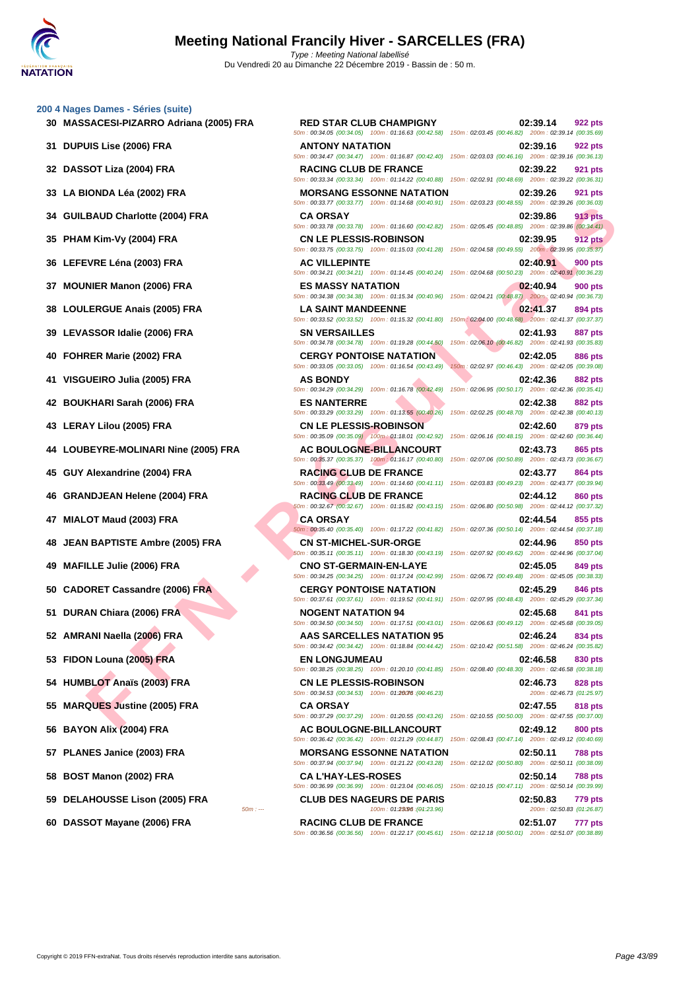**[200 4 Nag](http://www.ffnatation.fr/webffn/index.php)es Dames - Séries (suite)**

# **32 DASSOT Liza (2004) FRA RACING CLUB DE FRANCE 02:39.22 921 pts 33 LA BIONDA Léa (2002) FRA MORSANG ESSONNE NATATION 02:39.26 921 pts 34 GUILBAUD Charlotte (2004) FRA CA ORSAY 02:39.86 913 pts 35 PHAM Kim-Vy (2004) FRA CN LE PLESSIS-ROBINSON 02:39.95 912 pts 36 LEFEVRE Léna (2003) FRA AC VILLEPINTE 02:40.91 900 pts 37 MOUNIER Manon (2006) FRA ES MASSY NATATION 02:40.94 900 pts 38 LOULERGUE Anais (2005) FRA LA SAINT MANDEENNE 02:41.37 894 pts 39 LEVASSOR Idalie (2006) FRA SN VERSAILLES 02:41.93 887 pts 40 FOHRER Marie (2002) FRA CERGY PONTOISE NATATION 02:42.05 886 pts 41 VISGUEIRO Julia (2005) FRA AS BONDY 02:42.36 882 pts 42 BOUKHARI Sarah (2006) FRA ES NANTERRE 02:42.38 882 pts 43 LERAY Lilou (2005) FRA CN LE PLESSIS-ROBINSON 02:42.60 879 pts 44 LOUBEYRE-MOLINARI Nine (2005) FRA AC BOULOGNE-BILLANCOURT 02:43.73 865 pts 45 GUY Alexandrine (2004) FRA RACING CLUB DE FRANCE 02:43.77 864 pts 46 GRANDJEAN Helene (2004) FRA RACING CLUB DE FRANCE 02:44.12 860 pts 47 MIALOT Maud (2003) FRA CA ORSAY 02:44.54 855 pts 48 JEAN BAPTISTE Ambre (2005) FRA CN ST-MICHEL-SUR-ORGE 02:44.96 850 pts 49 MAFILLE Julie (2006) FRA CNO ST-GERMAIN-EN-LAYE 02:45.05 849 pts 50 CADORET Cassandre (2006) FRA CERGY PONTOISE NATATION 02:45.29 846 pts 51 DURAN Chiara (2006) FRA NOGENT NATATION 94 02:45.68 841 pts 52 AMRANI Naella (2006) FRA AAS SARCELLES NATATION 95 02:46.24 834 pts 53 FIDON Louna (2005) FRA EN LONGJUMEAU 02:46.58 830 pts 54 HUMBLOT Anaïs (2003) FRA CN LE PLESSIS-ROBINSON 02:46.73 828 pts 55 MARQUES Justine (2005) FRA CA ORSAY 02:47.55 818 pts 59 DELAHOUSSE Lison (2005) FRA CLUB DES NAGEURS DE PARIS 02:50.83 779 pts 60 DASSOT Mayane (2006) FRA RACING CLUB DE FRANCE 02:51.07 777 pts**

**FAN AT EXAMPLE SERVE AND THE REST AND SERVE AND THE REST AND SERVE AND THE AND SERVE AND THE REST AND SERVE AND THE REST AND SERVE AND SERVE AND SERVE AND SERVE AND SERVE AND SERVE AND SERVE AND SERVE AND SERVE AND SERVE 30 MASSACESI-PIZARRO Adriana (2005) FRA RED STAR CLUB CHAMPIGNY 02:39.14 922 pts** 50m : 00:34.05 (00:34.05) 100m : 01:16.63 (00:42.58) 150m : 02:03.45 (00:46.82) 200m : 02:39.14 (00:35.69) **31 DUPUIS Lise (2006) FRA ANTONY NATATION 02:39.16 922 pts** 50m : 00:34.47 (00:34.47) 100m : 01:16.87 (00:42.40) 150m : 02:03.03 (00:46.16) 200m : 02:39.16 (00:36.13) 50m : 00:33.34 (00:33.34) 100m : 01:14.22 (00:40.88) 150m : 02:02.91 (00:48.69) 200m : 02:39.22 (00:36.31) 50m : 00:33.77 (00:33.77) 100m : 01:14.68 (00:40.91) 150m : 02:03.23 (00:48.55) 200m : 02:39.26 (00:36.03) 50m : 00:33.78 (00:33.78) 100m : 01:16.60 (00:42.82) 150m : 02:05.45 (00:48.85) 200m : 02:39.86 (00:34.41) 50m : 00:33.75 (00:33.75) 100m : 01:15.03 (00:41.28) 150m : 02:04.58 (00:49.55) 200m : 02:39.95 (00:35.37) 50m : 00:34.21 (00:34.21) 100m : 01:14.45 (00:40.24) 150m : 02:04.68 (00:50.23) 200m : 02:40.91 (00:36.23) 50m : 00:34.38 (00:34.38) 100m : 01:15.34 (00:40.96) 150m : 02:04.21 (00:48.87) 200m : 02:40.94 (00:36.73) 50m : 00:33.52 (00:33.52) 100m : 01:15.32 (00:41.80) 150m : 02:04.00 (00:48.68) 200m : 02:41.37 (00:37.37) 50m : 00:34.78 (00:34.78) 100m : 01:19.28 (00:44.50) 150m : 02:06.10 (00:46.82) 200m : 02:41.93 (00:35.83) 50m : 00:33.05 (00:33.05) 100m : 01:16.54 (00:43.49) 150m : 02:02.97 (00:46.43) 200m : 02:42.05 (00:39.08) 50m : 00:34.29 (00:34.29) 100m : 01:16.78 (00:42.49) 150m : 02:06.95 (00:50.17) 200m : 02:42.36 (00:35.41) 50m : 00:33.29 (00:33.29) 100m : 01:13.55 (00:40.26) 150m : 02:02.25 (00:48.70) 200m : 02:42.38 (00:40.13) 50m : 00:35.09 (00:35.09) 100m : 01:18.01 (00:42.92) 150m : 02:06.16 (00:48.15) 200m : 02:42.60 (00:36.44) 50m : 00:35.37 (00:35.37) 100m : 01:16.17 (00:40.80) 150m : 02:07.06 (00:50.89) 200m : 02:43.73 (00:36.67) 50m : 00:33.49 (00:33.49) 100m : 01:14.60 (00:41.11) 150m : 02:03.83 (00:49.23) 200m : 02:43.77 (00:39.94) 50m : 00:32.67 (00:32.67) 100m : 01:15.82 (00:43.15) 150m : 02:06.80 (00:50.98) 200m : 02:44.12 (00:37.32) 50m : 00:35.40 (00:35.40) 100m : 01:17.22 (00:41.82) 150m : 02:07.36 (00:50.14) 200m : 02:44.54 (00:37.18) 50m : 00:35.11 (00:35.11) 100m : 01:18.30 (00:43.19) 150m : 02:07.92 (00:49.62) 200m : 02:44.96 (00:37.04) 50m : 00:34.25 (00:34.25) 100m : 01:17.24 (00:42.99) 150m : 02:06.72 (00:49.48) 200m : 02:45.05 (00:38.33) 50m : 00:37.61 (00:37.61) 100m : 01:19.52 (00:41.91) 150m : 02:07.95 (00:48.43) 200m : 02:45.29 (00:37.34) 50m : 00:34.50 (00:34.50) 100m : 01:17.51 (00:43.01) 150m : 02:06.63 (00:49.12) 200m : 02:45.68 (00:39.05) 50m : 00:34.42 (00:34.42) 100m : 01:18.84 (00:44.42) 150m : 02:10.42 (00:51.58) 200m : 02:46.24 (00:35.82) 50m : 00:38.25 (00:38.25) 100m : 01:20.10 (00:41.85) 150m : 02:08.40 (00:48.30) 200m : 02:46.58 (00:38.18) 50m : 00:34.53 (00:34.53) 100m : 01:20076 (00:46.23) 200m : 02:46.73 (01:25.97) 50m : --- 100m : 01:23.96 150m : --- (01:23.96) 200m : 02:50.83 (01:26.87)

50m : 00:37.29 (00:37.29) 100m : 01:20.55 (00:43.26) 150m : 02:10.55 (00:50.00) 200m : 02:47.55 (00:37.00) **56 BAYON Alix (2004) FRA AC BOULOGNE-BILLANCOURT 02:49.12 800 pts** 50m : 00:36.42 (00:36.42) 100m : 01:21.29 (00:44.87) 150m : 02:08.43 (00:47.14) 200m : 02:49.12 (00:40.69) **57 PLANES Janice (2003) FRA MORSANG ESSONNE NATATION 02:50.11 788 pts** 50m : 00:37.94 (00:37.94) 100m : 01:21.22 (00:43.28) 150m : 02:12.02 (00:50.80) 200m : 02:50.11 (00:38.09) **58 BOST Manon (2002) FRA CA L'HAY-LES-ROSES 02:50.14 788 pts** 50m : 00:36.99 (00:36.99) 100m : 01:23.04 (00:46.05) 150m : 02:10.15 (00:47.11) 200m : 02:50.14 (00:39.99)

50m : 00:36.56 (00:36.56) 100m : 01:22.17 (00:45.61) 150m : 02:12.18 (00:50.01) 200m : 02:51.07 (00:38.89)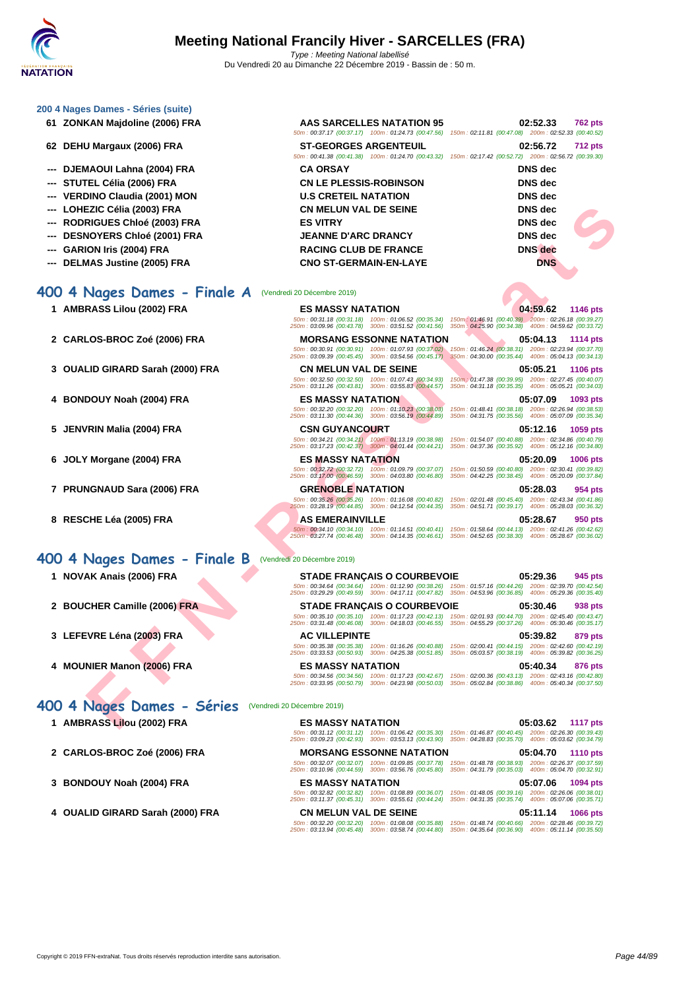| 200 4 Nages Dames - Séries (suite) |                                                                                                                                                               |                                                                                                                                      |
|------------------------------------|---------------------------------------------------------------------------------------------------------------------------------------------------------------|--------------------------------------------------------------------------------------------------------------------------------------|
| 61 ZONKAN Majdoline (2006) FRA     | AAS SARCELLES NATATION 95                                                                                                                                     | 02:52.33<br>762 pts<br>50m: 00:37.17 (00:37.17) 100m: 01:24.73 (00:47.56) 150m: 02:11.81 (00:47.08) 200m: 02:52.33 (00:40.52)        |
| 62 DEHU Margaux (2006) FRA         | <b>ST-GEORGES ARGENTEUIL</b>                                                                                                                                  | 02:56.72<br><b>712 pts</b><br>50m: 00:41.38 (00:41.38) 100m: 01:24.70 (00:43.32) 150m: 02:17.42 (00:52.72) 200m: 02:56.72 (00:39.30) |
| DJEMAOUI Lahna (2004) FRA          | <b>CA ORSAY</b>                                                                                                                                               | DNS dec                                                                                                                              |
| STUTEL Célia (2006) FRA            | <b>CN LE PLESSIS-ROBINSON</b>                                                                                                                                 | <b>DNS</b> dec                                                                                                                       |
| <b>VERDINO Claudia (2001) MON</b>  | <b>U.S CRETEIL NATATION</b>                                                                                                                                   | <b>DNS</b> dec                                                                                                                       |
| LOHEZIC Célia (2003) FRA           | <b>CN MELUN VAL DE SEINE</b>                                                                                                                                  | <b>DNS</b> dec                                                                                                                       |
| <b>RODRIGUES Chloé (2003) FRA</b>  | <b>ES VITRY</b>                                                                                                                                               | <b>DNS</b> dec                                                                                                                       |
| <b>DESNOYERS Chloé (2001) FRA</b>  | <b>JEANNE D'ARC DRANCY</b>                                                                                                                                    | <b>DNS</b> dec                                                                                                                       |
| <b>GARION Iris (2004) FRA</b>      | <b>RACING CLUB DE FRANCE</b>                                                                                                                                  | <b>DNS</b> dec                                                                                                                       |
| <b>DELMAS Justine (2005) FRA</b>   | <b>CNO ST-GERMAIN-EN-LAYE</b>                                                                                                                                 | <b>DNS</b>                                                                                                                           |
| 400 4 Nages Dames - Finale A       | (Vendredi 20 Décembre 2019)                                                                                                                                   |                                                                                                                                      |
| 1 AMBRASS Lilou (2002) FRA         | <b>ES MASSY NATATION</b>                                                                                                                                      | 04:59.62<br>1146 pts                                                                                                                 |
|                                    | 250m: 03:09.96 (00:43.78) 300m: 03:51.52 (00:41.56) 350m: 04:25.90 (00:34.38) 400m: 04:59.62 (00:33.72)                                                       | 50m: 00:31.18 (00:31.18) 100m: 01:06.52 (00:35.34) 150m: 01:46.91 (00:40.39) 200m: 02:26.18 (00:39.27)                               |
| 2 CARLOS-BROC Zoé (2006) FRA       | <b>MORSANG ESSONNE NATATION</b>                                                                                                                               | 05:04.13<br>1114 pts                                                                                                                 |
|                                    | 250m: 03:09.39 (00:45.45) 300m: 03:54.56 (00:45.17) 350m: 04:30.00 (00:35.44) 400m: 05:04.13 (00:34.13)                                                       | 50m: 00:30.91 (00:30.91) 100m: 01:07.93 (00:37.02) 150m: 01:46.24 (00:38.31) 200m: 02:23.94 (00:37.70)                               |
| 3 OUALID GIRARD Sarah (2000) FRA   | <b>CN MELUN VAL DE SEINE</b>                                                                                                                                  | 05:05.21<br><b>1106 pts</b>                                                                                                          |
|                                    | 50m: 00:32.50 (00:32.50) 100m: 01:07.43 (00:34.93)<br>250m: 03:11.26 (00:43.81) 300m: 03:55.83 (00:44.57)                                                     | 150m : 01:47.38 (00:39.95) 200m : 02:27.45 (00:40.07)<br>350m: 04:31.18 (00:35.35) 400m: 05:05.21 (00:34.03)                         |
| 4 BONDOUY Noah (2004) FRA          | <b>ES MASSY NATATION</b>                                                                                                                                      | 05:07.09<br>1093 pts                                                                                                                 |
|                                    | 50m: 00:32.20 (00:32.20) 100m: 01:10.23 (00:38.03)                                                                                                            | 150m: 01:48.41 (00:38.18) 200m: 02:26.94 (00:38.53)                                                                                  |
| 5 JENVRIN Malia (2004) FRA         | 250m: 03:11.30 (00:44.36) 300m: 03:56.19 (00:44.89)<br><b>CSN GUYANCOURT</b>                                                                                  | 350m: 04:31.75 (00:35.56) 400m: 05:07.09 (00:35.34)<br>05:12.16<br>1059 pts                                                          |
|                                    | 250m: 03:17.23 (00:42.37) 300m: 04:01.44 (00:44.21) 350m: 04:37.36 (00:35.92) 400m: 05:12.16 (00:34.80)                                                       | 50m: 00:34.21 (00:34.21) 100m: 01:13.19 (00:38.98) 150m: 01:54.07 (00:40.88) 200m: 02:34.86 (00:40.79)                               |
| 6 JOLY Morgane (2004) FRA          | <b>ES MASSY NATATION</b>                                                                                                                                      | 05:20.09<br><b>1006 pts</b>                                                                                                          |
|                                    | 50m: 00:32.72 (00:32.72) 100m: 01:09.79 (00:37.07)<br>250m: 03:17.00 (00:46.59) 300m: 04:03.80 (00:46.80) 350m: 04:42.25 (00:38.45) 400m: 05:20.09 (00:37.84) | 150m: 01:50.59 (00:40.80) 200m: 02:30.41 (00:39.82)                                                                                  |
| 7 PRUNGNAUD Sara (2006) FRA        | <b>GRENOBLE NATATION</b>                                                                                                                                      | 05:28.03<br>954 pts                                                                                                                  |
|                                    | 50m: 00:35.26 (00:35.26) 100m: 01:16.08 (00:40.82)<br>250m: 03:28.19 (00:44.85) 300m: 04:12.54 (00:44.35)                                                     | 150m: 02:01.48 (00:45.40) 200m: 02:43.34 (00:41.86)<br>350m: 04:51.71 (00:39.17) 400m: 05:28.03 (00:36.32)                           |
| 8 RESCHE Léa (2005) FRA            | <b>AS EMERAINVILLE</b>                                                                                                                                        | 05:28.67<br>950 pts                                                                                                                  |
|                                    | 250m: 03:27.74 (00:46.48) 300m: 04:14.35 (00:46.61) 350m: 04:52.65 (00:38.30) 400m: 05:28.67 (00:36.02)                                                       | 50m: 00:34.10 (00:34.10) 100m: 01:14.51 (00:40.41) 150m: 01:58.64 (00:44.13) 200m: 02:41.26 (00:42.62)                               |
| 400 4 Nages Dames - Finale B       | (Vendredi 20 Décembre 2019)                                                                                                                                   |                                                                                                                                      |
| 1 NOVAK Anais (2006) FRA           | <b>STADE FRANÇAIS O COURBEVOIE</b>                                                                                                                            | 05:29.36<br>945 pts                                                                                                                  |
|                                    | 250m: 03:29.29 (00:49.59) 300m: 04:17.11 (00:47.82) 350m: 04:53.96 (00:36.85) 400m: 05:29.36 (00:35.40)                                                       | 50m: 00:34.64 (00:34.64) 100m: 01:12.90 (00:38.26) 150m: 01:57.16 (00:44.26) 200m: 02:39.70 (00:42.54)                               |
| 2 BOUCHER Camille (2006) FRA       | <b>STADE FRANÇAIS O COURBEVOIE</b>                                                                                                                            | 05:30.46<br>938 pts                                                                                                                  |
|                                    |                                                                                                                                                               | 50m: 00:35.10 (00:35.10) 100m: 01:17.23 (00:42.13) 150m: 02:01.93 (00:44.70) 200m: 02:45.40 (00:43.47)                               |
|                                    | 250m: 03:31.48 (00:46.08) 300m: 04:18.03 (00:46.55) 350m: 04:55.29 (00:37.26) 400m: 05:30.46 (00:35.17)                                                       |                                                                                                                                      |
| 3 LEFEVRE Léna (2003) FRA          | <b>AC VILLEPINTE</b><br>50m: 00:35.38 (00:35.38) 100m: 01:16.26 (00:40.88)                                                                                    | 05:39.82<br>879 pts<br>150m: 02:00.41 (00:44.15) 200m: 02:42.60 (00:42.19)                                                           |
|                                    | 250m: 03:33.53 (00:50.93) 300m: 04:25.38 (00:51.85) 350m: 05:03.57 (00:38.19) 400m: 05:39.82 (00:36.25)                                                       |                                                                                                                                      |
| 4 MOUNIER Manon (2006) FRA         | <b>ES MASSY NATATION</b><br>50m: 00:34.56 (00:34.56) 100m: 01:17.23 (00:42.67)                                                                                | 05:40.34<br>876 pts<br>150m: 02:00.36 (00:43.13) 200m: 02:43.16 (00:42.80)                                                           |
|                                    | 250m: 03:33.95 (00:50.79) 300m: 04:23.98 (00:50.03)                                                                                                           | 350m: 05:02.84 (00:38.86) 400m: 05:40.34 (00:37.50)                                                                                  |
| 400 4 Nages Dames - Séries         | (Vendredi 20 Décembre 2019)                                                                                                                                   |                                                                                                                                      |
| 1 AMBRASS Lilou (2002) FRA         | <b>ES MASSY NATATION</b>                                                                                                                                      | 05:03.62<br><b>1117 pts</b>                                                                                                          |
|                                    | 250m: 03:09.23 (00:42.93) 300m: 03:53.13 (00:43.90) 350m: 04:28.83 (00:35.70) 400m: 05:03.62 (00:34.79)                                                       | 50m: 00:31.12 (00:31.12) 100m: 01:06.42 (00:35.30) 150m: 01:46.87 (00:40.45) 200m: 02:26.30 (00:39.43)                               |

**2 CARLOS-BROC Zoé (2006) FRA MORSANG ESSONNE NATATION 05:04.70 1110 pts**

**3 BONDOUY Noah (2004) FRA ES MASSY NATATION 05:07.06 1094 pts**

50m : 00:32.07 (00:32.07) 100m : 01:09.85 (00:37.78) 150m : 01:48.78 (00:38.93) 200m : 02:26.37 (00:37.59) 250m : 03:10.96 (00:44.59) 300m : 03:56.76 (00:45.80) 350m : 04:31.79 (00:35.03) 400m : 05:04.70 (00:32.91)

50m : 00:32.82 (00:32.82) 100m : 01:08.89 (00:36.07) 150m : 01:48.05 (00:39.16) 200m : 02:26.06 (00:38.01) 250m : 03:11.37 (00:45.31) 300m : 03:55.61 (00:44.24) 350m : 04:31.35 (00:35.74) 400m : 05:07.06 (00:35.71)

**4 OUALID GIRARD Sarah (2000) FRA CN MELUN VAL DE SEINE 05:11.14 1066 pts**

50m : 00:32.20 (00:32.20) 100m : 01:08.08 (00:35.88) 150m : 01:48.74 (00:40.66) 200m : 02:28.46 (00:39.72) 250m : 03:13.94 (00:45.48) 300m : 03:58.74 (00:44.80) 350m : 04:35.64 (00:36.90) 400m : 05:11.14 (00:35.50)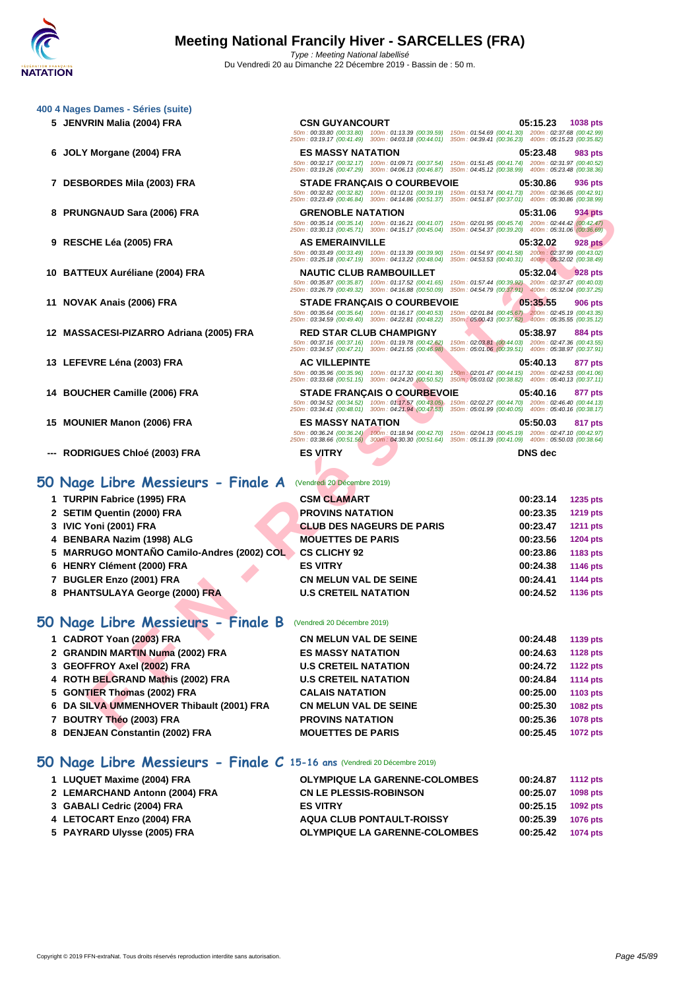50m : 00:33.80 (00:33.80) 100m : 01:13.39 (00:39.59) 150m : 01:54.69 (00:41.30) 200m : 02:37.68 (00:42.99) 250m : 03:19.17 (00:41.49) 300m : 04:03.18 (00:44.01) 350m : 04:39.41 (00:36.23) 400m : 05:15.23 (00:35.82)

50m : 00:32.17 (00:32.17) 100m : 01:09.71 (00:37.54) 150m : 01:51.45 (00:41.74) 200m : 02:31.97 (00:40.52) 250m : 03:19.26 (00:47.29) 300m : 04:06.13 (00:46.87) 350m : 04:45.12 (00:38.99) 400m : 05:23.48 (00:38.36)

50m : 00:32.82 (00:32.82) 100m : 01:12.01 (00:39.19) 150m : 01:53.74 (00:41.73) 200m : 02:36.65 (00:42.91) 250m : 03:23.49 (00:46.84) 300m : 04:14.86 (00:51.37) 350m : 04:51.87 (00:37.01) 400m : 05:30.86 (00:38.99)

### **[400 4 Nag](http://www.ffnatation.fr/webffn/index.php)es Dames - Séries (suite)**

- **JENVRIN Malia (2004) FRA CSN GUYANCOURT 05:15.23 1038 pts**
- **JOLY Morgane (2004) FRA ES MASSY NATATION 05:23.48 983 pts**
- **DESBORDES Mila (2003) FRA STADE FRANÇAIS O COURBEVOIE 05:30.86 936 pts**
- **PRUNGNAUD Sara (2006) FRA GRENOBLE NATATION 05:31.06 934 pts**
- **RESCHE Léa (2005) FRA AS EMERAINVILLE 05:32.02 928 pts**
- **BATTEUX Auréliane (2004) FRA NAUTIC CLUB RAMBOUILLET 05:32.04 928 pts**
- **NOVAK Anais (2006) FRA STADE FRANÇAIS O COURBEVOIE 05:35.55 906 pts**
- **MASSACESI-PIZARRO Adriana (2005) FRA RED STAR CLUB CHAMPIGNY 05:38.97 884 pts**
- **LEFEVRE Léna (2003) FRA AC VILLEPINTE 05:40.13 877 pts**
- **BOUCHER Camille (2006) FRA STADE FRANÇAIS O COURBEVOIE 05:40.16 877 pts**
- **MOUNIER Manon (2006) FRA ES MASSY NATATION 05:50.03 817 pts**
- **--- RODRIGUES Chloé (2003) FRA ES VITRY DNS dec**

## **50 Nage Libre Messieurs - Finale A** (Vendredi 20 Décembre 2019)

| 8 PRUNGNAUD Sara (2006) FRA                | <b>GRENOBLE NATATION</b><br>250m: 03:30.13 (00:45.71) 300m: 04:15.17 (00:45.04) 350m: 04:54.37 (00:39.20) 400m: 05:31.06 (00:36.69)                                                                 | 05:31.06<br>934 pts<br>50m: 00:35.14 (00:35.14) 100m: 01:16.21 (00:41.07) 150m: 02:01.95 (00:45.74) 200m: 02:44.42 (00:42.47)        |
|--------------------------------------------|-----------------------------------------------------------------------------------------------------------------------------------------------------------------------------------------------------|--------------------------------------------------------------------------------------------------------------------------------------|
| 9   RESCHE Léa (2005) FRA                  | <b>AS EMERAINVILLE</b><br>250m: 03:25.18 (00:47.19) 300m: 04:13.22 (00:48.04) 350m: 04:53.53 (00:40.31) 400m: 05:32.02 (00:38.49)                                                                   | 05:32.02<br><b>928 pts</b><br>50m: 00:33.49 (00:33.49) 100m: 01:13.39 (00:39.90) 150m: 01:54.97 (00:41.58) 200m: 02:37.99 (00:43.02) |
| 0   BATTEUX Auréliane (2004) FRA           | <b>NAUTIC CLUB RAMBOUILLET</b><br>50m: 00:35.87 (00:35.87) 100m: 01:17.52 (00:41.65)<br>250m: 03:26.79 (00:49.32) 300m: 04:16.88 (00:50.09) 350m: 04:54.79 (00:37.91) 400m: 05:32.04 (00:37.25)     | 05:32.04<br>928 pts<br>150m: 01:57.44 (00:39.92) 200m: 02:37.47 (00:40.03)                                                           |
| 1   NOVAK Anais (2006) FRA                 | <b>STADE FRANÇAIS O COURBEVOIE</b><br>50m: 00:35.64 (00:35.64) 100m: 01:16.17 (00:40.53)<br>250m: 03:34.59 (00:49.40) 300m: 04:22.81 (00:48.22)                                                     | 05:35.55<br>906 pts<br>150m; 02:01.84 (00:45.67) 200m: 02:45.19 (00:43.35)<br>350m : 05:00.43 (00:37.62) 400m : 05:35.55 (00:35.12)  |
| 2 MASSACESI-PIZARRO Adriana (2005) FRA     | <b>RED STAR CLUB CHAMPIGNY</b><br>50m: 00:37.16 (00:37.16) 100m: 01:19.78 (00:42.62)<br>250m: 03:34.57 (00:47.21) 300m: 04:21.55 (00:46.98)                                                         | 05:38.97<br>884 pts<br>150m: 02:03.81 (00:44.03) 200m: 02:47.36 (00:43.55)<br>350m: 05:01.06 (00:39.51) 400m: 05:38.97 (00:37.91)    |
| 3   LEFEVRE Léna (2003) FRA                | <b>AC VILLEPINTE</b><br>50m: 00:35.96 (00:35.96) 100m: 01:17.32 (00:41.36)<br>250m: 03:33.68 (00:51.15) 300m: 04:24.20 (00:50.52)                                                                   | 05:40.13<br>877 pts<br>150m: 02:01.47 (00:44.15) 200m: 02:42.53 (00:41.06)<br>350m : 05:03.02 (00:38.82) 400m : 05:40.13 (00:37.11)  |
| 4   BOUCHER Camille (2006) FRA             | <b>STADE FRANÇAIS O COURBEVOIE</b><br>50m: 00:34.52 (00:34.52) 100m: 01:17.57 (00:43.05)<br>250m: 03:34.41 (00:48.01) 300m: 04:21.94 (00:47.53) 350m: 05:01.99 (00:40.05) 400m: 05:40.16 (00:38.17) | 05:40.16<br>877 pts<br>150m: 02:02.27 (00:44.70) 200m: 02:46.40 (00:44.13)                                                           |
| 5   MOUNIER Manon (2006) FRA               | <b>ES MASSY NATATION</b><br>50m: 00:36.24 (00:36.24) 100m: 01:18.94 (00:42.70)                                                                                                                      | 05:50.03<br>817 pts<br>150m: 02:04.13 (00:45.19) 200m: 02:47.10 (00:42.97)                                                           |
| -- RODRIGUES Chloé (2003) FRA              | 250m: 03:38.66 (00:51.56) 300m: 04:30.30 (00:51.64) 350m: 05:11.39 (00:41.09) 400m: 05:50.03 (00:38.64)<br><b>ES VITRY</b>                                                                          | <b>DNS</b> dec                                                                                                                       |
| Nage Libre Messieurs - Finale A            | (Vendredi 20 Décembre 2019)                                                                                                                                                                         |                                                                                                                                      |
| 1 TURPIN Fabrice (1995) FRA                | <b>CSM CLAMART</b>                                                                                                                                                                                  | 00:23.14<br>1235 pts                                                                                                                 |
| 2 SETIM Quentin (2000) FRA                 | <b>PROVINS NATATION</b>                                                                                                                                                                             | 00:23.35<br>1219 pts                                                                                                                 |
| 3 IVIC Yoni (2001) FRA                     | <b>CLUB DES NAGEURS DE PARIS</b>                                                                                                                                                                    | 00:23.47<br><b>1211 pts</b>                                                                                                          |
| 4 BENBARA Nazim (1998) ALG                 | <b>MOUETTES DE PARIS</b>                                                                                                                                                                            | 00:23.56<br>1204 pts                                                                                                                 |
| 5 MARRUGO MONTAÑO Camilo-Andres (2002) COL | <b>CS CLICHY 92</b>                                                                                                                                                                                 | 00:23.86<br>1183 pts                                                                                                                 |
| 6 HENRY Clément (2000) FRA                 | <b>ES VITRY</b>                                                                                                                                                                                     | 00:24.38<br><b>1146 pts</b>                                                                                                          |
| 7 BUGLER Enzo (2001) FRA                   | <b>CN MELUN VAL DE SEINE</b>                                                                                                                                                                        | 00:24.41<br>1144 pts                                                                                                                 |
| 8 PHANTSULAYA George (2000) FRA            | <b>U.S CRETEIL NATATION</b>                                                                                                                                                                         | 00:24.52<br>1136 pts                                                                                                                 |
| ) Nage Libre Messieurs - Finale B          | (Vendredi 20 Décembre 2019)                                                                                                                                                                         |                                                                                                                                      |
| 1 CADROT Yoan (2003) FRA                   | <b>CN MELUN VAL DE SEINE</b>                                                                                                                                                                        | 00:24.48<br>1139 pts                                                                                                                 |
| 2   GRANDIN MARTIN Numa (2002) FRA         | <b>ES MASSY NATATION</b>                                                                                                                                                                            | 00:24.63<br><b>1128 pts</b>                                                                                                          |
| 3 GEOFFROY Axel (2002) FRA                 | <b>U.S CRETEIL NATATION</b>                                                                                                                                                                         | 00:24.72<br><b>1122 pts</b>                                                                                                          |
| 4   ROTH BELGRAND Mathis (2002) FRA        | <b>U.S CRETEIL NATATION</b>                                                                                                                                                                         | 00:24.84<br>1114 pts                                                                                                                 |
| 5 GONTIER Thomas (2002) FRA                | <b>CALAIS NATATION</b>                                                                                                                                                                              | 00:25.00<br>1103 pts                                                                                                                 |
| 6 DA SILVA UMMENHOVER Thibault (2001) FRA  | <b>CN MELUN VAL DE SEINE</b>                                                                                                                                                                        | 00:25.30<br>1082 pts                                                                                                                 |
| 7   BOUTRY Théo (2003) FRA                 | <b>PROVINS NATATION</b>                                                                                                                                                                             | 00:25.36<br>1078 pts                                                                                                                 |
|                                            |                                                                                                                                                                                                     |                                                                                                                                      |

|  |  |  |  |  |  |  | 50 Nage Libre Messieurs - Finale B (Vendredi 20 Décembre 2019) |
|--|--|--|--|--|--|--|----------------------------------------------------------------|
|--|--|--|--|--|--|--|----------------------------------------------------------------|

| <b>Vage Libre Messieurs - Finale B</b> (Vendredi 20 Décembre 2019) |                              |                   |  |
|--------------------------------------------------------------------|------------------------------|-------------------|--|
| <b>CADROT Yoan (2003) FRA</b>                                      | <b>CN MELUN VAL DE SEINE</b> | $00:24.48$ 1139 p |  |

|                                           | UN MELUN VAL DE SEINE        | UU:∠4.4ŏ | <b>T139 DIS</b> |
|-------------------------------------------|------------------------------|----------|-----------------|
| 2 GRANDIN MARTIN Numa (2002) FRA          | <b>ES MASSY NATATION</b>     | 00:24.63 | <b>1128 pts</b> |
| 3 GEOFFROY Axel (2002) FRA                | <b>U.S CRETEIL NATATION</b>  | 00:24.72 | <b>1122 pts</b> |
| 4 ROTH BELGRAND Mathis (2002) FRA         | <b>U.S CRETEIL NATATION</b>  | 00:24.84 | <b>1114 pts</b> |
| 5 GONTIER Thomas (2002) FRA               | <b>CALAIS NATATION</b>       | 00:25.00 | 1103 pts        |
| 6 DA SILVA UMMENHOVER Thibault (2001) FRA | <b>CN MELUN VAL DE SEINE</b> | 00:25.30 | <b>1082 pts</b> |
| 7 BOUTRY Théo (2003) FRA                  | <b>PROVINS NATATION</b>      | 00:25.36 | 1078 pts        |
| 8 DENJEAN Constantin (2002) FRA           | <b>MOUETTES DE PARIS</b>     | 00:25.45 | 1072 pts        |

### **50 Nage Libre Messieurs - Finale C 15-16 ans** (Vendredi 20 Décembre 2019)

| 1 LUQUET Maxime (2004) FRA     | <b>OLYMPIQUE LA GARENNE-COLOMBES</b> | 00:24.87 | <b>1112 pts</b> |
|--------------------------------|--------------------------------------|----------|-----------------|
| 2 LEMARCHAND Antonn (2004) FRA | <b>CN LE PLESSIS-ROBINSON</b>        | 00:25.07 | 1098 pts        |
| 3 GABALI Cedric (2004) FRA     | <b>ES VITRY</b>                      | 00:25.15 | 1092 pts        |
| 4 LETOCART Enzo (2004) FRA     | <b>AQUA CLUB PONTAULT-ROISSY</b>     | 00:25.39 | <b>1076 pts</b> |
| 5 PAYRARD Ulysse (2005) FRA    | <b>OLYMPIQUE LA GARENNE-COLOMBES</b> | 00:25.42 | 1074 pts        |
|                                |                                      |          |                 |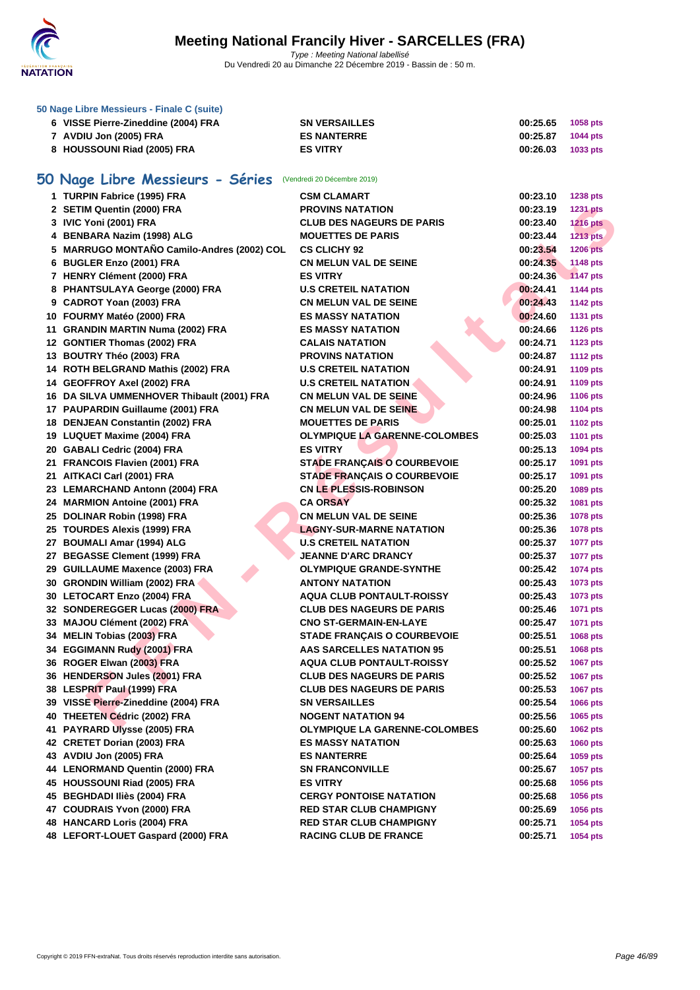

| 50 Nage Libre Messieurs - Finale C (suite) |                      |          |          |
|--------------------------------------------|----------------------|----------|----------|
| 6 VISSE Pierre-Zineddine (2004) FRA        | <b>SN VERSAILLES</b> | 00:25.65 | 1058 pts |
| 7 AVDIU Jon (2005) FRA                     | <b>ES NANTERRE</b>   | 00:25.87 | 1044 pts |
| 8 HOUSSOUNI Riad (2005) FRA                | <b>ES VITRY</b>      | 00:26.03 | 1033 pts |

# **50 Nage Libre Messieurs - Séries** (Vendredi 20 Décembre 2019)

| 1 TURPIN Fabrice (1995) FRA                | <b>CSM CLAMART</b>                   | 00:23.10 | 1238 pts        |
|--------------------------------------------|--------------------------------------|----------|-----------------|
| 2 SETIM Quentin (2000) FRA                 | <b>PROVINS NATATION</b>              | 00:23.19 | <b>1231 pts</b> |
| 3 IVIC Yoni (2001) FRA                     | <b>CLUB DES NAGEURS DE PARIS</b>     | 00:23.40 | <b>1216 pts</b> |
| 4 BENBARA Nazim (1998) ALG                 | <b>MOUETTES DE PARIS</b>             | 00:23.44 | 1213 pts        |
| 5 MARRUGO MONTAÑO Camilo-Andres (2002) COL | <b>CS CLICHY 92</b>                  | 00:23.54 | <b>1206 pts</b> |
| 6 BUGLER Enzo (2001) FRA                   | <b>CN MELUN VAL DE SEINE</b>         | 00:24.35 | 1148 pts        |
| 7 HENRY Clément (2000) FRA                 | <b>ES VITRY</b>                      | 00:24.36 | <b>1147 pts</b> |
| 8 PHANTSULAYA George (2000) FRA            | <b>U.S CRETEIL NATATION</b>          | 00:24.41 | <b>1144 pts</b> |
| 9 CADROT Yoan (2003) FRA                   | <b>CN MELUN VAL DE SEINE</b>         | 00:24.43 | <b>1142 pts</b> |
| 10 FOURMY Matéo (2000) FRA                 | <b>ES MASSY NATATION</b>             | 00:24.60 | <b>1131 pts</b> |
| 11 GRANDIN MARTIN Numa (2002) FRA          | <b>ES MASSY NATATION</b>             | 00:24.66 | <b>1126 pts</b> |
| 12 GONTIER Thomas (2002) FRA               | <b>CALAIS NATATION</b>               | 00:24.71 | <b>1123 pts</b> |
| 13 BOUTRY Théo (2003) FRA                  | <b>PROVINS NATATION</b>              | 00:24.87 | <b>1112 pts</b> |
| 14 ROTH BELGRAND Mathis (2002) FRA         | <b>U.S CRETEIL NATATION</b>          | 00:24.91 | 1109 pts        |
| 14 GEOFFROY Axel (2002) FRA                | <b>U.S CRETEIL NATATION</b>          | 00:24.91 | 1109 pts        |
| 16 DA SILVA UMMENHOVER Thibault (2001) FRA | <b>CN MELUN VAL DE SEINE</b>         | 00:24.96 | 1106 pts        |
| 17 PAUPARDIN Guillaume (2001) FRA          | <b>CN MELUN VAL DE SEINE</b>         | 00:24.98 | <b>1104 pts</b> |
| 18 DENJEAN Constantin (2002) FRA           | <b>MOUETTES DE PARIS</b>             | 00:25.01 | <b>1102 pts</b> |
| 19 LUQUET Maxime (2004) FRA                | <b>OLYMPIQUE LA GARENNE-COLOMBES</b> | 00:25.03 | <b>1101 pts</b> |
| 20 GABALI Cedric (2004) FRA                | <b>ES VITRY</b>                      | 00:25.13 | 1094 pts        |
| 21 FRANCOIS Flavien (2001) FRA             | <b>STADE FRANÇAIS O COURBEVOIE</b>   | 00:25.17 | 1091 pts        |
| 21 AITKACI Carl (2001) FRA                 | <b>STADE FRANÇAIS O COURBEVOIE</b>   | 00:25.17 | 1091 pts        |
| 23 LEMARCHAND Antonn (2004) FRA            | <b>CN LE PLESSIS-ROBINSON</b>        | 00:25.20 | 1089 pts        |
| 24 MARMION Antoine (2001) FRA              | <b>CA ORSAY</b>                      | 00:25.32 | 1081 pts        |
| 25 DOLINAR Robin (1998) FRA                | <b>CN MELUN VAL DE SEINE</b>         | 00:25.36 | 1078 pts        |
| 25 TOURDES Alexis (1999) FRA               | <b>LAGNY-SUR-MARNE NATATION</b>      | 00:25.36 | <b>1078 pts</b> |
| 27 BOUMALI Amar (1994) ALG                 | <b>U.S CRETEIL NATATION</b>          | 00:25.37 | <b>1077 pts</b> |
| 27 BEGASSE Clement (1999) FRA              | <b>JEANNE D'ARC DRANCY</b>           | 00:25.37 | <b>1077 pts</b> |
| 29 GUILLAUME Maxence (2003) FRA            | <b>OLYMPIQUE GRANDE-SYNTHE</b>       | 00:25.42 | 1074 pts        |
| 30 GRONDIN William (2002) FRA              | <b>ANTONY NATATION</b>               | 00:25.43 | 1073 pts        |
| 30 LETOCART Enzo (2004) FRA                | <b>AQUA CLUB PONTAULT-ROISSY</b>     | 00:25.43 | 1073 pts        |
| 32 SONDEREGGER Lucas (2000) FRA            | <b>CLUB DES NAGEURS DE PARIS</b>     | 00:25.46 | 1071 pts        |
| 33 MAJOU Clément (2002) FRA                | <b>CNO ST-GERMAIN-EN-LAYE</b>        | 00:25.47 | 1071 pts        |
| 34 MELIN Tobias (2003) FRA                 | <b>STADE FRANÇAIS O COURBEVOIE</b>   | 00:25.51 | 1068 pts        |
| 34 EGGIMANN Rudy (2001) FRA                | <b>AAS SARCELLES NATATION 95</b>     | 00:25.51 | 1068 pts        |
| 36 ROGER Elwan (2003) FRA                  | <b>AQUA CLUB PONTAULT-ROISSY</b>     | 00:25.52 | 1067 pts        |
| 36 HENDERSON Jules (2001) FRA              | <b>CLUB DES NAGEURS DE PARIS</b>     | 00:25.52 | 1067 pts        |
| 38 LESPRIT Paul (1999) FRA                 | <b>CLUB DES NAGEURS DE PARIS</b>     | 00:25.53 | 1067 pts        |
| 39 VISSE Pierre-Zineddine (2004) FRA       | <b>SN VERSAILLES</b>                 | 00:25.54 | 1066 pts        |
| 40 THEETEN Cédric (2002) FRA               | <b>NOGENT NATATION 94</b>            | 00:25.56 | 1065 pts        |
| 41 PAYRARD Ulysse (2005) FRA               | <b>OLYMPIQUE LA GARENNE-COLOMBES</b> | 00:25.60 | <b>1062 pts</b> |
| 42 CRETET Dorian (2003) FRA                | <b>ES MASSY NATATION</b>             | 00:25.63 | <b>1060 pts</b> |
| 43 AVDIU Jon (2005) FRA                    | <b>ES NANTERRE</b>                   | 00:25.64 | 1059 pts        |
| 44 LENORMAND Quentin (2000) FRA            | <b>SN FRANCONVILLE</b>               | 00:25.67 | 1057 pts        |
| 45 HOUSSOUNI Riad (2005) FRA               | <b>ES VITRY</b>                      | 00:25.68 | 1056 pts        |
| 45 BEGHDADI Iliès (2004) FRA               | <b>CERGY PONTOISE NATATION</b>       | 00:25.68 | 1056 pts        |
| 47 COUDRAIS Yvon (2000) FRA                | <b>RED STAR CLUB CHAMPIGNY</b>       | 00:25.69 | 1056 pts        |
| 48 HANCARD Loris (2004) FRA                | <b>RED STAR CLUB CHAMPIGNY</b>       | 00:25.71 | 1054 pts        |
| 48 LEFORT-LOUET Gaspard (2000) FRA         | <b>RACING CLUB DE FRANCE</b>         | 00:25.71 | 1054 pts        |
|                                            |                                      |          |                 |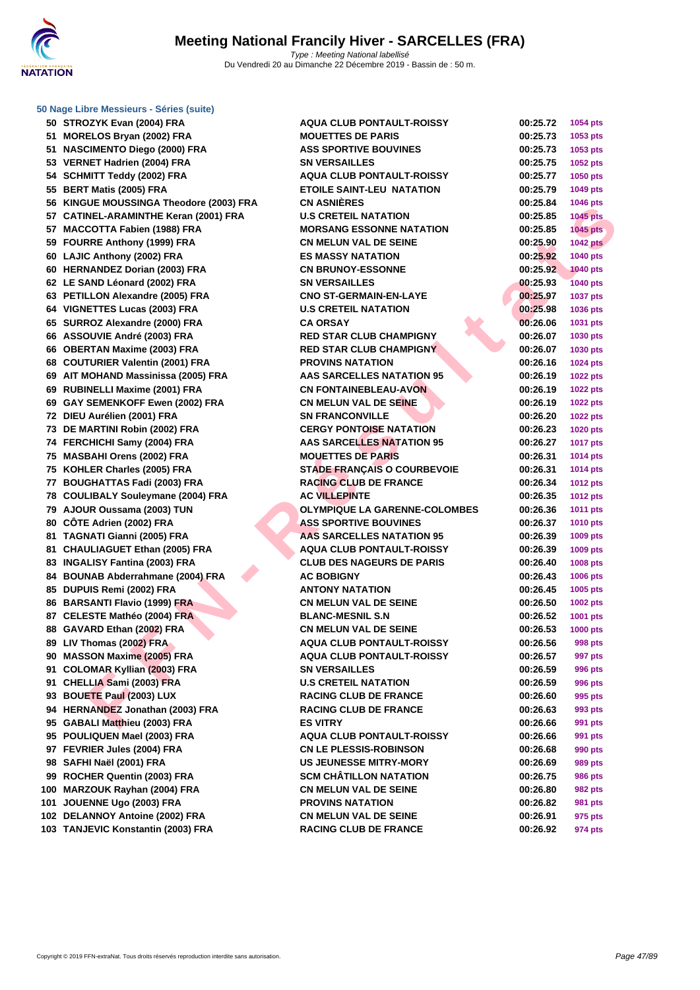

**50 STROZYK Evan (2004) FRA 51 MORELOS Bryan (2002) FRA 51 NASCIMENTO Diego (2000) FRA 53 VERNET Hadrien (2004) FRA 54 SCHMITT Teddy (2002) FRA 55 BERT Matis (2005) FRA 56 KINGUE MOUSSINGA Theodore (2003) FRA 57 CATINEL-ARAMINTHE Keran (2001) FRA 57** MACCOTTA Fabien (1988) FRA **59 FOURRE Anthony (1999) FRA 60 LAJIC Anthony (2002) FRA ES MASSY NATATION 00:25.92 1040 pts 60 HERNANDEZ Dorian (2003) FRA 62 LE SAND Léonard (2002) FRA 63 PETILLON Alexandre (2005) FRA 64 VIGNETTES Lucas (2003) FRA 65 SURROZ Alexandre (2000) FRA 66** ASSOUVIE André (2003) FRA **66** OBERTAN Maxime (2003) FRA **68 COUTURIER Valentin (2001) FRA 69 AIT MOHAND Massinissa (2005) FRA 69 RUBINELLI Maxime (2001) FRA 69 GAY SEMENKOFF Ewen (2002) FRA 72 DIEU Aurélien (2001) FRA 73 DE MARTINI Robin (2002) FRA CERGY PONTOISE NATATION 00:26.23 1020 pts 74 FERCHICHI Samy (2004) FRA 75 MASBAHI Orens (2002) FRA 75 KOHLER Charles (2005) FRA STADE FRANÇAIS O COURBEVOIE 00:26.31 1014 pts 77 BOUGHATTAS Fadi (2003) FRA RACING CLUB DE FRANCE 00:26.34 1012 pts 78 COULIBALY Souleymane (2004) FRA 79 AJOUR Oussama (2003) TUN 80 CÔTE Adrien (2002) FRA ASS SPORTIVE BOUVINES 00:26.37 1010 pts** 81 **TAGNATI Gianni (2005) FRA 81 CHAULIAGUET Ethan (2005) FRA 83 INGALISY Fantina (2003) FRA 84 BOUNAB Abderrahmane (2004) FRA 85 DUPUIS Remi (2002) FRA 86 BARSANTI Flavio (1999) FRA 87 CELESTE Mathéo (2004) FRA 88 GAVARD Ethan (2002) FRA 89 LIV Thomas (2002) FRA 90 MASSON Maxime (2005) FRA 91 COLOMAR Kyllian (2003) FRA 91 CHELLIA Sami (2003) FRA U.S CRETEIL NATATION 00:26.59 996 pts 93 BOUETE Paul (2003) LUX 94** HERNANDEZ Jonathan (2003) FRA **95 GABALI Matthieu (2003) FRA 95 POULIQUEN Mael (2003) FRA 97 FEVRIER Jules (2004) FRA 98 SAFHI Naël (2001) FRA US JEUNESSE MITRY-MORY 00:26.69 989 pts 99** ROCHER Quentin (2003) FRA **100 MARZOUK Rayhan (2004) FRA 101 JOUENNE Ugo (2003) FRA PROVINS NATATION 00:26.82 981 pts 102 DELANNOY Antoine (2002) FRA 103 TANJEVIC Konstantin (2003) FRA** 

| <b>DZYK Evan (2004) FRA</b>              | <b>AQUA CLUB PONTAULT-ROISSY</b>     | 00:25.72 | 1054 pts        |
|------------------------------------------|--------------------------------------|----------|-----------------|
| ELOS Bryan (2002) FRA                    | <b>MOUETTES DE PARIS</b>             | 00:25.73 | 1053 pts        |
| <b>CIMENTO Diego (2000) FRA</b>          | <b>ASS SPORTIVE BOUVINES</b>         | 00:25.73 | 1053 pts        |
| <b>NET Hadrien (2004) FRA</b>            | <b>SN VERSAILLES</b>                 | 00:25.75 | 1052 pts        |
| MITT Teddy (2002) FRA                    | <b>AQUA CLUB PONTAULT-ROISSY</b>     | 00:25.77 | 1050 pts        |
| T Matis (2005) FRA                       | <b>ETOILE SAINT-LEU NATATION</b>     | 00:25.79 | 1049 pts        |
| <b>IUE MOUSSINGA Theodore (2003) FRA</b> | <b>CN ASNIÈRES</b>                   | 00:25.84 | 1046 pts        |
| NEL-ARAMINTHE Keran (2001) FRA           | <b>U.S CRETEIL NATATION</b>          | 00:25.85 | <b>1045 pts</b> |
| COTTA Fabien (1988) FRA                  | <b>MORSANG ESSONNE NATATION</b>      | 00:25.85 | 1045 pts        |
| RRE Anthony (1999) FRA                   | <b>CN MELUN VAL DE SEINE</b>         | 00:25.90 | <b>1042 pts</b> |
| C Anthony (2002) FRA                     | <b>ES MASSY NATATION</b>             | 00:25.92 | 1040 pts        |
| <b>NANDEZ Dorian (2003) FRA</b>          | <b>CN BRUNOY-ESSONNE</b>             | 00:25.92 | <b>1040 pts</b> |
| AND Léonard (2002) FRA                   | <b>SN VERSAILLES</b>                 | 00:25.93 | <b>1040 pts</b> |
| LLON Alexandre (2005) FRA                | <b>CNO ST-GERMAIN-EN-LAYE</b>        | 00:25.97 | <b>1037 pts</b> |
| <b>IETTES Lucas (2003) FRA</b>           | <b>U.S CRETEIL NATATION</b>          | 00:25.98 | 1036 pts        |
| ROZ Alexandre (2000) FRA                 | <b>CA ORSAY</b>                      | 00:26.06 | 1031 pts        |
| <b>OUVIE André (2003) FRA</b>            | <b>RED STAR CLUB CHAMPIGNY</b>       | 00:26.07 | 1030 pts        |
| RTAN Maxime (2003) FRA                   | <b>RED STAR CLUB CHAMPIGNY</b>       | 00:26.07 | 1030 pts        |
| TURIER Valentin (2001) FRA               | <b>PROVINS NATATION</b>              | 00:26.16 | <b>1024 pts</b> |
| <b>MOHAND Massinissa (2005) FRA</b>      | AAS SARCELLES NATATION 95            | 00:26.19 | <b>1022 pts</b> |
| <b>INELLI Maxime (2001) FRA</b>          | <b>CN FONTAINEBLEAU-AVON</b>         | 00:26.19 | <b>1022 pts</b> |
| <b>SEMENKOFF Ewen (2002) FRA</b>         | <b>CN MELUN VAL DE SEINE</b>         | 00:26.19 | <b>1022 pts</b> |
| Aurélien (2001) FRA                      | <b>SN FRANCONVILLE</b>               | 00:26.20 | <b>1022 pts</b> |
| <b>IARTINI Robin (2002) FRA</b>          | <b>CERGY PONTOISE NATATION</b>       | 00:26.23 | <b>1020 pts</b> |
| CHICHI Samy (2004) FRA                   | <b>AAS SARCELLES NATATION 95</b>     | 00:26.27 | <b>1017 pts</b> |
| <b>BAHI Orens (2002) FRA</b>             | <b>MOUETTES DE PARIS</b>             | 00:26.31 | 1014 pts        |
| LER Charles (2005) FRA                   | <b>STADE FRANÇAIS O COURBEVOIE</b>   | 00:26.31 | 1014 pts        |
| GHATTAS Fadi (2003) FRA                  | <b>RACING CLUB DE FRANCE</b>         | 00:26.34 | <b>1012 pts</b> |
| LIBALY Souleymane (2004) FRA             | <b>AC VILLEPINTE</b>                 | 00:26.35 | <b>1012 pts</b> |
| JR Oussama (2003) TUN                    | <b>OLYMPIQUE LA GARENNE-COLOMBES</b> | 00:26.36 | <b>1011 pts</b> |
| E Adrien (2002) FRA                      | <b>ASS SPORTIVE BOUVINES</b>         | 00:26.37 | <b>1010 pts</b> |
| NATI Gianni (2005) FRA                   | <b>AAS SARCELLES NATATION 95</b>     | 00:26.39 | 1009 pts        |
| ULIAGUET Ethan (2005) FRA                | <b>AQUA CLUB PONTAULT-ROISSY</b>     | 00:26.39 | 1009 pts        |
| LISY Fantina (2003) FRA                  | <b>CLUB DES NAGEURS DE PARIS</b>     | 00:26.40 | <b>1008 pts</b> |
| NAB Abderrahmane (2004) FRA              | <b>AC BOBIGNY</b>                    | 00:26.43 | <b>1006 pts</b> |
| UIS Remi (2002) FRA                      | <b>ANTONY NATATION</b>               | 00:26.45 | 1005 pts        |
| SANTI Flavio (1999) FRA                  | <b>CN MELUN VAL DE SEINE</b>         | 00:26.50 | 1002 pts        |
| <b>ESTE Mathéo (2004) FRA</b>            | <b>BLANC-MESNIL S.N</b>              | 00:26.52 | 1001 pts        |
| ARD Ethan (2002) FRA                     | <b>CN MELUN VAL DE SEINE</b>         | 00:26.53 | 1000 pts        |
| homas (2002) FRA                         | <b>AQUA CLUB PONTAULT-ROISSY</b>     | 00:26.56 | <b>998 pts</b>  |
| SON Maxime (2005) FRA                    | <b>AQUA CLUB PONTAULT-ROISSY</b>     | 00:26.57 | 997 pts         |
| OMAR Kyllian (2003) FRA                  | <b>SN VERSAILLES</b>                 | 00:26.59 | 996 pts         |
| LLIA Sami (2003) FRA                     | <b>U.S CRETEIL NATATION</b>          | 00:26.59 | 996 pts         |
| ETE Paul (2003) LUX                      | <b>RACING CLUB DE FRANCE</b>         | 00:26.60 | 995 pts         |
| NANDEZ Jonathan (2003) FRA               | <b>RACING CLUB DE FRANCE</b>         | 00:26.63 | 993 pts         |
| ALI Matthieu (2003) FRA                  | <b>ES VITRY</b>                      | 00:26.66 | 991 pts         |
| LIQUEN Mael (2003) FRA                   | <b>AQUA CLUB PONTAULT-ROISSY</b>     | 00:26.66 | 991 pts         |
| <b>RIER Jules (2004) FRA</b>             | <b>CN LE PLESSIS-ROBINSON</b>        | 00:26.68 | 990 pts         |
| 11 Naël (2001) FRA                       | <b>US JEUNESSE MITRY-MORY</b>        | 00:26.69 | 989 pts         |
| <b>HER Quentin (2003) FRA</b>            | <b>SCM CHÂTILLON NATATION</b>        | 00:26.75 | 986 pts         |
| ZOUK Rayhan (2004) FRA                   | <b>CN MELUN VAL DE SEINE</b>         | 00:26.80 | 982 pts         |
| ENNE Ugo (2003) FRA                      | <b>PROVINS NATATION</b>              | 00:26.82 | 981 pts         |
| <b>ANNOY Antoine (2002) FRA</b>          | <b>CN MELUN VAL DE SEINE</b>         | 00:26.91 | 975 pts         |
| <b>JEVIC Konstantin (2003) FRA</b>       | <b>RACING CLUB DE FRANCE</b>         | 00:26.92 | 974 pts         |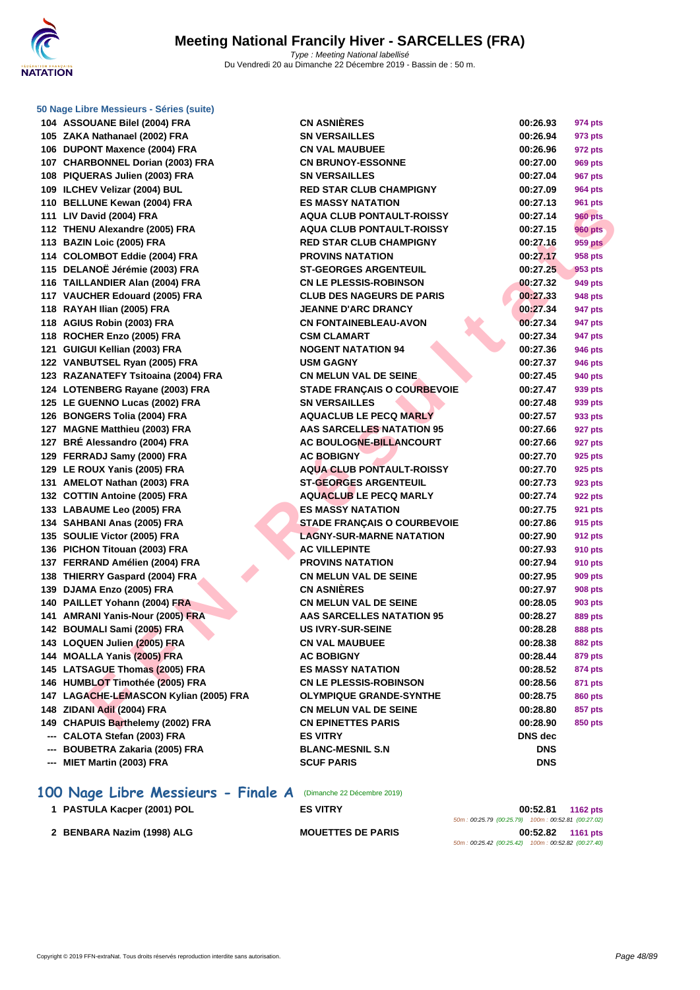

**F F N - R é s u l t a t s ASSOUANE Bilel (2004) FRA CN ASNIÈRES 00:26.93 974 pts ZAKA Nathanael (2002) FRA SN VERSAILLES 00:26.94 973 pts DUPONT Maxence (2004) FRA CN VAL MAUBUEE 00:26.96 972 pts CHARBONNEL Dorian (2003) FRA CN BRUNOY-ESSONNE 00:27.00 969 pts PIQUERAS Julien (2003) FRA SN VERSAILLES 00:27.04 967 pts ILCHEV Velizar (2004) BUL RED STAR CLUB CHAMPIGNY 00:27.09 964 pts BELLUNE Kewan (2004) FRA ES MASSY NATATION 00:27.13 961 pts LIV David (2004) FRA AQUA CLUB PONTAULT-ROISSY 00:27.14 960 pts THENU Alexandre (2005) FRA AQUA CLUB PONTAULT-ROISSY 00:27.15 960 pts BAZIN Loic (2005) FRA RED STAR CLUB CHAMPIGNY 00:27.16 959 pts COLOMBOT Eddie (2004) FRA PROVINS NATATION 00:27.17 958 pts DELANOË Jérémie (2003) FRA ST-GEORGES ARGENTEUIL 00:27.25 953 pts TAILLANDIER Alan (2004) FRA CN LE PLESSIS-ROBINSON 00:27.32 949 pts VAUCHER Edouard (2005) FRA CLUB DES NAGEURS DE PARIS 00:27.33 948 pts RAYAH Ilian (2005) FRA JEANNE D'ARC DRANCY 00:27.34 947 pts AGIUS Robin (2003) FRA CN FONTAINEBLEAU-AVON 00:27.34 947 pts ROCHER Enzo (2005) FRA CSM CLAMART 00:27.34 947 pts GUIGUI Kellian (2003) FRA NOGENT NATATION 94 00:27.36 946 pts VANBUTSEL Ryan (2005) FRA USM GAGNY 00:27.37 946 pts RAZANATEFY Tsitoaina (2004) FRA CN MELUN VAL DE SEINE 00:27.45 940 pts LOTENBERG Rayane (2003) FRA STADE FRANÇAIS O COURBEVOIE 00:27.47 939 pts LE GUENNO Lucas (2002) FRA SN VERSAILLES 00:27.48 939 pts BONGERS Tolia (2004) FRA AQUACLUB LE PECQ MARLY 00:27.57 933 pts MAGNE Matthieu (2003) FRA AAS SARCELLES NATATION 95 00:27.66 927 pts BRÉ Alessandro (2004) FRA AC BOULOGNE-BILLANCOURT 00:27.66 927 pts FERRADJ Samy (2000) FRA AC BOBIGNY 00:27.70 925 pts LE ROUX Yanis (2005) FRA AQUA CLUB PONTAULT-ROISSY 00:27.70 925 pts AMELOT Nathan (2003) FRA ST-GEORGES ARGENTEUIL 00:27.73 923 pts COTTIN Antoine (2005) FRA AQUACLUB LE PECQ MARLY 00:27.74 922 pts LABAUME Leo (2005) FRA ES MASSY NATATION 00:27.75 921 pts 134 SAHBANI Anas (2005) FRA STADE FRANÇAIS O COURBEVOIE 00:27.86 915 pts SOULIE Victor (2005) FRA LAGNY-SUR-MARNE NATATION 00:27.90 912 pts PICHON Titouan (2003) FRA AC VILLEPINTE 00:27.93 910 pts FERRAND Amélien (2004) FRA PROVINS NATATION 00:27.94 910 pts THIERRY Gaspard (2004) FRA CN MELUN VAL DE SEINE 00:27.95 909 pts DJAMA Enzo (2005) FRA CN ASNIÈRES 00:27.97 908 pts PAILLET Yohann (2004) FRA CN MELUN VAL DE SEINE 00:28.05 903 pts AMRANI Yanis-Nour (2005) FRA AAS SARCELLES NATATION 95 00:28.27 889 pts BOUMALI Sami (2005) FRA US IVRY-SUR-SEINE 00:28.28 888 pts LOQUEN Julien (2005) FRA CN VAL MAUBUEE 00:28.38 882 pts MOALLA Yanis (2005) FRA AC BOBIGNY 00:28.44 879 pts LATSAGUE Thomas (2005) FRA ES MASSY NATATION 00:28.52 874 pts HUMBLOT Timothée (2005) FRA CN LE PLESSIS-ROBINSON 00:28.56 871 pts LAGACHE-LEMASCON Kylian (2005) FRA OLYMPIQUE GRANDE-SYNTHE 00:28.75 860 pts ZIDANI Adil (2004) FRA CN MELUN VAL DE SEINE 00:28.80 857 pts CHAPUIS Barthelemy (2002) FRA CN EPINETTES PARIS 00:28.90 850 pts --- CALOTA Stefan (2003) FRA ES VITRY DNS dec --- BOUBETRA Zakaria (2005) FRA BLANC-MESNIL S.N DNS**

**--- MIET Martin (2003) FRA SCUF PARIS DNS**

## **100 Nage Libre Messieurs - Finale A** (Dimanche 22 Décembre 2019)

| 1 PASTULA Kacper (2001) POL | <b>ES VITRY</b>          | 00:52.81                                           | <b>1162 pts</b> |
|-----------------------------|--------------------------|----------------------------------------------------|-----------------|
|                             |                          | 50m: 00:25.79 (00:25.79) 100m: 00:52.81 (00:27.02) |                 |
| 2 BENBARA Nazim (1998) ALG  | <b>MOUETTES DE PARIS</b> | 00:52.82                                           | <b>1161 pts</b> |
|                             |                          | 50m: 00:25.42 (00:25.42) 100m: 00:52.82 (00:27.40) |                 |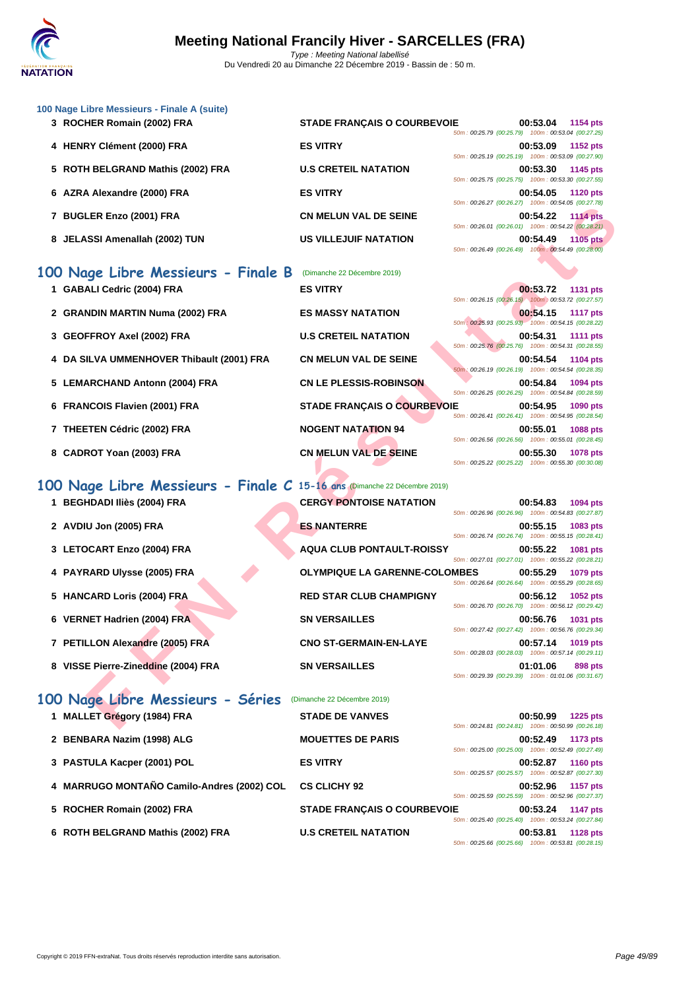

| 100 Nage Libre Messieurs - Finale A (suite)<br>3 ROCHER Romain (2002) FRA                               | <b>STADE FRANÇAIS O COURBEVOIE</b>                    | 00:53.04<br>1154 pts                                                                                                                    |
|---------------------------------------------------------------------------------------------------------|-------------------------------------------------------|-----------------------------------------------------------------------------------------------------------------------------------------|
| 4 HENRY Clément (2000) FRA                                                                              | <b>ES VITRY</b>                                       | 50m: 00:25.79 (00:25.79) 100m: 00:53.04 (00:27.25)<br>00:53.09<br>1152 pts                                                              |
| 5 ROTH BELGRAND Mathis (2002) FRA                                                                       | <b>U.S CRETEIL NATATION</b>                           | 50m: 00:25.19 (00:25.19) 100m: 00:53.09 (00:27.90)<br>00:53.30<br>1145 pts                                                              |
| 6 AZRA Alexandre (2000) FRA                                                                             | <b>ES VITRY</b>                                       | 50m: 00:25.75 (00:25.75) 100m: 00:53.30 (00:27.55)<br>00:54.05<br><b>1120 pts</b>                                                       |
| 7 BUGLER Enzo (2001) FRA                                                                                | <b>CN MELUN VAL DE SEINE</b>                          | 50m: 00:26.27 (00:26.27) 100m: 00:54.05 (00:27.78)<br>00:54.22<br><b>1114 pts</b>                                                       |
| 8 JELASSI Amenallah (2002) TUN                                                                          | <b>US VILLEJUIF NATATION</b>                          | 50m: 00:26.01 (00:26.01) 100m: 00:54.22 (00:28.21)<br>00:54.49<br><b>1105 pts</b><br>50m: 00:26.49 (00:26.49) 100m: 00:54.49 (00:28.00) |
|                                                                                                         |                                                       |                                                                                                                                         |
| 100 Nage Libre Messieurs - Finale B<br>1 GABALI Cedric (2004) FRA                                       | (Dimanche 22 Décembre 2019)<br><b>ES VITRY</b>        | 00:53.72<br><b>1131 pts</b>                                                                                                             |
|                                                                                                         |                                                       | 50m: 00:26.15 (00:26.15) 100m: 00:53.72 (00:27.57)                                                                                      |
| 2 GRANDIN MARTIN Numa (2002) FRA                                                                        | <b>ES MASSY NATATION</b>                              | 00:54.15<br><b>1117 pts</b><br>50m : 00:25.93 (00:25.93) 100m : 00:54.15 (00:28.22)                                                     |
| 3 GEOFFROY Axel (2002) FRA                                                                              | <b>U.S CRETEIL NATATION</b>                           | 00:54.31<br><b>1111 pts</b><br>50m: 00:25.76 (00:25.76) 100m: 00:54.31 (00:28.55)                                                       |
| 4 DA SILVA UMMENHOVER Thibault (2001) FRA                                                               | <b>CN MELUN VAL DE SEINE</b>                          | 00:54.54<br>1104 pts<br>50m: 00:26.19 (00:26.19) 100m: 00:54.54 (00:28.35)                                                              |
| 5 LEMARCHAND Antonn (2004) FRA                                                                          | <b>CN LE PLESSIS-ROBINSON</b>                         | 00:54.84<br>1094 pts<br>50m: 00:26.25 (00:26.25) 100m: 00:54.84 (00:28.59)                                                              |
| 6 FRANCOIS Flavien (2001) FRA                                                                           | STADE FRANÇAIS O COURBEVOIE                           | 00:54.95<br>1090 pts<br>50m: 00:26.41 (00:26.41) 100m: 00:54.95 (00:28.54)                                                              |
| 7 THEETEN Cédric (2002) FRA                                                                             | <b>NOGENT NATATION 94</b>                             | 00:55.01<br><b>1088 pts</b><br>50m: 00:26.56 (00:26.56) 100m: 00:55.01 (00:28.45)                                                       |
| 8 CADROT Yoan (2003) FRA                                                                                | <b>CN MELUN VAL DE SEINE</b>                          | 00:55.30<br>1078 pts<br>50m: 00:25.22 (00:25.22) 100m: 00:55.30 (00:30.08)                                                              |
|                                                                                                         |                                                       |                                                                                                                                         |
| 100 Nage Libre Messieurs - Finale C 15-16 ans Dimanche 22 Décembre 2019)<br>1 BEGHDADI Iliès (2004) FRA | <b>CERGY PONTOISE NATATION</b>                        | 00:54.83<br>1094 pts                                                                                                                    |
|                                                                                                         |                                                       | 50m: 00:26.96 (00:26.96) 100m: 00:54.83 (00:27.87)                                                                                      |
| 2 AVDIU Jon (2005) FRA                                                                                  | <b>ES NANTERRE</b>                                    | 00:55.15<br>1083 pts<br>50m: 00:26.74 (00:26.74) 100m: 00:55.15 (00:28.41)                                                              |
| 3 LETOCART Enzo (2004) FRA                                                                              | <b>AQUA CLUB PONTAULT-ROISSY</b>                      | 00:55.22<br>1081 pts<br>50m: 00:27.01 (00:27.01) 100m: 00:55.22 (00:28.21)                                                              |
| 4 PAYRARD Ulysse (2005) FRA                                                                             | <b>OLYMPIQUE LA GARENNE-COLOMBES</b>                  | 00:55.29<br>1079 pts<br>50m: 00:26.64 (00:26.64) 100m: 00:55.29 (00:28.65)                                                              |
| 5 HANCARD Loris (2004) FRA                                                                              | <b>RED STAR CLUB CHAMPIGNY</b>                        | 00:56.12<br>1052 pts<br>50m: 00:26.70 (00:26.70) 100m: 00:56.12 (00:29.42)                                                              |
| 6 VERNET Hadrien (2004) FRA                                                                             | <b>SN VERSAILLES</b>                                  | 00:56.76 1031 pts<br>50m: 00:27.42 (00:27.42) 100m: 00:56.76 (00:29.34)                                                                 |
| 7 PETILLON Alexandre (2005) FRA                                                                         | <b>CNO ST-GERMAIN-EN-LAYE</b>                         | 00:57.14<br>1019 pts                                                                                                                    |
| 8 VISSE Pierre-Zineddine (2004) FRA                                                                     | <b>SN VERSAILLES</b>                                  | 50m: 00:28.03 (00:28.03) 100m: 00:57.14 (00:29.11)<br>01:01.06<br>898 pts<br>50m: 00:29.39 (00:29.39) 100m: 01:01.06 (00:31.67)         |
|                                                                                                         |                                                       |                                                                                                                                         |
| 100 Nage Libre Messieurs - Séries<br>1 MALLET Grégory (1984) FRA                                        | (Dimanche 22 Décembre 2019)<br><b>STADE DE VANVES</b> | 00:50.99<br><b>1225 pts</b>                                                                                                             |
|                                                                                                         |                                                       | 50m: 00:24.81 (00:24.81) 100m: 00:50.99 (00:26.18)                                                                                      |
| 2 BENBARA Nazim (1998) ALG                                                                              | <b>MOUETTES DE PARIS</b>                              | 00:52.49<br>1173 pts<br>50m: 00:25.00 (00:25.00) 100m: 00:52.49 (00:27.49)                                                              |
| 3 PASTULA Kacper (2001) POL                                                                             | <b>ES VITRY</b>                                       | 00:52.87<br><b>1160 pts</b><br>50m: 00:25.57 (00:25.57) 100m: 00:52.87 (00:27.30)                                                       |
| 4 MARRUGO MONTAÑO Camilo-Andres (2002) COL                                                              | <b>CS CLICHY 92</b>                                   | 00:52.96<br>1157 pts<br>50m: 00:25.59 (00:25.59) 100m: 00:52.96 (00:27.37)                                                              |
| 5 ROCHER Romain (2002) FRA                                                                              | <b>STADE FRANÇAIS O COURBEVOIE</b>                    | 00:53.24<br><b>1147 pts</b><br>50m: 00:25.40 (00:25.40) 100m: 00:53.24 (00:27.84)                                                       |
|                                                                                                         |                                                       |                                                                                                                                         |

**6 ROTH BELGRAND Mathis (2002) FRA U.S CRETEIL NATATION 00:53.81 1128 pts** 50m : 00:25.66 (00:25.66) 100m : 00:53.81 (00:28.15)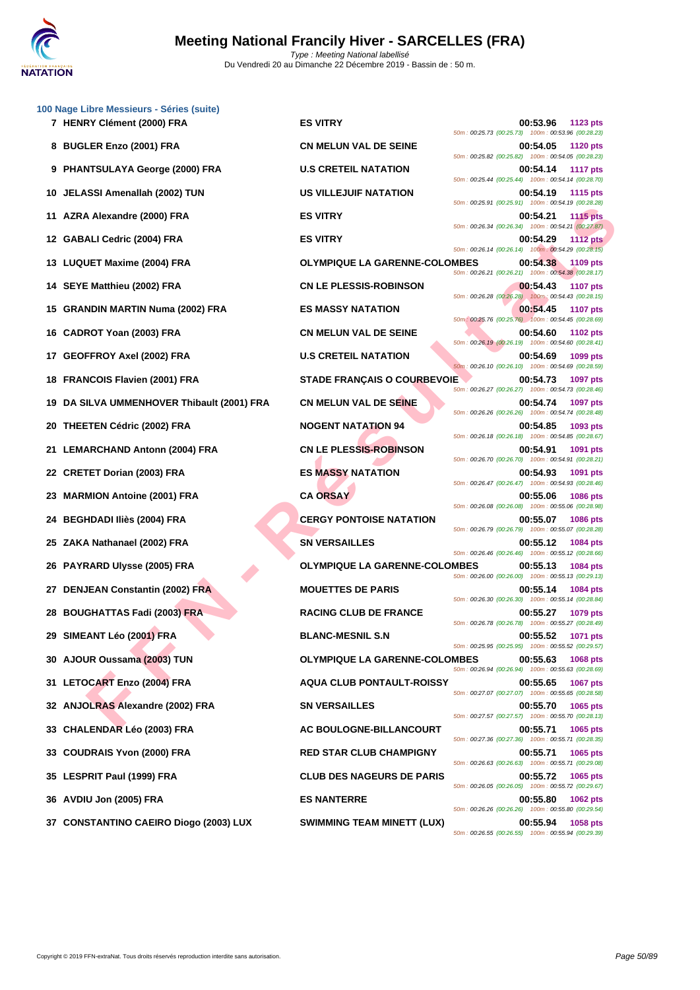

|    | 100 Nage Libre Messieurs - Séries (suite)<br>7 HENRY Clément (2000) FRA | <b>ES VITRY</b>                      | 00:53.96<br>1123 pts                                                              |
|----|-------------------------------------------------------------------------|--------------------------------------|-----------------------------------------------------------------------------------|
|    | 8 BUGLER Enzo (2001) FRA                                                | <b>CN MELUN VAL DE SEINE</b>         | 50m: 00:25.73 (00:25.73) 100m: 00:53.96 (00:28.23)<br>00:54.05<br><b>1120 pts</b> |
|    | 9 PHANTSULAYA George (2000) FRA                                         | <b>U.S CRETEIL NATATION</b>          | 50m: 00:25.82 (00:25.82) 100m: 00:54.05 (00:28.23)<br>00:54.14<br><b>1117 pts</b> |
| 10 | JELASSI Amenallah (2002) TUN                                            | US VILLEJUIF NATATION                | 50m: 00:25.44 (00:25.44) 100m: 00:54.14 (00:28.70)<br>00:54.19<br><b>1115 pts</b> |
| 11 | AZRA Alexandre (2000) FRA                                               | <b>ES VITRY</b>                      | 50m: 00:25.91 (00:25.91) 100m: 00:54.19 (00:28.28)<br>00:54.21<br><b>1115 pts</b> |
| 12 | <b>GABALI Cedric (2004) FRA</b>                                         | <b>ES VITRY</b>                      | 50m: 00:26.34 (00:26.34) 100m: 00:54.21 (00:27.87)<br>00:54.29<br><b>1112 pts</b> |
| 13 | <b>LUQUET Maxime (2004) FRA</b>                                         | <b>OLYMPIQUE LA GARENNE-COLOMBES</b> | 50m: 00:26.14 (00:26.14) 100m: 00:54.29 (00:28.15)<br>00:54.38<br>1109 pts        |
| 14 | SEYE Matthieu (2002) FRA                                                | <b>CN LE PLESSIS-ROBINSON</b>        | 50m: 00:26.21 (00:26.21) 100m: 00:54.38 (00:28.17)<br>00:54.43<br><b>1107 pts</b> |
| 15 | <b>GRANDIN MARTIN Numa (2002) FRA</b>                                   | <b>ES MASSY NATATION</b>             | 50m: 00:26.28 (00:26.28) 100m: 00:54.43 (00:28.15)<br>00:54.45<br><b>1107 pts</b> |
| 16 | CADROT Yoan (2003) FRA                                                  | <b>CN MELUN VAL DE SEINE</b>         | 50m: 00:25.76 (00:25.76) 100m: 00:54.45 (00:28.69)<br>00:54.60<br><b>1102 pts</b> |
| 17 | <b>GEOFFROY Axel (2002) FRA</b>                                         | <b>U.S CRETEIL NATATION</b>          | 50m: 00:26.19 (00:26.19) 100m: 00:54.60 (00:28.41)<br>00:54.69<br>1099 pts        |
|    | 18 FRANCOIS Flavien (2001) FRA                                          | <b>STADE FRANÇAIS O COURBEVOIE</b>   | 50m: 00:26.10 (00:26.10) 100m: 00:54.69 (00:28.59)<br>00:54.73<br><b>1097 pts</b> |
| 19 | DA SILVA UMMENHOVER Thibault (2001) FRA                                 | <b>CN MELUN VAL DE SEINE</b>         | 50m: 00:26.27 (00:26.27) 100m: 00:54.73 (00:28.46)<br>00:54.74<br><b>1097 pts</b> |
|    | 20 THEETEN Cédric (2002) FRA                                            | <b>NOGENT NATATION 94</b>            | 50m: 00:26.26 (00:26.26) 100m: 00:54.74 (00:28.48)<br>00:54.85<br>1093 pts        |
|    | 21 LEMARCHAND Antonn (2004) FRA                                         | <b>CN LE PLESSIS-ROBINSON</b>        | 50m: 00:26.18 (00:26.18) 100m: 00:54.85 (00:28.67)<br>00:54.91<br>1091 pts        |
|    | 22 CRETET Dorian (2003) FRA                                             | <b>ES MASSY NATATION</b>             | 50m: 00:26.70 (00:26.70) 100m: 00:54.91 (00:28.21)<br>00:54.93<br>1091 pts        |
| 23 | <b>MARMION Antoine (2001) FRA</b>                                       | <b>CA ORSAY</b>                      | 50m: 00:26.47 (00:26.47) 100m: 00:54.93 (00:28.46)<br>00:55.06<br><b>1086 pts</b> |
|    | 24 BEGHDADI Iliès (2004) FRA                                            | <b>CERGY PONTOISE NATATION</b>       | 50m: 00:26.08 (00:26.08) 100m: 00:55.06 (00:28.98)<br>00:55.07<br><b>1086 pts</b> |
| 25 | ZAKA Nathanael (2002) FRA                                               | <b>SN VERSAILLES</b>                 | 50m: 00:26.79 (00:26.79) 100m: 00:55.07 (00:28.28)<br>00:55.12<br><b>1084 pts</b> |
| 26 | <b>PAYRARD Ulysse (2005) FRA</b>                                        | <b>OLYMPIQUE LA GARENNE-COLOMBES</b> | 50m: 00:26.46 (00:26.46) 100m: 00:55.12 (00:28.66)<br>00:55.13<br>1084 pts        |
|    |                                                                         | <b>MOUETTES DE PARIS</b>             | 50m: 00:26.00 (00:26.00) 100m: 00:55.13 (00:29.13)                                |
|    | 27 DENJEAN Constantin (2002) FRA                                        |                                      | 00:55.14<br><b>1084 pts</b><br>50m: 00:26.30 (00:26.30) 100m: 00:55.14 (00:28.84) |
|    | 28 BOUGHATTAS Fadi (2003) FRA                                           | <b>RACING CLUB DE FRANCE</b>         | 00:55.27<br><b>1079 pts</b><br>50m: 00:26.78 (00:26.78) 100m: 00:55.27 (00:28.49) |
|    | 29 SIMEANT Léo (2001) FRA                                               | <b>BLANC-MESNIL S.N</b>              | 00:55.52<br><b>1071 pts</b><br>50m: 00:25.95 (00:25.95) 100m: 00:55.52 (00:29.57) |
| 30 | AJOUR Oussama (2003) TUN                                                | <b>OLYMPIQUE LA GARENNE-COLOMBES</b> | 00:55.63<br><b>1068 pts</b><br>50m: 00:26.94 (00:26.94) 100m: 00:55.63 (00:28.69) |
| 31 | <b>LETOCART Enzo (2004) FRA</b>                                         | <b>AQUA CLUB PONTAULT-ROISSY</b>     | 00:55.65<br><b>1067 pts</b><br>50m: 00:27.07 (00:27.07) 100m: 00:55.65 (00:28.58) |
| 32 | <b>ANJOLRAS Alexandre (2002) FRA</b>                                    | <b>SN VERSAILLES</b>                 | 00:55.70<br>1065 pts<br>50m: 00:27.57 (00:27.57) 100m: 00:55.70 (00:28.13)        |
| 33 | <b>CHALENDAR Léo (2003) FRA</b>                                         | AC BOULOGNE-BILLANCOURT              | 00:55.71<br>1065 pts<br>50m: 00:27.36 (00:27.36) 100m: 00:55.71 (00:28.35)        |
| 33 | <b>COUDRAIS Yvon (2000) FRA</b>                                         | <b>RED STAR CLUB CHAMPIGNY</b>       | 00:55.71<br>1065 pts<br>50m: 00:26.63 (00:26.63) 100m: 00:55.71 (00:29.08)        |
| 35 | <b>LESPRIT Paul (1999) FRA</b>                                          | <b>CLUB DES NAGEURS DE PARIS</b>     | 00:55.72<br>1065 pts<br>50m: 00:26.05 (00:26.05) 100m: 00:55.72 (00:29.67)        |
|    | 36   AVDIU Jon (2005) FRA                                               | <b>ES NANTERRE</b>                   | 00:55.80<br><b>1062 pts</b><br>50m: 00:26.26 (00:26.26) 100m: 00:55.80 (00:29.54) |
|    | 37 CONSTANTINO CAEIRO Diogo (2003) LUX                                  | <b>SWIMMING TEAM MINETT (LUX)</b>    | 00:55.94<br>1058 pts<br>50m: 00:26.55 (00:26.55) 100m: 00:55.94 (00:29.39)        |
|    |                                                                         |                                      |                                                                                   |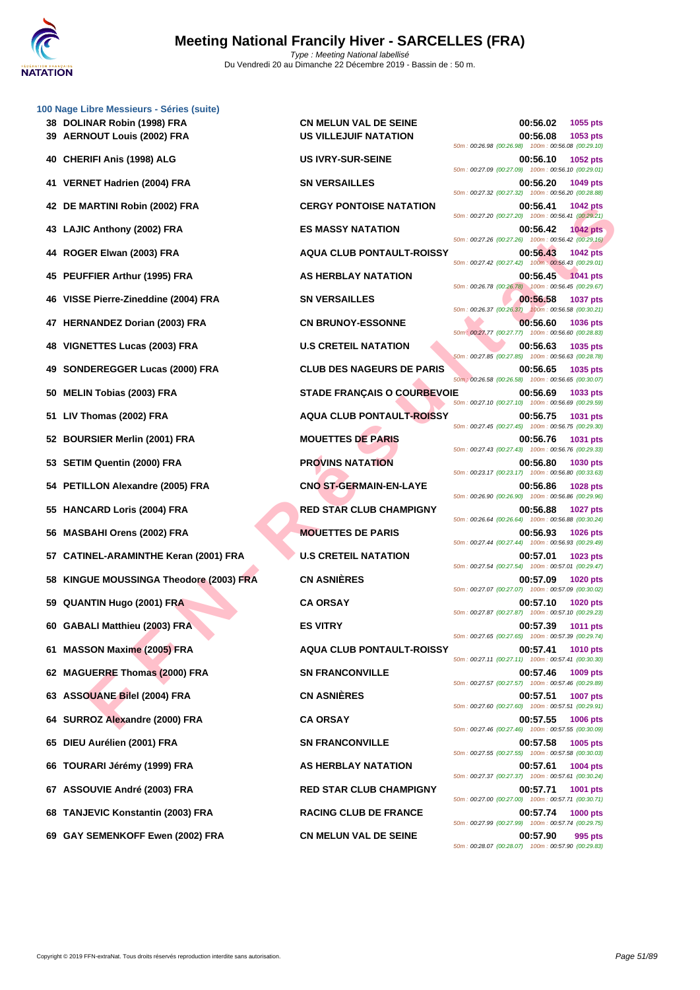

|     | 100 Nage Libre Messieurs - Séries (suite)<br>38 DOLINAR Robin (1998) FRA<br>39 AERNOUT Louis (2002) FRA | <b>CN MELUN VAL DE SEINE</b><br><b>US VILLEJUIF NATATION</b> | 00:56.02<br>1055 pts<br>00:56.08<br>1053 pts                                                                                    |
|-----|---------------------------------------------------------------------------------------------------------|--------------------------------------------------------------|---------------------------------------------------------------------------------------------------------------------------------|
|     |                                                                                                         |                                                              | 50m: 00:26.98 (00:26.98) 100m: 00:56.08 (00:29.10)                                                                              |
|     | 40 CHERIFI Anis (1998) ALG                                                                              | <b>US IVRY-SUR-SEINE</b>                                     | 00:56.10<br><b>1052 pts</b><br>50m: 00:27.09 (00:27.09) 100m: 00:56.10 (00:29.01)                                               |
| 41. | <b>VERNET Hadrien (2004) FRA</b>                                                                        | <b>SN VERSAILLES</b>                                         | 00:56.20<br>1049 pts<br>50m: 00:27.32 (00:27.32) 100m: 00:56.20 (00:28.88)                                                      |
|     | 42 DE MARTINI Robin (2002) FRA                                                                          | <b>CERGY PONTOISE NATATION</b>                               | 00:56.41<br>1042 pts<br>50m: 00:27.20 (00:27.20) 100m: 00:56.41 (00:29.21)                                                      |
| 43  | LAJIC Anthony (2002) FRA                                                                                | <b>ES MASSY NATATION</b>                                     | 00:56.42<br><b>1042 pts</b><br>50m: 00:27.26 (00:27.26) 100m: 00:56.42 (00:29.16)                                               |
| 44  | ROGER Elwan (2003) FRA                                                                                  | <b>AQUA CLUB PONTAULT-ROISSY</b>                             | 00:56.43<br><b>1042 pts</b><br>50m: 00:27.42 (00:27.42) 100m: 00:56.43 (00:29.01)                                               |
| 45  | <b>PEUFFIER Arthur (1995) FRA</b>                                                                       | AS HERBLAY NATATION                                          | 00:56.45 1041 pts<br>50m: 00:26.78 (00:26.78) 100m: 00:56.45 (00:29.67)                                                         |
| 46. | VISSE Pierre-Zineddine (2004) FRA                                                                       | <b>SN VERSAILLES</b>                                         | 00:56.58<br><b>1037 pts</b><br>50m: 00:26.37 (00:26.37) 100m: 00:56.58 (00:30.21)                                               |
| 47  | <b>HERNANDEZ Dorian (2003) FRA</b>                                                                      | <b>CN BRUNOY-ESSONNE</b>                                     | 00:56.60<br><b>1036 pts</b><br>50m : 00:27.77 (00:27.77) 100m : 00:56.60 (00:28.83)                                             |
| 48  | <b>VIGNETTES Lucas (2003) FRA</b>                                                                       | <b>U.S CRETEIL NATATION</b>                                  | 00:56.63<br>1035 pts<br>50m: 00:27.85 (00:27.85) 100m: 00:56.63 (00:28.78)                                                      |
| 49  | SONDEREGGER Lucas (2000) FRA                                                                            | <b>CLUB DES NAGEURS DE PARIS</b>                             | 00:56.65<br>1035 pts<br>50m : 00:26.58 (00:26.58) 100m : 00:56.65 (00:30.07)                                                    |
| 50  | <b>MELIN Tobias (2003) FRA</b>                                                                          | <b>STADE FRANÇAIS O COURBEVOIE</b>                           | 00:56.69<br>1033 pts<br>50m: 00:27.10 (00:27.10) 100m: 00:56.69 (00:29.59)                                                      |
| 51  | LIV Thomas (2002) FRA                                                                                   | <b>AQUA CLUB PONTAULT-ROISSY</b>                             | 00:56.75<br>1031 pts<br>50m: 00:27.45 (00:27.45) 100m: 00:56.75 (00:29.30)                                                      |
| 52  | <b>BOURSIER Merlin (2001) FRA</b>                                                                       | <b>MOUETTES DE PARIS</b>                                     | 00:56.76<br>1031 pts<br>50m: 00:27.43 (00:27.43) 100m: 00:56.76 (00:29.33)                                                      |
|     | 53 SETIM Quentin (2000) FRA                                                                             | <b>PROVINS NATATION</b>                                      | 00:56.80<br><b>1030 pts</b><br>50m: 00:23.17 (00:23.17) 100m: 00:56.80 (00:33.63)                                               |
| 54  | PETILLON Alexandre (2005) FRA                                                                           | <b>CNO ST-GERMAIN-EN-LAYE</b>                                | 00:56.86<br><b>1028 pts</b><br>50m: 00:26.90 (00:26.90) 100m: 00:56.86 (00:29.96)                                               |
| 55  | <b>HANCARD Loris (2004) FRA</b>                                                                         | <b>RED STAR CLUB CHAMPIGNY</b>                               | 00:56.88<br>1027 pts<br>50m: 00:26.64 (00:26.64) 100m: 00:56.88 (00:30.24)                                                      |
| 56. | <b>MASBAHI Orens (2002) FRA</b>                                                                         | <b>MOUETTES DE PARIS</b>                                     | 00:56.93<br><b>1026 pts</b><br>50m: 00:27.44 (00:27.44) 100m: 00:56.93 (00:29.49)                                               |
| 57  | <b>CATINEL-ARAMINTHE Keran (2001) FRA</b>                                                               | <b>U.S CRETEIL NATATION</b>                                  | 00:57.01<br>1023 pts<br>50m: 00:27.54 (00:27.54) 100m: 00:57.01 (00:29.47)                                                      |
| 58  | KINGUE MOUSSINGA Theodore (2003) FRA                                                                    | <b>CN ASNIÈRES</b>                                           | 00:57.09<br><b>1020 pts</b><br>50m: 00:27.07 (00:27.07) 100m: 00:57.09 (00:30.02)                                               |
|     | 59 QUANTIN Hugo (2001) FRA                                                                              | <b>CA ORSAY</b>                                              | 00:57.10<br><b>1020 pts</b><br>50m: 00:27.87 (00:27.87) 100m: 00:57.10 (00:29.23)                                               |
|     | 60 GABALI Matthieu (2003) FRA                                                                           | <b>ES VITRY</b>                                              | 00:57.39<br><b>1011 pts</b><br>50m: 00:27.65 (00:27.65) 100m: 00:57.39 (00:29.74)                                               |
|     | 61 MASSON Maxime (2005) FRA                                                                             | <b>AQUA CLUB PONTAULT-ROISSY</b>                             | 00:57.41<br><b>1010 pts</b><br>50m: 00:27.11 (00:27.11) 100m: 00:57.41 (00:30.30)                                               |
|     | 62 MAGUERRE Thomas (2000) FRA                                                                           | <b>SN FRANCONVILLE</b>                                       | 00:57.46<br>1009 pts<br>50m: 00:27.57 (00:27.57) 100m: 00:57.46 (00:29.89)                                                      |
|     | 63 ASSOUANE Bilel (2004) FRA                                                                            | <b>CN ASNIÈRES</b>                                           | 00:57.51<br><b>1007 pts</b><br>50m: 00:27.60 (00:27.60) 100m: 00:57.51 (00:29.91)                                               |
|     | 64 SURROZ Alexandre (2000) FRA                                                                          | <b>CA ORSAY</b>                                              | 00:57.55<br><b>1006 pts</b><br>50m: 00:27.46 (00:27.46) 100m: 00:57.55 (00:30.09)                                               |
|     | 65 DIEU Aurélien (2001) FRA                                                                             | <b>SN FRANCONVILLE</b>                                       | 00:57.58<br>1005 pts<br>50m: 00:27.55 (00:27.55) 100m: 00:57.58 (00:30.03)                                                      |
|     | 66 TOURARI Jérémy (1999) FRA                                                                            | <b>AS HERBLAY NATATION</b>                                   | 00:57.61<br><b>1004 pts</b>                                                                                                     |
|     | 67 ASSOUVIE André (2003) FRA                                                                            | <b>RED STAR CLUB CHAMPIGNY</b>                               | 50m: 00:27.37 (00:27.37) 100m: 00:57.61 (00:30.24)<br>00:57.71<br>1001 pts                                                      |
|     | 68 TANJEVIC Konstantin (2003) FRA                                                                       | <b>RACING CLUB DE FRANCE</b>                                 | 50m: 00:27.00 (00:27.00) 100m: 00:57.71 (00:30.71)<br>00:57.74<br><b>1000 pts</b>                                               |
|     | 69 GAY SEMENKOFF Ewen (2002) FRA                                                                        | <b>CN MELUN VAL DE SEINE</b>                                 | 50m: 00:27.99 (00:27.99) 100m: 00:57.74 (00:29.75)<br>00:57.90<br>995 pts<br>50m: 00:28.07 (00:28.07) 100m: 00:57.90 (00:29.83) |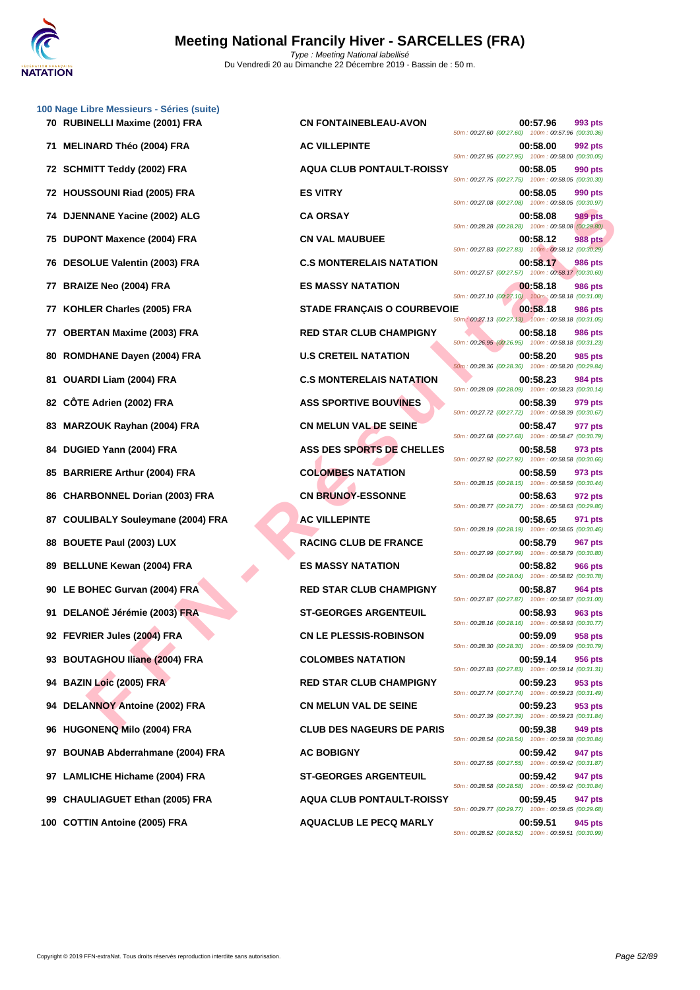

|    | 100 Nage Libre Messieurs - Séries (suite) |                                           |                                                                                                                      |                |
|----|-------------------------------------------|-------------------------------------------|----------------------------------------------------------------------------------------------------------------------|----------------|
|    | 70 RUBINELLI Maxime (2001) FRA            | <b>CN FONTAINEBLEAU-AVON</b>              | 00:57.96<br>50m : 00:27.60 (00:27.60) 100m : 00:57.96 (00:30.36)                                                     | 993 pts        |
|    | 71 MELINARD Théo (2004) FRA               | <b>AC VILLEPINTE</b>                      | 00:58.00<br>50m: 00:27.95 (00:27.95) 100m: 00:58.00 (00:30.05)                                                       | 992 pts        |
|    | 72 SCHMITT Teddy (2002) FRA               | <b>AQUA CLUB PONTAULT-ROISSY</b>          | 00:58.05<br>50m: 00:27.75 (00:27.75) 100m: 00:58.05 (00:30.30)                                                       | 990 pts        |
|    | 72 HOUSSOUNI Riad (2005) FRA              | <b>ES VITRY</b>                           | 00:58.05<br>50m: 00:27.08 (00:27.08) 100m: 00:58.05 (00:30.97)                                                       | 990 pts        |
|    | 74 DJENNANE Yacine (2002) ALG             | <b>CA ORSAY</b>                           | 00:58.08<br>50m: 00:28.28 (00:28.28) 100m: 00:58.08 (00:29.80)                                                       | <b>989 pts</b> |
|    | 75 DUPONT Maxence (2004) FRA              | <b>CN VAL MAUBUEE</b>                     | 00:58.12<br>50m: 00:27.83 (00:27.83) 100m: 00:58.12 (00:30.29)                                                       | <b>988 pts</b> |
|    | 76 DESOLUE Valentin (2003) FRA            | <b>C.S MONTERELAIS NATATION</b>           | 00:58.17<br>50m: 00:27.57 (00:27.57) 100m: 00:58.17 (00:30.60)                                                       | <b>986 pts</b> |
|    | 77 BRAIZE Neo (2004) FRA                  | <b>ES MASSY NATATION</b>                  | 00:58.18<br>50m: 00:27.10 (00:27.10) 100m: 00:58.18 (00:31.08)                                                       | <b>986 pts</b> |
|    | 77 KOHLER Charles (2005) FRA              | <b>STADE FRANÇAIS O COURBEVOIE</b>        | 00:58.18<br>50m : 00:27.13 (00:27.13) 100m : 00:58.18 (00:31.05)                                                     | <b>986 pts</b> |
|    | 77 OBERTAN Maxime (2003) FRA              | <b>RED STAR CLUB CHAMPIGNY</b>            | 00:58.18<br>50m: 00:26.95 (00:26.95) 100m: 00:58.18 (00:31.23)                                                       | <b>986 pts</b> |
| 80 | ROMDHANE Dayen (2004) FRA                 | <b>U.S CRETEIL NATATION</b>               | 00:58.20<br>50m: 00:28.36 (00:28.36) 100m: 00:58.20 (00:29.84)                                                       | 985 pts        |
|    | 81 OUARDI Liam (2004) FRA                 | <b>C.S MONTERELAIS NATATION</b>           | 00:58.23<br>50m: 00:28.09 (00:28.09) 100m: 00:58.23 (00:30.14)                                                       | 984 pts        |
| 82 | CÖTE Adrien (2002) FRA                    | <b>ASS SPORTIVE BOUVINES</b>              | 00:58.39<br>50m: 00:27.72 (00:27.72) 100m: 00:58.39 (00:30.67)                                                       | 979 pts        |
| 83 | <b>MARZOUK Rayhan (2004) FRA</b>          | <b>CN MELUN VAL DE SEINE</b>              | 00:58.47<br>50m: 00:27.68 (00:27.68) 100m: 00:58.47 (00:30.79)                                                       | 977 pts        |
|    | 84 DUGIED Yann (2004) FRA                 | ASS DES SPORTS DE CHELLES                 | 00:58.58<br>50m : 00:27.92 (00:27.92) 100m : 00:58.58 (00:30.66)                                                     | 973 pts        |
|    | 85 BARRIERE Arthur (2004) FRA             | <b>COLOMBES NATATION</b>                  | 00:58.59<br>50m: 00:28.15 (00:28.15) 100m: 00:58.59 (00:30.44)                                                       | 973 pts        |
| 86 | <b>CHARBONNEL Dorian (2003) FRA</b>       | <b>CN BRUNOY-ESSONNE</b>                  | 00:58.63<br>50m: 00:28.77 (00:28.77) 100m: 00:58.63 (00:29.86)                                                       | 972 pts        |
|    | 87 COULIBALY Souleymane (2004) FRA        | <b>AC VILLEPINTE</b>                      | 00:58.65<br>50m : 00:28.19 (00:28.19) 100m : 00:58.65 (00:30.46)                                                     | 971 pts        |
|    | 88 BOUETE Paul (2003) LUX                 | <b>RACING CLUB DE FRANCE</b>              | 00:58.79<br>50m: 00:27.99 (00:27.99) 100m: 00:58.79 (00:30.80)                                                       | 967 pts        |
|    | 89 BELLUNE Kewan (2004) FRA               | <b>ES MASSY NATATION</b>                  | 00:58.82<br>50m: 00:28.04 (00:28.04) 100m: 00:58.82 (00:30.78)                                                       | <b>966 pts</b> |
|    | 90 LE BOHEC Gurvan (2004) FRA             | <b>RED STAR CLUB CHAMPIGNY</b>            | 00:58.87<br>50m: 00:27.87 (00:27.87) 100m: 00:58.87 (00:31.00)                                                       | 964 pts        |
|    | 91 DELANOË Jérémie (2003) FRA             | <b>ST-GEORGES ARGENTEUIL</b>              | 00:58.93<br>50m: 00:28.16 (00:28.16) 100m: 00:58.93 (00:30.77)                                                       | 963 pts        |
|    | 92 FEVRIER Jules (2004) FRA               | <b>CN LE PLESSIS-ROBINSON</b>             | 00:59.09<br>50m: 00:28.30 (00:28.30) 100m: 00:59.09 (00:30.79)                                                       | 958 pts        |
|    | 93 BOUTAGHOU Iliane (2004) FRA            | <b>COLOMBES NATATION</b>                  | 00:59.14                                                                                                             | 956 pts        |
|    | 94 BAZIN Loic (2005) FRA                  | <b>RED STAR CLUB CHAMPIGNY</b>            | 50m: 00:27.83 (00:27.83) 100m: 00:59.14 (00:31.31)<br>00:59.23<br>50m: 00:27.74 (00:27.74) 100m: 00:59.23 (00:31.49) | 953 pts        |
|    | 94 DELANNOY Antoine (2002) FRA            | <b>CN MELUN VAL DE SEINE</b>              | 00:59.23                                                                                                             | 953 pts        |
|    | 96 HUGONENQ Milo (2004) FRA               | <b>CLUB DES NAGEURS DE PARIS</b>          | 50m: 00:27.39 (00:27.39) 100m: 00:59.23 (00:31.84)<br>00:59.38                                                       | 949 pts        |
|    | 97 BOUNAB Abderrahmane (2004) FRA         | <b>AC BOBIGNY</b>                         | 50m: 00:28.54 (00:28.54) 100m: 00:59.38 (00:30.84)<br>00:59.42                                                       | 947 pts        |
|    | 97 LAMLICHE Hichame (2004) FRA            | <b>ST-GEORGES ARGENTEUIL</b>              | 50m: 00:27.55 (00:27.55) 100m: 00:59.42 (00:31.87)<br>00:59.42                                                       | 947 pts        |
| 99 | <b>CHAULIAGUET Ethan (2005) FRA</b>       | <b>AQUA CLUB PONTAULT-ROISSY</b>          | 50m: 00:28.58 (00:28.58) 100m: 00:59.42 (00:30.84)<br>00:59.45                                                       | 947 pts        |
|    | 400 COTTINI Aprove (2005) FD A            | $\lambda$ ou $\lambda$ cuud Le Beco Maduv | 50m: 00:29.77 (00:29.77) 100m: 00:59.45 (00:29.68)<br>OO EO EA                                                       |                |

**F F NAME Young (2004) FRA**<br> **F RANCH CHE SHARE THE R É SANS PRANCHE SANS ANTATION (2005) FRA<br>
CHE Valentin (2003) FRA<br>
E F NAME IN THE R ENDER FRANÇAIS O COURBER ANTATION<br>
E VALUE VALUE NAME IN THE RANCHE SANS PRANCHE SAN 700 CN FONTAINEBLEAU-AVON 00:57.96 993 pts** 50m : 00:27.60 (00:27.60) 100m : 00:57.96 (00:30.36) **71 MELINARD Théo (2004) FRA AC VILLEPINTE 00:58.00 992 pts** 50m : 00:27.95 (00:27.95) 100m : 00:58.00 (00:30.05) **72 SCHMITT Teddy (2002) FRA AQUA CLUB PONTAULT-ROISSY 00:58.05 990 pts** 50m : 00:27.75 (00:27.75) 100m : 00:58.05 (00:30.30) 50m : 00:27.08 (00:27.08) 100m : 00:58.05 (00:30.97) 50m : 00:28.28 (00:28.28) 100m : 00:58.08 (00:29.80) **758.12 PDDE EXECUTE: 2004)** FRACK **CN VAL MAUBUEE** 50m : 00:27.83 (00:27.83) 100m : 00:58.12 (00:30.29) **766 DESOLUTE VALUE VALENTIN (2003) FRACATION DES** 50m : 00:27.57 (00:27.57) 100m : 00:58.17 (00:30.60) **77 BRAIZE Neo (2004) FRA ES MASSY NATATION 00:58.18 986 pts** 50m : 00:27.10 (00:27.10) 100m : 00:58.18 (00:31.08) **87ADE FRANÇAIS O COURBEVOIE 00:58.18 986 pts** 50m : 00:27.13 (00:27.13) 100m : 00:58.18 (00:31.05) **778 RED STAR CLUB CHAMPIGNY 8.18 00:58.18 986 pts** 50m : 00:26.95 (00:26.95) 100m : 00:58.18 (00:31.23) **80.58.20 80.58.20 985 pts** 50m : 00:28.36 (00:28.36) 100m : 00:58.20 (00:29.84) **81 C.S MONTERELAIS NATATION 00:58.23 984 pts** 50m : 00:28.09 (00:28.09) 100m : 00:58.23 (00:30.14) **82 CÔTE Adrien (2002) FRA ASS SPORTIVE BOUVINES 00:58.39 979 pts** 50m : 00:27.72 (00:27.72) 100m : 00:58.39 (00:30.67) **83 CN MELUN VAL DE SEINE 83 COMPANY CONSIDERED <b>00:58.47 977 pts** 50m : 00:27.68 (00:27.68) 100m : 00:58.47 (00:30.79) **84 ASS DES SPORTS DE CHELLES 00:58.58 973 pts** 50m : 00:27.92 (00:27.92) 100m : 00:58.58 (00:30.66) **858 <b>BARRIER BARRIER ARTHUR (2004) FRANCISC <b>COLOMBES NATATION 60:58.59 973 pts** 50m : 00:28.15 (00:28.15) 100m : 00:58.59 (00:30.44) **86 CN BRUNOY-ESSONNE 00:58.63 972 pts** 50m : 00:28.77 (00:28.77) 100m : 00:58.63 (00:29.86) **87 COULIBALY Souleymane (2004) FRA AC VILLEPINTE 00:58.65 971 pts** 50m : 00:28.19 (00:28.19) 100m : 00:58.65 (00:30.46) **88 BOUGETER EXAMPLE 100:58.79 967 pts** 50m : 00:27.99 (00:27.99) 100m : 00:58.79 (00:30.80) **899 1995 1996 1996 1996 1997 1998 1999 10:58.82 966 pts** 50m : 00:28.04 (00:28.04) 100m : 00:58.82 (00:30.78) **RED STAR CLUB CHAMPIGNY 00:58.87 964 pts** 50m : 00:27.87 (00:27.87) 100m : 00:58.87 (00:31.00) **91 DELANOË Jérémie (2003) FRA ST-GEORGES ARGENTEUIL 00:58.93 963 pts** 50m : 00:28.16 (00:28.16) 100m : 00:58.93 (00:30.77) **92 FEVRIER Jules (2004) FRA CN LE PLESSIS-ROBINSON 00:59.09 958 pts** 50m : 00:28.30 (00:28.30) 100m : 00:59.09 (00:30.79) **COLOMBES NATATION 00:59.14 956 pts** 50m : 00:27.83 (00:27.83) 100m : 00:59.14 (00:31.31) **RED STAR CLUB CHAMPIGNY 00:59.23** 953 pts 50m : 00:27.74 (00:27.74) 100m : 00:59.23 (00:31.49) **CN MELUN VAL DE SEINE 00:59.23 953 pts** 50m : 00:27.39 (00:27.39) 100m : 00:59.23 (00:31.84) **96 HUGONENQ Milo (2004) FRA CLUB DES NAGEURS DE PARIS 00:59.38 949 pts** 50m : 00:28.54 (00:28.54) 100m : 00:59.38 (00:30.84) 50m : 00:27.55 (00:27.55) 100m : 00:59.42 (00:31.87) **947 ODER GES ARGENTEUIL COLLECTED 00:59.42 947 pts** 50m : 00:28.58 (00:28.58) 100m : 00:59.42 (00:30.84) **99 CHAULIAGUET Ethan (2005) FRA AQUA CLUB PONTAULT-ROISSY 00:59.45 947 pts** 50m : 00:29.77 (00:29.77) 100m : 00:59.45 (00:29.68) **100 COTTIN Antoine (2005) FRA AQUACLUB LE PECQ MARLY 00:59.51 945 pts** 50m : 00:28.52 (00:28.52) 100m : 00:59.51 (00:30.99)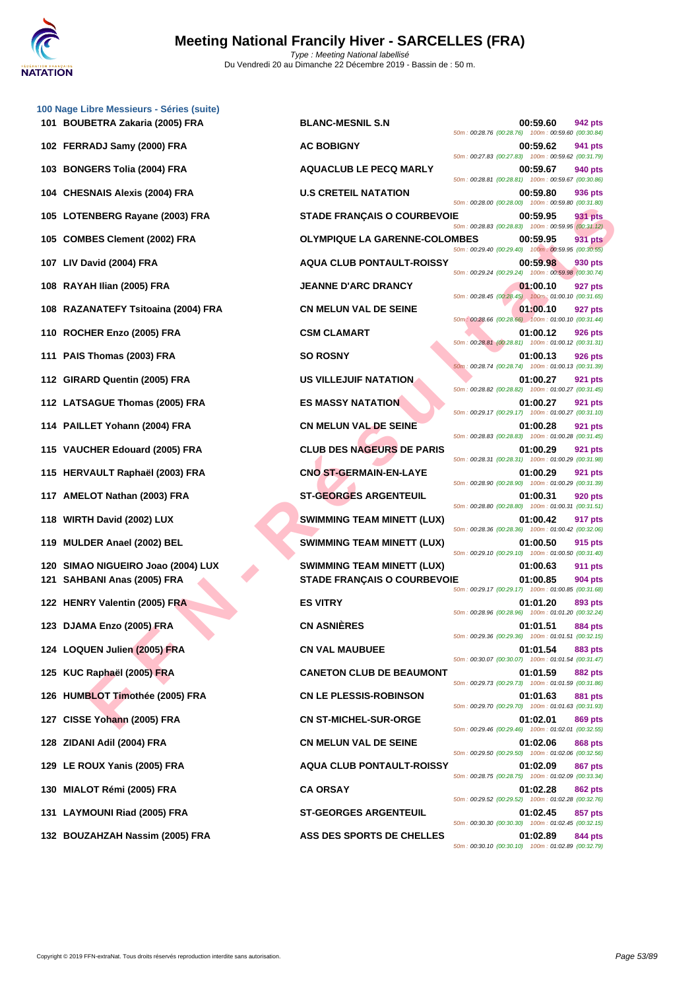

| 100 Nage Libre Messieurs - Séries (suite)<br>101 BOUBETRA Zakaria (2005) FRA | <b>BLANC-MESNIL S.N</b>              |                                                                                                          | 00:59.60 | 942 pts        |
|------------------------------------------------------------------------------|--------------------------------------|----------------------------------------------------------------------------------------------------------|----------|----------------|
| 102 FERRADJ Samy (2000) FRA                                                  | <b>AC BOBIGNY</b>                    | 50m: 00:28.76 (00:28.76) 100m: 00:59.60 (00:30.84)                                                       | 00:59.62 | 941 pts        |
| 103 BONGERS Tolia (2004) FRA                                                 | <b>AQUACLUB LE PECQ MARLY</b>        | 50m: 00:27.83 (00:27.83) 100m: 00:59.62 (00:31.79)                                                       | 00:59.67 | 940 pts        |
| 104 CHESNAIS Alexis (2004) FRA                                               | <b>U.S CRETEIL NATATION</b>          | 50m: 00:28.81 (00:28.81) 100m: 00:59.67 (00:30.86)                                                       | 00:59.80 | 936 pts        |
| 105 LOTENBERG Rayane (2003) FRA                                              | <b>STADE FRANÇAIS O COURBEVOIE</b>   | 50m: 00:28.00 (00:28.00) 100m: 00:59.80 (00:31.80)                                                       | 00:59.95 | 931 pts        |
| 105 COMBES Clement (2002) FRA                                                | <b>OLYMPIQUE LA GARENNE-COLOMBES</b> | 50m: 00:28.83 (00:28.83) 100m: 00:59.95 (00:31.12)                                                       | 00:59.95 | 931 pts        |
| 107 LIV David (2004) FRA                                                     | <b>AQUA CLUB PONTAULT-ROISSY</b>     | 50m: 00:29.40 (00:29.40) 100m: 00:59.95 (00:30.55)                                                       | 00:59.98 | 930 pts        |
| 108 RAYAH Ilian (2005) FRA                                                   | <b>JEANNE D'ARC DRANCY</b>           | 50m: 00:29.24 (00:29.24) 100m: 00:59.98 (00:30.74)                                                       | 01:00.10 | 927 pts        |
| 108 RAZANATEFY Tsitoaina (2004) FRA                                          | <b>CN MELUN VAL DE SEINE</b>         | 50m: 00:28.45 (00:28.45) 100m: 01:00.10 (00:31.65)                                                       | 01:00.10 | 927 pts        |
| 110 ROCHER Enzo (2005) FRA                                                   | <b>CSM CLAMART</b>                   | 50m: 00:28.66 (00:28.66) 100m: 01:00.10 (00:31.44)                                                       | 01:00.12 | <b>926 pts</b> |
| 111 PAIS Thomas (2003) FRA                                                   | <b>SO ROSNY</b>                      | 50m: 00:28.81 (00:28.81) 100m: 01:00.12 (00:31.31)<br>50m: 00:28.74 (00:28.74) 100m: 01:00.13 (00:31.39) | 01:00.13 | 926 pts        |
| 112 GIRARD Quentin (2005) FRA                                                | <b>US VILLEJUIF NATATION</b>         |                                                                                                          | 01:00.27 | 921 pts        |
| 112 LATSAGUE Thomas (2005) FRA                                               | <b>ES MASSY NATATION</b>             | 50m: 00:28.82 (00:28.82) 100m: 01:00.27 (00:31.45)                                                       | 01:00.27 | 921 pts        |
| 114 PAILLET Yohann (2004) FRA                                                | <b>CN MELUN VAL DE SEINE</b>         | 50m: 00:29.17 (00:29.17) 100m: 01:00.27 (00:31.10)                                                       | 01:00.28 | 921 pts        |
| 115 VAUCHER Edouard (2005) FRA                                               | <b>CLUB DES NAGEURS DE PARIS</b>     | 50m: 00:28.83 (00:28.83) 100m: 01:00.28 (00:31.45)                                                       | 01:00.29 | <b>921 pts</b> |
| 115 HERVAULT Raphaël (2003) FRA                                              | <b>CNO ST-GERMAIN-EN-LAYE</b>        | 50m: 00:28.31 (00:28.31) 100m: 01:00.29 (00:31.98)                                                       | 01:00.29 | 921 pts        |
| 117 AMELOT Nathan (2003) FRA                                                 | <b>ST-GEORGES ARGENTEUIL</b>         | 50m: 00:28.90 (00:28.90) 100m: 01:00.29 (00:31.39)                                                       | 01:00.31 | 920 pts        |
| 118 WIRTH David (2002) LUX                                                   | <b>SWIMMING TEAM MINETT (LUX)</b>    | 50m: 00:28.80 (00:28.80) 100m: 01:00.31 (00:31.51)                                                       | 01:00.42 | 917 pts        |
| 119 MULDER Anael (2002) BEL                                                  | <b>SWIMMING TEAM MINETT (LUX)</b>    | 50m: 00:28.36 (00:28.36) 100m: 01:00.42 (00:32.06)                                                       | 01:00.50 | 915 pts        |
| 120 SIMAO NIGUEIRO Joao (2004) LUX                                           | <b>SWIMMING TEAM MINETT (LUX)</b>    | 50m: 00:29.10 (00:29.10) 100m: 01:00.50 (00:31.40)                                                       | 01:00.63 | <b>911 pts</b> |
| 121 SAHBANI Anas (2005) FRA                                                  | <b>STADE FRANÇAIS O COURBEVOIE</b>   | 50m: 00:29.17 (00:29.17) 100m: 01:00.85 (00:31.68)                                                       | 01:00.85 | 904 pts        |
| 122 HENRY Valentin (2005) FRA                                                | <b>ES VITRY</b>                      | 50m: 00:28.96 (00:28.96) 100m: 01:01.20 (00:32.24)                                                       | 01:01.20 | 893 pts        |
| 123 DJAMA Enzo (2005) FRA                                                    | <b>CN ASNIÈRES</b>                   | 50m: 00:29.36 (00:29.36) 100m: 01:01.51 (00:32.15)                                                       | 01:01.51 | 884 pts        |
| 124 LOQUEN Julien (2005) FRA                                                 | <b>CN VAL MAUBUEE</b>                | 50m: 00:30.07 (00:30.07) 100m: 01:01.54 (00:31.47)                                                       | 01:01.54 | 883 pts        |
| 125 KUC Raphaël (2005) FRA                                                   | <b>CANETON CLUB DE BEAUMONT</b>      | 50m: 00:29.73 (00:29.73) 100m: 01:01.59 (00:31.86)                                                       | 01:01.59 | <b>882 pts</b> |
| 126 HUMBLOT Timothée (2005) FRA                                              | <b>CN LE PLESSIS-ROBINSON</b>        | 50m: 00:29.70 (00:29.70) 100m: 01:01.63 (00:31.93)                                                       | 01:01.63 | 881 pts        |
| 127 CISSE Yohann (2005) FRA                                                  | <b>CN ST-MICHEL-SUR-ORGE</b>         | 50m: 00:29.46 (00:29.46) 100m: 01:02.01 (00:32.55)                                                       | 01:02.01 | 869 pts        |
| 128 ZIDANI Adil (2004) FRA                                                   | <b>CN MELUN VAL DE SEINE</b>         | 50m: 00:29.50 (00:29.50) 100m: 01:02.06 (00:32.56)                                                       | 01:02.06 | 868 pts        |
| 129 LE ROUX Yanis (2005) FRA                                                 | <b>AQUA CLUB PONTAULT-ROISSY</b>     | 50m: 00:28.75 (00:28.75) 100m: 01:02.09 (00:33.34)                                                       | 01:02.09 | 867 pts        |
| 130 MIALOT Rémi (2005) FRA                                                   | <b>CA ORSAY</b>                      | 50m: 00:29.52 (00:29.52) 100m: 01:02.28 (00:32.76)                                                       | 01:02.28 | 862 pts        |
| 131 LAYMOUNI Riad (2005) FRA                                                 | <b>ST-GEORGES ARGENTEUIL</b>         | 50m: 00:30.30 (00:30.30) 100m: 01:02.45 (00:32.15)                                                       | 01:02.45 | 857 pts        |
| 132 BOUZAHZAH Nassim (2005) FRA                                              | ASS DES SPORTS DE CHELLES            | 50m: 00:30.10 (00:30.10) 100m: 01:02.89 (00:32.79)                                                       | 01:02.89 | 844 pts        |
|                                                                              |                                      |                                                                                                          |          |                |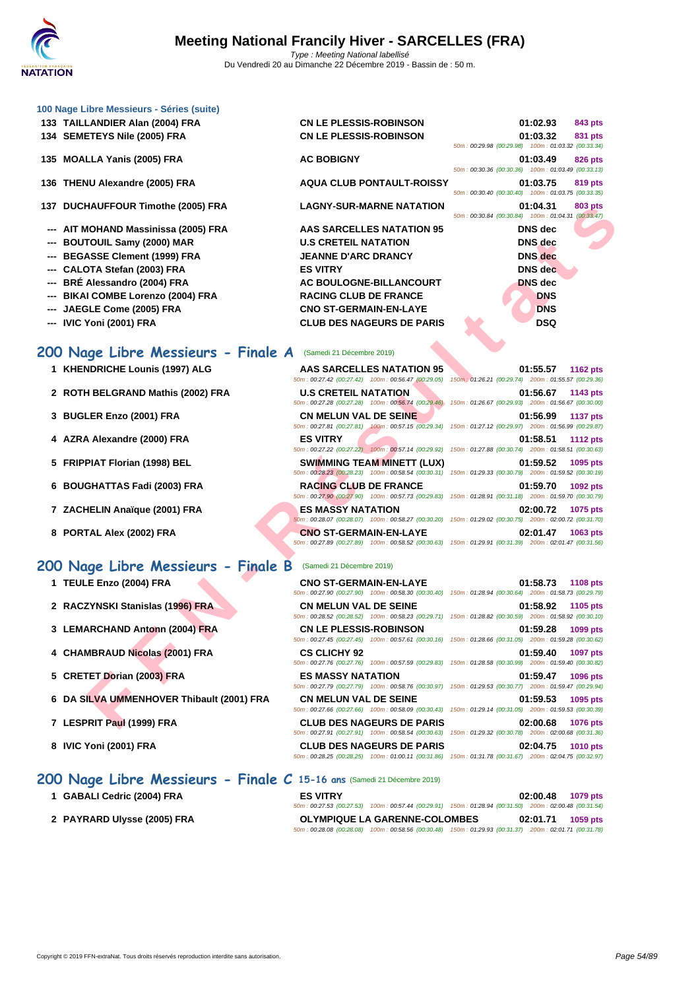| 100 Nage Libre Messieurs - Séries (suite)<br>133 TAILLANDIER Alan (2004) FRA<br>134 SEMETEYS Nile (2005) FRA                                                                                                                              | <b>CN LE PLESSIS-ROBINSON</b><br><b>CN LE PLESSIS-ROBINSON</b>                                                                                                                                                       | 01:02.93<br>843 pts<br>01:03.32<br>831 pts<br>50m: 00:29.98 (00:29.98) 100m: 01:03.32 (00:33.34)                                      |
|-------------------------------------------------------------------------------------------------------------------------------------------------------------------------------------------------------------------------------------------|----------------------------------------------------------------------------------------------------------------------------------------------------------------------------------------------------------------------|---------------------------------------------------------------------------------------------------------------------------------------|
| 135 MOALLA Yanis (2005) FRA                                                                                                                                                                                                               | <b>AC BOBIGNY</b>                                                                                                                                                                                                    | 01:03.49<br>826 pts<br>50m: 00:30.36 (00:30.36) 100m: 01:03.49 (00:33.13)                                                             |
| 136 THENU Alexandre (2005) FRA                                                                                                                                                                                                            | <b>AQUA CLUB PONTAULT-ROISSY</b>                                                                                                                                                                                     | 01:03.75<br>819 pts<br>50m: 00:30.40 (00:30.40) 100m: 01:03.75 (00:33.35)                                                             |
| 137 DUCHAUFFOUR Timothe (2005) FRA                                                                                                                                                                                                        | <b>LAGNY-SUR-MARNE NATATION</b>                                                                                                                                                                                      | 01:04.31<br>803 pts<br>50m: 00:30.84 (00:30.84) 100m: 01:04.31 (00:33.47)                                                             |
| --- AIT MOHAND Massinissa (2005) FRA<br><b>BOUTOUIL Samy (2000) MAR</b><br>--- BEGASSE Clement (1999) FRA<br>--- CALOTA Stefan (2003) FRA<br>BRÉ Alessandro (2004) FRA<br><b>BIKAI COMBE Lorenzo (2004) FRA</b><br>JAEGLE Come (2005) FRA | <b>AAS SARCELLES NATATION 95</b><br><b>U.S CRETEIL NATATION</b><br><b>JEANNE D'ARC DRANCY</b><br><b>ES VITRY</b><br>AC BOULOGNE-BILLANCOURT<br><b>RACING CLUB DE FRANCE</b><br><b>CNO ST-GERMAIN-EN-LAYE</b>         | <b>DNS</b> dec<br>DNS dec<br><b>DNS</b> dec<br><b>DNS</b> dec<br><b>DNS</b> dec<br><b>DNS</b><br><b>DNS</b>                           |
| --- IVIC Yoni (2001) FRA                                                                                                                                                                                                                  | <b>CLUB DES NAGEURS DE PARIS</b>                                                                                                                                                                                     | <b>DSQ</b>                                                                                                                            |
| 200 Nage Libre Messieurs - Finale A                                                                                                                                                                                                       | (Samedi 21 Décembre 2019)                                                                                                                                                                                            |                                                                                                                                       |
| 1 KHENDRICHE Lounis (1997) ALG                                                                                                                                                                                                            | AAS SARCELLES NATATION 95<br>50m: 00:27.42 (00:27.42) 100m: 00:56.47 (00:29.05)                                                                                                                                      | 01:55.57<br><b>1162 pts</b><br>150m: 01:26.21 (00:29.74) 200m: 01:55.57 (00:29.36)                                                    |
| 2 ROTH BELGRAND Mathis (2002) FRA                                                                                                                                                                                                         | <b>U.S CRETEIL NATATION</b><br>50m: 00:27.28 (00:27.28) 100m: 00:56.74 (00:29.46)                                                                                                                                    | 01:56.67<br>1143 $pts$<br>150m: 01:26.67 (00:29.93) 200m: 01:56.67 (00:30.00)                                                         |
| 3 BUGLER Enzo (2001) FRA                                                                                                                                                                                                                  | <b>CN MELUN VAL DE SEINE</b><br>50m: 00:27.81 (00:27.81) 100m: 00:57.15 (00:29.34)                                                                                                                                   | 01:56.99<br><b>1137 pts</b><br>150m: 01:27.12 (00:29.97) 200m: 01:56.99 (00:29.87)                                                    |
| 4 AZRA Alexandre (2000) FRA                                                                                                                                                                                                               | <b>ES VITRY</b><br>50m: 00:27.22 (00:27.22) 100m: 00:57.14 (00:29.92)                                                                                                                                                | 01:58.51<br><b>1112 pts</b><br>150m: 01:27.88 (00:30.74) 200m: 01:58.51 (00:30.63)                                                    |
| 5 FRIPPIAT Florian (1998) BEL                                                                                                                                                                                                             | <b>SWIMMING TEAM MINETT (LUX)</b>                                                                                                                                                                                    | 01:59.52<br>1095 pts<br>50m: 00:28.23 (00:28.23) 100m: 00:58.54 (00:30.31) 150m: 01:29.33 (00:30.79) 200m: 01:59.52 (00:30.19)        |
| 6 BOUGHATTAS Fadi (2003) FRA                                                                                                                                                                                                              | <b>RACING CLUB DE FRANCE</b>                                                                                                                                                                                         | 01:59.70<br>1092 pts<br>50m: 00:27.90 (00:27.90) 100m: 00:57.73 (00:29.83) 150m: 01:28.91 (00:31.18) 200m: 01:59.70 (00:30.79)        |
| 7 ZACHELIN Anaïque (2001) FRA                                                                                                                                                                                                             | <b>ES MASSY NATATION</b>                                                                                                                                                                                             | 02:00.72<br>1075 pts<br>50m : 00:28.07 (00:28.07) 100m : 00:58.27 (00:30.20) 150m : 01:29.02 (00:30.75) 200m : 02:00.72 (00:31.70)    |
| 8 PORTAL Alex (2002) FRA                                                                                                                                                                                                                  | <b>CNO ST-GERMAIN-EN-LAYE</b>                                                                                                                                                                                        | 02:01.47<br>1063 pts<br>50m : 00:27.89 (00:27.89) 100m : 00:58.52 (00:30.63) 150m : 01:29.91 (00:31.39) 200m : 02:01.47 (00:31.56)    |
| 200 Nage Libre Messieurs - Finale B                                                                                                                                                                                                       | (Samedi 21 Décembre 2019)                                                                                                                                                                                            |                                                                                                                                       |
| 1 TEULE Enzo (2004) FRA                                                                                                                                                                                                                   | <b>CNO ST-GERMAIN-EN-LAYE</b>                                                                                                                                                                                        | 01:58.73<br><b>1108 pts</b>                                                                                                           |
| 2 RACZYNSKI Stanislas (1996) FRA                                                                                                                                                                                                          | <b>CN MELUN VAL DE SEINE</b>                                                                                                                                                                                         | 50m: 00:27.90 (00:27.90) 100m: 00:58.30 (00:30.40) 150m: 01:28.94 (00:30.64) 200m: 01:58.73 (00:29.79)<br>01:58.92<br><b>1105 pts</b> |
| 3 LEMARCHAND Antonn (2004) FRA                                                                                                                                                                                                            | <b>CN LE PLESSIS-ROBINSON</b>                                                                                                                                                                                        | 50m : 00:28.52 (00:28.52) 100m : 00:58.23 (00:29.71) 150m : 01:28.82 (00:30.59) 200m : 01:58.92 (00:30.10)<br>01:59.28<br>1099 pts    |
|                                                                                                                                                                                                                                           |                                                                                                                                                                                                                      | 50m: 00:27.45 (00:27.45) 100m: 00:57.61 (00:30.16) 150m: 01:28.66 (00:31.05) 200m: 01:59.28 (00:30.62)                                |
| 4 CHAMBRAUD Nicolas (2001) FRA                                                                                                                                                                                                            | <b>CS CLICHY 92</b>                                                                                                                                                                                                  | 01:59.40<br>1097 pts<br>50m: 00:27.76 (00:27.76) 100m: 00:57.59 (00:29.83) 150m: 01:28.58 (00:30.99) 200m: 01:59.40 (00:30.82)        |
| 5 CRETET Dorian (2003) FRA                                                                                                                                                                                                                | <b>ES MASSY NATATION</b>                                                                                                                                                                                             | 01:59.47<br>1096 pts<br>50m: 00:27.79 (00:27.79) 100m: 00:58.76 (00:30.97) 150m: 01:29.53 (00:30.77) 200m: 01:59.47 (00:29.94)        |
| 6 DA SILVA UMMENHOVER Thibault (2001) FRA                                                                                                                                                                                                 | <b>CN MELUN VAL DE SEINE</b>                                                                                                                                                                                         | 01:59.53<br>1095 pts<br>50m: 00:27.66 (00:27.66) 100m: 00:58.09 (00:30.43) 150m: 01:29.14 (00:31.05) 200m: 01:59.53 (00:30.39)        |
| 7 LESPRIT Paul (1999) FRA                                                                                                                                                                                                                 | <b>CLUB DES NAGEURS DE PARIS</b>                                                                                                                                                                                     | 02:00.68<br><b>1076 pts</b><br>50m: 00:27.91 (00:27.91) 100m: 00:58.54 (00:30.63) 150m: 01:29.32 (00:30.78) 200m: 02:00.68 (00:31.36) |
| 8 IVIC Yoni (2001) FRA                                                                                                                                                                                                                    | <b>CLUB DES NAGEURS DE PARIS</b>                                                                                                                                                                                     | 02:04.75<br><b>1010 pts</b><br>50m: 00:28.25 (00:28.25) 100m: 01:00.11 (00:31.86) 150m: 01:31.78 (00:31.67) 200m: 02:04.75 (00:32.97) |
| 200 Nage Libre Messieurs - Finale C 15-16 ans (Samedi 21 Décembre 2019)                                                                                                                                                                   |                                                                                                                                                                                                                      |                                                                                                                                       |
| 1 GABALI Cedric (2004) FRA                                                                                                                                                                                                                | <b>ES VITRY</b>                                                                                                                                                                                                      | 02:00.48<br>1079 pts                                                                                                                  |
| 2 PAYRARD Ulysse (2005) FRA                                                                                                                                                                                                               | <b>OLYMPIQUE LA GARENNE-COLOMBES</b>                                                                                                                                                                                 | 02:01.71<br>1059 pts                                                                                                                  |
|                                                                                                                                                                                                                                           | 50m : 00:27.53 (00:27.53) 100m : 00:57.44 (00:29.91) 150m : 01:28.94 (00:31.50) 200m : 02:00.48 (00:31.54)<br>50m: 00:28.08 (00:28.08) 100m: 00:58.56 (00:30.48) 150m: 01:29.93 (00:31.37) 200m: 02:01.71 (00:31.78) |                                                                                                                                       |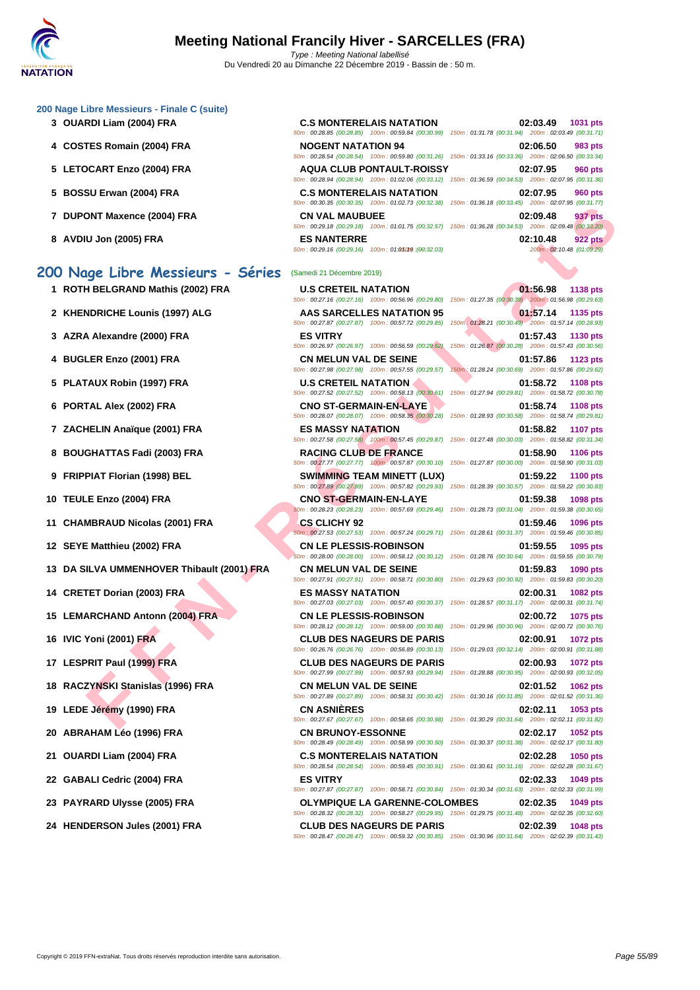#### **[200 Nage](http://www.ffnatation.fr/webffn/index.php) Libre Messieurs - Finale C (suite)**

- **3 OUARDI Liam (2004) FRA C.S MONTERELAIS NATATION 02:03.49 1031 pts**
- **4** COSTES Romain (2004) FRA
- **5** LETOCART Enzo (2004) FRA
- **5 BOSSU Erwan (2004) FRA**
- **7** DUPONT Maxence (2004) FRA
- **8 AVDIU Jon (2005) FRA ES NANTERRE 02:10.48 922 pts**

# **200 Nage Libre Messieurs - Séries** (Samedi 21 Décembre 2019)

- **1 ROTH BELGRAND Mathis (2002) FRA U.S CRETEIL NATATION 01:56.98 1138 pts**
- 
- 
- 
- 
- 
- 
- 
- 
- 
- 
- 
- **13 DA SILVA UMMENHOVER Thibault (2001) FRA CN MELUN VAL DE SEINE 01:59.83 1090 pts**
- 
- **15 LEMARCHAND Antonn (2004) FRA CN LE PLESSIS-ROBINSON 02:00.72 1075 pts**
- 
- 
- 
- 
- 
- 
- 
- 
- 

|                           | <b>C.S MONTERELAIS NATATION</b>                                                                        |                                                     | 02:03.49 | <b>1031 pts</b> |
|---------------------------|--------------------------------------------------------------------------------------------------------|-----------------------------------------------------|----------|-----------------|
|                           | 50m: 00:28.85 (00:28.85) 100m: 00:59.84 (00:30.99)                                                     | 150m: 01:31.78 (00:31.94) 200m: 02:03.49 (00:31.71) |          |                 |
| <b>NOGENT NATATION 94</b> |                                                                                                        |                                                     | 02:06.50 | 983 pts         |
|                           | 50m: 00:28.54 (00:28.54) 100m: 00:59.80 (00:31.26)                                                     | 150m: 01:33.16 (00:33.36) 200m: 02:06.50 (00:33.34) |          |                 |
|                           | <b>AQUA CLUB PONTAULT-ROISSY</b>                                                                       |                                                     | 02:07.95 | 960 pts         |
|                           | 50m: 00:28.94 (00:28.94) 100m: 01:02.06 (00:33.12) 150m: 01:36.59 (00:34.53) 200m: 02:07.95 (00:31.36) |                                                     |          |                 |
|                           | <b>C.S MONTERELAIS NATATION</b>                                                                        |                                                     | 02:07.95 | <b>960 pts</b>  |
|                           | 50m: 00:30.35 (00:30.35) 100m: 01:02.73 (00:32.38)                                                     | 150m: 01:36.18 (00:33.45) 200m: 02:07.95 (00:31.77) |          |                 |
|                           |                                                                                                        |                                                     |          |                 |
| <b>CN VAL MAUBUEE</b>     |                                                                                                        |                                                     | 02:09.48 | 937 pts         |
|                           | 50m: 00:29.18 (00:29.18) 100m: 01:01.75 (00:32.57) 150m: 01:36.28 (00:34.53) 200m: 02:09.48 (00:33.20) |                                                     |          |                 |
| <b>ES NANTERRE</b>        |                                                                                                        |                                                     | 02:10.48 | <b>922 pts</b>  |

|                                            |                                                                                    | <b><i>LUUIII. UL.UI.JJ (UU.JI.II)</i></b>                                                                                                                                                                                                        |
|--------------------------------------------|------------------------------------------------------------------------------------|--------------------------------------------------------------------------------------------------------------------------------------------------------------------------------------------------------------------------------------------------|
| 7 DUPONT Maxence (2004) FRA                | <b>CN VAL MAUBUEE</b>                                                              | 02:09.48<br>937 pts<br>50m: 00:29.18 (00:29.18) 100m: 01:01.75 (00:32.57) 150m: 01:36.28 (00:34.53) 200m: 02:09.48 (00:33.20)                                                                                                                    |
| 8 AVDIU Jon (2005) FRA                     | <b>ES NANTERRE</b><br>$50m : 00:29.16$ (00:29.16) $100m : 01:050M9$ (00:32.03)     | 02:10.48<br><b>922 pts</b><br>200m: 02:10.48 (01:09.29)                                                                                                                                                                                          |
| 00 Nage Libre Messieurs - Séries           | (Samedi 21 Décembre 2019)                                                          |                                                                                                                                                                                                                                                  |
| 1 ROTH BELGRAND Mathis (2002) FRA          | <b>U.S CRETEIL NATATION</b>                                                        | 01:56.98<br><b>1138 pts</b>                                                                                                                                                                                                                      |
| 2 KHENDRICHE Lounis (1997) ALG             | <b>AAS SARCELLES NATATION 95</b>                                                   | 50m : 00:27.16 (00:27.16) 100m : 00:56.96 (00:29.80) 150m : 01:27.35 (00:30.39) 200m : 01:56.98 (00:29.63)<br>01:57.14<br>1135 pts                                                                                                               |
| 3 AZRA Alexandre (2000) FRA                | 50m: 00:27.87 (00:27.87) 100m: 00:57.72 (00:29.85)<br><b>ES VITRY</b>              | 150m: 01:28.21 (00:30.49) 200m: 01:57.14 (00:28.93)<br>01:57.43<br>1130 pts                                                                                                                                                                      |
|                                            | 50m: 00:26.97 (00:26.97) 100m: 00:56.59 (00:29.62)                                 | 150m: 01:26.87 (00:30.28) 200m: 01:57.43 (00:30.56)                                                                                                                                                                                              |
| 4 BUGLER Enzo (2001) FRA                   | <b>CN MELUN VAL DE SEINE</b><br>50m: 00:27.98 (00:27.98) 100m: 00:57.55 (00:29.57) | 01:57.86<br>1123 pts<br>150m: 01:28.24 (00:30.69) 200m: 01:57.86 (00:29.62)                                                                                                                                                                      |
| 5 PLATAUX Robin (1997) FRA                 | <b>U.S CRETEIL NATATION</b>                                                        | 01:58.72<br><b>1108 pts</b><br>50m: 00:27.52 (00:27.52) 100m: 00:58.13 (00:30.61) 150m: 01:27.94 (00:29.81) 200m: 01:58.72 (00:30.78)                                                                                                            |
| 6 PORTAL Alex (2002) FRA                   | <b>CNO ST-GERMAIN-EN-LAYE</b>                                                      | 01:58.74<br><b>1108 pts</b>                                                                                                                                                                                                                      |
| 7 ZACHELIN Anaïque (2001) FRA              | <b>ES MASSY NATATION</b>                                                           | 50m: 00:28.07 (00:28.07) 100m: 00:58.35 (00:30.28) 150m: 01:28.93 (00:30.58) 200m: 01:58.74 (00:29.81)<br>01:58.82<br><b>1107 pts</b>                                                                                                            |
| 8 BOUGHATTAS Fadi (2003) FRA               | <b>RACING CLUB DE FRANCE</b>                                                       | 50m : 00:27.58 (00:27.58) 100m : 00:57.45 (00:29.87) 150m : 01:27.48 (00:30.03) 200m : 01:58.82 (00:31.34)<br>01:58.90<br><b>1106 pts</b>                                                                                                        |
|                                            |                                                                                    | 50m: 00:27.77 (00:27.77) 100m: 00:57.87 (00:30.10) 150m: 01:27.87 (00:30.00) 200m: 01:58.90 (00:31.03)                                                                                                                                           |
| 9 FRIPPIAT Florian (1998) BEL              | <b>SWIMMING TEAM MINETT (LUX)</b>                                                  | 01:59.22<br><b>1100 pts</b><br>50m: 00:27.89 (00:27.89) 100m: 00:57.82 (00:29.93) 150m: 01:28.39 (00:30.57) 200m: 01:59.22 (00:30.83)                                                                                                            |
| 10 TEULE Enzo (2004) FRA                   | <b>CNO ST-GERMAIN-EN-LAYE</b>                                                      | 01:59.38<br>1098 pts<br>50m: 00:28.23 (00:28.23) 100m: 00:57.69 (00:29.46) 150m: 01:28.73 (00:31.04) 200m: 01:59.38 (00:30.65)                                                                                                                   |
| 11 CHAMBRAUD Nicolas (2001) FRA            | <b>CS CLICHY 92</b>                                                                | 01:59.46<br>1096 pts                                                                                                                                                                                                                             |
| 12 SEYE Matthieu (2002) FRA                | <b>CN LE PLESSIS-ROBINSON</b>                                                      | 50m: 00:27.53 (00:27.53) 100m: 00:57.24 (00:29.71) 150m: 01:28.61 (00:31.37) 200m: 01:59.46 (00:30.85)<br>01:59.55<br>1095 pts                                                                                                                   |
|                                            |                                                                                    | 50m : 00:28.00 (00:28.00) 100m : 00:58.12 (00:30.12) 150m : 01:28.76 (00:30.64) 200m : 01:59.55 (00:30.79)                                                                                                                                       |
| 13 DA SILVA UMMENHOVER Thibault (2001) FRA | <b>CN MELUN VAL DE SEINE</b>                                                       | 01:59.83<br>1090 pts<br>50m: 00:27.91 (00:27.91) 100m: 00:58.71 (00:30.80) 150m: 01:29.63 (00:30.92) 200m: 01:59.83 (00:30.20)                                                                                                                   |
| 14 CRETET Dorian (2003) FRA                | <b>ES MASSY NATATION</b>                                                           | 02:00.31<br>1082 pts<br>50m: 00:27.03 (00:27.03) 100m: 00:57.40 (00:30.37) 150m: 01:28.57 (00:31.17) 200m: 02:00.31 (00:31.74)                                                                                                                   |
| 15 LEMARCHAND Antonn (2004) FRA            | <b>CN LE PLESSIS-ROBINSON</b>                                                      | 02:00.72<br>1075 pts                                                                                                                                                                                                                             |
| 16 IVIC Yoni (2001) FRA                    | <b>CLUB DES NAGEURS DE PARIS</b>                                                   | 50m : 00:28.12 (00:28.12) 100m : 00:59.00 (00:30.88) 150m : 01:29.96 (00:30.96) 200m : 02:00.72 (00:30.76)<br>02:00.91<br>1072 pts<br>50m : 00:26.76 (00:26.76) 100m : 00:56.89 (00:30.13) 150m : 01:29.03 (00:32.14) 200m : 02:00.91 (00:31.88) |
| 17 LESPRIT Paul (1999) FRA                 | <b>CLUB DES NAGEURS DE PARIS</b>                                                   | 02:00.93<br>1072 pts<br>50m: 00:27.99 (00:27.99) 100m: 00:57.93 (00:29.94) 150m: 01:28.88 (00:30.95) 200m: 02:00.93 (00:32.05)                                                                                                                   |
| 18 RACZYNSKI Stanislas (1996) FRA          | <b>CN MELUN VAL DE SEINE</b>                                                       | 02:01.52<br><b>1062 pts</b><br>50m: 00:27.89 (00:27.89) 100m: 00:58.31 (00:30.42) 150m: 01:30.16 (00:31.85) 200m: 02:01.52 (00:31.36)                                                                                                            |
| 19 LEDE Jérémy (1990) FRA                  | <b>CN ASNIERES</b>                                                                 | 02:02.11<br>1053 pts                                                                                                                                                                                                                             |
| 20 ABRAHAM Léo (1996) FRA                  | <b>CN BRUNOY-ESSONNE</b>                                                           | 50m: 00:27.67 (00:27.67) 100m: 00:58.65 (00:30.98) 150m: 01:30.29 (00:31.64) 200m: 02:02.11 (00:31.82)<br>02:02.17 1052 pts<br>50m : 00:28.49 (00:28.49) 100m : 00:58.99 (00:30.50) 150m : 01:30.37 (00:31.38) 200m : 02:02.17 (00:31.80)        |
| 21 OUARDI Liam (2004) FRA                  | <b>C.S MONTERELAIS NATATION</b>                                                    | 02:02.28<br>1050 pts<br>50m: 00:28.54 (00:28.54) 100m: 00:59.45 (00:30.91) 150m: 01:30.61 (00:31.16) 200m: 02:02.28 (00:31.67)                                                                                                                   |
| 22 GABALI Cedric (2004) FRA                | <b>ES VITRY</b>                                                                    | 02:02.33<br>1049 pts                                                                                                                                                                                                                             |
| 23 PAYRARD Ulysse (2005) FRA               | <b>OLYMPIQUE LA GARENNE-COLOMBES</b>                                               | 50m: 00:27.87 (00:27.87) 100m: 00:58.71 (00:30.84) 150m: 01:30.34 (00:31.63) 200m: 02:02.33 (00:31.99)<br>02:02.35<br>1049 pts<br>50m: 00:28.32 (00:28.32) 100m: 00:58.27 (00:29.95) 150m: 01:29.75 (00:31.48) 200m: 02:02.35 (00:32.60)         |
| 24 HENDERSON Jules (2001) FRA              | <b>CLUB DES NAGEURS DE PARIS</b>                                                   | 02:02.39<br>1048 pts<br>50m : 00:28.47 (00:28.47) 100m : 00:59.32 (00:30.85) 150m : 01:30.96 (00:31.64) 200m : 02:02.39 (00:31.43)                                                                                                               |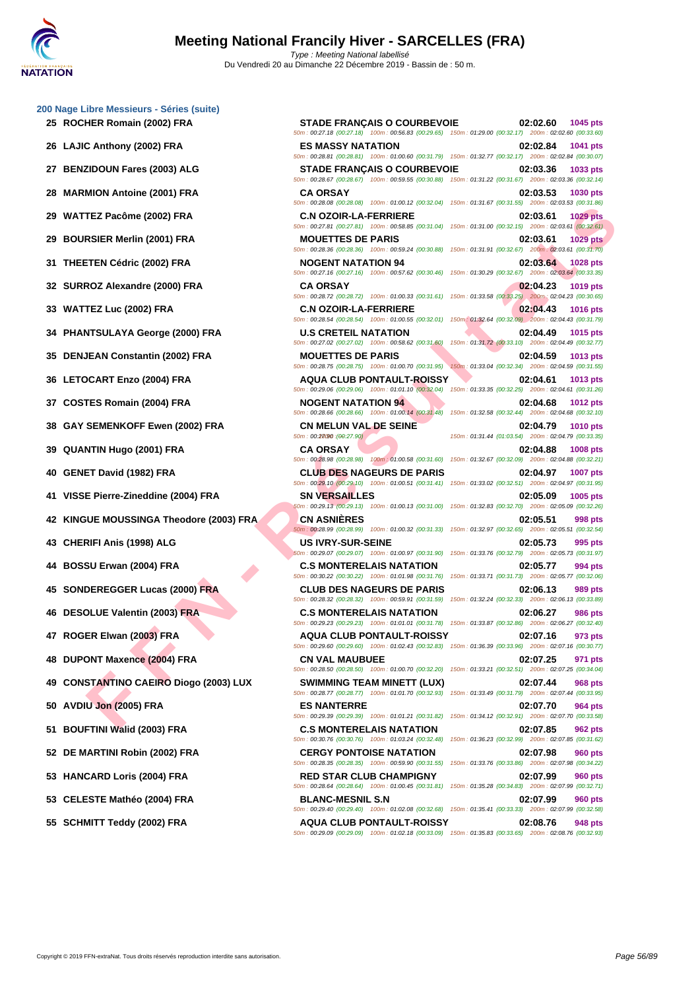|  | 200 Nage Libre Messieurs - Séries (suite) |  |
|--|-------------------------------------------|--|

- 
- 
- 
- 
- 
- 
- 
- 
- 
- 
- 
- 
- 
- 
- 
- 
- 
- **42 KINGUE MOUSSINGA Theodore (2003) FRA CN ASNIÈRES 02:05.51 998 pts**
- 
- 
- 
- 
- 
- 
- **49 CONSTANTINO CAEIRO Diogo (2003) LUX SWIMMING TEAM MINETT (LUX) 02:07.44 968 pts**
- 
- 
- 
- 
- 
- **55 SCHMITT Teddy (2002) FRA AQUA CLUB PONTAULT-ROISSY 02:08.76 948 pts**

**FE R Media (2004) FRA** CA AND CHE TRIP AND CONTENT MATERISHERE CONTENT MATERISHER IS the state and a transportation of the state and a transportation of the state and a transportation of the state and a transportation of **25 ROCHER Romain (2002) FRA STADE FRANÇAIS O COURBEVOIE 02:02.60 1045 pts** 50m : 00:27.18 (00:27.18) 100m : 00:56.83 (00:29.65) 150m : 01:29.00 (00:32.17) 200m : 02:02.60 (00:33.60) **26 LAJIC Anthony (2002) FRA ES MASSY NATATION 02:02.84 1041 pts** 50m : 00:28.81 (00:28.81) 100m : 01:00.60 (00:31.79) 150m : 01:32.77 (00:32.17) 200m : 02:02.84 (00:30.07) **27 BENZIDOUN Fares (2003) ALG STADE FRANÇAIS O COURBEVOIE 02:03.36 1033 pts** 50m : 00:28.67 (00:28.67) 100m : 00:59.55 (00:30.88) 150m : 01:31.22 (00:31.67) 200m : 02:03.36 (00:32.14) **28 MARMION Antoine (2001) FRA CA ORSAY 02:03.53 1030 pts** 50m : 00:28.08 (00:28.08) 100m : 01:00.12 (00:32.04) 150m : 01:31.67 (00:31.55) 200m : 02:03.53 (00:31.86) **29 WATTEZ Pacôme (2002) FRA C.N OZOIR-LA-FERRIERE 02:03.61 1029 pts** 50m : 00:27.81 (00:27.81) 100m : 00:58.85 (00:31.04) 150m : 01:31.00 (00:32.15) 200m : 02:03.61 (00:32.61) **29 BOURSIER Merlin (2001) FRA MOUETTES DE PARIS 02:03.61 1029 pts** 50m : 00:28.36 (00:28.36) 100m : 00:59.24 (00:30.88) 150m : 01:31.91 (00:32.67) 200m : 02:03.61 (00:31.70) **31 THEETEN Cédric (2002) FRA NOGENT NATATION 94 02:03.64 1028 pts** 50m : 00:27.16 (00:27.16) 100m : 00:57.62 (00:30.46) 150m : 01:30.29 (00:32.67) 200m : 02:03.64 (00:33.35) **32 SURROZ Alexandre (2000) FRA CA ORSAY 02:04.23 1019 pts** 50m : 00:28.72 (00:28.72) 100m : 01:00.33 (00:31.61) 150m : 01:33.58 (00:33.25) 200m : 02:04.23 (00:30.65) **33 WATTEZ Luc (2002) FRA C.N OZOIR-LA-FERRIERE 02:04.43 1016 pts** 50m : 00:28.54 (00:28.54) 100m : 01:00.55 (00:32.01) 150m : 01:32.64 (00:32.09) 200m : 02:04.43 (00:31.79) **34 PHANTSULAYA George (2000) FRA U.S CRETEIL NATATION 02:04.49 1015 pts** 50m : 00:27.02 (00:27.02) 100m : 00:58.62 (00:31.60) 150m : 01:31.72 (00:33.10) 200m : 02:04.49 (00:32.77) **35 DENJEAN Constantin (2002) FRA MOUETTES DE PARIS 02:04.59 1013 pts** 50m : 00:28.75 (00:28.75) 100m : 01:00.70 (00:31.95) 150m : 01:33.04 (00:32.34) 200m : 02:04.59 (00:31.55) **36 LETOCART Enzo (2004) FRA AQUA CLUB PONTAULT-ROISSY 02:04.61 1013 pts** 50m : 00:29.06 (00:29.06) 100m : 01:01.10 (00:32.04) 150m : 01:33.35 (00:32.25) 200m : 02:04.61 (00:31.26) **37 COSTES Romain (2004) FRA NOGENT NATATION 94 02:04.68 1012 pts** 50m : 00:28.66 (00:28.66) 100m : 01:00.14 (00:31.48) 150m : 01:32.58 (00:32.44) 200m : 02:04.68 (00:32.10) **38 GAY SEMENKOFF Ewen (2002) FRA CN MELUN VAL DE SEINE 02:04.79 1010 pts**  $50m : 00:27.90$   $(00:27.90)$   $(150m : 01:31.44)$   $(01:03.54)$   $200m : 02:04.79$   $(00:33.35)$ **39 QUANTIN Hugo (2001) FRA CA ORSAY 02:04.88 1008 pts** 50m : 00:28.98 (00:28.98) 100m : 01:00.58 (00:31.60) 150m : 01:32.67 (00:32.09) 200m : 02:04.88 (00:32.21) **40 GENET David (1982) FRA CLUB DES NAGEURS DE PARIS 02:04.97 1007 pts** 50m : 00:29.10 (00:29.10) 100m : 01:00.51 (00:31.41) 150m : 01:33.02 (00:32.51) 200m : 02:04.97 (00:31.95) **41 VISSE Pierre-Zineddine (2004) FRA SN VERSAILLES 02:05.09 1005 pts** 50m : 00:29.13 (00:29.13) 100m : 01:00.13 (00:31.00) 150m : 01:32.83 (00:32.70) 200m : 02:05.09 (00:32.26) 50m : 00:28.99 (00:28.99) 100m : 01:00.32 (00:31.33) 150m : 01:32.97 (00:32.65) 200m : 02:05.51 (00:32.54) **43 CHERIFI Anis (1998) ALG US IVRY-SUR-SEINE 02:05.73 995 pts** 50m : 00:29.07 (00:29.07) 100m : 01:00.97 (00:31.90) 150m : 01:33.76 (00:32.79) 200m : 02:05.73 (00:31.97) **44 BOSSU Erwan (2004) FRA C.S MONTERELAIS NATATION 02:05.77 994 pts** 50m : 00:30.22 (00:30.22) 100m : 01:01.98 (00:31.76) 150m : 01:33.71 (00:31.73) 200m : 02:05.77 (00:32.06) **45 SONDEREGGER Lucas (2000) FRA CLUB DES NAGEURS DE PARIS 02:06.13 989 pts** 50m : 00:28.32 (00:28.32) 100m : 00:59.91 (00:31.59) 150m : 01:32.24 (00:32.33) 200m : 02:06.13 (00:33.89) **46 DESOLUE Valentin (2003) FRA C.S MONTERELAIS NATATION 02:06.27 986 pts** 50m : 00:29.23 (00:29.23) 100m : 01:01.01 (00:31.78) 150m : 01:33.87 (00:32.86) 200m : 02:06.27 (00:32.40) **47 ROGER Elwan (2003) FRA AQUA CLUB PONTAULT-ROISSY 02:07.16 973 pts** 50m : 00:29.60 (00:29.60) 100m : 01:02.43 (00:32.83) 150m : 01:36.39 (00:33.96) 200m : 02:07.16 (00:30.77) **48 DUPONT Maxence (2004) FRA CN VAL MAUBUEE 02:07.25 971 pts** 50m : 00:28.50 (00:28.50) 100m : 01:00.70 (00:32.20) 150m : 01:33.21 (00:32.51) 200m : 02:07.25 (00:34.04) 50m : 00:28.77 (00:28.77) 100m : 01:01.70 (00:32.93) 150m : 01:33.49 (00:31.79) 200m : 02:07.44 (00:33.95) **50 AVDIU Jon (2005) FRA ES NANTERRE 02:07.70 964 pts** 50m : 00:29.39 (00:29.39) 100m : 01:01.21 (00:31.82) 150m : 01:34.12 (00:32.91) 200m : 02:07.70 (00:33.58) **51 BOUFTINI Walid (2003) FRA C.S MONTERELAIS NATATION 02:07.85 962 pts** 50m : 00:30.76 (00:30.76) 100m : 01:03.24 (00:32.48) 150m : 01:36.23 (00:32.99) 200m : 02:07.85 (00:31.62) **52 DE MARTINI Robin (2002) FRA CERGY PONTOISE NATATION 02:07.98 960 pts** 50m : 00:28.35 (00:28.35) 100m : 00:59.90 (00:31.55) 150m : 01:33.76 (00:33.86) 200m : 02:07.98 (00:34.22) **53 HANCARD Loris (2004) FRA RED STAR CLUB CHAMPIGNY 02:07.99 960 pts** 50m : 00:28.64 (00:28.64) 100m : 01:00.45 (00:31.81) 150m : 01:35.28 (00:34.83) 200m : 02:07.99 (00:32.71) **53 CELESTE Mathéo (2004) FRA BLANC-MESNIL S.N 02:07.99 960 pts** 50m : 00:29.40 (00:29.40) 100m : 01:02.08 (00:32.68) 150m : 01:35.41 (00:33.33) 200m : 02:07.99 (00:32.58)

50m : 00:29.09 (00:29.09) 100m : 01:02.18 (00:33.09) 150m : 01:35.83 (00:33.65) 200m : 02:08.76 (00:32.93)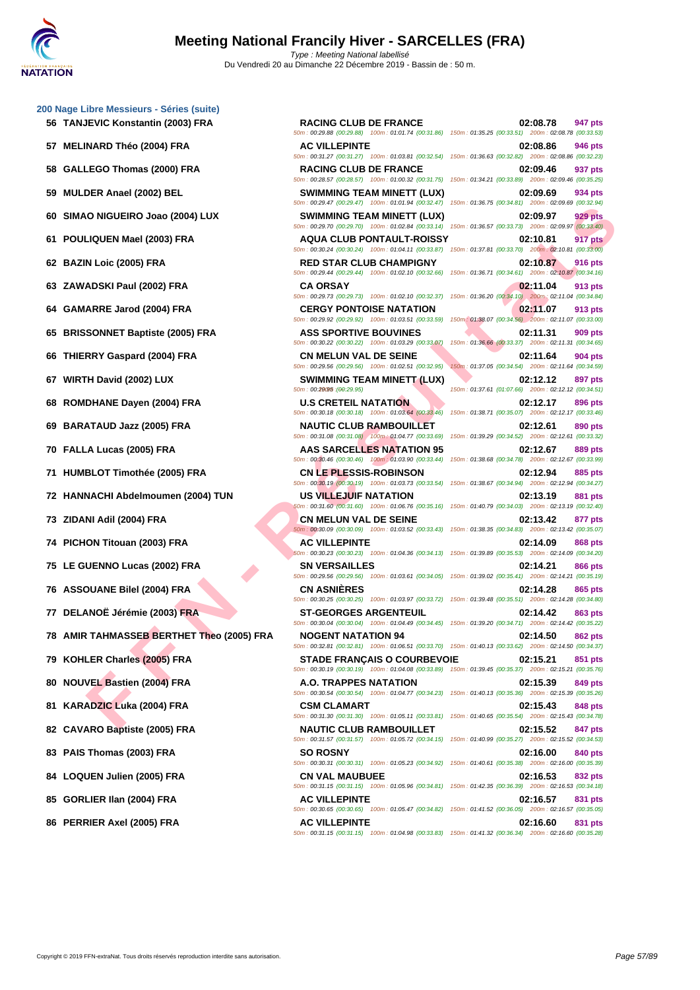| 57 MELINARD Théo (2004) FRA               | <b>AC VILLEPINTE</b>                                                                   | 02:08.86<br>946 pts<br>50m : 00:31.27 (00:31.27) 100m : 01:03.81 (00:32.54) 150m : 01:36.63 (00:32.82) 200m : 02:08.86 (00:32.23)                                                        |
|-------------------------------------------|----------------------------------------------------------------------------------------|------------------------------------------------------------------------------------------------------------------------------------------------------------------------------------------|
| 58 GALLEGO Thomas (2000) FRA              | <b>RACING CLUB DE FRANCE</b>                                                           | 02:09.46<br>937 pts<br>50m: 00:28.57 (00:28.57) 100m: 01:00.32 (00:31.75) 150m: 01:34.21 (00:33.89) 200m: 02:09.46 (00:35.25                                                             |
| 59 MULDER Anael (2002) BEL                | <b>SWIMMING TEAM MINETT (LUX)</b>                                                      | 02:09.69<br>934 pts<br>50m : 00:29.47 (00:29.47) 100m : 01:01.94 (00:32.47) 150m : 01:36.75 (00:34.81) 200m : 02:09.69 (00:32.94,                                                        |
| 60 SIMAO NIGUEIRO Joao (2004) LUX         | <b>SWIMMING TEAM MINETT (LUX)</b>                                                      | 02:09.97<br>929 pts<br>50m: 00:29.70 (00:29.70) 100m: 01:02.84 (00:33.14) 150m: 01:36.57 (00:33.73) 200m: 02:09.97 (00:33.40)                                                            |
| 61 POULIQUEN Mael (2003) FRA              | <b>AQUA CLUB PONTAULT-ROISSY</b>                                                       | 02:10.81<br>917 pts<br>50m: 00:30.24 (00:30.24) 100m: 01:04.11 (00:33.87) 150m: 01:37.81 (00:33.70) 200m: 02:10.81 (00:33.00                                                             |
| 62 BAZIN Loic (2005) FRA                  | <b>RED STAR CLUB CHAMPIGNY</b>                                                         | 02:10.87<br>916 pts<br>50m : 00:29.44 (00:29.44) 100m : 01:02.10 (00:32.66) 150m : 01:36.71 (00:34.61) 200m : 02:10.87 (00:34.16)                                                        |
| 63 ZAWADSKI Paul (2002) FRA               | <b>CA ORSAY</b><br>50m: 00:29.73 (00:29.73) 100m: 01:02.10 (00:32.37)                  | 02:11.04<br>913 pts<br>150m: 01:36.20 (00:34.10) 200m: 02:11.04 (00:34.84)                                                                                                               |
| 64 GAMARRE Jarod (2004) FRA               | <b>CERGY PONTOISE NATATION</b><br>50m: 00:29.92 (00:29.92) 100m: 01:03.51 (00:33.59)   | 02:11.07<br>913 pts<br>150m : 01:38.07 (00:34.56) 200m : 02:11.07 (00:33.00)                                                                                                             |
| 65 BRISSONNET Baptiste (2005) FRA         | <b>ASS SPORTIVE BOUVINES</b><br>50m: 00:30.22 (00:30.22) 100m: 01:03.29 (00:33.07)     | 02:11.31<br>909 pts<br>150m: 01:36.66 (00:33.37) 200m: 02:11.31 (00:34.65)                                                                                                               |
| 66 THIERRY Gaspard (2004) FRA             | <b>CN MELUN VAL DE SEINE</b><br>50m: 00:29.56 (00:29.56) 100m: 01:02.51 (00:32.95)     | 02:11.64<br>904 pts<br>150m: 01:37.05 (00:34.54) 200m: 02:11.64 (00:34.59)                                                                                                               |
| 67 WIRTH David (2002) LUX                 | SWIMMING TEAM MINETT (LUX)<br>50m: 00:29095 : (00:29.95)                               | 02:12.12<br>897 pts<br>150m: 01:37.61 (01:07.66) 200m: 02:12.12 (00:34.51)                                                                                                               |
| 68 ROMDHANE Dayen (2004) FRA              | <b>U.S CRETEIL NATATION</b><br>50m: 00:30.18 (00:30.18) 100m: 01:03.64 (00:33.46)      | 02:12.17<br>896 pts<br>150m: 01:38.71 (00:35.07) 200m: 02:12.17 (00:33.46)                                                                                                               |
| 69 BARATAUD Jazz (2005) FRA               | <b>NAUTIC CLUB RAMBOUILLET</b><br>50m: 00:31.08 (00:31.08) 100m: 01:04.77 (00:33.69)   | 02:12.61<br>890 pts<br>150m: 01:39.29 (00:34.52) 200m: 02:12.61 (00:33.32)                                                                                                               |
| 70 FALLA Lucas (2005) FRA                 | <b>AAS SARCELLES NATATION 95</b><br>50m: 00:30.46 (00:30.46) 100m: 01:03.90 (00:33.44) | 02:12.67<br>889 pts<br>150m: 01:38.68 (00:34.78) 200m: 02:12.67 (00:33.99)                                                                                                               |
| 71 HUMBLOT Timothée (2005) FRA            | <b>CN LE PLESSIS-ROBINSON</b><br>50m: 00:30.19 (00:30.19) 100m: 01:03.73 (00:33.54)    | 02:12.94<br>885 pts<br>150m: 01:38.67 (00:34.94) 200m: 02:12.94 (00:34.27)                                                                                                               |
| 72 HANNACHI Abdelmoumen (2004) TUN        | US VILLEJUIF NATATION<br>50m: 00:31.60 (00:31.60) 100m: 01:06.76 (00:35.16)            | 02:13.19<br>881 pts<br>150m: 01:40.79 (00:34.03) 200m: 02:13.19 (00:32.40)                                                                                                               |
| 73 ZIDANI Adil (2004) FRA                 | <b>CN MELUN VAL DE SEINE</b><br>50m: 00:30.09 (00:30.09) 100m: 01:03.52 (00:33.43)     | 02:13.42<br>877 pts<br>150m: 01:38.35 (00:34.83) 200m: 02:13.42 (00:35.07)                                                                                                               |
| 74 PICHON Titouan (2003) FRA              | <b>AC VILLEPINTE</b><br>50m: 00:30.23 (00:30.23) 100m: 01:04.36 (00:34.13)             | 02:14.09<br>868 pts<br>150m: 01:39.89 (00:35.53) 200m: 02:14.09 (00:34.20)                                                                                                               |
| 75 LE GUENNO Lucas (2002) FRA             | <b>SN VERSAILLES</b><br>50m: 00:29.56 (00:29.56) 100m: 01:03.61 (00:34.05)             | 02:14.21<br>866 pts<br>150m: 01:39.02 (00:35.41) 200m: 02:14.21 (00:35.19)                                                                                                               |
| 76 ASSOUANE Bilel (2004) FRA              | <b>CN ASNIERES</b><br>50m: 00:30.25 (00:30.25) 100m: 01:03.97 (00:33.72)               | 02:14.28<br>865 pts<br>150m: 01:39.48 (00:35.51) 200m: 02:14.28 (00:34.80)                                                                                                               |
| 77 DELANOË Jérémie (2003) FRA             | <b>ST-GEORGES ARGENTEUIL</b><br>50m: 00:30.04 (00:30.04) 100m: 01:04.49 (00:34.45)     | 02:14.42<br>863 pts<br>150m: 01:39.20 (00:34.71) 200m: 02:14.42 (00:35.22)                                                                                                               |
| 78 AMIR TAHMASSEB BERTHET Theo (2005) FRA | <b>NOGENT NATATION 94</b>                                                              | 02:14.50<br><b>862 pts</b><br>50m: 00:32.81 (00:32.81) 100m: 01:06.51 (00:33.70) 150m: 01:40.13 (00:33.62) 200m: 02:14.50 (00:34.37,                                                     |
| 79 KOHLER Charles (2005) FRA              | <b>STADE FRANÇAIS O COURBEVOIE</b>                                                     | 02:15.21<br>851 pts                                                                                                                                                                      |
| 80 NOUVEL Bastien (2004) FRA              | A.O. TRAPPES NATATION<br>50m: 00:30.54 (00:30.54) 100m: 01:04.77 (00:34.23)            | 50m : 00:30.19 (00:30.19) 100m : 01:04.08 (00:33.89) 150m : 01:39.45 (00:35.37) 200m : 02:15.21 (00:35.76)<br>02:15.39<br>849 pts<br>150m: 01:40.13 (00:35.36) 200m: 02:15.39 (00:35.26) |
| 81 KARADZIC Luka (2004) FRA               | <b>CSM CLAMART</b><br>50m: 00:31.30 (00:31.30) 100m: 01:05.11 (00:33.81)               | 02:15.43<br>848 pts                                                                                                                                                                      |
| 82 CAVARO Baptiste (2005) FRA             | NAUTIC CLUB RAMBOUILLET<br>50m: 00:31.57 (00:31.57) 100m: 01:05.72 (00:34.15)          | 150m: 01:40.65 (00:35.54) 200m: 02:15.43 (00:34.78)<br>02:15.52<br>847 pts                                                                                                               |
| 83 PAIS Thomas (2003) FRA                 | SO ROSNY<br>50m: 00:30.31 (00:30.31) 100m: 01:05.23 (00:34.92)                         | 150m: 01:40.99 (00:35.27) 200m: 02:15.52 (00:34.53)<br>02:16.00<br>840 pts<br>150m: 01:40.61 (00:35.38) 200m: 02:16.00 (00:35.39)                                                        |
| 84 LOQUEN Julien (2005) FRA               | <b>CN VAL MAUBUEE</b><br>50m: 00:31.15 (00:31.15) 100m: 01:05.96 (00:34.81)            | 02:16.53<br>832 pts<br>150m: 01:42.35 (00:36.39) 200m: 02:16.53 (00:34.18)                                                                                                               |
| 85 GORLIER IIan (2004) FRA                | <b>AC VILLEPINTE</b><br>50m: 00:30.65 (00:30.65) 100m: 01:05.47 (00:34.82)             | 02:16.57<br>831 pts<br>150m: 01:41.52 (00:36.05) 200m: 02:16.57 (00:35.05)                                                                                                               |
| 86 PERRIER Axel (2005) FRA                | <b>AC VILLEPINTE</b>                                                                   | 02:16.60<br>831 pts<br>50m: 00:31.15 (00:31.15) 100m: 01:04.98 (00:33.83) 150m: 01:41.32 (00:36.34) 200m: 02:16.60 (00:35.28)                                                            |
|                                           |                                                                                        |                                                                                                                                                                                          |

F F F N ANCIENT CUS COURRET AN ART COMPANY THE COMPANY THE COMPANY THE COMPANY THE COMPANY THE COMPANY THE COMPANY THE COMPANY THE COMPANY THE COMPANY THE COMPANY THE COMPANY THE COMPANY THE COMPANY THE COMPANY THE COMPAN **56 TANJEVIC Konstantin (2003) FRA RACING CLUB DE FRANCE 02:08.78 947 pts** 50m : 00:29.88 (00:29.88) 100m : 01:01.74 (00:31.86) 150m : 01:35.25 (00:33.51) 200m : 02:08.78 (00:33.53) **57 MELINARD Théo (2004) FRA AC VILLEPINTE 02:08.86 946 pts** 50m : 00:31.27 (00:31.27) 100m : 01:03.81 (00:32.54) 150m : 01:36.63 (00:32.82) 200m : 02:08.86 (00:32.23) **588 CLUB DE FRANCE 02:09.46 937 pts** 50m : 00:28.57 (00:28.57) 100m : 01:00.32 (00:31.75) 150m : 01:34.21 (00:33.89) 200m : 02:09.46 (00:35.25) **5WIMMING TEAM MINETT (LUX)** 02:09.69 934 pts 50m : 00:29.47 (00:29.47) 100m : 01:01.94 (00:32.47) 150m : 01:36.75 (00:34.81) 200m : 02:09.69 (00:32.94) **60 SIMAO NIGUEIRO Joao (2004) LUX SWIMMING TEAM MINETT (LUX) 02:09.97 929 pts** 50m : 00:29.70 (00:29.70) 100m : 01:02.84 (00:33.14) 150m : 01:36.57 (00:33.73) 200m : 02:09.97 (00:33.40) **61 PONTAULT-ROISSY 12:10.81 917 pts** 50m : 00:30.24 (00:30.24) 100m : 01:04.11 (00:33.87) 150m : 01:37.81 (00:33.70) 200m : 02:10.81 (00:33.00) **62:10.87 BAZIN CONTRACTLUB CHAMPIGNY D2:10.87 916 pts** 50m : 00:29.44 (00:29.44) 100m : 01:02.10 (00:32.66) 150m : 01:36.71 (00:34.61) 200m : 02:10.87 (00:34.16) **63 ZAWADSKI Paul (2002) FRA CA ORSAY 02:11.04 913 pts** 50m : 00:29.73 (00:29.73) 100m : 01:02.10 (00:32.37) 150m : 01:36.20 (00:34.10) 200m : 02:11.04 (00:34.84) **644 CERGY PONTOISE NATATION 02:11.07 913 pts** 50m : 00:29.92 (00:29.92) 100m : 01:03.51 (00:33.59) 150m : 01:38.07 (00:34.56) 200m : 02:11.07 (00:33.00) **655 62:11.31 809 pts** 50m : 00:30.22 (00:30.22) 100m : 01:03.29 (00:33.07) 150m : 01:36.66 (00:33.37) 200m : 02:11.31 (00:34.65) **666 CN MELUN VAL DE SEINE 02:11.64 904 pts** 50m : 00:29.56 (00:29.56) 100m : 01:02.51 (00:32.95) 150m : 01:37.05 (00:34.54) 200m : 02:11.64 (00:34.59) **677 <b>678 677 BWIMMING TEAM MINETT (LUX) 02:12.12 897 pts**  $50m : 00:29.95 : (00:29.95)$   $150m : 01:37.61$   $(01:07.66)$   $200m : 02:12.12$   $(00:34.51)$ **688 ROMANE DAY CONTROLLER IN A TATION <b>CONTROLLER IN A TATION 02:12.17 896 pts** 50m : 00:30.18 (00:30.18) 100m : 01:03.64 (00:33.46) 150m : 01:38.71 (00:35.07) 200m : 02:12.17 (00:33.46) **699 BARAMER AMBOUILLET EXAMPLE 1 EXAMPLE 12.61 890 pts** 50m : 00:31.08 (00:31.08) 100m : 01:04.77 (00:33.69) 150m : 01:39.29 (00:34.52) 200m : 02:12.61 (00:33.32) **70 FALLA Lucas (2005) FRA AAS SARCELLES NATATION 95 02:12.67 889 pts** 50m : 00:30.46 (00:30.46) 100m : 01:03.90 (00:33.44) 150m : 01:38.68 (00:34.78) 200m : 02:12.67 (00:33.99) **71 HUMBLOT Timothée (2005) FRA CN LE PLESSIS-ROBINSON 02:12.94 885 pts** 50m : 00:30.19 (00:30.19) 100m : 01:03.73 (00:33.54) 150m : 01:38.67 (00:34.94) 200m : 02:12.94 (00:34.27) **72 HANNACHI Abdelmoumen (2004) TUN US VILLEJUIF NATATION 02:13.19 881 pts** 50m : 00:31.60 (00:31.60) 100m : 01:06.76 (00:35.16) 150m : 01:40.79 (00:34.03) 200m : 02:13.19 (00:32.40) **73 ZIDANI Adil (2004) FRA CN MELUN VAL DE SEINE 02:13.42 877 pts** 50m : 00:30.09 (00:30.09) 100m : 01:03.52 (00:33.43) 150m : 01:38.35 (00:34.83) 200m : 02:13.42 (00:35.07) **744 PIC VILLEPINTE 12:14.09 868 pts** 50m : 00:30.23 (00:30.23) 100m : 01:04.36 (00:34.13) 150m : 01:39.89 (00:35.53) 200m : 02:14.09 (00:34.20) **855 SN VERSAILLES 02:14.21 866 pts** 50m : 00:29.56 (00:29.56) 100m : 01:03.61 (00:34.05) 150m : 01:39.02 (00:35.41) 200m : 02:14.21 (00:35.19) **76 ASSOUANE Bilel (2004) FRA CN ASNIÈRES 02:14.28 865 pts** 50m : 00:30.25 (00:30.25) 100m : 01:03.97 (00:33.72) 150m : 01:39.48 (00:35.51) 200m : 02:14.28 (00:34.80) **87-GEORGES ARGENTEUIL 02:14.42 863 pts** 50m : 00:30.04 (00:30.04) 100m : 01:04.49 (00:34.45) 150m : 01:39.20 (00:34.71) 200m : 02:14.42 (00:35.22) **78 AMIR TAHMAGENT NATATION 94 02:14.50 862 pts** 50m : 00:32.81 (00:32.81) 100m : 01:06.51 (00:33.70) 150m : 01:40.13 (00:33.62) 200m : 02:14.50 (00:34.37) **87ADE FRANÇAIS O COURBEVOIE 02:15.21 851 pts** 50m : 00:30.19 (00:30.19) 100m : 01:04.08 (00:33.89) 150m : 01:39.45 (00:35.37) 200m : 02:15.21 (00:35.76) **80 NOUVEL Bastien (2004) FRA A.O. TRAPPES NATATION 02:15.39 849 pts** 50m : 00:30.54 (00:30.54) 100m : 01:04.77 (00:34.23) 150m : 01:40.13 (00:35.36) 200m : 02:15.39 (00:35.26) **CSM CLAMART 02:15.43 848 pts** 50m : 00:31.30 (00:31.30) 100m : 01:05.11 (00:33.81) 150m : 01:40.65 (00:35.54) 200m : 02:15.43 (00:34.78) **RAUTIC CLUB RAMBOUILLET** 02:15.52 847 pts 50m : 00:31.57 (00:31.57) 100m : 01:05.72 (00:34.15) 150m : 01:40.99 (00:35.27) 200m : 02:15.52 (00:34.53) 50m : 00:30.31 (00:30.31) 100m : 01:05.23 (00:34.92) 150m : 01:40.61 (00:35.38) 200m : 02:16.00 (00:35.39) **CN VAL MAUBUEE 02:16.53 832 pts** 50m : 00:31.15 (00:31.15) 100m : 01:05.96 (00:34.81) 150m : 01:42.35 (00:36.39) 200m : 02:16.53 (00:34.18) **831 pts 62:16.57 831 pts** 50m : 00:30.65 (00:30.65) 100m : 01:05.47 (00:34.82) 150m : 01:41.52 (00:36.05) 200m : 02:16.57 (00:35.05) **86 PERRIER Axel (2005) FRA AC VILLEPINTE 02:16.60 831 pts** 50m : 00:31.15 (00:31.15) 100m : 01:04.98 (00:33.83) 150m : 01:41.32 (00:36.34) 200m : 02:16.60 (00:35.28)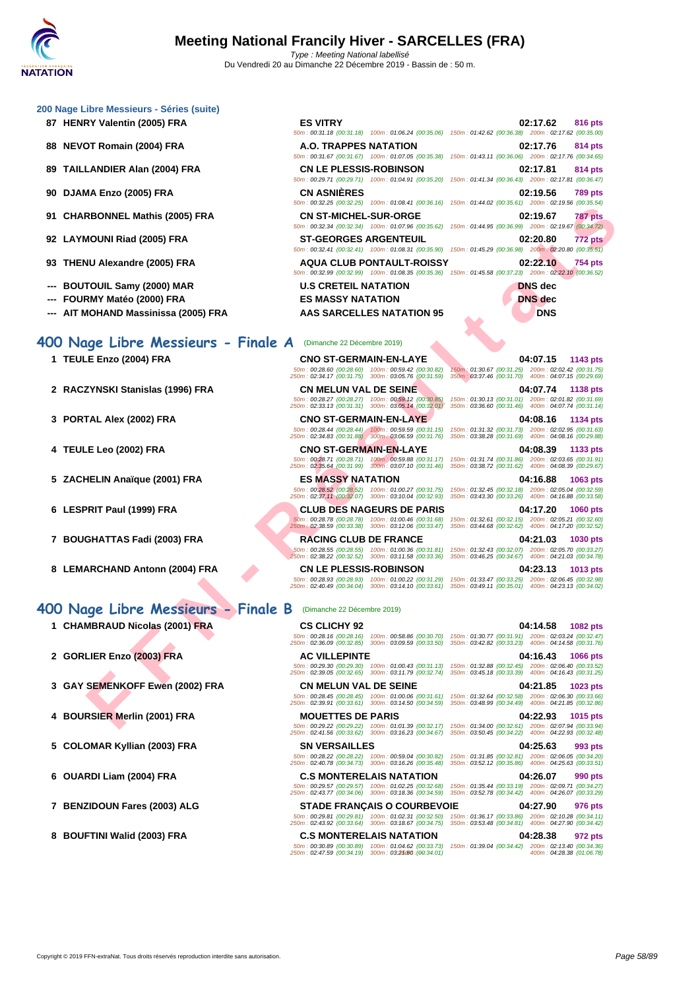- 
- 
- 
- 
- 
- 
- 
- 
- 
- 

# **400 Nage Libre Messieurs - Finale A** (Dimanche 22 Décembre 2019)

- 
- **2 RACZYNSKI Stanislas (1996) FRA CN MELUN VAL DE SEINE 04:07.74 1138 pts**
- 
- 
- **5 ZACHELIN Anaïque (2001) FRA ES MASSY NATATION 04:16.88 1063 pts**
- 
- 
- **8 LEMARCHAND Antonn (2004) FRA CN LE PLESSIS-ROBINSON 04:23.13 1013 pts**

# **400 Nage Libre Messieurs - Finale B** (Dimanche 22 Décembre 2019)

- 
- 
- 
- **4 BOURSIER Merlin (2001) FRA MOUETTES DE PARIS 04:22.93 1015 pts**
- **5 COLOMAR Kyllian (2003) FRA SN VERSAILLES 04:25.63 993 pts**
- 
- 
- 

| 00 Nage Libre Messieurs - Séries (suite)                                                            |                                                                                                                                                        |                                                                                                                                                                                                  |
|-----------------------------------------------------------------------------------------------------|--------------------------------------------------------------------------------------------------------------------------------------------------------|--------------------------------------------------------------------------------------------------------------------------------------------------------------------------------------------------|
| 87 HENRY Valentin (2005) FRA                                                                        | <b>ES VITRY</b>                                                                                                                                        | 02:17.62<br>816 pts<br>50m: 00:31.18 (00:31.18) 100m: 01:06.24 (00:35.06) 150m: 01:42.62 (00:36.38) 200m: 02:17.62 (00:35.00)                                                                    |
| 88 NEVOT Romain (2004) FRA                                                                          | A.O. TRAPPES NATATION                                                                                                                                  | 02:17.76<br>814 pts<br>50m: 00:31.67 (00:31.67) 100m: 01:07.05 (00:35.38) 150m: 01:43.11 (00:36.06) 200m: 02:17.76 (00:34.65)                                                                    |
| 89 TAILLANDIER Alan (2004) FRA                                                                      | <b>CN LE PLESSIS-ROBINSON</b><br>50m: 00:29.71 (00:29.71) 100m: 01:04.91 (00:35.20)                                                                    | 02:17.81<br>814 pts<br>150m: 01:41.34 (00:36.43) 200m: 02:17.81 (00:36.47)                                                                                                                       |
| 90   DJAMA Enzo (2005) FRA                                                                          | <b>CN ASNIERES</b><br>50m: 00:32.25 (00:32.25) 100m: 01:08.41 (00:36.16)                                                                               | 02:19.56<br><b>789 pts</b><br>150m: 01:44.02 (00:35.61) 200m: 02:19.56 (00:35.54)                                                                                                                |
| 91   CHARBONNEL Mathis (2005) FRA                                                                   | <b>CN ST-MICHEL-SUR-ORGE</b>                                                                                                                           | 02:19.67<br>787 pts<br>50m : 00:32.34 (00:32.34) 100m : 01:07.96 (00:35.62) 150m : 01:44.95 (00:36.99) 200m : 02:19.67 (00:34.72)                                                                |
| 92 LAYMOUNI Riad (2005) FRA                                                                         | <b>ST-GEORGES ARGENTEUIL</b>                                                                                                                           | 02:20.80<br>772 pts<br>50m: 00:32.41 (00:32.41) 100m: 01:08.31 (00:35.90) 150m: 01:45.29 (00:36.98) 200m: 02:20.80 (00:35.51)                                                                    |
| 93   THENU Alexandre (2005) FRA                                                                     | <b>AQUA CLUB PONTAULT-ROISSY</b>                                                                                                                       | 02:22.10<br>754 pts<br>50m : 00:32.99 (00:32.99) 100m : 01:08.35 (00:35.36) 150m : 01:45.58 (00:37.23) 200m : 02:22.10 (00:36.52)                                                                |
| --- BOUTOUIL Samy (2000) MAR<br>--- FOURMY Matéo (2000) FRA<br>--- AIT MOHAND Massinissa (2005) FRA | <b>U.S CRETEIL NATATION</b><br><b>ES MASSY NATATION</b><br><b>AAS SARCELLES NATATION 95</b>                                                            | <b>DNS</b> dec<br><b>DNS</b> dec<br><b>DNS</b>                                                                                                                                                   |
| 00 Nage Libre Messieurs - Finale A                                                                  | (Dimanche 22 Décembre 2019)                                                                                                                            |                                                                                                                                                                                                  |
| 1 TEULE Enzo (2004) FRA                                                                             | <b>CNO ST-GERMAIN-EN-LAYE</b><br>50m: 00:28.60 (00:28.60) 100m: 00:59.42 (00:30.82)<br>250m: 02:34.17 (00:31.75) 300m: 03:05.76 (00:31.59)             | 04:07.15<br>1143 pts<br>150m: 01:30.67 (00:31.25) 200m: 02:02.42 (00:31.75)<br>350m: 03:37.46 (00:31.70) 400m: 04:07.15 (00:29.69)                                                               |
| 2 RACZYNSKI Stanislas (1996) FRA                                                                    | <b>CN MELUN VAL DE SEINE</b><br>50m: 00:28.27 (00:28.27) 100m: 00:59.12 (00:30.85)<br>250m: 02:33.13 (00:31.31) 300m: 03:05.14 (00:32.01)              | 04:07.74<br>1138 pts<br>150m: 01:30.13 (00:31.01) 200m: 02:01.82 (00:31.69)<br>350m: 03:36.60 (00:31.46) 400m: 04:07.74 (00:31.14)                                                               |
| 3 PORTAL Alex (2002) FRA                                                                            | <b>CNO ST-GERMAIN-EN-LAYE</b><br>$50m : 00:28.44$ (00:28.44) $100m : 00:59.59$ (00:31.15)<br>$250m : 02:34.83$ (00:31.88) $300m : 03:06.59$ (00:31.76) | 04:08.16<br>1134 pts<br>150m: 01:31.32 (00:31.73) 200m: 02:02.95 (00:31.63)<br>350m: 03:38.28 (00:31.69) 400m: 04:08.16 (00:29.88)                                                               |
| 4 TEULE Leo (2002) FRA                                                                              | <b>CNO ST-GERMAIN-EN-LAYE</b><br>50m: 00:28.71 (00:28.71) 100m: 00:59.88 (00:31.17)<br>250m: 02:35.64 (00:31.99) 300m: 03:07.10 (00:31.46)             | 04:08.39<br>1133 pts<br>150m: 01:31.74 (00:31.86) 200m: 02:03.65 (00:31.91)<br>350m: 03:38.72 (00:31.62) 400m: 04:08.39 (00:29.67)                                                               |
| 5 ZACHELIN Anaïque (2001) FRA                                                                       | <b>ES MASSY NATATION</b><br>50m: 00:28.52 (00:28.52) 100m: 01:00.27 (00:31.75)<br>250m: 02:37.11 (00:32.07) 300m: 03:10.04 (00:32.93)                  | 04:16.88<br>1063 pts<br>150m: 01:32.45 (00:32.18) 200m: 02:05.04 (00:32.59)<br>350m: 03:43.30 (00:33.26) 400m: 04:16.88 (00:33.58)                                                               |
| 6 LESPRIT Paul (1999) FRA                                                                           | <b>CLUB DES NAGEURS DE PARIS</b><br>50m: 00:28.78 (00:28.78) 100m: 01:00.46 (00:31.68)<br>250m: 02:38.59 (00:33.38) 300m: 03:12.06 (00:33.47)          | 04:17.20<br><b>1060 pts</b><br>150m: 01:32.61 (00:32.15) 200m: 02:05.21 (00:32.60)<br>350m: 03:44.68 (00:32.62) 400m: 04:17.20 (00:32.52)                                                        |
| 7 BOUGHATTAS Fadi (2003) FRA                                                                        | <b>RACING CLUB DE FRANCE</b><br>250m: 02:38.22 (00:32.52) 300m: 03:11.58 (00:33.36)                                                                    | 04:21.03<br><b>1030 pts</b><br>50m : 00:28.55 (00:28.55) 100m : 01:00.36 (00:31.81) 150m : 01:32.43 (00:32.07) 200m : 02:05.70 (00:33.27)<br>350m: 03:46.25 (00:34.67) 400m: 04:21.03 (00:34.78) |
| 8 LEMARCHAND Antonn (2004) FRA                                                                      | <b>CN LE PLESSIS-ROBINSON</b><br>250m: 02:40.49 (00:34.04) 300m: 03:14.10 (00:33.61) 350m: 03:49.11 (00:35.01) 400m: 04:23.13 (00:34.02)               | 04:23.13<br>1013 pts<br>50m : 00:28.93 (00:28.93) 100m : 01:00.22 (00:31.29) 150m : 01:33.47 (00:33.25) 200m : 02:06.45 (00:32.98)                                                               |
| 00 Nage Libre Messieurs - Finale B                                                                  | (Dimanche 22 Décembre 2019)                                                                                                                            |                                                                                                                                                                                                  |
| 1 CHAMBRAUD Nicolas (2001) FRA<br>♥                                                                 | <b>CS CLICHY 92</b><br>50m: 00:28.16 (00:28.16) 100m: 00:58.86 (00:30.70)<br>250m: 02:36.09 (00:32.85) 300m: 03:09.59 (00:33.50)                       | 04:14.58<br><b>1082 pts</b><br>150m: 01:30.77 (00:31.91) 200m: 02:03.24 (00:32.47)<br>350m: 03:42.82 (00:33.23) 400m: 04:14.58 (00:31.76)                                                        |
| 2 GORLIER Enzo (2003) FRA                                                                           | <b>AC VILLEPINTE</b><br>50m: 00:29.30 (00:29.30) 100m: 01:00.43 (00:31.13)                                                                             | 04:16.43<br><b>1066 pts</b><br>150m: 01:32.88 (00:32.45) 200m: 02:06.40 (00:33.52)                                                                                                               |
| 3 GAY SEMENKOFF Ewen (2002) FRA                                                                     | 250m: 02:39.05 (00:32.65) 300m: 03:11.79 (00:32.74)<br><b>CN MELUN VAL DE SEINE</b><br>50m: 00:28.45 (00:28.45) 100m: 01:00.06 (00:31.61)              | 350m: 03:45.18 (00:33.39) 400m: 04:16.43 (00:31.25)<br>04:21.85<br><b>1023 pts</b><br>150m: 01:32.64 (00:32.58) 200m: 02:06.30 (00:33.66)                                                        |
| 4 BOURSIER Merlin (2001) FRA                                                                        | 250m: 02:39.91 (00:33.61) 300m: 03:14.50 (00:34.59)<br><b>MOUETTES DE PARIS</b>                                                                        | 350m: 03:48.99 (00:34.49) 400m: 04:21.85 (00:32.86)<br>04:22.93<br>1015 pts                                                                                                                      |
|                                                                                                     |                                                                                                                                                        | 50m: 00:29.22 (00:29.22) 100m: 01:01.39 (00:32.17) 150m: 01:34.00 (00:32.61) 200m: 02:07.94 (00:33.94)                                                                                           |

# 50m : 00:28.93 (00:28.93) 100m : 01:00.22 (00:31.29) 150m : 01:33.47 (00:33.25) 200m : 02:06.45 (00:32.98) 250m : 02:40.49 (00:34.04) 300m : 03:14.10 (00:33.61) 350m : 03:49.11 (00:35.01) 400m : 04:23.13 (00:34.02)

### **1 CHAMBRAUD Nicolas (2001) FRA CS CLICHY 92 04:14.58 1082 pts** 50m : 00:28.16 (00:28.16) 100m : 00:58.86 (00:30.70) 150m : 01:30.77 (00:31.91) 200m : 02:03.24 (00:32.47) 250m : 02:36.09 (00:32.85) 300m : 03:09.59 (00:33.50) 350m : 03:42.82 (00:33.23) 400m : 04:14.58 (00:31.76) **2 GORLIER Enzo (2003) FRA AC VILLEPINTE 04:16.43 1066 pts** 50m : 00:29.30 (00:29.30) 100m : 01:00.43 (00:31.13) 150m : 01:32.88 (00:32.45) 200m : 02:06.40 (00:33.52) 250m : 02:39.05 (00:32.65) 300m : 03:11.79 (00:32.74) 350m : 03:45.18 (00:33.39) 400m : 04:16.43 (00:31.25) **3 GAY SEMENKOFF Ewen (2002) FRA CN MELUN VAL DE SEINE 04:21.85 1023 pts**

50m : 00:29.22 (00:29.22) 100m : 01:01.39 (00:32.17) 150m : 01:34.00 (00:32.61) 200m : 02:07.94 (00:33.94) 250m : 02:41.56 (00:33.62) 300m : 03:16.23 (00:34.67) 350m : 03:50.45 (00:34.22) 400m : 04:22.93 (00:32.48)

50m : 00:28.22 (00:28.22) 100m : 00:59.04 (00:30.82) 150m : 01:31.85 (00:32.81) 200m : 02:06.05 (00:34.20) 250m : 02:40.78 (00:34.73) 300m : 03:16.26 (00:35.48) 350m : 03:52.12 (00:35.86) 400m : 04:25.63 (00:33.51)

**6 OUARDI Liam (2004) FRA C.S MONTERELAIS NATATION 04:26.07 990 pts**

**7 BENZIDOUN Fares (2003) ALG STADE FRANÇAIS O COURBEVOIE 04:27.90 976 pts** 50m : 00:29.81 (00:29.81) 100m : 01:02.31 (00:32.50) 150m : 01:36.17 (00:33.86) 200m : 02:10.28 (00:34.11) 250m : 02:43.92 (00:33.64) 300m : 03:18.67 (00:34.75) 350m : 03:53.48 (00:34.81) 400m : 04:27.90 (00:34.42)

**8 BOUFTINI Walid (2003) FRA C.S MONTERELAIS NATATION 04:28.38 972 pts**

50m : 00:30.89 (00:30.89) 100m : 01:04.62 (00:33.73) 150m : 01:39.04 (00:34.42) 200m : 02:13.40 (00:34.36) 250m : 02:47.59 (00:34.19) 300m : 03:21.60 350m : --- (00:34.01) 400m : 04:28.38 (01:06.78)

50m : 00:29.57 (00:29.57) 100m : 01:02.25 (00:32.68) 150m : 01:35.44 (00:33.19) 200m : 02:09.71 (00:34.27) 250m : 02:43.77 (00:34.06) 300m : 03:18.36 (00:34.59) 350m : 03:52.78 (00:34.42) 400m : 04:26.07 (00:33.29)

# **7 BOUGHATTAS Fadi (2003) FRA RACING CLUB DE FRANCE 04:21.03 1030 pts** 50m : 00:28.55 (00:28.55) 100m : 01:00.36 (00:31.81) 150m : 01:32.43 (00:32.07) 200m : 02:05.70 (00:33.27) 250m : 02:38.22 (00:32.52) 300m : 03:11.58 (00:33.36) 350m : 03:46.25 (00:34.67) 400m : 04:21.03 (00:34.78)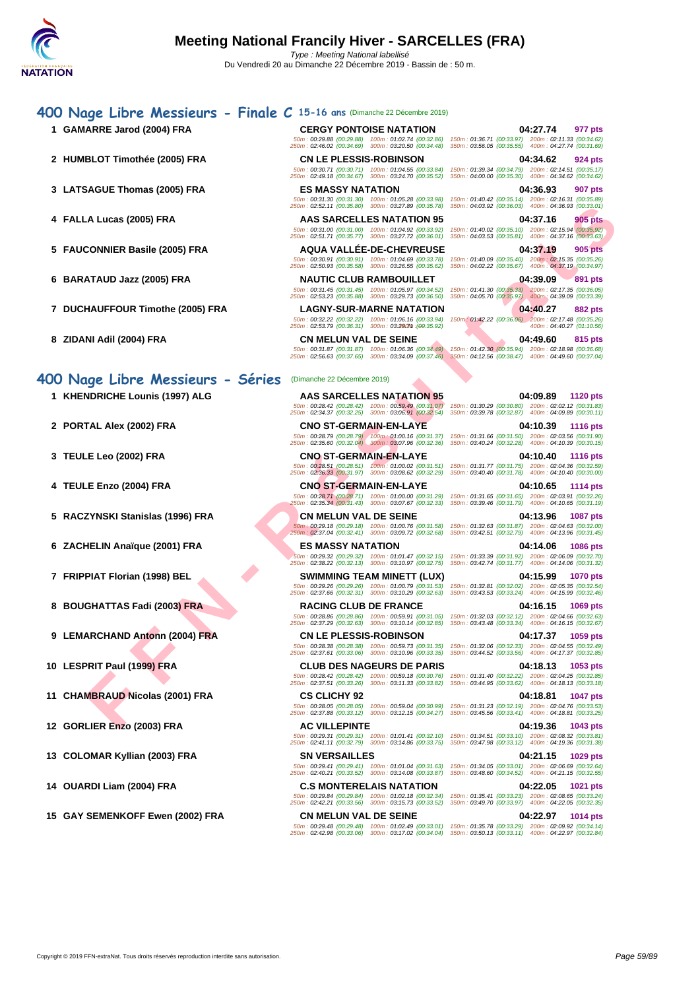# **FRANCE COOP FRANCE COOP FRANCE COOPERA AND RELEASE AND RELEASE AND RELEASE AND RELEASE AND RELEASE AND RELEASE AND RELEASE AND RELEASE AND RELEASE AND RELEASE AND RELEASE AND RELEASE AND RELEASE AND RELEASE AND RELEASE AN [400 N](http://www.ffnatation.fr/webffn/index.php)age Libre Messieurs - Finale C 15-16 ans** (Dimanche 22 Décembre 2019) **1 GAMARRE Jarod (2004) FRA CERGY PONTOISE NATATION 04:27.74 977 pts** 50m : 00:29.88 (00:29.88) 100m : 01:02.74 (00:32.86) 150m : 01:36.71 (00:33.97) 200m : 02:11.33 (00:34.62) 250m : 02:46.02 (00:34.69) 300m : 03:20.50 (00:34.48) 350m : 03:56.05 (00:35.55) 400m : 04:27.74 (00:31.69) **2 HUMBLOT Timothée (2005) FRA CN LE PLESSIS-ROBINSON 04:34.62 924 pts** 50m : 00:30.71 (00:30.71) 100m : 01:04.55 (00:33.84) 150m : 01:39.34 (00:34.79) 200m : 02:14.51 (00:35.17) [250](http://www.ffnatation.fr/webffn/resultats.php?idact=nat&go=epr&idcpt=64277&idepr=54)m : 02:49.18 (00:34.67) 300m : 03:24.70 (00:35.52) 350m : 04:00.00 (00:35.30) 400m : 04:34.62 (00:34.62) **3 LATSAGUE Thomas (2005) FRA ES MASSY NATATION 04:36.93 907 pts** 50m : 00:31.30 (00:31.30) 100m : 01:05.28 (00:33.98) 150m : 01:40.42 (00:35.14) 200m : 02:16.31 (00:35.89) 250m : 02:52.11 (00:35.80) 300m : 03:27.89 (00:35.78) 350m : 04:03.92 (00:36.03) 400m : 04:36.93 (00:33.01) **4 FALLA Lucas (2005) FRA AAS SARCELLES NATATION 95 04:37.16 905 pts** 50m : 00:31.00 (00:31.00) 100m : 01:04.92 (00:33.92) 150m : 01:40.02 (00:35.10) 200m : 02:15.94 (00:35.92) 250m : 02:51.71 (00:35.77) 300m : 03:27.72 (00:36.01) 350m : 04:03.53 (00:35.81) 400m : 04:37.16 (00:33.63) **5 FAUCONNIER Basile (2005) FRA AQUA VALLÉE-DE-CHEVREUSE 04:37.19 905 pts** 50m : 00:30.91 (00:30.91) 100m : 01:04.69 (00:33.78) 150m : 01:40.09 (00:35.40) 200m : 02:15.35 (00:35.26) 250m : 02:50.93 (00:35.58) 300m : 03:26.55 (00:35.62) 350m : 04:02.22 (00:35.67) 400m : 04:37.19 (00:34.97) **6 BARATAUD Jazz (2005) FRA NAUTIC CLUB RAMBOUILLET 04:39.09 891 pts** 50m : 00:31.45 (00:31.45) 100m : 01:05.97 (00:34.52) 150m : 01:41.30 (00:35.33) 200m : 02:17.35 (00:36.05) 250m : 02:53.23 (00:35.88) 300m : 03:29.73 (00:36.50) 350m : 04:05.70 (00:35.97) 400m : 04:39.09 (00:33.39) **7 DUCHAUFFOUR Timothe (2005) FRA LAGNY-SUR-MARNE NATATION 04:40.27 882 pts** 50m : 00:32.22 (00:32.22) 100m : 01:06.16 (00:33.94) 150m : 01:42.22 (00:36.06) 200m : 02:17.48 (00:35.26) 250m : 02:53.79 (00:36.31) 300m : 03:29.71 350m : --- (00:35.92) 400m : 04:40.27 (01:10.56) **8 ZIDANI Adil (2004) FRA CN MELUN VAL DE SEINE 04:49.60 815 pts** 50m : 00:31.87 (00:31.87) 100m : 01:06.36 (00:34.49) 150m : 01:42.30 (00:35.94) 200m : 02:18.98 (00:36.68) 250m : 02:56.63 (00:37.65) 300m : 03:34.09 (00:37.46) 350m : 04:12.56 (00:38.47) 400m : 04:49.60 (00:37.04) **400 Nage Libre Messieurs - Séries** (Dimanche 22 Décembre 2019) **1 KHENDRICHE Lounis (1997) ALG AAS SARCELLES NATATION 95 04:09.89 1120 pts** 50m : 00:28.42 (00:28.42) 100m : 00:59.49 (00:31.07) 150m : 01:30.29 (00:30.80) 200m : 02:02.12 (00:31.83) 250m : 02:34.37 (00:32.25) 300m : 03:06.91 (00:32.54) 350m : 03:39.78 (00:32.87) 400m : 04:09.89 (00:30.11) **2 PORTAL Alex (2002) FRA CNO ST-GERMAIN-EN-LAYE 04:10.39 1116 pts** 50m : 00:28.79 (00:28.79) 100m : 01:00.16 (00:31.37) 150m : 01:31.66 (00:31.50) 200m : 02:03.56 (00:31.90) 250m : 02:35.60 (00:32.04) 300m : 03:07.96 (00:32.36) 350m : 03:40.24 (00:32.28) 400m : 04:10.39 (00:30.15) **3 TEULE Leo (2002) FRA CNO ST-GERMAIN-EN-LAYE 04:10.40 1116 pts**

- 
- 
- **6 ZACHELIN Anaïque (2001) FRA ES MASSY NATATION 04:14.06 1086 pts**
- 
- **8 BOUGHATTAS Fadi (2003) FRA RACING CLUB DE FRANCE 04:16.15 1069 pts**
- **9 LEMARCHAND Antonn (2004) FRA CN LE PLESSIS-ROBINSON 04:17.37 1059 pts**
- **10 LESPRIT Paul (1999) FRA CLUB DES NAGEURS DE PARIS 04:18.13 1053 pts**
- **11 CHAMBRAUD Nicolas (2001) FRA CS CLICHY 92 04:18.81 1047 pts**
- **12 GORLIER Enzo (2003) FRA AC VILLEPINTE 04:19.36 1043 pts**
- 
- 
- **15 GAY SEMENKOFF Ewen (2002) FRA CN MELUN VAL DE SEINE 04:22.97 1014 pts**

50m : 00:28.51 (00:28.51) 100m : 01:00.02 (00:31.51) 150m : 01:31.77 (00:31.75) 200m : 02:04.36 (00:32.59) 250m : 02:36.33 (00:31.97) 300m : 03:08.62 (00:32.29) 350m : 03:40.40 (00:31.78) 400m : 04:10.40 (00:30.00)

50m : 00:28.71 (00:28.71) 100m : 01:00.00 (00:31.29) 150m : 01:31.65 (00:31.65) 200m : 02:03.91 (00:32.26) 250m : 02:35.34 (00:31.43) 300m : 03:07.67 (00:32.33) 350m : 03:39.46 (00:31.79) 400m : 04:10.65 (00:31.19)

50m : 00:29.18 (00:29.18) 100m : 01:00.76 (00:31.58) 150m : 01:32.63 (00:31.87) 200m : 02:04.63 (00:32.00) 250m : 02:37.04 (00:32.41) 300m : 03:09.72 (00:32.68) 350m : 03:42.51 (00:32.79) 400m : 04:13.96 (00:31.45)

50m : 00:29.32 (00:29.32) 100m : 01:01.47 (00:32.15) 150m : 01:33.39 (00:31.92) 200m : 02:06.09 (00:32.70) 250m : 02:38.22 (00:32.13) 300m : 03:10.97 (00:32.75) 350m : 03:42.74 (00:31.77) 400m : 04:14.06 (00:31.32)

50m : 00:29.26 (00:29.26) 100m : 01:00.79 (00:31.53) 150m : 01:32.81 (00:32.02) 200m : 02:05.35 (00:32.54) 250m : 02:37.66 (00:32.31) 300m : 03:10.29 (00:32.63) 350m : 03:43.53 (00:33.24) 400m : 04:15.99 (00:32.46)

50m : 00:28.42 (00:28.42) 100m : 00:59.18 (00:30.76) 150m : 01:31.40 (00:32.22) 200m : 02:04.25 (00:32.85) 250m : 02:37.51 (00:33.26) 300m : 03:11.33 (00:33.82) 350m : 03:44.95 (00:33.62) 400m : 04:18.13 (00:33.18)

50m : 00:28.05 (00:28.05) 100m : 00:59.04 (00:30.99) 150m : 01:31.23 (00:32.19) 200m : 02:04.76 (00:33.53) 250m : 02:37.88 (00:33.12) 300m : 03:12.15 (00:34.27) 350m : 03:45.56 (00:33.41) 400m : 04:18.81 (00:33.25)

50m : 00:29.31 (00:29.31) 100m : 01:01.41 (00:32.10) 150m : 01:34.51 (00:33.10) 200m : 02:08.32 (00:33.81) 250m : 02:41.11 (00:32.79) 300m : 03:14.86 (00:33.75) 350m : 03:47.98 (00:33.12) 400m : 04:19.36 (00:31.38)

**14 OUARDI Liam (2004) FRA C.S MONTERELAIS NATATION 04:22.05 1021 pts**

50m : 00:29.48 (00:29.48) 100m : 01:02.49 (00:33.01) 150m : 01:35.78 (00:33.29) 200m : 02:09.92 (00:34.14) 250m : 02:42.98 (00:33.06) 300m : 03:17.02 (00:34.04) 350m : 03:50.13 (00:33.11) 400m : 04:22.97 (00:32.84)

**4 TEULE Enzo (2004) FRA CNO ST-GERMAIN-EN-LAYE 04:10.65 1114 pts 5 RACZYNSKI Stanislas (1996) FRA CN MELUN VAL DE SEINE 04:13.96 1087 pts 7 FRIPPIAT Florian (1998) BEL SWIMMING TEAM MINETT (LUX) 04:15.99 1070 pts**

50m : 00:28.86 (00:28.86) 100m : 00:59.91 (00:31.05) 150m : 01:32.03 (00:32.12) 200m : 02:04.66 (00:32.63) 250m : 02:37.29 (00:32.63) 300m : 03:10.14 (00:32.85) 350m : 03:43.48 (00:33.34) 400m : 04:16.15 (00:32.67)

50m : 00:28.38 (00:28.38) 100m : 00:59.73 (00:31.35) 150m : 01:32.06 (00:32.33) 200m : 02:04.55 (00:32.49) 250m : 02:37.61 (00:33.06) 300m : 03:10.96 (00:33.35) 350m : 03:44.52 (00:33.56) 400m : 04:17.37 (00:32.85)

**13 COLOMAR Kyllian (2003) FRA SN VERSAILLES 04:21.15 1029 pts** 50m : 00:29.41 (00:29.41) 100m : 01:01.04 (00:31.63) 150m : 01:34.05 (00:33.01) 200m : 02:06.69 (00:32.64) 250m : 02:40.21 (00:33.52) 300m : 03:14.08 (00:33.87) 350m : 03:48.60 (00:34.52) 400m : 04:21.15 (00:32.55)

50m : 00:29.84 (00:29.84) 100m : 01:02.18 (00:32.34) 150m : 01:35.41 (00:33.23) 200m : 02:08.65 (00:33.24) 250m : 02:42.21 (00:33.56) 300m : 03:15.73 (00:33.52) 350m : 03:49.70 (00:33.97) 400m : 04:22.05 (00:32.35)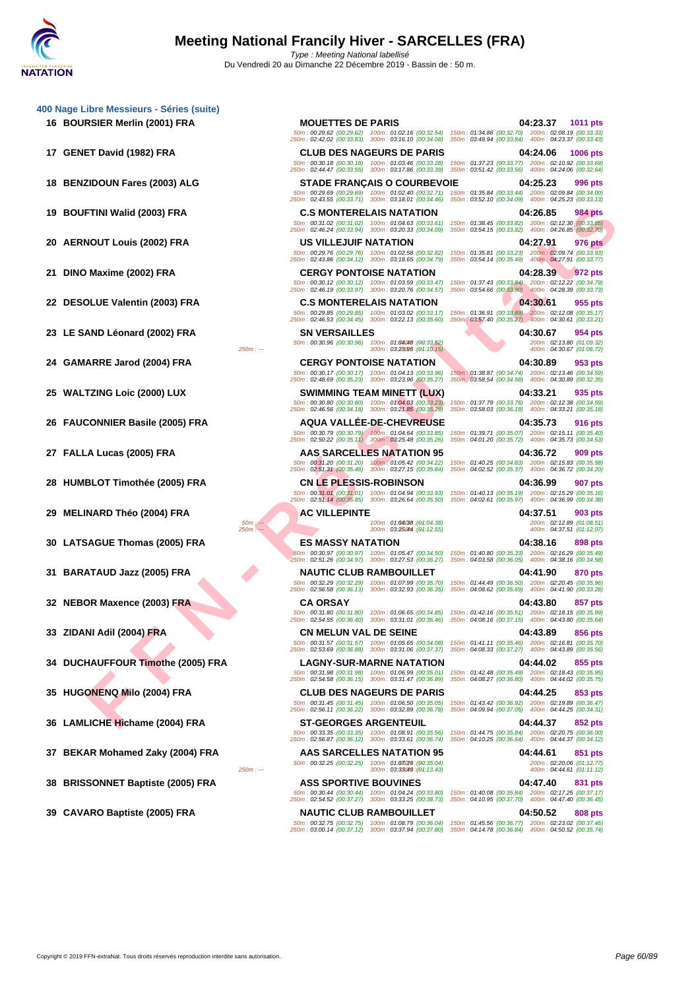**18 BENZIDOUN Fares (2003) ALG STADE FRANÇAIS O COURBEVOIE 04:25.23 996 pts**

**19 BOUFTINI Walid (2003) FRA C.S MONTERELAIS NATATION 04:26.85 984 pts**

**20 AERNOUT Louis (2002) FRA US VILLEJUIF NATATION 04:27.91 976 pts**

**26 FAUCONNIER Basile (2005) FRA AQUA VALLÉE-DE-CHEVREUSE 04:35.73 916 pts**

**28 HUMBLOT Timothée (2005) FRA CN LE PLESSIS-ROBINSON 04:36.99 907 pts**

**29 MELINARD Théo (2004) FRA AC VILLEPINTE 04:37.51 903 pts**

**30 LATSAGUE Thomas (2005) FRA ES MASSY NATATION 04:38.16 898 pts**

**34 DUCHAUFFOUR Timothe (2005) FRA LAGNY-SUR-MARNE NATATION 04:44.02 855 pts**

**35 HUGONENQ Milo (2004) FRA CLUB DES NAGEURS DE PARIS 04:44.25 853 pts**

**36 LAMLICHE Hichame (2004) FRA ST-GEORGES ARGENTEUIL 04:44.37 852 pts**

**38 BRISSONNET Baptiste (2005) FRA ASS SPORTIVE BOUVINES 04:47.40 831 pts**

**16 BOURSIER Merlin (2001) FRA MOUETTES DE PARIS 04:23.37 1011 pts** 50m : 00:29.62 (00:29.62) 100m : 01:02.16 (00:32.54) 150m : 01:34.86 (00:32.70) 200m : 02:08.19 (00:33.33) 250m : 02:42.02 (00:33.83) 300m : 03:16.10 (00:34.08) 350m : 03:49.94 (00:33.84) 400m : 04:23.37 (00:33.43) **17 GENET David (1982) FRA CLUB DES NAGEURS DE PARIS 04:24.06 1006 pts** 50m : 00:30.18 (00:30.18) 100m : 01:03.46 (00:33.28) 150m : 01:37.23 (00:33.77) 200m : 02:10.92 (00:33.69) 250m : 02:44.47 (00:33.55) 300m : 03:17.86 (00:33.39) 350m : 03:51.42 (00:33.56) 400m : 04:24.06 (00:32.64)

50m : 00:29.69 (00:29.69) 100m : 01:02.40 (00:32.71) 150m : 01:35.84 (00:33.44) 200m : 02:09.84 (00:34.00) 250m : 02:43.55 (00:33.71) 300m : 03:18.01 (00:34.46) 350m : 03:52.10 (00:34.09) 400m : 04:25.23 (00:33.13)

50m : 00:31.02 (00:31.02) 100m : 01:04.63 (00:33.61) 150m : 01:38.45 (00:33.82) 200m : 02:12.30 (00:33.85) 250m : 02:46.24 (00:33.94) 300m : 03:20.33 (00:34.09) 350m : 03:54.15 (00:33.82) 400m : 04:26.85 (00:32.70)

50m : 00:29.76 (00:29.76) 100m : 01:02.58 (00:32.82) 150m : 01:35.81 (00:33.23) 200m : 02:09.74 (00:33.93) 250m : 02:43.86 (00:34.12) 300m : 03:18.65 (00:34.79) 350m : 03:54.14 (00:35.49) 400m : 04:27.91 (00:33.77)

**21 DINO Maxime (2002) FRA CERGY PONTOISE NATATION 04:28.39 972 pts** 50m : 00:30.12 (00:30.12) 100m : 01:03.59 (00:33.47) 150m : 01:37.43 (00:33.84) 200m : 02:12.22 (00:34.79) 250m : 02:46.19 (00:33.97) 300m : 03:20.76 (00:34.57) 350m : 03:54.66 (00:33.90) 400m : 04:28.39 (00:33.73)

**22 DESOLUE Valentin (2003) FRA C.S MONTERELAIS NATATION 60m**: 01:03.02 (00:33.17) **150m**: 01:36.91 (00:33.89) **200m**: 02:12.08 (00:35.17)<br> **250m**: 02:46.53 (00:34.45) 300m: 03:22.13 (00:35.60) 350mm (03:57.40 (00:35 50m : 00:29.85 (00:29.85) 100m : 01:03.02 (00:33.17) 150m : 01:36.91 (00:33.89) 200m : 02:12.08 (00:35.17) 250m : 02:46.53 (00:34.45) 300m : 03:22.13 (00:35.60) 350m : 03:57.40 (00:35.27) 400m : 04:30.61 (00:33.21)

**23 LE SAND Léonard (2002) FRA SN VERSAILLES 04:30.67 954 pts** 50m : 00:30.96 (00:30.96) 100m : 01:04048 (00:33.52) 50m : 02:13.80 (01:09.32)<br>250m : --- (01:06.72) 300m : 03:23095 (01:10.15) 400m : 04:30.67 (01:06.72)

**24 GAMARRE Jarod (2004) FRA CERGY PONTOISE NATATION 04:30.89 953 pts** 50m : 00:30.17 (00:30.17) 100m : 01:04.13 (00:33.96)<br>250m : 02:48.69 (00:35.23) 300m : 03:23.96 (00:35.27)

**25 WALTZING Loic (2000) LUX SWIMMING TEAM MINETT (LUX) 04:33.21 935 pts**<br> **25 CONFINENTIAL CONTACT SUMPLY AND CONSUMING TEAM MINETT (LUX) 00:32.23** (00:33.78) 200m : 02:12.38 (00:34.59)<br>
250m : 02:46.56 (00:34 50m : 00:30.80 (00:30.80) 100m : 01:04.03 (00:33.23) 150m : 01:37.79 (00:33.76) 200m : 02:12.38 (00:34.59) 250m : 02:46.56 (00:34.18) 300m : 03:21.85 (00:35.29) 350m : 03:58.03 (00:36.18) 400m : 04:33.21 (00:35.18)

**27 FALLA Lucas (2005) FRA AAS SARCELLES NATATION 95 04:36.72 909 pts**

50m : 00:31.01 (00:31.01) 100m : 01:04.94 (00:33.93) 150m : 01:40.13 (00:35.19) 200m : 02:15.29 (00:35.16) 250m : 02:51.14 (00:35.85) 300m : 03:26.64 (00:35.50) 350m : 04:02.61 (00:35.97) 400m : 04:36.99 (00:34.38)

 $50m$ <br>  $50m$  :  $-40m$  : 02:12.89 (01:08.51)<br>  $300m$  : 03:25044 :(01:12.55)  $400m$  : 04:37.51 (01:12.07)

**31 BARATAUD Jazz (2005) FRA NAUTIC CLUB RAMBOUILLET 04:41.90 870 pts** 50m : 00:32.29 (00:32.29) 100m : 01:07.99 (00:35.70) 150m : 01:44.49 (00:36.50) 200m : 02:20.45 (00:35.96) 250m : 02:56.58 (00:36.13) 300m : 03:32.93 (00:36.35) 350m : 04:08.62 (00:35.69) 400m : 04:41.90 (00:33.28)

**32 NEBOR Maxence (2003) FRA CA ORSAY 04:43.80 857 pts** 50m : 00:31.80 (00:31.80) 100m : 01:06.65 (00:34.85) 150m : 01:42.16 (00:35.51) 200m : 02:18.15 (00:35.99) 250m : 02:54.55 (00:36.40) 300m : 03:31.01 (00:36.46) 350m : 04:08.16 (00:37.15) 400m : 04:43.80 (00:35.64)

50m : 00:31.57 (00:31.57) 100m : 01:05.65 (00:34.08) 150m : 01:41.11 (00:35.46) 200m : 02:16.81 (00:35.70) 250m : 02:53.69 (00:36.88) 300m : 03:31.06 (00:37.37) 350m : 04:08.33 (00:37.27) 400m : 04:43.89 (00:35.56)

50m : 00:31.45 (00:31.45) 100m : 01:06.50 (00:35.05) 150m : 01:43.42 (00:36.92) 200m : 02:19.89 (00:36.47) 250m : 02:56.11 (00:36.22) 300m : 03:32.89 (00:36.78) 350m : 04:09.94 (00:37.05) 400m : 04:44.25 (00:34.31)

**37 BEKAR Mohamed Zaky (2004) FRA AAS SARCELLES NATATION 95 04:44.61 051 pts**<br> **37 BEKAR Mohamed Zaky (2004) FRA** *Bom: 00:32.25* (00:32.25) **100m: 01:032.28** (00:32.25) **100m: 04:339/a9** (04:13.43) **100m: 04** 50m : 00:3**2.25** (00:32.25) 100m : 01:**07:29** 150m : 00:32.25 (00:32.25) 300m : 02:35.04)<br>[11:11.12] 400m : 04:**44.61** (01:11.12) 300m : 03:3**33/49** :(04:13.43)

50m : 00:30.44 (00:30.44) 100m : 01:04.24 (00:33.80) 150m : 01:40.08 (00:35.84) 200m : 02:17.25 (00:37.17) 250m : 02:54.52 (00:37.27) 300m : 03:33.25 (00:38.73) 350m : 04:10.95 (00:37.70) 400m : 04:47.40 (00:36.45)

**FTN Valid (2003) FRA**<br> **FEND AND LONE COULD BE MANATHON COULD BE SAMPLE THE SAMPLE THE SAMPLE SAMPLE THE SAMPLE SAMPLE SAMPLE SAMPLE SAMPLE SAMPLE SAMPLE SAMPLE SAMPLE SAMPLE SAMPLE SAMPLE SAMPLE SAMPLE SAMPLE SAMPLE SAM** 50m : 00:30.79 (00:30.79) 100m : 01:04.64 (00:33.85) 150m : 01:39.71 (00:35.07) 200m : 02:15.11 (00:35.40) 250m : 02:50.22 (00:35.11) 300m : 03:25.48 (00:35.26) 350m : 04:01.20 (00:35.72) 400m : 04:35.73 (00:34.53) 50m : 00:31.20 (00:31.20) 100m : 01:05.42 (00:34.22) 150m : 01:40.25 (00:34.83) 200m : 02:15.83 (00:35.58) 250m : 02:51.31 (00:35.48) 300m : 03:27.15 (00:35.84) 350m : 04:02.52 (00:35.37) 400m : 04:36.72 (00:34.20)

50m : 00:30.17 (00:30.17) 100m : 01:04.13 (00:33.96) 150m : 01:38.87 (00:34.74) 200m : 02:13.46 (00:34.59)

50m : 00:30.97 (00:30.97) 100m : 01:05.47 (00:34.50) 150m : 01:40.80 (00:35.33) 200m : 02:16.29 (00:35.49) 250m : 02:51.26 (00:34.97) 300m : 03:27.53 (00:36.27) 350m : 04:03.58 (00:36.05) 400m : 04:38.16 (00:34.58)

**33 ZIDANI Adil (2004) FRA CN MELUN VAL DE SEINE 04:43.89 856 pts**

50m : 00:31.98 (00:31.98) 100m : 01:06.99 (00:35.01) 150m : 01:42.48 (00:35.49) 200m : 02:18.43 (00:35.95) 250m : 02:54.58 (00:36.15) 300m : 03:31.47 (00:36.89) 350m : 04:08.27 (00:36.80) 400m : 04:44.02 (00:35.75)

50m : 00:33.35 (00:33.35) 100m : 01:08.91 (00:35.56) 150m : 01:44.75 (00:35.84) 200m : 02:20.75 (00:36.00) 250m : 02:56.87 (00:36.12) 300m : 03:33.61 (00:36.74) 350m : 04:10.25 (00:36.64) 400m : 04:44.37 (00:34.12)

**39 CAVARO Baptiste (2005) FRA NAUTIC CLUB RAMBOUILLET 04:50.52 808 pts** 50m : 00:32.75 (00:32.75) 100m : 01:08.79 (00:36.04) 150m : 01:45.56 (00:36.77) 200m : 02:23.02 (00:37.46) 250m : 03:00.14 (00:37.12) 300m : 03:37.94 (00:37.80) 350m : 04:14.78 (00:36.84) 400m : 04:50.52 (00:35.74)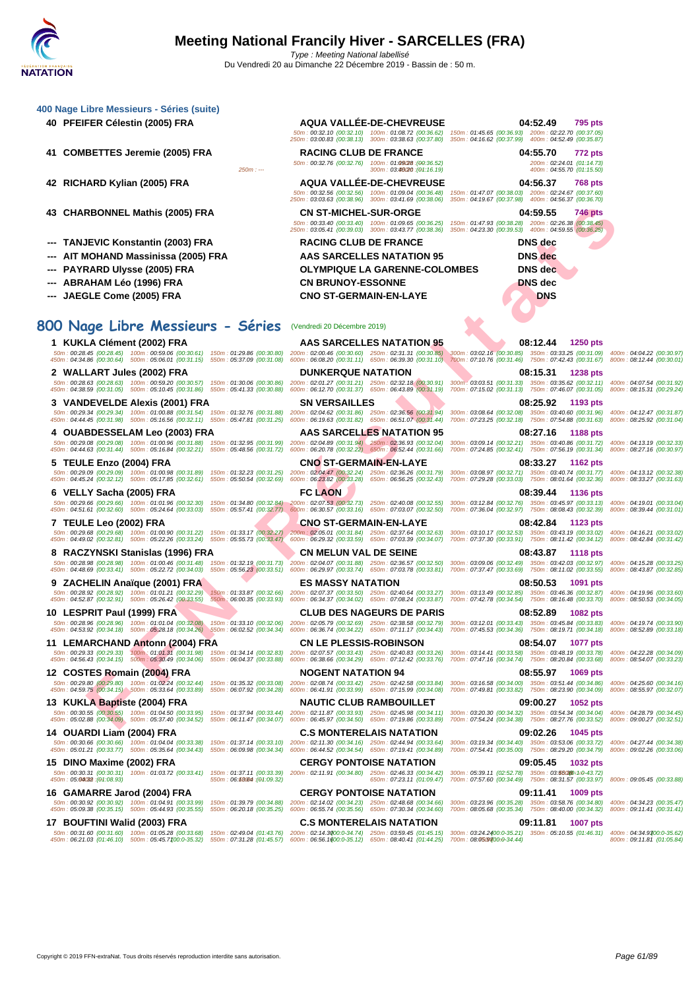| 400 Nage Libre Messieurs - Séries (suite)<br>40 PFEIFER Célestin (2005) FRA                                                                                                                                                                                                                                                                                                                                                               | <b>AQUA VALLÉE-DE-CHEVREUSE</b>                                                                                                                                       | 04:52.49<br>795 pts<br>50m: 00:32.10 (00:32.10) 100m: 01:08.72 (00:36.62) 150m: 01:45.65 (00:36.93) 200m: 02:22.70 (00:37.05)<br>250m: 03:00.83 (00:38.13) 300m: 03:38.63 (00:37.80) 350m: 04:16.62 (00:37.99) 400m: 04:52.49 (00:35.87)        |                                                        |
|-------------------------------------------------------------------------------------------------------------------------------------------------------------------------------------------------------------------------------------------------------------------------------------------------------------------------------------------------------------------------------------------------------------------------------------------|-----------------------------------------------------------------------------------------------------------------------------------------------------------------------|-------------------------------------------------------------------------------------------------------------------------------------------------------------------------------------------------------------------------------------------------|--------------------------------------------------------|
| 41 COMBETTES Jeremie (2005) FRA<br>$250m: -$                                                                                                                                                                                                                                                                                                                                                                                              | <b>RACING CLUB DE FRANCE</b><br>50m: 00:32.76 (00:32.76) 100m: 01:09/28 : (00:36.52)<br>300m: 03:46/20: (04:16.19)                                                    | 04:55.70<br>772 pts<br>200m: 02:24.01 (01:14.73)<br>400m: 04:55.70 (01:15.50)                                                                                                                                                                   |                                                        |
| 42 RICHARD Kylian (2005) FRA                                                                                                                                                                                                                                                                                                                                                                                                              | <b>AQUA VALLEE-DE-CHEVREUSE</b>                                                                                                                                       | 04:56.37<br><b>768 pts</b><br>50m: 00:32.56 (00:32.56) 100m: 01:09.04 (00:36.48) 150m: 01:47.07 (00:38.03) 200m: 02:24.67 (00:37.60)<br>250m: 03:03.63 (00:38.96) 300m: 03:41.69 (00:38.06) 350m: 04:19.67 (00:37.98) 400m: 04:56.37 (00:36.70) |                                                        |
| 43 CHARBONNEL Mathis (2005) FRA                                                                                                                                                                                                                                                                                                                                                                                                           | <b>CN ST-MICHEL-SUR-ORGE</b>                                                                                                                                          | 04:59.55<br><b>746 pts</b><br>50m: 00:33.40 (00:33.40) 100m: 01:09.65 (00:36.25) 150m: 01:47.93 (00:38.28) 200m: 02:26.38 (00:38.45)<br>250m: 03:05.41 (00:39.03) 300m: 03:43.77 (00:38.36) 350m: 04:23.30 (00:39.53) 400m: 04:59.55 (00:36.25) |                                                        |
| --- TANJEVIC Konstantin (2003) FRA                                                                                                                                                                                                                                                                                                                                                                                                        | <b>RACING CLUB DE FRANCE</b>                                                                                                                                          | <b>DNS</b> dec                                                                                                                                                                                                                                  |                                                        |
| AIT MOHAND Massinissa (2005) FRA<br><b>PAYRARD Ulysse (2005) FRA</b>                                                                                                                                                                                                                                                                                                                                                                      | AAS SARCELLES NATATION 95<br><b>OLYMPIQUE LA GARENNE-COLOMBES</b>                                                                                                     | <b>DNS</b> dec<br><b>DNS</b> dec                                                                                                                                                                                                                |                                                        |
| ABRAHAM Léo (1996) FRA                                                                                                                                                                                                                                                                                                                                                                                                                    | <b>CN BRUNOY-ESSONNE</b>                                                                                                                                              | <b>DNS</b> dec                                                                                                                                                                                                                                  |                                                        |
| ---   JAEGLE Come (2005) FRA                                                                                                                                                                                                                                                                                                                                                                                                              | <b>CNO ST-GERMAIN-EN-LAYE</b>                                                                                                                                         | <b>DNS</b>                                                                                                                                                                                                                                      |                                                        |
|                                                                                                                                                                                                                                                                                                                                                                                                                                           |                                                                                                                                                                       |                                                                                                                                                                                                                                                 |                                                        |
| 800 Nage Libre Messieurs - Séries (Vendredi 20 Décembre 2019)                                                                                                                                                                                                                                                                                                                                                                             |                                                                                                                                                                       |                                                                                                                                                                                                                                                 |                                                        |
| 1 KUKLA Clément (2002) FRA<br>50m: 00:28.45 (00:28.45) 100m: 00:59.06 (00:30.61) 150m: 01:29.86 (00:30.80) 200m: 02:00.46 (00:30.60) 250m: 02:31.31 (00:30.85) 300m: 03:02.16 (00:30.85) 350m: 03:32.25 (00:31.89) 400m: 04:04.22 (00:30.97)                                                                                                                                                                                              | <b>AAS SARCELLES NATATION 95</b>                                                                                                                                      | 08:12.44<br><b>1250 pts</b>                                                                                                                                                                                                                     |                                                        |
| 450m: 04:34.86 (00:30.64) 500m: 05:06.01 (00:31.15) 550m: 05:37.09 (00:31.08)                                                                                                                                                                                                                                                                                                                                                             | <b>DUNKERQUE NATATION</b>                                                                                                                                             | 600m: 06:08.20 (00:31.11) 650m: 06:39.30 (00:31.10) 700m: 07:10.76 (00:31.46) 750m: 07:42.43 (00:31.67) 800m: 08:12.44 (00:30.01)                                                                                                               |                                                        |
| 2 WALLART Jules (2002) FRA<br>50m: 00:26.63 (00:26.63) 100m: 00:59.20 (00:30.57) 150m: 01:30.06 (00:30.86) 200m: 02:01.27 (00:31.21) 250m: 02:32.18 (00:30.91) 300m: 03:03.51 (00:31.33) 350m: 03:35.62 (00:32.11) 400m: 04:07.54 (00:31.92)<br>450m: 04:38.59 (00:31.05) 500m: 05:10.45 (00:31.86) 550m: 05:41.33 (00:30.88)                                                                                                             |                                                                                                                                                                       | 08:15.31<br><b>1238 pts</b><br>600m: 06:12.70 (00:31.37) 650m: 06:43.89 (00:31.19) 700m: 07:15.02 (00:31.13) 750m: 07:46.07 (00:31.05) 800m: 08:15.31 (00:29.24)                                                                                |                                                        |
| 3 VANDEVELDE Alexis (2001) FRA                                                                                                                                                                                                                                                                                                                                                                                                            | <b>SN VERSAILLES</b>                                                                                                                                                  | 08:25.92<br>1193 pts                                                                                                                                                                                                                            |                                                        |
| 50m: 00:29.34 (00:29.34) 100m: 01:00.88 (00:31.54) 150m: 01:32.76 (00:31.88) 200m: 02:04.62 (00:31.86) 250m: 02:36.56 (00:31.94)<br>450m: 04:44.45 (00:31.98) 500m: 05:16.56 (00:32.11) 550m: 05:47.81 (00:31.25) 600m: 06:19.63 (00:31.82) 650m: 06:51.07 (00:31.44)                                                                                                                                                                     |                                                                                                                                                                       | 300m: 03:08.64 (00:32.08) 350m: 03:40.60 (00:31.96) 400m: 04:12.47 (00:31.87)<br>700m: 07:23.25 (00:32.18) 750m: 07:54.88 (00:31.63)                                                                                                            | 800m: 08:25.92 (00:31.04)                              |
| 4   OUABDESSELAM Leo (2003) FRA                                                                                                                                                                                                                                                                                                                                                                                                           | <b>AAS SARCELLES NATATION 95</b>                                                                                                                                      | 08:27.16<br>1188 pts                                                                                                                                                                                                                            |                                                        |
| 50m: 00:29.08 (00:29.08) 100m: 01:00.96 (00:31.88) 150m: 01:32.95 (00:31.99) 200m: 02:04.89 (00:31.94) 250m: 02:36.93 (00:32.04)<br>450m: 04:44.63 (00:31.44) 500m: 05:16.84 (00:32.21) 550m: 05:48.56 (00:31.72) 600m: 06:20.78 (00:32.22) 650m: 06:52.44 (00:31.66)                                                                                                                                                                     |                                                                                                                                                                       | 300m: 03:09.14 (00:32.21) 350m: 03:40.86 (00:31.72)<br>700m: 07:24.85 (00:32.41) 750m: 07:56.19 (00:31.34)                                                                                                                                      | 400m: 04:13.19 (00:32.33)<br>800m: 08:27.16 (00:30.97) |
| 5   TEULE Enzo (2004) FRA<br>50m: 00:29.09 (00:29.09) 100m: 01:00.98 (00:31.89) 150m: 01:32.23 (00:31.25) 200m: 02:04.47 (00:32.24) 250m: 02:36.26 (00:31.79)<br>450m: 04:45.24 (00:32.12) 500m: 05:17.85 (00:32.61) 550m: 05:50.54 (00:32.69)                                                                                                                                                                                            | <b>CNO ST-GERMAIN-EN-LAYE</b><br>600m: 06:23.82 (00:33.28) 650m: 06:56.25 (00:32.43)                                                                                  | 08:33.27<br>1162 pts<br>300m: 03:08.97 (00:32.71) 350m: 03:40.74 (00:31.77)<br>700m: 07:29.28 (00:33.03) 750m: 08:01.64 (00:32.36)                                                                                                              | 400m: 04:13.12 (00:32.38)<br>800m: 08:33.27 (00:31.63) |
| 6 VELLY Sacha (2005) FRA<br>50m: 00:29.66 (00:29.66) 100m: 01:01.96 (00:32.30) 150m: 01:34.80 (00:32.84) 200m: 02:07.53 (00:32.73) 250m: 02:40.08 (00:32.55)<br>450m: 04:51.61 (00:32.60) 500m: 05:24.64 (00:33.03) 550m: 05:57.41 (00:32.77) 600m: 06:30.57 (00:33.16) 650m: 07:03.07 (00:32.50)                                                                                                                                         | <b>FC LAON</b>                                                                                                                                                        | 08:39.44<br>1136 pts<br>300m: 03:12.84 (00:32.76) 350m: 03:45.97 (00:33.13)<br>700m: 07:36.04 (00:32.97) 750m: 08:08.43 (00:32.39) 800m: 08:39.44 (00:31.01)                                                                                    | 400m: 04:19.01 (00:33.04)                              |
| 7 TEULE Leo (2002) FRA<br>50m: 00:29.68 (00:29.68) 100m: 01:00.90 (00:31.22) 150m: 01:33.17 (00:32.27) 200m: 02:05.01 (00:31.84) 250m: 02:37.64 (00:32.63)<br>450m : 04:49.02 (00:32.81) 500m : 05:22.26 (00:33.24) 550m : 05:55.73 (00:33.47) 600m : 06:29.32 (00:33.59) 650m : 07:03.39 (00:34.07) 700m : 07:37.30 (00:33.91) 750m : 08:11.42 (00:34.12) 800m : 08:42.84 (00:31.42)                                                     | <b>CNO ST-GERMAIN-EN-LAYE</b>                                                                                                                                         | 08:42.84<br>1123 pts<br>300m: 03:10.17 (00:32.53) 350m: 03:43.19 (00:33.02) 400m: 04:16.21 (00:33.02)                                                                                                                                           |                                                        |
| 8 RACZYNSKI Stanislas (1996) FRA<br>50m: 00:28.98 (00:28.98) 100m: 01:00.46 (00:31.48) 150m: 01:32.19 (00:31.73) 200m: 02:04.07 (00:31.88) 250m: 02:36.57 (00:32.50) 300m: 03:09.06 (00:32.49) 350m: 03:42.03 (00:32.97) 400m: 04:15.28 (00:32.5)                                                                                                                                                                                         | <b>CN MELUN VAL DE SEINE</b>                                                                                                                                          | 08:43.87<br><b>1118 pts</b>                                                                                                                                                                                                                     |                                                        |
| 450m : 04:48.69 (00:33.41) 500m : 05:22.72 (00:34.03) 550m : 05:56.23 (00:33.51) 600m : 06:29.97 (00:33.74) 650m : 07:03.78 (00:33.81) 700m : 07:37.47 (00:33.69) 750m : 08:11.02 (00:33.55) 800m : 08:43.87 (00:32.85)                                                                                                                                                                                                                   |                                                                                                                                                                       |                                                                                                                                                                                                                                                 |                                                        |
| 9 ZACHELIN Anaïque (2001) FRA<br>50m: 00:28.92 (00:28.92) 100m: 01:01.21 (00:32.29) 150m: 01:33.87 (00:32.66) 200m: 02:07.37 (00:33.50) 250m: 02:40.64 (00:33.27) 300m: 03:13.49 (00:32.85) 350m: 03:46.36 (00:32.87) 400m: 04:19.96 (00:32.80)                                                                                                                                                                                           | <b>ES MASSY NATATION</b>                                                                                                                                              | 08:50.53<br>1091 pts                                                                                                                                                                                                                            |                                                        |
| 450m: 04:52.87 (00:32.91) 500m: 05:26.42 (00:33.55) 550m: 06:00.35 (00:33.93)<br>10 LESPRIT Paul (1999) FRA                                                                                                                                                                                                                                                                                                                               | 600m: 06:34.37 (00:34.02) 650m: 07:08.24 (00:33.87) 700m: 07:42.78 (00:34.54) 750m: 08:16.48 (00:33.70) 800m: 08:50.53 (00:34.05)<br><b>CLUB DES NAGEURS DE PARIS</b> | 08:52.89<br><b>1082 pts</b>                                                                                                                                                                                                                     |                                                        |
| 50m: 00:28.96 (00:28.96) 100m: 01:01.04 (00:32.08) 150m: 01:33.10 (00:32.06) 200m: 02:05.79 (00:32.69) 250m: 02:38.58 (00:32.79) 300m: 03:12.01 (00:33.43) 350m: 03:45.84 (00:33.83) 400m: 04:19.74 (00:33.90)<br>450m : 04:53.92 (00:34.18) 500m : 05:28.18 (00:34.26) 550m : 06:02.52 (00:34.34) 600m : 06:36.74 (00:34.22) 650m : 07:11.17 (00:34.43) 700m : 07:45.53 (00:34.36) 750m : 08:19.71 (00:34.18) 800m : 08:52.89 (00:33.18) |                                                                                                                                                                       |                                                                                                                                                                                                                                                 |                                                        |
| 11 LEMARCHAND Antonn (2004) FRA                                                                                                                                                                                                                                                                                                                                                                                                           | <b>CN LE PLESSIS-ROBINSON</b>                                                                                                                                         | 08:54.07<br>1077 pts                                                                                                                                                                                                                            |                                                        |
| 50m: 00:29.33 (00:29.33) 100m: 01:01.31 (00:31.98) 150m: 01:34.14 (00:32.83) 200m: 02:07.57 (00:33.43) 250m: 02:40.83 (00:33.26) 300m: 03:14.41 (00:33.58) 350m: 03:48.19 (00:33.78) 400m: 04:22.28 (00:34.09)<br>450m : 04:56.43 (00:34.15) 500m : 05:30.49 (00:34.06) 550m : 06:04.37 (00:33.88) 600m : 06:38.66 (00:34.29) 650m : 07:12.42 (00:33.76) 700m : 07:47.16 (00:34.74) 750m : 08:20.84 (00:33.88) 800m : 08:54.07 (00:33.23) |                                                                                                                                                                       |                                                                                                                                                                                                                                                 |                                                        |
| 12 COSTES Romain (2004) FRA                                                                                                                                                                                                                                                                                                                                                                                                               | <b>NOGENT NATATION 94</b>                                                                                                                                             | 08:55.97<br>1069 pts                                                                                                                                                                                                                            |                                                        |
| 50m: 00:29.80 (00:29.80) 100m: 01:02.24 (00:32.44)<br>450m: 04:59.75 (00:34.15) 500m: 05:33.64 (00:33.89) 550m: 06:07.92 (00:34.28) 600m: 06:41.91 (00:33.99) 650m: 07:15.99 (00:34.08)                                                                                                                                                                                                                                                   | 150m: 01:35.32 (00:33.08) 200m: 02:08.74 (00:33.42) 250m: 02:42.58 (00:33.84)                                                                                         | 300m: 03:16.58 (00:34.00) 350m: 03:51.44 (00:34.86) 400m: 04:25.60 (00:34.16)<br>700m: 07:49.81 (00:33.82) 750m: 08:23.90 (00:34.09) 800m: 08:55.97 (00:32.07)                                                                                  |                                                        |
| 13 KUKLA Baptiste (2004) FRA<br>50m: 00:30.55 (00:30.55) 100m: 01:04.50 (00:33.95)                                                                                                                                                                                                                                                                                                                                                        | <b>NAUTIC CLUB RAMBOUILLET</b><br>150m: 01:37.94 (00:33.44) 200m: 02:11.87 (00:33.93) 250m: 02:45.98 (00:34.11)                                                       | 09:00.27<br>1052 pts<br>300m: 03:20.30 (00:34.32) 350m: 03:54.34 (00:34.04) 400m: 04:28.79 (00:34.45)                                                                                                                                           |                                                        |
| 450m: 05:02.88 (00:34.09) 500m: 05:37.40 (00:34.52)<br>14 OUARDI Liam (2004) FRA                                                                                                                                                                                                                                                                                                                                                          | 550m: 06:11.47 (00:34.07) 600m: 06:45.97 (00:34.50) 650m: 07:19.86 (00:33.89)<br><b>C.S MONTERELAIS NATATION</b>                                                      | 700m: 07:54.24 (00:34.38) 750m: 08:27.76 (00:33.52) 800m: 09:00.27 (00:32.51)<br>09:02.26<br>1045 pts                                                                                                                                           |                                                        |
| 50m: 00:30.66 (00:30.66) 100m: 01:04.04 (00:33.38) 150m: 01:37.14 (00:33.10) 200m: 02:11.30 (00:34.16) 250m: 02:44.94 (00:33.64)<br>450m : 05:01.21 (00:33.77) 500m : 05:35.64 (00:34.43) 550m : 06:09.98 (00:34.34) 600m : 06:44.52 (00:34.54) 650m : 07:19.41 (00:34.89)                                                                                                                                                                |                                                                                                                                                                       | 300m: 03:19.34 (00:34.40) 350m: 03:53.06 (00:33.72) 400m: 04:27.44 (00:34.38)<br>700m: 07:54.41 (00:35.00) 750m: 08:29.20 (00:34.79) 800m: 09:02.26 (00:33.06)                                                                                  |                                                        |
| 15 DINO Maxime (2002) FRA                                                                                                                                                                                                                                                                                                                                                                                                                 | <b>CERGY PONTOISE NATATION</b>                                                                                                                                        | 09:05.45<br><b>1032 pts</b>                                                                                                                                                                                                                     |                                                        |
| 50m: 00:30.31 (00:30.31) 100m: 01:03.72 (00:33.41) 150m: 01:37.11 (00:33.39) 200m: 02:11.91 (00:34.80) 250m: 02:46.33 (00:34.42)<br>450m: 05:00032 : (01:08.93)<br>550m: 06:68084 : (04:09.32)                                                                                                                                                                                                                                            | 650m: 07:23.11 (01:09.47)                                                                                                                                             | 300m: 05:39.11 (02:52.78) 350m: 03:560890:1:0-43.72)<br>700m: 07:57.60 (00:34.49) 750m: 08:31.57 (00:33.97) 800m: 09:05.45 (00:33.88)                                                                                                           |                                                        |
| 16 GAMARRE Jarod (2004) FRA                                                                                                                                                                                                                                                                                                                                                                                                               | <b>CERGY PONTOISE NATATION</b>                                                                                                                                        | 09:11.41<br>1009 pts                                                                                                                                                                                                                            |                                                        |
| 50m: 00:30.92 (00:30.92) 100m: 01:04.91 (00:33.99)<br>450m: 05:09.38 (00:35.15) 500m: 05:44.93 (00:35.55)<br>550m: 06:20.18 (00:35.25)                                                                                                                                                                                                                                                                                                    | 150m: 01:39.79 (00:34.88) 200m: 02:14.02 (00:34.23) 250m: 02:48.68 (00:34.66)<br>600m: 06:55.74 (00:35.56) 650m: 07:30.34 (00:34.60)                                  | 300m: 03:23.96 (00:35.28) 350m: 03:58.76 (00:34.80)<br>700m: 08:05.68 (00:35.34) 750m: 08:40.00 (00:34.32)                                                                                                                                      | 400m: 04:34.23 (00:35.47)<br>800m: 09:11.41 (00:31.41) |
| 17 BOUFTINI Walid (2003) FRA<br>50m: 00:31.60 (00:31.60) 100m: 01:05.28 (00:33.68)                                                                                                                                                                                                                                                                                                                                                        | <b>C.S MONTERELAIS NATATION</b><br>150m: 02:49.04 (01:43.76) 200m: 02:14.3000:0-34.74) 250m: 03:59.45 (01:45.15)                                                      | 09:11.81<br><b>1007 pts</b><br>300m: 03:24.2400:0-35.21) 350m: 05:10.55 (01:46.31)                                                                                                                                                              | 400m: 04:34.9300:0-35.62)                              |
| 450m: 06:21.03 (01:46.10) 500m: 05:45.7100:0-35.32)                                                                                                                                                                                                                                                                                                                                                                                       | 550m: 07:31.28 (01:45.57) 600m: 06:56.1600:0-35.12) 650m: 08:40.41 (01:44.25)                                                                                         | 700m: 08:0509700:0-34.44)                                                                                                                                                                                                                       | 800m: 09:11.81 (01:05.84)                              |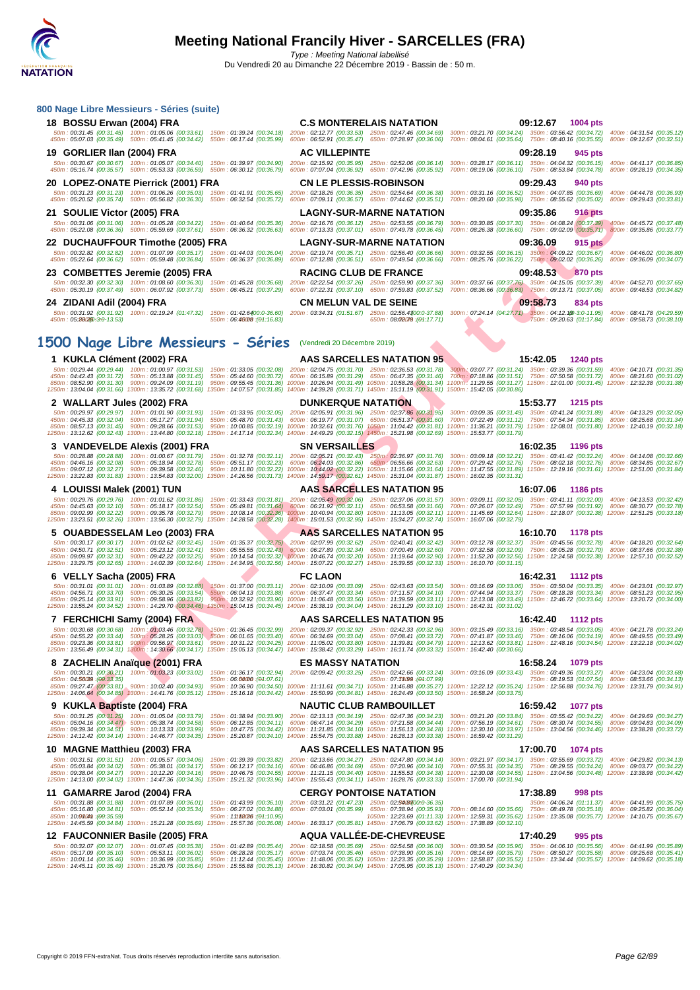| 800 Nage Libre Messieurs - Séries (suite)                                                                                                                                                                                                                                                                                                    |                                                                                                                                                                 |                                                                                                                                                                                                                                                                                                                                                                                                                                                                                                                                                                                                                                                                  |
|----------------------------------------------------------------------------------------------------------------------------------------------------------------------------------------------------------------------------------------------------------------------------------------------------------------------------------------------|-----------------------------------------------------------------------------------------------------------------------------------------------------------------|------------------------------------------------------------------------------------------------------------------------------------------------------------------------------------------------------------------------------------------------------------------------------------------------------------------------------------------------------------------------------------------------------------------------------------------------------------------------------------------------------------------------------------------------------------------------------------------------------------------------------------------------------------------|
| 18 BOSSU Erwan (2004) FRA<br>50m: 00:31.45 (00:31.45) 100m: 01:05.06 (00:33.61) 150m: 01:39.24 (00:34.18) 200m: 02:12.77 (00:33.53) 250m: 02:47.46 (00:34.69)                                                                                                                                                                                | <b>C.S MONTERELAIS NATATION</b>                                                                                                                                 | 09:12.67 1004 pts<br>300m: 03:21.70 (00:34.24) 350m: 03:56.42 (00:34.72) 400m: 04:31.54 (00:35.12)                                                                                                                                                                                                                                                                                                                                                                                                                                                                                                                                                               |
| 450m: 05:07.03 (00:35.49) 500m: 05:41.45 (00:34.42) 550m: 06:17.44 (00:35.99) 600m: 06:52.91 (00:35.47) 650m: 07:28.97 (00:36.06)<br>19 GORLIER IIan (2004) FRA                                                                                                                                                                              | <b>AC VILLEPINTE</b>                                                                                                                                            | 700m: 08:04.61 (00:35.64) 750m: 08:40.16 (00:35.55) 800m: 09:12.67 (00:32.51)<br>09:28.19<br>945 pts                                                                                                                                                                                                                                                                                                                                                                                                                                                                                                                                                             |
| 50m: 00:30.67 (00:30.67) 100m: 01:05.07 (00:34.40) 150m: 01:39.97 (00:34.90) 200m: 02:15.92 (00:35.95) 250m: 02:52.06 (00:36.14)                                                                                                                                                                                                             |                                                                                                                                                                 | 300m: 03:28.17 (00:36.11) 350m: 04:04.32 (00:36.15) 400m: 04:41.17 (00:36.85)<br>450m : 05:16.74 (00:35.57) 500m : 05:53.33 (00:36.59) 550m : 06:30.12 (00:36.79) 600m : 07:07.04 (00:36.92) 650m : 07:42.96 (00:35.92) 700m : 08:19.06 (00:36.10) 750m : 08:53.84 (00:34.78) 800m : 09:28.19 (00:34.35)                                                                                                                                                                                                                                                                                                                                                         |
| 20 LOPEZ-ONATE Pierrick (2001) FRA                                                                                                                                                                                                                                                                                                           | <b>CN LE PLESSIS-ROBINSON</b>                                                                                                                                   | 09:29.43<br>940 pts                                                                                                                                                                                                                                                                                                                                                                                                                                                                                                                                                                                                                                              |
| 50m: 00:31.23 (00:31.23) 100m: 01:06.26 (00:35.03) 150m: 01:41.91 (00:35.65) 200m: 02:18.26 (00:36.35) 250m: 02:54.64 (00:36.38) 300m: 03:31.16 (00:36.52) 350m: 04:07.85 (00:36.69)                                                                                                                                                         |                                                                                                                                                                 | 400m: 04:44.78 (00:36.93)<br>450m : 05:20.52 (00:35.74) 500m : 05:56.82 (00:36.30) 550m : 06:32.54 (00:35.72) 600m : 07:09.11 (00:36.57) 650m : 07:44.62 (00:35.51) 700m : 08:20.60 (00:35.98) 750m : 08:55.62 (00:35.02) 800m : 09:20.43 (00:33.81)                                                                                                                                                                                                                                                                                                                                                                                                             |
| 21 SOULIE Victor (2005) FRA                                                                                                                                                                                                                                                                                                                  | <b>LAGNY-SUR-MARNE NATATION</b>                                                                                                                                 | 09:35.86<br><b>916 pts</b>                                                                                                                                                                                                                                                                                                                                                                                                                                                                                                                                                                                                                                       |
| 50m: 00:31.06 (00:31.06) 100m: 01:05.28 (00:34.22) 150m: 01:40.64 (00:35.36) 200m: 02:16.76 (00:36.12) 250m: 02:53.55 (00:36.79)<br>450m: 05:22.08 (00:36.36) 500m: 05:59.69 (00:37.61) 550m: 06:36.32 (00:36.63) 600m: 07:13.33 (00:37.01) 650m: 07:49.78 (00:36.45)                                                                        |                                                                                                                                                                 | 300m: 03:30.85 (00:37.30) 350m: 04:08.24 (00:37.39) 400m: 04:45.72 (00:37.48)<br>700m: 08:26.38 (00:36.60) 750m: 09:02.09 (00:35.71) 800m: 09:35.86 (00:33.77)                                                                                                                                                                                                                                                                                                                                                                                                                                                                                                   |
| 22 DUCHAUFFOUR Timothe (2005) FRA<br>50m: 00:32.82 (00:32.82) 100m: 01:07.99 (00:35.17) 150m: 01:44.03 (00:36.04) 200m: 02:19.74 (00:35.71) 250m: 02:56.40 (00:36.66)                                                                                                                                                                        | <b>LAGNY-SUR-MARNE NATATION</b>                                                                                                                                 | 09:36.09<br>915 pts<br>300m: 03:32.55 (00:36.15) 350m: 04:09.22 (00:36.67) 400m: 04:46.02 (00:36.80)                                                                                                                                                                                                                                                                                                                                                                                                                                                                                                                                                             |
| 450m: 05:22.64 (00:36.62) 500m: 05:59.48 (00:36.84) 550m: 06:36.37 (00:36.89) 600m: 07:12.88 (00:36.51) 650m: 07:49.54 (00:36.66)                                                                                                                                                                                                            |                                                                                                                                                                 | 700m: 08:25.76 (00:36.22) 750m: 09:02.02 (00:36.26) 800m: 09:36.09 (00:34.07)                                                                                                                                                                                                                                                                                                                                                                                                                                                                                                                                                                                    |
| 23 COMBETTES Jeremie (2005) FRA                                                                                                                                                                                                                                                                                                              | <b>RACING CLUB DE FRANCE</b>                                                                                                                                    | 09:48.53<br>870 pts<br>50m: 00:32.30 (00:32.30) 100m: 01:08.60 (00:36.30) 150m: 01:45.28 (00:36.68) 200m: 02:22.54 (00:37.26) 250m: 02:59.90 (00:37.36) 300m: 03:37.66 (00:37.76) 350m: 04:15.05 (00:37.39) 400m: 04:52.70 (00:37.65)                                                                                                                                                                                                                                                                                                                                                                                                                            |
| 24 ZIDANI Adil (2004) FRA                                                                                                                                                                                                                                                                                                                    | <b>CN MELUN VAL DE SEINE</b>                                                                                                                                    | 450m: 05:30.19 (00:37.49) 500m: 06:07.92 (00:37.73) 550m: 06:45.21 (00:37.29) 600m: 07:22.31 (00:37.10) 650m: 07:59.83 (00:37.52) 700m: 08:36.66 (00:36.83) 750m: 09:13.71 (00:37.05) 800m: 09:48.53 (00:34.82)<br>09:58.73<br>834 pts                                                                                                                                                                                                                                                                                                                                                                                                                           |
| 450m: 05:2802,53:0-13.53)<br>550m: 06:46008 : (01:16.83)                                                                                                                                                                                                                                                                                     | 650m: 08:00079 : (04:17.71)                                                                                                                                     | 50m: 00:31.92 (00:31.92) 100m: 02:19.24 (01:47.32) 150m: 01:42.6400:0-36.60) 200m: 03:34.31 (01:51.67) 250m: 02:56.4300:0-37.88) 300m; 07:24.14 (04:27.71) 350m: 04:12.1@-3:0-11.95) 400m: 08:41.78 (04:29.59)<br>750m: 09:20.63 (01:17.84) 800m: 09:58.73 (00:38.10)                                                                                                                                                                                                                                                                                                                                                                                            |
| 1500 Nage Libre Messieurs - Séries (Vendredi 20 Décembre 2019)                                                                                                                                                                                                                                                                               |                                                                                                                                                                 |                                                                                                                                                                                                                                                                                                                                                                                                                                                                                                                                                                                                                                                                  |
| 1 KUKLA Clément (2002) FRA                                                                                                                                                                                                                                                                                                                   | AAS SARCELLES NATATION 95                                                                                                                                       | 15:42.05<br>1240 pts                                                                                                                                                                                                                                                                                                                                                                                                                                                                                                                                                                                                                                             |
| 50m: 00:29.44 (00:29.44) 100m: 01:00.97 (00:31.53)<br>450m: 04:42.43 (00:31.72) 500m: 05:13.88 (00:31.45)                                                                                                                                                                                                                                    | 150m: 01:33.05 (00:32.08) 200m: 02:04.75 (00:31.70) 250m: 02:36.53 (00:31.78)<br>550m: 05:44.60 (00:30.72) 600m: 06:15.89 (00:31.29) 650m: 06:47.35 (00:31.46)  | 300m; 03:07.77 (00:31.24) 350m: 03:39.36 (00:31.59) 400m: 04:10.71 (00:31.35)<br>700m: 07:18.86 (00:31.51) 750m: 07:50.58 (00:31.72) 800m: 08:21.60 (00:31.02)                                                                                                                                                                                                                                                                                                                                                                                                                                                                                                   |
| 1250m: 13:04.04 (00:31.66) 1300m: 13:35.72 (00:31.68) 1350m: 14:07.57 (00:31.85) 1400m: 14:39.28 (00:31.71) 1450m: 15:11.19 (00:31.91) 1500m: 15:42.05 (00:30:86)                                                                                                                                                                            |                                                                                                                                                                 | 850m : 08:52.90 (00:31.30) 900m : 09:24.09 (00:31.19) 950m : 09:55.45 (00:31.36) 1000m : 10:26.94 (00:31.49) 1050m : 10:58.28 (00:31.34) 1100m : 11:29.55 (00:31.27) 1150m : 12:01.00 (00:31.45) 1200m : 12:32.38 (00:31.38)                                                                                                                                                                                                                                                                                                                                                                                                                                     |
| 2   WALLART Jules (2002) FRA<br>50m: 00:29.97 (00:29.97) 100m: 01:01.90 (00:31.93)                                                                                                                                                                                                                                                           | <b>DUNKERQUE NATATION</b>                                                                                                                                       | 15:53.77<br><b>1215 pts</b><br>150m: 01:33.95 (00:32.05) 200m: 02:05.91 (00:31.96) 250m: 02:37.86 (00:31.95) 300m: 03:09.35 (00:31.49) 350m: 03:41.24 (00:31.89) 400m: 04:13.29 (00:32.05)                                                                                                                                                                                                                                                                                                                                                                                                                                                                       |
| 450m: 04:45.33 (00:32.04) 500m: 05:17.27 (00:31.94)<br>850m: 08:57.13 (00:31.45) 900m: 09:28.66 (00:31.53)                                                                                                                                                                                                                                   | 550m: 05:48.70 (00:31.43) 600m: 06:19.77 (00:31.07) 650m: 06:51.37 (00:31.60)                                                                                   | 700m: 07:22.49 (00:31.12) 750m: 07:54.34 (00:31.85) 800m: 08:25.68 (00:31.34)<br>950m: 10:00.85 (00:32.19) 1000m: 10:32.61 (00:31.76) 1050m: 11:04.42 (00:31.81) 1100m: 11:36.21 (00:31.79) 1150m: 12:08.01 (00:31.80) 1200m: 12:40.19 (00:32.18)                                                                                                                                                                                                                                                                                                                                                                                                                |
| 1250m: 13:12.62 (00:32.43) 1300m: 13:44.80 (00:32.18) 1350m: 14:17.14 (00:32.34) 1400m: 14:49.29 (00:32.15) 1450m: 15:21.98 (00:32.69) 1500m: 15:53.77 (00:31.79)<br>3 VANDEVELDE Alexis (2001) FRA                                                                                                                                          | <b>SN VERSAILLES</b>                                                                                                                                            | 16:02.35<br>1196 pts                                                                                                                                                                                                                                                                                                                                                                                                                                                                                                                                                                                                                                             |
| 50m: 00:28.88 (00:28.88) 100m: 01:00.67 (00:31.79)<br>450m: 04:46.16 (00:32.08) 500m: 05:18.94 (00:32.78)                                                                                                                                                                                                                                    | 550m: 05:51.17 (00:32.23) 600m: 06:24.03 (00:32.86) 650m: 06:56.66 (00:32.63)                                                                                   | 150m: 01:32.78 (00:32.11) 200m: 02:05.21 (00:32.43) 250m: 02:36.97 (00:31.76) 300m: 03:09.18 (00:32.21) 350m: 03:41.42 (00:32.24) 400m: 04:14.08 (00:32.66)<br>700m: 07:29.42 (00:32.76) 750m: 08:02.18 (00:32.76) 800m: 08:34.85 (00:32.67)                                                                                                                                                                                                                                                                                                                                                                                                                     |
| 850m: 09:07.12 (00:32.27) 900m: 09:39.58 (00:32.46)<br>1250m: 13:22.83 (00:31.83) 1300m: 13:54.83 (00:32.00) 1350m: 14:26.56 (00:31.73) 1400m: 14:59.17 (00:32.61) 1450m: 15:31.04 (00:31.87) 1500m: 16:02.35 (00:31.31)                                                                                                                     |                                                                                                                                                                 | 950m: 10:11.80 (00:32.22) 1000m: 10:44.02 (00:32.22) 1050m: 11:15.66 (00:31.64) 1100m: 11:47.55 (00:31.89) 1150m: 12:19.16 (00:31.61) 1200m: 12:51.00 (00:31.84)                                                                                                                                                                                                                                                                                                                                                                                                                                                                                                 |
|                                                                                                                                                                                                                                                                                                                                              |                                                                                                                                                                 |                                                                                                                                                                                                                                                                                                                                                                                                                                                                                                                                                                                                                                                                  |
| 4 LOUISSI Malek (2001) TUN                                                                                                                                                                                                                                                                                                                   | AAS SARCELLES NATATION 95                                                                                                                                       | 16:07.06<br>1186 pts                                                                                                                                                                                                                                                                                                                                                                                                                                                                                                                                                                                                                                             |
| 50m: 00:29.76 (00:29.76) 100m: 01:01.62 (00:31.86)<br>450m: 04:45.63 (00:32.10) 500m: 05:18.17 (00:32.54)<br>850m: 09:02.99 (00:32.22) 900m: 09:35.78 (00:32.79)<br>1250m: 13:23.51 (00:32.26) 1300m: 13:56.30 (00:32.79) 1350m: 14:28.58 (00:32.28) 1400m: 15:01.53 (00:32.95) 1450m: 15:34.27 (00:32.74) 1500m: 16:07.06 (00:32.79)        | 150m: 01:33.43 (00:31.81) 200m: 02:05.49 (00:32.06) 250m: 02:37.06 (00:31.57)                                                                                   | 300m: 03:09.11 (00:32.05) 350m: 03:41.11 (00:32.00) 400m: 04:13.53 (00:32.42)<br>550m : 05:49.81 (00:31.64) 600m : 06:21.92 (00:32.11) 650m : 06:53.58 (00:31.66) 700m : 07:26.07 (00:32.49) 750m : 07:57.99 (00:31.92) 800m : 08:30.77 (00:32.78)<br>950m: 10:08.14 (00:32.36) 1000m: 10:40.94 (00:32.80) 1050m: 11:13.05 (00:32.11) 1100m: 11:45.69 (00:32.64) 1150m: 12:18.07 (00:32.38) 1200m: 12:51.25 (00:33.18)                                                                                                                                                                                                                                           |
| 5   OUABDESSELAM Leo (2003) FRA                                                                                                                                                                                                                                                                                                              | AAS SARCELLES NATATION 95                                                                                                                                       | 16:10.70<br>1178 pts                                                                                                                                                                                                                                                                                                                                                                                                                                                                                                                                                                                                                                             |
| 50m: 00:30.17 (00:30.17) 100m: 01:02.62 (00:32.45)<br>450m: 04:50.71 (00:32.51) 500m: 05:23.12 (00:32.41)<br>850m: 09:09.97 (00:32.31) 900m: 09:42.22 (00:32.25)<br>1250m: 13:29.75 (00:32.65) 1300m: 14:02.39 (00:32.64) 1350m: 14:34.95 (00:32.56) 1400m: 15:07.22 (00:32.27) 1450m: 15:39.55 (00:32.33) 1500m: 16:10.70 (00:31.15)        |                                                                                                                                                                 | 150m: 01:35.37 (00:32.75) 200m: 02:07.99 (00:32.62) 250m: 02:40.41 (00:32.42) 300m: 03:12.78 (00:32.37) 350m: 03:45.56 (00:32.78) 400m: 04:18.20 (00:32.64)<br>550m: 05:55.55 (00:32.43) 600m: 06:27.89 (00:32.34) 650m: 07:00.49 (00:32.60) 700m: 07:32.58 (00:32.09) 750m: 08:05.28 (00:32.70) 800m: 08:37.66 (00:32.78)<br>950m: 10:14.54 (00:32.32) 1000m: 10:46.74 (00:32.20) 1050m: 11:19.64 (00:32.90) 1100m: 11:52.20 (00:32.56) 1150m: 12:24.58 (00:32.38) 1200m: 12:57.10 (00:32.32)                                                                                                                                                                   |
| 6 VELLY Sacha (2005) FRA                                                                                                                                                                                                                                                                                                                     | <b>FC LAON</b>                                                                                                                                                  | 16:42.31<br>1112 pts                                                                                                                                                                                                                                                                                                                                                                                                                                                                                                                                                                                                                                             |
| 1250m: 13:55.24 (00:34.52) 1300m: 14:29.70 (00:34.46) 1350m: 15:04.15 (00:34.45) 1400m: 15:38.19 (00:34.04) 1450m: 16:11.29 (00:33.10) 1500m: 16:42.31 (00:31.02)                                                                                                                                                                            |                                                                                                                                                                 | 50m: 00:31.01 (00:31.01) 100m: 01:03.89 (00:32.88) 150m: 01:37.00 (00:33.11) 200m: 02:10.09 (00:33.09) 250m: 02:43.63 (00:33.54) 300m: 03:16.69 (00:33.06) 350m: 03:50.04 (00:33.5} 400m: 04:23.01 (00:32.97)<br>450m: 04:56.71 (00:33.70) 500m: 05:30.25 (00:33.54) 550m: 06:04.13 (00:33.88) 600m: 06:37.47 (00:33.34) 650m: 07:11.57 (00:34.10) 700m: 07:44.94 (00:33.37) 750m: 08:18.28 (00:33.34) 800m: 08:51.23 (00:32.95)<br>850m : 09:25.14 (00:33.91) 900m : 09:58.96 (00:33.82) 950m : 10:32.92 (00:33.96) 1000m : 11:06.48 (00:33.56) 1050m : 11:39.59 (00:33.11) 1100m : 12:13.08 (00:33.49) 1150m : 12:46.72 (00:33.64) 1200m : 13:20.72 (00:34.00) |
| 7 FERCHICHI Samy (2004) FRA                                                                                                                                                                                                                                                                                                                  | AAS SARCELLES NATATION 95                                                                                                                                       | 16:42.40<br>1112 pts                                                                                                                                                                                                                                                                                                                                                                                                                                                                                                                                                                                                                                             |
| 50m: 00:30.68 (00:30.68)<br>1250m: 13:56.49 (00:34.31) 1300m: 14:30.66 (00:34.17) 1350m: 15:05.13 (00:34.47) 1400m: 15:38.42 (00:33.29) 1450m: 16:11.74 (00:33.32) 1500m: 16:42.40 (00:30.66)                                                                                                                                                |                                                                                                                                                                 | 100m; 01:03.46 (00:32.78) 150m: 01:36.45 (00:32.99) 200m: 02:09.37 (00:32.92) 250m: 02:42.33 (00:32.96) 300m: 03:15.49 (00:33.16) 350m: 03:48.54 (00:33.05) 400m: 04:21.78 (00:33.24)<br>450m : 04:55.22 (00:33.44) 500m : 05:28.25 (00:33.03) 550m : 06:01.65 (00:33.40) 600m : 06:34.69 (00:33.04) 650m : 07:08.41 (00:33.72) 700m : 07:41.87 (00:33.46) 750m : 08:16.06 (00:34.19) 800m : 08:49.55 (00:33.49)<br>850m : 09:23.36 (00:33.81) 900m : 09:56.97 (00:33.61) 950m : 10:31.22 (00:34.25) 1000m : 11:05.02 (00:33.80) 1050m : 11:39.81 (00:34.79) 1100m : 12:13.62 (00:33.81) 1150m : 12:48.16 (00:34.54) 1200m : 13:22.18 (00:34.02)                 |
| 8 ZACHELIN Anaïque (2001) FRA                                                                                                                                                                                                                                                                                                                | <b>ES MASSY NATATION</b>                                                                                                                                        | 16:58.24<br>1079 pts                                                                                                                                                                                                                                                                                                                                                                                                                                                                                                                                                                                                                                             |
| 50m: 00:30.21 (00:30.21) 100m: 01:03.23 (00:33.02)<br>450m: 04:56039 : (00:33.35)<br>550m: 06:04:00 : (04:07.61)<br>850m: 09:27.47 (00:33.81) 900m: 10:02.40 (00:34.93)<br>1250m: 14:06.64 (00:34.85) 1300m: 14:41.76 (00:35.12) 1350m: 15:16.18 (00:34.42) 1400m: 15:50.99 (00:34.81) 1450m: 16:24.49 (00:33.50) 1500m: 16:58.24 (00:33.75) | 150m: 01:36.17 (00:32.94) 200m: 02:09.42 (00:33.25) 250m: 02:42.66 (00:33.24) 300m: 03:16.09 (00:33.43) 350m: 03:49.36 (00:33.27)<br>650m: 07:10099: (04:07.99) | 400m: 04:23.04 (00:33.68)<br>750m: 08:19.53 (01:07.54) 800m: 08:53.66 (00:34.13)<br>950m: 10:36.90 (00:34.50) 1000m: 11:11.61 (00:34.71) 1050m: 11:46.88 (00:35.27) 1100m: 12:22.12 (00:35.24) 1150m: 12:56.88 (00:34.76) 1200m: 13:31.79 (00:34.91)                                                                                                                                                                                                                                                                                                                                                                                                             |
| 9 KUKLA Baptiste (2004) FRA                                                                                                                                                                                                                                                                                                                  | <b>NAUTIC CLUB RAMBOUILLET</b>                                                                                                                                  | 16:59.42<br><b>1077 pts</b>                                                                                                                                                                                                                                                                                                                                                                                                                                                                                                                                                                                                                                      |
| 50m: 00:31.25 (00:31.25) 100m: 01:05.04 (00:33.79)<br>450m: 05:04.16 (00:34.47) 500m: 05:38.74 (00:34.58)<br>850m: 09:39.34 (00:34.51) 900m: 10:13.33 (00:33.99)<br>1250m: 14:12.42 (00:34.14) 1300m: 14:46.77 (00:34.35) 1350m: 15:20.87 (00:34.10) 1400m: 15:54.75 (00:33.88) 1450m: 16:28.13 (00:33.38) 1500m: 16:59.42 (00:31.29)        | 150m: 01:38.94 (00:33.90) 200m: 02:13.13 (00:34.19) 250m: 02:47.36 (00:34.23)<br>550m: 06:12.85 (00:34.11) 600m: 06:47.14 (00:34.29) 650m: 07:21.58 (00:34.44)  | 300m: 03:21.20 (00:33.84) 350m: 03:55.42 (00:34.22) 400m: 04:29.69 (00:34.27)<br>700m: 07:56.19 (00:34.61) 750m: 08:30.74 (00:34.55) 800m: 09:04.83 (00:34.09)<br>950m: 10:47.75 (00:34.42) 1000m: 11:21.85 (00:34.10) 1050m: 11:56.13 (00:34.28) 1100m: 12:30.10 (00:33.97) 1150m: 13:04.56 (00:34.46) 1200m: 13:38.28 (00:33.72)                                                                                                                                                                                                                                                                                                                               |
| 10 MAGNE Matthieu (2003) FRA                                                                                                                                                                                                                                                                                                                 | AAS SARCELLES NATATION 95                                                                                                                                       | 17:00.70<br>1074 pts                                                                                                                                                                                                                                                                                                                                                                                                                                                                                                                                                                                                                                             |
| 50m: 00:31.51 (00:31.51) 100m: 01:05.57 (00:34.06)<br>450m: 05:03.84 (00:34.02) 500m: 05:38.01 (00:34.17)<br>850m: 09:38.04 (00:34.27) 900m: 10:12.20 (00:34.16)<br>1250m: 14:13.00 (00:34.02) 1300m: 14:47.36 (00:34.36) 1350m: 15:21.32 (00:33.96) 1400m: 15:55.43 (00:34.11) 1450m: 16:28.76 (00:33.33) 1500m: 17:00.70 (00:31.94)        | 550m: 06:12.17 (00:34.16) 600m: 06:46.86 (00:34.69) 650m: 07:20.96 (00:34.10)                                                                                   | 150m: 01:39.39 (00:33.82) 200m: 02:13.66 (00:34.27) 250m: 02:47.80 (00:34.14) 300m: 03:21.97 (00:34.17) 350m: 03:55.69 (00:33.72) 400m: 04:29.82 (00:34.13)<br>700m: 07:55.31 (00:34.35) 750m: 08:29.55 (00:34.24) 800m: 09:03.77 (00:34.22)<br>950m: 10:46.75 (00:34.55) 1000m: 11:21.15 (00:34.40) 1050m: 11:55.53 (00:34.38) 1100m: 12:30.08 (00:34.55) 1150m: 13:04.56 (00:34.48) 1200m: 13:38.98 (00:34.42)                                                                                                                                                                                                                                                 |
| 11 GAMARRE Jarod (2004) FRA                                                                                                                                                                                                                                                                                                                  | <b>CERGY PONTOISE NATATION</b>                                                                                                                                  | 17:38.89<br>998 pts                                                                                                                                                                                                                                                                                                                                                                                                                                                                                                                                                                                                                                              |
| 50m: 00:31.88 (00:31.88) 100m: 01:07.89 (00:36.01)<br>450m: 05:16.80 (00:34.81) 500m: 05:52.14 (00:35.34)<br>850m: 10:0004m: (00:35.59)<br>950m: 11t02036:(04:10.95)<br>1250m: 14:45.59 (00:34.84) 1300m: 15:21.28 (00:35.69) 1350m: 15:57.36 (00:36.08) 1400m: 16:33.17 (00:35.81) 1450m: 17:06.79 (00:33.62) 1500m: 17:38.89 (00:32.10)    | 150m: 01:43.99 (00:36.10) 200m: 03:31.22 (01:47.23) 250m: 02:5407(00:0-36.35)<br>550m: 06:27.02 (00:34.88) 600m: 07:03.01 (00:35.99) 650m: 07:38.94 (00:35.93)  | 350m: 04:06.24 (01:11.37) 400m: 04:41.99 (00:35.75)<br>700m: 08:14.60 (00:35.66) 750m: 08:49.78 (00:35.18) 800m: 09:25.82 (00:36.04)<br>1050m: 12:23.69 (01:11.33) 1100m: 12:59.31 (00:35.62) 1150m: 13:35.08 (00:35.77) 1200m: 14:10.75 (00:35.67)                                                                                                                                                                                                                                                                                                                                                                                                              |
| 12 FAUCONNIER Basile (2005) FRA<br>50m: 00:32.07 (00:32.07) 100m: 01:07.45 (00:35.38)                                                                                                                                                                                                                                                        | AQUA VALLEE-DE-CHEVREUSE                                                                                                                                        | 17:40.29<br>995 pts<br>150m : 01:42.89 (00:35.44) 200m : 02:18.58 (00:35.69) 250m : 02:54.58 (00:36.00) 300m : 03:30.54 (00:35.96) 350m : 04:06.10 (00:35.56) 400m : 04:41.99 (00:35.89)                                                                                                                                                                                                                                                                                                                                                                                                                                                                         |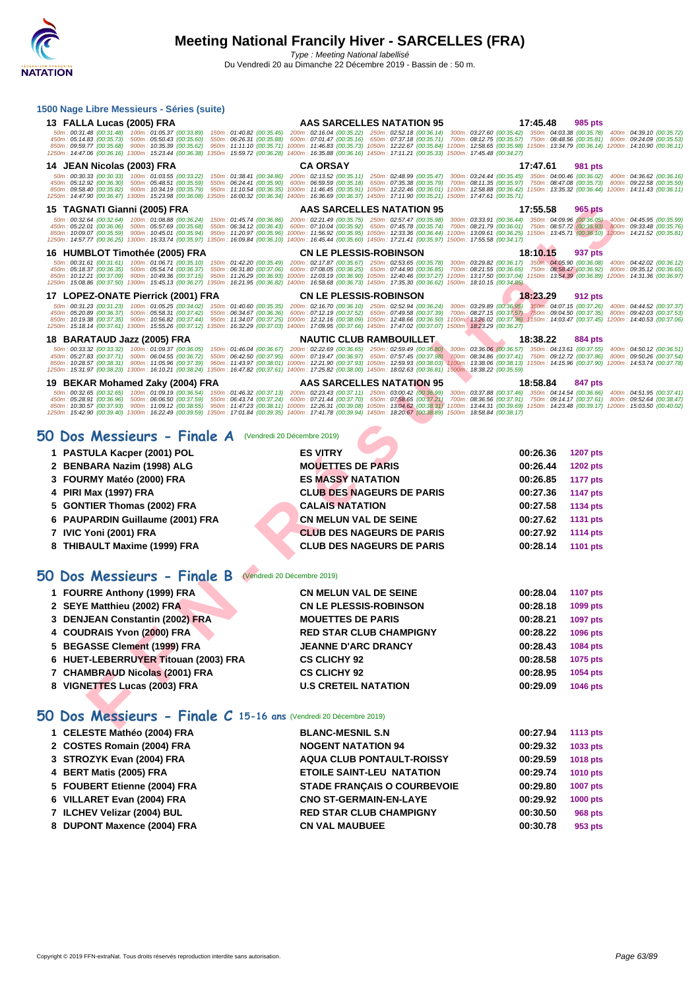| 13 FALLA Lucas (2005) FRA                                                                                                                                                                                                | <b>AAS SARCELLES NATATION 95</b>                                                                                                                                                                                                                                                                      | 17:45.48<br>985 pts                                                                                                                                                                                                      |
|--------------------------------------------------------------------------------------------------------------------------------------------------------------------------------------------------------------------------|-------------------------------------------------------------------------------------------------------------------------------------------------------------------------------------------------------------------------------------------------------------------------------------------------------|--------------------------------------------------------------------------------------------------------------------------------------------------------------------------------------------------------------------------|
| 50m: 00:31.48 (00:31.48) 100m: 01:05.37 (00:33.89)<br>450m: 05:14.83 (00:35.73) 500m: 05:50.43 (00:35.60)<br>550m: 06:26.31 (00:35.88)                                                                                   | 150m: 01:40.82 (00:35.45) 200m: 02:16.04 (00:35.22) 250m: 02:52.18 (00:36.14) 300m: 03:27.60 (00:35.42) 350m: 04:03.38 (00:35.78) 400m: 04:39.10 (00:35.72)<br>600m : 07:01.47 (00:35.16) 650m : 07:37.18 (00:35.71) 700m : 08:12.75 (00:35.57) 750m : 08:48.56 (00:35.81) 800m : 09:24.09 (00:35.53) |                                                                                                                                                                                                                          |
| 850m: 09:59.77 (00:35.68) 900m: 10:35.39 (00:35.62)<br>950m: 11:11.10 (00:35.71)<br>1250m: 14:47.06 (00:36.16) 1300m: 15:23.44 (00:36.38)                                                                                | 1000m: 11:46.83 (00:35.73) 1050m: 12:22.67 (00:35.84) 1100m: 12:58.65 (00:35.98) 1150m: 13:34.79 (00:36.14) 1200m: 14:10.90 (00:36.11)<br>1350m: 15:59.72 (00:36.28) 1400m: 16:35.88 (00:36.16) 1450m: 17:11.21 (00:35.33) 1500m: 17:45.48 (00:34.27)                                                 |                                                                                                                                                                                                                          |
| 14 JEAN Nicolas (2003) FRA                                                                                                                                                                                               | <b>CA ORSAY</b>                                                                                                                                                                                                                                                                                       | 17:47.61<br>981 pts                                                                                                                                                                                                      |
| 50m: 00:30.33 (00:30.33)<br>100m: 01:03.55 (00:33.22)<br>150m: 01:38.41 (00:34.86)                                                                                                                                       | 200m: 02:13.52 (00:35.11) 250m: 02:48.99 (00:35.47)                                                                                                                                                                                                                                                   | 300m: 03:24.44 (00:35.45) 350m: 04:00.46 (00:36.02)<br>400m: 04:36.62 (00:36.16)                                                                                                                                         |
| 550m: 06:24.41 (00:35.90)<br>450m: 05:12.92 (00:36.30)<br>500m: 05:48.51 (00:35.59)<br>850m: 09:58.40 (00:35.82) 900m: 10:34.19 (00:35.79)<br>950m: 11:10.54 (00:36.35)                                                  | 600m: 06:59.59 (00:35.18) 650m: 07:35.38 (00:35.79)<br>1000m: 11:46.45 (00:35.91) 1050m: 12:22.46 (00:36.01) 1100m: 12:58.88 (00:36.42) 1150m: 13:35.32 (00:36.44) 1200m: 14:11.43 (00:36.11)                                                                                                         | 700m: 08:11.35 (00:35.97) 750m: 08:47.08 (00:35.73) 800m: 09:22.58 (00:35.50)                                                                                                                                            |
| 1250m: 14:47.90 (00:36.47) 1300m: 15:23.98 (00:36.08) 1350m: 16:00.32 (00:36.34)                                                                                                                                         | 1400m: 16:36.69 (00:36.37) 1450m: 17:11.90 (00:35.21) 1500m: 17:47.61 (00:35.71)                                                                                                                                                                                                                      |                                                                                                                                                                                                                          |
| 15 TAGNATI Gianni (2005) FRA<br>50m: 00:32.64 (00:32.64) 100m: 01:08.88 (00:36.24) 150m: 01:45.74 (00:36.86) 200m: 02:21.49 (00:35.75) 250m: 02:57.47 (00:35.98)                                                         | AAS SARCELLES NATATION 95                                                                                                                                                                                                                                                                             | 17:55.58<br>965 pts<br>400m: 04:45.95 (00:35.99)                                                                                                                                                                         |
| 450m: 05:22.01 (00:36.06) 500m: 05:57.69 (00:35.68)<br>550m: 06:34.12 (00:36.43)<br>850m: 10:09.07 (00:35.59)<br>900m: 10:45.01 (00:35.94)<br>950m: 11:20.97 (00:35.96)                                                  | 600m: 07:10.04 (00:35.92) 650m: 07:45.78 (00:35.74)<br>1000m: 11:56.92 (00:35.95) 1050m: 12:33.36 (00:36.44)                                                                                                                                                                                          | 300m: 03:33.91 (00:36.44) 350m: 04:09.96 (00:36.05)<br>700m: 08:21.79 (00:36.01) 750m: 08:57.72 (00:35.93) 800m: 09:33.48 (00:35.76)<br>1100m: 13:09.61 (00:36.25) 1150m: 13:45.71 (00:36.10) 1200m: 14:21.52 (00:35.81) |
| 1250m: 14:57.77 (00:36.25) 1300m: 15:33.74 (00:35.97) 1350m: 16:09.84 (00:36.10) 1400m: 16:45.44 (00:35.60) 1450m: 17:21.41 (00:35.97) 1500m: 17:55.58 (00:34.17)                                                        |                                                                                                                                                                                                                                                                                                       |                                                                                                                                                                                                                          |
| 16 HUMBLOT Timothée (2005) FRA                                                                                                                                                                                           | <b>CN LE PLESSIS-ROBINSON</b>                                                                                                                                                                                                                                                                         | 18:10.15<br>937 pts                                                                                                                                                                                                      |
| $50m: 00:31.61 (00:31.61) 100m: 01:06.71 (00:35.10)$<br>150m: 01:42.20 (00:35.49)<br>450m: 05:18.37 (00:36.35)<br>500m: 05:54.74 (00:36.37)<br>550m: 06:31.80 (00:37.06)                                                 | 200m: 02:17.87 (00:35.67) 250m: 02:53.65 (00:35.78)<br>600m: 07:08.05 (00:36.25) 650m: 07:44.90 (00:36.85)                                                                                                                                                                                            | 300m: 03:29.82 (00:36.17) 350m: 04:05.90 (00:36.08)<br>400m: 04:42.02 (00:36.12)<br>700m: 08:21.55 (00:36.65) 750m: 08:58.47 (00:36.92)<br>800m: 09:35.12 (00:36.65)                                                     |
| 850m: 10:12.21 (00:37.09) 900m: 10:49.36 (00:37.15)<br>950m: 11:26.29 (00:36.93)<br>1250m: 15:08.86 (00:37.50) 1300m: 15:45.13 (00:36.27)<br>1350m: 16:21.95 (00:36.82)                                                  | 1000m: 12:03.19 (00:36.90) 1050m: 12:40.46 (00:37.27) 1100m: 13:17.50 (00:37.04) 1150m: 13:54.39 (00:36.89) 1200m: 14:31.36 (00:36.97)<br>1400m: 16:58.68 (00:36.73) 1450m: 17:35.30 (00:36.62) 1500m: 18:10.15 (00:34.85)                                                                            |                                                                                                                                                                                                                          |
| 17 LOPEZ-ONATE Pierrick (2001) FRA                                                                                                                                                                                       | <b>CN LE PLESSIS-ROBINSON</b>                                                                                                                                                                                                                                                                         | 18:23.29<br>912 pts                                                                                                                                                                                                      |
| 50m: 00:31.23 (00:31.23) 100m: 01:05.25 (00:34.02) 150m: 01:40.60 (00:35.35)                                                                                                                                             | 200m: 02:16.70 (00:36.10) 250m: 02:52.94 (00:36.24)                                                                                                                                                                                                                                                   | 300m: 03:29.89 (00:36.95) 350m: 04:07.15 (00:37.26) 400m: 04:44.52 (00:37.37)                                                                                                                                            |
| 450m: 05:20.89 (00:36.37) 500m: 05:58.31 (00:37.42)<br>550m: 06:34.67 (00:36.36)<br>850m: 10:19.38 (00:37.35) 900m: 10:56.82 (00:37.44)<br>950m: 11:34.07 (00:37.25)                                                     | 600m: 07:12.19 (00:37.52) 650m: 07:49.58 (00:37.39)<br>1000m: 12:12.16 (00:38.09) 1050m: 12:48.66 (00:36.50) 1100m: 13:26.02 (00:37.36) 1150m: 14:03.47 (00:37.45) 1200m: 14:40.53 (00:37.06)                                                                                                         | 700m; 08:27.15 (00:37.57) 750m: 09:04.50 (00:37.35) 800m: 09:42.03 (00:37.53)                                                                                                                                            |
| 1250m: 15:18.14 (00:37.61) 1300m: 15:55.26 (00:37.12) 1350m: 16:32.29 (00:37.03) 1400m: 17:09.95 (00:37.66) 1450m: 17:47.02 (00:37.07) 1500m: 18:23.29 (00:36.27)<br>18 BARATAUD Jazz (2005) FRA                         | <b>NAUTIC CLUB RAMBOUILLET</b>                                                                                                                                                                                                                                                                        | 18:38.22<br>884 pts                                                                                                                                                                                                      |
| 50m: 00:33.32 (00:33.32) 100m: 01:09.37 (00:36.05)                                                                                                                                                                       | 150m: 01:46.04 (00:36.67) 200m: 02:22.69 (00:36.65) 250m: 02:59.49 (00:36.80) 300m: 03:36.06 (00:36.57) 350m: 04:13.61 (00:37.55)                                                                                                                                                                     | 400m: 04:50.12 (00:36.51)                                                                                                                                                                                                |
| 450m: 05:27.83 (00:37.71) 500m: 06:04.55 (00:36.72)<br>550m: 06:42.50 (00:37.95)<br>850m: 10:28.57 (00:38.31) 900m: 11:05.96 (00:37.39)                                                                                  | 600m: 07:19.47 (00:36.97) 650m: 07:57.45 (00:37.98)<br>950m : 11:43.97 (00:38.01) 1000m : 12:21.90 (00:37.93) 1050m : 12:59.93 (00:38.03) 1100m : 13:38.06 (00:38.13) 1150m : 14:15.96 (00:37.90) 1200m : 14:53.74 (00:37.76)                                                                         | 700m: 08:34.86 (00:37.41) 750m: 09:12.72 (00:37.86)<br>800m: 09:50.26 (00:37.54)                                                                                                                                         |
| 1250m: 15:31.97 (00:38.23) 1300m: 16:10.21 (00:38.24)                                                                                                                                                                    | 1350m: 16:47.82 (00:37.61) 1400m: 17:25.82 (00:38.00) 1450m: 18:02.63 (00:36.81) 1500m: 18:38.22 (00:35.59)                                                                                                                                                                                           |                                                                                                                                                                                                                          |
| 19 BEKAR Mohamed Zaky (2004) FRA                                                                                                                                                                                         | <b>AAS SARCELLES NATATION 95</b>                                                                                                                                                                                                                                                                      | 18:58.84<br>847 pts                                                                                                                                                                                                      |
| 50m: 00:32.65 (00:32.65) 100m: 01:09.19 (00:36.54) 150m: 01:46.32 (00:37.13) 200m: 02:23.43 (00:37.11) 250m: 03:00.42 (00:36.99)<br>450m: 05:28.91 (00:36.96) 500m: 06:06.50 (00:37.59)                                  | 550m : 06:43.74 (00:37.24) 600m : 07:21.44 (00:37.70) 650m : 07:58.65 (00:37.21) 700m : 08:36.56 (00:37.91) 750m : 09:14.17 (00:37.61) 800m : 09:52.64 (00:38.47)                                                                                                                                     | 300m: 03:37.88 (00:37.46) 350m: 04:14.54 (00:36.66) 400m: 04:51.95 (00:37.41)                                                                                                                                            |
| 850m: 10:30.57 (00:37.93) 900m: 11:09.12 (00:38.55)<br>1250m: 15:42.90 (00:39.40) 1300m: 16:22.49 (00:39.59) 1350m: 17:01.84 (00:39.35) 1400m: 17:41.78 (00:39.94) 1450m: 18:20.67 (00:38.89) 1500m: 18:58.84 (00:38.17) | 950m: 11:47.23 (00:38.11) 1000m: 12:26.31 (00:39.08) 1050m: 13:04.62 (00:38.31) 1100m: 13:44.31 (00:39.69) 1150m: 14:23.48 (00:39.17) 1200m: 15:03.50 (00:40.02)                                                                                                                                      |                                                                                                                                                                                                                          |
|                                                                                                                                                                                                                          |                                                                                                                                                                                                                                                                                                       |                                                                                                                                                                                                                          |
|                                                                                                                                                                                                                          |                                                                                                                                                                                                                                                                                                       |                                                                                                                                                                                                                          |
| 50 Dos Messieurs - Finale A (Vendredi 20 Décembre 2019)                                                                                                                                                                  |                                                                                                                                                                                                                                                                                                       |                                                                                                                                                                                                                          |
| 1 PASTULA Kacper (2001) POL                                                                                                                                                                                              | <b>ES VITRY</b>                                                                                                                                                                                                                                                                                       | 00:26.36<br><b>1207 pts</b>                                                                                                                                                                                              |
| 2 BENBARA Nazim (1998) ALG                                                                                                                                                                                               | <b>MOUETTES DE PARIS</b>                                                                                                                                                                                                                                                                              | 00:26.44<br><b>1202 pts</b>                                                                                                                                                                                              |
| 3 FOURMY Matéo (2000) FRA                                                                                                                                                                                                | <b>ES MASSY NATATION</b>                                                                                                                                                                                                                                                                              | 00:26.85<br><b>1177 pts</b>                                                                                                                                                                                              |
| 4 PIRI Max (1997) FRA                                                                                                                                                                                                    | <b>CLUB DES NAGEURS DE PARIS</b>                                                                                                                                                                                                                                                                      | 00:27.36<br><b>1147 pts</b>                                                                                                                                                                                              |
| 5 GONTIER Thomas (2002) FRA                                                                                                                                                                                              | <b>CALAIS NATATION</b>                                                                                                                                                                                                                                                                                | 00:27.58<br>1134 pts                                                                                                                                                                                                     |
| 6 PAUPARDIN Guillaume (2001) FRA                                                                                                                                                                                         | <b>CN MELUN VAL DE SEINE</b>                                                                                                                                                                                                                                                                          | 00:27.62<br>1131 pts                                                                                                                                                                                                     |
| 7 IVIC Yoni (2001) FRA                                                                                                                                                                                                   | <b>CLUB DES NAGEURS DE PARIS</b>                                                                                                                                                                                                                                                                      | 00:27.92<br><b>1114 pts</b>                                                                                                                                                                                              |
| 8 THIBAULT Maxime (1999) FRA                                                                                                                                                                                             | <b>CLUB DES NAGEURS DE PARIS</b>                                                                                                                                                                                                                                                                      | 00:28.14<br>1101 pts                                                                                                                                                                                                     |
|                                                                                                                                                                                                                          |                                                                                                                                                                                                                                                                                                       |                                                                                                                                                                                                                          |
| 50 Dos Messieurs - Finale B<br>(Vendredi 20 Décembre 2019)                                                                                                                                                               |                                                                                                                                                                                                                                                                                                       |                                                                                                                                                                                                                          |
|                                                                                                                                                                                                                          |                                                                                                                                                                                                                                                                                                       |                                                                                                                                                                                                                          |
| 1 FOURRE Anthony (1999) FRA                                                                                                                                                                                              | <b>CN MELUN VAL DE SEINE</b>                                                                                                                                                                                                                                                                          | 00:28.04<br><b>1107 pts</b>                                                                                                                                                                                              |
| 2 SEYE Matthieu (2002) FRA                                                                                                                                                                                               | <b>CN LE PLESSIS-ROBINSON</b>                                                                                                                                                                                                                                                                         | 00:28.18<br>1099 pts                                                                                                                                                                                                     |
| 3 DENJEAN Constantin (2002) FRA                                                                                                                                                                                          | <b>MOUETTES DE PARIS</b>                                                                                                                                                                                                                                                                              | 00:28.21<br>1097 pts                                                                                                                                                                                                     |
| 4 COUDRAIS Yvon (2000) FRA                                                                                                                                                                                               | <b>RED STAR CLUB CHAMPIGNY</b>                                                                                                                                                                                                                                                                        | 00:28.22<br>1096 pts                                                                                                                                                                                                     |
| <b>BEGASSE Clement (1999) FRA</b><br>5.                                                                                                                                                                                  | <b>JEANNE D'ARC DRANCY</b>                                                                                                                                                                                                                                                                            | 00:28.43<br>1084 pts                                                                                                                                                                                                     |
| 6 HUET-LEBERRUYER Titouan (2003) FRA                                                                                                                                                                                     | <b>CS CLICHY 92</b>                                                                                                                                                                                                                                                                                   | 00:28.58<br>1075 pts                                                                                                                                                                                                     |
| 7 CHAMBRAUD Nicolas (2001) FRA                                                                                                                                                                                           | <b>CS CLICHY 92</b>                                                                                                                                                                                                                                                                                   | 00:28.95<br>1054 pts                                                                                                                                                                                                     |
| 8 VIGNETTES Lucas (2003) FRA                                                                                                                                                                                             | <b>U.S CRETEIL NATATION</b>                                                                                                                                                                                                                                                                           | 00:29.09<br>1046 pts                                                                                                                                                                                                     |
| 50 Dos Messieurs - Finale C 15-16 ans (Vendredi 20 Décembre 2019)                                                                                                                                                        |                                                                                                                                                                                                                                                                                                       |                                                                                                                                                                                                                          |

## **50 Dos Messieurs - Finale A** (Vendredi 20 Décembre 2019)

| 1 PASTULA Kacper (2001) POL      | <b>ES VITRY</b>                  | 00:26.36 | <b>1207 pts</b> |
|----------------------------------|----------------------------------|----------|-----------------|
| 2 BENBARA Nazim (1998) ALG       | <b>MOUETTES DE PARIS</b>         | 00:26.44 | <b>1202 pts</b> |
| 3 FOURMY Matéo (2000) FRA        | <b>ES MASSY NATATION</b>         | 00:26.85 | <b>1177 pts</b> |
| 4 PIRI Max (1997) FRA            | <b>CLUB DES NAGEURS DE PARIS</b> | 00:27.36 | <b>1147 pts</b> |
| 5 GONTIER Thomas (2002) FRA      | <b>CALAIS NATATION</b>           | 00:27.58 | <b>1134 pts</b> |
| 6 PAUPARDIN Guillaume (2001) FRA | <b>CN MELUN VAL DE SEINE</b>     | 00:27.62 | 1131 pts        |
| 7 IVIC Yoni (2001) FRA           | <b>CLUB DES NAGEURS DE PARIS</b> | 00:27.92 | <b>1114 pts</b> |
| 8 THIBAULT Maxime (1999) FRA     | <b>CLUB DES NAGEURS DE PARIS</b> | 00:28.14 | <b>1101 pts</b> |
|                                  |                                  |          |                 |

# **50 Dos Messieurs - Finale B** (Vendredi 20 Décembre 2019)

| 1 FOURRE Anthony (1999) FRA          | <b>CN MELUN VAL DE SEINE</b>   | 00:28.04 | <b>1107 pts</b> |
|--------------------------------------|--------------------------------|----------|-----------------|
| 2 SEYE Matthieu (2002) FRA           | <b>CN LE PLESSIS-ROBINSON</b>  | 00:28.18 | 1099 pts        |
| 3 DENJEAN Constantin (2002) FRA      | <b>MOUETTES DE PARIS</b>       | 00:28.21 | <b>1097 pts</b> |
| 4 COUDRAIS Yvon (2000) FRA           | <b>RED STAR CLUB CHAMPIGNY</b> | 00:28.22 | <b>1096 pts</b> |
| 5 BEGASSE Clement (1999) FRA         | <b>JEANNE D'ARC DRANCY</b>     | 00:28.43 | 1084 pts        |
| 6 HUET-LEBERRUYER Titouan (2003) FRA | <b>CS CLICHY 92</b>            | 00:28.58 | 1075 pts        |
| 7 CHAMBRAUD Nicolas (2001) FRA       | <b>CS CLICHY 92</b>            | 00:28.95 | 1054 pts        |
| 8 VIGNETTES Lucas (2003) FRA         | <b>U.S CRETEIL NATATION</b>    | 00:29.09 | <b>1046 pts</b> |

# **50 Dos Messieurs - Finale C 15-16 ans** (Vendredi 20 Décembre 2019)

| 1 CELESTE Mathéo (2004) FRA  | <b>BLANC-MESNIL S.N</b>            | 00:27.94 | 1113 pts        |
|------------------------------|------------------------------------|----------|-----------------|
| 2 COSTES Romain (2004) FRA   | <b>NOGENT NATATION 94</b>          | 00:29.32 | 1033 pts        |
| 3 STROZYK Evan (2004) FRA    | <b>AQUA CLUB PONTAULT-ROISSY</b>   | 00:29.59 | <b>1018 pts</b> |
| 4 BERT Matis (2005) FRA      | <b>ETOILE SAINT-LEU NATATION</b>   | 00:29.74 | <b>1010 pts</b> |
| 5 FOUBERT Etienne (2004) FRA | <b>STADE FRANCAIS O COURBEVOIE</b> | 00:29.80 | <b>1007 pts</b> |
| 6 VILLARET Evan (2004) FRA   | <b>CNO ST-GERMAIN-EN-LAYE</b>      | 00:29.92 | <b>1000 pts</b> |
| 7 ILCHEV Velizar (2004) BUL  | <b>RED STAR CLUB CHAMPIGNY</b>     | 00:30.50 | 968 pts         |
| 8 DUPONT Maxence (2004) FRA  | <b>CN VAL MAUBUEE</b>              | 00:30.78 | 953 pts         |
|                              |                                    |          |                 |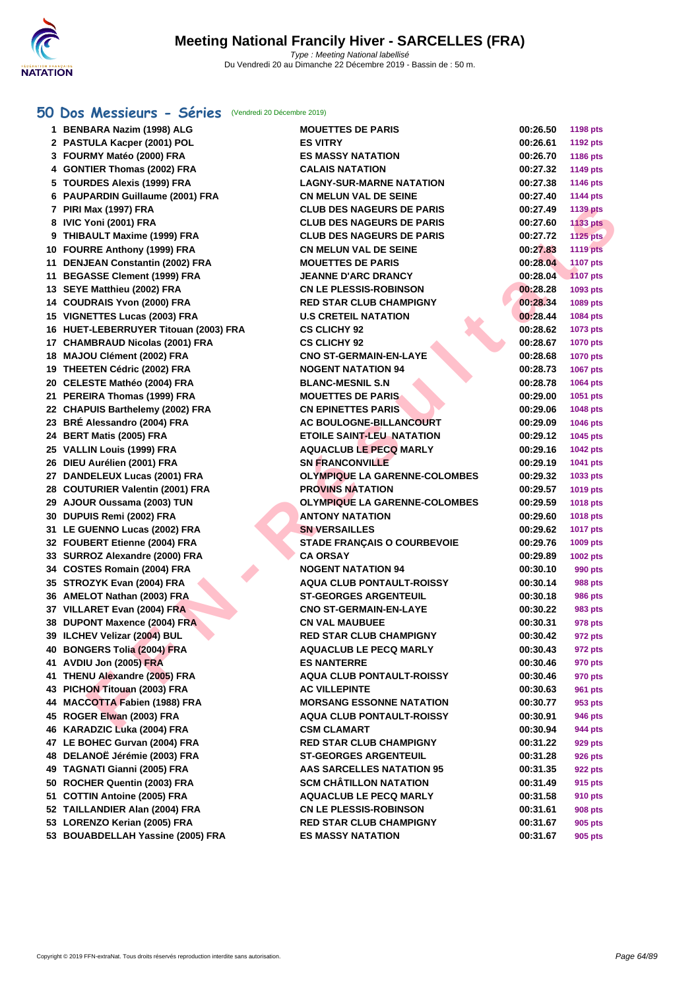

### **[50 Do](http://www.ffnatation.fr/webffn/index.php)s Messieurs - Séries** (Vendredi 20 Décembre 2019)

| 1 BENBARA Nazim (1998) ALG            | <b>MOUETTES DE PARIS</b>             | 00:26.50 | <b>1198 pts</b> |
|---------------------------------------|--------------------------------------|----------|-----------------|
| 2 PASTULA Kacper (2001) POL           | <b>ES VITRY</b>                      | 00:26.61 | <b>1192 pts</b> |
| 3 FOURMY Matéo (2000) FRA             | <b>ES MASSY NATATION</b>             | 00:26.70 | 1186 pts        |
| 4 GONTIER Thomas (2002) FRA           | <b>CALAIS NATATION</b>               | 00:27.32 | <b>1149 pts</b> |
| 5 TOURDES Alexis (1999) FRA           | <b>LAGNY-SUR-MARNE NATATION</b>      | 00:27.38 | <b>1146 pts</b> |
| 6 PAUPARDIN Guillaume (2001) FRA      | <b>CN MELUN VAL DE SEINE</b>         | 00:27.40 | <b>1144 pts</b> |
| 7 PIRI Max (1997) FRA                 | <b>CLUB DES NAGEURS DE PARIS</b>     | 00:27.49 | <b>1139 pts</b> |
| 8 IVIC Yoni (2001) FRA                | <b>CLUB DES NAGEURS DE PARIS</b>     | 00:27.60 | <b>1133 pts</b> |
| 9 THIBAULT Maxime (1999) FRA          | <b>CLUB DES NAGEURS DE PARIS</b>     | 00:27.72 | 1125 pts        |
| 10 FOURRE Anthony (1999) FRA          | <b>CN MELUN VAL DE SEINE</b>         | 00:27.83 | <b>1119 pts</b> |
| 11 DENJEAN Constantin (2002) FRA      | <b>MOUETTES DE PARIS</b>             | 00:28.04 | 1107 pts        |
| 11 BEGASSE Clement (1999) FRA         | <b>JEANNE D'ARC DRANCY</b>           | 00:28.04 | <b>1107 pts</b> |
| 13 SEYE Matthieu (2002) FRA           | <b>CN LE PLESSIS-ROBINSON</b>        | 00:28.28 | 1093 pts        |
| 14 COUDRAIS Yvon (2000) FRA           | <b>RED STAR CLUB CHAMPIGNY</b>       | 00:28.34 | 1089 pts        |
| 15 VIGNETTES Lucas (2003) FRA         | <b>U.S CRETEIL NATATION</b>          | 00:28.44 | 1084 pts        |
| 16 HUET-LEBERRUYER Titouan (2003) FRA | <b>CS CLICHY 92</b>                  | 00:28.62 | 1073 pts        |
| 17 CHAMBRAUD Nicolas (2001) FRA       | <b>CS CLICHY 92</b>                  | 00:28.67 | <b>1070 pts</b> |
| 18 MAJOU Clément (2002) FRA           | <b>CNO ST-GERMAIN-EN-LAYE</b>        | 00:28.68 | <b>1070 pts</b> |
| 19 THEETEN Cédric (2002) FRA          | <b>NOGENT NATATION 94</b>            | 00:28.73 | <b>1067 pts</b> |
| 20 CELESTE Mathéo (2004) FRA          | <b>BLANC-MESNIL S.N</b>              | 00:28.78 | 1064 pts        |
| 21 PEREIRA Thomas (1999) FRA          | <b>MOUETTES DE PARIS</b>             | 00:29.00 | 1051 pts        |
| 22 CHAPUIS Barthelemy (2002) FRA      | <b>CN EPINETTES PARIS</b>            | 00:29.06 | <b>1048 pts</b> |
| 23 BRÉ Alessandro (2004) FRA          | <b>AC BOULOGNE-BILLANCOURT</b>       | 00:29.09 | 1046 pts        |
| 24 BERT Matis (2005) FRA              | <b>ETOILE SAINT-LEU NATATION</b>     | 00:29.12 | 1045 pts        |
| 25 VALLIN Louis (1999) FRA            | <b>AQUACLUB LE PECQ MARLY</b>        | 00:29.16 | <b>1042 pts</b> |
| 26 DIEU Aurélien (2001) FRA           | <b>SN FRANCONVILLE</b>               | 00:29.19 | 1041 pts        |
| 27 DANDELEUX Lucas (2001) FRA         | <b>OLYMPIQUE LA GARENNE-COLOMBES</b> | 00:29.32 | 1033 pts        |
| 28 COUTURIER Valentin (2001) FRA      | <b>PROVINS NATATION</b>              | 00:29.57 | 1019 pts        |
| 29 AJOUR Oussama (2003) TUN           | <b>OLYMPIQUE LA GARENNE-COLOMBES</b> | 00:29.59 | <b>1018 pts</b> |
| 30 DUPUIS Remi (2002) FRA             | <b>ANTONY NATATION</b>               | 00:29.60 | 1018 pts        |
| 31 LE GUENNO Lucas (2002) FRA         | <b>SN VERSAILLES</b>                 | 00:29.62 | <b>1017 pts</b> |
| 32 FOUBERT Etienne (2004) FRA         | <b>STADE FRANÇAIS O COURBEVOIE</b>   | 00:29.76 | 1009 pts        |
| 33 SURROZ Alexandre (2000) FRA        | <b>CA ORSAY</b>                      | 00:29.89 | 1002 pts        |
| 34 COSTES Romain (2004) FRA           | <b>NOGENT NATATION 94</b>            | 00:30.10 | 990 pts         |
| 35 STROZYK Evan (2004) FRA            | <b>AQUA CLUB PONTAULT-ROISSY</b>     | 00:30.14 | 988 pts         |
| 36 AMELOT Nathan (2003) FRA           | <b>ST-GEORGES ARGENTEUIL</b>         | 00:30.18 | <b>986 pts</b>  |
| 37 VILLARET Evan (2004) FRA           | <b>CNO ST-GERMAIN-EN-LAYE</b>        | 00:30.22 | 983 pts         |
| 38 DUPONT Maxence (2004) FRA          | <b>CN VAL MAUBUEE</b>                | 00:30.31 | 978 pts         |
| 39 ILCHEV Velizar (2004) BUL          | <b>RED STAR CLUB CHAMPIGNY</b>       | 00:30.42 | 972 pts         |
| 40 BONGERS Tolia (2004) FRA           | <b>AQUACLUB LE PECQ MARLY</b>        | 00:30.43 | 972 pts         |
| 41 AVDIU Jon (2005) FRA               | <b>ES NANTERRE</b>                   | 00:30.46 | 970 pts         |
| 41 THENU Alexandre (2005) FRA         | <b>AQUA CLUB PONTAULT-ROISSY</b>     | 00:30.46 | 970 pts         |
| 43 PICHON Titouan (2003) FRA          | <b>AC VILLEPINTE</b>                 | 00:30.63 | 961 pts         |
| 44 MACCOTTA Fabien (1988) FRA         | <b>MORSANG ESSONNE NATATION</b>      | 00:30.77 | 953 pts         |
| 45 ROGER Elwan (2003) FRA             | <b>AQUA CLUB PONTAULT-ROISSY</b>     | 00:30.91 | 946 pts         |
| 46 KARADZIC Luka (2004) FRA           | <b>CSM CLAMART</b>                   | 00:30.94 | 944 pts         |
| 47 LE BOHEC Gurvan (2004) FRA         | <b>RED STAR CLUB CHAMPIGNY</b>       | 00:31.22 | 929 pts         |
| 48 DELANOË Jérémie (2003) FRA         | <b>ST-GEORGES ARGENTEUIL</b>         | 00:31.28 | 926 pts         |
| 49 TAGNATI Gianni (2005) FRA          | <b>AAS SARCELLES NATATION 95</b>     | 00:31.35 | 922 pts         |
| 50 ROCHER Quentin (2003) FRA          | <b>SCM CHÂTILLON NATATION</b>        | 00:31.49 | 915 pts         |
| 51 COTTIN Antoine (2005) FRA          | <b>AQUACLUB LE PECQ MARLY</b>        | 00:31.58 | 910 pts         |
| 52 TAILLANDIER Alan (2004) FRA        | <b>CN LE PLESSIS-ROBINSON</b>        | 00:31.61 | 908 pts         |
| 53 LORENZO Kerian (2005) FRA          | <b>RED STAR CLUB CHAMPIGNY</b>       | 00:31.67 | 905 pts         |
| 53 BOUABDELLAH Yassine (2005) FRA     | <b>ES MASSY NATATION</b>             | 00:31.67 | 905 pts         |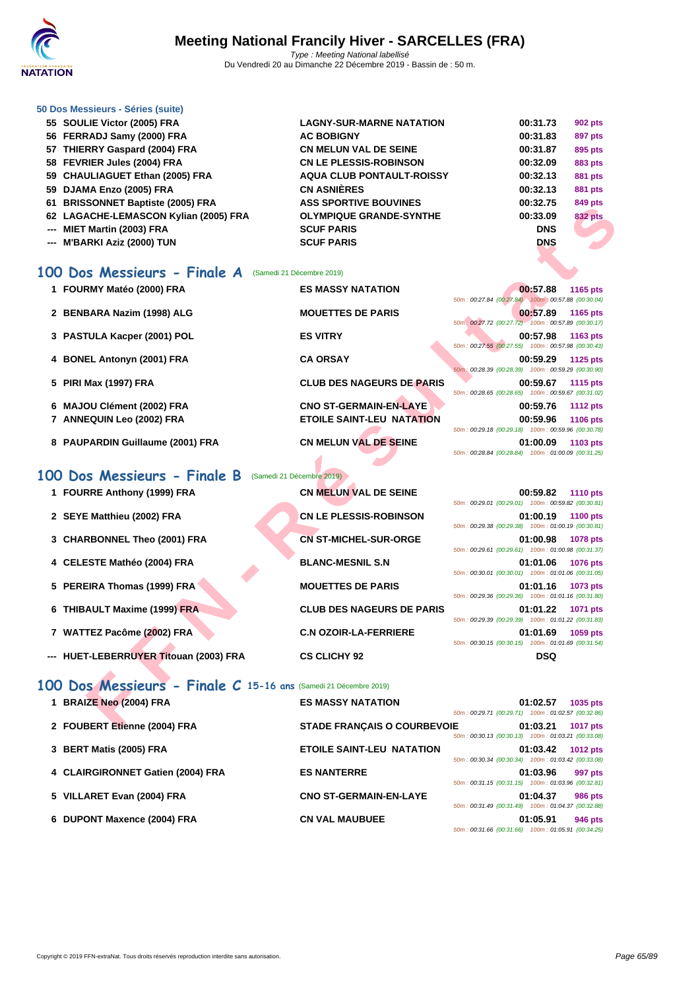

### **[50 Dos M](http://www.ffnatation.fr/webffn/index.php)essieurs - Séries (suite)**

| 55 SOULIE Victor (2005) FRA           | <b>LAGNY-SUR-MARNE NATATION</b>  | 00:31.73   | <b>902 pts</b> |
|---------------------------------------|----------------------------------|------------|----------------|
| 56 FERRADJ Samy (2000) FRA            | <b>AC BOBIGNY</b>                | 00:31.83   | 897 pts        |
| 57 THIERRY Gaspard (2004) FRA         | <b>CN MELUN VAL DE SEINE</b>     | 00:31.87   | 895 pts        |
| 58 FEVRIER Jules (2004) FRA           | <b>CN LE PLESSIS-ROBINSON</b>    | 00:32.09   | 883 pts        |
| 59 CHAULIAGUET Ethan (2005) FRA       | <b>AQUA CLUB PONTAULT-ROISSY</b> | 00:32.13   | 881 pts        |
| 59 DJAMA Enzo (2005) FRA              | <b>CN ASNIÈRES</b>               | 00:32.13   | <b>881 pts</b> |
| 61 BRISSONNET Baptiste (2005) FRA     | <b>ASS SPORTIVE BOUVINES</b>     | 00:32.75   | 849 pts        |
| 62 LAGACHE-LEMASCON Kylian (2005) FRA | <b>OLYMPIQUE GRANDE-SYNTHE</b>   | 00:33.09   | <b>832 pts</b> |
| --- MIET Martin (2003) FRA            | <b>SCUF PARIS</b>                | <b>DNS</b> |                |
| --- M'BARKI Aziz (2000) TUN           | <b>SCUF PARIS</b>                | <b>DNS</b> |                |

### **100 Dos Messieurs - Finale A** (Samedi 21 Décembre 2019)

| 01 DINOUDINNET DADUSIG (2000) I INA                             | 899 91 0811VL 899VINL9             | 00.JZ.IJ<br>049 มเร                                                               |
|-----------------------------------------------------------------|------------------------------------|-----------------------------------------------------------------------------------|
| 62 LAGACHE-LEMASCON Kylian (2005) FRA                           | <b>OLYMPIQUE GRANDE-SYNTHE</b>     | 00:33.09<br><b>832 pts</b>                                                        |
| --- MIET Martin (2003) FRA                                      | <b>SCUF PARIS</b>                  | <b>DNS</b>                                                                        |
| --- M'BARKI Aziz (2000) TUN                                     | <b>SCUF PARIS</b>                  | <b>DNS</b>                                                                        |
|                                                                 |                                    |                                                                                   |
| 00 Dos Messieurs - Finale A                                     | (Samedi 21 Décembre 2019)          |                                                                                   |
| 1 FOURMY Matéo (2000) FRA                                       | <b>ES MASSY NATATION</b>           | 00:57.88<br>1165 pts<br>50m: 00:27.84 (00:27.84) 100m: 00:57.88 (00:30.04)        |
| 2 BENBARA Nazim (1998) ALG                                      | <b>MOUETTES DE PARIS</b>           | 00:57.89<br>1165 pts                                                              |
|                                                                 |                                    | 50m: 00:27.72 (00:27.72) 100m: 00:57.89 (00:30.17)                                |
| 3 PASTULA Kacper (2001) POL                                     | <b>ES VITRY</b>                    | 00:57.98<br>1163 pts<br>50m: 00:27.55 (00:27.55) 100m: 00:57.98 (00:30.43)        |
| 4 BONEL Antonyn (2001) FRA                                      | <b>CA ORSAY</b>                    | 00:59.29<br>1125 pts                                                              |
|                                                                 |                                    | 50m: 00:28.39 (00:28.39) 100m: 00:59.29 (00:30.90)                                |
| 5 PIRI Max (1997) FRA                                           | <b>CLUB DES NAGEURS DE PARIS</b>   | 00:59.67<br><b>1115 pts</b>                                                       |
| 6 MAJOU Clément (2002) FRA                                      | <b>CNO ST-GERMAIN-EN-LAYE</b>      | 50m: 00:28.65 (00:28.65) 100m: 00:59.67 (00:31.02)<br>00:59.76<br><b>1112 pts</b> |
| 7 ANNEQUIN Leo (2002) FRA                                       | <b>ETOILE SAINT-LEU NATATION</b>   | 00:59.96<br><b>1106 pts</b>                                                       |
|                                                                 |                                    | 50m: 00:29.18 (00:29.18) 100m: 00:59.96 (00:30.78)                                |
| 8 PAUPARDIN Guillaume (2001) FRA                                | <b>CN MELUN VAL DE SEINE</b>       | 01:00.09<br>1103 pts                                                              |
|                                                                 |                                    | 50m: 00:28.84 (00:28.84) 100m: 01:00.09 (00:31.25)                                |
| 00 Dos Messieurs - Finale B                                     | (Samedi 21 Décembre 2019)          |                                                                                   |
| 1 FOURRE Anthony (1999) FRA                                     | <b>CN MELUN VAL DE SEINE</b>       | 00:59.82<br><b>1110 pts</b>                                                       |
|                                                                 |                                    | 50m: 00:29.01 (00:29.01) 100m: 00:59.82 (00:30.81)                                |
| 2 SEYE Matthieu (2002) FRA                                      | <b>CN LE PLESSIS-ROBINSON</b>      | 01:00.19<br><b>1100 pts</b>                                                       |
| 3 CHARBONNEL Theo (2001) FRA                                    | <b>CN ST-MICHEL-SUR-ORGE</b>       | 50m: 00:29.38 (00:29.38) 100m: 01:00.19 (00:30.81)<br>01:00.98<br>1078 pts        |
|                                                                 |                                    | 50m: 00:29.61 (00:29.61) 100m: 01:00.98 (00:31.37)                                |
| 4 CELESTE Mathéo (2004) FRA                                     | <b>BLANC-MESNIL S.N</b>            | 01:01.06<br><b>1076 pts</b>                                                       |
|                                                                 |                                    | 50m: 00:30.01 (00:30.01) 100m: 01:01.06 (00:31.05)                                |
| 5 PEREIRA Thomas (1999) FRA                                     | <b>MOUETTES DE PARIS</b>           | 01:01.16<br>1073 pts<br>50m: 00:29.36 (00:29.36) 100m: 01:01.16 (00:31.80)        |
| 6 THIBAULT Maxime (1999) FRA                                    | <b>CLUB DES NAGEURS DE PARIS</b>   | 01:01.22<br>1071 pts                                                              |
|                                                                 |                                    | 50m: 00:29.39 (00:29.39) 100m: 01:01.22 (00:31.83)                                |
| 7 WATTEZ Pacôme (2002) FRA                                      | <b>C.N OZOIR-LA-FERRIERE</b>       | 01:01.69<br>1059 pts<br>50m: 00:30.15 (00:30.15) 100m: 01:01.69 (00:31.54)        |
| --- HUET-LEBERRUYER Titouan (2003) FRA                          | <b>CS CLICHY 92</b>                | <b>DSQ</b>                                                                        |
|                                                                 |                                    |                                                                                   |
| 00 Dos Messieurs - Finale C 15-16 ans (Samedi 21 Décembre 2019) |                                    |                                                                                   |
| 1 BRAIZE Neo (2004) FRA                                         | <b>ES MASSY NATATION</b>           | 01:02.57<br>1035 pts                                                              |
|                                                                 |                                    | 50m: 00:29.71 (00:29.71) 100m: 01:02.57 (00:32.86)                                |
| 2 FOUBERT Etienne (2004) FRA                                    | <b>STADE FRANCAIS O COURBEVOIE</b> | 01:03.21<br><b>1017 pts</b>                                                       |

| UU DOS MIESSIEURS - FINUIE D           | TOQHIGUI Z FIDGGHIDIG ZUT91.     |                                                    |            |                 |
|----------------------------------------|----------------------------------|----------------------------------------------------|------------|-----------------|
| 1 FOURRE Anthony (1999) FRA            | <b>CN MELUN VAL DE SEINE</b>     |                                                    | 00:59.82   | <b>1110 pts</b> |
|                                        |                                  | 50m: 00:29.01 (00:29.01) 100m: 00:59.82 (00:30.81) |            |                 |
| 2 SEYE Matthieu (2002) FRA             | <b>CN LE PLESSIS-ROBINSON</b>    |                                                    | 01:00.19   | <b>1100 pts</b> |
|                                        |                                  | 50m: 00:29.38 (00:29.38) 100m: 01:00.19 (00:30.81) |            |                 |
| 3 CHARBONNEL Theo (2001) FRA           | <b>CN ST-MICHEL-SUR-ORGE</b>     |                                                    | 01:00.98   | <b>1078 pts</b> |
|                                        |                                  | 50m: 00:29.61 (00:29.61) 100m: 01:00.98 (00:31.37) |            |                 |
| 4 CELESTE Mathéo (2004) FRA            | <b>BLANC-MESNIL S.N.</b>         |                                                    | 01:01.06   | <b>1076 pts</b> |
|                                        |                                  | 50m: 00:30.01 (00:30.01) 100m: 01:01.06 (00:31.05) |            |                 |
| 5 PEREIRA Thomas (1999) FRA            | <b>MOUETTES DE PARIS</b>         |                                                    | 01:01.16   | 1073 pts        |
|                                        |                                  | 50m: 00:29.36 (00:29.36) 100m: 01:01.16 (00:31.80) |            |                 |
| 6 THIBAULT Maxime (1999) FRA           | <b>CLUB DES NAGEURS DE PARIS</b> |                                                    | 01:01.22   | 1071 pts        |
|                                        |                                  | 50m: 00:29.39 (00:29.39) 100m: 01:01.22 (00:31.83) |            |                 |
| 7 WATTEZ Pacôme (2002) FRA             | <b>C.N OZOIR-LA-FERRIERE</b>     |                                                    | 01:01.69   | 1059 pts        |
|                                        |                                  | 50m: 00:30.15 (00:30.15) 100m: 01:01.69 (00:31.54) |            |                 |
| --- HUET-LEBERRUYER Titouan (2003) FRA | <b>CS CLICHY 92</b>              |                                                    | <b>DSQ</b> |                 |
|                                        |                                  |                                                    |            |                 |
|                                        |                                  |                                                    |            |                 |

| 00:59.82 1110 pts                                  |
|----------------------------------------------------|
| 50m: 00:29.01 (00:29.01) 100m: 00:59.82 (00:30.81) |
| 01:00.19 1100 pts                                  |
| 50m: 00:29.38 (00:29.38) 100m: 01:00.19 (00:30.81) |
| 01:00.98 1078 pts                                  |
| 50m: 00:29.61 (00:29.61) 100m: 01:00.98 (00:31.37) |
| 01:01.06 1076 pts                                  |
| 50m: 00:30.01 (00:30.01) 100m: 01:01.06 (00:31.05) |
| 01:01.16 1073 pts                                  |
| 50m: 00:29.36 (00:29.36) 100m: 01:01.16 (00:31.80) |
| 01:01.22 1071 pts                                  |
| 50m: 00:29.39 (00:29.39) 100m: 01:01.22 (00:31.83) |
| 01:01.69 1059 pts                                  |
| 50m: 00:30.15 (00:30.15) 100m: 01:01.69 (00:31.54) |
| חءר                                                |

# **100 Dos Messieurs - Finale C 15-16 ans** (Samedi 21 Décembre 2019)

| <b>BRAIZE Neo (2004) FRA</b>      | <b>ES MASSY NATATION</b>           | 01:02.57<br>1035 pts<br>50m: 00:29.71 (00:29.71) 100m: 01:02.57 (00:32.86)           |
|-----------------------------------|------------------------------------|--------------------------------------------------------------------------------------|
| 2 FOUBERT Etienne (2004) FRA      | <b>STADE FRANCAIS O COURBEVOIE</b> | 01:03.21<br><b>1017 pts</b><br>100m: 01:03.21 (00:33.08)<br>50m: 00:30.13 (00:30.13) |
| 3 BERT Matis (2005) FRA           | <b>ETOILE SAINT-LEU NATATION</b>   | 01:03.42<br><b>1012 pts</b><br>50m: 00:30.34 (00:30.34) 100m: 01:03.42 (00:33.08)    |
| 4 CLAIRGIRONNET Gatien (2004) FRA | <b>ES NANTERRE</b>                 | 997 pts<br>01:03.96<br>50m: 00:31.15 (00:31.15) 100m: 01:03.96 (00:32.81)            |
| 5 VILLARET Evan (2004) FRA        | <b>CNO ST-GERMAIN-EN-LAYE</b>      | 01:04.37<br>986 pts<br>50m: 00:31.49 (00:31.49) 100m: 01:04.37 (00:32.88)            |
| 6 DUPONT Maxence (2004) FRA       | <b>CN VAL MAUBUEE</b>              | 01:05.91<br>946 pts<br>50m: 00:31.66 (00:31.66) 100m: 01:05.91 (00:34.25)            |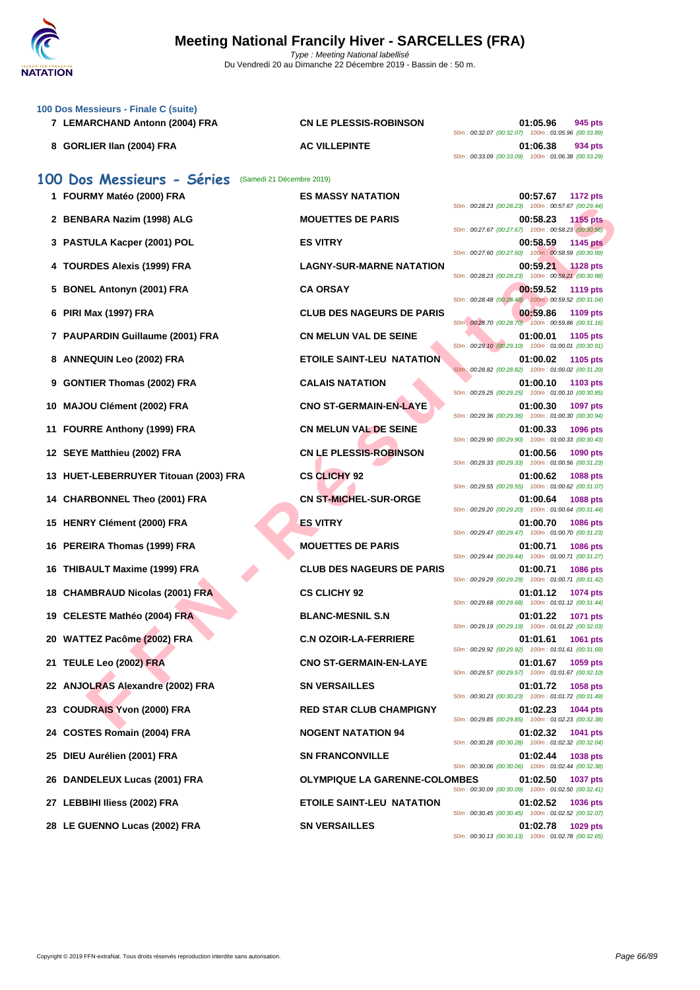

|   | 100 Dos Messieurs - Finale C (suite)<br>7 LEMARCHAND Antonn (2004) FRA | <b>CN LE PLESSIS-ROBINSON</b>        | 01:05.96<br>945 pts<br>50m: 00:32.07 (00:32.07) 100m: 01:05.96 (00:33.89)                                                               |
|---|------------------------------------------------------------------------|--------------------------------------|-----------------------------------------------------------------------------------------------------------------------------------------|
|   | 8 GORLIER IIan (2004) FRA                                              | <b>AC VILLEPINTE</b>                 | 01:06.38<br>934 pts<br>50m: 00:33.09 (00:33.09) 100m: 01:06.38 (00:33.29)                                                               |
|   | 100 Dos Messieurs - Séries<br>(Samedi 21 Décembre 2019)                |                                      |                                                                                                                                         |
|   | 1 FOURMY Matéo (2000) FRA                                              | <b>ES MASSY NATATION</b>             | 00:57.67<br><b>1172 pts</b>                                                                                                             |
|   | 2 BENBARA Nazim (1998) ALG                                             | <b>MOUETTES DE PARIS</b>             | 50m: 00:28.23 (00:28.23) 100m: 00:57.67 (00:29.44)<br>00:58.23<br>1155 pts<br>50m: 00:27.67 (00:27.67) 100m: 00:58.23 (00:30.56)        |
|   | 3 PASTULA Kacper (2001) POL                                            | <b>ES VITRY</b>                      | 00:58.59<br><b>1145 pts</b>                                                                                                             |
| 4 | <b>TOURDES Alexis (1999) FRA</b>                                       | <b>LAGNY-SUR-MARNE NATATION</b>      | 50m: 00:27.60 (00:27.60) 100m: 00:58.59 (00:30.99)<br>00:59.21<br><b>1128 pts</b><br>50m: 00:28.23 (00:28.23) 100m: 00:59.21 (00:30.98) |
| 5 | <b>BONEL Antonyn (2001) FRA</b>                                        | <b>CA ORSAY</b>                      | 00:59.52<br>1119 pts                                                                                                                    |
|   | 6 PIRI Max (1997) FRA                                                  | <b>CLUB DES NAGEURS DE PARIS</b>     | 50m: 00:28.48 (00:28.48) 100m: 00:59.52 (00:31.04)<br>00:59.86<br>1109 pts<br>50m : 00:28.70 (00:28.70) 100m : 00:59.86 (00:31.16)      |
|   | 7 PAUPARDIN Guillaume (2001) FRA                                       | <b>CN MELUN VAL DE SEINE</b>         | 01:00.01<br>1105 pts                                                                                                                    |
|   | 8 ANNEQUIN Leo (2002) FRA                                              | <b>ETOILE SAINT-LEU NATATION</b>     | 50m: 00:29.10 (00:29.10) 100m: 01:00.01 (00:30.91)<br>01:00.02<br>1105 pts                                                              |
| 9 | <b>GONTIER Thomas (2002) FRA</b>                                       | <b>CALAIS NATATION</b>               | 50m: 00:28.82 (00:28.82) 100m: 01:00.02 (00:31.20)<br>01:00.10<br>1103 pts                                                              |
|   | 10 MAJOU Clément (2002) FRA                                            | <b>CNO ST-GERMAIN-EN-LAYE</b>        | 50m: 00:29.25 (00:29.25) 100m: 01:00.10 (00:30.85)<br>01:00.30<br>1097 pts                                                              |
|   | 11 FOURRE Anthony (1999) FRA                                           | <b>CN MELUN VAL DE SEINE</b>         | 50m: 00:29.36 (00:29.36) 100m: 01:00.30 (00:30.94)<br>01:00.33<br>1096 pts                                                              |
|   | 12 SEYE Matthieu (2002) FRA                                            | <b>CN LE PLESSIS-ROBINSON</b>        | 50m: 00:29.90 (00:29.90) 100m: 01:00.33 (00:30.43)<br>01:00.56<br>1090 pts                                                              |
|   | 13 HUET-LEBERRUYER Titouan (2003) FRA                                  | <b>CS CLICHY 92</b>                  | 50m: 00:29.33 (00:29.33) 100m: 01:00.56 (00:31.23)<br>01:00.62<br>1088 pts                                                              |
|   | 14 CHARBONNEL Theo (2001) FRA                                          | <b>CN ST-MICHEL-SUR-ORGE</b>         | 50m: 00:29.55 (00:29.55) 100m: 01:00.62 (00:31.07)<br>01:00.64<br>1088 pts                                                              |
|   | 15 HENRY Clément (2000) FRA                                            | <b>ES VITRY</b>                      | 50m: 00:29.20 (00:29.20) 100m: 01:00.64 (00:31.44)<br>01:00.70<br><b>1086 pts</b>                                                       |
|   | 16 PEREIRA Thomas (1999) FRA                                           | <b>MOUETTES DE PARIS</b>             | 50m: 00:29.47 (00:29.47) 100m: 01:00.70 (00:31.23)<br>01:00.71<br><b>1086 pts</b>                                                       |
|   | 16 THIBAULT Maxime (1999) FRA                                          | <b>CLUB DES NAGEURS DE PARIS</b>     | 50m: 00:29.44 (00:29.44) 100m: 01:00.71 (00:31.27)<br>01:00.71<br><b>1086 pts</b>                                                       |
|   | 18 CHAMBRAUD Nicolas (2001) FRA                                        | <b>CS CLICHY 92</b>                  | 50m: 00:29.29 (00:29.29) 100m: 01:00.71 (00:31.42)<br>01:01.12<br>1074 pts                                                              |
|   | 19 CELESTE Mathéo (2004) FRA                                           | <b>BLANC-MESNIL S.N</b>              | 50m: 00:29.68 (00:29.68) 100m: 01:01.12 (00:31.44)<br>01:01.22<br>1071 pts                                                              |
|   | 20 WATTEZ Pacôme (2002) FRA                                            | <b>C.N OZOIR-LA-FERRIERE</b>         | 50m: 00:29.19 (00:29.19) 100m: 01:01.22 (00:32.03)<br>01:01.61<br>1061 pts                                                              |
|   |                                                                        |                                      | 50m: 00:29.92 (00:29.92) 100m: 01:01.61 (00:31.69)                                                                                      |
|   | 21 TEULE Leo (2002) FRA                                                | <b>CNO ST-GERMAIN-EN-LAYE</b>        | 01:01.67<br>1059 pts<br>50m: 00:29.57 (00:29.57) 100m: 01:01.67 (00:32.10)                                                              |
|   | 22 ANJOLRAS Alexandre (2002) FRA                                       | <b>SN VERSAILLES</b>                 | 01:01.72<br>1058 pts<br>50m: 00:30.23 (00:30.23) 100m: 01:01.72 (00:31.49)                                                              |
|   | 23 COUDRAIS Yvon (2000) FRA                                            | <b>RED STAR CLUB CHAMPIGNY</b>       | 01:02.23<br><b>1044 pts</b><br>50m: 00:29.85 (00:29.85) 100m: 01:02.23 (00:32.38)                                                       |
|   | 24 COSTES Romain (2004) FRA                                            | <b>NOGENT NATATION 94</b>            | 01:02.32<br>1041 pts<br>50m: 00:30.28 (00:30.28) 100m: 01:02.32 (00:32.04)                                                              |
|   | 25 DIEU Aurélien (2001) FRA                                            | <b>SN FRANCONVILLE</b>               | 01:02.44<br>1038 pts<br>50m: 00:30.06 (00:30.06) 100m: 01:02.44 (00:32.38)                                                              |
|   | 26 DANDELEUX Lucas (2001) FRA                                          | <b>OLYMPIQUE LA GARENNE-COLOMBES</b> | 01:02.50<br>1037 pts<br>50m: 00:30.09 (00:30.09) 100m: 01:02.50 (00:32.41)                                                              |
|   | 27 LEBBIHI Iliess (2002) FRA                                           | <b>ETOILE SAINT-LEU NATATION</b>     | 01:02.52<br><b>1036 pts</b><br>50m: 00:30.45 (00:30.45) 100m: 01:02.52 (00:32.07)                                                       |
|   | 28 LE GUENNO Lucas (2002) FRA                                          | <b>SN VERSAILLES</b>                 | 01:02.78<br>1029 pts<br>50m: 00:30.13 (00:30.13) 100m: 01:02.78 (00:32.65)                                                              |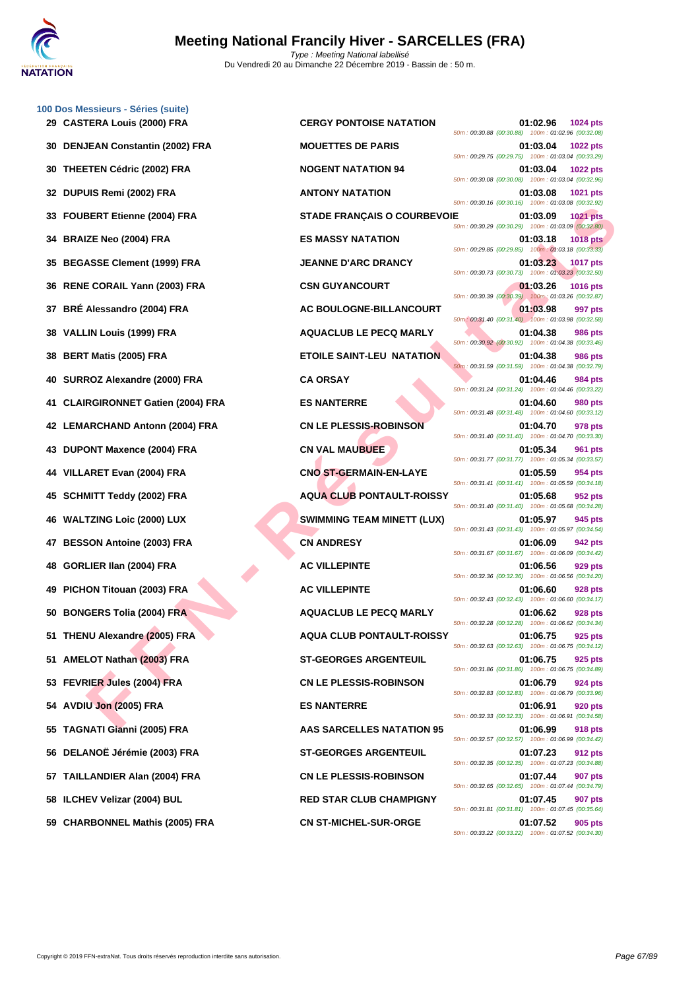

**[100 Dos M](http://www.ffnatation.fr/webffn/index.php)essieurs - Séries (suite) CASTERA Louis (2000) FRA CERGY PONTOISE NATATION 01:02.96 1024 pts DENJEAN Constantin (2002) FRA MOUETTES DE PARIS 01:03.04 1022 pts THEETEN Cédric (2002) FRA NOGENT NATATION 94 01:03.04 1022 pts DUPUIS Remi (2002) FRA ANTONY NATATION 01:03.08 1021 pts FOUBERT Etienne (2004) FRA STADE FRANÇAIS O COURBEVOIE 01:03.09 1021 pts BRAIZE Neo (2004) FRA ES MASSY NATATION 01:03.18 1018 pts BEGASSE Clement (1999) FRA JEANNE D'ARC DRANCY 01:03.23 1017 pts RENE CORAIL Yann (2003) FRA CSN GUYANCOURT 01:03.26 1016 pts BRÉ Alessandro (2004) FRA AC BOULOGNE-BILLANCOURT 01:03.98 997 pts VALLIN Louis (1999) FRA AQUACLUB LE PECQ MARLY 01:04.38 986 pts BERT Matis (2005) FRA ETOILE SAINT-LEU NATATION 01:04.38 986 pts SURROZ Alexandre (2000) FRA CA ORSAY 01:04.46 984 pts CLAIRGIRONNET Gatien (2004) FRA ES NANTERRE 01:04.60 980 pts LEMARCHAND Antonn (2004) FRA CN LE PLESSIS-ROBINSON 01:04.70 978 pts DUPONT Maxence (2004) FRA CN VAL MAUBUEE 01:05.34 961 pts VILLARET Evan (2004) FRA CNO ST-GERMAIN-EN-LAYE 01:05.59 954 pts SCHMITT Teddy (2002) FRA AQUA CLUB PONTAULT-ROISSY 01:05.68 952 pts WALTZING Loic (2000) LUX SWIMMING TEAM MINETT (LUX) 01:05.97 945 pts BESSON Antoine (2003) FRA CN ANDRESY 01:06.09 942 pts GORLIER Ilan (2004) FRA AC VILLEPINTE 01:06.56 929 pts PICHON Titouan (2003) FRA AC VILLEPINTE 01:06.60 928 pts BONGERS Tolia (2004) FRA AQUACLUB LE PECQ MARLY 01:06.62 928 pts THENU Alexandre (2005) FRA AQUA CLUB PONTAULT-ROISSY 01:06.75 925 pts AMELOT Nathan (2003) FRA ST-GEORGES ARGENTEUIL 01:06.75 925 pts FEVRIER Jules (2004) FRA CN LE PLESSIS-ROBINSON 01:06.79 924 pts AVDIU Jon (2005) FRA ES NANTERRE 01:06.91 920 pts TAGNATI Gianni (2005) FRA AAS SARCELLES NATATION 95 01:06.99 918 pts DELANOË Jérémie (2003) FRA ST-GEORGES ARGENTEUIL 01:07.23 912 pts TAILLANDIER Alan (2004) FRA CN LE PLESSIS-ROBINSON 01:07.44 907 pts ILCHEV Velizar (2004) BUL RED STAR CLUB CHAMPIGNY 01:07.45 907 pts CHARBONNEL Mathis (2005) FRA CN ST-MICHEL-SUR-ORGE 01:07.52 905 pts**

**FERICAND A FRANCIS O COUREY DE SANTATION COUREY (2004) FRANCIS (1999) FRANCIS (1999) FRANCIS (1999) FRANCIS (1999) FRANCIS (1999) FRANCIS (1999) FRANCIS (1999) FRANCIS (1999) FRANCIS (1999) FRANCIS (1999) FRANCIS (1999) F** 50m : 00:30.88 (00:30.88) 100m : 01:02.96 (00:32.08) 50m : 00:29.75 (00:29.75) 100m : 01:03.04 (00:33.29) 50m : 00:30.08 (00:30.08) 100m : 01:03.04 (00:32.96) 50m : 00:30.16 (00:30.16) 100m : 01:03.08 (00:32.92) 50m : 00:30.29 (00:30.29) 100m : 01:03.09 (00:32.80) 50m : 00:29.85 (00:29.85) 100m : 01:03.18 (00:33.33) 50m : 00:30.73 (00:30.73) 100m : 01:03.23 (00:32.50) 50m : 00:30.39 (00:30.39) 100m : 01:03.26 (00:32.87) 50m : 00:31.40 (00:31.40) 100m : 01:03.98 (00:32.58) 50m : 00:30.92 (00:30.92) 100m : 01:04.38 (00:33.46) 50m : 00:31.59 (00:31.59) 100m : 01:04.38 (00:32.79) 50m : 00:31.24 (00:31.24) 100m : 01:04.46 (00:33.22) 50m : 00:31.48 (00:31.48) 100m : 01:04.60 (00:33.12) 50m : 00:31.40 (00:31.40) 100m : 01:04.70 (00:33.30) 50m : 00:31.77 (00:31.77) 100m : 01:05.34 (00:33.57) 50m : 00:31.41 (00:31.41) 100m : 01:05.59 (00:34.18) 50m : 00:31.40 (00:31.40) 100m : 01:05.68 (00:34.28) 50m : 00:31.43 (00:31.43) 100m : 01:05.97 (00:34.54) 50m : 00:31.67 (00:31.67) 100m : 01:06.09 (00:34.42) 50m : 00:32.36 (00:32.36) 100m : 01:06.56 (00:34.20) 50m : 00:32.43 (00:32.43) 100m : 01:06.60 (00:34.17) 50m : 00:32.28 (00:32.28) 100m : 01:06.62 (00:34.34) 50m : 00:32.63 (00:32.63) 100m : 01:06.75 (00:34.12) 50m : 00:31.86 (00:31.86) 100m : 01:06.75 (00:34.89) 50m : 00:32.83 (00:32.83) 100m : 01:06.79 (00:33.96) 50m : 00:32.33 (00:32.33) 100m : 01:06.91 (00:34.58) 50m : 00:32.57 (00:32.57) 100m : 01:06.99 (00:34.42) 50m : 00:32.35 (00:32.35) 100m : 01:07.23 (00:34.88) 50m : 00:32.65 (00:32.65) 100m : 01:07.44 (00:34.79) 50m : 00:31.81 (00:31.81) 100m : 01:07.45 (00:35.64) 50m : 00:33.22 (00:33.22) 100m : 01:07.52 (00:34.30)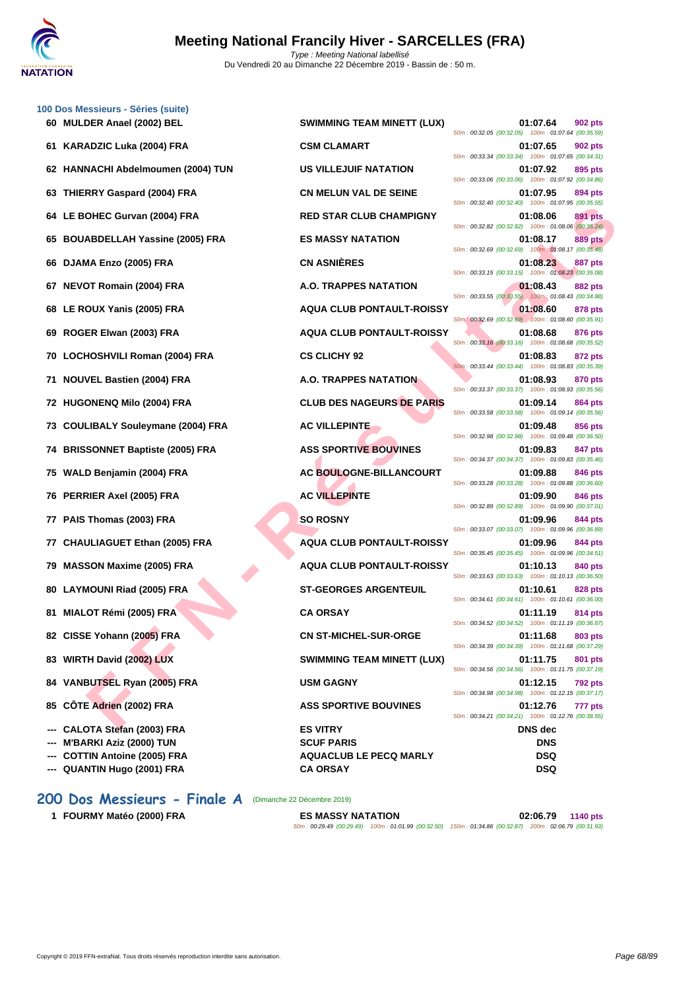

|    | 100 Dos Messieurs - Séries (suite)<br>60 MULDER Anael (2002) BEL | <b>SWIMMING TEAM MINETT (LUX)</b>                | 01:07.64<br>902 pts                                                                                                             |
|----|------------------------------------------------------------------|--------------------------------------------------|---------------------------------------------------------------------------------------------------------------------------------|
|    | 61 KARADZIC Luka (2004) FRA                                      | <b>CSM CLAMART</b>                               | 50m: 00:32.05 (00:32.05) 100m: 01:07.64 (00:35.59)<br>01:07.65<br>902 pts                                                       |
|    | 62 HANNACHI Abdelmoumen (2004) TUN                               | <b>US VILLEJUIF NATATION</b>                     | 50m: 00:33.34 (00:33.34) 100m: 01:07.65 (00:34.31)<br>895 pts<br>01:07.92                                                       |
|    | 63 THIERRY Gaspard (2004) FRA                                    | <b>CN MELUN VAL DE SEINE</b>                     | 50m: 00:33.06 (00:33.06) 100m: 01:07.92 (00:34.86)<br>01:07.95<br>894 pts                                                       |
|    | 64 LE BOHEC Gurvan (2004) FRA                                    | <b>RED STAR CLUB CHAMPIGNY</b>                   | 50m: 00:32.40 (00:32.40) 100m: 01:07.95 (00:35.55)<br>891 pts<br>01:08.06<br>50m: 00:32.82 (00:32.82) 100m: 01:08.06 (00:35.24) |
|    | 65 BOUABDELLAH Yassine (2005) FRA                                | <b>ES MASSY NATATION</b>                         | 01:08.17<br><b>889 pts</b><br>50m: 00:32.69 (00:32.69) 100m: 01:08.17 (00:35.48)                                                |
|    | 66 DJAMA Enzo (2005) FRA                                         | <b>CN ASNIÈRES</b>                               | 01:08.23<br>887 pts<br>50m: 00:33.15 (00:33.15) 100m: 01:08.23 (00:35.08)                                                       |
|    | 67 NEVOT Romain (2004) FRA                                       | A.O. TRAPPES NATATION                            | 01:08.43<br>882 pts<br>50m: 00:33.55 (00:33.55) 100m: 01:08.43 (00:34.88)                                                       |
|    | 68 LE ROUX Yanis (2005) FRA                                      | <b>AQUA CLUB PONTAULT-ROISSY</b>                 | 01:08.60<br>878 pts<br>50m: 00:32.69 (00:32.69) 100m: 01:08.60 (00:35.91)                                                       |
| 69 | ROGER Elwan (2003) FRA                                           | <b>AQUA CLUB PONTAULT-ROISSY</b>                 | 01:08.68<br>876 pts<br>50m: 00:33.16 (00:33.16) 100m: 01:08.68 (00:35.52)                                                       |
|    | 70 LOCHOSHVILI Roman (2004) FRA                                  | <b>CS CLICHY 92</b>                              | 01:08.83<br>872 pts<br>50m: 00:33.44 (00:33.44) 100m: 01:08.83 (00:35.39)                                                       |
|    | 71 NOUVEL Bastien (2004) FRA                                     | <b>A.O. TRAPPES NATATION</b>                     | 01:08.93<br><b>870 pts</b><br>50m: 00:33.37 (00:33.37) 100m: 01:08.93 (00:35.56)                                                |
|    | 72 HUGONENQ Milo (2004) FRA                                      | <b>CLUB DES NAGEURS DE PARIS</b>                 | 01:09.14<br><b>864 pts</b><br>50m: 00:33.58 (00:33.58) 100m: 01:09.14 (00:35.56)                                                |
|    | 73 COULIBALY Souleymane (2004) FRA                               | <b>AC VILLEPINTE</b>                             | <b>856 pts</b><br>01:09.48<br>50m: 00:32.98 (00:32.98) 100m: 01:09.48 (00:36.50)                                                |
|    | 74 BRISSONNET Baptiste (2005) FRA                                | <b>ASS SPORTIVE BOUVINES</b>                     | 01:09.83<br>847 pts<br>50m: 00:34.37 (00:34.37) 100m: 01:09.83 (00:35.46)                                                       |
|    | 75 WALD Benjamin (2004) FRA                                      | <b>AC BOULOGNE-BILLANCOURT</b>                   | 01:09.88<br><b>846 pts</b><br>50m: 00:33.28 (00:33.28) 100m: 01:09.88 (00:36.60)                                                |
|    | 76 PERRIER Axel (2005) FRA                                       | <b>AC VILLEPINTE</b>                             | 01:09.90<br>846 pts<br>50m: 00:32.89 (00:32.89) 100m: 01:09.90 (00:37.01)                                                       |
|    | 77 PAIS Thomas (2003) FRA                                        | <b>SO ROSNY</b>                                  | 01:09.96<br>844 pts<br>50m: 00:33.07 (00:33.07) 100m: 01:09.96 (00:36.89)                                                       |
|    | 77 CHAULIAGUET Ethan (2005) FRA                                  | <b>AQUA CLUB PONTAULT-ROISSY</b>                 | 01:09.96<br>844 pts<br>50m: 00:35.45 (00:35.45) 100m: 01:09.96 (00:34.51)                                                       |
| 79 | <b>MASSON Maxime (2005) FRA</b>                                  | <b>AQUA CLUB PONTAULT-ROISSY</b>                 | 01:10.13<br>840 pts<br>50m: 00:33.63 (00:33.63) 100m: 01:10.13 (00:36.50)                                                       |
|    | 80 LAYMOUNI Riad (2005) FRA                                      | <b>ST-GEORGES ARGENTEUIL</b>                     | 01:10.61<br>828 pts<br>50m: 00:34.61 (00:34.61) 100m: 01:10.61 (00:36.00)                                                       |
|    | 81 MIALOT Rémi (2005) FRA                                        | <b>CA ORSAY</b>                                  | 01:11.19<br>814 pts<br>50m: 00:34.52 (00:34.52) 100m: 01:11.19 (00:36.67)                                                       |
|    | 82 CISSE Yohann (2005) FRA                                       | <b>CN ST-MICHEL-SUR-ORGE</b>                     | 01:11.68<br>803 pts<br>50m: 00:34.39 (00:34.39) 100m: 01:11.68 (00:37.29)                                                       |
|    | 83 WIRTH David (2002) LUX                                        | <b>SWIMMING TEAM MINETT (LUX)</b>                | 01:11.75<br>801 pts<br>50m: 00:34.56 (00:34.56) 100m: 01:11.75 (00:37.19)                                                       |
|    | 84 VANBUTSEL Ryan (2005) FRA                                     | <b>USM GAGNY</b>                                 | 01:12.15<br><b>792 pts</b><br>50m: 00:34.98 (00:34.98) 100m: 01:12.15 (00:37.17)                                                |
|    | 85 CÔTE Adrien (2002) FRA                                        | <b>ASS SPORTIVE BOUVINES</b>                     | 01:12.76<br>777 pts<br>50m: 00:34.21 (00:34.21) 100m: 01:12.76 (00:38.55)                                                       |
|    | --- CALOTA Stefan (2003) FRA                                     | <b>ES VITRY</b>                                  | <b>DNS</b> dec                                                                                                                  |
|    | --- M'BARKI Aziz (2000) TUN                                      | <b>SCUF PARIS</b>                                | <b>DNS</b>                                                                                                                      |
|    | --- COTTIN Antoine (2005) FRA<br>--- QUANTIN Hugo (2001) FRA     | <b>AQUACLUB LE PECQ MARLY</b><br><b>CA ORSAY</b> | <b>DSQ</b><br><b>DSQ</b>                                                                                                        |
|    | 200 Dos Messieurs - Finale A                                     | (Dimanche 22 Décembre 2019)                      |                                                                                                                                 |

CHEC Gurvan (2004) FRA **FED STAR CLUB CHAMPIGNY**<br>
MADELLAM Yassing (2005) FRA **ES MASSY NATATION**<br>
THE EVAN AGE (2005) FRA **A.O. TRAPPES NATATION**<br>
THE EVAN (2005) FRA A.O. TRAPPES NATATION<br>
DUX Yanis (2005) FRA A.O. TRAP **600 601:07.64 602 pts** 50m : 00:32.05 (00:32.05) 100m : 01:07.64 (00:35.59) **61107.65 622 pts** 50m : 00:33.34 (00:33.34) 100m : 01:07.65 (00:34.31) **K CONSACTION CONSACTION CONSACTION DELISION CONS CONS CONS CONS CONS CONS CONS CONS CONS CONS CONS CONS CONS CONS CONS CONS CONS CONS** 50m : 00:33.06 (00:33.06) 100m : 01:07.92 (00:34.86) **634 PMIELUN VAL DE SEINE 634 pts** 50m : 00:32.40 (00:32.40) 100m : 01:07.95 (00:35.55) **644 CLUB CHAMPIGNY 01:08.06 891 pts** 50m : 00:32.82 (00:32.82) 100m : 01:08.06 (00:35.24) **65 BOUABDELLAH Yassine (2005) FRA ES MASSY NATATION 01:08.17 889 pts** 50m : 00:32.69 (00:32.69) 100m : 01:08.17 (00:35.48) 50m : 00:33.15 (00:33.15) 100m : 01:08.23 (00:35.08) **67 NEVOT Romain (2004) FRA A.O. TRAPPES NATATION 01:08.43 882 pts** 50m : 00:33.55 (00:33.55) 100m : 01:08.43 (00:34.88) **688 LE ROUA CLUB PONTAULT-ROISSY CONSUMING A 201:08.60 878 pts** 50m : 00:32.69 (00:32.69) 100m : 01:08.60 (00:35.91) **69 ROGER Elwan (2003) FRA AQUA CLUB PONTAULT-ROISSY 01:08.68 876 pts** 50m : 00:33.16 (00:33.16) 100m : 01:08.68 (00:35.52) **70 <b>CS CLICHY 92 01:08.83 872 pts** 50m : 00:33.44 (00:33.44) 100m : 01:08.83 (00:35.39) **711 <b>A.O. TRAPPES NATATION 11:08.93 870 pts** 50m : 00:33.37 (00:33.37) 100m : 01:08.93 (00:35.56) **72 CLUB DES NAGEURS DE PARIS 01:09.14 864 pts** 50m : 00:33.58 (00:33.58) 100m : 01:09.14 (00:35.56) **73 COULTERINTE 12.09.48 856 pts** 50m : 00:32.98 (00:32.98) 100m : 01:09.48 (00:36.50) **ASS SPORTIVE BOUVINES 01:09.83 847 pts** 50m : 00:34.37 (00:34.37) 100m : 01:09.83 (00:35.46) **75 WALD Benjamin (2004) FRA AC BOULOGNE-BILLANCOURT 01:09.88 846 pts** 50m : 00:33.28 (00:33.28) 100m : 01:09.88 (00:36.60) **76 PERRIMTE PERRIMTE 1.09.90 846 pts** 50m : 00:32.89 (00:32.89) 100m : 01:09.90 (00:37.01) 50m : 00:33.07 (00:33.07) 100m : 01:09.96 (00:36.89) **77 CHAULIAGUET Ethan (2005) FRA AQUA CLUB PONTAULT-ROISSY 01:09.96 844 pts** 50m : 00:35.45 (00:35.45) 100m : 01:09.96 (00:34.51) **79 MASSON Maxime (2005) FRA AQUA CLUB PONTAULT-ROISSY 01:10.13 840 pts** 50m : 00:33.63 (00:33.63) 100m : 01:10.13 (00:36.50) **80 LAYMOUNI Riad (2005) FRA ST-GEORGES ARGENTEUIL 01:10.61 828 pts** 50m : 00:34.61 (00:34.61) 100m : 01:10.61 (00:36.00) 50m : 00:34.52 (00:34.52) 100m : 01:11.19 (00:36.67) **82 CISSE Yohann (2005) FRA CN ST-MICHEL-SUR-ORGE 01:11.68 803 pts** 50m : 00:34.39 (00:34.39) 100m : 01:11.68 (00:37.29) **833 831 <b>BWIMMING TEAM MINETT (LUX) 01:11.75 801 pts** 50m : 00:34.56 (00:34.56) 100m : 01:11.75 (00:37.19) 50m : 00:34.98 (00:34.98) 100m : 01:12.15 (00:37.17) **858 SPORTIVE BOUVINES 01:12.76 777 pts** 50m : 00:34.21 (00:34.21) 100m : 01:12.76 (00:38.55)

**1 FOURMY Matéo (2000) FRA ES MASSY NATATION 02:06.79 1140 pts**

50m : 00:29.49 (00:29.49) 100m : 01:01.99 (00:32.50) 150m : 01:34.86 (00:32.87) 200m : 02:06.79 (00:31.93)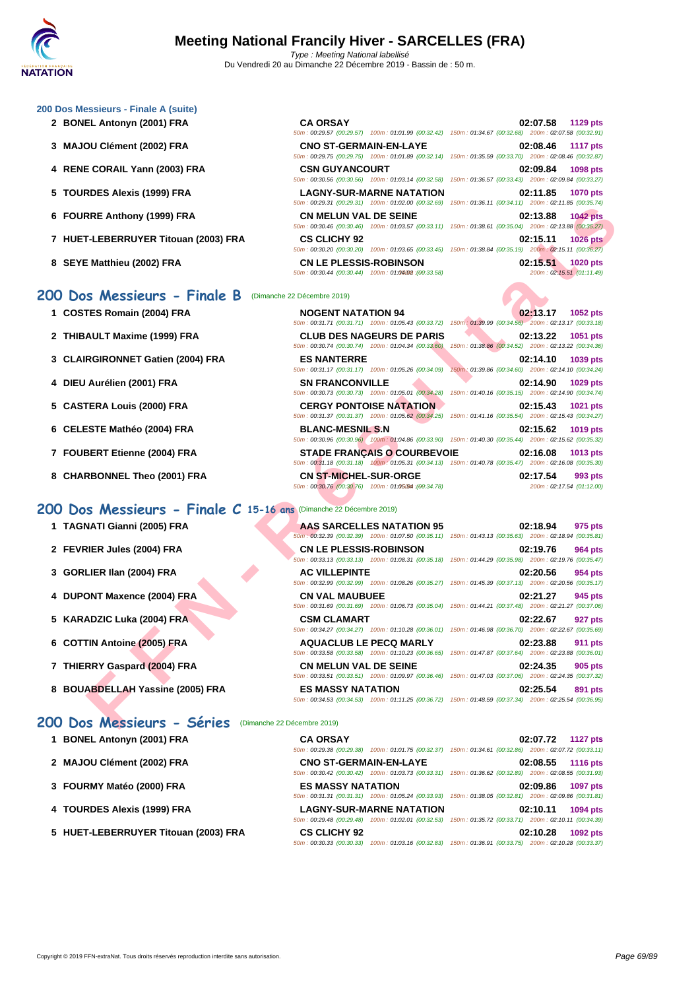#### **[200 Dos M](http://www.ffnatation.fr/webffn/index.php)essieurs - Finale A (suite)**

- **2 BONEL Antonyn (2001) FRA**
- **3 MAJOU Clément (2002) FRA**
- **4** RENE CORAIL Yann (2003) FRA
- 
- **6 FOURRE Anthony (1999) FRA**
- **7 HUET-LEBERRUYER Titouan (2003) FRA**
- 

### **200 Dos Messieurs - Finale B** (Dimanche 22 Décembre 2019)

- **1 COSTES Romain (2004) FRA**
- **2 THIBAULT Maxime (1999) FRA**
- **3** CLAIRGIRONNET Gatien (2004) FRA
- **4 DIEU** Aurélien (2001) FRA
- **5** CASTERA Louis (2000) FRA
- **6** CELESTE Mathéo (2004) FRA
- **7 FOUBERT Etienne (2004) FRA STADE FRANÇAIS O COURBEVOIE 02:16.08 1013 pts**
- **8** CHARBONNEL Theo (2001) FRA

- **1 TAGNATI Gianni (2005) FRA AAS**
- **2 FEVRIER Jules (2004) FRA CN CN**
- **3 GORLIER IIan (2004) FRA AC AC**
- **4 DUPONT Maxence (2004) FRA CN CN**
- **5 KARADZIC Luka (2004) FRA CS**
- **6 COTTIN** Antoine (2005) FRA **AQ**
- **7 THIERRY Gaspard (2004) FRA CN**
- **8 BOUABDELLAH Yassine (2005) FRA ES**

### **200 Dos Messieurs - Séries** (Dimanche 22 Décembre 2019)

- **1 BONEL Antonyn (2001) FRA**
- 2 **MAJOU Clément (2002) FRA**
- **3 [FOURMY Matéo \(2000\) FRA](http://www.ffnatation.fr/webffn/resultats.php?idact=nat&go=epr&idcpt=64277&idepr=63) ES MASSY NATATION 02:09.86 1097 pts**
- **4 TOURDES Alexis (1999) FRA LAGNY-SUR-MARNE NATATION 02:10.11 1094 pts**
- **5 HUET-LEBERRUYER Titouan (2003) FRA CS CLICHY 92 02:10.28 1092 pts**

| $\mu$ DOS Messieurs - Finale A (Suite) |                                                                                       |                                                                                                                                       |
|----------------------------------------|---------------------------------------------------------------------------------------|---------------------------------------------------------------------------------------------------------------------------------------|
| 2 BONEL Antonyn (2001) FRA             | <b>CA ORSAY</b>                                                                       | 02:07.58<br>1129 pts<br>50m: 00:29.57 (00:29.57) 100m: 01:01.99 (00:32.42) 150m: 01:34.67 (00:32.68) 200m: 02:07.58 (00:32.91)        |
| 3 MAJOU Clément (2002) FRA             | <b>CNO ST-GERMAIN-EN-LAYE</b>                                                         | 02:08.46<br><b>1117 pts</b><br>50m: 00:29.75 (00:29.75) 100m: 01:01.89 (00:32.14) 150m: 01:35.59 (00:33.70) 200m: 02:08.46 (00:32.87) |
| 4 RENE CORAIL Yann (2003) FRA          | <b>CSN GUYANCOURT</b>                                                                 | 02:09.84<br>1098 pts<br>50m: 00:30.56 (00:30.56) 100m: 01:03.14 (00:32.58) 150m: 01:36.57 (00:33.43) 200m: 02:09.84 (00:33.27)        |
| 5 TOURDES Alexis (1999) FRA            | <b>LAGNY-SUR-MARNE NATATION</b>                                                       | 02:11.85<br><b>1070 pts</b><br>50m: 00:29.31 (00:29.31) 100m: 01:02.00 (00:32.69) 150m: 01:36.11 (00:34.11) 200m: 02:11.85 (00:35.74) |
| 6 FOURRE Anthony (1999) FRA            | <b>CN MELUN VAL DE SEINE</b>                                                          | 02:13.88<br><b>1042 pts</b><br>50m: 00:30.46 (00:30.46) 100m: 01:03.57 (00:33.11) 150m: 01:38.61 (00:35.04) 200m: 02:13.88 (00:35.27) |
| 7 HUET-LEBERRUYER Titouan (2003) FRA   | <b>CS CLICHY 92</b>                                                                   | 02:15.11<br><b>1026 pts</b><br>50m: 00:30.20 (00:30.20) 100m: 01:03.65 (00:33.45) 150m: 01:38.84 (00:35.19) 200m: 02:15.11 (00:36.27) |
| 8 SEYE Matthieu (2002) FRA             | <b>CN LE PLESSIS-ROBINSON</b><br>50m: 00:30.44 (00:30.44) 100m: 01:04:02 : (00:33.58) | 02:15.51<br><b>1020 pts</b><br>200m: 02:15.51 (01:11.49)                                                                              |

| RRE Anthony (1999) FRA                                       | <b>CN MELUN VAL DE SEINE</b>                                                                                                             | 02:13.88<br><b>1042 pts</b><br>50m : 00:30.46 (00:30.46) 100m : 01:03.57 (00:33.11) 150m : 01:38.61 (00:35.04) 200m : 02:13.88 (00:35.27) |
|--------------------------------------------------------------|------------------------------------------------------------------------------------------------------------------------------------------|-------------------------------------------------------------------------------------------------------------------------------------------|
| T-LEBERRUYER Titouan (2003) FRA                              | <b>CS CLICHY 92</b><br>50m : 00:30.20 (00:30.20) 100m : 01:03.65 (00:33.45) 150m : 01:38.84 (00:35.19) 200m : 02:15.11 (00:36.27)        | 02:15.11<br><b>1026 pts</b>                                                                                                               |
| E Matthieu (2002) FRA                                        | <b>CN LE PLESSIS-ROBINSON</b><br>50m: 00:30.44 (00:30.44) 100m: 01:04:02 : (00:33.58)                                                    | 02:15.51<br><b>1020 pts</b><br>200m: 02:15.51 (01:11.49)                                                                                  |
| s Messieurs - Finale B                                       | (Dimanche 22 Décembre 2019)                                                                                                              |                                                                                                                                           |
| TES Romain (2004) FRA                                        | <b>NOGENT NATATION 94</b>                                                                                                                | 02:13.17<br>1052 pts<br>50m: 00:31.71 (00:31.71) 100m: 01:05.43 (00:33.72) 150m: 01:39.99 (00:34.56) 200m: 02:13.17 (00:33.18)            |
| AULT Maxime (1999) FRA                                       | <b>CLUB DES NAGEURS DE PARIS</b><br>50m: 00:30.74 (00:30.74) 100m: 01:04.34 (00:33.60)                                                   | 02:13.22<br>1051 pts<br>150m: 01:38.86 (00:34.52) 200m: 02:13.22 (00:34.36)                                                               |
| <b>RGIRONNET Gatien (2004) FRA</b>                           | <b>ES NANTERRE</b><br>50m: 00:31.17 (00:31.17) 100m: 01:05.26 (00:34.09)                                                                 | 02:14.10<br>1039 pts<br>150m: 01:39.86 (00:34.60) 200m: 02:14.10 (00:34.24)                                                               |
| Aurélien (2001) FRA                                          | <b>SN FRANCONVILLE</b><br>50m: 00:30.73 (00:30.73) 100m: 01:05.01 (00:34.28)                                                             | 02:14.90<br>1029 pts<br>150m: 01:40.16 (00:35.15) 200m: 02:14.90 (00:34.74)                                                               |
| TERA Louis (2000) FRA                                        | <b>CERGY PONTOISE NATATION</b><br>50m: 00:31.37 (00:31.37) 100m: 01:05.62 (00:34.25) 150m: 01:41.16 (00:35.54) 200m: 02:15.43 (00:34.27) | 02:15.43<br>1021 pts                                                                                                                      |
| ESTE Mathéo (2004) FRA                                       | <b>BLANC-MESNIL S.N.</b><br>50m : 00:30.96 (00:30.96) 100m : 01:04.86 (00:33.90) 150m : 01:40.30 (00:35.44) 200m : 02:15.62 (00:35.32)   | 02:15.62<br>1019 pts                                                                                                                      |
| <b>BERT Etienne (2004) FRA</b>                               | <b>STADE FRANÇAIS O COURBEVOIE</b>                                                                                                       | 02:16.08<br>1013 pts<br>50m: 00:31.18 (00:31.18) 100m: 01:05.31 (00:34.13) 150m: 01:40.78 (00:35.47) 200m: 02:16.08 (00:35.30)            |
| RBONNEL Theo (2001) FRA                                      | <b>CN ST-MICHEL-SUR-ORGE</b><br>50m: 00:30.76 (00:30.76) 100m: 01:05/54 (00:34.78)                                                       | 02:17.54<br>993 pts<br>200m: 02:17.54 (01:12.00)                                                                                          |
| S Messieurs - Finale C 15-16 ans (Dimanche 22 Décembre 2019) |                                                                                                                                          |                                                                                                                                           |
| NATI Gianni (2005) FRA                                       | AAS SARCELLES NATATION 95                                                                                                                | 02:18.94<br>975 pts<br>50m: 00:32.39 (00:32.39) 100m: 01:07.50 (00:35.11) 150m: 01:43.13 (00:35.63) 200m: 02:18.94 (00:35.81)             |
| <b>RIER Jules (2004) FRA</b>                                 | <b>CN LE PLESSIS-ROBINSON</b>                                                                                                            | 02:19.76<br>964 pts<br>50m: 00:33.13 (00:33.13) 100m: 01:08.31 (00:35.18) 150m: 01:44.29 (00:35.98) 200m: 02:19.76 (00:35.47)             |
| LIER Ilan (2004) FRA                                         | <b>AC VILLEPINTE</b>                                                                                                                     | 02:20.56<br>954 pts<br>50m : 00:32.99 (00:32.99) 100m : 01:08.26 (00:35.27) 150m : 01:45.39 (00:37.13) 200m : 02:20.56 (00:35.17)         |
| ONT Maxence (2004) ERA                                       | <b>CN VAL MAUBUEE</b>                                                                                                                    | 02:21.27<br>945 pts<br>50m: 00:31.69 (00:31.69) 100m: 01:06.73 (00:35.04) 150m: 01:44.21 (00:37.48) 200m: 02:21.27 (00:37.06)             |
| ADZIC Luka (2004) FRA                                        | <b>CSM CLAMART</b>                                                                                                                       | 02:22.67<br>927 pts<br>50m: 00:34.27 (00:34.27) 100m: 01:10.28 (00:36.01) 150m: 01:46.98 (00:36.70) 200m: 02:22.67 (00:35.69)             |
| TIN Antoine (2005) FRA                                       | <b>AQUACLUB LE PECQ MARLY</b><br>50m: 00:33.58 (00:33.58) 100m: 01:10.23 (00:36.65) 150m: 01:47.87 (00:37.64) 200m: 02:23.88 (00:36.01)  | 02:23.88<br>911 pts                                                                                                                       |
| RRY Gaspard (2004) FRA                                       | <b>CN MELUN VAL DE SEINE</b><br>50m: 00:33.51 (00:33.51) 100m: 01:09.97 (00:36.46) 150m: 01:47.03 (00:37.06) 200m: 02:24.35 (00:37.32)   | 02:24.35<br>905 pts                                                                                                                       |
|                                                              | <b>ES MASSY NATATION</b>                                                                                                                 | 02:25.54<br>891 pts                                                                                                                       |

### **200 Dos Messieurs - Finale C 15-16 ans** (Dimanche 22 Décembre 2019)

| AAS SARCELLES NATATION 95                          | 02:18.94 975 pts                                                                                       |
|----------------------------------------------------|--------------------------------------------------------------------------------------------------------|
|                                                    | 50m: 00:32.39 (00:32.39) 100m: 01:07.50 (00:35.11) 150m: 01:43.13 (00:35.63) 200m: 02:18.94 (00:35.81) |
| <b>CN LE PLESSIS-ROBINSON</b>                      | 02:19.76<br>964 pts                                                                                    |
|                                                    | 50m: 00:33.13 (00:33.13) 100m: 01:08.31 (00:35.18) 150m: 01:44.29 (00:35.98) 200m: 02:19.76 (00:35.47) |
| <b>AC VILLEPINTE</b>                               | 02:20.56 954 pts                                                                                       |
|                                                    | 50m: 00:32.99 (00:32.99) 100m: 01:08.26 (00:35.27) 150m: 01:45.39 (00:37.13) 200m: 02:20.56 (00:35.17) |
| <b>CN VAL MAUBUEE</b>                              | 02:21.27 945 pts                                                                                       |
|                                                    | 50m: 00:31.69 (00:31.69) 100m: 01:06.73 (00:35.04) 150m: 01:44.21 (00:37.48) 200m: 02:21.27 (00:37.06) |
| <b>CSM CLAMART</b>                                 | 02:22.67 927 pts                                                                                       |
|                                                    | 50m: 00:34.27 (00:34.27) 100m: 01:10.28 (00:36.01) 150m: 01:46.98 (00:36.70) 200m: 02:22.67 (00:35.69) |
|                                                    |                                                                                                        |
| <b>AQUACLUB LE PECQ MARLY</b>                      | 02:23.88<br><b>911 pts</b>                                                                             |
| 50m: 00:33.58 (00:33.58) 100m: 01:10.23 (00:36.65) | 150m: 01:47.87 (00:37.64) 200m: 02:23.88 (00:36.01)                                                    |
| <b>CN MELUN VAL DE SEINE</b>                       | 02:24.35 905 pts                                                                                       |
|                                                    | 50m: 00:33.51 (00:33.51) 100m: 01:09.97 (00:36.46) 150m: 01:47.03 (00:37.06) 200m: 02:24.35 (00:37.32) |
| <b>ES MASSY NATATION</b>                           | 02:25.54<br>891 pts                                                                                    |

| <b>CA ORSAY</b>               |                                                       | 02:07.72<br><b>1127 pts</b>                                                                            |
|-------------------------------|-------------------------------------------------------|--------------------------------------------------------------------------------------------------------|
|                               |                                                       | 50m; 00:29.38 (00:29.38) 100m; 01:01.75 (00:32.37) 150m; 01:34.61 (00:32.86) 200m; 02:07.72 (00:33.11) |
| <b>CNO ST-GERMAIN-EN-LAYE</b> |                                                       | 02:08.55<br><b>1116 pts</b>                                                                            |
|                               |                                                       | 50m: 00:30.42 (00:30.42) 100m: 01:03.73 (00:33.31) 150m: 01:36.62 (00:32.89) 200m: 02:08.55 (00:31.93) |
| <b>ES MASSY NATATION</b>      |                                                       | 02:09.86<br><b>1097 pts</b>                                                                            |
|                               | 50m : 00:31.31 (00:31.31)  100m : 01:05.24 (00:33.93) | 150m: 01:38.05 (00:32.81) 200m: 02:09.86 (00:31.81)                                                    |
|                               | <b>LAGNY-SUR-MARNE NATATION</b>                       | 02:10.11<br>1094 pts                                                                                   |
|                               |                                                       | 50m: 00:29.48 (00:29.48) 100m: 01:02.01 (00:32.53) 150m: 01:35.72 (00:33.71) 200m: 02:10.11 (00:34.39) |
| <b>CS CLICHY 92</b>           |                                                       | 02:10.28<br><b>1092 pts</b>                                                                            |
| 50m : 00:30.33 (00:30.33)     |                                                       | 100m: 01:03.16 (00:32.83) 150m: 01:36.91 (00:33.75) 200m: 02:10.28 (00:33.37)                          |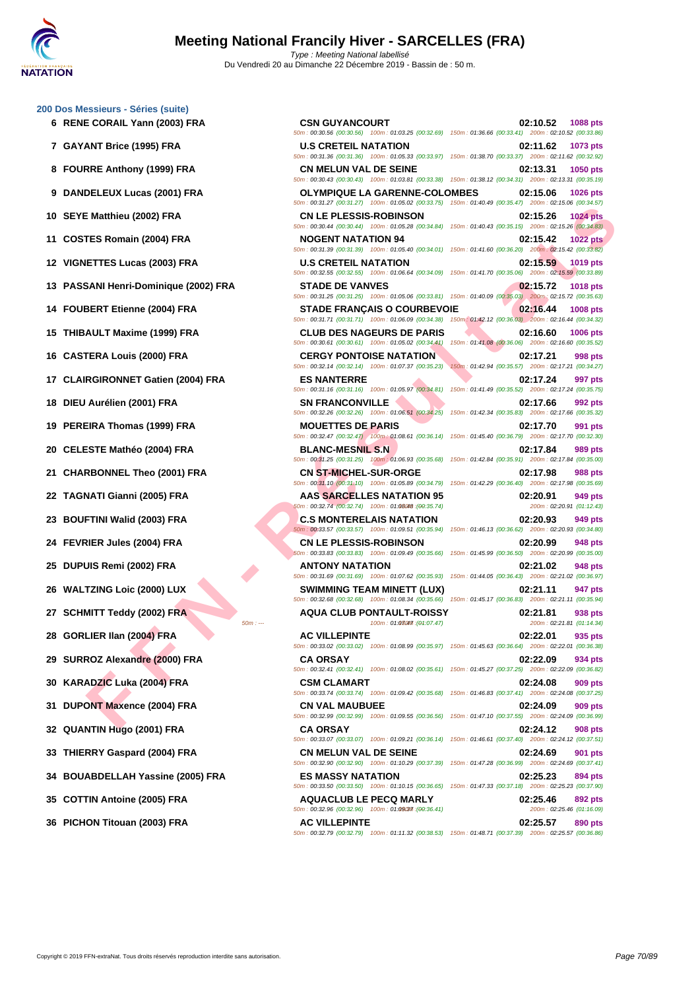**[200 Dos M](http://www.ffnatation.fr/webffn/index.php)essieurs - Séries (suite)**

**EN ALITER ALONE (2002) FRA**<br> **FER ALLE PLESSIS ROBINSON CONFIDENTIES DE PRIME AREA CONFIDENTIES DE PRIME AREA CONFIDENTIES DE PRIME AREA CONFIDENTIES DE PRIME AREA CONFIDENTIES DE PRIME AREA CONFIDENTIES DE PRIME AREA CO 6 RENE CORAIL Yann (2003) FRA CSN GUYANCOURT 02:10.52 1088 pts** 50m : 00:30.56 (00:30.56) 100m : 01:03.25 (00:32.69) 150m : 01:36.66 (00:33.41) 200m : 02:10.52 (00:33.86) **7 GAYANT Brice (1995) FRA U.S CRETEIL NATATION 02:11.62 1073 pts** 50m : 00:31.36 (00:31.36) 100m : 01:05.33 (00:33.97) 150m : 01:38.70 (00:33.37) 200m : 02:11.62 (00:32.92) **8 FOURRE Anthony (1999) FRA CN MELUN VAL DE SEINE 02:13.31 1050 pts** 50m : 00:30.43 (00:30.43) 100m : 01:03.81 (00:33.38) 150m : 01:38.12 (00:34.31) 200m : 02:13.31 (00:35.19) **9 DANDELEUX Lucas (2001) FRA OLYMPIQUE LA GARENNE-COLOMBES 02:15.06 1026 pts** 50m : 00:31.27 (00:31.27) 100m : 01:05.02 (00:33.75) 150m : 01:40.49 (00:35.47) 200m : 02:15.06 (00:34.57) **10 SEYE Matthieu (2002) FRA CN LE PLESSIS-ROBINSON 02:15.26 1024 pts** 50m : 00:30.44 (00:30.44) 100m : 01:05.28 (00:34.84) 150m : 01:40.43 (00:35.15) 200m : 02:15.26 (00:34.83) **11 COSTES Romain (2004) FRA NOGENT NATATION 94 02:15.42 1022 pts** 50m : 00:31.39 (00:31.39) 100m : 01:05.40 (00:34.01) 150m : 01:41.60 (00:36.20) 200m : 02:15.42 (00:33.82) **12 VIGNETTES Lucas (2003) FRA U.S CRETEIL NATATION 02:15.59 1019 pts** 50m : 00:32.55 (00:32.55) 100m : 01:06.64 (00:34.09) 150m : 01:41.70 (00:35.06) 200m : 02:15.59 (00:33.89) **13 PASSANI Henri-Dominique (2002) FRA STADE DE VANVES 02:15.72 1018 pts** 50m : 00:31.25 (00:31.25) 100m : 01:05.06 (00:33.81) 150m : 01:40.09 (00:35.03) 200m : 02:15.72 (00:35.63) **14 FOUBERT Etienne (2004) FRA STADE FRANÇAIS O COURBEVOIE 02:16.44 1008 pts** 50m : 00:31.71 (00:31.71) 100m : 01:06.09 (00:34.38) 150m : 01:42.12 (00:36.03) 200m : 02:16.44 (00:34.32) **15 THIBAULT Maxime (1999) FRA CLUB DES NAGEURS DE PARIS 02:16.60 1006 pts** 50m : 00:30.61 (00:30.61) 100m : 01:05.02 (00:34.41) 150m : 01:41.08 (00:36.06) 200m : 02:16.60 (00:35.52) **16 CASTERA Louis (2000) FRA CERGY PONTOISE NATATION 02:17.21 998 pts** 50m : 00:32.14 (00:32.14) 100m : 01:07.37 (00:35.23) 150m : 01:42.94 (00:35.57) 200m : 02:17.21 (00:34.27) **17 CLAIRGIRONNET Gatien (2004) FRA ES NANTERRE 02:17.24 997 pts** 50m : 00:31.16 (00:31.16) 100m : 01:05.97 (00:34.81) 150m : 01:41.49 (00:35.52) 200m : 02:17.24 (00:35.75) **18 DIEU Aurélien (2001) FRA SN FRANCONVILLE 02:17.66 992 pts** 50m : 00:32.26 (00:32.26) 100m : 01:06.51 (00:34.25) 150m : 01:42.34 (00:35.83) 200m : 02:17.66 (00:35.32) **19 PEREIRA Thomas (1999) FRA MOUETTES DE PARIS 02:17.70 991 pts** 50m : 00:32.47 (00:32.47) 100m : 01:08.61 (00:36.14) 150m : 01:45.40 (00:36.79) 200m : 02:17.70 (00:32.30) **20 CELESTE Mathéo (2004) FRA BLANC-MESNIL S.N 02:17.84 989 pts** 50m : 00:31.25 (00:31.25) 100m : 01:06.93 (00:35.68) 150m : 01:42.84 (00:35.91) 200m : 02:17.84 (00:35.00) **21 CHARBONNEL Theo (2001) FRA CN ST-MICHEL-SUR-ORGE 02:17.98 988 pts** 50m : 00:31.10 (00:31.10) 100m : 01:05.89 (00:34.79) 150m : 01:42.29 (00:36.40) 200m : 02:17.98 (00:35.69) **22 TAGNATI Gianni (2005) FRA AAS SARCELLES NATATION 95 02:20.91 02:20.91 949 pts**<br>**50m**: 02:20.91 **00.32.74 00.32.74 00.32.74 00.32.74 00.32.74 00.32.74 00.32.74 00.32.74**  $50m : 00:32.74 (00.32.74) 100m : 01:08.048 : (00:35.74)$ **23 BOUFTINI Walid (2003) FRA C.S MONTERELAIS NATATION 02:20.93 949 pts** 50m : 00:33.57 (00:33.57) 100m : 01:09.51 (00:35.94) 150m : 01:46.13 (00:36.62) 200m : 02:20.93 (00:34.80) **24 FEVRIER Jules (2004) FRA CN LE PLESSIS-ROBINSON 02:20.99 948 pts** 50m : 00:33.83 (00:33.83) 100m : 01:09.49 (00:35.66) 150m : 01:45.99 (00:36.50) 200m : 02:20.99 (00:35.00) **25 DUPUIS Remi (2002) FRA ANTONY NATATION 02:21.02 948 pts** 50m : 00:31.69 (00:31.69) 100m : 01:07.62 (00:35.93) 150m : 01:44.05 (00:36.43) 200m : 02:21.02 (00:36.97) **26 WALTZING Loic (2000) LUX SWIMMING TEAM MINETT (LUX) 02:21.11 947 pts** 50m : 00:32.68 (00:32.68) 100m : 01:08.34 (00:35.66) 150m : 01:45.17 (00:36.83) 200m : 02:21.11 (00:35.94) **27 SCHMITT Teddy (2002) FRA AQUA CLUB PONTAULT-ROISSY 02:21.81 938 pts** 200m : 02:21.81 (01:14.34) **28 GORLIER Ilan (2004) FRA AC VILLEPINTE 02:22.01 935 pts** 50m : 00:33.02 (00:33.02) 100m : 01:08.99 (00:35.97) 150m : 01:45.63 (00:36.64) 200m : 02:22.01 (00:36.38) **29 SURROZ Alexandre (2000) FRA CA ORSAY 02:22.09 934 pts** 50m : 00:32.41 (00:32.41) 100m : 01:08.02 (00:35.61) 150m : 01:45.27 (00:37.25) 200m : 02:22.09 (00:36.82) **30 KARADZIC Luka (2004) FRA CSM CLAMART 02:24.08 909 pts** 50m : 00:33.74 (00:33.74) 100m : 01:09.42 (00:35.68) 150m : 01:46.83 (00:37.41) 200m : 02:24.08 (00:37.25) **31 DUPONT Maxence (2004) FRA CN VAL MAUBUEE 02:24.09 909 pts** 50m : 00:32.99 (00:32.99) 100m : 01:09.55 (00:36.56) 150m : 01:47.10 (00:37.55) 200m : 02:24.09 (00:36.99) **32 QUANTIN Hugo (2001) FRA CA ORSAY 02:24.12 908 pts** 50m : 00:33.07 (00:33.07) 100m : 01:09.21 (00:36.14) 150m : 01:46.61 (00:37.40) 200m : 02:24.12 (00:37.51) **33 THIERRY Gaspard (2004) FRA CN MELUN VAL DE SEINE 02:24.69 901 pts** 50m : 00:32.90 (00:32.90) 100m : 01:10.29 (00:37.39) 150m : 01:47.28 (00:36.99) 200m : 02:24.69 (00:37.41) **34 BOUABDELLAH Yassine (2005) FRA ES MASSY NATATION 02:25.23 894 pts** 50m : 00:33.50 (00:33.50) 100m : 01:10.15 (00:36.65) 150m : 01:47.33 (00:37.18) 200m : 02:25.23 (00:37.90) **35 COTTIN Antoine (2005) FRA AQUACLUB LE PECQ MARLY 02:25.46 892 pts**  $50m : 00:32.96$   $(00:32.96)$   $100m : 01:09.387$   $(00:36.41)$  200m : 02:25.46  $(01:16.09)$ **36 PICHON Titouan (2003) FRA AC VILLEPINTE 02:25.57 890 pts** 50m : 00:32.79 (00:32.79) 100m : 01:11.32 (00:38.53) 150m : 01:48.71 (00:37.39) 200m : 02:25.57 (00:36.86)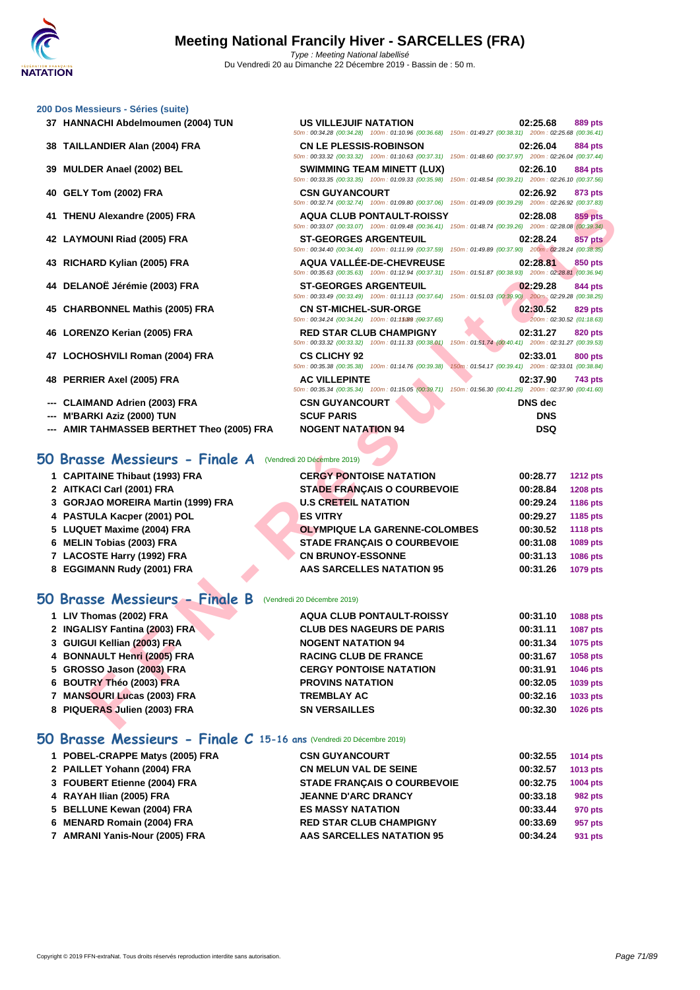| 37 HANNACHI Abdelmoumen (2004) TUN                       | <b>US VILLEJUIF NATATION</b><br>50m: 00:34.28 (00:34.28) 100m: 01:10.96 (00:36.68) 150m: 01:49.27 (00:38.31) 200m: 02:25.68 (00:36.41)          | 02:25.68<br><b>889 pts</b>                                                        |
|----------------------------------------------------------|-------------------------------------------------------------------------------------------------------------------------------------------------|-----------------------------------------------------------------------------------|
| 38 TAILLANDIER Alan (2004) FRA                           | <b>CN LE PLESSIS-ROBINSON</b><br>50m : 00:33.32 (00:33.32) 100m : 01:10.63 (00:37.31) 150m : 01:48.60 (00:37.97) 200m : 02:26.04 (00:37.44)     | 02:26.04<br><b>884 pts</b>                                                        |
| 39 MULDER Anael (2002) BEL                               | <b>SWIMMING TEAM MINETT (LUX)</b><br>50m : 00:33.35 (00:33.35) 100m : 01:09.33 (00:35.98) 150m : 01:48.54 (00:39.21) 200m : 02:26.10 (00:37.56) | 02:26.10<br><b>884 pts</b>                                                        |
| 40 GELY Tom (2002) FRA                                   | <b>CSN GUYANCOURT</b><br>50m: 00:32.74 (00:32.74) 100m: 01:09.80 (00:37.06) 150m: 01:49.09 (00:39.29) 200m: 02:26.92 (00:37.83)                 | 02:26.92<br>873 pts                                                               |
| 41 THENU Alexandre (2005) FRA                            | <b>AQUA CLUB PONTAULT-ROISSY</b><br>50m: 00:33.07 (00:33.07) 100m: 01:09.48 (00:36.41) 150m: 01:48.74 (00:39.26) 200m: 02:28.08 (00:39.34)      | 02:28.08<br><b>859 pts</b>                                                        |
| 42 LAYMOUNI Riad (2005) FRA                              | <b>ST-GEORGES ARGENTEUIL</b><br>50m : 00:34.40 (00:34.40) 100m : 01:11.99 (00:37.59) 150m : 01:49.89 (00:37.90) 200m : 02:28.24 (00:38.35)      | 857 pts<br>02:28.24                                                               |
| 43 RICHARD Kylian (2005) FRA                             | <b>AQUA VALLÉE-DE-CHEVREUSE</b><br>50m: 00:35.63 (00:35.63) 100m: 01:12.94 (00:37.31) 150m: 01:51.87 (00:38.93) 200m: 02:28.81 (00:36.94)       | 02:28.81<br>850 pts                                                               |
| 44 DELANOË Jérémie (2003) FRA                            | <b>ST-GEORGES ARGENTEUIL</b><br>50m: 00:33.49 (00:33.49) 100m: 01:11.13 (00:37.64) 150m: 01:51.03 (00:39.90) 200m: 02:29.28 (00:38.25)          | 02:29.28<br>844 pts                                                               |
| 45 CHARBONNEL Mathis (2005) FRA                          | <b>CN ST-MICHEL-SUR-ORGE</b><br>50m: 00:34.24 (00:34.24) 100m: 01:15089 : (00:37.65)                                                            | 02:30.52<br><b>829 pts</b><br>200m: 02:30.52 (01:18.63)                           |
| 46 LORENZO Kerian (2005) FRA                             | <b>RED STAR CLUB CHAMPIGNY</b><br>50m: 00:33.32 (00:33.32) 100m: 01:11.33 (00:38.01)                                                            | 02:31.27<br><b>820 pts</b><br>150m: 01:51.74 (00:40.41) 200m: 02:31.27 (00:39.53) |
| 47 LOCHOSHVILI Roman (2004) FRA                          | <b>CS CLICHY 92</b><br>50m: 00:35.38 (00:35.38) 100m: 01:14.76 (00:39.38)                                                                       | 02:33.01<br><b>800 pts</b><br>150m: 01:54.17 (00:39.41) 200m: 02:33.01 (00:38.84) |
| 48 PERRIER Axel (2005) FRA                               | <b>AC VILLEPINTE</b><br>50m: 00:35.34 (00:35.34) 100m: 01:15.05 (00:39.71) 150m: 01:56.30 (00:41.25) 200m: 02:37.90 (00:41.60)                  | 02:37.90<br>743 pts                                                               |
| <b>CLAIMAND Adrien (2003) FRA</b>                        | <b>CSN GUYANCOURT</b>                                                                                                                           | <b>DNS</b> dec                                                                    |
| --- M'BARKI Aziz (2000) TUN                              | <b>SCUF PARIS</b>                                                                                                                               | <b>DNS</b>                                                                        |
|                                                          |                                                                                                                                                 |                                                                                   |
| --- AMIR TAHMASSEB BERTHET Theo (2005) FRA               | <b>NOGENT NATATION 94</b>                                                                                                                       | <b>DSQ</b>                                                                        |
| 0 Brasse Messieurs - Finale A                            | (Vendredi 20 Décembre 2019)                                                                                                                     |                                                                                   |
|                                                          |                                                                                                                                                 |                                                                                   |
| 1 CAPITAINE Thibaut (1993) FRA                           | <b>CERGY PONTOISE NATATION</b>                                                                                                                  | 00:28.77<br><b>1212 pts</b>                                                       |
| 2 AITKACI Carl (2001) FRA                                | <b>STADE FRANÇAIS O COURBEVOIE</b>                                                                                                              | 00:28.84<br><b>1208 pts</b>                                                       |
| 3 GORJAO MOREIRA Martin (1999) FRA                       | <b>U.S CRETEIL NATATION</b>                                                                                                                     | 00:29.24<br>1186 pts                                                              |
| 4 PASTULA Kacper (2001) POL                              | <b>ES VITRY</b>                                                                                                                                 | 00:29.27<br>1185 pts                                                              |
| 5 LUQUET Maxime (2004) FRA<br>6 MELIN Tobias (2003) FRA  | <b>OLYMPIQUE LA GARENNE-COLOMBES</b><br><b>STADE FRANÇAIS O COURBEVOIE</b>                                                                      | 00:30.52<br><b>1118 pts</b><br>00:31.08<br>1089 pts                               |
|                                                          | <b>CN BRUNOY-ESSONNE</b>                                                                                                                        | 00:31.13<br>1086 pts                                                              |
| 7 LACOSTE Harry (1992) FRA<br>8 EGGIMANN Rudy (2001) FRA | <b>AAS SARCELLES NATATION 95</b>                                                                                                                | 00:31.26<br>1079 pts                                                              |
| O Brasse Messieurs - Finale B                            | (Vendredi 20 Décembre 2019)                                                                                                                     |                                                                                   |
| 1 LIV Thomas (2002) FRA                                  | <b>AQUA CLUB PONTAULT-ROISSY</b>                                                                                                                | 00:31.10<br>1088 pts                                                              |
| 2 INGALISY Fantina (2003) FRA                            | <b>CLUB DES NAGEURS DE PARIS</b>                                                                                                                | 00:31.11<br>1087 pts                                                              |
| 3 GUIGUI Kellian (2003) FRA                              | <b>NOGENT NATATION 94</b>                                                                                                                       | 00:31.34<br>1075 pts                                                              |
| 4 BONNAULT Henri (2005) FRA                              | <b>RACING CLUB DE FRANCE</b>                                                                                                                    | 00:31.67<br>1058 pts                                                              |
| 5 GROSSO Jason (2003) FRA                                | <b>CERGY PONTOISE NATATION</b>                                                                                                                  | 00:31.91<br>1046 pts                                                              |
| 6 BOUTRY Théo (2003) FRA                                 | <b>PROVINS NATATION</b>                                                                                                                         | 00:32.05<br>1039 pts                                                              |
| 7 MANSOURI Lucas (2003) FRA                              | <b>TREMBLAY AC</b>                                                                                                                              | 00:32.16<br>1033 pts                                                              |

- **--- CLAIMAND Adrien (2003) FRA CSN GUYANCOURT DNS dec**
- **--- M'BARKI Aziz (2000) TUN SCUF PARIS DNS**

**[200 Dos M](http://www.ffnatation.fr/webffn/index.php)essieurs - Séries (suite)**

### **50 Brasse Messieurs - Finale A** (Vendredi 20 Décembre 2019)

| 1 CAPITAINE Thibaut (1993) FRA     | <b>CERGY PONTOISE NATATION</b>       | 00:28.77 | <b>1212 pts</b> |
|------------------------------------|--------------------------------------|----------|-----------------|
| 2 AITKACI Carl (2001) FRA          | <b>STADE FRANCAIS O COURBEVOIE</b>   | 00:28.84 | <b>1208 pts</b> |
| 3 GORJAO MOREIRA Martin (1999) FRA | <b>U.S CRETEIL NATATION</b>          | 00:29.24 | 1186 pts        |
| 4 PASTULA Kacper (2001) POL        | <b>ES VITRY</b>                      | 00:29.27 | 1185 pts        |
| 5 LUQUET Maxime (2004) FRA         | <b>OLYMPIQUE LA GARENNE-COLOMBES</b> | 00:30.52 | <b>1118 pts</b> |
| 6 MELIN Tobias (2003) FRA          | <b>STADE FRANCAIS O COURBEVOIE</b>   | 00:31.08 | 1089 pts        |
| 7 LACOSTE Harry (1992) FRA         | <b>CN BRUNOY-ESSONNE</b>             | 00:31.13 | <b>1086 pts</b> |
| 8 EGGIMANN Rudy (2001) FRA         | <b>AAS SARCELLES NATATION 95</b>     | 00:31.26 | 1079 pts        |

### **50 Brasse Messieurs - Finale B** (Vendredi 20 Décembre 2019)

| 1 LIV Thomas (2002) FRA       | <b>AQUA CLUB PONTAULT-ROISSY</b> | 00:31.10 | <b>1088 pts</b> |
|-------------------------------|----------------------------------|----------|-----------------|
| 2 INGALISY Fantina (2003) FRA | <b>CLUB DES NAGEURS DE PARIS</b> | 00:31.11 | <b>1087 pts</b> |
| 3 GUIGUI Kellian (2003) FRA   | <b>NOGENT NATATION 94</b>        | 00:31.34 | 1075 pts        |
| 4 BONNAULT Henri (2005) FRA   | <b>RACING CLUB DE FRANCE</b>     | 00:31.67 | 1058 pts        |
| 5 GROSSO Jason (2003) FRA     | <b>CERGY PONTOISE NATATION</b>   | 00:31.91 | 1046 pts        |
| 6 BOUTRY Théo (2003) FRA      | <b>PROVINS NATATION</b>          | 00:32.05 | 1039 pts        |
| 7 MANSOURI Lucas (2003) FRA   | <b>TREMBLAY AC</b>               | 00:32.16 | 1033 pts        |
| 8 PIQUERAS Julien (2003) FRA  | <b>SN VERSAILLES</b>             | 00:32.30 | 1026 pts        |

### **50 Brasse Messieurs - Finale C 15-16 ans** (Vendredi 20 Décembre 2019)

| 1 POBEL-CRAPPE Matys (2005) FRA | <b>CSN GUYANCOURT</b>              | 00:32.55 | 1014 $pts$      |
|---------------------------------|------------------------------------|----------|-----------------|
| 2 PAILLET Yohann (2004) FRA     | <b>CN MELUN VAL DE SEINE</b>       | 00:32.57 | 1013 pts        |
| 3 FOUBERT Etienne (2004) FRA    | <b>STADE FRANCAIS O COURBEVOIE</b> | 00:32.75 | <b>1004 pts</b> |
| 4 RAYAH Ilian (2005) FRA        | <b>JEANNE D'ARC DRANCY</b>         | 00:33.18 | 982 pts         |
| 5 BELLUNE Kewan (2004) FRA      | <b>ES MASSY NATATION</b>           | 00:33.44 | 970 pts         |
| 6 MENARD Romain (2004) FRA      | <b>RED STAR CLUB CHAMPIGNY</b>     | 00:33.69 | 957 pts         |
| 7 AMRANI Yanis-Nour (2005) FRA  | AAS SARCELLES NATATION 95          | 00:34.24 | 931 pts         |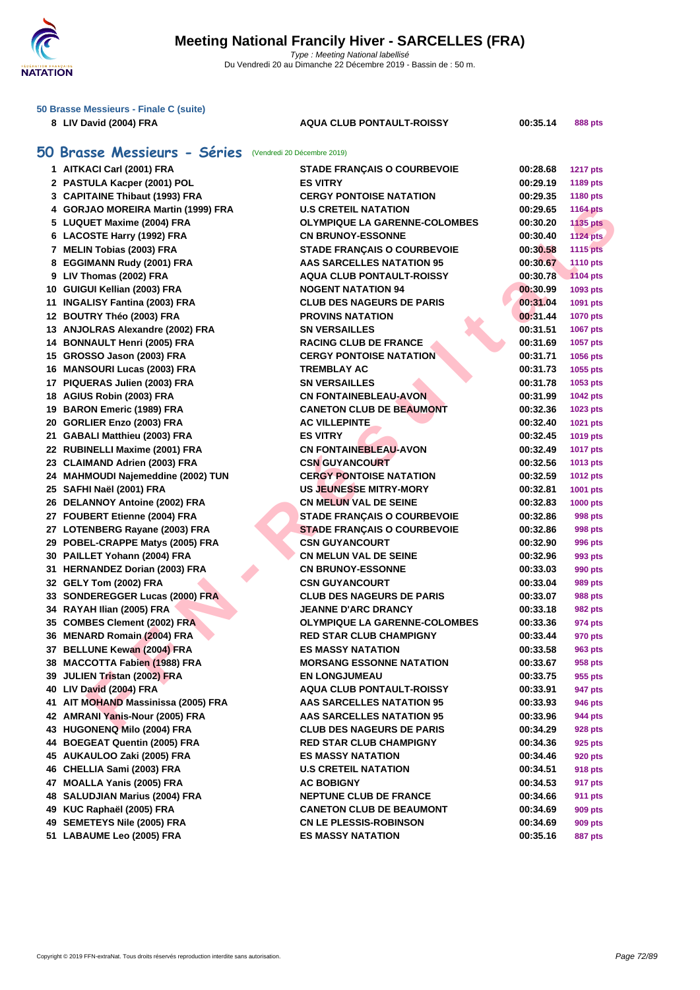

| 50 Brasse Messieurs - Finale C (suite) |                                                          |                                      |          |                 |  |
|----------------------------------------|----------------------------------------------------------|--------------------------------------|----------|-----------------|--|
| 8 LIV David (2004) FRA                 |                                                          | <b>AQUA CLUB PONTAULT-ROISSY</b>     | 00:35.14 | <b>888 pts</b>  |  |
|                                        |                                                          |                                      |          |                 |  |
|                                        | 50 Brasse Messieurs - Séries (Vendredi 20 Décembre 2019) |                                      |          |                 |  |
| 1 AITKACI Carl (2001) FRA              |                                                          | <b>STADE FRANÇAIS O COURBEVOIE</b>   | 00:28.68 | <b>1217 pts</b> |  |
| 2 PASTULA Kacper (2001) POL            |                                                          | <b>ES VITRY</b>                      | 00:29.19 | 1189 pts        |  |
| 3 CAPITAINE Thibaut (1993) FRA         |                                                          | <b>CERGY PONTOISE NATATION</b>       | 00:29.35 | 1180 pts        |  |
| 4 GORJAO MOREIRA Martin (1999) FRA     |                                                          | <b>U.S CRETEIL NATATION</b>          | 00:29.65 | <b>1164 pts</b> |  |
| 5 LUQUET Maxime (2004) FRA             |                                                          | <b>OLYMPIQUE LA GARENNE-COLOMBES</b> | 00:30.20 | <b>1135 pts</b> |  |
| 6 LACOSTE Harry (1992) FRA             |                                                          | <b>CN BRUNOY-ESSONNE</b>             | 00:30.40 | <b>1124 pts</b> |  |
| 7 MELIN Tobias (2003) FRA              |                                                          | <b>STADE FRANÇAIS O COURBEVOIE</b>   | 00:30.58 | <b>1115 pts</b> |  |
| 8 EGGIMANN Rudy (2001) FRA             |                                                          | <b>AAS SARCELLES NATATION 95</b>     | 00:30.67 | 1110 pts        |  |
| 9 LIV Thomas (2002) FRA                |                                                          | <b>AQUA CLUB PONTAULT-ROISSY</b>     | 00:30.78 | <b>1104 pts</b> |  |
| 10 GUIGUI Kellian (2003) FRA           |                                                          | <b>NOGENT NATATION 94</b>            | 00:30.99 | 1093 pts        |  |
| 11 INGALISY Fantina (2003) FRA         |                                                          | <b>CLUB DES NAGEURS DE PARIS</b>     | 00:31.04 | 1091 pts        |  |
| 12 BOUTRY Théo (2003) FRA              |                                                          | <b>PROVINS NATATION</b>              | 00:31.44 | <b>1070 pts</b> |  |
| 13 ANJOLRAS Alexandre (2002) FRA       |                                                          | <b>SN VERSAILLES</b>                 | 00:31.51 | 1067 pts        |  |
| 14 BONNAULT Henri (2005) FRA           |                                                          | <b>RACING CLUB DE FRANCE</b>         | 00:31.69 | 1057 pts        |  |
| 15 GROSSO Jason (2003) FRA             |                                                          | <b>CERGY PONTOISE NATATION</b>       | 00:31.71 | <b>1056 pts</b> |  |
| 16 MANSOURI Lucas (2003) FRA           |                                                          | <b>TREMBLAY AC</b>                   | 00:31.73 | 1055 pts        |  |
| 17 PIQUERAS Julien (2003) FRA          |                                                          | <b>SN VERSAILLES</b>                 | 00:31.78 | 1053 pts        |  |
| 18 AGIUS Robin (2003) FRA              |                                                          | <b>CN FONTAINEBLEAU-AVON</b>         | 00:31.99 | <b>1042 pts</b> |  |
| 19 BARON Emeric (1989) FRA             |                                                          | <b>CANETON CLUB DE BEAUMONT</b>      | 00:32.36 | 1023 pts        |  |
| 20 GORLIER Enzo (2003) FRA             |                                                          | <b>AC VILLEPINTE</b>                 | 00:32.40 | 1021 pts        |  |
| 21 GABALI Matthieu (2003) FRA          |                                                          | <b>ES VITRY</b>                      | 00:32.45 | 1019 pts        |  |
| 22 RUBINELLI Maxime (2001) FRA         |                                                          | <b>CN FONTAINEBLEAU-AVON</b>         | 00:32.49 | <b>1017 pts</b> |  |
| 23 CLAIMAND Adrien (2003) FRA          |                                                          | <b>CSN GUYANCOURT</b>                | 00:32.56 | 1013 pts        |  |
| 24 MAHMOUDI Najemeddine (2002) TUN     |                                                          | <b>CERGY PONTOISE NATATION</b>       | 00:32.59 | <b>1012 pts</b> |  |
| 25 SAFHI Naël (2001) FRA               |                                                          | <b>US JEUNESSE MITRY-MORY</b>        | 00:32.81 | 1001 pts        |  |
| 26 DELANNOY Antoine (2002) FRA         |                                                          | <b>CN MELUN VAL DE SEINE</b>         | 00:32.83 | <b>1000 pts</b> |  |
| 27 FOUBERT Etienne (2004) FRA          |                                                          | <b>STADE FRANÇAIS O COURBEVOIE</b>   | 00:32.86 | 998 pts         |  |
| 27 LOTENBERG Rayane (2003) FRA         |                                                          | <b>STADE FRANÇAIS O COURBEVOIE</b>   | 00:32.86 | 998 pts         |  |
| 29 POBEL-CRAPPE Matys (2005) FRA       |                                                          | <b>CSN GUYANCOURT</b>                | 00:32.90 | 996 pts         |  |
| 30 PAILLET Yohann (2004) FRA           |                                                          | <b>CN MELUN VAL DE SEINE</b>         | 00:32.96 | 993 pts         |  |
| 31 HERNANDEZ Dorian (2003) FRA         |                                                          | <b>CN BRUNOY-ESSONNE</b>             | 00:33.03 | 990 pts         |  |
| 32 GELY Tom (2002) FRA                 |                                                          | <b>CSN GUYANCOURT</b>                | 00:33.04 | 989 pts         |  |
| 33 SONDEREGGER Lucas (2000) FRA        |                                                          | <b>CLUB DES NAGEURS DE PARIS</b>     | 00:33.07 | 988 pts         |  |
| 34 RAYAH Ilian (2005) FRA              |                                                          | <b>JEANNE D'ARC DRANCY</b>           | 00:33.18 | 982 pts         |  |
| 35 COMBES Clement (2002) FRA           |                                                          | <b>OLYMPIQUE LA GARENNE-COLOMBES</b> | 00:33.36 | 974 pts         |  |
| 36 MENARD Romain (2004) FRA            |                                                          | <b>RED STAR CLUB CHAMPIGNY</b>       | 00:33.44 | 970 pts         |  |
| 37 BELLUNE Kewan (2004) FRA            |                                                          | <b>ES MASSY NATATION</b>             | 00:33.58 | 963 pts         |  |
| 38 MACCOTTA Fabien (1988) FRA          |                                                          | <b>MORSANG ESSONNE NATATION</b>      | 00:33.67 | 958 pts         |  |
| 39 JULIEN Tristan (2002) FRA           |                                                          | <b>EN LONGJUMEAU</b>                 | 00:33.75 | 955 pts         |  |
| 40 LIV David (2004) FRA                |                                                          | <b>AQUA CLUB PONTAULT-ROISSY</b>     | 00:33.91 | 947 pts         |  |
| 41 AIT MOHAND Massinissa (2005) FRA    |                                                          | <b>AAS SARCELLES NATATION 95</b>     | 00:33.93 | 946 pts         |  |
| 42 AMRANI Yanis-Nour (2005) FRA        |                                                          | AAS SARCELLES NATATION 95            | 00:33.96 | 944 pts         |  |
| 43 HUGONENQ Milo (2004) FRA            |                                                          | <b>CLUB DES NAGEURS DE PARIS</b>     | 00:34.29 | 928 pts         |  |
| 44 BOEGEAT Quentin (2005) FRA          |                                                          | <b>RED STAR CLUB CHAMPIGNY</b>       | 00:34.36 | 925 pts         |  |
| 45 AUKAULOO Zaki (2005) FRA            |                                                          | <b>ES MASSY NATATION</b>             | 00:34.46 | 920 pts         |  |
| 46 CHELLIA Sami (2003) FRA             |                                                          | <b>U.S CRETEIL NATATION</b>          | 00:34.51 | 918 pts         |  |
| 47 MOALLA Yanis (2005) FRA             |                                                          | <b>AC BOBIGNY</b>                    | 00:34.53 | 917 pts         |  |
| 48 SALUDJIAN Marius (2004) FRA         |                                                          | <b>NEPTUNE CLUB DE FRANCE</b>        | 00:34.66 | <b>911 pts</b>  |  |
| 49 KUC Raphaël (2005) FRA              |                                                          | <b>CANETON CLUB DE BEAUMONT</b>      | 00:34.69 | 909 pts         |  |
| 49 SEMETEYS Nile (2005) FRA            |                                                          | <b>CN LE PLESSIS-ROBINSON</b>        | 00:34.69 | 909 pts         |  |
| 51 LABAUME Leo (2005) FRA              |                                                          | <b>ES MASSY NATATION</b>             | 00:35.16 | 887 pts         |  |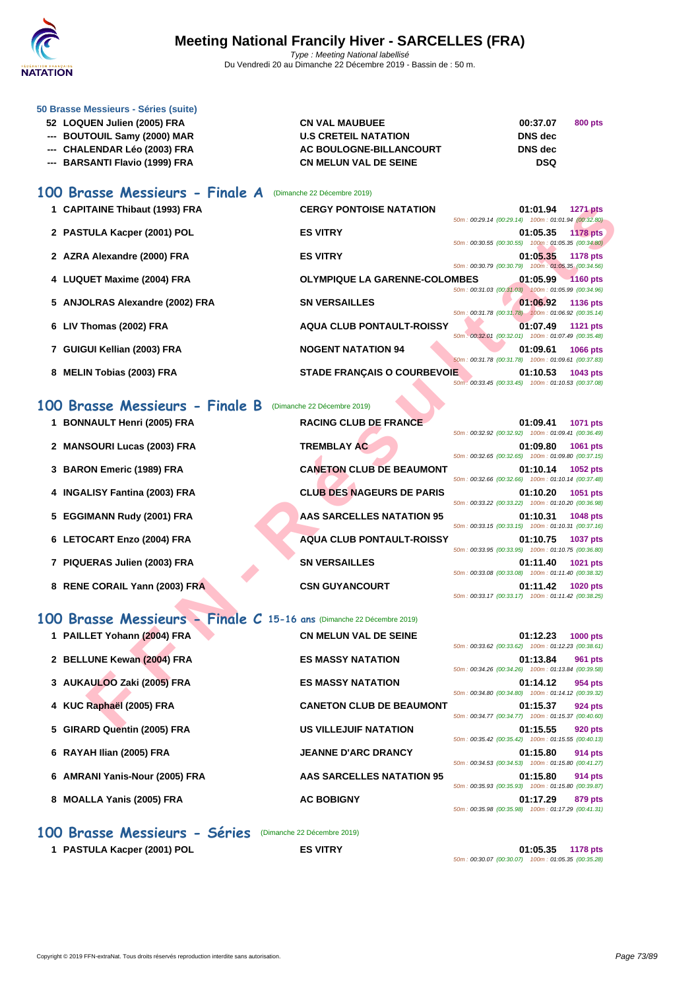

| 50 Brasse Messieurs - Séries (suite) |                              |                |         |
|--------------------------------------|------------------------------|----------------|---------|
| 52 LOQUEN Julien (2005) FRA          | <b>CN VAL MAUBUEE</b>        | 00:37.07       | 800 pts |
| --- BOUTOUIL Samy (2000) MAR         | <b>U.S CRETEIL NATATION</b>  | <b>DNS</b> dec |         |
| --- CHALENDAR Léo (2003) FRA         | AC BOULOGNE-BILLANCOURT      | DNS dec        |         |
| --- BARSANTI Flavio (1999) FRA       | <b>CN MELUN VAL DE SEINE</b> | <b>DSQ</b>     |         |

# **100 Brasse Messieurs - Finale A** (Dimanche 22 Décembre 2019)

| 1 CAPITAINE Thibaut (1993) FRA      | <b>CERGY PONTOISE NATATION</b><br>01:01.94<br><b>1271 pts</b><br>50m: 00:29.14 (00:29.14) 100m: 01:01.94 (00:32.80)   |
|-------------------------------------|-----------------------------------------------------------------------------------------------------------------------|
| 2 PASTULA Kacper (2001) POL         | <b>ES VITRY</b><br>01:05.35<br><b>1178 pts</b>                                                                        |
| 2 AZRA Alexandre (2000) FRA         | 50m: 00:30.55 (00:30.55) 100m: 01:05.35 (00:34.80)<br><b>ES VITRY</b><br>01:05.35<br><b>1178 pts</b>                  |
| 4 LUQUET Maxime (2004) FRA          | 50m: 00:30.79 (00:30.79) 100m: 01:05.35 (00:34.56)<br><b>OLYMPIQUE LA GARENNE-COLOMBES</b><br>01:05.99<br>$1160$ pts  |
| 5 ANJOLRAS Alexandre (2002) FRA     | 50m: 00:31.03 (00:31.03) 100m: 01:05.99 (00:34.96)<br><b>SN VERSAILLES</b><br>01:06.92<br><b>1136 pts</b>             |
| 6 LIV Thomas (2002) FRA             | 50m; 00:31.78 (00:31.78) 100m: 01:06.92 (00:35.14)<br><b>AQUA CLUB PONTAULT-ROISSY</b><br>01:07.49<br><b>1121 pts</b> |
|                                     | 50m: 00:32.01 (00:32.01) 100m: 01:07.49 (00:35.48)                                                                    |
| 7 GUIGUI Kellian (2003) FRA         | <b>NOGENT NATATION 94</b><br>01:09.61<br>1066 pts<br>50m: 00:31.78 (00:31.78)<br>100m: 01:09.61 (00:37.83)            |
| <b>MELIN Tobias (2003) FRA</b><br>8 | <b>STADE FRANCAIS O COURBEVOIE</b><br>01:10.53<br>1043 pts<br>50m: 00:33.45 (00:33.45) 100m: 01:10.53 (00:37.08)      |

# **100 Brasse Messieurs - Finale B** (Dimanche 22 Décembre 2019)

|           | 1 CAPITAINE Thibaut (1993) FRA                                       | <b>CERGY PONTOISE NATATION</b>       | 01:01.94<br><b>1271 pts</b>                                                       |
|-----------|----------------------------------------------------------------------|--------------------------------------|-----------------------------------------------------------------------------------|
|           | 2 PASTULA Kacper (2001) POL                                          | <b>ES VITRY</b>                      | 50m: 00:29.14 (00:29.14) 100m: 01:01.94 (00:32.80)<br>01:05.35<br><b>1178 pts</b> |
|           | 2 AZRA Alexandre (2000) FRA                                          | <b>ES VITRY</b>                      | 50m: 00:30.55 (00:30.55) 100m: 01:05.35 (00:34.80)<br>01:05.35<br><b>1178 pts</b> |
|           | 4 LUQUET Maxime (2004) FRA                                           | <b>OLYMPIQUE LA GARENNE-COLOMBES</b> | 50m: 00:30.79 (00:30.79) 100m: 01:05.35 (00:34.56)<br>01:05.99<br>$-1160$ pts     |
|           |                                                                      |                                      | 50m: 00:31.03 (00:31.03) 100m: 01:05.99 (00:34.96)                                |
|           | 5 ANJOLRAS Alexandre (2002) FRA                                      | <b>SN VERSAILLES</b>                 | 01:06.92<br><b>1136 pts</b><br>50m; 00:31.78 (00:31.78) 100m: 01:06.92 (00:35.14) |
|           | 6 LIV Thomas (2002) FRA                                              | <b>AQUA CLUB PONTAULT-ROISSY</b>     | 01:07.49<br><b>1121 pts</b><br>50m: 00:32.01 (00:32.01) 100m: 01:07.49 (00:35.48) |
|           | 7 GUIGUI Kellian (2003) FRA                                          | <b>NOGENT NATATION 94</b>            | 01:09.61<br><b>1066 pts</b><br>50m: 00:31.78 (00:31.78) 100m: 01:09.61 (00:37.83) |
|           | 8 MELIN Tobias (2003) FRA                                            | <b>STADE FRANÇAIS O COURBEVOIE</b>   | 01:10.53<br>1043 pts<br>50m: 00:33.45 (00:33.45) 100m: 01:10.53 (00:37.08)        |
| <b>OO</b> | <b>Brasse Messieurs - Finale B</b>                                   | (Dimanche 22 Décembre 2019)          |                                                                                   |
|           | 1 BONNAULT Henri (2005) FRA                                          | <b>RACING CLUB DE FRANCE</b>         | 01:09.41<br>1071 pts                                                              |
|           | 2 MANSOURI Lucas (2003) FRA                                          | <b>TREMBLAY AC</b>                   | 50m: 00:32.92 (00:32.92) 100m: 01:09.41 (00:36.49)<br>01:09.80<br>1061 pts        |
|           | 3 BARON Emeric (1989) FRA                                            | <b>CANETON CLUB DE BEAUMONT</b>      | 50m: 00:32.65 (00:32.65) 100m: 01:09.80 (00:37.15)<br>01:10.14<br>1052 pts        |
|           | 4 INGALISY Fantina (2003) FRA                                        | <b>CLUB DES NAGEURS DE PARIS</b>     | 50m: 00:32.66 (00:32.66) 100m: 01:10.14 (00:37.48)<br>01:10.20<br>1051 pts        |
|           | 5 EGGIMANN Rudy (2001) FRA                                           | <b>AAS SARCELLES NATATION 95</b>     | 50m: 00:33.22 (00:33.22) 100m: 01:10.20 (00:36.98)<br>01:10.31<br><b>1048 pts</b> |
|           | 6 LETOCART Enzo (2004) FRA                                           | <b>AQUA CLUB PONTAULT-ROISSY</b>     | 50m: 00:33.15 (00:33.15) 100m: 01:10.31 (00:37.16)<br>01:10.75<br><b>1037 pts</b> |
|           | 7 PIQUERAS Julien (2003) FRA                                         | <b>SN VERSAILLES</b>                 | 50m: 00:33.95 (00:33.95) 100m: 01:10.75 (00:36.80)<br>01:11.40<br>1021 pts        |
|           |                                                                      |                                      | 50m: 00:33.08 (00:33.08) 100m: 01:11.40 (00:38.32)                                |
|           | 8 RENE CORAIL Yann (2003) FRA                                        | <b>CSN GUYANCOURT</b>                | 01:11.42<br><b>1020 pts</b><br>50m: 00:33.17 (00:33.17) 100m: 01:11.42 (00:38.25) |
|           | 00 Brasse Messieurs - Finale C 15-16 ans (Dimanche 22 Décembre 2019) |                                      |                                                                                   |
|           | 1 PAILLET Yohann (2004) FRA                                          | <b>CN MELUN VAL DE SEINE</b>         | 01:12.23<br><b>1000 pts</b><br>50m: 00:33.62 (00:33.62) 100m: 01:12.23 (00:38.61) |
|           | 2 BELLUNE Kewan (2004) FRA                                           | <b>ES MASSY NATATION</b>             | 01:13.84<br>961 pts                                                               |
|           | 3 AUKAULOO Zaki (2005) FRA                                           | <b>ES MASSY NATATION</b>             | 50m: 00:34.26 (00:34.26) 100m: 01:13.84 (00:39.58)<br>01:14.12<br>954 pts         |
|           | 4 KUC Raphaël (2005) FRA                                             | <b>CANETON CLUB DE BEAUMONT</b>      | 50m: 00:34.80 (00:34.80) 100m: 01:14.12 (00:39.32)<br>01:15.37<br>924 pts         |
|           | E. CIDADD Ouantin (2005) EDA                                         | <b>HO VILLE HHE MATATION</b>         | 50m: 00:34.77 (00:34.77) 100m: 01:15.37 (00:40.60)<br>04.4EEE<br>$0.20 - 4.4$     |
|           |                                                                      |                                      |                                                                                   |

# **100 Brasse Messieurs - Finale C 15-16 ans** (Dimanche 22 Décembre 2019)

| 1 PAILLET Yohann (2004) FRA |                                | <b>CN MELUN VAL DE SEINE</b>    | 50m: 00:33.62 (00:33.62) 100m: 01:12.23 (00:38.61) | 01:12.23 | <b>1000 pts</b> |
|-----------------------------|--------------------------------|---------------------------------|----------------------------------------------------|----------|-----------------|
| 2 BELLUNE Kewan (2004) FRA  |                                | <b>ES MASSY NATATION</b>        | 50m: 00:34.26 (00:34.26) 100m: 01:13.84 (00:39.58) | 01:13.84 | 961 pts         |
| 3 AUKAULOO Zaki (2005) FRA  |                                | <b>ES MASSY NATATION</b>        | 50m: 00:34.80 (00:34.80) 100m: 01:14.12 (00:39.32) | 01:14.12 | 954 pts         |
| 4 KUC Raphaël (2005) FRA    |                                | <b>CANETON CLUB DE BEAUMONT</b> | 50m: 00:34.77 (00:34.77) 100m: 01:15.37 (00:40.60) | 01:15.37 | 924 pts         |
| 5 GIRARD Quentin (2005) FRA |                                | <b>US VILLEJUIF NATATION</b>    | 50m: 00:35.42 (00:35.42) 100m: 01:15.55 (00:40.13) | 01:15.55 | 920 pts         |
| 6 RAYAH Ilian (2005) FRA    |                                | <b>JEANNE D'ARC DRANCY</b>      | 50m: 00:34.53 (00:34.53) 100m: 01:15.80 (00:41.27) | 01:15.80 | <b>914 pts</b>  |
|                             | 6 AMRANI Yanis-Nour (2005) FRA | AAS SARCELLES NATATION 95       | 50m: 00:35.93 (00:35.93) 100m: 01:15.80 (00:39.87) | 01:15.80 | 914 pts         |
| 8 MOALLA Yanis (2005) FRA   |                                | <b>AC BOBIGNY</b>               | 50m: 00:35.98 (00:35.98) 100m: 01:17.29 (00:41.31) | 01:17.29 | 879 pts         |

**100 Brasse Messieurs - Séries** (Dimanche 22 Décembre 2019)

**1 PASTULA Kacper (2001) POL ES VITRY 01:05.35 1178 pts** 50m : 00:30.07 (00:30.07) 100m : 01:05.35 (00:35.28)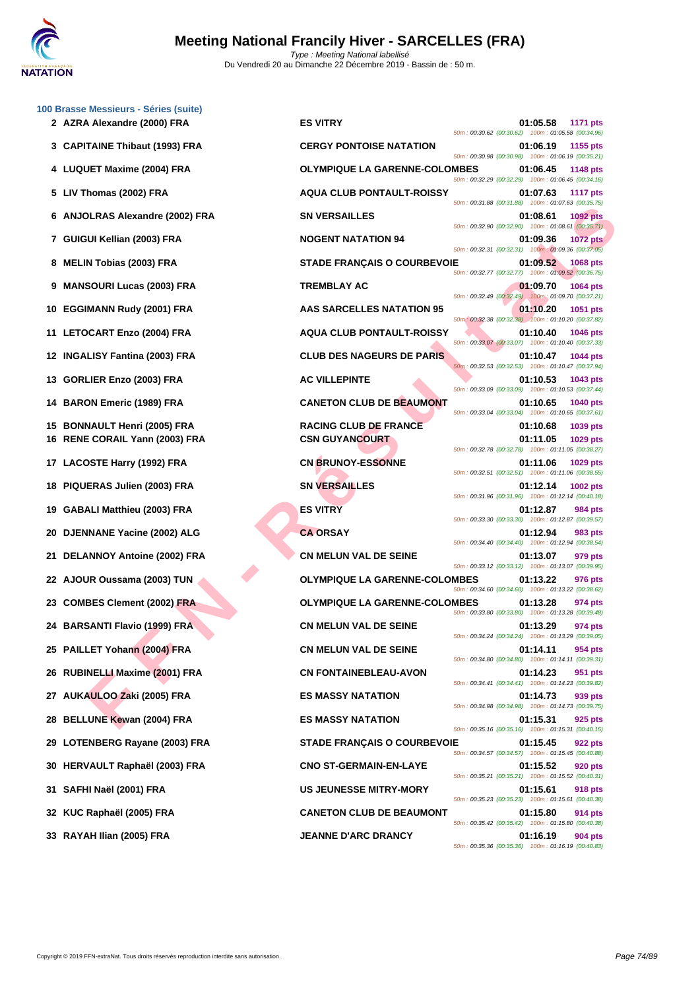

|     | 100 Brasse Messieurs - Séries (suite)<br>2 AZRA Alexandre (2000) FRA | <b>ES VITRY</b>                      | 01:05.58<br>50m: 00:30.62 (00:30.62) 100m: 01:05.58 (00:34.96) | 1171 pts        |
|-----|----------------------------------------------------------------------|--------------------------------------|----------------------------------------------------------------|-----------------|
|     | 3 CAPITAINE Thibaut (1993) FRA                                       | <b>CERGY PONTOISE NATATION</b>       | 01:06.19<br>50m: 00:30.98 (00:30.98) 100m: 01:06.19 (00:35.21) | 1155 pts        |
|     | 4 LUQUET Maxime (2004) FRA                                           | <b>OLYMPIQUE LA GARENNE-COLOMBES</b> | 01:06.45<br>50m: 00:32.29 (00:32.29) 100m: 01:06.45 (00:34.16) | 1148 pts        |
|     | 5 LIV Thomas (2002) FRA                                              | <b>AQUA CLUB PONTAULT-ROISSY</b>     | 01:07.63<br>50m: 00:31.88 (00:31.88) 100m: 01:07.63 (00:35.75) | <b>1117 pts</b> |
|     | 6 ANJOLRAS Alexandre (2002) FRA                                      | <b>SN VERSAILLES</b>                 | 01:08.61<br>50m: 00:32.90 (00:32.90) 100m: 01:08.61 (00:35.71) | <b>1092 pts</b> |
|     | 7 GUIGUI Kellian (2003) FRA                                          | <b>NOGENT NATATION 94</b>            | 01:09.36<br>50m: 00:32.31 (00:32.31) 100m: 01:09.36 (00:37.05) | <b>1072 pts</b> |
|     | 8 MELIN Tobias (2003) FRA                                            | <b>STADE FRANÇAIS O COURBEVOIE</b>   | 01:09.52<br>50m: 00:32.77 (00:32.77) 100m: 01:09.52 (00:36.75) | <b>1068 pts</b> |
|     | 9 MANSOURI Lucas (2003) FRA                                          | <b>TREMBLAY AC</b>                   | 01:09.70<br>50m: 00:32.49 (00:32.49) 100m: 01:09.70 (00:37.21) | <b>1064 pts</b> |
| 10  | <b>EGGIMANN Rudy (2001) FRA</b>                                      | AAS SARCELLES NATATION 95            | 01:10.20<br>50m: 00:32.38 (00:32.38) 100m: 01:10.20 (00:37.82) | 1051 pts        |
| 11  | LETOCART Enzo (2004) FRA                                             | <b>AQUA CLUB PONTAULT-ROISSY</b>     | 01:10.40<br>50m: 00:33.07 (00:33.07) 100m: 01:10.40 (00:37.33) | <b>1046 pts</b> |
|     | 12 INGALISY Fantina (2003) FRA                                       | <b>CLUB DES NAGEURS DE PARIS</b>     | 01:10.47<br>50m: 00:32.53 (00:32.53) 100m: 01:10.47 (00:37.94) | <b>1044 pts</b> |
| 13  | GORLIER Enzo (2003) FRA                                              | <b>AC VILLEPINTE</b>                 | 01:10.53<br>50m: 00:33.09 (00:33.09) 100m: 01:10.53 (00:37.44) | 1043 pts        |
| 14  | <b>BARON Emeric (1989) FRA</b>                                       | <b>CANETON CLUB DE BEAUMONT</b>      | 01:10.65<br>50m: 00:33.04 (00:33.04) 100m: 01:10.65 (00:37.61) | <b>1040 pts</b> |
| 15  | <b>BONNAULT Henri (2005) FRA</b>                                     | <b>RACING CLUB DE FRANCE</b>         | 01:10.68                                                       | 1039 pts        |
|     | 16 RENE CORAIL Yann (2003) FRA                                       | <b>CSN GUYANCOURT</b>                | 01:11.05<br>50m: 00:32.78 (00:32.78) 100m: 01:11.05 (00:38.27) | 1029 pts        |
| 17  | LACOSTE Harry (1992) FRA                                             | <b>CN BRUNOY-ESSONNE</b>             | 01:11.06<br>50m: 00:32.51 (00:32.51) 100m: 01:11.06 (00:38.55) | 1029 pts        |
| 18  | PIQUERAS Julien (2003) FRA                                           | <b>SN VERSAILLES</b>                 | 01:12.14<br>50m: 00:31.96 (00:31.96) 100m: 01:12.14 (00:40.18) | 1002 pts        |
| 19  | GABALI Matthieu (2003) FRA                                           | <b>ES VITRY</b>                      | 01:12.87<br>50m: 00:33.30 (00:33.30) 100m: 01:12.87 (00:39.57) | 984 pts         |
| 20  | DJENNANE Yacine (2002) ALG                                           | <b>CA ORSAY</b>                      | 01:12.94<br>50m: 00:34.40 (00:34.40) 100m: 01:12.94 (00:38.54) | 983 pts         |
| 21  | DELANNOY Antoine (2002) FRA                                          | <b>CN MELUN VAL DE SEINE</b>         | 01:13.07<br>50m: 00:33.12 (00:33.12) 100m: 01:13.07 (00:39.95) | 979 pts         |
| 22  | AJOUR Oussama (2003) TUN                                             | <b>OLYMPIQUE LA GARENNE-COLOMBES</b> | 01:13.22<br>50m: 00:34.60 (00:34.60) 100m: 01:13.22 (00:38.62) | 976 pts         |
|     | 23 COMBES Clement (2002) FRA                                         | <b>OLYMPIQUE LA GARENNE-COLOMBES</b> | 01:13.28<br>50m: 00:33.80 (00:33.80) 100m: 01:13.28 (00:39.48) | 974 pts         |
|     | 24 BARSANTI Flavio (1999) FRA                                        | CN MELUN VAL DE SEINE                | 01:13.29<br>50m: 00:34.24 (00:34.24) 100m: 01:13.29 (00:39.05) | 974 pts         |
|     | 25 PAILLET Yohann (2004) FRA                                         | <b>CN MELUN VAL DE SEINE</b>         | 01:14.11<br>50m: 00:34.80 (00:34.80) 100m: 01:14.11 (00:39.31) | 954 pts         |
|     | 26 RUBINELLI Maxime (2001) FRA                                       | <b>CN FONTAINEBLEAU-AVON</b>         | 01:14.23<br>50m: 00:34.41 (00:34.41) 100m: 01:14.23 (00:39.82) | 951 pts         |
|     | 27 AUKAULOO Zaki (2005) FRA                                          | <b>ES MASSY NATATION</b>             | 01:14.73<br>50m: 00:34.98 (00:34.98) 100m: 01:14.73 (00:39.75) | 939 pts         |
|     | 28 BELLUNE Kewan (2004) FRA                                          | <b>ES MASSY NATATION</b>             | 01:15.31<br>50m: 00:35.16 (00:35.16) 100m: 01:15.31 (00:40.15) | 925 pts         |
|     | 29 LOTENBERG Rayane (2003) FRA                                       | <b>STADE FRANÇAIS O COURBEVOIE</b>   | 01:15.45<br>50m: 00:34.57 (00:34.57) 100m: 01:15.45 (00:40.88) | <b>922 pts</b>  |
|     | 30 HERVAULT Raphaël (2003) FRA                                       | <b>CNO ST-GERMAIN-EN-LAYE</b>        | 01:15.52<br>50m: 00:35.21 (00:35.21) 100m: 01:15.52 (00:40.31) | 920 pts         |
| 31. | SAFHI Naël (2001) FRA                                                | <b>US JEUNESSE MITRY-MORY</b>        | 01:15.61<br>50m: 00:35.23 (00:35.23) 100m: 01:15.61 (00:40.38) | 918 pts         |
|     | 32 KUC Raphaël (2005) FRA                                            | <b>CANETON CLUB DE BEAUMONT</b>      | 01:15.80<br>50m: 00:35.42 (00:35.42) 100m: 01:15.80 (00:40.38) | 914 pts         |
|     | 33 RAYAH Ilian (2005) FRA                                            | <b>JEANNE D'ARC DRANCY</b>           | 01:16.19<br>50m: 00:35.36 (00:35.36) 100m: 01:16.19 (00:40.83) | 904 pts         |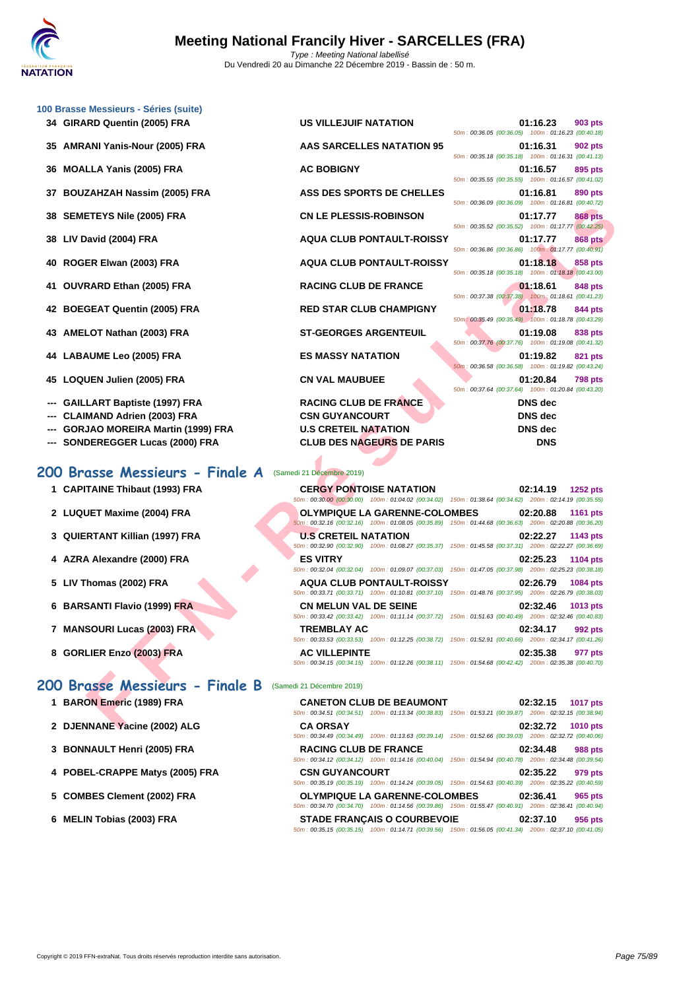|    | 100 Brasse Messieurs - Séries (suite)   |                                                                                                                                                |                                                                                  |
|----|-----------------------------------------|------------------------------------------------------------------------------------------------------------------------------------------------|----------------------------------------------------------------------------------|
|    | 34 GIRARD Quentin (2005) FRA            | US VILLEJUIF NATATION                                                                                                                          | 01:16.23<br>903 pts<br>50m: 00:36.05 (00:36.05) 100m: 01:16.23 (00:40.18)        |
|    | 35 AMRANI Yanis-Nour (2005) FRA         | <b>AAS SARCELLES NATATION 95</b>                                                                                                               | 01:16.31<br><b>902 pts</b><br>50m: 00:35.18 (00:35.18) 100m: 01:16.31 (00:41.13) |
| 36 | <b>MOALLA Yanis (2005) FRA</b>          | <b>AC BOBIGNY</b>                                                                                                                              | 01:16.57<br>895 pts<br>50m: 00:35.55 (00:35.55) 100m: 01:16.57 (00:41.02)        |
| 37 | <b>BOUZAHZAH Nassim (2005) FRA</b>      | ASS DES SPORTS DE CHELLES                                                                                                                      | 01:16.81<br>890 pts<br>50m: 00:36.09 (00:36.09) 100m: 01:16.81 (00:40.72)        |
| 38 | <b>SEMETEYS Nile (2005) FRA</b>         | <b>CN LE PLESSIS-ROBINSON</b>                                                                                                                  | 01:17.77<br><b>868 pts</b><br>50m: 00:35.52 (00:35.52) 100m: 01:17.77 (00:42.25) |
|    | 38 LIV David (2004) FRA                 | <b>AQUA CLUB PONTAULT-ROISSY</b>                                                                                                               | 01:17.77<br><b>868 pts</b>                                                       |
| 40 | ROGER Elwan (2003) FRA                  | <b>AQUA CLUB PONTAULT-ROISSY</b>                                                                                                               | 50m: 00:36.86 (00:36.86) 100m: 01:17.77 (00:40.91)<br>01:18.18<br>858 pts        |
| 41 | <b>OUVRARD Ethan (2005) FRA</b>         | <b>RACING CLUB DE FRANCE</b>                                                                                                                   | 50m: 00:35.18 (00:35.18) 100m: 01:18.18 (00:43.00)<br>01:18.61<br>848 pts        |
|    | 42 BOEGEAT Quentin (2005) FRA           | <b>RED STAR CLUB CHAMPIGNY</b>                                                                                                                 | 50m: 00:37.38 (00:37.38) 100m: 01:18.61 (00:41.23)<br>01:18.78<br>844 pts        |
|    | 43 AMELOT Nathan (2003) FRA             | <b>ST-GEORGES ARGENTEUIL</b>                                                                                                                   | 50m: 00:35.49 (00:35.49) 100m: 01:18.78 (00:43.29)<br>01:19.08<br><b>838 pts</b> |
|    | 44 LABAUME Leo (2005) FRA               | <b>ES MASSY NATATION</b>                                                                                                                       | 50m: 00:37.76 (00:37.76) 100m: 01:19.08 (00:41.32)<br>01:19.82<br>821 pts        |
|    | 45 LOQUEN Julien (2005) FRA             | <b>CN VAL MAUBUEE</b>                                                                                                                          | 50m: 00:36.58 (00:36.58) 100m: 01:19.82 (00:43.24)<br>01:20.84<br><b>798 pts</b> |
|    | <b>GAILLART Baptiste (1997) FRA</b>     | <b>RACING CLUB DE FRANCE</b>                                                                                                                   | 50m: 00:37.64 (00:37.64) 100m: 01:20.84 (00:43.20)<br><b>DNS</b> dec             |
|    | <b>CLAIMAND Adrien (2003) FRA</b>       | <b>CSN GUYANCOURT</b>                                                                                                                          | <b>DNS</b> dec                                                                   |
|    | <b>GORJAO MOREIRA Martin (1999) FRA</b> | <b>U.S CRETEIL NATATION</b>                                                                                                                    | DNS dec                                                                          |
|    | SONDEREGGER Lucas (2000) FRA            | <b>CLUB DES NAGEURS DE PARIS</b>                                                                                                               | <b>DNS</b>                                                                       |
|    | 200 Brasse Messieurs - Finale A         | (Samedi 21 Décembre 2019)                                                                                                                      |                                                                                  |
|    |                                         |                                                                                                                                                |                                                                                  |
|    | 1 CAPITAINE Thibaut (1993) FRA          | <b>CERGY PONTOISE NATATION</b><br>50m: 00:30.00 (00:30.00) 100m: 01:04.02 (00:34.02) 150m: 01:38.64 (00:34.62) 200m: 02:14.19 (00:35.55)       | 02:14.19<br><b>1252 pts</b>                                                      |
|    | 2 LUQUET Maxime (2004) FRA              | <b>OLYMPIQUE LA GARENNE-COLOMBES</b><br>50m: 00:32.16 (00:32.16) 100m: 01:08.05 (00:35.89) 150m: 01:44.68 (00:36.63) 200m: 02:20.88 (00:36.20) | 02:20.88<br>1161 pts                                                             |
|    | 3 QUIERTANT Killian (1997) FRA          | <b>U.S CRETEIL NATATION</b><br>50m: 00:32.90 (00:32.90) 100m: 01:08.27 (00:35.37) 150m: 01:45.58 (00:37.31) 200m: 02:22.27 (00:36.69)          | 02:22.27<br>1143 pts                                                             |
|    | 4 AZRA Alexandre (2000) FRA             | <b>ES VITRY</b><br>50m: 00:32.04 (00:32.04) 100m: 01:09.07 (00:37.03) 150m: 01:47.05 (00:37.98) 200m: 02:25.23 (00:38.18)                      | 02:25.23<br>1104 pts                                                             |
|    | 5 LIV Thomas (2002) FRA                 | <b>AQUA CLUB PONTAULT-ROISSY</b><br>50m: 00:33.71 (00:33.71) 100m: 01:10.81 (00:37.10) 150m: 01:48.76 (00:37.95) 200m: 02:26.79 (00:38.03)     | 02:26.79<br>1084 pts                                                             |
|    | 6 BARSANTI Flavio (1999) FRA            | <b>CN MELUN VAL DE SEINE</b><br>50m: 00:33.42 (00:33.42) 100m: 01:11.14 (00:37.72) 150m: 01:51.63 (00:40.49) 200m: 02:32.46 (00:40.83)         | 02:32.46<br>1013 pts                                                             |
|    | 7 MANSOURI Lucas (2003) FRA             | <b>TREMBLAY AC</b><br>50m: 00:33.53 (00:33.53) 100m: 01:12.25 (00:38.72) 150m: 01:52.91 (00:40.66) 200m: 02:34.17 (00:41.26)                   | 02:34.17<br>992 pts                                                              |
|    | 8 GORLIER Enzo (2003) FRA               | <b>AC VILLEPINTE</b>                                                                                                                           | 02:35.38<br>977 pts                                                              |
|    |                                         | 50m: 00:34.15 (00:34.15) 100m: 01:12.26 (00:38.11) 150m: 01:54.68 (00:42.42) 200m: 02:35.38 (00:40.70)                                         |                                                                                  |
|    | 200 Brasse Messieurs - Finale B         | (Samedi 21 Décembre 2019)                                                                                                                      |                                                                                  |
|    |                                         |                                                                                                                                                |                                                                                  |
|    | 1 BARON Emeric (1989) FRA               | <b>CANETON CLUB DE BEAUMONT</b><br>50m: 00:34.51 (00:34.51) 100m: 01:13.34 (00:38.83) 150m: 01:53.21 (00:39.87) 200m: 02:32.15 (00:38.94)      | 02:32.15<br><b>1017 pts</b>                                                      |
|    | 2 DJENNANE Yacine (2002) ALG            | <b>CA ORSAY</b>                                                                                                                                | 02:32.72 1010 pts                                                                |

# **200 Brasse Messieurs - Finale A** (Samedi 21 Décembre 2019)

- 
- **2** LUQUET Maxime (2004) FRA
- **3 QUIERTANT Killian (1997) FRA**
- **4** AZRA Alexandre (2000) FRA
- **5** LIV Thomas (2002) FRA
- **6 BARSANTI Flavio (1999) FRA**
- **7 MANSOURI Lucas (2003) FRA**
- **8 GORLIER Enzo (2003) FRA**

# **200 Brasse Messieurs - Finale B** (Samedi 21 Décembre 2019)

- **1 BARON Emeric (1989) FRA**
- **2 DJENNANE Yacine (2002) ALG**
- **3 [BONNAULT Henri \(2005\) FRA](http://www.ffnatation.fr/webffn/resultats.php?idact=nat&go=epr&idcpt=64277&idepr=73)**
- **4 POBEL-CRAPPE Matys (2005) FRA**
- **5** COMBES Clement (2002) FRA
- **6 MELIN Tobias (2003) FRA**

| 1 CAPITAINE Thibaut (1993) FRA | <b>CERGY PONTOISE NATATION</b><br>50m: 00:30.00 (00:30.00) 100m: 01:04.02 (00:34.02) 150m: 01:38.64 (00:34.62) 200m: 02:14.19 (00:35.55)       | <b>1252 pts</b><br>02:14.19 |
|--------------------------------|------------------------------------------------------------------------------------------------------------------------------------------------|-----------------------------|
| 2 LUQUET Maxime (2004) FRA     | <b>OLYMPIQUE LA GARENNE-COLOMBES</b><br>50m: 00:32.16 (00:32.16) 100m: 01:08.05 (00:35.89) 150m: 01:44.68 (00:36.63) 200m: 02:20.88 (00:36.20) | 02:20.88<br><b>1161 pts</b> |
| 3 QUIERTANT Killian (1997) FRA | <b>U.S CRETEIL NATATION</b><br>50m: 00:32.90 (00:32.90) 100m: 01:08.27 (00:35.37) 150m: 01:45.58 (00:37.31) 200m: 02:22.27 (00:36.69)          | 02:22.27<br>1143 pts        |
| 4 AZRA Alexandre (2000) FRA    | <b>ES VITRY</b><br>50m: 00:32.04 (00:32.04) 100m: 01:09.07 (00:37.03) 150m: 01:47.05 (00:37.98) 200m: 02:25.23 (00:38.18)                      | 02:25.23<br><b>1104 pts</b> |
| 5 LIV Thomas (2002) FRA        | <b>AQUA CLUB PONTAULT-ROISSY</b><br>50m: 00:33.71 (00:33.71) 100m: 01:10.81 (00:37.10) 150m: 01:48.76 (00:37.95) 200m: 02:26.79 (00:38.03)     | 02:26.79<br><b>1084 pts</b> |
| 6 BARSANTI Flavio (1999) FRA   | <b>CN MELUN VAL DE SEINE</b><br>50m: 00:33.42 (00:33.42) 100m: 01:11.14 (00:37.72) 150m: 01:51.63 (00:40.49) 200m: 02:32.46 (00:40.83)         | 02:32.46<br>1013 pts        |
| 7 MANSOURI Lucas (2003) FRA    | <b>TREMBLAY AC</b><br>50m: 00:33.53 (00:33.53) 100m: 01:12.25 (00:38.72) 150m: 01:52.91 (00:40.66) 200m: 02:34.17 (00:41.26)                   | 02:34.17<br>992 pts         |
| 8 GORLIER Enzo (2003) FRA      | <b>AC VILLEPINTE</b><br>50m: 00:34.15 (00:34.15) 100m: 01:12.26 (00:38.11) 150m: 01:54.68 (00:42.42) 200m: 02:35.38 (00:40.70)                 | 02:35.38<br>977 pts         |

|                              | <b>CANETON CLUB DE BEAUMONT</b>                                                                        |  | 02:32.15          | <b>1017 pts</b> |
|------------------------------|--------------------------------------------------------------------------------------------------------|--|-------------------|-----------------|
|                              | 50m: 00:34.51 (00:34.51) 100m: 01:13.34 (00:38.83) 150m: 01:53.21 (00:39.87) 200m: 02:32.15 (00:38.94) |  |                   |                 |
| <b>CA ORSAY</b>              |                                                                                                        |  | 02:32.72 1010 pts |                 |
|                              | 50m: 00:34.49 (00:34.49) 100m: 01:13.63 (00:39.14) 150m: 01:52.66 (00:39.03) 200m: 02:32.72 (00:40.06) |  |                   |                 |
| <b>RACING CLUB DE FRANCE</b> |                                                                                                        |  | 02:34.48 988 pts  |                 |
|                              | 50m: 00:34.12 (00:34.12) 100m: 01:14.16 (00:40.04) 150m: 01:54.94 (00:40.78) 200m: 02:34.48 (00:39.54) |  |                   |                 |
|                              |                                                                                                        |  |                   |                 |
| <b>CSN GUYANCOURT</b>        |                                                                                                        |  | 02:35.22 979 pts  |                 |
|                              | 50m: 00:35.19 (00:35.19) 100m: 01:14.24 (00:39.05) 150m: 01:54.63 (00:40.39) 200m: 02:35.22 (00:40.59) |  |                   |                 |
|                              | <b>OLYMPIQUE LA GARENNE-COLOMBES</b>                                                                   |  | 02:36.41          | 965 pts         |
|                              | 50m: 00:34.70 (00:34.70) 100m: 01:14.56 (00:39.86) 150m: 01:55.47 (00:40.91) 200m: 02:36.41 (00:40.94) |  |                   |                 |
|                              | <b>STADE FRANCAIS O COURBEVOIE</b>                                                                     |  | 02:37.10          | 956 pts         |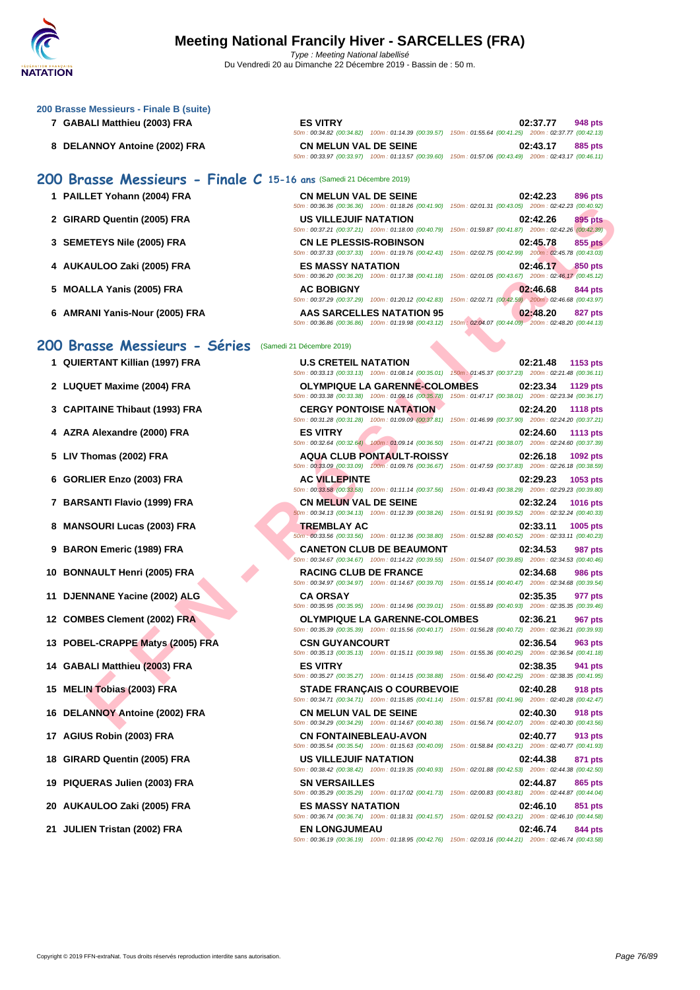|  | 200 Brasse Messieurs - Finale B (suite) |  |  |  |
|--|-----------------------------------------|--|--|--|
|  |                                         |  |  |  |

- **7 GABALI Matthieu (2003) FRA**
- **8 DELANNOY Antoine (2002) FRA**

# **200 Brasse Messieurs - Finale C 15-16 ans** (Samedi 21 Décembre 2019)

- 
- 
- 
- 
- 
- 

# **200 Brasse Messieurs - Séries** (Samedi 21 Décembre 2019)

- **1** QUIERTANT Killian (1997) FRA
- 2 LUQUET Maxime (2004) FRA
- **3** CAPITAINE Thibaut (1993) FRA
- **4** AZRA Alexandre (2000) FRA
- **5 LIV Thomas (2002) FRA**
- **6 GORLIER Enzo (2003) FRA AC VILLEPINTE 02:29.23 1053 pts**
- **7 BARSANTI Flavio (1999) FRA**
- **8 MANSOURI Lucas (2003) FRA**
- **9 BARON Emeric (1989) FRA**
- **10 BONNAULT Henri (2005) FRA**
- **11 DJENNANE Yacine (2002) ALG**
- **12 COMBES Clement (2002) FRA**
- **13 POBEL-CRAPPE Matys (2005) FRA**
- **14 GABALI Matthieu (2003) FRA**
- **15 MELIN Tobias (2003) FRA**
- **16 DELANNOY Antoine (2002) FRA**
- **17 AGIUS Robin (2003) FRA**
- **18 GIRARD Quentin (2005) FRA**
- **19 PIQUERAS Julien (2003) FRA**
- **20 AUKAULOO Zaki (2005) FRA ES MASSY NATATION 02:46.10 851 pts**
- **21 JULIEN Tristan (2002) FRA**

| <b>ES VITRY</b>              |                                                                                                        |                                                     | 02:37.77 | 948 pts |
|------------------------------|--------------------------------------------------------------------------------------------------------|-----------------------------------------------------|----------|---------|
|                              | 50m: 00:34.82 (00:34.82) 100m: 01:14.39 (00:39.57) 150m: 01:55.64 (00:41.25) 200m: 02:37.77 (00:42.13) |                                                     |          |         |
| <b>CN MELUN VAL DE SEINE</b> |                                                                                                        |                                                     | 02:43.17 | 885 pts |
|                              | 50m: 00:33.97 (00:33.97) 100m: 01:13.57 (00:39.60)                                                     | 150m: 01:57.06 (00:43.49) 200m: 02:43.17 (00:46.11) |          |         |

| 1 PAILLET Yohann (2004) FRA | <b>CN MELUN VAL DE SEINE</b>  | 02:42.23<br>896 pts                                                                                    |
|-----------------------------|-------------------------------|--------------------------------------------------------------------------------------------------------|
|                             |                               | 50m: 00:36.36 (00:36.36) 100m: 01:18.26 (00:41.90) 150m: 02:01.31 (00:43.05) 200m: 02:42.23 (00:40.92) |
| 2 GIRARD Quentin (2005) FRA | <b>US VILLEJUIF NATATION</b>  | 02:42.26<br>895 pts                                                                                    |
|                             |                               | 50m: 00:37.21 (00:37.21) 100m: 01:18.00 (00:40.79) 150m: 01:59.87 (00:41.87) 200m: 02:42.26 (00:42.39) |
| 3 SEMETEYS Nile (2005) FRA  | <b>CN LE PLESSIS-ROBINSON</b> | 02:45.78<br>855 pts                                                                                    |
|                             |                               | 50m: 00:37.33 (00:37.33) 100m: 01:19.76 (00:42.43) 150m: 02:02.75 (00:42.99) 200m: 02:45.78 (00:43.03) |

| 4 AUKAULOO Zaki (2005) FRA     | <b>ES MASSY NATATION</b>  | 02:46.17<br>850 pts                                                                                    |
|--------------------------------|---------------------------|--------------------------------------------------------------------------------------------------------|
|                                |                           | 50m: 00:36.20 (00:36.20) 100m: 01:17.38 (00:41.18) 150m: 02:01.05 (00:43.67) 200m: 02:46.17 (00:45.12) |
| 5 MOALLA Yanis (2005) FRA      | <b>AC BOBIGNY</b>         | 02:46.68<br>844 pts                                                                                    |
|                                |                           | 50m: 00:37.29 (00:37.29) 100m: 01:20.12 (00:42.83) 150m: 02:02.71 (00:42.59) 200m: 02:46.68 (00:43.97) |
| 6 AMRANI Yanis-Nour (2005) FRA | AAS SARCELLES NATATION 95 | 02:48.20<br>827 pts                                                                                    |
|                                |                           | 50m: 00:36.86 (00:36.86) 100m: 01:19.98 (00:43.12) 150m: 02:04.07 (00:44.09) 200m: 02:48.20 (00:44.13) |

|                                | 50m : 00:36.36 (00:36.36) 100m : 01:18.26 (00:41.90) 150m : 02:01.31 (00:43.05) 200m : 02:42.23 (00:40.92)                                     |                                                                            |
|--------------------------------|------------------------------------------------------------------------------------------------------------------------------------------------|----------------------------------------------------------------------------|
| RD Quentin (2005) FRA          | US VILLEJUIF NATATION                                                                                                                          | 02:42.26<br>895 pts                                                        |
| ETEYS Nile (2005) FRA          | 50m : 00:37.21 (00:37.21) 100m : 01:18.00 (00:40.79) 150m : 01:59.87 (00:41.87) 200m : 02:42.26 (00:42.39)<br><b>CN LE PLESSIS-ROBINSON</b>    | 02:45.78<br>855 pts                                                        |
|                                | 50m : 00:37.33 (00:37.33) 100m : 01:19.76 (00:42.43) 150m : 02:02.75 (00:42.99) 200m : 02:45.78 (00:43.03)                                     |                                                                            |
| AULOO Zaki (2005) FRA          | <b>ES MASSY NATATION</b><br>50m : 00:36.20 (00:36.20) 100m : 01:17.38 (00:41.18) 150m : 02:01.05 (00:43.67) 200m : 02:46.17 (00:45.12)         | 02:46.17<br>850 pts                                                        |
| LLA Yanis (2005) FRA           | <b>AC BOBIGNY</b><br>50m: 00:37.29 (00:37.29) 100m: 01:20.12 (00:42.83)                                                                        | 02:46.68<br>844 pts<br>150m: 02:02.71 (00:42.59) 200m: 02:46.68 (00:43.97) |
| ANI Yanis-Nour (2005) FRA      | AAS SARCELLES NATATION 95<br>50m: 00:36.86 (00:36.86) 100m: 01:19.98 (00:43.12) 150m: 02:04.07 (00:44.09) 200m: 02:48.20 (00:44.13)            | 02:48.20<br>827 pts                                                        |
| asse Messieurs - Séries        | (Samedi 21 Décembre 2019)                                                                                                                      |                                                                            |
| RTANT Killian (1997) FRA       | <b>U.S CRETEIL NATATION</b><br>50m: 00:33.13 (00:33.13) 100m: 01:08.14 (00:35.01) 150m: 01:45.37 (00:37.23) 200m: 02:21.48 (00:36.11)          | 02:21.48<br>1153 pts                                                       |
| UET Maxime (2004) FRA          | <b>OLYMPIQUE LA GARENNE-COLOMBES</b><br>50m: 00:33.38 (00:33.38) 100m: 01:09.16 (00:35.78) 150m: 01:47.17 (00:38.01) 200m: 02:23.34 (00:36.17) | 02:23.34<br>1129 pts                                                       |
| TAINE Thibaut (1993) FRA       | <b>CERGY PONTOISE NATATION</b>                                                                                                                 | 02:24.20<br><b>1118 pts</b>                                                |
| A Alexandre (2000) FRA         | 50m: 00:31.28 (00:31.28) 100m: 01:09.09 (00:37.81) 150m: 01:46.99 (00:37.90) 200m: 02:24.20 (00:37.21)<br><b>ES VITRY</b>                      | 02:24.60<br>1113 pts                                                       |
| `homas (2002) FRA              | 50m : 00:32.64 (00:32.64) 100m : 01:09.14 (00:36.50) 150m : 01:47.21 (00:38.07) 200m : 02:24.60 (00:37.39)<br><b>AQUA CLUB PONTAULT-ROISSY</b> | 02:26.18<br>1092 pts                                                       |
| LIER Enzo (2003) FRA           | 50m : 00:33.09 (00:33.09) 100m : 01:09.76 (00:36.67) 150m : 01:47.59 (00:37.83) 200m : 02:26.18 (00:38.59)<br><b>AC VILLEPINTE</b>             | 02:29.23<br>1053 pts                                                       |
| SANTI Flavio (1999) FRA        | 50m: 00:33.58 (00:33.58) 100m: 01:11.14 (00:37.56) 150m: 01:49.43 (00:38.29) 200m: 02:29.23 (00:39.80)<br><b>CN MELUN VAL DE SEINE</b>         | 02:32.24<br>1016 pts                                                       |
| SOURI Lucas (2003) FRA         | 60m: 00:34.13 (00:34.13) 100m: 01:12.39 (00:38.26) 150m: 01:51.91 (00:39.52) 200m: 02:32.24 (00:40.33)<br><b>TREMBLAY AC</b>                   | 02:33.11<br>1005 pts                                                       |
| ON Emeric (1989) FRA           | 50m : 00:33.56 (00:33.56) 100m : 01:12.36 (00:38.80) 150m : 01:52.88 (00:40.52) 200m : 02:33.11 (00:40.23)<br><b>CANETON CLUB DE BEAUMONT</b>  | 02:34.53<br>987 pts                                                        |
| NAULT Henri (2005) FRA         | 50m: 00:34.67 (00:34.67) 100m: 01:14.22 (00:39.55) 150m: 01:54.07 (00:39.85) 200m: 02:34.53 (00:40.46)<br><b>RACING CLUB DE FRANCE</b>         | 02:34.68<br><b>986 pts</b>                                                 |
| <b>NNANE Yacine (2002) ALG</b> | 50m : 00:34.97 (00:34.97) 100m : 01:14.67 (00:39.70) 150m : 01:55.14 (00:40.47) 200m : 02:34.68 (00:39.54)<br><b>CA ORSAY</b>                  | 02:35.35<br>977 pts                                                        |
| <b>BES Clement (2002) FRA</b>  | 50m: 00:35.95 (00:35.95) 100m: 01:14.96 (00:39.01) 150m: 01:55.89 (00:40.93) 200m: 02:35.35 (00:39.46)<br><b>OLYMPIQUE LA GARENNE-COLOMBES</b> | 02:36.21<br>967 pts                                                        |
| EL-CRAPPE Matys (2005) FRA     | 50m: 00:35.39 (00:35.39) 100m: 01:15.56 (00:40.17) 150m: 01:56.28 (00:40.72) 200m: 02:36.21 (00:39.93)<br><b>CSN GUYANCOURT</b>                | 02:36.54<br>963 pts                                                        |
| ALI Matthieu (2003) FRA        | 50m : 00:35.13 (00:35.13) 100m : 01:15.11 (00:39.98) 150m : 01:55.36 (00:40.25) 200m : 02:36.54 (00:41.18)<br><b>ES VITRY</b>                  | 02:38.35<br>941 pts                                                        |
| N Tobias (2003) FRA            | 50m: 00:35.27 (00:35.27) 100m: 01:14.15 (00:38.88) 150m: 01:56.40 (00:42.25) 200m: 02:38.35 (00:41.95)                                         | 02:40.28                                                                   |
|                                | <b>STADE FRANÇAIS O COURBEVOIE</b><br>50m: 00:34.71 (00:34.71) 100m: 01:15.85 (00:41.14) 150m: 01:57.81 (00:41.96) 200m: 02:40.28 (00:42.47)   | 918 pts                                                                    |
| ANNOY Antoine (2002) FRA       | <b>CN MELUN VAL DE SEINE</b><br>50m : 00:34.29 (00:34.29) 100m : 01:14.67 (00:40.38) 150m : 01:56.74 (00:42.07) 200m : 02:40.30 (00:43.56)     | 02:40.30<br>918 pts                                                        |
| IS Robin (2003) FRA            | <b>CN FONTAINEBLEAU-AVON</b><br>50m: 00:35.54 (00:35.54) 100m: 01:15.63 (00:40.09) 150m: 01:58.84 (00:43.21) 200m: 02:40.77 (00:41.93)         | 02:40.77<br>913 pts                                                        |
| <b>RD Quentin (2005) FRA</b>   | US VILLEJUIF NATATION<br>50m : 00:38.42 (00:38.42) 100m : 01:19.35 (00:40.93) 150m : 02:01.88 (00:42.53) 200m : 02:44.38 (00:42.50)            | 02:44.38<br>871 pts                                                        |
| ERAS Julien (2003) FRA         | <b>SN VERSAILLES</b><br>50m: 00:35.29 (00:35.29) 100m: 01:17.02 (00:41.73) 150m: 02:00.83 (00:43.81) 200m: 02:44.87 (00:44.04)                 | 02:44.87<br>865 pts                                                        |
| AULOO Zaki (2005) FRA          | <b>ES MASSY NATATION</b><br>50m : 00:36.74 (00:36.74) 100m : 01:18.31 (00:41.57) 150m : 02:01.52 (00:43.21) 200m : 02:46.10 (00:44.58)         | 02:46.10<br>851 pts                                                        |
| EN Tristan (2002) FRA          | <b>EN LONGJUMEAU</b><br>50m: 00:36.19 (00:36.19) 100m: 01:18.95 (00:42.76) 150m: 02:03.16 (00:44.21) 200m: 02:46.74 (00:43.58)                 | 02:46.74<br>844 pts                                                        |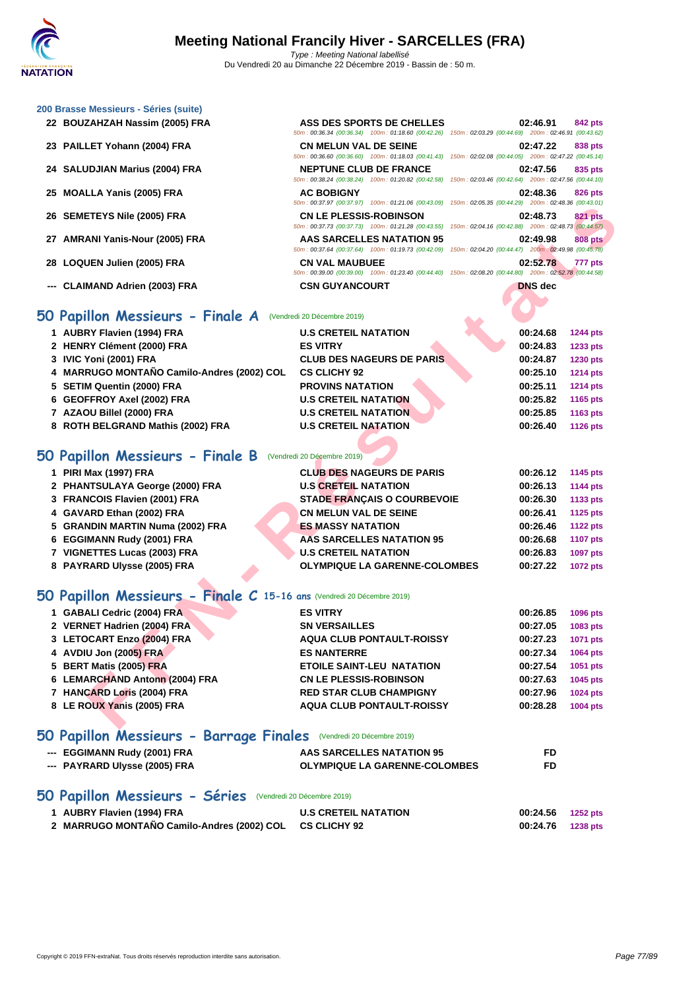50m : 00:36.34 (00:36.34) 100m : 01:18.60 (00:42.26) 150m : 02:03.29 (00:44.69) 200m : 02:46.91 (00:43.62)

50m : 00:36.60 (00:36.60) 100m : 01:18.03 (00:41.43) 150m : 02:02.08 (00:44.05) 200m : 02:47.22 (00:45.14)

50m : 00:38.24 (00:38.24) 100m : 01:20.82 (00:42.58) 150m : 02:03.46 (00:42.64) 200m : 02:47.56 (00:44.10)

50m : 00:37.97 (00:37.97) 100m : 01:21.06 (00:43.09) 150m : 02:05.35 (00:44.29) 200m : 02:48.36 (00:43.01)

#### **[200 Brass](http://www.ffnatation.fr/webffn/index.php)e Messieurs - Séries (suite)**

- **BOUZAHZAH Nassim (2005) FRA ASS DES SPORTS DE CHELLES 02:46.91 842 pts**
- **PAILLET Yohann (2004) FRA CN MELUN VAL DE SEINE 02:47.22 838 pts**

**SALUDJIAN Marius (2004) FRA NEPTUNE CLUB DE FRANCE 02:47.56 835 pts**

- **MOALLA Yanis (2005) FRA AC BOBIGNY 02:48.36 826 pts**
- **SEMETEYS Nile (2005) FRA CN LE PLESSIS-ROBINSON 02:48.73 821 pts**
- **AMRANI Yanis-Nour (2005) FRA AAS SARCELLES NATATION 95 02:49.98 808 pts**
- **LOQUEN Julien (2005) FRA CN VAL MAUBUEE 02:52.78 777 pts**
- **--- CLAIMAND Adrien (2003) FRA CSN GUYANCOURT DNS dec**

### **50 Papillon Messieurs - Finale A** (Vendredi 20 Décembre 2019)

|                                | <b>CN LE PLESSIS-ROBINSON</b>                                                                                                                                                                                                                                                                                                                                                                                                                                                                                                                                                                                                                                                                                                                                                                                                         | 02:48.73                                                                                                                                                                                                                                                                                                                                                                                                                                                                                                                                                                                                                                                                                                           | <b>821 pts</b>                                                                                                                                                                                                                                                                                                                                                                                                                                                                                                                         |
|--------------------------------|---------------------------------------------------------------------------------------------------------------------------------------------------------------------------------------------------------------------------------------------------------------------------------------------------------------------------------------------------------------------------------------------------------------------------------------------------------------------------------------------------------------------------------------------------------------------------------------------------------------------------------------------------------------------------------------------------------------------------------------------------------------------------------------------------------------------------------------|--------------------------------------------------------------------------------------------------------------------------------------------------------------------------------------------------------------------------------------------------------------------------------------------------------------------------------------------------------------------------------------------------------------------------------------------------------------------------------------------------------------------------------------------------------------------------------------------------------------------------------------------------------------------------------------------------------------------|----------------------------------------------------------------------------------------------------------------------------------------------------------------------------------------------------------------------------------------------------------------------------------------------------------------------------------------------------------------------------------------------------------------------------------------------------------------------------------------------------------------------------------------|
|                                | <b>AAS SARCELLES NATATION 95</b>                                                                                                                                                                                                                                                                                                                                                                                                                                                                                                                                                                                                                                                                                                                                                                                                      | 02:49.98                                                                                                                                                                                                                                                                                                                                                                                                                                                                                                                                                                                                                                                                                                           | <b>808 pts</b>                                                                                                                                                                                                                                                                                                                                                                                                                                                                                                                         |
|                                | <b>CN VAL MAUBUEE</b>                                                                                                                                                                                                                                                                                                                                                                                                                                                                                                                                                                                                                                                                                                                                                                                                                 | 02:52.78                                                                                                                                                                                                                                                                                                                                                                                                                                                                                                                                                                                                                                                                                                           | 777 pts                                                                                                                                                                                                                                                                                                                                                                                                                                                                                                                                |
|                                | <b>CSN GUYANCOURT</b>                                                                                                                                                                                                                                                                                                                                                                                                                                                                                                                                                                                                                                                                                                                                                                                                                 | <b>DNS</b> dec                                                                                                                                                                                                                                                                                                                                                                                                                                                                                                                                                                                                                                                                                                     |                                                                                                                                                                                                                                                                                                                                                                                                                                                                                                                                        |
|                                |                                                                                                                                                                                                                                                                                                                                                                                                                                                                                                                                                                                                                                                                                                                                                                                                                                       |                                                                                                                                                                                                                                                                                                                                                                                                                                                                                                                                                                                                                                                                                                                    |                                                                                                                                                                                                                                                                                                                                                                                                                                                                                                                                        |
|                                |                                                                                                                                                                                                                                                                                                                                                                                                                                                                                                                                                                                                                                                                                                                                                                                                                                       |                                                                                                                                                                                                                                                                                                                                                                                                                                                                                                                                                                                                                                                                                                                    |                                                                                                                                                                                                                                                                                                                                                                                                                                                                                                                                        |
|                                |                                                                                                                                                                                                                                                                                                                                                                                                                                                                                                                                                                                                                                                                                                                                                                                                                                       |                                                                                                                                                                                                                                                                                                                                                                                                                                                                                                                                                                                                                                                                                                                    | 1244 pts                                                                                                                                                                                                                                                                                                                                                                                                                                                                                                                               |
|                                |                                                                                                                                                                                                                                                                                                                                                                                                                                                                                                                                                                                                                                                                                                                                                                                                                                       |                                                                                                                                                                                                                                                                                                                                                                                                                                                                                                                                                                                                                                                                                                                    | 1233 pts                                                                                                                                                                                                                                                                                                                                                                                                                                                                                                                               |
|                                |                                                                                                                                                                                                                                                                                                                                                                                                                                                                                                                                                                                                                                                                                                                                                                                                                                       |                                                                                                                                                                                                                                                                                                                                                                                                                                                                                                                                                                                                                                                                                                                    | 1230 pts                                                                                                                                                                                                                                                                                                                                                                                                                                                                                                                               |
|                                |                                                                                                                                                                                                                                                                                                                                                                                                                                                                                                                                                                                                                                                                                                                                                                                                                                       |                                                                                                                                                                                                                                                                                                                                                                                                                                                                                                                                                                                                                                                                                                                    | <b>1214 pts</b>                                                                                                                                                                                                                                                                                                                                                                                                                                                                                                                        |
|                                |                                                                                                                                                                                                                                                                                                                                                                                                                                                                                                                                                                                                                                                                                                                                                                                                                                       |                                                                                                                                                                                                                                                                                                                                                                                                                                                                                                                                                                                                                                                                                                                    | <b>1214 pts</b>                                                                                                                                                                                                                                                                                                                                                                                                                                                                                                                        |
|                                |                                                                                                                                                                                                                                                                                                                                                                                                                                                                                                                                                                                                                                                                                                                                                                                                                                       |                                                                                                                                                                                                                                                                                                                                                                                                                                                                                                                                                                                                                                                                                                                    | 1165 pts                                                                                                                                                                                                                                                                                                                                                                                                                                                                                                                               |
|                                |                                                                                                                                                                                                                                                                                                                                                                                                                                                                                                                                                                                                                                                                                                                                                                                                                                       |                                                                                                                                                                                                                                                                                                                                                                                                                                                                                                                                                                                                                                                                                                                    | 1163 pts<br><b>1126 pts</b>                                                                                                                                                                                                                                                                                                                                                                                                                                                                                                            |
|                                |                                                                                                                                                                                                                                                                                                                                                                                                                                                                                                                                                                                                                                                                                                                                                                                                                                       |                                                                                                                                                                                                                                                                                                                                                                                                                                                                                                                                                                                                                                                                                                                    |                                                                                                                                                                                                                                                                                                                                                                                                                                                                                                                                        |
|                                |                                                                                                                                                                                                                                                                                                                                                                                                                                                                                                                                                                                                                                                                                                                                                                                                                                       |                                                                                                                                                                                                                                                                                                                                                                                                                                                                                                                                                                                                                                                                                                                    |                                                                                                                                                                                                                                                                                                                                                                                                                                                                                                                                        |
|                                |                                                                                                                                                                                                                                                                                                                                                                                                                                                                                                                                                                                                                                                                                                                                                                                                                                       |                                                                                                                                                                                                                                                                                                                                                                                                                                                                                                                                                                                                                                                                                                                    | 1145 pts                                                                                                                                                                                                                                                                                                                                                                                                                                                                                                                               |
|                                |                                                                                                                                                                                                                                                                                                                                                                                                                                                                                                                                                                                                                                                                                                                                                                                                                                       |                                                                                                                                                                                                                                                                                                                                                                                                                                                                                                                                                                                                                                                                                                                    | <b>1144 pts</b>                                                                                                                                                                                                                                                                                                                                                                                                                                                                                                                        |
|                                |                                                                                                                                                                                                                                                                                                                                                                                                                                                                                                                                                                                                                                                                                                                                                                                                                                       |                                                                                                                                                                                                                                                                                                                                                                                                                                                                                                                                                                                                                                                                                                                    | 1133 pts                                                                                                                                                                                                                                                                                                                                                                                                                                                                                                                               |
|                                |                                                                                                                                                                                                                                                                                                                                                                                                                                                                                                                                                                                                                                                                                                                                                                                                                                       |                                                                                                                                                                                                                                                                                                                                                                                                                                                                                                                                                                                                                                                                                                                    | 1125 pts                                                                                                                                                                                                                                                                                                                                                                                                                                                                                                                               |
|                                |                                                                                                                                                                                                                                                                                                                                                                                                                                                                                                                                                                                                                                                                                                                                                                                                                                       |                                                                                                                                                                                                                                                                                                                                                                                                                                                                                                                                                                                                                                                                                                                    | <b>1122 pts</b>                                                                                                                                                                                                                                                                                                                                                                                                                                                                                                                        |
|                                |                                                                                                                                                                                                                                                                                                                                                                                                                                                                                                                                                                                                                                                                                                                                                                                                                                       |                                                                                                                                                                                                                                                                                                                                                                                                                                                                                                                                                                                                                                                                                                                    | <b>1107 pts</b>                                                                                                                                                                                                                                                                                                                                                                                                                                                                                                                        |
|                                |                                                                                                                                                                                                                                                                                                                                                                                                                                                                                                                                                                                                                                                                                                                                                                                                                                       | 00:26.83                                                                                                                                                                                                                                                                                                                                                                                                                                                                                                                                                                                                                                                                                                           | 1097 pts                                                                                                                                                                                                                                                                                                                                                                                                                                                                                                                               |
|                                |                                                                                                                                                                                                                                                                                                                                                                                                                                                                                                                                                                                                                                                                                                                                                                                                                                       | 00:27.22                                                                                                                                                                                                                                                                                                                                                                                                                                                                                                                                                                                                                                                                                                           | <b>1072 pts</b>                                                                                                                                                                                                                                                                                                                                                                                                                                                                                                                        |
|                                |                                                                                                                                                                                                                                                                                                                                                                                                                                                                                                                                                                                                                                                                                                                                                                                                                                       |                                                                                                                                                                                                                                                                                                                                                                                                                                                                                                                                                                                                                                                                                                                    |                                                                                                                                                                                                                                                                                                                                                                                                                                                                                                                                        |
|                                |                                                                                                                                                                                                                                                                                                                                                                                                                                                                                                                                                                                                                                                                                                                                                                                                                                       |                                                                                                                                                                                                                                                                                                                                                                                                                                                                                                                                                                                                                                                                                                                    |                                                                                                                                                                                                                                                                                                                                                                                                                                                                                                                                        |
|                                | <b>ES VITRY</b>                                                                                                                                                                                                                                                                                                                                                                                                                                                                                                                                                                                                                                                                                                                                                                                                                       | 00:26.85                                                                                                                                                                                                                                                                                                                                                                                                                                                                                                                                                                                                                                                                                                           | 1096 pts                                                                                                                                                                                                                                                                                                                                                                                                                                                                                                                               |
|                                | <b>SN VERSAILLES</b>                                                                                                                                                                                                                                                                                                                                                                                                                                                                                                                                                                                                                                                                                                                                                                                                                  | 00:27.05                                                                                                                                                                                                                                                                                                                                                                                                                                                                                                                                                                                                                                                                                                           | 1083 pts                                                                                                                                                                                                                                                                                                                                                                                                                                                                                                                               |
|                                | <b>AQUA CLUB PONTAULT-ROISSY</b>                                                                                                                                                                                                                                                                                                                                                                                                                                                                                                                                                                                                                                                                                                                                                                                                      | 00:27.23                                                                                                                                                                                                                                                                                                                                                                                                                                                                                                                                                                                                                                                                                                           | 1071 pts                                                                                                                                                                                                                                                                                                                                                                                                                                                                                                                               |
|                                |                                                                                                                                                                                                                                                                                                                                                                                                                                                                                                                                                                                                                                                                                                                                                                                                                                       |                                                                                                                                                                                                                                                                                                                                                                                                                                                                                                                                                                                                                                                                                                                    | 1064 pts                                                                                                                                                                                                                                                                                                                                                                                                                                                                                                                               |
| 4 AVDIU Jon (2005) FRA         | <b>ES NANTERRE</b>                                                                                                                                                                                                                                                                                                                                                                                                                                                                                                                                                                                                                                                                                                                                                                                                                    | 00:27.34                                                                                                                                                                                                                                                                                                                                                                                                                                                                                                                                                                                                                                                                                                           |                                                                                                                                                                                                                                                                                                                                                                                                                                                                                                                                        |
| 5 BERT Matis (2005) FRA        | ETOILE SAINT-LEU NATATION                                                                                                                                                                                                                                                                                                                                                                                                                                                                                                                                                                                                                                                                                                                                                                                                             | 00:27.54                                                                                                                                                                                                                                                                                                                                                                                                                                                                                                                                                                                                                                                                                                           |                                                                                                                                                                                                                                                                                                                                                                                                                                                                                                                                        |
| 6 LEMARCHAND Antonn (2004) FRA | <b>CN LE PLESSIS-ROBINSON</b>                                                                                                                                                                                                                                                                                                                                                                                                                                                                                                                                                                                                                                                                                                                                                                                                         | 00:27.63                                                                                                                                                                                                                                                                                                                                                                                                                                                                                                                                                                                                                                                                                                           |                                                                                                                                                                                                                                                                                                                                                                                                                                                                                                                                        |
| 7 HANCARD Loris (2004) FRA     | <b>RED STAR CLUB CHAMPIGNY</b>                                                                                                                                                                                                                                                                                                                                                                                                                                                                                                                                                                                                                                                                                                                                                                                                        | 00:27.96                                                                                                                                                                                                                                                                                                                                                                                                                                                                                                                                                                                                                                                                                                           | 1045 pts<br>1024 pts                                                                                                                                                                                                                                                                                                                                                                                                                                                                                                                   |
| 8 LE ROUX Yanis (2005) FRA     | <b>AQUA CLUB PONTAULT-ROISSY</b>                                                                                                                                                                                                                                                                                                                                                                                                                                                                                                                                                                                                                                                                                                                                                                                                      | 00:28.28                                                                                                                                                                                                                                                                                                                                                                                                                                                                                                                                                                                                                                                                                                           | 1051 pts<br>1004 pts                                                                                                                                                                                                                                                                                                                                                                                                                                                                                                                   |
|                                | 26 SEMETEYS Nile (2005) FRA<br>27 AMRANI Yanis-Nour (2005) FRA<br>28 LOQUEN Julien (2005) FRA<br>--- CLAIMAND Adrien (2003) FRA<br>iO Papillon Messieurs - Finale A<br>1 AUBRY Flavien (1994) FRA<br>2 HENRY Clément (2000) FRA<br>3 IVIC Yoni (2001) FRA<br>4 MARRUGO MONTAÑO Camilo-Andres (2002) COL<br>5 SETIM Quentin (2000) FRA<br>6 GEOFFROY Axel (2002) FRA<br>7 AZAOU Billel (2000) FRA<br>8 ROTH BELGRAND Mathis (2002) FRA<br><b>O Papillon Messieurs - Finale B</b><br>1 PIRI Max (1997) FRA<br>2 PHANTSULAYA George (2000) FRA<br>3 FRANCOIS Flavien (2001) FRA<br>4 GAVARD Ethan (2002) FRA<br>5 GRANDIN MARTIN Numa (2002) FRA<br>6 EGGIMANN Rudy (2001) FRA<br>7 VIGNETTES Lucas (2003) FRA<br>8 PAYRARD Ulysse (2005) FRA<br>1 GABALI Cedric (2004) FRA<br>2 VERNET Hadrien (2004) FRA<br>3 LETOCART Enzo (2004) FRA | JUINT. 00.31.31 (00.31.31) TUUMIT. 01.21.00 (00.43.03)<br>(Vendredi 20 Décembre 2019)<br><b>U.S CRETEIL NATATION</b><br><b>ES VITRY</b><br><b>CLUB DES NAGEURS DE PARIS</b><br><b>CS CLICHY 92</b><br><b>PROVINS NATATION</b><br><b>U.S CRETEIL NATATION</b><br><b>U.S CRETEIL NATATION</b><br><b>U.S CRETEIL NATATION</b><br>(Vendredi 20 Décembre 2019)<br><b>CLUB DES NAGEURS DE PARIS</b><br><b>U.S CRETEIL NATATION</b><br><b>STADE FRANÇAIS O COURBEVOIE</b><br><b>CN MELUN VAL DE SEINE</b><br><b>ES MASSY NATATION</b><br><b>AAS SARCELLES NATATION 95</b><br><b>U.S CRETEIL NATATION</b><br><b>OLYMPIQUE LA GARENNE-COLOMBES</b><br>O Papillon Messieurs - Finale C 15-16 ans (Vendredi 20 Décembre 2019) | 10011.02.00.00100.77.201<br>50m : 00:37.73 (00:37.73) 100m : 01:21.28 (00:43.55) 150m : 02:04.16 (00:42.88) 200m : 02:48.73 (00:44.57)<br>50m: 00:37.64 (00:37.64) 100m: 01:19.73 (00:42.09) 150m: 02:04.20 (00:44.47) 200m: 02:49.98 (00:45.78)<br>50m : 00:39.00 (00:39.00) 100m : 01:23.40 (00:44.40) 150m : 02:08.20 (00:44.80) 200m : 02:52.78 (00:44.58)<br>00:24.68<br>00:24.83<br>00:24.87<br>00:25.10<br>00:25.11<br>00:25.82<br>00:25.85<br>00:26.40<br>00:26.12<br>00:26.13<br>00:26.30<br>00:26.41<br>00:26.46<br>00:26.68 |

# **50 Papillon Messieurs - Finale B** (Vendredi 20 Décembre 2019)

| 1 PIRI Max (1997) FRA            | <b>CLUB DES NAGEURS DE PARIS</b>     | 00:26.12 | 1145 pts        |
|----------------------------------|--------------------------------------|----------|-----------------|
| 2 PHANTSULAYA George (2000) FRA  | <b>U.S CRETEIL NATATION</b>          | 00:26.13 | <b>1144 pts</b> |
| 3 FRANCOIS Flavien (2001) FRA    | <b>STADE FRANÇAIS O COURBEVOIE</b>   | 00:26.30 | 1133 pts        |
| 4 GAVARD Ethan (2002) FRA        | <b>CN MELUN VAL DE SEINE</b>         | 00:26.41 | 1125 pts        |
| 5 GRANDIN MARTIN Numa (2002) FRA | <b>ES MASSY NATATION</b>             | 00:26.46 | <b>1122 pts</b> |
| 6 EGGIMANN Rudy (2001) FRA       | AAS SARCELLES NATATION 95            | 00:26.68 | <b>1107 pts</b> |
| 7 VIGNETTES Lucas (2003) FRA     | <b>U.S CRETEIL NATATION</b>          | 00:26.83 | <b>1097 pts</b> |
| 8 PAYRARD Ulysse (2005) FRA      | <b>OLYMPIQUE LA GARENNE-COLOMBES</b> | 00:27.22 | <b>1072 pts</b> |

### **50 Papillon Messieurs - Finale C 15-16 ans** (Vendredi 20 Décembre 2019)

| 1 GABALI Cedric (2004) FRA     | <b>ES VITRY</b>                  | 00:26.85<br>1096 pts        |
|--------------------------------|----------------------------------|-----------------------------|
| 2 VERNET Hadrien (2004) FRA    | <b>SN VERSAILLES</b>             | 00:27.05<br>1083 pts        |
| 3 LETOCART Enzo (2004) FRA     | <b>AQUA CLUB PONTAULT-ROISSY</b> | 00:27.23<br>1071 pts        |
| 4 AVDIU Jon (2005) FRA         | <b>ES NANTERRE</b>               | 00:27.34<br>1064 pts        |
| 5 BERT Matis (2005) FRA        | <b>ETOILE SAINT-LEU NATATION</b> | 00:27.54<br>1051 pts        |
| 6 LEMARCHAND Antonn (2004) FRA | <b>CN LE PLESSIS-ROBINSON</b>    | 00:27.63<br>1045 pts        |
| 7 HANCARD Loris (2004) FRA     | <b>RED STAR CLUB CHAMPIGNY</b>   | 00:27.96<br><b>1024 pts</b> |
| 8 LE ROUX Yanis (2005) FRA     | <b>AQUA CLUB PONTAULT-ROISSY</b> | 00:28.28<br><b>1004 pts</b> |
|                                |                                  |                             |

### **50 Papillon Messieurs - Barrage Finales** (Vendredi 20 Décembre 2019)

| --- EGGIMANN Rudy (2001) FRA  | AAS SARCELLES NATATION 95            | FD |
|-------------------------------|--------------------------------------|----|
| --- PAYRARD Ulysse (2005) FRA | <b>OLYMPIQUE LA GARENNE-COLOMBES</b> | FD |
|                               |                                      |    |

### **[50 Papillon Messieurs - Séries](http://www.ffnatation.fr/webffn/resultats.php?idact=nat&go=epr&idcpt=64277&idepr=81)** (Vendredi 20 Décembre 2019)

| 1 AUBRY Flavien (1994) FRA                              | <b>U.S CRETEIL NATATION</b> | 00:24.56 1252 pts |  |
|---------------------------------------------------------|-----------------------------|-------------------|--|
| 2 MARRUGO MONTAÑO Camilo-Andres (2002) COL CS CLICHY 92 |                             | 00:24.76 1238 pts |  |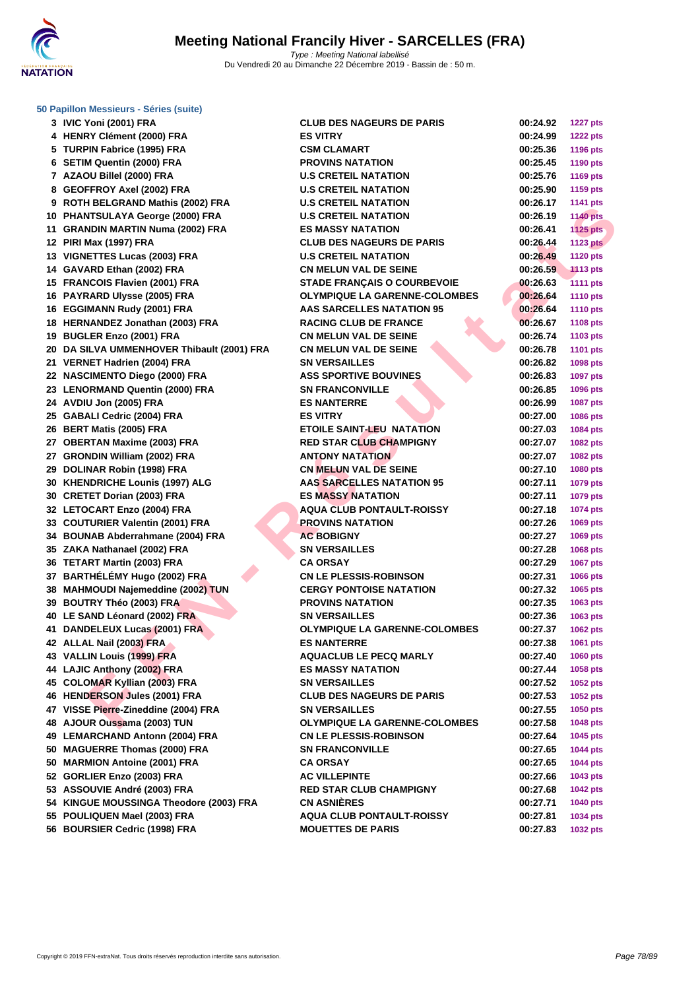

**[50 Papillo](http://www.ffnatation.fr/webffn/index.php)n Messieurs - Séries (suite)**

|    | 3 IVIC Yoni (2001) FRA                     |
|----|--------------------------------------------|
| 4  | <b>HENRY Clément (2000) FRA</b>            |
|    |                                            |
|    | 5 TURPIN Fabrice (1995) FRA                |
| 6  | <b>SETIM Quentin (2000) FRA</b>            |
| 7  | AZAOU Billel (2000) FRA                    |
| 8  | <b>GEOFFROY Axel (2002) FRA</b>            |
| 9  | ROTH BELGRAND Mathis (2002) FRA            |
|    | 10 PHANTSULAYA George (2000) FRA           |
|    | 11 GRANDIN MARTIN Numa (2002) FRA          |
|    | 12 PIRI Max (1997) FRA                     |
| 13 | <b>VIGNETTES Lucas (2003) FRA</b>          |
| 14 | GAVARD Ethan (2002) FRA                    |
| 15 | <b>FRANCOIS Flavien (2001) FRA</b>         |
| 16 | PAYRARD Ulysse (2005) FRA                  |
| 16 | <b>EGGIMANN Rudy (2001) FRA</b>            |
| 18 | HERNANDEZ Jonathan (2003) FRA              |
| 19 | <b>BUGLER Enzo (2001) FRA</b>              |
|    | 20 DA SILVA UMMENHOVER Thibault (2001) FRA |
|    | 21 VERNET Hadrien (2004) FRA               |
|    | 22 NASCIMENTO Diego (2000) FRA             |
|    | 23 LENORMAND Quentin (2000) FRA            |
|    | 24 AVDIU Jon (2005) FRA                    |
|    | 25 GABALI Cedric (2004) FRA                |
| 26 | <b>BERT Matis (2005) FRA</b>               |
|    | 27 OBERTAN Maxime (2003) FRA               |
|    | 27 GRONDIN William (2002) FRA              |
|    | 29 DOLINAR Robin (1998) FRA                |
|    | 30 KHENDRICHE Lounis (1997) ALG            |
|    | 30 CRETET Dorian (2003) FRA                |
| 32 | <b>LETOCART Enzo (2004) FRA</b>            |
|    | 33 COUTURIER Valentin (2001) FRA           |
|    | 34 BOUNAB Abderrahmane (2004) FRA          |
|    | 35 ZAKA Nathanael (2002) FRA               |
|    | 36 TETART Martin (2003) FRA                |
|    | 37 BARTHÉLÉMY Hugo (2002) FRA              |
|    | 38 MAHMOUDI Najemeddine (2002) TUN         |
|    | 39 BOUTRY Théo (2003) FRA                  |
|    | 40 LE SAND Léonard (2002) FRA              |
| 41 | <b>DANDELEUX Lucas (2001) FRA</b>          |
|    | 42 ALLAL Nail (2003) FRA                   |
|    | 43 VALLIN Louis (1999) FRA                 |
|    | 44 LAJIC Anthony (2002) FRA                |
|    | 45 COLOMAR Kyllian (2003) FRA              |
| 46 | <b>HENDERSON Jules (2001) FRA</b>          |
| 47 | VISSE Pierre-Zineddine (2004) FRA          |
| 48 | AJOUR Oussama (2003) TUN                   |
| 49 | <b>LEMARCHAND Antonn (2004) FRA</b>        |
| 50 | <b>MAGUERRE Thomas (2000) FRA</b>          |
| 50 | <b>MARMION Antoine (2001) FRA</b>          |
| 52 | GORLIER Enzo (2003) FRA                    |
|    | 53 ASSOUVIE André (2003) FRA               |
|    | 54 KINGUE MOUSSINGA Theodore (2003) FRA    |
| 55 | POULIQUEN Mael (2003) FRA                  |
| 56 | <b>BOURSIER Cedric (1998) FRA</b>          |
|    |                                            |

| 3 IVIC Yoni (2001) FRA                                         | <b>CLUB DES NAGEURS DE PARIS</b>     | 00:24.92 | <b>1227 pts</b> |
|----------------------------------------------------------------|--------------------------------------|----------|-----------------|
| 4 HENRY Clément (2000) FRA                                     | <b>ES VITRY</b>                      | 00:24.99 | <b>1222 pts</b> |
| 5 TURPIN Fabrice (1995) FRA                                    | <b>CSM CLAMART</b>                   | 00:25.36 | 1196 pts        |
| 6 SETIM Quentin (2000) FRA                                     | <b>PROVINS NATATION</b>              | 00:25.45 | 1190 pts        |
| 7 AZAOU Billel (2000) FRA                                      | <b>U.S CRETEIL NATATION</b>          | 00:25.76 | <b>1169 pts</b> |
| 8 GEOFFROY Axel (2002) FRA                                     | <b>U.S CRETEIL NATATION</b>          | 00:25.90 | <b>1159 pts</b> |
| 9 ROTH BELGRAND Mathis (2002) FRA                              | <b>U.S CRETEIL NATATION</b>          | 00:26.17 | 1141 pts        |
| 10 PHANTSULAYA George (2000) FRA                               | <b>U.S CRETEIL NATATION</b>          | 00:26.19 | <b>1140 pts</b> |
| 11 GRANDIN MARTIN Numa (2002) FRA                              | <b>ES MASSY NATATION</b>             | 00:26.41 | <b>1125 pts</b> |
| 12 PIRI Max (1997) FRA                                         | <b>CLUB DES NAGEURS DE PARIS</b>     | 00:26.44 | <b>1123 pts</b> |
| 13 VIGNETTES Lucas (2003) FRA                                  | <b>U.S CRETEIL NATATION</b>          | 00:26.49 | <b>1120 pts</b> |
| 14 GAVARD Ethan (2002) FRA                                     | <b>CN MELUN VAL DE SEINE</b>         | 00:26.59 | <b>1113 pts</b> |
| 15 FRANCOIS Flavien (2001) FRA                                 | <b>STADE FRANCAIS O COURBEVOIE</b>   | 00:26.63 | <b>1111 pts</b> |
| 16 PAYRARD Ulysse (2005) FRA                                   | <b>OLYMPIQUE LA GARENNE-COLOMBES</b> | 00:26.64 | <b>1110 pts</b> |
| 16 EGGIMANN Rudy (2001) FRA                                    | AAS SARCELLES NATATION 95            | 00:26.64 | <b>1110 pts</b> |
| 18 HERNANDEZ Jonathan (2003) FRA                               | <b>RACING CLUB DE FRANCE</b>         | 00:26.67 | <b>1108 pts</b> |
| 19 BUGLER Enzo (2001) FRA                                      | <b>CN MELUN VAL DE SEINE</b>         | 00:26.74 | 1103 pts        |
| 20 DA SILVA UMMENHOVER Thibault (2001) FRA                     | <b>CN MELUN VAL DE SEINE</b>         | 00:26.78 | <b>1101 pts</b> |
| 21 VERNET Hadrien (2004) FRA                                   | <b>SN VERSAILLES</b>                 | 00:26.82 | 1098 pts        |
| 22 NASCIMENTO Diego (2000) FRA                                 | <b>ASS SPORTIVE BOUVINES</b>         | 00:26.83 | 1097 pts        |
| 23 LENORMAND Quentin (2000) FRA                                | <b>SN FRANCONVILLE</b>               | 00:26.85 | 1096 pts        |
| 24 AVDIU Jon (2005) FRA                                        | <b>ES NANTERRE</b>                   | 00:26.99 | 1087 pts        |
| 25 GABALI Cedric (2004) FRA                                    | <b>ES VITRY</b>                      | 00:27.00 | 1086 pts        |
| 26 BERT Matis (2005) FRA                                       | <b>ETOILE SAINT-LEU NATATION</b>     | 00:27.03 | 1084 pts        |
| 27 OBERTAN Maxime (2003) FRA                                   | <b>RED STAR CLUB CHAMPIGNY</b>       | 00:27.07 | 1082 pts        |
| 27 GRONDIN William (2002) FRA                                  | <b>ANTONY NATATION</b>               | 00:27.07 | 1082 pts        |
| 29 DOLINAR Robin (1998) FRA                                    | <b>CN MELUN VAL DE SEINE</b>         | 00:27.10 | 1080 pts        |
| 30 KHENDRICHE Lounis (1997) ALG                                | <b>AAS SARCELLES NATATION 95</b>     | 00:27.11 | 1079 pts        |
| 30 CRETET Dorian (2003) FRA                                    | <b>ES MASSY NATATION</b>             | 00:27.11 | 1079 pts        |
| 32 LETOCART Enzo (2004) FRA                                    | <b>AQUA CLUB PONTAULT-ROISSY</b>     | 00:27.18 | 1074 pts        |
| 33 COUTURIER Valentin (2001) FRA                               | <b>PROVINS NATATION</b>              | 00:27.26 | 1069 pts        |
| 34 BOUNAB Abderrahmane (2004) FRA                              | <b>AC BOBIGNY</b>                    | 00:27.27 | 1069 pts        |
| 35 ZAKA Nathanael (2002) FRA                                   | <b>SN VERSAILLES</b>                 | 00:27.28 | 1068 pts        |
| 36 TETART Martin (2003) FRA                                    | <b>CA ORSAY</b>                      | 00:27.29 | <b>1067 pts</b> |
| 37 BARTHÉLÉMY Hugo (2002) FRA                                  | <b>CN LE PLESSIS-ROBINSON</b>        | 00:27.31 | 1066 pts        |
| 38 MAHMOUDI Najemeddine (2002) TUN                             | <b>CERGY PONTOISE NATATION</b>       | 00:27.32 | 1065 pts        |
| 39 BOUTRY Théo (2003) FRA                                      | <b>PROVINS NATATION</b>              | 00:27.35 | 1063 pts        |
| 40 LE SAND Léonard (2002) FRA                                  | <b>SN VERSAILLES</b>                 | 00:27.36 | 1063 pts        |
| 41 DANDELEUX Lucas (2001) FRA                                  | <b>OLYMPIQUE LA GARENNE-COLOMBES</b> | 00:27.37 | 1062 pts        |
| 42 ALLAL Nail (2003) FRA                                       | <b>ES NANTERRE</b>                   | 00:27.38 | 1061 pts        |
| 43 VALLIN Louis (1999) FRA                                     | <b>AQUACLUB LE PECQ MARLY</b>        | 00:27.40 | 1060 pts        |
| 44 LAJIC Anthony (2002) FRA                                    | <b>ES MASSY NATATION</b>             | 00:27.44 | 1058 pts        |
| 45 COLOMAR Kyllian (2003) FRA                                  | <b>SN VERSAILLES</b>                 | 00:27.52 | 1052 pts        |
| 46 HENDERSON Jules (2001) FRA                                  | <b>CLUB DES NAGEURS DE PARIS</b>     | 00:27.53 | <b>1052 pts</b> |
| 47 VISSE Pierre-Zineddine (2004) FRA                           | <b>SN VERSAILLES</b>                 | 00:27.55 |                 |
|                                                                |                                      |          | 1050 pts        |
| 48 AJOUR Oussama (2003) TUN<br>49 LEMARCHAND Antonn (2004) FRA | <b>OLYMPIQUE LA GARENNE-COLOMBES</b> | 00:27.58 | 1048 pts        |
|                                                                | <b>CN LE PLESSIS-ROBINSON</b>        | 00:27.64 | 1045 pts        |
| 50 MAGUERRE Thomas (2000) FRA                                  | <b>SN FRANCONVILLE</b>               | 00:27.65 | <b>1044 pts</b> |
| 50 MARMION Antoine (2001) FRA                                  | <b>CA ORSAY</b>                      | 00:27.65 | <b>1044 pts</b> |
| 52 GORLIER Enzo (2003) FRA                                     | <b>AC VILLEPINTE</b>                 | 00:27.66 | 1043 pts        |
| 53 ASSOUVIE André (2003) FRA                                   | <b>RED STAR CLUB CHAMPIGNY</b>       | 00:27.68 | <b>1042 pts</b> |
| 54 KINGUE MOUSSINGA Theodore (2003) FRA                        | <b>CN ASNIÈRES</b>                   | 00:27.71 | 1040 pts        |
| 55 POULIQUEN Mael (2003) FRA                                   | <b>AQUA CLUB PONTAULT-ROISSY</b>     | 00:27.81 | 1034 pts        |
| 56 BOURSIER Cedric (1998) FRA                                  | <b>MOUETTES DE PARIS</b>             | 00:27.83 | 1032 pts        |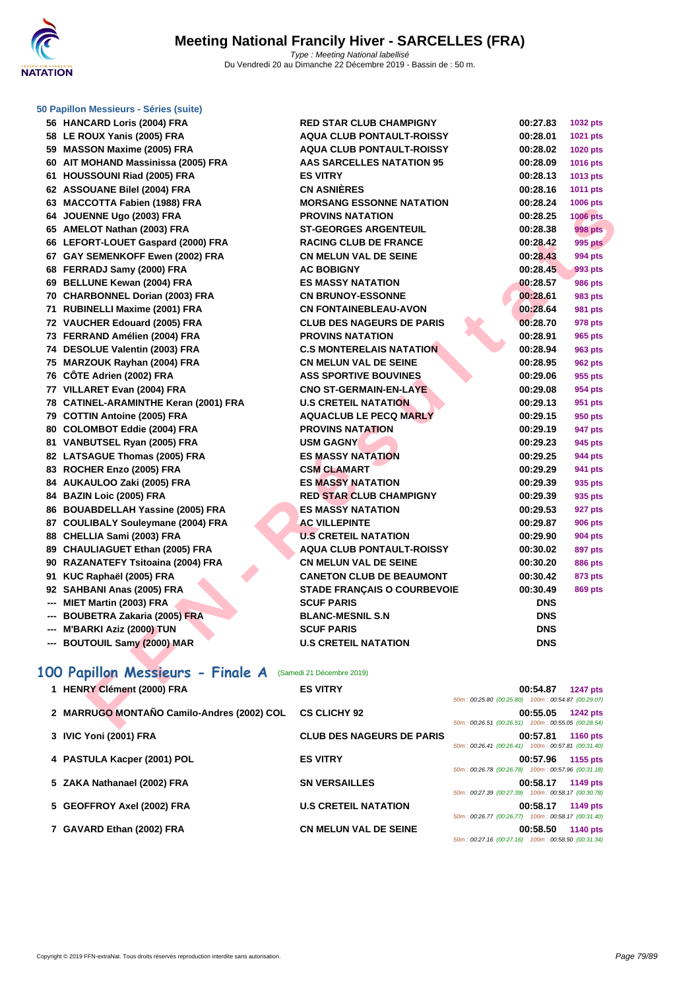

#### **[50 Papillo](http://www.ffnatation.fr/webffn/index.php)n Messieurs - Séries (suite)**

| 56 HANCARD Loris (2004) FRA                                 | <b>RED STAR CLUB CHAMPIGNY</b>     | 00:27.83                                                       | 1032 pts        |
|-------------------------------------------------------------|------------------------------------|----------------------------------------------------------------|-----------------|
| 58 LE ROUX Yanis (2005) FRA                                 | <b>AQUA CLUB PONTAULT-ROISSY</b>   | 00:28.01                                                       | 1021 pts        |
| 59 MASSON Maxime (2005) FRA                                 | <b>AQUA CLUB PONTAULT-ROISSY</b>   | 00:28.02                                                       | <b>1020 pts</b> |
| 60 AIT MOHAND Massinissa (2005) FRA                         | <b>AAS SARCELLES NATATION 95</b>   | 00:28.09                                                       | 1016 pts        |
| 61 HOUSSOUNI Riad (2005) FRA                                | <b>ES VITRY</b>                    | 00:28.13                                                       | 1013 pts        |
| 62 ASSOUANE Bilel (2004) FRA                                | <b>CN ASNIERES</b>                 | 00:28.16                                                       | 1011 pts        |
| 63 MACCOTTA Fabien (1988) FRA                               | <b>MORSANG ESSONNE NATATION</b>    | 00:28.24                                                       | 1006 pts        |
| 64 JOUENNE Ugo (2003) FRA                                   | <b>PROVINS NATATION</b>            | 00:28.25                                                       | <b>1006 pts</b> |
| 65 AMELOT Nathan (2003) FRA                                 | <b>ST-GEORGES ARGENTEUIL</b>       | 00:28.38                                                       | <b>998 pts</b>  |
| 66 LEFORT-LOUET Gaspard (2000) FRA                          | <b>RACING CLUB DE FRANCE</b>       | 00:28.42                                                       | <b>995 pts</b>  |
| 67 GAY SEMENKOFF Ewen (2002) FRA                            | <b>CN MELUN VAL DE SEINE</b>       | 00:28.43                                                       | 994 pts         |
| 68 FERRADJ Samy (2000) FRA                                  | <b>AC BOBIGNY</b>                  | 00:28.45                                                       | 993 pts         |
| 69 BELLUNE Kewan (2004) FRA                                 | <b>ES MASSY NATATION</b>           | 00:28.57                                                       | <b>986 pts</b>  |
| 70 CHARBONNEL Dorian (2003) FRA                             | <b>CN BRUNOY-ESSONNE</b>           | 00:28.61                                                       | 983 pts         |
| 71 RUBINELLI Maxime (2001) FRA                              | <b>CN FONTAINEBLEAU-AVON</b>       | 00:28.64                                                       | <b>981 pts</b>  |
| 72 VAUCHER Edouard (2005) FRA                               | <b>CLUB DES NAGEURS DE PARIS</b>   | 00:28.70                                                       | 978 pts         |
| 73 FERRAND Amélien (2004) FRA                               | <b>PROVINS NATATION</b>            | 00:28.91                                                       | 965 pts         |
| 74 DESOLUE Valentin (2003) FRA                              | <b>C.S MONTERELAIS NATATION</b>    | 00:28.94                                                       | <b>963 pts</b>  |
| 75 MARZOUK Rayhan (2004) FRA                                | <b>CN MELUN VAL DE SEINE</b>       | 00:28.95                                                       | <b>962 pts</b>  |
| 76 CÖTE Adrien (2002) FRA                                   | <b>ASS SPORTIVE BOUVINES</b>       | 00:29.06                                                       | 955 pts         |
| 77 VILLARET Evan (2004) FRA                                 | <b>CNO ST-GERMAIN-EN-LAYE</b>      | 00:29.08                                                       | 954 pts         |
| 78 CATINEL-ARAMINTHE Keran (2001) FRA                       | <b>U.S CRETEIL NATATION</b>        | 00:29.13                                                       | 951 pts         |
| 79 COTTIN Antoine (2005) FRA                                | <b>AQUACLUB LE PECQ MARLY</b>      | 00:29.15                                                       | 950 pts         |
| 80 COLOMBOT Eddie (2004) FRA                                | <b>PROVINS NATATION</b>            | 00:29.19                                                       | 947 pts         |
| 81 VANBUTSEL Ryan (2005) FRA                                | <b>USM GAGNY</b>                   | 00:29.23                                                       | 945 pts         |
| 82 LATSAGUE Thomas (2005) FRA                               | <b>ES MASSY NATATION</b>           | 00:29.25                                                       | <b>944 pts</b>  |
| 83 ROCHER Enzo (2005) FRA                                   | <b>CSM CLAMART</b>                 | 00:29.29                                                       | 941 pts         |
| 84 AUKAULOO Zaki (2005) FRA                                 | <b>ES MASSY NATATION</b>           | 00:29.39                                                       | 935 pts         |
| 84 BAZIN Loic (2005) FRA                                    | <b>RED STAR CLUB CHAMPIGNY</b>     | 00:29.39                                                       | 935 pts         |
| 86 BOUABDELLAH Yassine (2005) FRA                           | <b>ES MASSY NATATION</b>           | 00:29.53                                                       | 927 pts         |
| 87 COULIBALY Souleymane (2004) FRA                          | <b>AC VILLEPINTE</b>               | 00:29.87                                                       | <b>906 pts</b>  |
| 88 CHELLIA Sami (2003) FRA                                  | <b>U.S CRETEIL NATATION</b>        | 00:29.90                                                       | <b>904 pts</b>  |
| 89 CHAULIAGUET Ethan (2005) FRA                             | <b>AQUA CLUB PONTAULT-ROISSY</b>   | 00:30.02                                                       | <b>897 pts</b>  |
| 90 RAZANATEFY Tsitoaina (2004) FRA                          | <b>CN MELUN VAL DE SEINE</b>       | 00:30.20                                                       | <b>886 pts</b>  |
| 91 KUC Raphaël (2005) FRA                                   | <b>CANETON CLUB DE BEAUMONT</b>    | 00:30.42                                                       | 873 pts         |
| 92 SAHBANI Anas (2005) FRA                                  | <b>STADE FRANÇAIS O COURBEVOIE</b> | 00:30.49                                                       | <b>869 pts</b>  |
| --- MIET Martin (2003) FRA                                  | <b>SCUF PARIS</b>                  | <b>DNS</b>                                                     |                 |
| --- BOUBETRA Zakaria (2005) FRA                             | <b>BLANC-MESNIL S.N</b>            | <b>DNS</b>                                                     |                 |
| --- M'BARKI Aziz (2000) TUN                                 | <b>SCUF PARIS</b>                  | <b>DNS</b>                                                     |                 |
| --- BOUTOUIL Samy (2000) MAR                                | <b>U.S CRETEIL NATATION</b>        | <b>DNS</b>                                                     |                 |
|                                                             |                                    |                                                                |                 |
| 100 Papillon Messieurs - Finale A (Samedi 21 Décembre 2019) |                                    |                                                                |                 |
| 1 HENRY Clément (2000) FRA                                  | <b>ES VITRY</b>                    | 00:54.87                                                       | <b>1247 pts</b> |
|                                                             |                                    | $50m: 00:25.80 \ (00:25.80) \quad 100m: 00:54.87 \ (00:29.07)$ |                 |
| 2 MARRUGO MONTAÑO Camilo-Andres (2002) COL CS CLICHY 92     |                                    | 00:55.05                                                       | <b>1242 pts</b> |
|                                                             |                                    | 50m: 00:26.51 (00:26.51) 100m: 00:55.05 (00:28.54)             |                 |

# **100 Papillon Messieurs - Finale A** (Samedi 21 Décembre 2019)

| 1 HENRY Clément (2000) FRA                 | <b>ES VITRY</b>                  | 00:54.87<br><b>1247 pts</b><br>50m: 00:25.80 (00:25.80) 100m: 00:54.87 (00:29.07) |
|--------------------------------------------|----------------------------------|-----------------------------------------------------------------------------------|
| 2 MARRUGO MONTAÑO Camilo-Andres (2002) COL | <b>CS CLICHY 92</b>              | 00:55.05<br><b>1242 pts</b><br>50m: 00:26.51 (00:26.51) 100m: 00:55.05 (00:28.54) |
| 3 IVIC Yoni (2001) FRA                     | <b>CLUB DES NAGEURS DE PARIS</b> | 00:57.81<br><b>1160 pts</b><br>50m: 00:26.41 (00:26.41) 100m: 00:57.81 (00:31.40) |
| 4 PASTULA Kacper (2001) POL                | <b>ES VITRY</b>                  | 1155 pts<br>00:57.96<br>50m: 00:26.78 (00:26.78) 100m: 00:57.96 (00:31.18)        |
| 5 ZAKA Nathanael (2002) FRA                | <b>SN VERSAILLES</b>             | 1149 pts<br>00:58.17<br>50m: 00:27.39 (00:27.39) 100m: 00:58.17 (00:30.78)        |
| 5 GEOFFROY Axel (2002) FRA                 | <b>U.S CRETEIL NATATION</b>      | 1149 pts<br>00:58.17<br>50m: 00:26.77 (00:26.77) 100m: 00:58.17 (00:31.40)        |
| 7 GAVARD Ethan (2002) FRA                  | <b>CN MELUN VAL DE SEINE</b>     | 00:58.50<br><b>1140 pts</b><br>50m: 00:27.16 (00:27.16) 100m: 00:58.50 (00:31.34) |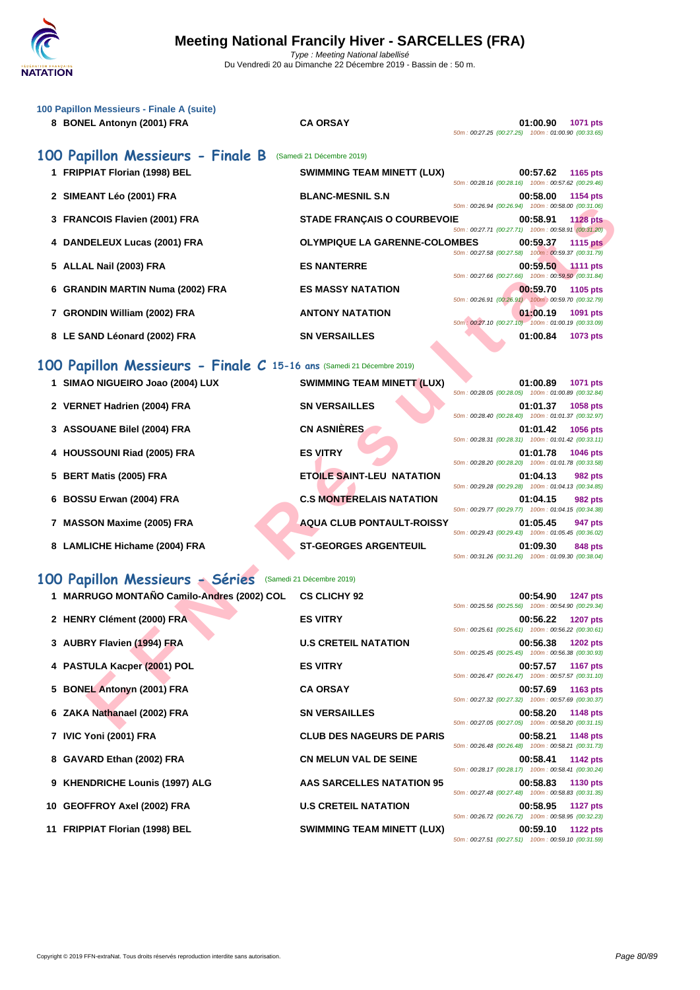

| 100 Papillon Messieurs - Finale A (suite)<br>8 BONEL Antonyn (2001) FRA | <b>CA ORSAY</b>                      | 01:00.90<br><b>1071 pts</b><br>50m: 00:27.25 (00:27.25) 100m: 01:00.90 (00:33.65) |
|-------------------------------------------------------------------------|--------------------------------------|-----------------------------------------------------------------------------------|
| 100 Papillon Messieurs - Finale B                                       | (Samedi 21 Décembre 2019)            |                                                                                   |
| 1 FRIPPIAT Florian (1998) BEL                                           | <b>SWIMMING TEAM MINETT (LUX)</b>    | 00:57.62<br>1165 pts<br>50m: 00:28.16 (00:28.16) 100m: 00:57.62 (00:29.46)        |
| 2 SIMEANT Léo (2001) FRA                                                | <b>BLANC-MESNIL S.N</b>              | 00:58.00<br>1154 pts                                                              |
| 3 FRANCOIS Flavien (2001) FRA                                           | <b>STADE FRANÇAIS O COURBEVOIE</b>   | 50m: 00:26.94 (00:26.94) 100m: 00:58.00 (00:31.06)<br>00:58.91<br><b>1128 pts</b> |
| 4 DANDELEUX Lucas (2001) FRA                                            | <b>OLYMPIQUE LA GARENNE-COLOMBES</b> | 50m: 00:27.71 (00:27.71) 100m: 00:58.91 (00:31.20)<br>00:59.37<br><b>1115 pts</b> |
| 5 ALLAL Nail (2003) FRA                                                 | <b>ES NANTERRE</b>                   | 50m: 00:27.58 (00:27.58) 100m: 00:59.37 (00:31.79)<br>00:59.50<br>$.1111$ pts     |
| 6 GRANDIN MARTIN Numa (2002) FRA                                        | <b>ES MASSY NATATION</b>             | 50m: 00:27.66 (00:27.66) 100m: 00:59.50 (00:31.84)<br>00:59.70<br>1105 pts        |
|                                                                         |                                      | 50m: 00:26.91 (00:26.91) 100m: 00:59.70 (00:32.79)                                |
| 7 GRONDIN William (2002) FRA                                            | <b>ANTONY NATATION</b>               | 01:00.19<br>1091 pts<br>50m : 00:27.10 (00:27.10) 100m : 01:00.19 (00:33.09)      |
| 8 LE SAND Léonard (2002) FRA                                            | <b>SN VERSAILLES</b>                 | 01:00.84<br>1073 pts                                                              |
| 100 Papillon Messieurs - Finale C 15-16 ans (Samedi 21 Décembre 2019)   |                                      |                                                                                   |
| 1 SIMAO NIGUEIRO Joao (2004) LUX                                        | SWIMMING TEAM MINETT (LUX)           | 01:00.89<br>1071 pts                                                              |
| 2 VERNET Hadrien (2004) FRA                                             | <b>SN VERSAILLES</b>                 | 50m: 00:28.05 (00:28.05) 100m: 01:00.89 (00:32.84)<br>01:01.37<br>1058 pts        |
| 3 ASSOUANE Bilel (2004) FRA                                             | <b>CN ASNIÈRES</b>                   | 50m: 00:28.40 (00:28.40) 100m: 01:01.37 (00:32.97)<br>01:01.42<br><b>1056 pts</b> |
|                                                                         |                                      | 50m: 00:28.31 (00:28.31) 100m: 01:01.42 (00:33.11)                                |
| 4 HOUSSOUNI Riad (2005) FRA                                             | <b>ES VITRY</b>                      | 01:01.78<br>1046 pts<br>50m: 00:28.20 (00:28.20) 100m: 01:01.78 (00:33.58)        |
| 5 BERT Matis (2005) FRA                                                 | <b>ETOILE SAINT-LEU NATATION</b>     | 01:04.13<br>982 pts<br>50m: 00:29.28 (00:29.28) 100m: 01:04.13 (00:34.85)         |
| 6 BOSSU Erwan (2004) FRA                                                | <b>C.S MONTERELAIS NATATION</b>      | 01:04.15<br>982 pts                                                               |
| 7 MASSON Maxime (2005) FRA                                              | <b>AQUA CLUB PONTAULT-ROISSY</b>     | 50m: 00:29.77 (00:29.77) 100m: 01:04.15 (00:34.38)<br>01:05.45<br>947 pts         |
| 8 LAMLICHE Hichame (2004) FRA                                           | <b>ST-GEORGES ARGENTEUIL</b>         | 50m: 00:29.43 (00:29.43) 100m: 01:05.45 (00:36.02)<br>01:09.30<br>848 pts         |
|                                                                         |                                      | 50m: 00:31.26 (00:31.26) 100m: 01:09.30 (00:38.04)                                |
| 100 Papillon Messieurs - Séries                                         | (Samedi 21 Décembre 2019)            |                                                                                   |
| 1 MARRUGO MONTAÑO Camilo-Andres (2002) COL                              | <b>CS CLICHY 92</b>                  | 00:54.90<br>1247 pts<br>50m: 00:25.56 (00:25.56) 100m: 00:54.90 (00:29.34)        |
| 2 HENRY Clément (2000) FRA                                              | <b>ES VITRY</b>                      | 00:56.22<br>1207 pts                                                              |
| 3 AUBRY Flavien (1994) FRA                                              | <b>U.S CRETEIL NATATION</b>          | 50m: 00:25.61 (00:25.61) 100m: 00:56.22 (00:30.61)<br>00:56.38<br><b>1202 pts</b> |
|                                                                         |                                      | 50m: 00:25.45 (00:25.45) 100m: 00:56.38 (00:30.93)                                |
| 4 PASTULA Kacper (2001) POL                                             | <b>ES VITRY</b>                      | 00:57.57<br><b>1167 pts</b><br>50m: 00:26.47 (00:26.47) 100m: 00:57.57 (00:31.10) |
| 5 BONEL Antonyn (2001) FRA                                              | <b>CA ORSAY</b>                      | 00:57.69<br>1163 pts<br>50m: 00:27.32 (00:27.32) 100m: 00:57.69 (00:30.37)        |
| 6 ZAKA Nathanael (2002) FRA                                             | <b>SN VERSAILLES</b>                 | 00:58.20<br>1148 pts                                                              |
|                                                                         |                                      | 50m: 00:27.05 (00:27.05) 100m: 00:58.20 (00:31.15)                                |

# **100 Papillon Messieurs - Séries** (Samedi 21 Décembre 2019)

| 1 MARRUGO MONTAÑO Camilo-Andres (2002) COL | <b>CS CLICHY 92</b>               |                                                    | 00:54.90 1247 pts |          |
|--------------------------------------------|-----------------------------------|----------------------------------------------------|-------------------|----------|
| 2 HENRY Clément (2000) FRA                 | <b>ES VITRY</b>                   | 50m: 00:25.56 (00:25.56) 100m: 00:54.90 (00:29.34) |                   |          |
|                                            |                                   | 50m: 00:25.61 (00:25.61) 100m: 00:56.22 (00:30.61) | 00:56.22 1207 pts |          |
| 3 AUBRY Flavien (1994) FRA                 | <b>U.S CRETEIL NATATION</b>       |                                                    | 00:56.38          | 1202 pts |
| 4 PASTULA Kacper (2001) POL                | <b>ES VITRY</b>                   | 50m: 00:25.45 (00:25.45) 100m: 00:56.38 (00:30.93) | 00:57.57 1167 pts |          |
|                                            |                                   | 50m: 00:26.47 (00:26.47) 100m: 00:57.57 (00:31.10) |                   |          |
| 5 BONEL Antonyn (2001) FRA                 | <b>CA ORSAY</b>                   |                                                    | 00:57.69 1163 pts |          |
| 6 ZAKA Nathanael (2002) FRA                | <b>SN VERSAILLES</b>              | 50m: 00:27.32 (00:27.32) 100m: 00:57.69 (00:30.37) | 00:58.20 1148 pts |          |
|                                            |                                   | 50m: 00:27.05 (00:27.05) 100m: 00:58.20 (00:31.15) |                   |          |
| 7 IVIC Yoni (2001) FRA                     | <b>CLUB DES NAGEURS DE PARIS</b>  |                                                    | 00:58.21 1148 pts |          |
| 8 GAVARD Ethan (2002) FRA                  | <b>CN MELUN VAL DE SEINE</b>      | 50m: 00:26.48 (00:26.48) 100m: 00:58.21 (00:31.73) | 00:58.41 1142 pts |          |
|                                            |                                   | 50m: 00:28.17 (00:28.17) 100m: 00:58.41 (00:30.24) |                   |          |
| 9 KHENDRICHE Lounis (1997) ALG             | AAS SARCELLES NATATION 95         |                                                    | 00:58.83 1130 pts |          |
|                                            | <b>U.S CRETEIL NATATION</b>       | 50m: 00:27.48 (00:27.48) 100m: 00:58.83 (00:31.35) | 00:58.95 1127 pts |          |
| 10 GEOFFROY Axel (2002) FRA                |                                   | 50m: 00:26.72 (00:26.72) 100m: 00:58.95 (00:32.23) |                   |          |
| 11 FRIPPIAT Florian (1998) BEL             | <b>SWIMMING TEAM MINETT (LUX)</b> |                                                    | 00:59.10 1122 pts |          |
|                                            |                                   | 50m: 00:27.51 (00:27.51) 100m: 00:59.10 (00:31.59) |                   |          |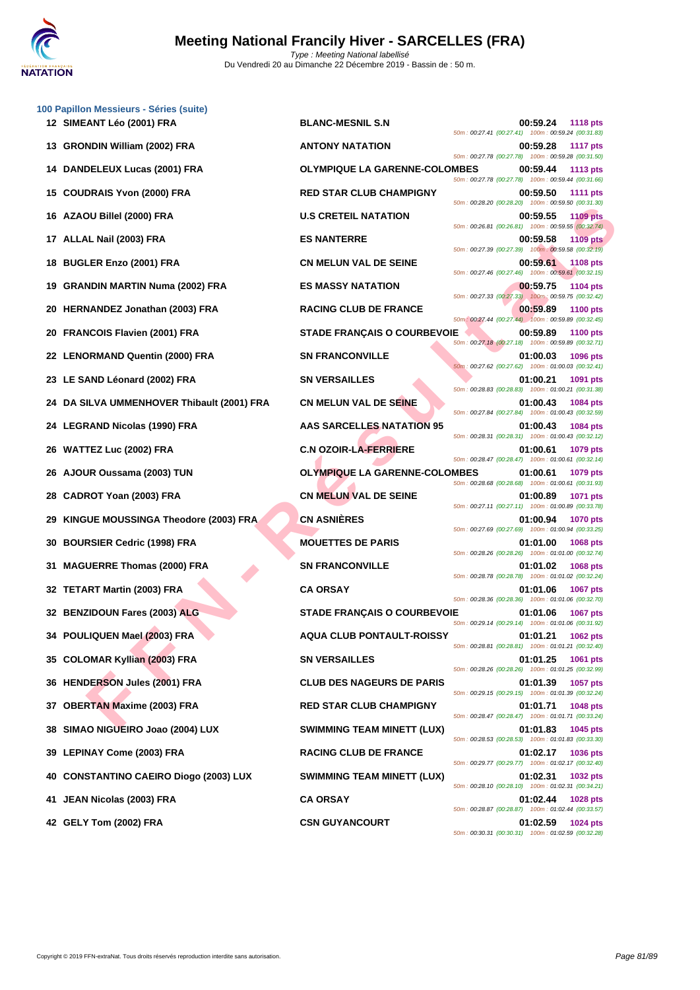

|     | 100 Papillon Messieurs - Séries (suite)<br>12 SIMEANT Léo (2001) FRA | <b>BLANC-MESNIL S.N</b>              | 00:59.24<br>50m: 00:27.41 (00:27.41) 100m: 00:59.24 (00:31.83)   | <b>1118 pts</b> |
|-----|----------------------------------------------------------------------|--------------------------------------|------------------------------------------------------------------|-----------------|
|     | 13 GRONDIN William (2002) FRA                                        | <b>ANTONY NATATION</b>               | 00:59.28<br>50m: 00:27.78 (00:27.78) 100m: 00:59.28 (00:31.50)   | <b>1117 pts</b> |
| 14  | DANDELEUX Lucas (2001) FRA                                           | <b>OLYMPIQUE LA GARENNE-COLOMBES</b> | 00:59.44<br>50m: 00:27.78 (00:27.78) 100m: 00:59.44 (00:31.66)   | 1113 pts        |
| 15  | <b>COUDRAIS Yvon (2000) FRA</b>                                      | <b>RED STAR CLUB CHAMPIGNY</b>       | 00:59.50<br>50m: 00:28.20 (00:28.20) 100m: 00:59.50 (00:31.30)   | <b>1111 pts</b> |
| 16  | AZAOU Billel (2000) FRA                                              | <b>U.S CRETEIL NATATION</b>          | 00:59.55<br>50m: 00:26.81 (00:26.81) 100m: 00:59.55 (00:32.74)   | <b>1109 pts</b> |
| 17  | ALLAL Nail (2003) FRA                                                | <b>ES NANTERRE</b>                   | 00:59.58<br>50m: 00:27.39 (00:27.39) 100m: 00:59.58 (00:32.19)   | <b>1109 pts</b> |
| 18  | <b>BUGLER Enzo (2001) FRA</b>                                        | <b>CN MELUN VAL DE SEINE</b>         | 00:59.61<br>50m : 00:27.46 (00:27.46) 100m : 00:59.61 (00:32.15) | <b>1108 pts</b> |
| 19  | <b>GRANDIN MARTIN Numa (2002) FRA</b>                                | <b>ES MASSY NATATION</b>             | 00:59.75<br>50m: 00:27.33 (00:27.33) 100m: 00:59.75 (00:32.42)   | <b>1104 pts</b> |
| 20  | <b>HERNANDEZ Jonathan (2003) FRA</b>                                 | <b>RACING CLUB DE FRANCE</b>         | 00:59.89<br>50m: 00:27.44 (00:27.44) 100m: 00:59.89 (00:32.45)   | <b>1100 pts</b> |
| 20  | <b>FRANCOIS Flavien (2001) FRA</b>                                   | <b>STADE FRANÇAIS O COURBEVOIE</b>   | 00:59.89<br>50m: 00:27.18 (00:27.18) 100m: 00:59.89 (00:32.71)   | <b>1100 pts</b> |
|     | 22 LENORMAND Quentin (2000) FRA                                      | <b>SN FRANCONVILLE</b>               | 01:00.03<br>50m: 00:27.62 (00:27.62) 100m: 01:00.03 (00:32.41)   | 1096 pts        |
|     | 23 LE SAND Léonard (2002) FRA                                        | <b>SN VERSAILLES</b>                 | 01:00.21<br>50m: 00:28.83 (00:28.83) 100m: 01:00.21 (00:31.38)   | 1091 pts        |
| 24  | DA SILVA UMMENHOVER Thibault (2001) FRA                              | <b>CN MELUN VAL DE SEINE</b>         | 01:00.43<br>50m: 00:27.84 (00:27.84) 100m: 01:00.43 (00:32.59)   | <b>1084 pts</b> |
|     | 24 LEGRAND Nicolas (1990) FRA                                        | <b>AAS SARCELLES NATATION 95</b>     | 01:00.43<br>50m: 00:28.31 (00:28.31) 100m: 01:00.43 (00:32.12)   | 1084 pts        |
| 26  | <b>WATTEZ Luc (2002) FRA</b>                                         | <b>C.N OZOIR-LA-FERRIERE</b>         | 01:00.61<br>50m: 00:28.47 (00:28.47) 100m: 01:00.61 (00:32.14)   | 1079 pts        |
| 26  | AJOUR Oussama (2003) TUN                                             | <b>OLYMPIQUE LA GARENNE-COLOMBES</b> | 01:00.61<br>50m: 00:28.68 (00:28.68) 100m: 01:00.61 (00:31.93)   | 1079 pts        |
| 28  | CADROT Yoan (2003) FRA                                               | <b>CN MELUN VAL DE SEINE</b>         | 01:00.89<br>50m: 00:27.11 (00:27.11) 100m: 01:00.89 (00:33.78)   | 1071 pts        |
|     | KINGUE MOUSSINGA Theodore (2003) FRA                                 | <b>CN ASNIÈRES</b>                   | 01:00.94<br>50m: 00:27.69 (00:27.69) 100m: 01:00.94 (00:33.25)   | <b>1070 pts</b> |
| 30  | <b>BOURSIER Cedric (1998) FRA</b>                                    | <b>MOUETTES DE PARIS</b>             | 01:01.00<br>50m: 00:28.26 (00:28.26) 100m: 01:01.00 (00:32.74)   | <b>1068 pts</b> |
| 31  | <b>MAGUERRE Thomas (2000) FRA</b>                                    | <b>SN FRANCONVILLE</b>               | 01:01.02<br>50m: 00:28.78 (00:28.78) 100m: 01:01.02 (00:32.24)   | 1068 pts        |
|     | 32 TETART Martin (2003) FRA                                          | <b>CA ORSAY</b>                      | 01:01.06<br>50m: 00:28.36 (00:28.36) 100m: 01:01.06 (00:32.70)   | <b>1067 pts</b> |
|     | 32 BENZIDOUN Fares (2003) ALG                                        | <b>STADE FRANCAIS O COURBEVOIE</b>   | 01:01.06<br>50m: 00:29.14 (00:29.14) 100m: 01:01.06 (00:31.92)   | <b>1067 pts</b> |
|     | 34 POULIQUEN Mael (2003) FRA                                         | <b>AQUA CLUB PONTAULT-ROISSY</b>     | 01:01.21<br>50m: 00:28.81 (00:28.81) 100m: 01:01.21 (00:32.40)   | 1062 pts        |
|     | 35 COLOMAR Kyllian (2003) FRA                                        | <b>SN VERSAILLES</b>                 | 01:01.25<br>50m: 00:28.26 (00:28.26) 100m: 01:01.25 (00:32.99)   | 1061 pts        |
|     | 36 HENDERSON Jules (2001) FRA                                        | <b>CLUB DES NAGEURS DE PARIS</b>     | 01:01.39<br>50m: 00:29.15 (00:29.15) 100m: 01:01.39 (00:32.24)   | 1057 pts        |
| 37  | <b>OBERTAN Maxime (2003) FRA</b>                                     | <b>RED STAR CLUB CHAMPIGNY</b>       | 01:01.71<br>50m: 00:28.47 (00:28.47) 100m: 01:01.71 (00:33.24)   | 1048 pts        |
| 38  | SIMAO NIGUEIRO Joao (2004) LUX                                       | <b>SWIMMING TEAM MINETT (LUX)</b>    | 01:01.83<br>50m: 00:28.53 (00:28.53) 100m: 01:01.83 (00:33.30)   | 1045 pts        |
|     | 39 LEPINAY Come (2003) FRA                                           | <b>RACING CLUB DE FRANCE</b>         | 01:02.17<br>50m: 00:29.77 (00:29.77) 100m: 01:02.17 (00:32.40)   | <b>1036 pts</b> |
| 40  | <b>CONSTANTINO CAEIRO Diogo (2003) LUX</b>                           | <b>SWIMMING TEAM MINETT (LUX)</b>    | 01:02.31<br>50m: 00:28.10 (00:28.10) 100m: 01:02.31 (00:34.21)   | 1032 pts        |
| 41. | JEAN Nicolas (2003) FRA                                              | <b>CA ORSAY</b>                      | 01:02.44<br>50m: 00:28.87 (00:28.87) 100m: 01:02.44 (00:33.57)   | 1028 pts        |
|     | 42 GELY Tom (2002) FRA                                               | <b>CSN GUYANCOURT</b>                | 01:02.59<br>50m: 00:30.31 (00:30.31) 100m: 01:02.59 (00:32.28)   | <b>1024 pts</b> |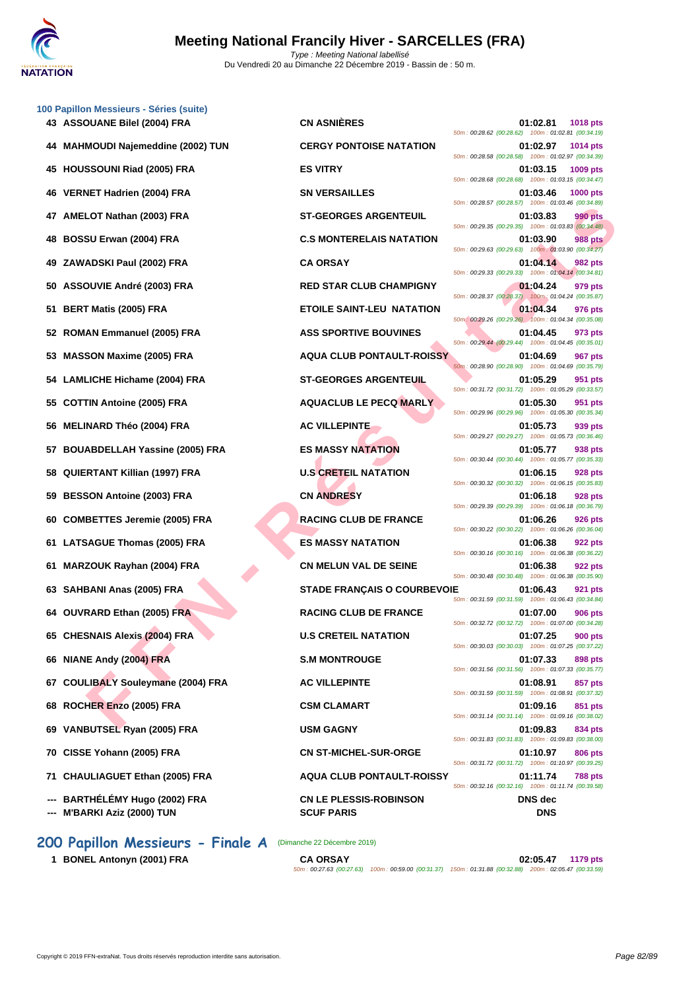

|     | 100 Papillon Messieurs - Séries (suite)<br>43 ASSOUANE Bilel (2004) FRA | <b>CN ASNIÈRES</b>                                 | 01:02.81<br><b>1018 pts</b>                                                                                                     |
|-----|-------------------------------------------------------------------------|----------------------------------------------------|---------------------------------------------------------------------------------------------------------------------------------|
| 44  | <b>MAHMOUDI Najemeddine (2002) TUN</b>                                  | <b>CERGY PONTOISE NATATION</b>                     | 50m: 00:28.62 (00:28.62) 100m: 01:02.81 (00:34.19)<br>01:02.97<br><b>1014 pts</b>                                               |
| 45  | <b>HOUSSOUNI Riad (2005) FRA</b>                                        | <b>ES VITRY</b>                                    | 50m: 00:28.58 (00:28.58) 100m: 01:02.97 (00:34.39)<br>01:03.15<br>1009 pts                                                      |
| 46  | VERNET Hadrien (2004) FRA                                               | <b>SN VERSAILLES</b>                               | 50m: 00:28.68 (00:28.68) 100m: 01:03.15 (00:34.47)<br>01:03.46<br>1000 pts                                                      |
| 47  | AMELOT Nathan (2003) FRA                                                | <b>ST-GEORGES ARGENTEUIL</b>                       | 50m: 00:28.57 (00:28.57) 100m: 01:03.46 (00:34.89)<br>01:03.83<br>990 pts<br>50m: 00:29.35 (00:29.35) 100m: 01:03.83 (00:34.48) |
| 48  | <b>BOSSU Erwan (2004) FRA</b>                                           | <b>C.S MONTERELAIS NATATION</b>                    | 01:03.90<br><b>988 pts</b><br>50m: 00:29.63 (00:29.63) 100m: 01:03.90 (00:34.27)                                                |
| 49  | ZAWADSKI Paul (2002) FRA                                                | <b>CA ORSAY</b>                                    | 01:04.14<br>982 pts<br>50m: 00:29.33 (00:29.33) 100m: 01:04.14 (00:34.81)                                                       |
| 50  | ASSOUVIE André (2003) FRA                                               | <b>RED STAR CLUB CHAMPIGNY</b>                     | 01:04.24<br>979 pts<br>50m: 00:28.37 (00:28.37) 100m: 01:04.24 (00:35.87)                                                       |
| 51  | <b>BERT Matis (2005) FRA</b>                                            | <b>ETOILE SAINT-LEU NATATION</b>                   | 01:04.34<br>976 pts<br>50m: 00:29.26 (00:29.26) 100m: 01:04.34 (00:35.08)                                                       |
| 52  | <b>ROMAN Emmanuel (2005) FRA</b>                                        | <b>ASS SPORTIVE BOUVINES</b>                       | 01:04.45<br>973 pts<br>50m: 00:29.44 (00:29.44) 100m: 01:04.45 (00:35.01)                                                       |
| 53  | <b>MASSON Maxime (2005) FRA</b>                                         | <b>AQUA CLUB PONTAULT-ROISSY</b>                   | 01:04.69<br><b>967 pts</b><br>50m: 00:28.90 (00:28.90) 100m: 01:04.69 (00:35.79)                                                |
| 54  | <b>LAMLICHE Hichame (2004) FRA</b>                                      | <b>ST-GEORGES ARGENTEUIL</b>                       | 01:05.29<br>951 pts<br>50m: 00:31.72 (00:31.72) 100m: 01:05.29 (00:33.57)                                                       |
| 55  | <b>COTTIN Antoine (2005) FRA</b>                                        | <b>AQUACLUB LE PECQ MARLY</b>                      | 01:05.30<br>951 pts<br>50m: 00:29.96 (00:29.96) 100m: 01:05.30 (00:35.34)                                                       |
| 56  | <b>MELINARD Théo (2004) FRA</b>                                         | <b>AC VILLEPINTE</b>                               | 01:05.73<br>939 pts<br>50m: 00:29.27 (00:29.27) 100m: 01:05.73 (00:36.46)                                                       |
| 57  | <b>BOUABDELLAH Yassine (2005) FRA</b>                                   | <b>ES MASSY NATATION</b>                           | 01:05.77<br>938 pts<br>50m: 00:30.44 (00:30.44) 100m: 01:05.77 (00:35.33)                                                       |
| 58  | <b>QUIERTANT Killian (1997) FRA</b>                                     | <b>U.S CRETEIL NATATION</b>                        | 01:06.15<br>928 pts<br>50m: 00:30.32 (00:30.32) 100m: 01:06.15 (00:35.83)                                                       |
| 59  | <b>BESSON Antoine (2003) FRA</b>                                        | <b>CN ANDRESY</b>                                  | 01:06.18<br>928 pts<br>50m: 00:29.39 (00:29.39) 100m: 01:06.18 (00:36.79)                                                       |
| 60  | <b>COMBETTES Jeremie (2005) FRA</b>                                     | <b>RACING CLUB DE FRANCE</b>                       | 01:06.26<br>926 pts<br>50m: 00:30.22 (00:30.22) 100m: 01:06.26 (00:36.04)                                                       |
| 61  | <b>LATSAGUE Thomas (2005) FRA</b>                                       | <b>ES MASSY NATATION</b>                           | 01:06.38<br>922 pts<br>50m: 00:30.16 (00:30.16) 100m: 01:06.38 (00:36.22)                                                       |
| 61  | MARZOUK Rayhan (2004) FRA                                               | <b>CN MELUN VAL DE SEINE</b>                       | 01:06.38<br>922 pts<br>50m: 00:30.48 (00:30.48) 100m: 01:06.38 (00:35.90)                                                       |
| 63  | SAHBANI Anas (2005) FRA                                                 | <b>STADE FRANÇAIS O COURBEVOIE</b>                 | 01:06.43<br>921 pts<br>50m: 00:31.59 (00:31.59) 100m: 01:06.43 (00:34.84)                                                       |
|     | 64 OUVRARD Ethan (2005) FRA                                             | <b>RACING CLUB DE FRANCE</b>                       | 01:07.00<br><b>906 pts</b><br>50m: 00:32.72 (00:32.72) 100m: 01:07.00 (00:34.28)                                                |
|     | 65 CHESNAIS Alexis (2004) FRA                                           | <b>U.S CRETEIL NATATION</b>                        | 01:07.25<br><b>900 pts</b><br>50m: 00:30.03 (00:30.03) 100m: 01:07.25 (00:37.22)                                                |
|     | 66 NIANE Andy (2004) FRA                                                | <b>S.M MONTROUGE</b>                               | 01:07.33<br>898 pts<br>50m: 00:31.56 (00:31.56) 100m: 01:07.33 (00:35.77)                                                       |
| 67  | <b>COULIBALY Souleymane (2004) FRA</b>                                  | <b>AC VILLEPINTE</b>                               | 01:08.91<br>857 pts<br>50m: 00:31.59 (00:31.59) 100m: 01:08.91 (00:37.32)                                                       |
| 68  | ROCHER Enzo (2005) FRA                                                  | <b>CSM CLAMART</b>                                 | 01:09.16<br>851 pts<br>50m: 00:31.14 (00:31.14) 100m: 01:09.16 (00:38.02)                                                       |
| 69  | VANBUTSEL Ryan (2005) FRA                                               | <b>USM GAGNY</b>                                   | 01:09.83<br>834 pts<br>50m: 00:31.83 (00:31.83) 100m: 01:09.83 (00:38.00)                                                       |
|     | 70 CISSE Yohann (2005) FRA                                              | <b>CN ST-MICHEL-SUR-ORGE</b>                       | 01:10.97<br>806 pts<br>50m: 00:31.72 (00:31.72) 100m: 01:10.97 (00:39.25)                                                       |
| 71. | <b>CHAULIAGUET Ethan (2005) FRA</b>                                     | <b>AQUA CLUB PONTAULT-ROISSY</b>                   | 01:11.74<br><b>788 pts</b><br>50m: 00:32.16 (00:32.16) 100m: 01:11.74 (00:39.58)                                                |
| --- | BARTHÉLÉMY Hugo (2002) FRA<br>M'BARKI Aziz (2000) TUN                   | <b>CN LE PLESSIS-ROBINSON</b><br><b>SCUF PARIS</b> | <b>DNS</b> dec<br><b>DNS</b>                                                                                                    |

**200 Papillon Messieurs - Finale A** (Dimanche 22 Décembre 2019)

**1 BONEL Antonyn (2001) FRA** 

| <b>CA ORSAY</b> |                                                                                                        | 02:05.47 | 1179 pts |
|-----------------|--------------------------------------------------------------------------------------------------------|----------|----------|
|                 | 50m; 00:27.63 (00:27.63) 100m; 00:59.00 (00:31.37) 150m; 01:31.88 (00:32.88) 200m; 02:05.47 (00:33.59) |          |          |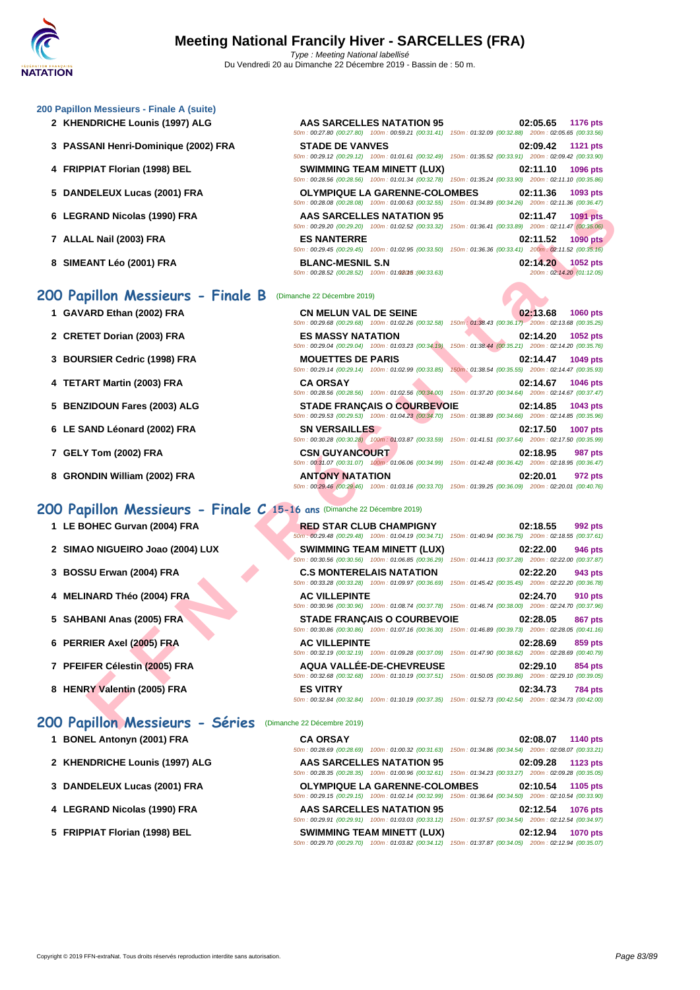#### **[200 Papil](http://www.ffnatation.fr/webffn/index.php)lon Messieurs - Finale A (suite)**

- **2** KHENDRICHE Lounis (1997) ALG
- **3 PASSANI Henri-Dominique (2002) FRA**
- **4 FRIPPIAT Florian (1998) BEL**
- **5** DANDELEUX Lucas (2001) FRA
- **6** LEGRAND Nicolas (1990) FRA
- **7 ALLAL Nail (2003) FRA ES NANTERRE 02:11.52 1090 pts**
- **8 SIMEANT Léo (2001) FRA BLANC-MESNIL S.N 02:14.20 1052 pts**

### **200 Papillon Messieurs - Finale B** (Dimanche 22 Décembre 2019)

- **1 GAVARD Ethan (2002) FRA**
- **2 CRETET Dorian (2003) FRA**
- **3 BOURSIER Cedric (1998) FRA**
- **4 TETART Martin (2003) FRA**
- **5 BENZIDOUN Fares (2003) ALG**
- **6** LE SAND Léonard (2002) FRA
- **7 GELY Tom (2002) FRA CSN GUYANCOURT 02:18.95 987 pts**
- **8 GRONDIN William (2002) FRA**

# **200 Papillon Messieurs - Finale C 15-16 ans** (Dimanche 22 Décembre 2019)

- **1** LE BOHEC Gurvan (2004) FRA
- 2 **SIMAO NIGUEIRO Joao (2004) LUX**
- **3 BOSSU Erwan (2004) FRA C.S MONTERELAIS NATATION 02:22.20 943 pts**
- **4 MELINARD Théo (2004) FRA**
- **5 SAHBANI Anas (2005) FRA**
- **6 PERRIER Axel (2005) FRA**
- **7 PFEIFER Célestin (2005) FRA**
- **8 HENRY Valentin (2005) FRA**

# **200 Papillon Messieurs - Séries** (Dimanche 22 Décembre 2019)

- **1 BONEL Antonyn (2001) FRA**
- **2** KHENDRICHE Lounis (1997) ALG
- **3** [DANDELEUX Lucas \(2001\) FRA](http://www.ffnatation.fr/webffn/resultats.php?idact=nat&go=epr&idcpt=64277&idepr=83)
- **4** LEGRAND Nicolas (1990) FRA
- **5 FRIPPIAT Florian (1998) BEL**

|                         | AAS SARCELLES NATATION 95<br>50m: 00:27.80 (00:27.80) 100m: 00:59.21 (00:31.41) 150m: 01:32.09 (00:32.88) 200m: 02:05.65 (00:33.56)            |                                                     | 02:05.65 1176 pts                              |
|-------------------------|------------------------------------------------------------------------------------------------------------------------------------------------|-----------------------------------------------------|------------------------------------------------|
| <b>STADE DE VANVES</b>  |                                                                                                                                                |                                                     | 02:09.42 1121 pts                              |
|                         | 50m: 00:29.12 (00:29.12) 100m: 01:01.61 (00:32.49) 150m: 01:35.52 (00:33.91) 200m: 02:09.42 (00:33.90)<br><b>SWIMMING TEAM MINETT (LUX)</b>    |                                                     | 02:11.10 1096 pts                              |
|                         | 50m: 00:28.56 (00:28.56) 100m: 01:01.34 (00:32.78) 150m: 01:35.24 (00:33.90) 200m: 02:11.10 (00:35.86)                                         |                                                     |                                                |
|                         | <b>OLYMPIQUE LA GARENNE-COLOMBES</b><br>50m: 00:28.08 (00:28.08) 100m: 01:00.63 (00:32.55) 150m: 01:34.89 (00:34.26) 200m: 02:11.36 (00:36.47) |                                                     | 02:11.36 1093 pts                              |
|                         | <b>AAS SARCELLES NATATION 95</b>                                                                                                               |                                                     | 02:11.47 1091 pts                              |
| <b>ES NANTERRE</b>      | 50m: 00:29.20 (00:29.20) 100m: 01:02.52 (00:33.32)                                                                                             | 150m: 01:36.41 (00:33.89) 200m: 02:11.47 (00:35.06) | 02:11.52 1090 pts                              |
|                         | 50m: 00:29.45 (00:29.45) 100m: 01:02.95 (00:33.50) 150m: 01:36.36 (00:33.41) 200m: 02:11.52 (00:35.16)                                         |                                                     |                                                |
| <b>BLANC-MESNIL S.N</b> | 50m: 00:28.52 (00:28.52) 100m: 01:02015 : (00:33.63)                                                                                           |                                                     | 02:14.20 1052 pts<br>200m: 02:14.20 (01:12.05) |

| $0011. 00220.00$ $00220.00$ $0011. 01.00.03$ $00.32.30$ $0011. 01.34.03$ $00.34.20$ |                                                                                                                                                                                        |
|-------------------------------------------------------------------------------------|----------------------------------------------------------------------------------------------------------------------------------------------------------------------------------------|
| <b>AAS SARCELLES NATATION 95</b>                                                    | 02:11.47<br><b>1091 pts</b><br>50m : 00:29.20 (00:29.20) 100m : 01:02.52 (00:33.32) 150m : 01:36.41 (00:33.89) 200m : 02:11.47 (00:35.06)                                              |
| <b>ES NANTERRE</b>                                                                  | 02:11.52<br><b>1090 pts</b><br>50m: 00:29.45 (00:29.45) 100m: 01:02.95 (00:33.50) 150m: 01:36.36 (00:33.41) 200m: 02:11.52 (00:35.16)                                                  |
| <b>BLANC-MESNIL S.N</b><br>50m: 00:28.52 (00:28.52) 100m: 01:02015 : (00:33.63)     | 02:14.20<br>1052 pts<br>200m: 02:14.20 (01:12.05)                                                                                                                                      |
| (Dimanche 22 Décembre 2019)                                                         |                                                                                                                                                                                        |
| <b>CN MELUN VAL DE SEINE</b>                                                        | 02:13.68<br><b>1060 pts</b><br>50m: 00:29.68 (00:29.68) 100m: 01:02.26 (00:32.58) 150m: 01:38.43 (00:36.17) 200m: 02:13.68 (00:35.25)                                                  |
| <b>ES MASSY NATATION</b>                                                            | 02:14.20<br>1052 pts<br>50m: 00:29.04 (00:29.04) 100m: 01:03.23 (00:34.19) 150m: 01:38.44 (00:35.21) 200m: 02:14.20 (00:35.76)                                                         |
| <b>MOUETTES DE PARIS</b><br>50m: 00:29.14 (00:29.14) 100m: 01:02.99 (00:33.85)      | 02:14.47<br>1049 pts<br>150m: 01:38.54 (00:35.55) 200m: 02:14.47 (00:35.93)                                                                                                            |
| <b>CA ORSAY</b>                                                                     | 02:14.67<br>1046 pts<br>50m : 00:28.56 (00:28.56) 100m : 01:02.56 (00:34.00) 150m : 01:37.20 (00:34.64) 200m : 02:14.67 (00:37.47)                                                     |
|                                                                                     | 02:14.85<br>1043 pts<br>50m : 00:29.53 (00:29.53) 100m : 01:04.23 (00:34.70) 150m : 01:38.89 (00:34.66) 200m : 02:14.85 (00:35.96)                                                     |
| <b>SN VERSAILLES</b>                                                                | 02:17.50<br>1007 pts<br>50m: 00:30.28 (00:30.28) 100m: 01:03.87 (00:33.59) 150m: 01:41.51 (00:37.64) 200m: 02:17.50 (00:35.99)                                                         |
| <b>CSN GUYANCOURT</b>                                                               | 02:18.95<br><b>987 pts</b><br>50m: 00:31.07 (00:31.07) 100m: 01:06.06 (00:34.99) 150m: 01:42.48 (00:36.42) 200m: 02:18.95 (00:36.47)                                                   |
| <b>ANTONY NATATION</b>                                                              | 02:20.01<br>972 pts<br>50m : 00:29.46 (00:29.46) 100m : 01:03.16 (00:33.70) 150m : 01:39.25 (00:36.09) 200m : 02:20.01 (00:40.76)                                                      |
| pillon Messieurs - Finale C 15-16 ans (Dimanche 22 Décembre 2019)                   |                                                                                                                                                                                        |
| <b>RED STAR CLUB CHAMPIGNY</b>                                                      | 02:18.55<br>992 pts<br>50m : 00:29.48 (00:29.48) 100m : 01:04.19 (00:34.71) 150m : 01:40.94 (00:36.75) 200m : 02:18.55 (00:37.61)                                                      |
| <b>SWIMMING TEAM MINETT (LUX)</b>                                                   | 02:22.00<br>946 pts<br>50m: 00:30.56 (00:30.56) 100m: 01:06.85 (00:36.29) 150m: 01:44.13 (00:37.28) 200m: 02:22.00 (00:37.87)                                                          |
| <b>C.S MONTERELAIS NATATION</b>                                                     | 02:22.20<br>943 pts<br>50m: 00:33.28 (00:33.28) 100m: 01:09.97 (00:36.69) 150m: 01:45.42 (00:35.45) 200m: 02:22.20 (00:36.78)                                                          |
| <b>AC VILLEPINTE</b>                                                                | 02:24.70<br>910 pts<br>50m: 00:30.96 (00:30.96) 100m: 01:08.74 (00:37.78) 150m: 01:46.74 (00:38.00) 200m: 02:24.70 (00:37.96)                                                          |
|                                                                                     | 02:28.05<br>867 pts                                                                                                                                                                    |
| <b>AC VILLEPINTE</b>                                                                | 02:28.69<br>859 pts<br>50m: 00:32.19 (00:32.19) 100m: 01:09.28 (00:37.09) 150m: 01:47.90 (00:38.62) 200m: 02:28.69 (00:40.79)                                                          |
| <b>AQUA VALLÉE-DE-CHEVREUSE</b>                                                     | 02:29.10<br>854 pts<br>50m: 00:32.68 (00:32.68) 100m: 01:10.19 (00:37.51) 150m: 01:50.05 (00:39.86) 200m: 02:29.10 (00:39.05)                                                          |
|                                                                                     |                                                                                                                                                                                        |
|                                                                                     | <b>STADE FRANÇAIS O COURBEVOIE</b><br><b>STADE FRANÇAIS O COURBEVOIE</b><br>50m : 00:30.86 (00:30.86) 100m : 01:07.16 (00:36.30) 150m : 01:46.89 (00:39.73) 200m : 02:28.05 (00:41.16) |

|                      | <b>RED STAR CLUB CHAMPIGNY</b>                                                                         |                                                     | 02:18.55         | 992 pts |
|----------------------|--------------------------------------------------------------------------------------------------------|-----------------------------------------------------|------------------|---------|
|                      | 50m: 00:29.48 (00:29.48) 100m: 01:04.19 (00:34.71)                                                     | 150m: 01:40.94 (00:36.75) 200m: 02:18.55 (00:37.61) |                  |         |
|                      | <b>SWIMMING TEAM MINETT (LUX)</b>                                                                      |                                                     | 02:22.00         | 946 pts |
|                      | 50m: 00:30.56 (00:30.56) 100m: 01:06.85 (00:36.29)                                                     | 150m: 01:44.13 (00:37.28) 200m: 02:22.00 (00:37.87) |                  |         |
|                      | <b>C.S MONTERELAIS NATATION</b>                                                                        |                                                     | 02:22.20         | 943 pts |
|                      | 50m: 00:33.28 (00:33.28) 100m: 01:09.97 (00:36.69)                                                     | 150m: 01:45.42 (00:35.45) 200m: 02:22.20 (00:36.78) |                  |         |
| <b>AC VILLEPINTE</b> |                                                                                                        |                                                     | 02:24.70         | 910 pts |
|                      | 50m: 00:30.96 (00:30.96) 100m: 01:08.74 (00:37.78) 150m: 01:46.74 (00:38.00) 200m: 02:24.70 (00:37.96) |                                                     |                  |         |
|                      |                                                                                                        |                                                     |                  |         |
|                      | <b>STADE FRANCAIS O COURBEVOIE</b>                                                                     |                                                     | 02:28.05         | 867 pts |
|                      | 50m: 00:30.86 (00:30.86) 100m: 01:07.16 (00:36.30) 150m: 01:46.89 (00:39.73) 200m: 02:28.05 (00:41.16) |                                                     |                  |         |
| <b>AC VILLEPINTE</b> |                                                                                                        |                                                     | 02:28.69 859 pts |         |
|                      | 50m: 00:32.19 (00:32.19) 100m: 01:09.28 (00:37.09)                                                     | 150m: 01:47.90 (00:38.62) 200m: 02:28.69 (00:40.79) |                  |         |
|                      | AQUA VALLÉE-DE-CHEVREUSE                                                                               |                                                     | 02:29.10         | 854 pts |
|                      | 50m: 00:32.68 (00:32.68) 100m: 01:10.19 (00:37.51)                                                     | 150m: 01:50.05 (00:39.86) 200m: 02:29.10 (00:39.05) |                  |         |
| <b>ES VITRY</b>      |                                                                                                        |                                                     | 02:34.73 784 pts |         |

| <b>CA ORSAY</b>          |                                                                                                        |                                                     |          | 02:08.07 1140 pts |
|--------------------------|--------------------------------------------------------------------------------------------------------|-----------------------------------------------------|----------|-------------------|
| 50m: 00:28.69 (00:28.69) | 100m: 01:00.32 (00:31.63) 150m: 01:34.86 (00:34.54) 200m: 02:08.07 (00:33.21)                          |                                                     |          |                   |
|                          | AAS SARCELLES NATATION 95                                                                              |                                                     | 02:09.28 | 1123 pts          |
|                          | 50m; 00:28.35 (00:28.35) 100m; 01:00.96 (00:32.61) 150m; 01:34.23 (00:33.27) 200m; 02:09.28 (00:35.05) |                                                     |          |                   |
|                          | <b>OLYMPIQUE LA GARENNE-COLOMBES</b>                                                                   |                                                     | 02:10.54 | 1105 pts          |
|                          | 50m; 00:29.15 (00:29.15) 100m; 01:02.14 (00:32.99) 150m; 01:36.64 (00:34.50) 200m; 02:10.54 (00:33.90) |                                                     |          |                   |
|                          | <b>AAS SARCELLES NATATION 95</b>                                                                       |                                                     |          | 02:12.54 1076 pts |
|                          | 50m: 00:29.91 (00:29.91) 100m: 01:03.03 (00:33.12) 150m: 01:37.57 (00:34.54) 200m: 02:12.54 (00:34.97) |                                                     |          |                   |
|                          | <b>SWIMMING TEAM MINETT (LUX)</b>                                                                      |                                                     | 02:12.94 | <b>1070 pts</b>   |
|                          | 50m: 00:29.70 (00:29.70) 100m: 01:03.82 (00:34.12)                                                     | 150m: 01:37.87 (00:34.05) 200m: 02:12.94 (00:35.07) |          |                   |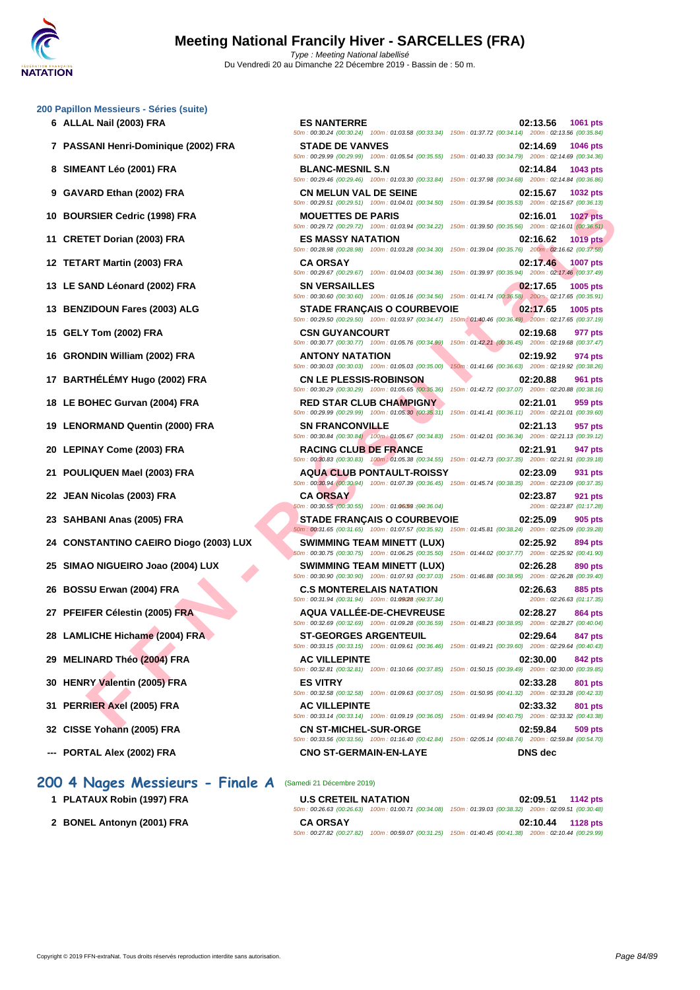#### **[200 Papil](http://www.ffnatation.fr/webffn/index.php)lon Messieurs - Séries (suite)**

- 
- 
- 
- 
- 
- 
- 
- 
- 
- 
- 
- 
- 
- 
- 
- 
- 
- 
- 
- 
- 
- 
- 
- 
- 
- 
- 
- **--- PORTAL Alex (2002) FRA CNO ST-GERMAIN-EN-LAYE DNS dec**

# **200 4 Nages Messieurs - Finale A** (Samedi 21 Décembre 2019)

- **1 PLATAUX Robin (1997) FRA**
- **2 BONEL Antonyn (2001) FRA**

**FIED DOTAIN THE SAMERO DUSTRANE CONTRACTE SAMERO PARACHINE SAMERO DE SAMERO DE SAMERO DE SAMERO DE SAMERO DE SAMERO DE SAMERO DE SAMERO DE SAMERO DE SAMERO DE SAMERO DE SAMERO DE SAMERO DE SAMERO DE SAMERO DE SAMERO DE SA 6 ALLAL Nail (2003) FRA ES NANTERRE 02:13.56 1061 pts** 50m : 00:30.24 (00:30.24) 100m : 01:03.58 (00:33.34) 150m : 01:37.72 (00:34.14) 200m : 02:13.56 (00:35.84) **7 PASSANI Henri-Dominique (2002) FRA STADE DE VANVES 02:14.69 1046 pts** 50m : 00:29.99 (00:29.99) 100m : 01:05.54 (00:35.55) 150m : 01:40.33 (00:34.79) 200m : 02:14.69 (00:34.36) **8 SIMEANT Léo (2001) FRA BLANC-MESNIL S.N 02:14.84 1043 pts** 50m : 00:29.46 (00:29.46) 100m : 01:03.30 (00:33.84) 150m : 01:37.98 (00:34.68) 200m : 02:14.84 (00:36.86) **9 GAVARD Ethan (2002) FRA CN MELUN VAL DE SEINE 02:15.67 1032 pts** 50m : 00:29.51 (00:29.51) 100m : 01:04.01 (00:34.50) 150m : 01:39.54 (00:35.53) 200m : 02:15.67 (00:36.13) **10 BOURSIER Cedric (1998) FRA MOUETTES DE PARIS 02:16.01 1027 pts** 50m : 00:29.72 (00:29.72) 100m : 01:03.94 (00:34.22) 150m : 01:39.50 (00:35.56) 200m : 02:16.01 (00:36.51) **11 CRETET Dorian (2003) FRA ES MASSY NATATION 02:16.62 1019 pts** 50m : 00:28.98 (00:28.98) 100m : 01:03.28 (00:34.30) 150m : 01:39.04 (00:35.76) 200m : 02:16.62 (00:37.58) **12 TETART Martin (2003) FRA CA ORSAY 02:17.46 1007 pts** 50m : 00:29.67 (00:29.67) 100m : 01:04.03 (00:34.36) 150m : 01:39.97 (00:35.94) 200m : 02:17.46 (00:37.49) **13 LE SAND Léonard (2002) FRA SN VERSAILLES 02:17.65 1005 pts** 50m : 00:30.60 (00:30.60) 100m : 01:05.16 (00:34.56) 150m : 01:41.74 (00:36.58) 200m : 02:17.65 (00:35.91) **13 BENZIDOUN Fares (2003) ALG STADE FRANÇAIS O COURBEVOIE 02:17.65 1005 pts** 50m : 00:29.50 (00:29.50) 100m : 01:03.97 (00:34.47) 150m : 01:40.46 (00:36.49) 200m : 02:17.65 (00:37.19) **15 GELY Tom (2002) FRA CSN GUYANCOURT 02:19.68 977 pts** 50m : 00:30.77 (00:30.77) 100m : 01:05.76 (00:34.99) 150m : 01:42.21 (00:36.45) 200m : 02:19.68 (00:37.47) **16 GRONDIN William (2002) FRA ANTONY NATATION 02:19.92 974 pts** 50m : 00:30.03 (00:30.03) 100m : 01:05.03 (00:35.00) 150m : 01:41.66 (00:36.63) 200m : 02:19.92 (00:38.26) **17 BARTHÉLÉMY Hugo (2002) FRA CN LE PLESSIS-ROBINSON 02:20.88 961 pts** 50m : 00:30.29 (00:30.29) 100m : 01:05.65 (00:35.36) 150m : 01:42.72 (00:37.07) 200m : 02:20.88 (00:38.16) **18 LE BOHEC Gurvan (2004) FRA RED STAR CLUB CHAMPIGNY 02:21.01 959 pts** 50m : 00:29.99 (00:29.99) 100m : 01:05.30 (00:35.31) 150m : 01:41.41 (00:36.11) 200m : 02:21.01 (00:39.60) **19 LENORMAND Quentin (2000) FRA SN FRANCONVILLE 02:21.13 957 pts** 50m : 00:30.84 (00:30.84) 100m : 01:05.67 (00:34.83) 150m : 01:42.01 (00:36.34) 200m : 02:21.13 (00:39.12) **20 LEPINAY Come (2003) FRA RACING CLUB DE FRANCE 02:21.91 947 pts** 50m : 00:30.83 (00:30.83) 100m : 01:05.38 (00:34.55) 150m : 01:42.73 (00:37.35) 200m : 02:21.91 (00:39.18) **21 POULIQUEN Mael (2003) FRA AQUA CLUB PONTAULT-ROISSY 02:23.09 931 pts** 50m : 00:30.94 (00:30.94) 100m : 01:07.39 (00:36.45) 150m : 01:45.74 (00:38.35) 200m : 02:23.09 (00:37.35) **22 JEAN Nicolas (2003) FRA CA ORSAY CA ORSAY CA ORSAY 02:23.87 02:23.87 921 pts**<br> **22 02:23.87 01:17.28**  $50m$  : 00:30.55 (00:30.55) 100m : 01:06.59 (00:36.04) **23 SAHBANI Anas (2005) FRA STADE FRANÇAIS O COURBEVOIE 02:25.09 905 pts** 50m : 00:31.65 (00:31.65) 100m : 01:07.57 (00:35.92) 150m : 01:45.81 (00:38.24) 200m : 02:25.09 (00:39.28) **24 CONSTANTINO CAEIRO Diogo (2003) LUX SWIMMING TEAM MINETT (LUX) 02:25.92 894 pts** 50m : 00:30.75 (00:30.75) 100m : 01:06.25 (00:35.50) 150m : 01:44.02 (00:37.77) 200m : 02:25.92 (00:41.90) **25 SIMAO NIGUEIRO Joao (2004) LUX SWIMMING TEAM MINETT (LUX) 02:26.28 890 pts** 50m : 00:30.90 (00:30.90) 100m : 01:07.93 (00:37.03) 150m : 01:46.88 (00:38.95) 200m : 02:26.28 (00:39.40) **26 BOSSU Erwan (2004) FRA C.S MONTERELAIS NATATION 02:26.63 885 pts**<br> **28** *com***: 02:26.63** *com consider <b>com consider (00:31.94 100m*</mark> *consider (00:31.94**<b>com 22:26.63 com 22:26.63* 50m : 00:31.94 (00:31.94) 100m : 01:09/28 :(00:37.34) 200m : 02:26.63 (01:17.35) **27 PFEIFER Célestin (2005) FRA AQUA VALLÉE-DE-CHEVREUSE 02:28.27 864 pts** 50m : 00:32.69 (00:32.69) 100m : 01:09.28 (00:36.59) 150m : 01:48.23 (00:38.95) 200m : 02:28.27 (00:40.04) **28 LAMLICHE Hichame (2004) FRA ST-GEORGES ARGENTEUIL 02:29.64 847 pts** 50m : 00:33.15 (00:33.15) 100m : 01:09.61 (00:36.46) 150m : 01:49.21 (00:39.60) 200m : 02:29.64 (00:40.43) **29 MELINARD Théo (2004) FRA AC VILLEPINTE 02:30.00 842 pts** 50m : 00:32.81 (00:32.81) 100m : 01:10.66 (00:37.85) 150m : 01:50.15 (00:39.49) 200m : 02:30.00 (00:39.85) **30 HENRY Valentin (2005) FRA ES VITRY 02:33.28 801 pts** 50m : 00:32.58 (00:32.58) 100m : 01:09.63 (00:37.05) 150m : 01:50.95 (00:41.32) 200m : 02:33.28 (00:42.33) **31 PERRIER Axel (2005) FRA AC VILLEPINTE 02:33.32 801 pts** 50m : 00:33.14 (00:33.14) 100m : 01:09.19 (00:36.05) 150m : 01:49.94 (00:40.75) 200m : 02:33.32 (00:43.38) **32 CISSE Yohann (2005) FRA CN ST-MICHEL-SUR-ORGE 02:59.84 509 pts** 50m : 00:33.56 (00:33.56) 100m : 01:16.40 (00:42.84) 150m : 02:05.14 (00:48.74) 200m : 02:59.84 (00:54.70)

| <b>U.S CRETEIL NATATION</b> |                                                                                                        | 02:09.51 1142 pts   |  |
|-----------------------------|--------------------------------------------------------------------------------------------------------|---------------------|--|
|                             | 50m: 00:26.63 (00:26.63) 100m: 01:00.71 (00:34.08) 150m: 01:39.03 (00:38.32) 200m: 02:09.51 (00:30.48) |                     |  |
| <b>CA ORSAY</b>             |                                                                                                        | $02:10.44$ 1128 pts |  |
|                             | 50m: 00:27.82 (00:27.82) 100m: 00:59.07 (00:31.25) 150m: 01:40.45 (00:41.38) 200m: 02:10.44 (00:29.99) |                     |  |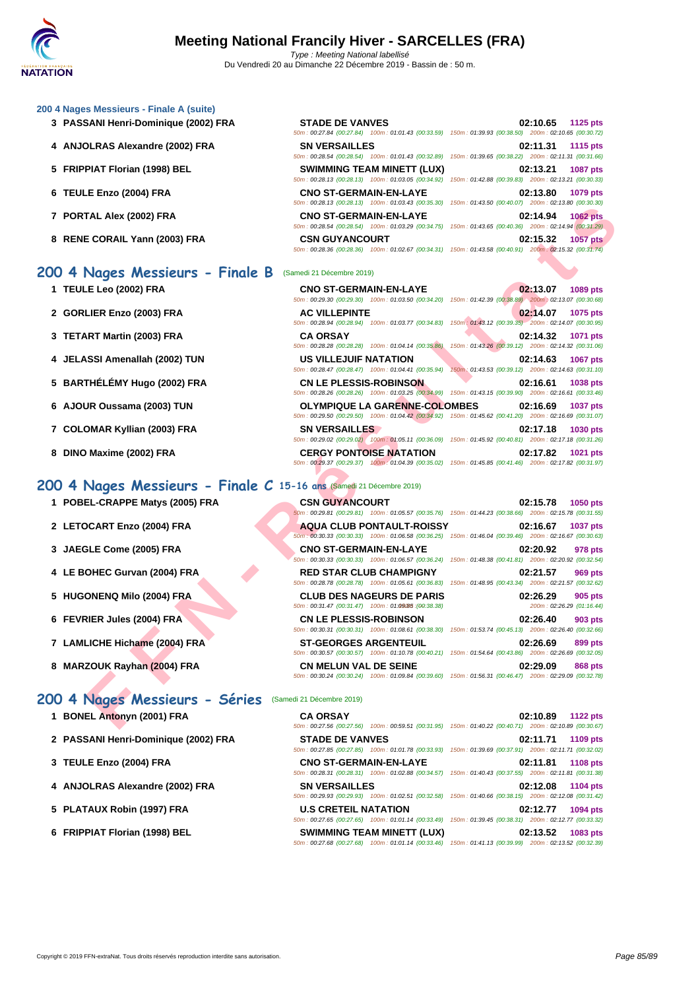### **[200 4 Nag](http://www.ffnatation.fr/webffn/index.php)es Messieurs - Finale A (suite)**

- **3** PASSANI Henri-Dominique (2002) FRA
- **4 ANJOLRAS Alexandre (2002) FRA**
- **5 FRIPPIAT Florian (1998) BEL**
- **6 TEULE Enzo (2004) FRA CNO ST-GERMAIN-EN-LAYE 02:13.80 1079 pts**
- **7 PORTAL Alex (2002) FRA**
- **8** RENE CORAIL Yann (2003) FRA

# **200 4 Nages Messieurs - Finale B** (Samedi 21 Décembre 2019)

- **1 TEULE Leo (2002) FRA CNO ST-GERMAIN-EN-LAYE 02:13.07 1089 pts**
- **2 GORLIER Enzo (2003) FRA AC VILLEPINTE 02:14.07 1075 pts**
- **3 TETART Martin (2003) FRA**
- **4 JELASSI Amenallah (2002) TUN**
- **5** BARTHÉLÉMY Hugo (2002) FRA
- **6** AJOUR Oussama (2003) TUN
- **7** COLOMAR Kyllian (2003) FRA
- **8 DINO Maxime (2002) FRA CERGY PONTOISE NATATION 02:17.82 1021 pts**

### **200 4 Nages Messieurs - Finale C 15-16 ans** (Samedi 21 Décembre 2019)

- **1 POBEL-CRAPPE Matys (2005) FRA CSN GUYANCOURT 02:15.78 1050 pts**
- 
- 
- 
- 
- 
- 
- 

### **200 4 Nages Messieurs - Séries** (Samedi 21 Décembre 2019)

- **1 BONEL Antonyn (2001) FRA**
- **2 PASSANI Henri-Dominique (2002) FRA**
- **3 [TEULE Enzo \(2004\) FRA](http://www.ffnatation.fr/webffn/resultats.php?idact=nat&go=epr&idcpt=64277&idepr=91) CNO ST-GERMAIN-EN-LAYE 02:11.81 1108 pts**
- **4** ANJOLRAS Alexandre (2002) FRA
- **5 PLATAUX Robin (1997) FRA**
- **6 FRIPPIAT Florian (1998) BEL**

| <b>STADE DE VANVES</b>            | 02:10.65 1125 pts                                                                                      |
|-----------------------------------|--------------------------------------------------------------------------------------------------------|
|                                   | 50m: 00:27.84 (00:27.84) 100m: 01:01.43 (00:33.59) 150m: 01:39.93 (00:38.50) 200m: 02:10.65 (00:30.72) |
| <b>SN VERSAILLES</b>              | 02:11.31 1115 pts                                                                                      |
|                                   | 50m: 00:28.54 (00:28.54) 100m: 01:01.43 (00:32.89) 150m: 01:39.65 (00:38.22) 200m: 02:11.31 (00:31.66) |
| <b>SWIMMING TEAM MINETT (LUX)</b> | 02:13.21 1087 pts                                                                                      |
|                                   | 50m: 00:28.13 (00:28.13) 100m: 01:03.05 (00:34.92) 150m: 01:42.88 (00:39.83) 200m: 02:13.21 (00:30.33) |
| <b>CNO ST-GERMAIN-EN-LAYE</b>     | 02:13.80 1079 pts                                                                                      |
|                                   | 50m: 00:28.13 (00:28.13) 100m: 01:03.43 (00:35.30) 150m: 01:43.50 (00:40.07) 200m: 02:13.80 (00:30.30) |
| <b>CNO ST-GERMAIN-EN-LAYE</b>     | 02:14.94 1062 pts                                                                                      |
|                                   | 50m: 00:28.54 (00:28.54) 100m: 01:03.29 (00:34.75) 150m: 01:43.65 (00:40.36) 200m: 02:14.94 (00:31.29) |
| <b>CSN GUYANCOURT</b>             | 02:15.32 1057 pts                                                                                      |
|                                   | 50m: 00:28.36 (00:28.36) 100m: 01:02.67 (00:34.31) 150m: 01:43.58 (00:40.91) 200m: 02:15.32 (00:31.74) |

|                                                                  | $10011. 00220. 13$ $10020. 13$ $10011. 0103.43$ $100.33.30$ $10011. 01.43.30$ $100.40.07$                                                          |                                                                                                                                           |
|------------------------------------------------------------------|----------------------------------------------------------------------------------------------------------------------------------------------------|-------------------------------------------------------------------------------------------------------------------------------------------|
| TAL Alex (2002) FRA                                              | <b>CNO ST-GERMAIN-EN-LAYE</b>                                                                                                                      | 02:14.94<br><b>1062 pts</b><br>50m : 00:28.54 (00:28.54) 100m : 01:03.29 (00:34.75) 150m : 01:43.65 (00:40.36) 200m : 02:14.94 (00:31.29) |
| E CORAIL Yann (2003) FRA                                         | <b>CSN GUYANCOURT</b>                                                                                                                              | 02:15.32<br><b>1057 pts</b><br>50m: 00:28.36 (00:28.36) 100m: 01:02.67 (00:34.31) 150m: 01:43.58 (00:40.91) 200m: 02:15.32 (00:31.74)     |
| Nages Messieurs - Finale B                                       | (Samedi 21 Décembre 2019)                                                                                                                          |                                                                                                                                           |
| <b>E Leo (2002) FRA</b>                                          | <b>CNO ST-GERMAIN-EN-LAYE</b>                                                                                                                      | 02:13.07<br>1089 pts<br>50m : 00:29.30 (00:29.30) 100m : 01:03.50 (00:34.20) 150m : 01:42.39 (00:38.89) 200m : 02:13.07 (00:30.68)        |
| LIER Enzo (2003) FRA                                             | <b>AC VILLEPINTE</b>                                                                                                                               | 02:14.07<br>1075 pts<br>50m: 00:28.94 (00:28.94) 100m: 01:03.77 (00:34.83) 150m: 01:43.12 (00:39.35) 200m: 02:14.07 (00:30.95)            |
| <b>\RT Martin (2003) FRA</b>                                     | <b>CA ORSAY</b><br>50m: 00:28.28 (00:28.28) 100m: 01:04.14 (00:35.86)                                                                              | 02:14.32<br>1071 pts<br>150m: 01:43.26 (00:39.12) 200m: 02:14.32 (00:31.06)                                                               |
| <b>SSI Amenallah (2002) TUN</b>                                  | US VILLEJUIF NATATION<br>50m: 00:28.47 (00:28.47) 100m: 01:04.41 (00:35.94)                                                                        | 02:14.63<br><b>1067 pts</b><br>150m: 01:43.53 (00:39.12) 200m: 02:14.63 (00:31.10)                                                        |
| THÉLÉMY Hugo (2002) FRA                                          | <b>CN LE PLESSIS-ROBINSON</b>                                                                                                                      | 02:16.61<br>1038 pts<br>50m: 00:28.26 (00:28.26) 100m: 01:03.25 (00:34.99) 150m: 01:43.15 (00:39.90) 200m: 02:16.61 (00:33.46)            |
| JR Oussama (2003) TUN                                            | <b>OLYMPIQUE LA GARENNE-COLOMBES</b><br>50m : 00:29.50 (00:29.50) 100m : 01:04.42 (00:34.92) 150m : 01:45.62 (00:41.20) 200m : 02:16.69 (00:31.07) | 02:16.69<br><b>1037 pts</b>                                                                                                               |
| OMAR Kyllian (2003) FRA                                          | <b>SN VERSAILLES</b>                                                                                                                               | 02:17.18<br>1030 pts<br>50m : 00:29.02 (00:29.02) 100m : 01:05.11 (00:36.09) 150m : 01:45.92 (00:40.81) 200m : 02:17.18 (00:31.26)        |
| Maxime (2002) FRA                                                | <b>CERGY PONTOISE NATATION</b>                                                                                                                     | 02:17.82<br>1021 pts<br>50m: 00:29.37 (00:29.37) 100m: 01:04.39 (00:35.02) 150m: 01:45.85 (00:41.46) 200m: 02:17.82 (00:31.97)            |
| Nages Messieurs - Finale C 15-16 ans $(Samedi 21 Décembre 2019)$ |                                                                                                                                                    |                                                                                                                                           |
| EL-CRAPPE Matys (2005) FRA                                       | <b>CSN GUYANCOURT</b>                                                                                                                              | 02:15.78<br>1050 pts<br>60m : 00:29.81 (00:29.81) 100m : 01:05.57 (00:35.76) 150m : 01:44.23 (00:38.66) 200m : 02:15.78 (00:31.55)        |
| <b>DCART Enzo (2004) FRA</b>                                     | <b>AQUA CLUB PONTAULT-ROISSY</b>                                                                                                                   | 02:16.67<br><b>1037 pts</b><br>50m : 00:30.33 (00:30.33) 100m : 01:06.58 (00:36.25) 150m : 01:46.04 (00:39.46) 200m : 02:16.67 (00:30.63) |
| <b>GLE Come (2005) FRA</b>                                       | <b>CNO ST-GERMAIN-EN-LAYE</b>                                                                                                                      | 02:20.92<br>978 pts<br>50m: 00:30.33 (00:30.33) 100m: 01:06.57 (00:36.24) 150m: 01:48.38 (00:41.81) 200m: 02:20.92 (00:32.54)             |
| OHEC Gurvan (2004) FRA                                           | <b>RED STAR CLUB CHAMPIGNY</b>                                                                                                                     | 02:21.57<br>969 pts<br>50m: 00:28.78 (00:28.78) 100m: 01:05.61 (00:36.83) 150m: 01:48.95 (00:43.34) 200m: 02:21.57 (00:32.62)             |
| <b>ONENQ Milo (2004) FRA</b>                                     | <b>CLUB DES NAGEURS DE PARIS</b><br>50m: 00:31.47 (00:31.47) 100m: 01:09:85 : (00:38.38)                                                           | 02:26.29<br>905 pts<br>200m: 02:26.29 (01:16.44)                                                                                          |
| <b>RIER Jules (2004) FRA</b>                                     | <b>CN LE PLESSIS-ROBINSON</b>                                                                                                                      | 02:26.40<br>903 pts<br>50m : 00:30.31 (00:30.31) 100m : 01:08.61 (00:38.30) 150m : 01:53.74 (00:45.13) 200m : 02:26.40 (00:32.66)         |
| LICHE Hichame (2004) FRA                                         | <b>ST-GEORGES ARGENTEUIL</b>                                                                                                                       | 02:26.69<br>899 pts<br>50m : 00:30.57 (00:30.57) 100m : 01:10.78 (00:40.21) 150m : 01:54.64 (00:43.86) 200m : 02:26.69 (00:32.05)         |
| ZOUK Rayhan (2004) FRA                                           | <b>CN MELUN VAL DE SEINE</b>                                                                                                                       | 02:29.09<br>868 pts<br>50m: 00:30.24 (00:30.24) 100m: 01:09.84 (00:39.60) 150m: 01:56.31 (00:46.47) 200m: 02:29.09 (00:32.78)             |
| Nages Messieurs - Séries                                         | (Samedi 21 Décembre 2019)                                                                                                                          |                                                                                                                                           |
| EL Antonyn (2001) FRA                                            | <b>CA ORSAY</b>                                                                                                                                    | 02:10.89<br><b>1122 pts</b><br>50m: 00:27.56 (00:27.56) 100m: 00:59.51 (00:31.95) 150m: 01:40.22 (00:40.71) 200m: 02:10.89 (00:30.67)     |

|                               | 50m: 00:29.81 (00:29.81) 100m: 01:05.57 (00:35.76) 150m: 01:44.23 (00:38.66) 200m: 02:15.78 (00:31.55)                                     |                                                  |
|-------------------------------|--------------------------------------------------------------------------------------------------------------------------------------------|--------------------------------------------------|
| 2 LETOCART Enzo (2004) FRA    | <b>AQUA CLUB PONTAULT-ROISSY</b><br>50m: 00:30.33 (00:30.33) 100m: 01:06.58 (00:36.25) 150m: 01:46.04 (00:39.46) 200m: 02:16.67 (00:30.63) | 02:16.67<br><b>1037 pts</b>                      |
| 3 JAEGLE Come (2005) FRA      | <b>CNO ST-GERMAIN-EN-LAYE</b><br>50m: 00:30.33 (00:30.33) 100m: 01:06.57 (00:36.24) 150m: 01:48.38 (00:41.81) 200m: 02:20.92 (00:32.54)    | 02:20.92<br>978 pts                              |
| 4 LE BOHEC Gurvan (2004) FRA  | <b>RED STAR CLUB CHAMPIGNY</b><br>50m: 00:28.78 (00:28.78) 100m: 01:05.61 (00:36.83) 150m: 01:48.95 (00:43.34) 200m: 02:21.57 (00:32.62)   | 02:21.57<br>969 pts                              |
| 5 HUGONENQ Milo (2004) FRA    | <b>CLUB DES NAGEURS DE PARIS</b><br>50m: 00:31.47 (00:31.47) 100m: 01:09:85 : (00:38.38)                                                   | 02:26.29<br>905 pts<br>200m: 02:26.29 (01:16.44) |
| 6 FEVRIER Jules (2004) FRA    | <b>CN LE PLESSIS-ROBINSON</b><br>50m: 00:30.31 (00:30.31) 100m: 01:08.61 (00:38.30) 150m: 01:53.74 (00:45.13) 200m: 02:26.40 (00:32.66)    | 02:26.40<br>903 pts                              |
| 7 LAMLICHE Hichame (2004) FRA | <b>ST-GEORGES ARGENTEUIL</b>                                                                                                               | 02:26.69<br>899 pts                              |

50m : 00:30.57 (00:30.57) 100m : 01:10.78 (00:40.21) 150m : 01:54.64 (00:43.86) 200m : 02:26.69 (00:32.05) **8 MARZOUK Rayhan (2004) FRA CN MELUN VAL DE SEINE 02:29.09 868 pts**

| <b>CA ORSAY</b>               |                                                                                                        |                                                     |  | 02:10.89 1122 pts |
|-------------------------------|--------------------------------------------------------------------------------------------------------|-----------------------------------------------------|--|-------------------|
|                               | 50m: 00:27.56 (00:27.56) 100m: 00:59.51 (00:31.95) 150m: 01:40.22 (00:40.71) 200m: 02:10.89 (00:30.67) |                                                     |  |                   |
| <b>STADE DE VANVES</b>        |                                                                                                        |                                                     |  | 02:11.71 1109 pts |
|                               | 50m: 00:27.85 (00:27.85) 100m: 01:01.78 (00:33.93) 150m: 01:39.69 (00:37.91) 200m: 02:11.71 (00:32.02) |                                                     |  |                   |
| <b>CNO ST-GERMAIN-EN-LAYE</b> |                                                                                                        |                                                     |  | 02:11.81 1108 pts |
|                               | 50m: 00:28.31 (00:28.31) 100m: 01:02.88 (00:34.57) 150m: 01:40.43 (00:37.55) 200m: 02:11.81 (00:31.38) |                                                     |  |                   |
|                               |                                                                                                        |                                                     |  |                   |
| <b>SN VERSAILLES</b>          |                                                                                                        |                                                     |  | 02:12.08 1104 pts |
|                               | 50m: 00:29.93 (00:29.93) 100m: 01:02.51 (00:32.58) 150m: 01:40.66 (00:38.15) 200m: 02:12.08 (00:31.42) |                                                     |  |                   |
| <b>U.S CRETEIL NATATION</b>   |                                                                                                        |                                                     |  | 02:12.77 1094 pts |
|                               | 50m: 00:27.65 (00:27.65) 100m: 01:01.14 (00:33.49)                                                     | 150m: 01:39.45 (00:38.31) 200m: 02:12.77 (00:33.32) |  |                   |
|                               | <b>SWIMMING TEAM MINETT (LUX)</b>                                                                      |                                                     |  | 02:13.52 1083 pts |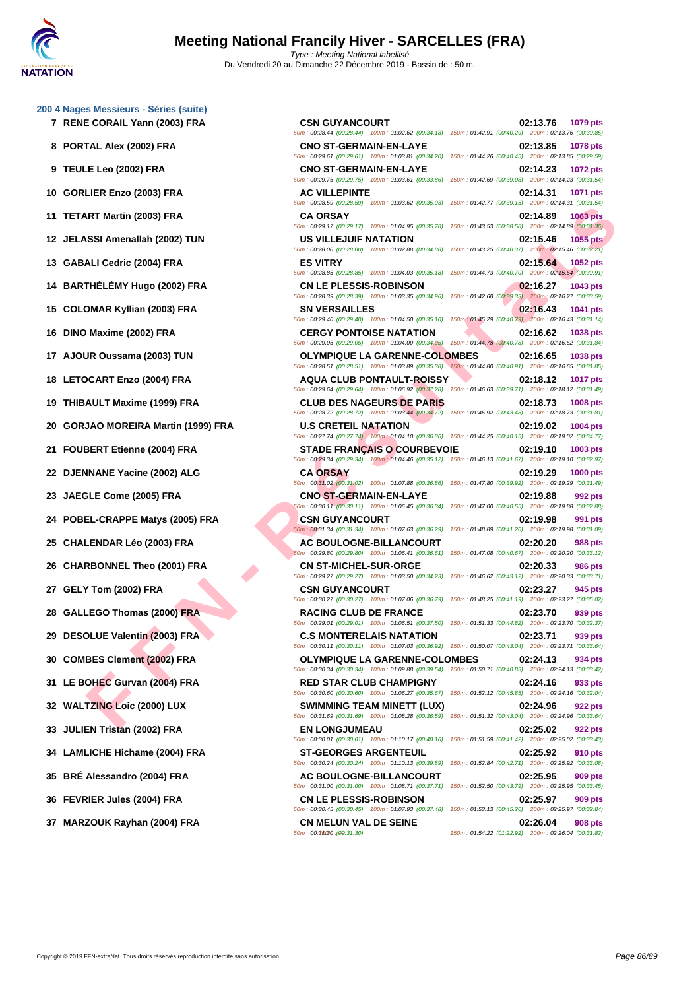### **[200 4 Nag](http://www.ffnatation.fr/webffn/index.php)es Messieurs - Séries (suite)**

- 
- 
- 
- 
- 
- 
- 
- 
- 
- 
- 
- 
- 
- **20 GORJAO MOREIRA Martin (1999) FRA U.S CRETEIL NATATION 02:19.02 1004 pts**
- 
- 
- 
- 
- 
- 
- 
- 
- 
- 
- 
- 
- 
- 
- 
- 
- **37 MARZOUK Rayhan (2004) FRA CN MELUN VAL DE SEINE 02:26.04 02:26.04 908 pts**<br> **50m**: 00:3**4:3 01:54.22** (01:22.92) 200m : 02:26.04 (00:31.82)

**FINAL MATIM (2003) FRA**<br> **FRAME LIGUE DISTRACTION CONTINUES AND INSTRUMENT ON A SCIENCE AND INSTRUMENT ON A SCIENCE AND INSTRUMENT ON A SCIENCE AND INSTRUMENT ON A SCIENCE AND INSTRUMENT ON A SCIENCE AND INSTRUMENT ON A 7 RENE CORAIL Yann (2003) FRA CSN GUYANCOURT 02:13.76 1079 pts** 50m : 00:28.44 (00:28.44) 100m : 01:02.62 (00:34.18) 150m : 01:42.91 (00:40.29) 200m : 02:13.76 (00:30.85) **8 PORTAL Alex (2002) FRA CNO ST-GERMAIN-EN-LAYE 02:13.85 1078 pts** 50m : 00:29.61 (00:29.61) 100m : 01:03.81 (00:34.20) 150m : 01:44.26 (00:40.45) 200m : 02:13.85 (00:29.59) **9 TEULE Leo (2002) FRA CNO ST-GERMAIN-EN-LAYE 02:14.23 1072 pts** 50m : 00:29.75 (00:29.75) 100m : 01:03.61 (00:33.86) 150m : 01:42.69 (00:39.08) 200m : 02:14.23 (00:31.54) **10 GORLIER Enzo (2003) FRA AC VILLEPINTE 02:14.31 1071 pts** 50m : 00:28.59 (00:28.59) 100m : 01:03.62 (00:35.03) 150m : 01:42.77 (00:39.15) 200m : 02:14.31 (00:31.54) **11 TETART Martin (2003) FRA CA ORSAY 02:14.89 1063 pts** 50m : 00:29.17 (00:29.17) 100m : 01:04.95 (00:35.78) 150m : 01:43.53 (00:38.58) 200m : 02:14.89 (00:31.36) **12 JELASSI Amenallah (2002) TUN US VILLEJUIF NATATION 02:15.46 1055 pts** 50m : 00:28.00 (00:28.00) 100m : 01:02.88 (00:34.88) 150m : 01:43.25 (00:40.37) 200m : 02:15.46 (00:32.21) **13 GABALI Cedric (2004) FRA ES VITRY 02:15.64 1052 pts** 50m : 00:28.85 (00:28.85) 100m : 01:04.03 (00:35.18) 150m : 01:44.73 (00:40.70) 200m : 02:15.64 (00:30.91) **14 BARTHÉLÉMY Hugo (2002) FRA CN LE PLESSIS-ROBINSON 02:16.27 1043 pts** 50m : 00:28.39 (00:28.39) 100m : 01:03.35 (00:34.96) 150m : 01:42.68 (00:39.33) 200m : 02:16.27 (00:33.59) **15 COLOMAR Kyllian (2003) FRA SN VERSAILLES 02:16.43 1041 pts** 50m : 00:29.40 (00:29.40) 100m : 01:04.50 (00:35.10) 150m : 01:45.29 (00:40.79) 200m : 02:16.43 (00:31.14) **16 DINO Maxime (2002) FRA CERGY PONTOISE NATATION 02:16.62 1038 pts** 50m : 00:29.05 (00:29.05) 100m : 01:04.00 (00:34.95) 150m : 01:44.78 (00:40.78) 200m : 02:16.62 (00:31.84) **17 AJOUR Oussama (2003) TUN OLYMPIQUE LA GARENNE-COLOMBES 02:16.65 1038 pts** 50m : 00:28.51 (00:28.51) 100m : 01:03.89 (00:35.38) 150m : 01:44.80 (00:40.91) 200m : 02:16.65 (00:31.85) **18 LETOCART Enzo (2004) FRA AQUA CLUB PONTAULT-ROISSY 02:18.12 1017 pts** 50m : 00:29.64 (00:29.64) 100m : 01:06.92 (00:37.28) 150m : 01:46.63 (00:39.71) 200m : 02:18.12 (00:31.49) **19 THIBAULT Maxime (1999) FRA CLUB DES NAGEURS DE PARIS 02:18.73 1008 pts** 50m : 00:28.72 (00:28.72) 100m : 01:03.44 (00:34.72) 150m : 01:46.92 (00:43.48) 200m : 02:18.73 (00:31.81) 50m : 00:27.74 (00:27.74) 100m : 01:04.10 (00:36.36) 150m : 01:44.25 (00:40.15) 200m : 02:19.02 (00:34.77) **21 FOUBERT Etienne (2004) FRA STADE FRANÇAIS O COURBEVOIE 02:19.10 1003 pts** 50m : 00:29.34 (00:29.34) 100m : 01:04.46 (00:35.12) 150m : 01:46.13 (00:41.67) 200m : 02:19.10 (00:32.97) **22 DJENNANE Yacine (2002) ALG CA ORSAY 02:19.29 1000 pts** 50m : 00:31.02 (00:31.02) 100m : 01:07.88 (00:36.86) 150m : 01:47.80 (00:39.92) 200m : 02:19.29 (00:31.49) **23 JAEGLE Come (2005) FRA CNO ST-GERMAIN-EN-LAYE 02:19.88 992 pts** 50m : 00:30.11 (00:30.11) 100m : 01:06.45 (00:36.34) 150m : 01:47.00 (00:40.55) 200m : 02:19.88 (00:32.88) **24 POBEL-CRAPPE Matys (2005) FRA CSN GUYANCOURT 02:19.98 991 pts** 50m : 00:31.34 (00:31.34) 100m : 01:07.63 (00:36.29) 150m : 01:48.89 (00:41.26) 200m : 02:19.98 (00:31.09) **25 CHALENDAR Léo (2003) FRA AC BOULOGNE-BILLANCOURT 02:20.20 988 pts** 50m : 00:29.80 (00:29.80) 100m : 01:06.41 (00:36.61) 150m : 01:47.08 (00:40.67) 200m : 02:20.20 (00:33.12) **26 CHARBONNEL Theo (2001) FRA CN ST-MICHEL-SUR-ORGE 02:20.33 986 pts** 50m : 00:29.27 (00:29.27) 100m : 01:03.50 (00:34.23) 150m : 01:46.62 (00:43.12) 200m : 02:20.33 (00:33.71) **27 GELY Tom (2002) FRA CSN GUYANCOURT 02:23.27 945 pts** 50m : 00:30.27 (00:30.27) 100m : 01:07.06 (00:36.79) 150m : 01:48.25 (00:41.19) 200m : 02:23.27 (00:35.02) **28 GALLEGO Thomas (2000) FRA RACING CLUB DE FRANCE 02:23.70 939 pts** 50m : 00:29.01 (00:29.01) 100m : 01:06.51 (00:37.50) 150m : 01:51.33 (00:44.82) 200m : 02:23.70 (00:32.37) **29 DESOLUE Valentin (2003) FRA C.S MONTERELAIS NATATION 02:23.71 939 pts** 50m : 00:30.11 (00:30.11) 100m : 01:07.03 (00:36.92) 150m : 01:50.07 (00:43.04) 200m : 02:23.71 (00:33.64) **30 COMBES Clement (2002) FRA OLYMPIQUE LA GARENNE-COLOMBES 02:24.13 934 pts** 50m : 00:30.34 (00:30.34) 100m : 01:09.88 (00:39.54) 150m : 01:50.71 (00:40.83) 200m : 02:24.13 (00:33.42) **31 LE BOHEC Gurvan (2004) FRA RED STAR CLUB CHAMPIGNY 02:24.16 933 pts** 50m : 00:30.60 (00:30.60) 100m : 01:06.27 (00:35.67) 150m : 01:52.12 (00:45.85) 200m : 02:24.16 (00:32.04) **32 WALTZING Loic (2000) LUX SWIMMING TEAM MINETT (LUX) 02:24.96 922 pts** 50m : 00:31.69 (00:31.69) 100m : 01:08.28 (00:36.59) 150m : 01:51.32 (00:43.04) 200m : 02:24.96 (00:33.64) **33 JULIEN Tristan (2002) FRA EN LONGJUMEAU 02:25.02 922 pts** 50m : 00:30.01 (00:30.01) 100m : 01:10.17 (00:40.16) 150m : 01:51.59 (00:41.42) 200m : 02:25.02 (00:33.43) **34 LAMLICHE Hichame (2004) FRA ST-GEORGES ARGENTEUIL 02:25.92 910 pts** 50m : 00:30.24 (00:30.24) 100m : 01:10.13 (00:39.89) 150m : 01:52.84 (00:42.71) 200m : 02:25.92 (00:33.08) **35 BRÉ Alessandro (2004) FRA AC BOULOGNE-BILLANCOURT 02:25.95 909 pts** 50m : 00:31.00 (00:31.00) 100m : 01:08.71 (00:37.71) 150m : 01:52.50 (00:43.79) 200m : 02:25.95 (00:33.45) **36 FEVRIER Jules (2004) FRA CN LE PLESSIS-ROBINSON 02:25.97 909 pts** 50m : 00:30.45 (00:30.45) 100m : 01:07.93 (00:37.48) 150m : 01:53.13 (00:45.20) 200m : 02:25.97 (00:32.84)

150m : 01:54.22 (01:22.92) 200m : 02:26.04 (00:31.82)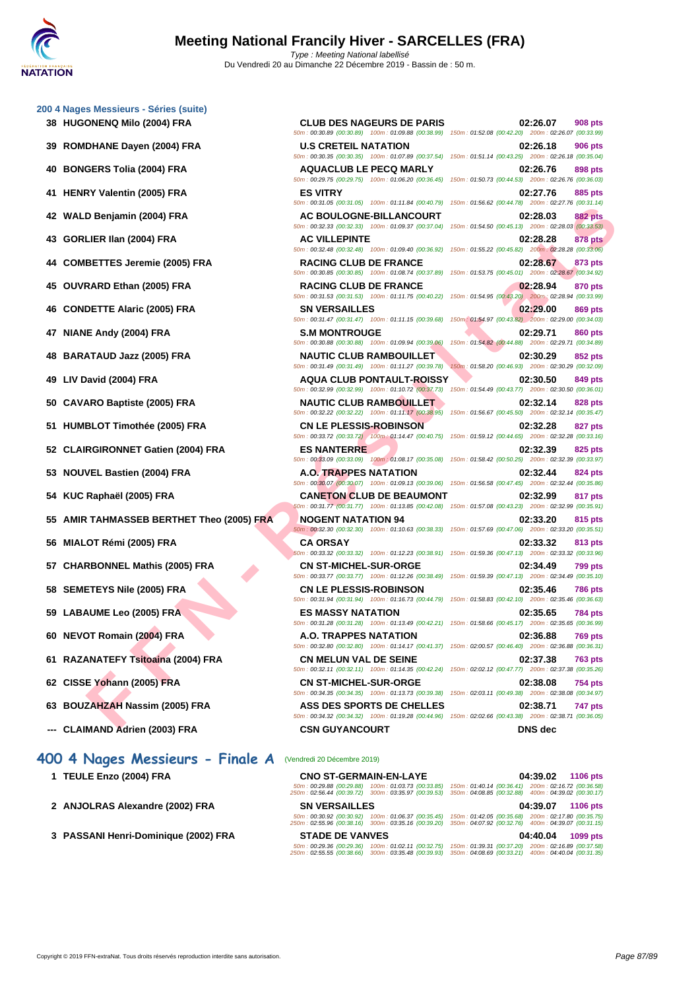| 38 HUGONENQ Milo (2004) FRA                  | <b>CLUB DES NAGEURS DE PARIS</b><br>50m : 00:30.89 (00:30.89) 100m : 01:09.88 (00:38.99) 150m : 01:52.08 (00:42.20) 200m : 02:26.07 (00:33.99) | 02:26.07<br><b>908 pts</b>                                                        |
|----------------------------------------------|------------------------------------------------------------------------------------------------------------------------------------------------|-----------------------------------------------------------------------------------|
| <b>ROMDHANE Dayen (2004) FRA</b><br>39       | <b>U.S CRETEIL NATATION</b><br>50m: 00:30.35 (00:30.35) 100m: 01:07.89 (00:37.54) 150m: 01:51.14 (00:43.25) 200m: 02:26.18 (00:35.04)          | 02:26.18<br>906 pts                                                               |
| <b>BONGERS Tolia (2004) FRA</b><br>40        | <b>AQUACLUB LE PECQ MARLY</b><br>50m: 00:29.75 (00:29.75) 100m: 01:06.20 (00:36.45) 150m: 01:50.73 (00:44.53) 200m: 02:26.76 (00:36.03)        | 02:26.76<br>898 pts                                                               |
| 41 HENRY Valentin (2005) FRA                 | <b>ES VITRY</b><br>50m: 00:31.05 (00:31.05) 100m: 01:11.84 (00:40.79)                                                                          | 02:27.76<br>885 pts<br>150m: 01:56.62 (00:44.78) 200m: 02:27.76 (00:31.14)        |
| 42 WALD Benjamin (2004) FRA                  | <b>AC BOULOGNE-BILLANCOURT</b>                                                                                                                 | 02:28.03<br><b>882 pts</b>                                                        |
| GORLIER IIan (2004) FRA<br>43                | 50m: 00:32.33 (00:32.33) 100m: 01:09.37 (00:37.04)<br><b>AC VILLEPINTE</b>                                                                     | 150m: 01:54.50 (00:45.13) 200m: 02:28.03 (00:33.53)<br>02:28.28<br><b>878 pts</b> |
| <b>COMBETTES Jeremie (2005) FRA</b><br>44    | 50m: 00:32.48 (00:32.48) 100m: 01:09.40 (00:36.92)<br><b>RACING CLUB DE FRANCE</b>                                                             | 150m: 01:55.22 (00:45.82) 200m: 02:28.28 (00:33.06)<br>02:28.67<br>873 pts        |
| 45 OUVRARD Ethan (2005) FRA                  | 50m: 00:30.85 (00:30.85) 100m: 01:08.74 (00:37.89)<br><b>RACING CLUB DE FRANCE</b>                                                             | 150m: 01:53.75 (00:45.01) 200m: 02:28.67 (00:34.92)<br>02:28.94<br>870 pts        |
| <b>CONDETTE Alaric (2005) FRA</b><br>46      | 50m: 00:31.53 (00:31.53) 100m: 01:11.75 (00:40.22)<br><b>SN VERSAILLES</b>                                                                     | 150m: 01:54.95 (00:43.20) 200m: 02:28.94 (00:33.99)<br>02:29.00<br>869 pts        |
| 47 NIANE Andy (2004) FRA                     | 50m: 00:31.47 (00:31.47) 100m: 01:11.15 (00:39.68)<br><b>S.M MONTROUGE</b>                                                                     | 150m: 01:54.97 (00:43.82) 200m: 02:29.00 (00:34.03)<br>02:29.71<br>860 pts        |
| <b>BARATAUD Jazz (2005) FRA</b><br>48        | 50m: 00:30.88 (00:30.88) 100m: 01:09.94 (00:39.06)<br><b>NAUTIC CLUB RAMBOUILLET</b>                                                           | 150m: 01:54.82 (00:44.88) 200m: 02:29.71 (00:34.89)<br>02:30.29<br>852 pts        |
| LIV David (2004) FRA<br>49                   | 50m: 00:31.49 (00:31.49) 100m: 01:11.27 (00:39.78)<br><b>AQUA CLUB PONTAULT-ROISSY</b>                                                         | 150m: 01:58.20 (00:46.93) 200m: 02:30.29 (00:32.09)<br>02:30.50<br>849 pts        |
| <b>CAVARO Baptiste (2005) FRA</b>            | 50m: 00:32.99 (00:32.99) 100m: 01:10.72 (00:37.73)<br><b>NAUTIC CLUB RAMBOUILLET</b>                                                           | 150m: 01:54.49 (00:43.77) 200m: 02:30.50 (00:36.01)<br>02:32.14<br><b>828 pts</b> |
| 51 HUMBLOT Timothée (2005) FRA               | 50m: 00:32.22 (00:32.22) 100m: 01:11.17 (00:38.95) 150m: 01:56.67 (00:45.50) 200m: 02:32.14 (00:35.47)<br><b>CN LE PLESSIS-ROBINSON</b>        | 02:32.28<br>827 pts                                                               |
| 52 CLAIRGIRONNET Gatien (2004) FRA           | 50m: 00:33.72 (00:33.72) 100m: 01:14.47 (00:40.75)<br><b>ES NANTERRE</b>                                                                       | 150m: 01:59.12 (00:44.65) 200m: 02:32.28 (00:33.16)<br>02:32.39<br>825 pts        |
| <b>NOUVEL Bastien (2004) FRA</b><br>53       | 50m: 00:33.09 (00:33.09) 100m: 01:08.17 (00:35.08)<br><b>A.O. TRAPPES NATATION</b>                                                             | 150m: 01:58.42 (00:50.25) 200m: 02:32.39 (00:33.97)<br>02:32.44<br>824 pts        |
| KUC Raphaël (2005) FRA<br>54                 | 50m: 00:30.07 (00:30.07) 100m: 01:09.13 (00:39.06) 150m: 01:56.58 (00:47.45) 200m: 02:32.44 (00:35.86)<br><b>CANETON CLUB DE BEAUMONT</b>      | 02:32.99<br>817 pts                                                               |
| AMIR TAHMASSEB BERTHET Theo (2005) FRA<br>55 | 50m: 00:31.77 (00:31.77) 100m: 01:13.85 (00:42.08)<br><b>NOGENT NATATION 94</b>                                                                | 150m: 01:57.08 (00:43.23) 200m: 02:32.99 (00:35.91)<br>02:33.20<br>815 pts        |
| MIALOT Rémi (2005) FRA<br>56                 | 50m: 00:32.30 (00:32.30) 100m: 01:10.63 (00:38.33)<br><b>CA ORSAY</b>                                                                          | 150m: 01:57.69 (00:47.06) 200m: 02:33.20 (00:35.51)<br>02:33.32<br>813 pts        |
| 57 CHARBONNEL Mathis (2005) FRA              | 50m: 00:33.32 (00:33.32) 100m: 01:12.23 (00:38.91) 150m: 01:59.36 (00:47.13) 200m: 02:33.32 (00:33.96)<br><b>CN ST-MICHEL-SUR-ORGE</b>         | 02:34.49<br>799 pts                                                               |
| 58 SEMETEYS Nile (2005) FRA                  | 50m: 00:33.77 (00:33.77) 100m: 01:12.26 (00:38.49) 150m: 01:59.39 (00:47.13) 200m: 02:34.49 (00:35.10)<br><b>CN LE PLESSIS-ROBINSON</b>        | 02:35.46<br><b>786 pts</b>                                                        |
| 59 LABAUME Leo (2005) FRA                    | 50m : 00:31.94 (00:31.94) 100m : 01:16.73 (00:44.79) 150m : 01:58.83 (00:42.10) 200m : 02:35.46 (00:36.63)<br><b>ES MASSY NATATION</b>         | 02:35.65<br><b>784 pts</b>                                                        |
| 60 NEVOT Romain (2004) FRA                   | 50m : 00:31.28 (00:31.28) 100m : 01:13.49 (00:42.21) 150m : 01:58.66 (00:45.17) 200m : 02:35.65 (00:36.99)<br>A.O. TRAPPES NATATION            | 02:36.88<br>769 pts                                                               |
| 61 RAZANATEFY Tsitoaina (2004) FRA           | 50m : 00:32.80 (00:32.80) 100m : 01:14.17 (00:41.37) 150m : 02:00.57 (00:46.40) 200m : 02:36.88 (00:36.31)<br><b>CN MELUN VAL DE SEINE</b>     | 02:37.38<br><b>763 pts</b>                                                        |
| 62 CISSE Yohann (2005) FRA                   | 50m: 00:32.11 (00:32.11) 100m: 01:14.35 (00:42.24) 150m: 02:02.12 (00:47.77) 200m: 02:37.38 (00:35.26)<br><b>CN ST-MICHEL-SUR-ORGE</b>         | 02:38.08<br><b>754 pts</b>                                                        |
| 63 BOUZAHZAH Nassim (2005) FRA               | 50m: 00:34.35 (00:34.35) 100m: 01:13.73 (00:39.38)<br><b>ASS DES SPORTS DE CHELLES</b>                                                         | 150m: 02:03.11 (00:49.38) 200m: 02:38.08 (00:34.97)<br>02:38.71<br>747 pts        |
|                                              | 50m : 00:34.32 (00:34.32) 100m : 01:19.28 (00:44.96) 150m : 02:02.66 (00:43.38) 200m : 02:38.71 (00:36.05)                                     | DNC Jes                                                                           |

- **52 CLAIRGIRONNET Gatien (2004) FRA ES NANTERRE 02:32.39 825 pts**
- 
- 
- **55 AMIR TAHMASSEB BERTHET Theo (2005) FRA NOGENT NATATION 94 02:33.20 815 pts**
- 
- 
- 
- 
- 
- 
- 
- **63 BOUZAHZAH Nassim (2005) FRA ASS DES SPORTS DE CHELLES 02:38.71 747 pts**
- **--- CLAIMAND Adrien (2003) FRA CSN GUYANCOURT DNS dec**

# **400 4 Nages Messieurs - Finale A** (Vendredi 20 Décembre 2019)

- 
- **2 [ANJOLRAS Alexandre \(2002\) FRA](http://www.ffnatation.fr/webffn/resultats.php?idact=nat&go=epr&idcpt=64277&idepr=92) SN VERSAILLES 04:39.07 1106 pts**
- **3 PASSANI Henri-Dominique (2002) FRA STADE DE VANVES 04:40.04 1099 pts**

**1 TEULE Enzo (2004) FRA CNO ST-GERMAIN-EN-LAYE 04:39.02 1106 pts** 50m : 00:29.88 (00:29.88) 100m : 01:03.73 (00:33.85) 150m : 01:40.14 (00:36.41) 200m : 02:16.72 (00:36.58) 250m : 02:56.44 (00:39.72) 300m : 03:35.97 (00:39.53) 350m : 04:08.85 (00:32.88) 400m : 04:39.02 (00:30.17) 50m : 00:30.92 (00:30.92) 100m : 01:06.37 (00:35.45) 150m : 01:42.05 (00:35.68) 200m : 02:17.80 (00:35.75) 250m : 02:55.96 (00:38.16) 300m : 03:35.16 (00:39.20) 350m : 04:07.92 (00:32.76) 400m : 04:39.07 (00:31.15) 50m : 00:29.36 (00:29.36) 100m : 01:02.11 (00:32.75) 150m : 01:39.31 (00:37.20) 200m : 02:16.89 (00:37.58) 250m : 02:55.55 (00:38.66) 300m : 03:35.48 (00:39.93) 350m : 04:08.69 (00:33.21) 400m : 04:40.04 (00:31.35)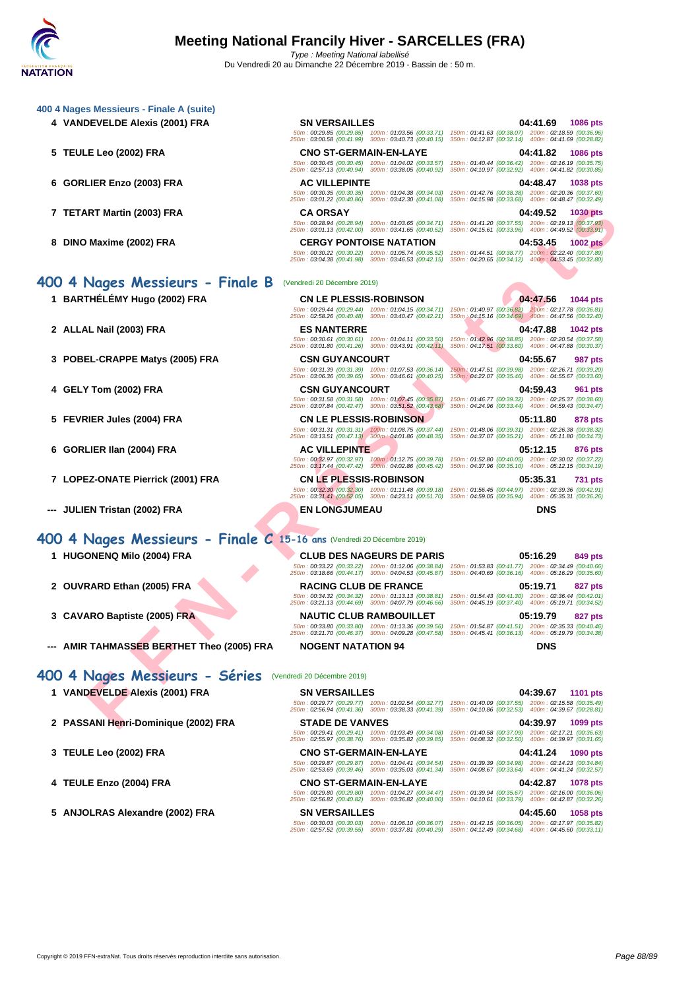|                                                                                                           | 04:41.69<br><b>1086 pts</b>                                                                                                                                                                                                                                                                                                                                                                                                                                                                                                                                                                                                                                                                                                                                                                                                                                                                                                                                                                                                                                                                                                                                                                                                                                                                                                                                                                                                                                                                                                                                                                                                                                                                                                                                                                                                                                                                           |
|-----------------------------------------------------------------------------------------------------------|-------------------------------------------------------------------------------------------------------------------------------------------------------------------------------------------------------------------------------------------------------------------------------------------------------------------------------------------------------------------------------------------------------------------------------------------------------------------------------------------------------------------------------------------------------------------------------------------------------------------------------------------------------------------------------------------------------------------------------------------------------------------------------------------------------------------------------------------------------------------------------------------------------------------------------------------------------------------------------------------------------------------------------------------------------------------------------------------------------------------------------------------------------------------------------------------------------------------------------------------------------------------------------------------------------------------------------------------------------------------------------------------------------------------------------------------------------------------------------------------------------------------------------------------------------------------------------------------------------------------------------------------------------------------------------------------------------------------------------------------------------------------------------------------------------------------------------------------------------------------------------------------------------|
|                                                                                                           | 50m: 00:29.85 (00:29.85) 100m: 01:03.56 (00:33.71) 150m: 01:41.63 (00:38.07) 200m: 02:18.59 (00:36.96)                                                                                                                                                                                                                                                                                                                                                                                                                                                                                                                                                                                                                                                                                                                                                                                                                                                                                                                                                                                                                                                                                                                                                                                                                                                                                                                                                                                                                                                                                                                                                                                                                                                                                                                                                                                                |
| <b>CNO ST-GERMAIN-EN-LAYE</b>                                                                             | 04:41.82<br><b>1086 pts</b>                                                                                                                                                                                                                                                                                                                                                                                                                                                                                                                                                                                                                                                                                                                                                                                                                                                                                                                                                                                                                                                                                                                                                                                                                                                                                                                                                                                                                                                                                                                                                                                                                                                                                                                                                                                                                                                                           |
| 50m: 00:30.45 (00:30.45) 100m: 01:04.02 (00:33.57)<br>250m: 02:57.13 (00:40.94) 300m: 03:38.05 (00:40.92) | 150m: 01:40.44 (00:36.42) 200m: 02:16.19 (00:35.75)<br>350m: 04:10.97 (00:32.92) 400m: 04:41.82 (00:30.85)                                                                                                                                                                                                                                                                                                                                                                                                                                                                                                                                                                                                                                                                                                                                                                                                                                                                                                                                                                                                                                                                                                                                                                                                                                                                                                                                                                                                                                                                                                                                                                                                                                                                                                                                                                                            |
| <b>AC VILLEPINTE</b>                                                                                      | 04:48.47<br>1038 pts                                                                                                                                                                                                                                                                                                                                                                                                                                                                                                                                                                                                                                                                                                                                                                                                                                                                                                                                                                                                                                                                                                                                                                                                                                                                                                                                                                                                                                                                                                                                                                                                                                                                                                                                                                                                                                                                                  |
| 50m: 00:30.35 (00:30.35) 100m: 01:04.38 (00:34.03)<br>250m: 03:01.22 (00:40.86) 300m: 03:42.30 (00:41.08) | 150m: 01:42.76 (00:38.38) 200m: 02:20.36 (00:37.60)<br>350m: 04:15.98 (00:33.68) 400m: 04:48.47 (00:32.49)                                                                                                                                                                                                                                                                                                                                                                                                                                                                                                                                                                                                                                                                                                                                                                                                                                                                                                                                                                                                                                                                                                                                                                                                                                                                                                                                                                                                                                                                                                                                                                                                                                                                                                                                                                                            |
| <b>CA ORSAY</b>                                                                                           | 04:49.52<br><b>1030 pts</b>                                                                                                                                                                                                                                                                                                                                                                                                                                                                                                                                                                                                                                                                                                                                                                                                                                                                                                                                                                                                                                                                                                                                                                                                                                                                                                                                                                                                                                                                                                                                                                                                                                                                                                                                                                                                                                                                           |
|                                                                                                           | 50m: 00:28.94 (00:28.94) 100m: 01:03.65 (00:34.71) 150m: 01:41.20 (00:37.55) 200m: 02:19.13 (00:37.93)                                                                                                                                                                                                                                                                                                                                                                                                                                                                                                                                                                                                                                                                                                                                                                                                                                                                                                                                                                                                                                                                                                                                                                                                                                                                                                                                                                                                                                                                                                                                                                                                                                                                                                                                                                                                |
| <b>CERGY PONTOISE NATATION</b>                                                                            | 04:53.45<br><b>1002 pts</b>                                                                                                                                                                                                                                                                                                                                                                                                                                                                                                                                                                                                                                                                                                                                                                                                                                                                                                                                                                                                                                                                                                                                                                                                                                                                                                                                                                                                                                                                                                                                                                                                                                                                                                                                                                                                                                                                           |
|                                                                                                           | 50m : 00:30.22 (00:30.22) 100m : 01:05.74 (00:35.52) 150m : 01:44.51 (00:38.77) 200m : 02:22.40 (00:37.89)                                                                                                                                                                                                                                                                                                                                                                                                                                                                                                                                                                                                                                                                                                                                                                                                                                                                                                                                                                                                                                                                                                                                                                                                                                                                                                                                                                                                                                                                                                                                                                                                                                                                                                                                                                                            |
|                                                                                                           |                                                                                                                                                                                                                                                                                                                                                                                                                                                                                                                                                                                                                                                                                                                                                                                                                                                                                                                                                                                                                                                                                                                                                                                                                                                                                                                                                                                                                                                                                                                                                                                                                                                                                                                                                                                                                                                                                                       |
|                                                                                                           | 04:47.56<br>1044 pts                                                                                                                                                                                                                                                                                                                                                                                                                                                                                                                                                                                                                                                                                                                                                                                                                                                                                                                                                                                                                                                                                                                                                                                                                                                                                                                                                                                                                                                                                                                                                                                                                                                                                                                                                                                                                                                                                  |
|                                                                                                           | 50m : 00:29.44 (00:29.44) 100m : 01:04.15 (00:34.71) 150m : 01:40.97 (00:36.82) 200m : 02:17.78 (00:36.81)                                                                                                                                                                                                                                                                                                                                                                                                                                                                                                                                                                                                                                                                                                                                                                                                                                                                                                                                                                                                                                                                                                                                                                                                                                                                                                                                                                                                                                                                                                                                                                                                                                                                                                                                                                                            |
|                                                                                                           | 04:47.88<br><b>1042 pts</b>                                                                                                                                                                                                                                                                                                                                                                                                                                                                                                                                                                                                                                                                                                                                                                                                                                                                                                                                                                                                                                                                                                                                                                                                                                                                                                                                                                                                                                                                                                                                                                                                                                                                                                                                                                                                                                                                           |
| 50m: 00:30.61 (00:30.61) 100m: 01:04.11 (00:33.50)                                                        | 150m: 01:42.96 (00:38.85) 200m: 02:20.54 (00:37.58)<br>350m: 04:17.51 (00:33.60) 400m: 04:47.88 (00:30.37)                                                                                                                                                                                                                                                                                                                                                                                                                                                                                                                                                                                                                                                                                                                                                                                                                                                                                                                                                                                                                                                                                                                                                                                                                                                                                                                                                                                                                                                                                                                                                                                                                                                                                                                                                                                            |
|                                                                                                           | 04:55.67<br><b>987 pts</b>                                                                                                                                                                                                                                                                                                                                                                                                                                                                                                                                                                                                                                                                                                                                                                                                                                                                                                                                                                                                                                                                                                                                                                                                                                                                                                                                                                                                                                                                                                                                                                                                                                                                                                                                                                                                                                                                            |
| 50m: 00:31.39 (00:31.39) 100m: 01:07.53 (00:36.14)                                                        | 150m: 01:47.51 (00:39.98) 200m: 02:26.71 (00:39.20)<br>350m: 04:22.07 (00:35.46) 400m: 04:55.67 (00:33.60)                                                                                                                                                                                                                                                                                                                                                                                                                                                                                                                                                                                                                                                                                                                                                                                                                                                                                                                                                                                                                                                                                                                                                                                                                                                                                                                                                                                                                                                                                                                                                                                                                                                                                                                                                                                            |
|                                                                                                           | 04:59.43<br>961 pts                                                                                                                                                                                                                                                                                                                                                                                                                                                                                                                                                                                                                                                                                                                                                                                                                                                                                                                                                                                                                                                                                                                                                                                                                                                                                                                                                                                                                                                                                                                                                                                                                                                                                                                                                                                                                                                                                   |
| 50m: 00:31.58 (00:31.58) 100m: 01:07.45 (00:35.87)                                                        | 150m: 01:46.77 (00:39.32) 200m: 02:25.37 (00:38.60)<br>350m: 04:24.96 (00:33.44) 400m: 04:59.43 (00:34.47)                                                                                                                                                                                                                                                                                                                                                                                                                                                                                                                                                                                                                                                                                                                                                                                                                                                                                                                                                                                                                                                                                                                                                                                                                                                                                                                                                                                                                                                                                                                                                                                                                                                                                                                                                                                            |
|                                                                                                           | 05:11.80<br>878 pts                                                                                                                                                                                                                                                                                                                                                                                                                                                                                                                                                                                                                                                                                                                                                                                                                                                                                                                                                                                                                                                                                                                                                                                                                                                                                                                                                                                                                                                                                                                                                                                                                                                                                                                                                                                                                                                                                   |
|                                                                                                           | 150m: 01:48.06 (00:39.31) 200m: 02:26.38 (00:38.32)<br>350m: 04:37.07 (00:35.21) 400m: 05:11.80 (00:34.73)                                                                                                                                                                                                                                                                                                                                                                                                                                                                                                                                                                                                                                                                                                                                                                                                                                                                                                                                                                                                                                                                                                                                                                                                                                                                                                                                                                                                                                                                                                                                                                                                                                                                                                                                                                                            |
| <b>AC VILLEPINTE</b>                                                                                      | 05:12.15<br>876 pts                                                                                                                                                                                                                                                                                                                                                                                                                                                                                                                                                                                                                                                                                                                                                                                                                                                                                                                                                                                                                                                                                                                                                                                                                                                                                                                                                                                                                                                                                                                                                                                                                                                                                                                                                                                                                                                                                   |
| 50m: 00:32.97 (00:32.97) 100m: 01:12.75 (00:39.78)                                                        | 150m: 01:52.80 (00:40.05) 200m: 02:30.02 (00:37.22)<br>350m: 04:37.96 (00:35.10) 400m: 05:12.15 (00:34.19)                                                                                                                                                                                                                                                                                                                                                                                                                                                                                                                                                                                                                                                                                                                                                                                                                                                                                                                                                                                                                                                                                                                                                                                                                                                                                                                                                                                                                                                                                                                                                                                                                                                                                                                                                                                            |
| <b>CN LE PLESSIS-ROBINSON</b>                                                                             | 05:35.31<br>731 pts                                                                                                                                                                                                                                                                                                                                                                                                                                                                                                                                                                                                                                                                                                                                                                                                                                                                                                                                                                                                                                                                                                                                                                                                                                                                                                                                                                                                                                                                                                                                                                                                                                                                                                                                                                                                                                                                                   |
| 50m: 00:32.30 (00:32.30) 100m: 01:11.48 (00:39.18)<br>250m: 03:31.41 (00:52.05) 300m: 04:23.11 (00:51.70) | 150m: 01:56.45 (00:44.97) 200m: 02:39.36 (00:42.91)<br>350m: 04:59.05 (00:35.94)<br>400m: 05:35.31 (00:36.26)                                                                                                                                                                                                                                                                                                                                                                                                                                                                                                                                                                                                                                                                                                                                                                                                                                                                                                                                                                                                                                                                                                                                                                                                                                                                                                                                                                                                                                                                                                                                                                                                                                                                                                                                                                                         |
| <b>EN LONGJUMEAU</b>                                                                                      | <b>DNS</b>                                                                                                                                                                                                                                                                                                                                                                                                                                                                                                                                                                                                                                                                                                                                                                                                                                                                                                                                                                                                                                                                                                                                                                                                                                                                                                                                                                                                                                                                                                                                                                                                                                                                                                                                                                                                                                                                                            |
|                                                                                                           |                                                                                                                                                                                                                                                                                                                                                                                                                                                                                                                                                                                                                                                                                                                                                                                                                                                                                                                                                                                                                                                                                                                                                                                                                                                                                                                                                                                                                                                                                                                                                                                                                                                                                                                                                                                                                                                                                                       |
|                                                                                                           |                                                                                                                                                                                                                                                                                                                                                                                                                                                                                                                                                                                                                                                                                                                                                                                                                                                                                                                                                                                                                                                                                                                                                                                                                                                                                                                                                                                                                                                                                                                                                                                                                                                                                                                                                                                                                                                                                                       |
| <b>CLUB DES NAGEURS DE PARIS</b>                                                                          | 05:16.29<br>849 pts                                                                                                                                                                                                                                                                                                                                                                                                                                                                                                                                                                                                                                                                                                                                                                                                                                                                                                                                                                                                                                                                                                                                                                                                                                                                                                                                                                                                                                                                                                                                                                                                                                                                                                                                                                                                                                                                                   |
|                                                                                                           |                                                                                                                                                                                                                                                                                                                                                                                                                                                                                                                                                                                                                                                                                                                                                                                                                                                                                                                                                                                                                                                                                                                                                                                                                                                                                                                                                                                                                                                                                                                                                                                                                                                                                                                                                                                                                                                                                                       |
| <b>RACING CLUB DE FRANCE</b>                                                                              | 05:19.71<br>827 pts                                                                                                                                                                                                                                                                                                                                                                                                                                                                                                                                                                                                                                                                                                                                                                                                                                                                                                                                                                                                                                                                                                                                                                                                                                                                                                                                                                                                                                                                                                                                                                                                                                                                                                                                                                                                                                                                                   |
|                                                                                                           |                                                                                                                                                                                                                                                                                                                                                                                                                                                                                                                                                                                                                                                                                                                                                                                                                                                                                                                                                                                                                                                                                                                                                                                                                                                                                                                                                                                                                                                                                                                                                                                                                                                                                                                                                                                                                                                                                                       |
| NAUTIC CLUB RAMBOUILLET                                                                                   | 05:19.79<br>827 pts                                                                                                                                                                                                                                                                                                                                                                                                                                                                                                                                                                                                                                                                                                                                                                                                                                                                                                                                                                                                                                                                                                                                                                                                                                                                                                                                                                                                                                                                                                                                                                                                                                                                                                                                                                                                                                                                                   |
|                                                                                                           |                                                                                                                                                                                                                                                                                                                                                                                                                                                                                                                                                                                                                                                                                                                                                                                                                                                                                                                                                                                                                                                                                                                                                                                                                                                                                                                                                                                                                                                                                                                                                                                                                                                                                                                                                                                                                                                                                                       |
| <b>NOGENT NATATION 94</b>                                                                                 | <b>DNS</b>                                                                                                                                                                                                                                                                                                                                                                                                                                                                                                                                                                                                                                                                                                                                                                                                                                                                                                                                                                                                                                                                                                                                                                                                                                                                                                                                                                                                                                                                                                                                                                                                                                                                                                                                                                                                                                                                                            |
|                                                                                                           |                                                                                                                                                                                                                                                                                                                                                                                                                                                                                                                                                                                                                                                                                                                                                                                                                                                                                                                                                                                                                                                                                                                                                                                                                                                                                                                                                                                                                                                                                                                                                                                                                                                                                                                                                                                                                                                                                                       |
| <b>SN VERSAILLES</b>                                                                                      | 04:39.67<br><b>1101 pts</b>                                                                                                                                                                                                                                                                                                                                                                                                                                                                                                                                                                                                                                                                                                                                                                                                                                                                                                                                                                                                                                                                                                                                                                                                                                                                                                                                                                                                                                                                                                                                                                                                                                                                                                                                                                                                                                                                           |
|                                                                                                           | 50m: 00:29.77 (00:29.77) 100m: 01:02.54 (00:32.77) 150m: 01:40.09 (00:37.55) 200m: 02:15.58 (00:35.49)                                                                                                                                                                                                                                                                                                                                                                                                                                                                                                                                                                                                                                                                                                                                                                                                                                                                                                                                                                                                                                                                                                                                                                                                                                                                                                                                                                                                                                                                                                                                                                                                                                                                                                                                                                                                |
|                                                                                                           |                                                                                                                                                                                                                                                                                                                                                                                                                                                                                                                                                                                                                                                                                                                                                                                                                                                                                                                                                                                                                                                                                                                                                                                                                                                                                                                                                                                                                                                                                                                                                                                                                                                                                                                                                                                                                                                                                                       |
|                                                                                                           | <b>SN VERSAILLES</b><br>250m: 03:00.58 (00:41.99) 300m: 03:40.73 (00:40.15) 350m: 04:12.87 (00:32.14) 400m: 04:41.69 (00:28.82)<br>250m: 03:01.13 (00:42.00) 300m: 03:41.65 (00:40.52) 350m: 04:15.61 (00:33.96) 400m: 04:49.52 (00:33.91)<br>250m: 03:04.38 (00:41.98) 300m: 03:46.53 (00:42.15) 350m: 04:20.65 (00:34.12) 400m: 04:53.45 (00:32.80)<br>(Vendredi 20 Décembre 2019)<br><b>CN LE PLESSIS-ROBINSON</b><br>250m : 02:58.26 (00:40.48) 300m : 03:40.47 (00:42.21) 350m : 04:15.16 (00:34.69) 400m : 04:47.56 (00:32.40)<br><b>ES NANTERRE</b><br>250m: 03:01.80 (00:41.26) 300m: 03:43.91 (00:42.11)<br><b>CSN GUYANCOURT</b><br>250m: 03:06.36 (00:39.65) 300m: 03:46.61 (00:40.25)<br><b>CSN GUYANCOURT</b><br>250m: 03:07.84 (00:42.47) 300m: 03:51.52 (00:43.68)<br><b>CN LE PLESSIS-ROBINSON</b><br>$50m : 00:31.31$ $(00:31.31)$ $100m : 01:08.75$ $(00:37.44)$<br>$250m : 03:13.51$ $(00:47.13)$ $300m : 04:01.86$ $(00:48.35)$<br>250m: 03:17.44 (00:47.42) 300m: 04:02.86 (00:45.42)<br>400 4 Nages Messieurs - Finale C 15-16 ans (Vendredi 20 Décembre 2019)<br>50m : 00:33.22 (00:33.22) 100m : 01:12.06 (00:38.84) 150m : 01:53.83 (00:41.77) 200m : 02:34.49 (00:40.66)<br>250m: 03:18.66 (00:44.17) 300m: 04:04.53 (00:45.87) 350m: 04:40.69 (00:36.16) 400m: 05:16.29 (00:35.60)<br>50m: 00:34.32 (00:34.32) 100m: 01:13.13 (00:38.81) 150m: 01:54.43 (00:41.30) 200m: 02:36.44 (00:42.01)<br>250m: 03:21.13 (00:44.69) 300m: 04:07.79 (00:46.66) 350m: 04:45.19 (00:37.40) 400m: 05:19.71 (00:34.52)<br>50m : 00:33.80 (00:33.80) 100m : 01:13.36 (00:39.56) 150m : 01:54.87 (00:41.51) 200m : 02:35.33 (00:40.46)<br>250m: 03:21.70 (00:46.37) 300m: 04:09.28 (00:47.58) 350m: 04:45.41 (00:36.13) 400m: 05:19.79 (00:34.38)<br>(Vendredi 20 Décembre 2019)<br>250m: 02:56.94 (00:41.36) 300m: 03:38.33 (00:41.39) 350m: 04:10.86 (00:32.53) 400m: 04:39.67 (00:28.81) |

# **400 4 Nages Messieurs - Finale C 15-16 ans** (Vendredi 20 Décembre 2019)

- 
- 
- 
- **--- AMIR TAHMASSEB BERTHET Theo (2005) FRA NOGENT NATATION 94 DNS**

# **400 4 Nages Messieurs - Séries** (Vendredi 20 Décembre 2019)

- 
- **2 PASSANI Henri-Dominique (2002) FRA STADE DE VANVES 04:39.97 1099 pts**
- 
- 
- **5 ANJOLRAS Alexandre (2002) FRA SN VERSAILLES 04:45.60 1058 pts**

50m : 00:29.41 (00:29.41) 100m : 01:03.49 (00:34.08) 150m : 01:40.58 (00:37.09) 200m : 02:17.21 (00:36.63) 250m : 02:55.97 (00:38.76) 300m : 03:35.82 (00:39.85) 350m : 04:08.32 (00:32.50) 400m : 04:39.97 (00:31.65)

50m : 00:29.87 (00:29.87) 100m : 01:04.41 (00:34.54) 150m : 01:39.39 (00:34.98) 200m : 02:14.23 (00:34.84) 250m : 02:53.69 (00:39.46) 300m : 03:35.03 (00:41.34) 350m : 04:08.67 (00:33.64) 400m : 04:41.24 (00:32.57)

50m : 00:29.80 (00:29.80) 100m : 01:04.27 (00:34.47) 150m : 01:39.94 (00:35.67) 200m : 02:16.00 (00:36.06) 250m : 02:56.82 (00:40.82) 300m : 03:36.82 (00:40.00) 350m : 04:10.61 (00:33.79) 400m : 04:42.87 (00:32.26)

50m : 00:30.03 (00:30.03) 100m : 01:06.10 (00:36.07) 150m : 01:42.15 (00:36.05) 200m : 02:17.97 (00:35.82) 250m : 02:57.52 (00:39.55) 300m : 03:37.81 (00:40.29) 350m : 04:12.49 (00:34.68) 400m : 04:45.60 (00:33.11)

**3 TEULE Leo (2002) FRA CNO ST-GERMAIN-EN-LAYE 04:41.24 1090 pts**

**4 TEULE Enzo (2004) FRA CNO ST-GERMAIN-EN-LAYE 04:42.87 1078 pts**

Copyright © 2019 FFN-extraNat. Tous droits réservés reproduction interdite sans autorisation.